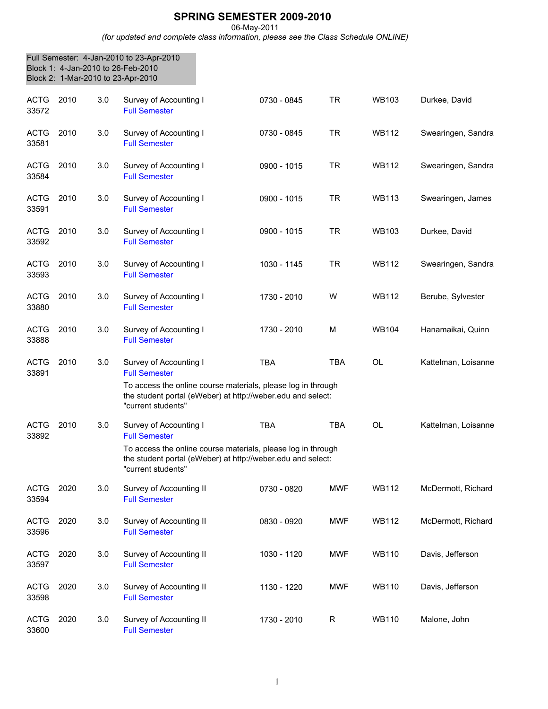## **SPRING SEMESTER 2009-2010**

06-May-2011

*(for updated and complete class information, please see the Class Schedule ONLINE)*

|                      | Block 1: 4-Jan-2010 to 26-Feb-2010<br>Block 2: 1-Mar-2010 to 23-Apr-2010 |     | Full Semester: 4-Jan-2010 to 23-Apr-2010                                                                                                                                                            |             |             |              |                     |
|----------------------|--------------------------------------------------------------------------|-----|-----------------------------------------------------------------------------------------------------------------------------------------------------------------------------------------------------|-------------|-------------|--------------|---------------------|
| <b>ACTG</b><br>33572 | 2010                                                                     | 3.0 | Survey of Accounting I<br><b>Full Semester</b>                                                                                                                                                      | 0730 - 0845 | TR          | <b>WB103</b> | Durkee, David       |
| <b>ACTG</b><br>33581 | 2010                                                                     | 3.0 | Survey of Accounting I<br><b>Full Semester</b>                                                                                                                                                      | 0730 - 0845 | <b>TR</b>   | <b>WB112</b> | Swearingen, Sandra  |
| ACTG<br>33584        | 2010                                                                     | 3.0 | Survey of Accounting I<br><b>Full Semester</b>                                                                                                                                                      | 0900 - 1015 | <b>TR</b>   | <b>WB112</b> | Swearingen, Sandra  |
| <b>ACTG</b><br>33591 | 2010                                                                     | 3.0 | Survey of Accounting I<br><b>Full Semester</b>                                                                                                                                                      | 0900 - 1015 | TR          | <b>WB113</b> | Swearingen, James   |
| <b>ACTG</b><br>33592 | 2010                                                                     | 3.0 | Survey of Accounting I<br><b>Full Semester</b>                                                                                                                                                      | 0900 - 1015 | <b>TR</b>   | <b>WB103</b> | Durkee, David       |
| <b>ACTG</b><br>33593 | 2010                                                                     | 3.0 | Survey of Accounting I<br><b>Full Semester</b>                                                                                                                                                      | 1030 - 1145 | TR          | <b>WB112</b> | Swearingen, Sandra  |
| <b>ACTG</b><br>33880 | 2010                                                                     | 3.0 | Survey of Accounting I<br><b>Full Semester</b>                                                                                                                                                      | 1730 - 2010 | W           | <b>WB112</b> | Berube, Sylvester   |
| <b>ACTG</b><br>33888 | 2010                                                                     | 3.0 | Survey of Accounting I<br><b>Full Semester</b>                                                                                                                                                      | 1730 - 2010 | M           | <b>WB104</b> | Hanamaikai, Quinn   |
| <b>ACTG</b><br>33891 | 2010                                                                     | 3.0 | Survey of Accounting I<br><b>Full Semester</b><br>To access the online course materials, please log in through<br>the student portal (eWeber) at http://weber.edu and select:<br>"current students" | <b>TBA</b>  | <b>TBA</b>  | OL           | Kattelman, Loisanne |
| <b>ACTG</b><br>33892 | 2010                                                                     | 3.0 | Survey of Accounting I<br><b>Full Semester</b><br>To access the online course materials, please log in through<br>the student portal (eWeber) at http://weber.edu and select:<br>"current students" | <b>TBA</b>  | <b>TBA</b>  | <b>OL</b>    | Kattelman, Loisanne |
| <b>ACTG</b><br>33594 | 2020                                                                     | 3.0 | Survey of Accounting II<br><b>Full Semester</b>                                                                                                                                                     | 0730 - 0820 | <b>MWF</b>  | <b>WB112</b> | McDermott, Richard  |
| <b>ACTG</b><br>33596 | 2020                                                                     | 3.0 | Survey of Accounting II<br><b>Full Semester</b>                                                                                                                                                     | 0830 - 0920 | <b>MWF</b>  | <b>WB112</b> | McDermott, Richard  |
| <b>ACTG</b><br>33597 | 2020                                                                     | 3.0 | Survey of Accounting II<br><b>Full Semester</b>                                                                                                                                                     | 1030 - 1120 | <b>MWF</b>  | <b>WB110</b> | Davis, Jefferson    |
| <b>ACTG</b><br>33598 | 2020                                                                     | 3.0 | Survey of Accounting II<br><b>Full Semester</b>                                                                                                                                                     | 1130 - 1220 | <b>MWF</b>  | <b>WB110</b> | Davis, Jefferson    |
| <b>ACTG</b><br>33600 | 2020                                                                     | 3.0 | Survey of Accounting II<br><b>Full Semester</b>                                                                                                                                                     | 1730 - 2010 | $\mathsf R$ | <b>WB110</b> | Malone, John        |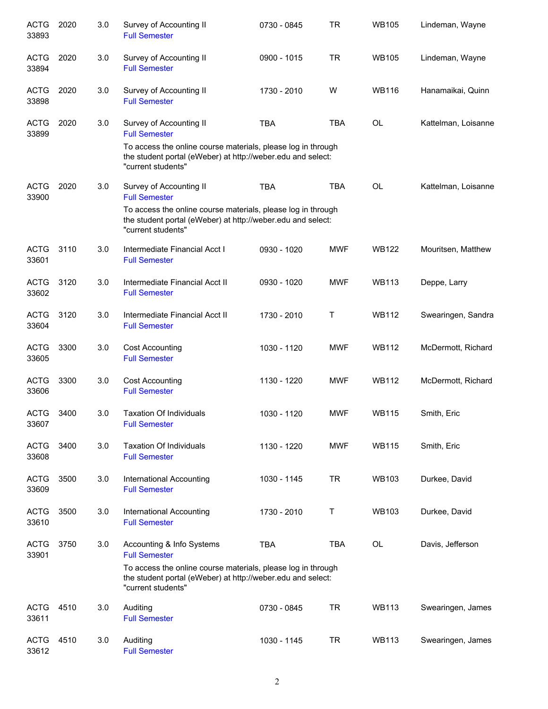| <b>ACTG</b><br>33893 | 2020 | 3.0 | Survey of Accounting II<br><b>Full Semester</b>                                                                                                                                                        | 0730 - 0845 | <b>TR</b>    | <b>WB105</b> | Lindeman, Wayne     |
|----------------------|------|-----|--------------------------------------------------------------------------------------------------------------------------------------------------------------------------------------------------------|-------------|--------------|--------------|---------------------|
| <b>ACTG</b><br>33894 | 2020 | 3.0 | Survey of Accounting II<br><b>Full Semester</b>                                                                                                                                                        | 0900 - 1015 | <b>TR</b>    | <b>WB105</b> | Lindeman, Wayne     |
| <b>ACTG</b><br>33898 | 2020 | 3.0 | Survey of Accounting II<br><b>Full Semester</b>                                                                                                                                                        | 1730 - 2010 | W            | <b>WB116</b> | Hanamaikai, Quinn   |
| <b>ACTG</b><br>33899 | 2020 | 3.0 | Survey of Accounting II<br><b>Full Semester</b><br>To access the online course materials, please log in through<br>the student portal (eWeber) at http://weber.edu and select:<br>"current students"   | <b>TBA</b>  | <b>TBA</b>   | <b>OL</b>    | Kattelman, Loisanne |
| <b>ACTG</b><br>33900 | 2020 | 3.0 | Survey of Accounting II<br><b>Full Semester</b><br>To access the online course materials, please log in through<br>the student portal (eWeber) at http://weber.edu and select:<br>"current students"   | <b>TBA</b>  | <b>TBA</b>   | OL           | Kattelman, Loisanne |
| <b>ACTG</b><br>33601 | 3110 | 3.0 | Intermediate Financial Acct I<br><b>Full Semester</b>                                                                                                                                                  | 0930 - 1020 | <b>MWF</b>   | <b>WB122</b> | Mouritsen, Matthew  |
| <b>ACTG</b><br>33602 | 3120 | 3.0 | Intermediate Financial Acct II<br><b>Full Semester</b>                                                                                                                                                 | 0930 - 1020 | <b>MWF</b>   | <b>WB113</b> | Deppe, Larry        |
| <b>ACTG</b><br>33604 | 3120 | 3.0 | Intermediate Financial Acct II<br><b>Full Semester</b>                                                                                                                                                 | 1730 - 2010 | $\mathsf{T}$ | <b>WB112</b> | Swearingen, Sandra  |
| <b>ACTG</b><br>33605 | 3300 | 3.0 | <b>Cost Accounting</b><br><b>Full Semester</b>                                                                                                                                                         | 1030 - 1120 | <b>MWF</b>   | <b>WB112</b> | McDermott, Richard  |
| <b>ACTG</b><br>33606 | 3300 | 3.0 | <b>Cost Accounting</b><br><b>Full Semester</b>                                                                                                                                                         | 1130 - 1220 | <b>MWF</b>   | <b>WB112</b> | McDermott, Richard  |
| <b>ACTG</b><br>33607 | 3400 | 3.0 | <b>Taxation Of Individuals</b><br><b>Full Semester</b>                                                                                                                                                 | 1030 - 1120 | <b>MWF</b>   | <b>WB115</b> | Smith, Eric         |
| <b>ACTG</b><br>33608 | 3400 | 3.0 | <b>Taxation Of Individuals</b><br><b>Full Semester</b>                                                                                                                                                 | 1130 - 1220 | <b>MWF</b>   | <b>WB115</b> | Smith, Eric         |
| <b>ACTG</b><br>33609 | 3500 | 3.0 | <b>International Accounting</b><br><b>Full Semester</b>                                                                                                                                                | 1030 - 1145 | <b>TR</b>    | <b>WB103</b> | Durkee, David       |
| <b>ACTG</b><br>33610 | 3500 | 3.0 | <b>International Accounting</b><br><b>Full Semester</b>                                                                                                                                                | 1730 - 2010 | Τ            | <b>WB103</b> | Durkee, David       |
| <b>ACTG</b><br>33901 | 3750 | 3.0 | Accounting & Info Systems<br><b>Full Semester</b><br>To access the online course materials, please log in through<br>the student portal (eWeber) at http://weber.edu and select:<br>"current students" | <b>TBA</b>  | <b>TBA</b>   | <b>OL</b>    | Davis, Jefferson    |
| <b>ACTG</b><br>33611 | 4510 | 3.0 | Auditing<br><b>Full Semester</b>                                                                                                                                                                       | 0730 - 0845 | <b>TR</b>    | <b>WB113</b> | Swearingen, James   |
| <b>ACTG</b><br>33612 | 4510 | 3.0 | Auditing<br><b>Full Semester</b>                                                                                                                                                                       | 1030 - 1145 | <b>TR</b>    | <b>WB113</b> | Swearingen, James   |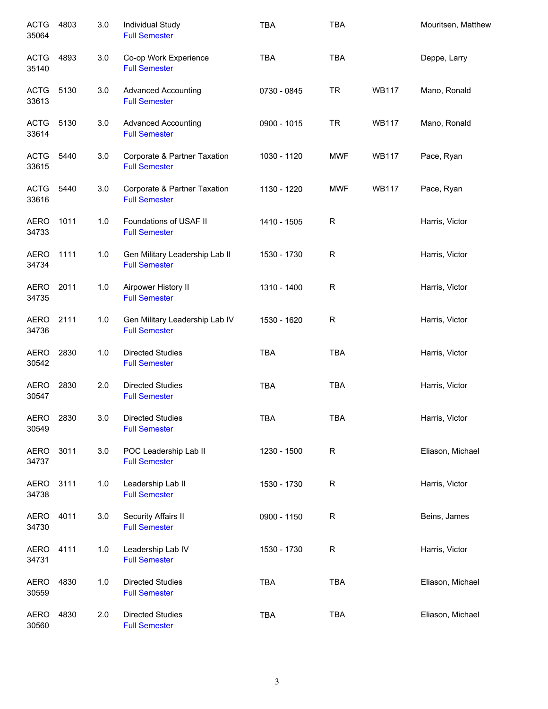| <b>ACTG</b><br>35064 | 4803 | 3.0 | Individual Study<br><b>Full Semester</b>               | <b>TBA</b>  | <b>TBA</b>   |              | Mouritsen, Matthew |
|----------------------|------|-----|--------------------------------------------------------|-------------|--------------|--------------|--------------------|
| <b>ACTG</b><br>35140 | 4893 | 3.0 | Co-op Work Experience<br><b>Full Semester</b>          | <b>TBA</b>  | <b>TBA</b>   |              | Deppe, Larry       |
| <b>ACTG</b><br>33613 | 5130 | 3.0 | <b>Advanced Accounting</b><br><b>Full Semester</b>     | 0730 - 0845 | <b>TR</b>    | <b>WB117</b> | Mano, Ronald       |
| <b>ACTG</b><br>33614 | 5130 | 3.0 | <b>Advanced Accounting</b><br><b>Full Semester</b>     | 0900 - 1015 | <b>TR</b>    | <b>WB117</b> | Mano, Ronald       |
| <b>ACTG</b><br>33615 | 5440 | 3.0 | Corporate & Partner Taxation<br><b>Full Semester</b>   | 1030 - 1120 | <b>MWF</b>   | <b>WB117</b> | Pace, Ryan         |
| <b>ACTG</b><br>33616 | 5440 | 3.0 | Corporate & Partner Taxation<br><b>Full Semester</b>   | 1130 - 1220 | <b>MWF</b>   | <b>WB117</b> | Pace, Ryan         |
| <b>AERO</b><br>34733 | 1011 | 1.0 | Foundations of USAF II<br><b>Full Semester</b>         | 1410 - 1505 | R            |              | Harris, Victor     |
| <b>AERO</b><br>34734 | 1111 | 1.0 | Gen Military Leadership Lab II<br><b>Full Semester</b> | 1530 - 1730 | R            |              | Harris, Victor     |
| <b>AERO</b><br>34735 | 2011 | 1.0 | Airpower History II<br><b>Full Semester</b>            | 1310 - 1400 | R            |              | Harris, Victor     |
| <b>AERO</b><br>34736 | 2111 | 1.0 | Gen Military Leadership Lab IV<br><b>Full Semester</b> | 1530 - 1620 | R            |              | Harris, Victor     |
| <b>AERO</b><br>30542 | 2830 | 1.0 | <b>Directed Studies</b><br><b>Full Semester</b>        | <b>TBA</b>  | <b>TBA</b>   |              | Harris, Victor     |
| <b>AERO</b><br>30547 | 2830 | 2.0 | <b>Directed Studies</b><br><b>Full Semester</b>        | <b>TBA</b>  | <b>TBA</b>   |              | Harris, Victor     |
| <b>AERO</b><br>30549 | 2830 | 3.0 | <b>Directed Studies</b><br><b>Full Semester</b>        | <b>TBA</b>  | <b>TBA</b>   |              | Harris, Victor     |
| <b>AERO</b><br>34737 | 3011 | 3.0 | POC Leadership Lab II<br><b>Full Semester</b>          | 1230 - 1500 | $\mathsf{R}$ |              | Eliason, Michael   |
| <b>AERO</b><br>34738 | 3111 | 1.0 | Leadership Lab II<br><b>Full Semester</b>              | 1530 - 1730 | ${\sf R}$    |              | Harris, Victor     |
| AERO<br>34730        | 4011 | 3.0 | Security Affairs II<br><b>Full Semester</b>            | 0900 - 1150 | R            |              | Beins, James       |
| AERO<br>34731        | 4111 | 1.0 | Leadership Lab IV<br><b>Full Semester</b>              | 1530 - 1730 | R            |              | Harris, Victor     |
| <b>AERO</b><br>30559 | 4830 | 1.0 | <b>Directed Studies</b><br><b>Full Semester</b>        | <b>TBA</b>  | <b>TBA</b>   |              | Eliason, Michael   |
| <b>AERO</b><br>30560 | 4830 | 2.0 | <b>Directed Studies</b><br><b>Full Semester</b>        | <b>TBA</b>  | <b>TBA</b>   |              | Eliason, Michael   |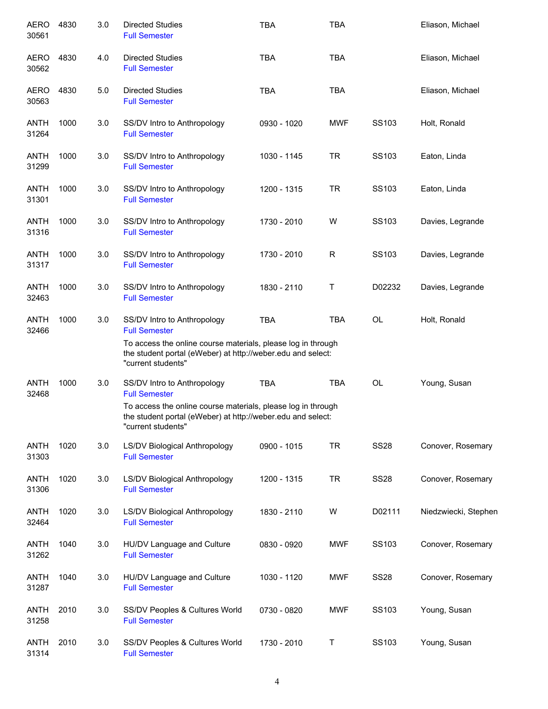| <b>AERO</b><br>30561 | 4830 | 3.0 | <b>Directed Studies</b><br><b>Full Semester</b>                                                                                                                                                          | TBA         | TBA        |                   | Eliason, Michael     |
|----------------------|------|-----|----------------------------------------------------------------------------------------------------------------------------------------------------------------------------------------------------------|-------------|------------|-------------------|----------------------|
| <b>AERO</b><br>30562 | 4830 | 4.0 | <b>Directed Studies</b><br><b>Full Semester</b>                                                                                                                                                          | <b>TBA</b>  | <b>TBA</b> |                   | Eliason, Michael     |
| <b>AERO</b><br>30563 | 4830 | 5.0 | <b>Directed Studies</b><br><b>Full Semester</b>                                                                                                                                                          | <b>TBA</b>  | <b>TBA</b> |                   | Eliason, Michael     |
| <b>ANTH</b><br>31264 | 1000 | 3.0 | SS/DV Intro to Anthropology<br><b>Full Semester</b>                                                                                                                                                      | 0930 - 1020 | <b>MWF</b> | SS <sub>103</sub> | Holt, Ronald         |
| ANTH<br>31299        | 1000 | 3.0 | SS/DV Intro to Anthropology<br><b>Full Semester</b>                                                                                                                                                      | 1030 - 1145 | <b>TR</b>  | SS103             | Eaton, Linda         |
| <b>ANTH</b><br>31301 | 1000 | 3.0 | SS/DV Intro to Anthropology<br><b>Full Semester</b>                                                                                                                                                      | 1200 - 1315 | <b>TR</b>  | SS103             | Eaton, Linda         |
| <b>ANTH</b><br>31316 | 1000 | 3.0 | SS/DV Intro to Anthropology<br><b>Full Semester</b>                                                                                                                                                      | 1730 - 2010 | W          | SS103             | Davies, Legrande     |
| <b>ANTH</b><br>31317 | 1000 | 3.0 | SS/DV Intro to Anthropology<br><b>Full Semester</b>                                                                                                                                                      | 1730 - 2010 | R          | SS103             | Davies, Legrande     |
| <b>ANTH</b><br>32463 | 1000 | 3.0 | SS/DV Intro to Anthropology<br><b>Full Semester</b>                                                                                                                                                      | 1830 - 2110 | Τ          | D02232            | Davies, Legrande     |
| <b>ANTH</b><br>32466 | 1000 | 3.0 | SS/DV Intro to Anthropology<br><b>Full Semester</b><br>To access the online course materials, please log in through<br>the student portal (eWeber) at http://weber.edu and select:<br>"current students" | <b>TBA</b>  | <b>TBA</b> | <b>OL</b>         | Holt, Ronald         |
| <b>ANTH</b><br>32468 | 1000 | 3.0 | SS/DV Intro to Anthropology<br><b>Full Semester</b><br>To access the online course materials, please log in through<br>the student portal (eWeber) at http://weber.edu and select:<br>"current students" | <b>TBA</b>  | <b>TBA</b> | OL                | Young, Susan         |
| <b>ANTH</b><br>31303 | 1020 | 3.0 | LS/DV Biological Anthropology<br><b>Full Semester</b>                                                                                                                                                    | 0900 - 1015 | <b>TR</b>  | <b>SS28</b>       | Conover, Rosemary    |
| <b>ANTH</b><br>31306 | 1020 | 3.0 | LS/DV Biological Anthropology<br><b>Full Semester</b>                                                                                                                                                    | 1200 - 1315 | <b>TR</b>  | <b>SS28</b>       | Conover, Rosemary    |
| <b>ANTH</b><br>32464 | 1020 | 3.0 | <b>LS/DV Biological Anthropology</b><br><b>Full Semester</b>                                                                                                                                             | 1830 - 2110 | W          | D02111            | Niedzwiecki, Stephen |
| <b>ANTH</b><br>31262 | 1040 | 3.0 | HU/DV Language and Culture<br><b>Full Semester</b>                                                                                                                                                       | 0830 - 0920 | <b>MWF</b> | SS103             | Conover, Rosemary    |
| <b>ANTH</b><br>31287 | 1040 | 3.0 | HU/DV Language and Culture<br><b>Full Semester</b>                                                                                                                                                       | 1030 - 1120 | <b>MWF</b> | <b>SS28</b>       | Conover, Rosemary    |
| <b>ANTH</b><br>31258 | 2010 | 3.0 | SS/DV Peoples & Cultures World<br><b>Full Semester</b>                                                                                                                                                   | 0730 - 0820 | <b>MWF</b> | SS103             | Young, Susan         |
| <b>ANTH</b><br>31314 | 2010 | 3.0 | SS/DV Peoples & Cultures World<br><b>Full Semester</b>                                                                                                                                                   | 1730 - 2010 | T          | SS103             | Young, Susan         |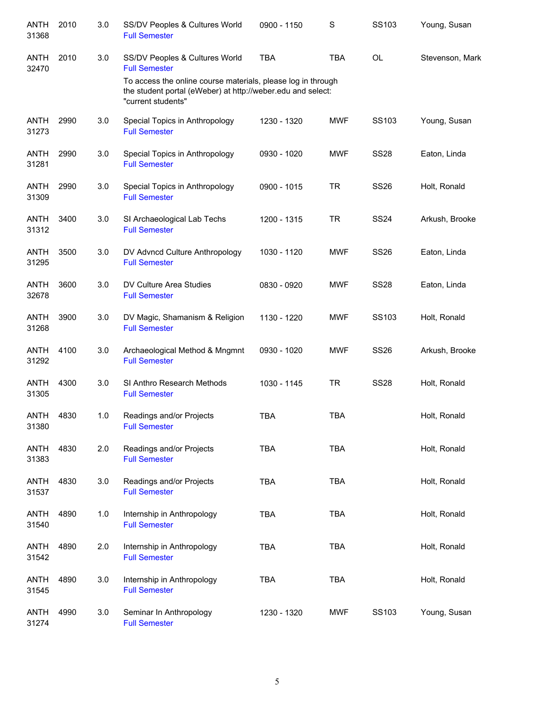| <b>ANTH</b><br>31368 | 2010 | 3.0 | SS/DV Peoples & Cultures World<br><b>Full Semester</b>                                                                                            | 0900 - 1150 | S          | SS103       | Young, Susan    |
|----------------------|------|-----|---------------------------------------------------------------------------------------------------------------------------------------------------|-------------|------------|-------------|-----------------|
| <b>ANTH</b><br>32470 | 2010 | 3.0 | SS/DV Peoples & Cultures World<br><b>Full Semester</b>                                                                                            | <b>TBA</b>  | <b>TBA</b> | OL          | Stevenson, Mark |
|                      |      |     | To access the online course materials, please log in through<br>the student portal (eWeber) at http://weber.edu and select:<br>"current students" |             |            |             |                 |
| <b>ANTH</b><br>31273 | 2990 | 3.0 | Special Topics in Anthropology<br><b>Full Semester</b>                                                                                            | 1230 - 1320 | <b>MWF</b> | SS103       | Young, Susan    |
| <b>ANTH</b><br>31281 | 2990 | 3.0 | Special Topics in Anthropology<br><b>Full Semester</b>                                                                                            | 0930 - 1020 | <b>MWF</b> | <b>SS28</b> | Eaton, Linda    |
| <b>ANTH</b><br>31309 | 2990 | 3.0 | Special Topics in Anthropology<br><b>Full Semester</b>                                                                                            | 0900 - 1015 | <b>TR</b>  | <b>SS26</b> | Holt, Ronald    |
| ANTH<br>31312        | 3400 | 3.0 | SI Archaeological Lab Techs<br><b>Full Semester</b>                                                                                               | 1200 - 1315 | <b>TR</b>  | <b>SS24</b> | Arkush, Brooke  |
| ANTH<br>31295        | 3500 | 3.0 | DV Advncd Culture Anthropology<br><b>Full Semester</b>                                                                                            | 1030 - 1120 | <b>MWF</b> | <b>SS26</b> | Eaton, Linda    |
| <b>ANTH</b><br>32678 | 3600 | 3.0 | DV Culture Area Studies<br><b>Full Semester</b>                                                                                                   | 0830 - 0920 | <b>MWF</b> | <b>SS28</b> | Eaton, Linda    |
| <b>ANTH</b><br>31268 | 3900 | 3.0 | DV Magic, Shamanism & Religion<br><b>Full Semester</b>                                                                                            | 1130 - 1220 | <b>MWF</b> | SS103       | Holt, Ronald    |
| ANTH<br>31292        | 4100 | 3.0 | Archaeological Method & Mngmnt<br><b>Full Semester</b>                                                                                            | 0930 - 1020 | <b>MWF</b> | <b>SS26</b> | Arkush, Brooke  |
| <b>ANTH</b><br>31305 | 4300 | 3.0 | SI Anthro Research Methods<br><b>Full Semester</b>                                                                                                | 1030 - 1145 | <b>TR</b>  | <b>SS28</b> | Holt, Ronald    |
| <b>ANTH</b><br>31380 | 4830 | 1.0 | Readings and/or Projects<br><b>Full Semester</b>                                                                                                  | <b>TBA</b>  | <b>TBA</b> |             | Holt, Ronald    |
| <b>ANTH</b><br>31383 | 4830 | 2.0 | Readings and/or Projects<br><b>Full Semester</b>                                                                                                  | <b>TBA</b>  | <b>TBA</b> |             | Holt, Ronald    |
| <b>ANTH</b><br>31537 | 4830 | 3.0 | Readings and/or Projects<br><b>Full Semester</b>                                                                                                  | <b>TBA</b>  | <b>TBA</b> |             | Holt, Ronald    |
| <b>ANTH</b><br>31540 | 4890 | 1.0 | Internship in Anthropology<br><b>Full Semester</b>                                                                                                | <b>TBA</b>  | <b>TBA</b> |             | Holt, Ronald    |
| ANTH<br>31542        | 4890 | 2.0 | Internship in Anthropology<br><b>Full Semester</b>                                                                                                | <b>TBA</b>  | <b>TBA</b> |             | Holt, Ronald    |
| <b>ANTH</b><br>31545 | 4890 | 3.0 | Internship in Anthropology<br><b>Full Semester</b>                                                                                                | <b>TBA</b>  | <b>TBA</b> |             | Holt, Ronald    |
| ANTH<br>31274        | 4990 | 3.0 | Seminar In Anthropology<br><b>Full Semester</b>                                                                                                   | 1230 - 1320 | <b>MWF</b> | SS103       | Young, Susan    |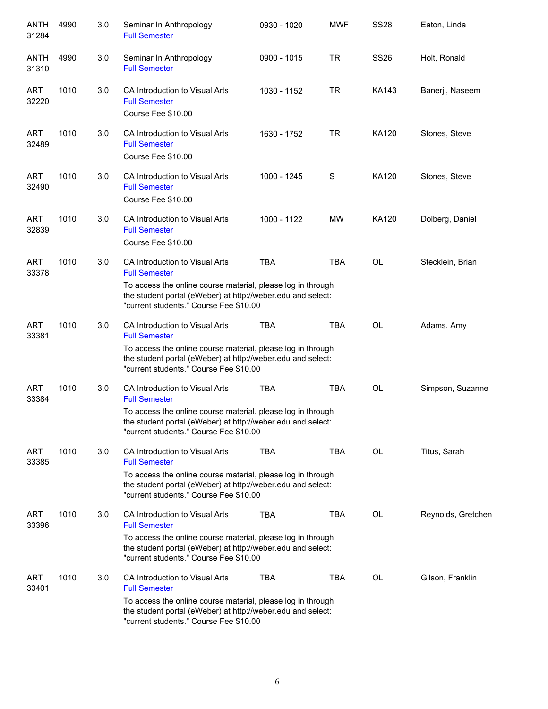| ANTH<br>31284        | 4990 | 3.0 | Seminar In Anthropology<br><b>Full Semester</b>                                                                                                                      | 0930 - 1020 | <b>MWF</b> | <b>SS28</b> | Eaton, Linda       |
|----------------------|------|-----|----------------------------------------------------------------------------------------------------------------------------------------------------------------------|-------------|------------|-------------|--------------------|
| <b>ANTH</b><br>31310 | 4990 | 3.0 | Seminar In Anthropology<br><b>Full Semester</b>                                                                                                                      | 0900 - 1015 | <b>TR</b>  | <b>SS26</b> | Holt, Ronald       |
| <b>ART</b><br>32220  | 1010 | 3.0 | CA Introduction to Visual Arts<br><b>Full Semester</b><br>Course Fee \$10.00                                                                                         | 1030 - 1152 | <b>TR</b>  | KA143       | Banerji, Naseem    |
| <b>ART</b><br>32489  | 1010 | 3.0 | CA Introduction to Visual Arts<br><b>Full Semester</b><br>Course Fee \$10.00                                                                                         | 1630 - 1752 | TR         | KA120       | Stones, Steve      |
| <b>ART</b><br>32490  | 1010 | 3.0 | CA Introduction to Visual Arts<br><b>Full Semester</b><br>Course Fee \$10.00                                                                                         | 1000 - 1245 | S          | KA120       | Stones, Steve      |
| <b>ART</b><br>32839  | 1010 | 3.0 | CA Introduction to Visual Arts<br><b>Full Semester</b><br>Course Fee \$10.00                                                                                         | 1000 - 1122 | <b>MW</b>  | KA120       | Dolberg, Daniel    |
| <b>ART</b><br>33378  | 1010 | 3.0 | CA Introduction to Visual Arts<br><b>Full Semester</b>                                                                                                               | <b>TBA</b>  | <b>TBA</b> | <b>OL</b>   | Stecklein, Brian   |
|                      |      |     | To access the online course material, please log in through<br>the student portal (eWeber) at http://weber.edu and select:<br>"current students." Course Fee \$10.00 |             |            |             |                    |
| <b>ART</b><br>33381  | 1010 | 3.0 | CA Introduction to Visual Arts<br><b>Full Semester</b>                                                                                                               | TBA         | <b>TBA</b> | OL          | Adams, Amy         |
|                      |      |     | To access the online course material, please log in through<br>the student portal (eWeber) at http://weber.edu and select:<br>"current students." Course Fee \$10.00 |             |            |             |                    |
| <b>ART</b><br>33384  | 1010 | 3.0 | CA Introduction to Visual Arts<br><b>Full Semester</b>                                                                                                               | <b>TBA</b>  | <b>TBA</b> | <b>OL</b>   | Simpson, Suzanne   |
|                      |      |     | To access the online course material, please log in through<br>the student portal (eWeber) at http://weber.edu and select:<br>"current students." Course Fee \$10.00 |             |            |             |                    |
| <b>ART</b><br>33385  | 1010 | 3.0 | CA Introduction to Visual Arts<br><b>Full Semester</b>                                                                                                               | <b>TBA</b>  | TBA        | OL          | Titus, Sarah       |
|                      |      |     | To access the online course material, please log in through<br>the student portal (eWeber) at http://weber.edu and select:<br>"current students." Course Fee \$10.00 |             |            |             |                    |
| <b>ART</b><br>33396  | 1010 | 3.0 | CA Introduction to Visual Arts<br><b>Full Semester</b>                                                                                                               | <b>TBA</b>  | <b>TBA</b> | OL          | Reynolds, Gretchen |
|                      |      |     | To access the online course material, please log in through<br>the student portal (eWeber) at http://weber.edu and select:<br>"current students." Course Fee \$10.00 |             |            |             |                    |
| <b>ART</b><br>33401  | 1010 | 3.0 | CA Introduction to Visual Arts<br><b>Full Semester</b>                                                                                                               | <b>TBA</b>  | <b>TBA</b> | <b>OL</b>   | Gilson, Franklin   |
|                      |      |     | To access the online course material, please log in through<br>the student portal (eWeber) at http://weber.edu and select:<br>"current students." Course Fee \$10.00 |             |            |             |                    |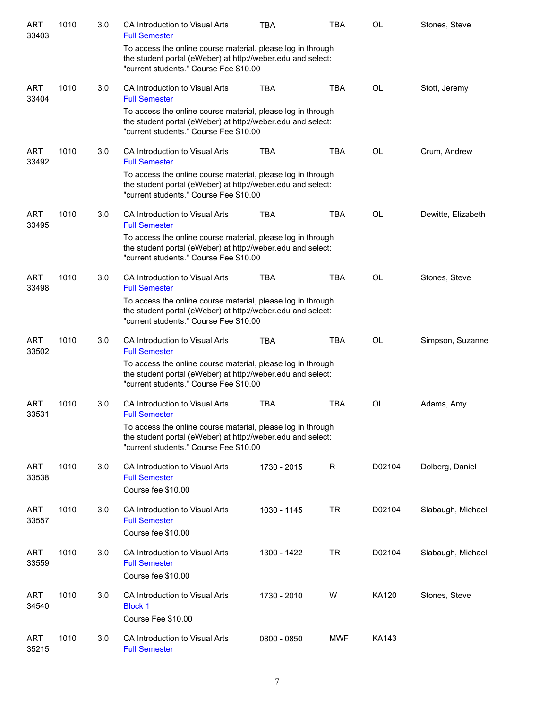| <b>ART</b><br>33403 | 1010 | 3.0 | CA Introduction to Visual Arts<br><b>Full Semester</b>                                                                                                               | <b>TBA</b>  | <b>TBA</b> | <b>OL</b> | Stones, Steve      |
|---------------------|------|-----|----------------------------------------------------------------------------------------------------------------------------------------------------------------------|-------------|------------|-----------|--------------------|
|                     |      |     | To access the online course material, please log in through<br>the student portal (eWeber) at http://weber.edu and select:<br>"current students." Course Fee \$10.00 |             |            |           |                    |
| <b>ART</b><br>33404 | 1010 | 3.0 | CA Introduction to Visual Arts<br><b>Full Semester</b>                                                                                                               | <b>TBA</b>  | <b>TBA</b> | OL        | Stott, Jeremy      |
|                     |      |     | To access the online course material, please log in through<br>the student portal (eWeber) at http://weber.edu and select:<br>"current students." Course Fee \$10.00 |             |            |           |                    |
| <b>ART</b><br>33492 | 1010 | 3.0 | CA Introduction to Visual Arts<br><b>Full Semester</b>                                                                                                               | <b>TBA</b>  | <b>TBA</b> | OL        | Crum, Andrew       |
|                     |      |     | To access the online course material, please log in through<br>the student portal (eWeber) at http://weber.edu and select:<br>"current students." Course Fee \$10.00 |             |            |           |                    |
| <b>ART</b><br>33495 | 1010 | 3.0 | CA Introduction to Visual Arts<br><b>Full Semester</b>                                                                                                               | <b>TBA</b>  | <b>TBA</b> | <b>OL</b> | Dewitte, Elizabeth |
|                     |      |     | To access the online course material, please log in through<br>the student portal (eWeber) at http://weber.edu and select:<br>"current students." Course Fee \$10.00 |             |            |           |                    |
| <b>ART</b><br>33498 | 1010 | 3.0 | CA Introduction to Visual Arts<br><b>Full Semester</b>                                                                                                               | <b>TBA</b>  | <b>TBA</b> | <b>OL</b> | Stones, Steve      |
|                     |      |     | To access the online course material, please log in through<br>the student portal (eWeber) at http://weber.edu and select:<br>"current students." Course Fee \$10.00 |             |            |           |                    |
| <b>ART</b><br>33502 | 1010 | 3.0 | CA Introduction to Visual Arts<br><b>Full Semester</b>                                                                                                               | <b>TBA</b>  | <b>TBA</b> | <b>OL</b> | Simpson, Suzanne   |
|                     |      |     | To access the online course material, please log in through<br>the student portal (eWeber) at http://weber.edu and select:<br>"current students." Course Fee \$10.00 |             |            |           |                    |
| <b>ART</b><br>33531 | 1010 | 3.0 | CA Introduction to Visual Arts<br><b>Full Semester</b>                                                                                                               | <b>TBA</b>  | <b>TBA</b> | OL        | Adams, Amy         |
|                     |      |     | To access the online course material, please log in through<br>the student portal (eWeber) at http://weber.edu and select:<br>"current students." Course Fee \$10.00 |             |            |           |                    |
| <b>ART</b><br>33538 | 1010 | 3.0 | CA Introduction to Visual Arts<br><b>Full Semester</b><br>Course fee \$10.00                                                                                         | 1730 - 2015 | R          | D02104    | Dolberg, Daniel    |
| <b>ART</b><br>33557 | 1010 | 3.0 | CA Introduction to Visual Arts<br><b>Full Semester</b><br>Course fee \$10.00                                                                                         | 1030 - 1145 | <b>TR</b>  | D02104    | Slabaugh, Michael  |
| <b>ART</b><br>33559 | 1010 | 3.0 | CA Introduction to Visual Arts<br><b>Full Semester</b><br>Course fee \$10.00                                                                                         | 1300 - 1422 | <b>TR</b>  | D02104    | Slabaugh, Michael  |
| <b>ART</b><br>34540 | 1010 | 3.0 | CA Introduction to Visual Arts<br><b>Block 1</b><br>Course Fee \$10.00                                                                                               | 1730 - 2010 | W          | KA120     | Stones, Steve      |
| <b>ART</b><br>35215 | 1010 | 3.0 | CA Introduction to Visual Arts<br><b>Full Semester</b>                                                                                                               | 0800 - 0850 | MWF        | KA143     |                    |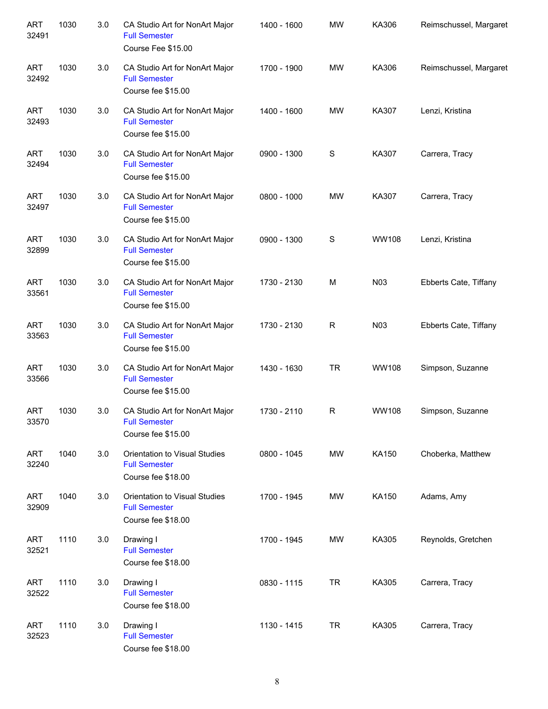| <b>ART</b><br>32491 | 1030 | 3.0 | CA Studio Art for NonArt Major<br><b>Full Semester</b><br>Course Fee \$15.00 | 1400 - 1600 | <b>MW</b>    | KA306            | Reimschussel, Margaret |
|---------------------|------|-----|------------------------------------------------------------------------------|-------------|--------------|------------------|------------------------|
| <b>ART</b><br>32492 | 1030 | 3.0 | CA Studio Art for NonArt Major<br><b>Full Semester</b><br>Course fee \$15.00 | 1700 - 1900 | <b>MW</b>    | KA306            | Reimschussel, Margaret |
| <b>ART</b><br>32493 | 1030 | 3.0 | CA Studio Art for NonArt Major<br><b>Full Semester</b><br>Course fee \$15.00 | 1400 - 1600 | <b>MW</b>    | KA307            | Lenzi, Kristina        |
| <b>ART</b><br>32494 | 1030 | 3.0 | CA Studio Art for NonArt Major<br><b>Full Semester</b><br>Course fee \$15.00 | 0900 - 1300 | $\mathbf S$  | KA307            | Carrera, Tracy         |
| <b>ART</b><br>32497 | 1030 | 3.0 | CA Studio Art for NonArt Major<br><b>Full Semester</b><br>Course fee \$15.00 | 0800 - 1000 | <b>MW</b>    | KA307            | Carrera, Tracy         |
| <b>ART</b><br>32899 | 1030 | 3.0 | CA Studio Art for NonArt Major<br><b>Full Semester</b><br>Course fee \$15.00 | 0900 - 1300 | $\mathbf S$  | WW108            | Lenzi, Kristina        |
| <b>ART</b><br>33561 | 1030 | 3.0 | CA Studio Art for NonArt Major<br><b>Full Semester</b><br>Course fee \$15.00 | 1730 - 2130 | M            | N <sub>0</sub> 3 | Ebberts Cate, Tiffany  |
| <b>ART</b><br>33563 | 1030 | 3.0 | CA Studio Art for NonArt Major<br><b>Full Semester</b><br>Course fee \$15.00 | 1730 - 2130 | $\mathsf{R}$ | N03              | Ebberts Cate, Tiffany  |
| <b>ART</b><br>33566 | 1030 | 3.0 | CA Studio Art for NonArt Major<br><b>Full Semester</b><br>Course fee \$15.00 | 1430 - 1630 | <b>TR</b>    | WW108            | Simpson, Suzanne       |
| <b>ART</b><br>33570 | 1030 | 3.0 | CA Studio Art for NonArt Major<br><b>Full Semester</b><br>Course fee \$15.00 | 1730 - 2110 | R            | <b>WW108</b>     | Simpson, Suzanne       |
| <b>ART</b><br>32240 | 1040 | 3.0 | Orientation to Visual Studies<br><b>Full Semester</b><br>Course fee \$18.00  | 0800 - 1045 | <b>MW</b>    | KA150            | Choberka, Matthew      |
| <b>ART</b><br>32909 | 1040 | 3.0 | Orientation to Visual Studies<br><b>Full Semester</b><br>Course fee \$18.00  | 1700 - 1945 | MW           | KA150            | Adams, Amy             |
| <b>ART</b><br>32521 | 1110 | 3.0 | Drawing I<br><b>Full Semester</b><br>Course fee \$18.00                      | 1700 - 1945 | MW           | KA305            | Reynolds, Gretchen     |
| <b>ART</b><br>32522 | 1110 | 3.0 | Drawing I<br><b>Full Semester</b><br>Course fee \$18.00                      | 0830 - 1115 | <b>TR</b>    | KA305            | Carrera, Tracy         |
| <b>ART</b><br>32523 | 1110 | 3.0 | Drawing I<br><b>Full Semester</b><br>Course fee \$18.00                      | 1130 - 1415 | <b>TR</b>    | KA305            | Carrera, Tracy         |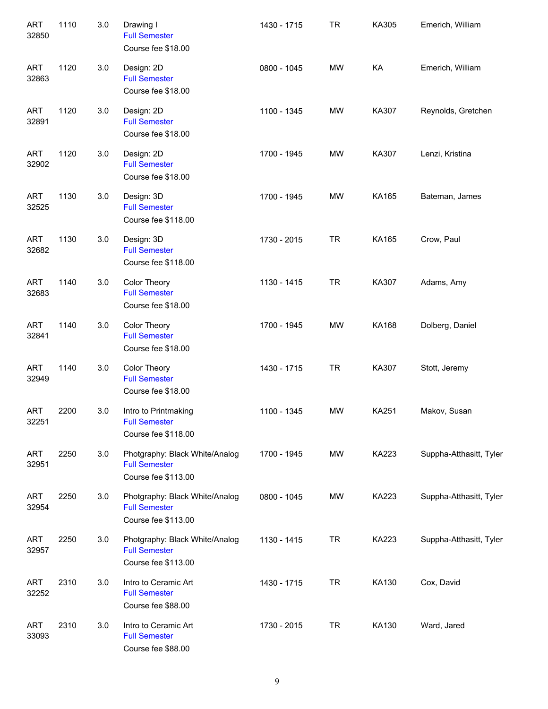| <b>ART</b><br>32850 | 1110 | 3.0 | Drawing I<br><b>Full Semester</b><br>Course fee \$18.00                       | 1430 - 1715 | <b>TR</b> | KA305        | Emerich, William        |
|---------------------|------|-----|-------------------------------------------------------------------------------|-------------|-----------|--------------|-------------------------|
| <b>ART</b><br>32863 | 1120 | 3.0 | Design: 2D<br><b>Full Semester</b><br>Course fee \$18.00                      | 0800 - 1045 | <b>MW</b> | KA           | Emerich, William        |
| <b>ART</b><br>32891 | 1120 | 3.0 | Design: 2D<br><b>Full Semester</b><br>Course fee \$18.00                      | 1100 - 1345 | <b>MW</b> | KA307        | Reynolds, Gretchen      |
| <b>ART</b><br>32902 | 1120 | 3.0 | Design: 2D<br><b>Full Semester</b><br>Course fee \$18.00                      | 1700 - 1945 | <b>MW</b> | KA307        | Lenzi, Kristina         |
| <b>ART</b><br>32525 | 1130 | 3.0 | Design: 3D<br><b>Full Semester</b><br>Course fee \$118.00                     | 1700 - 1945 | <b>MW</b> | KA165        | Bateman, James          |
| <b>ART</b><br>32682 | 1130 | 3.0 | Design: 3D<br><b>Full Semester</b><br>Course fee \$118.00                     | 1730 - 2015 | <b>TR</b> | KA165        | Crow, Paul              |
| <b>ART</b><br>32683 | 1140 | 3.0 | Color Theory<br><b>Full Semester</b><br>Course fee \$18.00                    | 1130 - 1415 | <b>TR</b> | KA307        | Adams, Amy              |
| <b>ART</b><br>32841 | 1140 | 3.0 | Color Theory<br><b>Full Semester</b><br>Course fee \$18.00                    | 1700 - 1945 | <b>MW</b> | KA168        | Dolberg, Daniel         |
| <b>ART</b><br>32949 | 1140 | 3.0 | Color Theory<br><b>Full Semester</b><br>Course fee \$18.00                    | 1430 - 1715 | <b>TR</b> | KA307        | Stott, Jeremy           |
| <b>ART</b><br>32251 | 2200 | 3.0 | Intro to Printmaking<br><b>Full Semester</b><br>Course fee \$118.00           | 1100 - 1345 | <b>MW</b> | <b>KA251</b> | Makov, Susan            |
| <b>ART</b><br>32951 | 2250 | 3.0 | Photgraphy: Black White/Analog<br><b>Full Semester</b><br>Course fee \$113.00 | 1700 - 1945 | MW        | KA223        | Suppha-Atthasitt, Tyler |
| <b>ART</b><br>32954 | 2250 | 3.0 | Photgraphy: Black White/Analog<br><b>Full Semester</b><br>Course fee \$113.00 | 0800 - 1045 | MW        | KA223        | Suppha-Atthasitt, Tyler |
| <b>ART</b><br>32957 | 2250 | 3.0 | Photgraphy: Black White/Analog<br><b>Full Semester</b><br>Course fee \$113.00 | 1130 - 1415 | <b>TR</b> | KA223        | Suppha-Atthasitt, Tyler |
| <b>ART</b><br>32252 | 2310 | 3.0 | Intro to Ceramic Art<br><b>Full Semester</b><br>Course fee \$88.00            | 1430 - 1715 | <b>TR</b> | KA130        | Cox, David              |
| <b>ART</b><br>33093 | 2310 | 3.0 | Intro to Ceramic Art<br><b>Full Semester</b><br>Course fee \$88.00            | 1730 - 2015 | <b>TR</b> | KA130        | Ward, Jared             |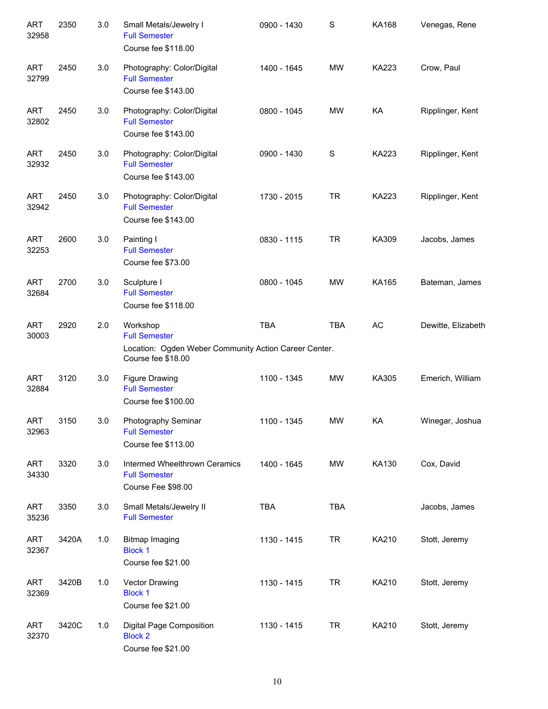| <b>ART</b><br>32958 | 2350  | 3.0 | Small Metals/Jewelry I<br><b>Full Semester</b><br>Course fee \$118.00                                           | 0900 - 1430 | S          | <b>KA168</b> | Venegas, Rene      |
|---------------------|-------|-----|-----------------------------------------------------------------------------------------------------------------|-------------|------------|--------------|--------------------|
| <b>ART</b><br>32799 | 2450  | 3.0 | Photography: Color/Digital<br><b>Full Semester</b><br>Course fee \$143.00                                       | 1400 - 1645 | <b>MW</b>  | <b>KA223</b> | Crow, Paul         |
| <b>ART</b><br>32802 | 2450  | 3.0 | Photography: Color/Digital<br><b>Full Semester</b><br>Course fee \$143.00                                       | 0800 - 1045 | <b>MW</b>  | KA           | Ripplinger, Kent   |
| <b>ART</b><br>32932 | 2450  | 3.0 | Photography: Color/Digital<br><b>Full Semester</b><br>Course fee \$143.00                                       | 0900 - 1430 | S          | <b>KA223</b> | Ripplinger, Kent   |
| <b>ART</b><br>32942 | 2450  | 3.0 | Photography: Color/Digital<br><b>Full Semester</b><br>Course fee \$143.00                                       | 1730 - 2015 | <b>TR</b>  | <b>KA223</b> | Ripplinger, Kent   |
| <b>ART</b><br>32253 | 2600  | 3.0 | Painting I<br><b>Full Semester</b><br>Course fee \$73.00                                                        | 0830 - 1115 | <b>TR</b>  | KA309        | Jacobs, James      |
| <b>ART</b><br>32684 | 2700  | 3.0 | Sculpture I<br><b>Full Semester</b><br>Course fee \$118.00                                                      | 0800 - 1045 | <b>MW</b>  | KA165        | Bateman, James     |
| <b>ART</b><br>30003 | 2920  | 2.0 | Workshop<br><b>Full Semester</b><br>Location: Ogden Weber Community Action Career Center.<br>Course fee \$18.00 | <b>TBA</b>  | <b>TBA</b> | AC           | Dewitte, Elizabeth |
| <b>ART</b><br>32884 | 3120  | 3.0 | <b>Figure Drawing</b><br><b>Full Semester</b><br>Course fee \$100.00                                            | 1100 - 1345 | <b>MW</b>  | KA305        | Emerich, William   |
| ART<br>32963        | 3150  | 3.0 | Photography Seminar<br><b>Full Semester</b><br>Course fee \$113.00                                              | 1100 - 1345 | MW         | KA           | Winegar, Joshua    |
| <b>ART</b><br>34330 | 3320  | 3.0 | Intermed Wheelthrown Ceramics<br><b>Full Semester</b><br>Course Fee \$98.00                                     | 1400 - 1645 | <b>MW</b>  | KA130        | Cox, David         |
| <b>ART</b><br>35236 | 3350  | 3.0 | Small Metals/Jewelry II<br><b>Full Semester</b>                                                                 | <b>TBA</b>  | TBA        |              | Jacobs, James      |
| <b>ART</b><br>32367 | 3420A | 1.0 | <b>Bitmap Imaging</b><br><b>Block 1</b><br>Course fee \$21.00                                                   | 1130 - 1415 | <b>TR</b>  | KA210        | Stott, Jeremy      |
| <b>ART</b><br>32369 | 3420B | 1.0 | Vector Drawing<br><b>Block 1</b><br>Course fee \$21.00                                                          | 1130 - 1415 | <b>TR</b>  | KA210        | Stott, Jeremy      |
| <b>ART</b><br>32370 | 3420C | 1.0 | Digital Page Composition<br><b>Block 2</b><br>Course fee \$21.00                                                | 1130 - 1415 | <b>TR</b>  | KA210        | Stott, Jeremy      |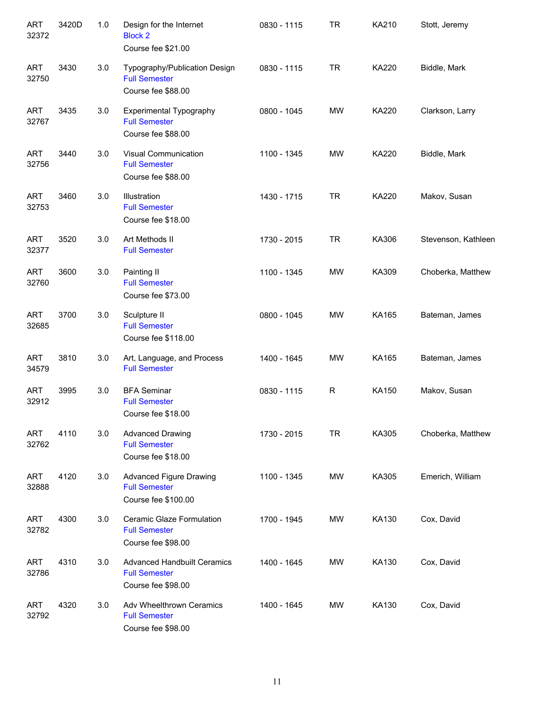| <b>ART</b><br>32372 | 3420D | 1.0 | Design for the Internet<br><b>Block 2</b><br>Course fee \$21.00                  | 0830 - 1115 | <b>TR</b> | KA210        | Stott, Jeremy       |
|---------------------|-------|-----|----------------------------------------------------------------------------------|-------------|-----------|--------------|---------------------|
| <b>ART</b><br>32750 | 3430  | 3.0 | Typography/Publication Design<br><b>Full Semester</b><br>Course fee \$88.00      | 0830 - 1115 | <b>TR</b> | KA220        | Biddle, Mark        |
| <b>ART</b><br>32767 | 3435  | 3.0 | <b>Experimental Typography</b><br><b>Full Semester</b><br>Course fee \$88.00     | 0800 - 1045 | <b>MW</b> | <b>KA220</b> | Clarkson, Larry     |
| <b>ART</b><br>32756 | 3440  | 3.0 | Visual Communication<br><b>Full Semester</b><br>Course fee \$88.00               | 1100 - 1345 | <b>MW</b> | <b>KA220</b> | Biddle, Mark        |
| <b>ART</b><br>32753 | 3460  | 3.0 | Illustration<br><b>Full Semester</b><br>Course fee \$18.00                       | 1430 - 1715 | <b>TR</b> | <b>KA220</b> | Makov, Susan        |
| <b>ART</b><br>32377 | 3520  | 3.0 | Art Methods II<br><b>Full Semester</b>                                           | 1730 - 2015 | <b>TR</b> | KA306        | Stevenson, Kathleen |
| <b>ART</b><br>32760 | 3600  | 3.0 | Painting II<br><b>Full Semester</b><br>Course fee \$73.00                        | 1100 - 1345 | <b>MW</b> | KA309        | Choberka, Matthew   |
| <b>ART</b><br>32685 | 3700  | 3.0 | Sculpture II<br><b>Full Semester</b><br>Course fee \$118.00                      | 0800 - 1045 | <b>MW</b> | KA165        | Bateman, James      |
| <b>ART</b><br>34579 | 3810  | 3.0 | Art, Language, and Process<br><b>Full Semester</b>                               | 1400 - 1645 | <b>MW</b> | KA165        | Bateman, James      |
| <b>ART</b><br>32912 | 3995  | 3.0 | <b>BFA Seminar</b><br><b>Full Semester</b><br>Course fee \$18.00                 | 0830 - 1115 | R         | KA150        | Makov, Susan        |
| ART<br>32762        | 4110  | 3.0 | <b>Advanced Drawing</b><br><b>Full Semester</b><br>Course fee \$18.00            | 1730 - 2015 | <b>TR</b> | KA305        | Choberka, Matthew   |
| <b>ART</b><br>32888 | 4120  | 3.0 | Advanced Figure Drawing<br><b>Full Semester</b><br>Course fee \$100.00           | 1100 - 1345 | MW        | KA305        | Emerich, William    |
| ART<br>32782        | 4300  | 3.0 | Ceramic Glaze Formulation<br><b>Full Semester</b><br>Course fee \$98.00          | 1700 - 1945 | MW        | KA130        | Cox, David          |
| ART<br>32786        | 4310  | 3.0 | <b>Advanced Handbuilt Ceramics</b><br><b>Full Semester</b><br>Course fee \$98.00 | 1400 - 1645 | MW        | KA130        | Cox, David          |
| ART<br>32792        | 4320  | 3.0 | Adv Wheelthrown Ceramics<br><b>Full Semester</b><br>Course fee \$98.00           | 1400 - 1645 | MW        | KA130        | Cox, David          |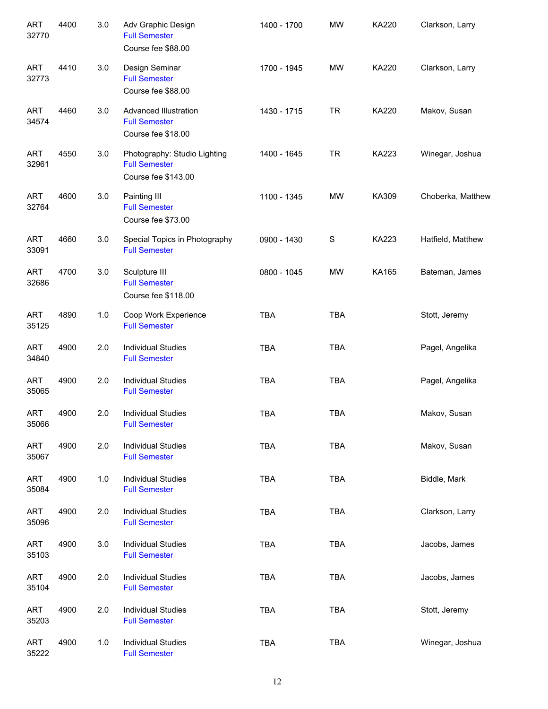| <b>ART</b><br>32770 | 4400 | 3.0   | Adv Graphic Design<br><b>Full Semester</b><br>Course fee \$88.00            | 1400 - 1700 | <b>MW</b>   | KA220        | Clarkson, Larry   |
|---------------------|------|-------|-----------------------------------------------------------------------------|-------------|-------------|--------------|-------------------|
| <b>ART</b><br>32773 | 4410 | 3.0   | Design Seminar<br><b>Full Semester</b><br>Course fee \$88.00                | 1700 - 1945 | <b>MW</b>   | <b>KA220</b> | Clarkson, Larry   |
| <b>ART</b><br>34574 | 4460 | 3.0   | <b>Advanced Illustration</b><br><b>Full Semester</b><br>Course fee \$18.00  | 1430 - 1715 | <b>TR</b>   | <b>KA220</b> | Makov, Susan      |
| <b>ART</b><br>32961 | 4550 | 3.0   | Photography: Studio Lighting<br><b>Full Semester</b><br>Course fee \$143.00 | 1400 - 1645 | <b>TR</b>   | <b>KA223</b> | Winegar, Joshua   |
| <b>ART</b><br>32764 | 4600 | 3.0   | Painting III<br><b>Full Semester</b><br>Course fee \$73.00                  | 1100 - 1345 | <b>MW</b>   | KA309        | Choberka, Matthew |
| <b>ART</b><br>33091 | 4660 | 3.0   | Special Topics in Photography<br><b>Full Semester</b>                       | 0900 - 1430 | $\mathbf S$ | <b>KA223</b> | Hatfield, Matthew |
| <b>ART</b><br>32686 | 4700 | 3.0   | Sculpture III<br><b>Full Semester</b><br>Course fee \$118.00                | 0800 - 1045 | <b>MW</b>   | KA165        | Bateman, James    |
| <b>ART</b><br>35125 | 4890 | 1.0   | Coop Work Experience<br><b>Full Semester</b>                                | <b>TBA</b>  | <b>TBA</b>  |              | Stott, Jeremy     |
| <b>ART</b><br>34840 | 4900 | 2.0   | <b>Individual Studies</b><br><b>Full Semester</b>                           | <b>TBA</b>  | <b>TBA</b>  |              | Pagel, Angelika   |
| <b>ART</b><br>35065 | 4900 | 2.0   | <b>Individual Studies</b><br><b>Full Semester</b>                           | <b>TBA</b>  | <b>TBA</b>  |              | Pagel, Angelika   |
| <b>ART</b><br>35066 | 4900 | 2.0   | <b>Individual Studies</b><br><b>Full Semester</b>                           | <b>TBA</b>  | <b>TBA</b>  |              | Makov, Susan      |
| <b>ART</b><br>35067 | 4900 | 2.0   | <b>Individual Studies</b><br><b>Full Semester</b>                           | <b>TBA</b>  | <b>TBA</b>  |              | Makov, Susan      |
| <b>ART</b><br>35084 | 4900 | $1.0$ | <b>Individual Studies</b><br><b>Full Semester</b>                           | <b>TBA</b>  | <b>TBA</b>  |              | Biddle, Mark      |
| <b>ART</b><br>35096 | 4900 | 2.0   | <b>Individual Studies</b><br><b>Full Semester</b>                           | <b>TBA</b>  | <b>TBA</b>  |              | Clarkson, Larry   |
| <b>ART</b><br>35103 | 4900 | 3.0   | <b>Individual Studies</b><br><b>Full Semester</b>                           | <b>TBA</b>  | <b>TBA</b>  |              | Jacobs, James     |
| <b>ART</b><br>35104 | 4900 | 2.0   | <b>Individual Studies</b><br><b>Full Semester</b>                           | <b>TBA</b>  | <b>TBA</b>  |              | Jacobs, James     |
| <b>ART</b><br>35203 | 4900 | 2.0   | <b>Individual Studies</b><br><b>Full Semester</b>                           | <b>TBA</b>  | <b>TBA</b>  |              | Stott, Jeremy     |
| <b>ART</b><br>35222 | 4900 | $1.0$ | <b>Individual Studies</b><br><b>Full Semester</b>                           | <b>TBA</b>  | <b>TBA</b>  |              | Winegar, Joshua   |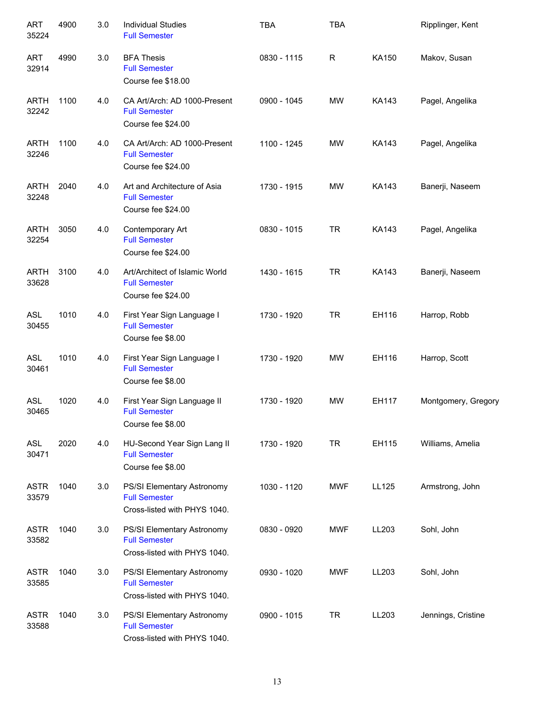| <b>ART</b><br>35224  | 4900 | 3.0 | <b>Individual Studies</b><br><b>Full Semester</b>                                  | <b>TBA</b>  | <b>TBA</b> |              | Ripplinger, Kent    |
|----------------------|------|-----|------------------------------------------------------------------------------------|-------------|------------|--------------|---------------------|
| <b>ART</b><br>32914  | 4990 | 3.0 | <b>BFA Thesis</b><br><b>Full Semester</b><br>Course fee \$18.00                    | 0830 - 1115 | R          | KA150        | Makov, Susan        |
| <b>ARTH</b><br>32242 | 1100 | 4.0 | CA Art/Arch: AD 1000-Present<br><b>Full Semester</b><br>Course fee \$24.00         | 0900 - 1045 | <b>MW</b>  | KA143        | Pagel, Angelika     |
| <b>ARTH</b><br>32246 | 1100 | 4.0 | CA Art/Arch: AD 1000-Present<br><b>Full Semester</b><br>Course fee \$24.00         | 1100 - 1245 | <b>MW</b>  | KA143        | Pagel, Angelika     |
| <b>ARTH</b><br>32248 | 2040 | 4.0 | Art and Architecture of Asia<br><b>Full Semester</b><br>Course fee \$24.00         | 1730 - 1915 | MW         | <b>KA143</b> | Banerji, Naseem     |
| <b>ARTH</b><br>32254 | 3050 | 4.0 | Contemporary Art<br><b>Full Semester</b><br>Course fee \$24.00                     | 0830 - 1015 | <b>TR</b>  | KA143        | Pagel, Angelika     |
| <b>ARTH</b><br>33628 | 3100 | 4.0 | Art/Architect of Islamic World<br><b>Full Semester</b><br>Course fee \$24.00       | 1430 - 1615 | <b>TR</b>  | KA143        | Banerji, Naseem     |
| <b>ASL</b><br>30455  | 1010 | 4.0 | First Year Sign Language I<br><b>Full Semester</b><br>Course fee \$8.00            | 1730 - 1920 | <b>TR</b>  | EH116        | Harrop, Robb        |
| <b>ASL</b><br>30461  | 1010 | 4.0 | First Year Sign Language I<br><b>Full Semester</b><br>Course fee \$8.00            | 1730 - 1920 | <b>MW</b>  | EH116        | Harrop, Scott       |
| <b>ASL</b><br>30465  | 1020 | 4.0 | First Year Sign Language II<br><b>Full Semester</b><br>Course fee \$8.00           | 1730 - 1920 | <b>MW</b>  | EH117        | Montgomery, Gregory |
| ASL<br>30471         | 2020 | 4.0 | HU-Second Year Sign Lang II<br><b>Full Semester</b><br>Course fee \$8.00           | 1730 - 1920 | <b>TR</b>  | EH115        | Williams, Amelia    |
| <b>ASTR</b><br>33579 | 1040 | 3.0 | PS/SI Elementary Astronomy<br><b>Full Semester</b><br>Cross-listed with PHYS 1040. | 1030 - 1120 | <b>MWF</b> | LL125        | Armstrong, John     |
| <b>ASTR</b><br>33582 | 1040 | 3.0 | PS/SI Elementary Astronomy<br><b>Full Semester</b><br>Cross-listed with PHYS 1040. | 0830 - 0920 | <b>MWF</b> | LL203        | Sohl, John          |
| <b>ASTR</b><br>33585 | 1040 | 3.0 | PS/SI Elementary Astronomy<br><b>Full Semester</b><br>Cross-listed with PHYS 1040. | 0930 - 1020 | <b>MWF</b> | LL203        | Sohl, John          |
| <b>ASTR</b><br>33588 | 1040 | 3.0 | PS/SI Elementary Astronomy<br><b>Full Semester</b><br>Cross-listed with PHYS 1040. | 0900 - 1015 | <b>TR</b>  | LL203        | Jennings, Cristine  |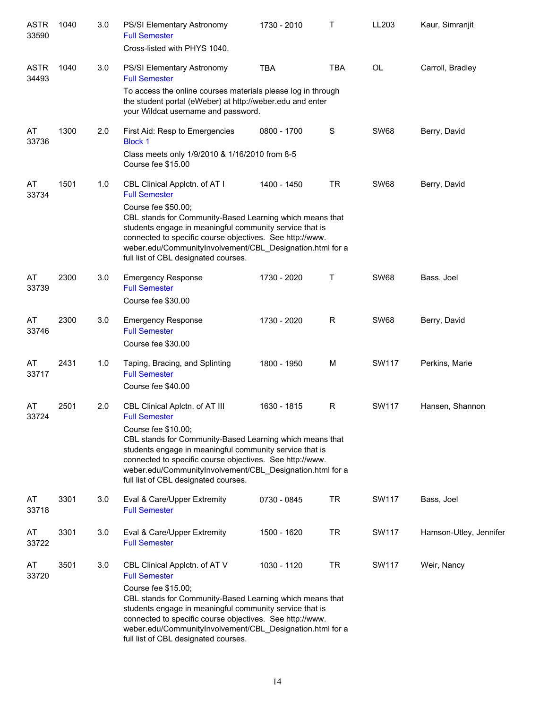| <b>ASTR</b><br>33590 | 1040 | 3.0 | PS/SI Elementary Astronomy<br><b>Full Semester</b><br>Cross-listed with PHYS 1040.                                                                                                                                                                                                                                                                                    | 1730 - 2010 | Τ            | LL203        | Kaur, Simranjit        |
|----------------------|------|-----|-----------------------------------------------------------------------------------------------------------------------------------------------------------------------------------------------------------------------------------------------------------------------------------------------------------------------------------------------------------------------|-------------|--------------|--------------|------------------------|
| <b>ASTR</b><br>34493 | 1040 | 3.0 | PS/SI Elementary Astronomy<br><b>Full Semester</b><br>To access the online courses materials please log in through<br>the student portal (eWeber) at http://weber.edu and enter<br>your Wildcat username and password.                                                                                                                                                | <b>TBA</b>  | <b>TBA</b>   | OL           | Carroll, Bradley       |
| AT<br>33736          | 1300 | 2.0 | First Aid: Resp to Emergencies<br><b>Block 1</b><br>Class meets only 1/9/2010 & 1/16/2010 from 8-5<br>Course fee \$15.00                                                                                                                                                                                                                                              | 0800 - 1700 | S            | <b>SW68</b>  | Berry, David           |
| AT<br>33734          | 1501 | 1.0 | CBL Clinical Applctn. of AT I<br><b>Full Semester</b><br>Course fee \$50.00;<br>CBL stands for Community-Based Learning which means that<br>students engage in meaningful community service that is<br>connected to specific course objectives. See http://www.<br>weber.edu/CommunityInvolvement/CBL Designation.html for a<br>full list of CBL designated courses.  | 1400 - 1450 | <b>TR</b>    | <b>SW68</b>  | Berry, David           |
| AT<br>33739          | 2300 | 3.0 | <b>Emergency Response</b><br><b>Full Semester</b><br>Course fee \$30.00                                                                                                                                                                                                                                                                                               | 1730 - 2020 | Τ            | <b>SW68</b>  | Bass, Joel             |
| AT<br>33746          | 2300 | 3.0 | <b>Emergency Response</b><br><b>Full Semester</b><br>Course fee \$30.00                                                                                                                                                                                                                                                                                               | 1730 - 2020 | $\mathsf{R}$ | <b>SW68</b>  | Berry, David           |
| AT<br>33717          | 2431 | 1.0 | Taping, Bracing, and Splinting<br><b>Full Semester</b><br>Course fee \$40.00                                                                                                                                                                                                                                                                                          | 1800 - 1950 | M            | <b>SW117</b> | Perkins, Marie         |
| AT<br>33724          | 2501 | 2.0 | CBL Clinical Aplctn. of AT III<br><b>Full Semester</b><br>Course fee \$10.00;<br>CBL stands for Community-Based Learning which means that<br>students engage in meaningful community service that is<br>connected to specific course objectives. See http://www.<br>weber.edu/CommunityInvolvement/CBL_Designation.html for a<br>full list of CBL designated courses. | 1630 - 1815 | R            | SW117        | Hansen, Shannon        |
| AT<br>33718          | 3301 | 3.0 | Eval & Care/Upper Extremity<br><b>Full Semester</b>                                                                                                                                                                                                                                                                                                                   | 0730 - 0845 | <b>TR</b>    | <b>SW117</b> | Bass, Joel             |
| AT<br>33722          | 3301 | 3.0 | Eval & Care/Upper Extremity<br><b>Full Semester</b>                                                                                                                                                                                                                                                                                                                   | 1500 - 1620 | <b>TR</b>    | <b>SW117</b> | Hamson-Utley, Jennifer |
| AT<br>33720          | 3501 | 3.0 | CBL Clinical Applctn. of AT V<br><b>Full Semester</b><br>Course fee \$15.00;<br>CBL stands for Community-Based Learning which means that<br>students engage in meaningful community service that is<br>connected to specific course objectives. See http://www.<br>weber.edu/CommunityInvolvement/CBL_Designation.html for a<br>full list of CBL designated courses.  | 1030 - 1120 | <b>TR</b>    | <b>SW117</b> | Weir, Nancy            |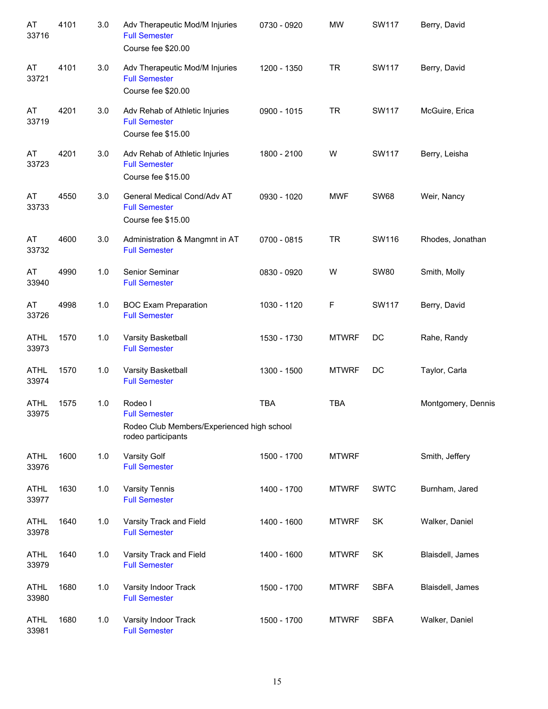| AT<br>33716          | 4101 | 3.0   | Adv Therapeutic Mod/M Injuries<br><b>Full Semester</b><br>Course fee \$20.00                        | 0730 - 0920 | <b>MW</b>    | <b>SW117</b> | Berry, David       |
|----------------------|------|-------|-----------------------------------------------------------------------------------------------------|-------------|--------------|--------------|--------------------|
| AT<br>33721          | 4101 | 3.0   | Adv Therapeutic Mod/M Injuries<br><b>Full Semester</b><br>Course fee \$20.00                        | 1200 - 1350 | <b>TR</b>    | <b>SW117</b> | Berry, David       |
| AT<br>33719          | 4201 | 3.0   | Adv Rehab of Athletic Injuries<br><b>Full Semester</b><br>Course fee \$15.00                        | 0900 - 1015 | <b>TR</b>    | <b>SW117</b> | McGuire, Erica     |
| AT<br>33723          | 4201 | 3.0   | Adv Rehab of Athletic Injuries<br><b>Full Semester</b><br>Course fee \$15.00                        | 1800 - 2100 | W            | <b>SW117</b> | Berry, Leisha      |
| AT<br>33733          | 4550 | 3.0   | General Medical Cond/Adv AT<br><b>Full Semester</b><br>Course fee \$15.00                           | 0930 - 1020 | <b>MWF</b>   | <b>SW68</b>  | Weir, Nancy        |
| AT<br>33732          | 4600 | 3.0   | Administration & Mangmnt in AT<br><b>Full Semester</b>                                              | 0700 - 0815 | <b>TR</b>    | SW116        | Rhodes, Jonathan   |
| AT<br>33940          | 4990 | 1.0   | Senior Seminar<br><b>Full Semester</b>                                                              | 0830 - 0920 | W            | <b>SW80</b>  | Smith, Molly       |
| AT<br>33726          | 4998 | 1.0   | <b>BOC Exam Preparation</b><br><b>Full Semester</b>                                                 | 1030 - 1120 | F            | <b>SW117</b> | Berry, David       |
| <b>ATHL</b><br>33973 | 1570 | 1.0   | Varsity Basketball<br><b>Full Semester</b>                                                          | 1530 - 1730 | <b>MTWRF</b> | DC           | Rahe, Randy        |
| <b>ATHL</b><br>33974 | 1570 | 1.0   | Varsity Basketball<br><b>Full Semester</b>                                                          | 1300 - 1500 | <b>MTWRF</b> | DC           | Taylor, Carla      |
| <b>ATHL</b><br>33975 | 1575 | 1.0   | Rodeo I<br><b>Full Semester</b><br>Rodeo Club Members/Experienced high school<br>rodeo participants | <b>TBA</b>  | <b>TBA</b>   |              | Montgomery, Dennis |
| <b>ATHL</b><br>33976 | 1600 | 1.0   | Varsity Golf<br><b>Full Semester</b>                                                                | 1500 - 1700 | <b>MTWRF</b> |              | Smith, Jeffery     |
| <b>ATHL</b><br>33977 | 1630 | 1.0   | <b>Varsity Tennis</b><br><b>Full Semester</b>                                                       | 1400 - 1700 | <b>MTWRF</b> | <b>SWTC</b>  | Burnham, Jared     |
| <b>ATHL</b><br>33978 | 1640 | 1.0   | Varsity Track and Field<br><b>Full Semester</b>                                                     | 1400 - 1600 | <b>MTWRF</b> | SK           | Walker, Daniel     |
| <b>ATHL</b><br>33979 | 1640 | $1.0$ | Varsity Track and Field<br><b>Full Semester</b>                                                     | 1400 - 1600 | <b>MTWRF</b> | SK           | Blaisdell, James   |
| <b>ATHL</b><br>33980 | 1680 | $1.0$ | Varsity Indoor Track<br><b>Full Semester</b>                                                        | 1500 - 1700 | <b>MTWRF</b> | <b>SBFA</b>  | Blaisdell, James   |
| <b>ATHL</b><br>33981 | 1680 | $1.0$ | Varsity Indoor Track<br><b>Full Semester</b>                                                        | 1500 - 1700 | <b>MTWRF</b> | <b>SBFA</b>  | Walker, Daniel     |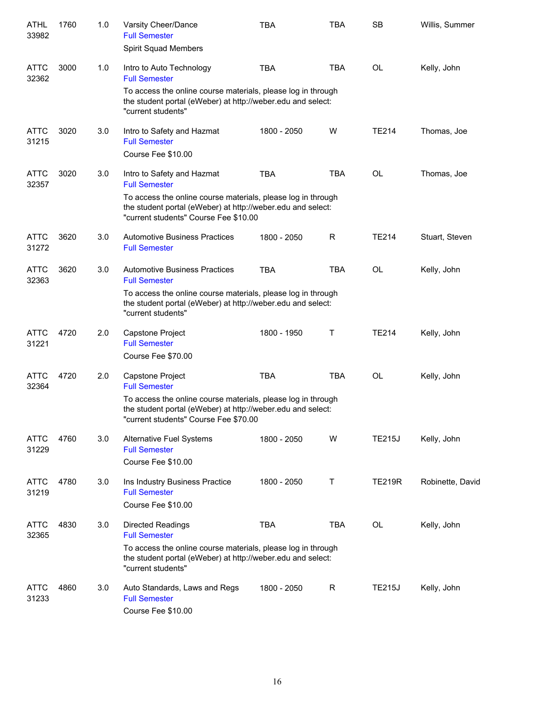| <b>ATHL</b><br>33982 | 1760 | 1.0 | Varsity Cheer/Dance<br><b>Full Semester</b><br><b>Spirit Squad Members</b>                                                                                           | <b>TBA</b>  | <b>TBA</b>   | <b>SB</b>     | Willis, Summer   |
|----------------------|------|-----|----------------------------------------------------------------------------------------------------------------------------------------------------------------------|-------------|--------------|---------------|------------------|
| <b>ATTC</b><br>32362 | 3000 | 1.0 | Intro to Auto Technology<br><b>Full Semester</b>                                                                                                                     | <b>TBA</b>  | <b>TBA</b>   | OL            | Kelly, John      |
|                      |      |     | To access the online course materials, please log in through<br>the student portal (eWeber) at http://weber.edu and select:<br>"current students"                    |             |              |               |                  |
| <b>ATTC</b><br>31215 | 3020 | 3.0 | Intro to Safety and Hazmat<br><b>Full Semester</b>                                                                                                                   | 1800 - 2050 | W            | <b>TE214</b>  | Thomas, Joe      |
|                      |      |     | Course Fee \$10.00                                                                                                                                                   |             |              |               |                  |
| <b>ATTC</b><br>32357 | 3020 | 3.0 | Intro to Safety and Hazmat<br><b>Full Semester</b>                                                                                                                   | <b>TBA</b>  | <b>TBA</b>   | <b>OL</b>     | Thomas, Joe      |
|                      |      |     | To access the online course materials, please log in through<br>the student portal (eWeber) at http://weber.edu and select:<br>"current students" Course Fee \$10.00 |             |              |               |                  |
| <b>ATTC</b><br>31272 | 3620 | 3.0 | <b>Automotive Business Practices</b><br><b>Full Semester</b>                                                                                                         | 1800 - 2050 | R            | <b>TE214</b>  | Stuart, Steven   |
| <b>ATTC</b><br>32363 | 3620 | 3.0 | <b>Automotive Business Practices</b><br><b>Full Semester</b>                                                                                                         | <b>TBA</b>  | TBA          | <b>OL</b>     | Kelly, John      |
|                      |      |     | To access the online course materials, please log in through<br>the student portal (eWeber) at http://weber.edu and select:<br>"current students"                    |             |              |               |                  |
| <b>ATTC</b><br>31221 | 4720 | 2.0 | Capstone Project<br><b>Full Semester</b>                                                                                                                             | 1800 - 1950 | Τ            | <b>TE214</b>  | Kelly, John      |
|                      |      |     | Course Fee \$70.00                                                                                                                                                   |             |              |               |                  |
| <b>ATTC</b><br>32364 | 4720 | 2.0 | Capstone Project<br><b>Full Semester</b>                                                                                                                             | <b>TBA</b>  | <b>TBA</b>   | <b>OL</b>     | Kelly, John      |
|                      |      |     | To access the online course materials, please log in through<br>the student portal (eWeber) at http://weber.edu and select:<br>"current students" Course Fee \$70.00 |             |              |               |                  |
| <b>ATTC</b><br>31229 | 4760 | 3.0 | Alternative Fuel Systems<br><b>Full Semester</b><br>Course Fee \$10.00                                                                                               | 1800 - 2050 | W            | <b>TE215J</b> | Kelly, John      |
| ATTC<br>31219        | 4780 | 3.0 | Ins Industry Business Practice<br><b>Full Semester</b>                                                                                                               | 1800 - 2050 | Τ            | <b>TE219R</b> | Robinette, David |
|                      |      |     | Course Fee \$10.00                                                                                                                                                   |             |              |               |                  |
| ATTC<br>32365        | 4830 | 3.0 | <b>Directed Readings</b><br><b>Full Semester</b>                                                                                                                     | <b>TBA</b>  | <b>TBA</b>   | OL            | Kelly, John      |
|                      |      |     | To access the online course materials, please log in through<br>the student portal (eWeber) at http://weber.edu and select:<br>"current students"                    |             |              |               |                  |
| <b>ATTC</b><br>31233 | 4860 | 3.0 | Auto Standards, Laws and Regs<br><b>Full Semester</b><br>Course Fee \$10.00                                                                                          | 1800 - 2050 | $\mathsf{R}$ | <b>TE215J</b> | Kelly, John      |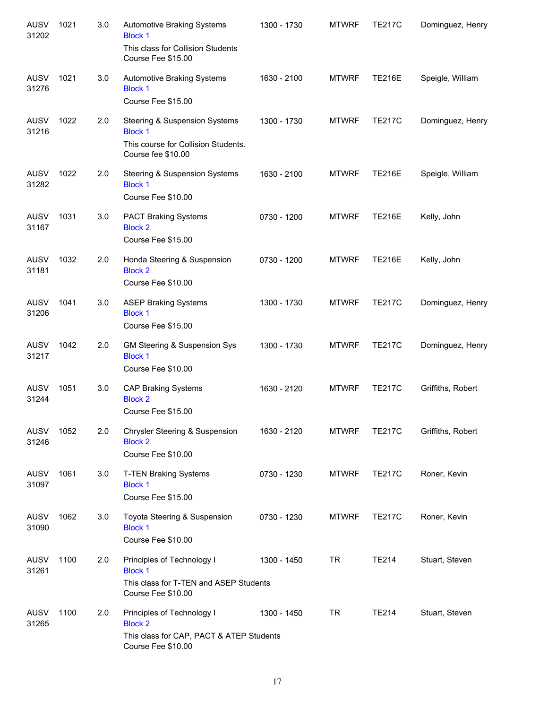| <b>AUSV</b><br>31202 | 1021 | 3.0 | Automotive Braking Systems<br><b>Block 1</b><br>This class for Collision Students<br>Course Fee \$15.00        | 1300 - 1730 | <b>MTWRF</b> | <b>TE217C</b> | Dominguez, Henry  |
|----------------------|------|-----|----------------------------------------------------------------------------------------------------------------|-------------|--------------|---------------|-------------------|
| <b>AUSV</b><br>31276 | 1021 | 3.0 | Automotive Braking Systems<br><b>Block 1</b><br>Course Fee \$15.00                                             | 1630 - 2100 | <b>MTWRF</b> | <b>TE216E</b> | Speigle, William  |
| <b>AUSV</b><br>31216 | 1022 | 2.0 | Steering & Suspension Systems<br><b>Block 1</b><br>This course for Collision Students.<br>Course fee \$10.00   | 1300 - 1730 | <b>MTWRF</b> | <b>TE217C</b> | Dominguez, Henry  |
| <b>AUSV</b><br>31282 | 1022 | 2.0 | Steering & Suspension Systems<br><b>Block 1</b><br>Course Fee \$10.00                                          | 1630 - 2100 | <b>MTWRF</b> | <b>TE216E</b> | Speigle, William  |
| <b>AUSV</b><br>31167 | 1031 | 3.0 | <b>PACT Braking Systems</b><br><b>Block 2</b><br>Course Fee \$15.00                                            | 0730 - 1200 | <b>MTWRF</b> | <b>TE216E</b> | Kelly, John       |
| <b>AUSV</b><br>31181 | 1032 | 2.0 | Honda Steering & Suspension<br><b>Block 2</b><br>Course Fee \$10.00                                            | 0730 - 1200 | <b>MTWRF</b> | <b>TE216E</b> | Kelly, John       |
| <b>AUSV</b><br>31206 | 1041 | 3.0 | <b>ASEP Braking Systems</b><br><b>Block 1</b><br>Course Fee \$15.00                                            | 1300 - 1730 | <b>MTWRF</b> | <b>TE217C</b> | Dominguez, Henry  |
| <b>AUSV</b><br>31217 | 1042 | 2.0 | GM Steering & Suspension Sys<br><b>Block 1</b><br>Course Fee \$10.00                                           | 1300 - 1730 | <b>MTWRF</b> | <b>TE217C</b> | Dominguez, Henry  |
| <b>AUSV</b><br>31244 | 1051 | 3.0 | <b>CAP Braking Systems</b><br><b>Block 2</b><br>Course Fee \$15.00                                             | 1630 - 2120 | <b>MTWRF</b> | <b>TE217C</b> | Griffiths, Robert |
| AUSV<br>31246        | 1052 | 2.0 | Chrysler Steering & Suspension<br><b>Block 2</b><br>Course Fee \$10.00                                         | 1630 - 2120 | <b>MTWRF</b> | <b>TE217C</b> | Griffiths, Robert |
| <b>AUSV</b><br>31097 | 1061 | 3.0 | <b>T-TEN Braking Systems</b><br><b>Block 1</b><br>Course Fee \$15.00                                           | 0730 - 1230 | <b>MTWRF</b> | <b>TE217C</b> | Roner, Kevin      |
| AUSV<br>31090        | 1062 | 3.0 | Toyota Steering & Suspension<br><b>Block 1</b><br>Course Fee \$10.00                                           | 0730 - 1230 | <b>MTWRF</b> | <b>TE217C</b> | Roner, Kevin      |
| <b>AUSV</b><br>31261 | 1100 | 2.0 | Principles of Technology I<br><b>Block 1</b><br>This class for T-TEN and ASEP Students<br>Course Fee \$10.00   | 1300 - 1450 | <b>TR</b>    | TE214         | Stuart, Steven    |
| <b>AUSV</b><br>31265 | 1100 | 2.0 | Principles of Technology I<br><b>Block 2</b><br>This class for CAP, PACT & ATEP Students<br>Course Fee \$10.00 | 1300 - 1450 | <b>TR</b>    | TE214         | Stuart, Steven    |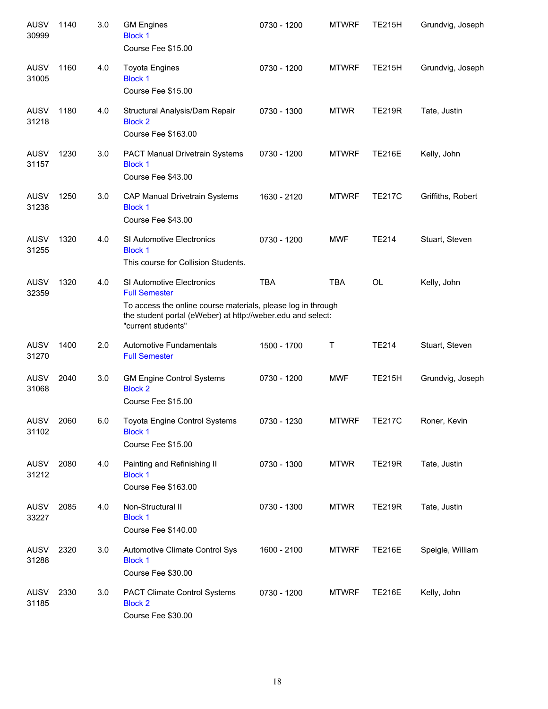| <b>AUSV</b><br>30999 | 1140 | 3.0 | <b>GM Engines</b><br><b>Block 1</b><br>Course Fee \$15.00                                                                                                                                                     | 0730 - 1200 | <b>MTWRF</b> | <b>TE215H</b> | Grundvig, Joseph  |
|----------------------|------|-----|---------------------------------------------------------------------------------------------------------------------------------------------------------------------------------------------------------------|-------------|--------------|---------------|-------------------|
| <b>AUSV</b><br>31005 | 1160 | 4.0 | <b>Toyota Engines</b><br><b>Block 1</b><br>Course Fee \$15.00                                                                                                                                                 | 0730 - 1200 | <b>MTWRF</b> | <b>TE215H</b> | Grundvig, Joseph  |
| <b>AUSV</b><br>31218 | 1180 | 4.0 | Structural Analysis/Dam Repair<br><b>Block 2</b><br>Course Fee \$163.00                                                                                                                                       | 0730 - 1300 | <b>MTWR</b>  | <b>TE219R</b> | Tate, Justin      |
| <b>AUSV</b><br>31157 | 1230 | 3.0 | <b>PACT Manual Drivetrain Systems</b><br><b>Block 1</b><br>Course Fee \$43.00                                                                                                                                 | 0730 - 1200 | <b>MTWRF</b> | <b>TE216E</b> | Kelly, John       |
| <b>AUSV</b><br>31238 | 1250 | 3.0 | CAP Manual Drivetrain Systems<br><b>Block 1</b><br>Course Fee \$43.00                                                                                                                                         | 1630 - 2120 | <b>MTWRF</b> | <b>TE217C</b> | Griffiths, Robert |
| <b>AUSV</b><br>31255 | 1320 | 4.0 | SI Automotive Electronics<br><b>Block 1</b><br>This course for Collision Students.                                                                                                                            | 0730 - 1200 | <b>MWF</b>   | <b>TE214</b>  | Stuart, Steven    |
| <b>AUSV</b><br>32359 | 1320 | 4.0 | <b>SI Automotive Electronics</b><br><b>Full Semester</b><br>To access the online course materials, please log in through<br>the student portal (eWeber) at http://weber.edu and select:<br>"current students" | <b>TBA</b>  | <b>TBA</b>   | <b>OL</b>     | Kelly, John       |
| <b>AUSV</b><br>31270 | 1400 | 2.0 | Automotive Fundamentals<br><b>Full Semester</b>                                                                                                                                                               | 1500 - 1700 | Τ            | <b>TE214</b>  | Stuart, Steven    |
| <b>AUSV</b><br>31068 | 2040 | 3.0 | <b>GM Engine Control Systems</b><br><b>Block 2</b><br>Course Fee \$15.00                                                                                                                                      | 0730 - 1200 | <b>MWF</b>   | <b>TE215H</b> | Grundvig, Joseph  |
| AUSV 2060<br>31102   |      | 6.0 | Toyota Engine Control Systems<br><b>Block 1</b><br>Course Fee \$15.00                                                                                                                                         | 0730 - 1230 | <b>MTWRF</b> | <b>TE217C</b> | Roner, Kevin      |
| AUSV<br>31212        | 2080 | 4.0 | Painting and Refinishing II<br><b>Block 1</b><br>Course Fee \$163.00                                                                                                                                          | 0730 - 1300 | <b>MTWR</b>  | <b>TE219R</b> | Tate, Justin      |
| AUSV<br>33227        | 2085 | 4.0 | Non-Structural II<br><b>Block 1</b><br>Course Fee \$140.00                                                                                                                                                    | 0730 - 1300 | <b>MTWR</b>  | <b>TE219R</b> | Tate, Justin      |
| AUSV<br>31288        | 2320 | 3.0 | Automotive Climate Control Sys<br><b>Block 1</b><br>Course Fee \$30.00                                                                                                                                        | 1600 - 2100 | <b>MTWRF</b> | <b>TE216E</b> | Speigle, William  |
| AUSV<br>31185        | 2330 | 3.0 | <b>PACT Climate Control Systems</b><br><b>Block 2</b><br>Course Fee \$30.00                                                                                                                                   | 0730 - 1200 | <b>MTWRF</b> | <b>TE216E</b> | Kelly, John       |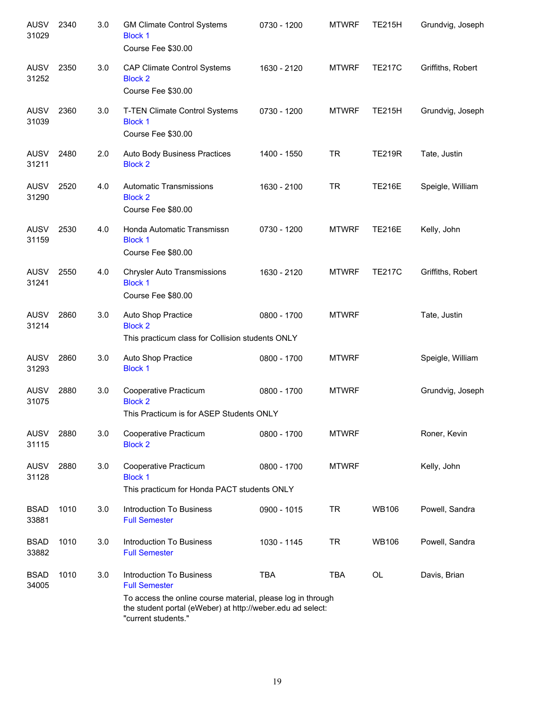| <b>AUSV</b><br>31029 | 2340 | 3.0 | <b>GM Climate Control Systems</b><br><b>Block 1</b><br>Course Fee \$30.00                                       | 0730 - 1200 | <b>MTWRF</b> | <b>TE215H</b> | Grundvig, Joseph  |
|----------------------|------|-----|-----------------------------------------------------------------------------------------------------------------|-------------|--------------|---------------|-------------------|
| <b>AUSV</b><br>31252 | 2350 | 3.0 | <b>CAP Climate Control Systems</b><br><b>Block 2</b><br>Course Fee \$30.00                                      | 1630 - 2120 | <b>MTWRF</b> | <b>TE217C</b> | Griffiths, Robert |
| <b>AUSV</b><br>31039 | 2360 | 3.0 | T-TEN Climate Control Systems<br><b>Block 1</b><br>Course Fee \$30.00                                           | 0730 - 1200 | <b>MTWRF</b> | <b>TE215H</b> | Grundvig, Joseph  |
| <b>AUSV</b><br>31211 | 2480 | 2.0 | Auto Body Business Practices<br><b>Block 2</b>                                                                  | 1400 - 1550 | <b>TR</b>    | <b>TE219R</b> | Tate, Justin      |
| <b>AUSV</b><br>31290 | 2520 | 4.0 | Automatic Transmissions<br><b>Block 2</b><br>Course Fee \$80.00                                                 | 1630 - 2100 | <b>TR</b>    | <b>TE216E</b> | Speigle, William  |
| <b>AUSV</b><br>31159 | 2530 | 4.0 | Honda Automatic Transmissn<br><b>Block 1</b><br>Course Fee \$80.00                                              | 0730 - 1200 | <b>MTWRF</b> | <b>TE216E</b> | Kelly, John       |
| <b>AUSV</b><br>31241 | 2550 | 4.0 | <b>Chrysler Auto Transmissions</b><br><b>Block 1</b><br>Course Fee \$80.00                                      | 1630 - 2120 | <b>MTWRF</b> | <b>TE217C</b> | Griffiths, Robert |
| <b>AUSV</b><br>31214 | 2860 | 3.0 | Auto Shop Practice<br><b>Block 2</b><br>This practicum class for Collision students ONLY                        | 0800 - 1700 | <b>MTWRF</b> |               | Tate, Justin      |
| <b>AUSV</b><br>31293 | 2860 | 3.0 | Auto Shop Practice<br><b>Block 1</b>                                                                            | 0800 - 1700 | <b>MTWRF</b> |               | Speigle, William  |
| <b>AUSV</b><br>31075 | 2880 | 3.0 | Cooperative Practicum<br><b>Block 2</b><br>This Practicum is for ASEP Students ONLY                             | 0800 - 1700 | <b>MTWRF</b> |               | Grundvig, Joseph  |
| <b>AUSV</b><br>31115 | 2880 | 3.0 | Cooperative Practicum<br><b>Block 2</b>                                                                         | 0800 - 1700 | <b>MTWRF</b> |               | Roner, Kevin      |
| <b>AUSV</b><br>31128 | 2880 | 3.0 | Cooperative Practicum<br><b>Block 1</b><br>This practicum for Honda PACT students ONLY                          | 0800 - 1700 | <b>MTWRF</b> |               | Kelly, John       |
| <b>BSAD</b><br>33881 | 1010 | 3.0 | <b>Introduction To Business</b><br><b>Full Semester</b>                                                         | 0900 - 1015 | <b>TR</b>    | <b>WB106</b>  | Powell, Sandra    |
| <b>BSAD</b><br>33882 | 1010 | 3.0 | <b>Introduction To Business</b><br><b>Full Semester</b>                                                         | 1030 - 1145 | <b>TR</b>    | <b>WB106</b>  | Powell, Sandra    |
| <b>BSAD</b><br>34005 | 1010 | 3.0 | Introduction To Business<br><b>Full Semester</b><br>To access the online course material, please log in through | <b>TBA</b>  | <b>TBA</b>   | <b>OL</b>     | Davis, Brian      |
|                      |      |     | the student portal (eWeber) at http://weber.edu ad select:<br>"current students."                               |             |              |               |                   |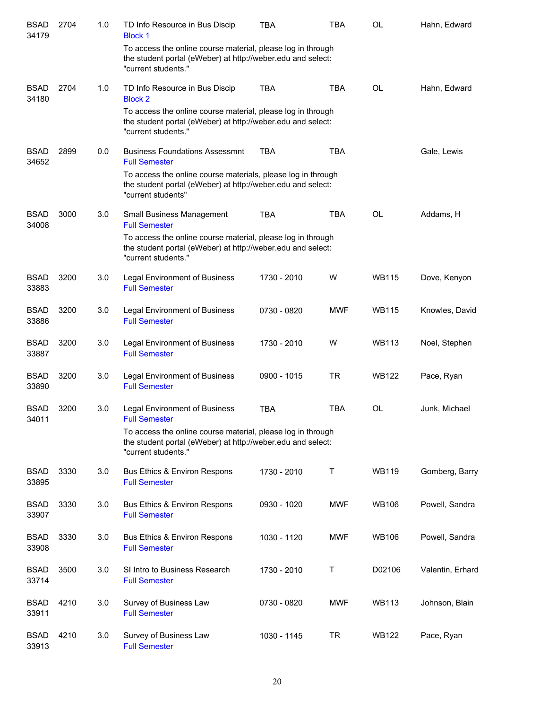| <b>BSAD</b><br>34179 | 2704 | 1.0 | TD Info Resource in Bus Discip<br><b>Block 1</b>                                                                                                  | <b>TBA</b>  | TBA        | OL           | Hahn, Edward     |
|----------------------|------|-----|---------------------------------------------------------------------------------------------------------------------------------------------------|-------------|------------|--------------|------------------|
|                      |      |     | To access the online course material, please log in through<br>the student portal (eWeber) at http://weber.edu and select:<br>"current students." |             |            |              |                  |
| <b>BSAD</b><br>34180 | 2704 | 1.0 | TD Info Resource in Bus Discip<br><b>Block 2</b>                                                                                                  | <b>TBA</b>  | <b>TBA</b> | <b>OL</b>    | Hahn, Edward     |
|                      |      |     | To access the online course material, please log in through<br>the student portal (eWeber) at http://weber.edu and select:<br>"current students." |             |            |              |                  |
| <b>BSAD</b><br>34652 | 2899 | 0.0 | <b>Business Foundations Assessmnt</b><br><b>Full Semester</b>                                                                                     | <b>TBA</b>  | <b>TBA</b> |              | Gale, Lewis      |
|                      |      |     | To access the online course materials, please log in through<br>the student portal (eWeber) at http://weber.edu and select:<br>"current students" |             |            |              |                  |
| <b>BSAD</b><br>34008 | 3000 | 3.0 | Small Business Management<br><b>Full Semester</b>                                                                                                 | <b>TBA</b>  | <b>TBA</b> | <b>OL</b>    | Addams, H        |
|                      |      |     | To access the online course material, please log in through<br>the student portal (eWeber) at http://weber.edu and select:<br>"current students." |             |            |              |                  |
| <b>BSAD</b><br>33883 | 3200 | 3.0 | Legal Environment of Business<br><b>Full Semester</b>                                                                                             | 1730 - 2010 | W          | <b>WB115</b> | Dove, Kenyon     |
| <b>BSAD</b><br>33886 | 3200 | 3.0 | <b>Legal Environment of Business</b><br><b>Full Semester</b>                                                                                      | 0730 - 0820 | <b>MWF</b> | <b>WB115</b> | Knowles, David   |
| <b>BSAD</b><br>33887 | 3200 | 3.0 | <b>Legal Environment of Business</b><br><b>Full Semester</b>                                                                                      | 1730 - 2010 | W          | <b>WB113</b> | Noel, Stephen    |
| <b>BSAD</b><br>33890 | 3200 | 3.0 | <b>Legal Environment of Business</b><br><b>Full Semester</b>                                                                                      | 0900 - 1015 | <b>TR</b>  | <b>WB122</b> | Pace, Ryan       |
| <b>BSAD</b><br>34011 | 3200 | 3.0 | <b>Legal Environment of Business</b><br><b>Full Semester</b>                                                                                      | <b>TBA</b>  | <b>TBA</b> | OL           | Junk, Michael    |
|                      |      |     | To access the online course material, please log in through<br>the student portal (eWeber) at http://weber.edu and select:<br>"current students." |             |            |              |                  |
| <b>BSAD</b><br>33895 | 3330 | 3.0 | <b>Bus Ethics &amp; Environ Respons</b><br><b>Full Semester</b>                                                                                   | 1730 - 2010 | Τ          | <b>WB119</b> | Gomberg, Barry   |
| <b>BSAD</b><br>33907 | 3330 | 3.0 | Bus Ethics & Environ Respons<br><b>Full Semester</b>                                                                                              | 0930 - 1020 | <b>MWF</b> | <b>WB106</b> | Powell, Sandra   |
| <b>BSAD</b><br>33908 | 3330 | 3.0 | Bus Ethics & Environ Respons<br><b>Full Semester</b>                                                                                              | 1030 - 1120 | <b>MWF</b> | <b>WB106</b> | Powell, Sandra   |
| <b>BSAD</b><br>33714 | 3500 | 3.0 | SI Intro to Business Research<br><b>Full Semester</b>                                                                                             | 1730 - 2010 | Т          | D02106       | Valentin, Erhard |
| <b>BSAD</b><br>33911 | 4210 | 3.0 | Survey of Business Law<br><b>Full Semester</b>                                                                                                    | 0730 - 0820 | <b>MWF</b> | <b>WB113</b> | Johnson, Blain   |
| <b>BSAD</b><br>33913 | 4210 | 3.0 | Survey of Business Law<br><b>Full Semester</b>                                                                                                    | 1030 - 1145 | <b>TR</b>  | <b>WB122</b> | Pace, Ryan       |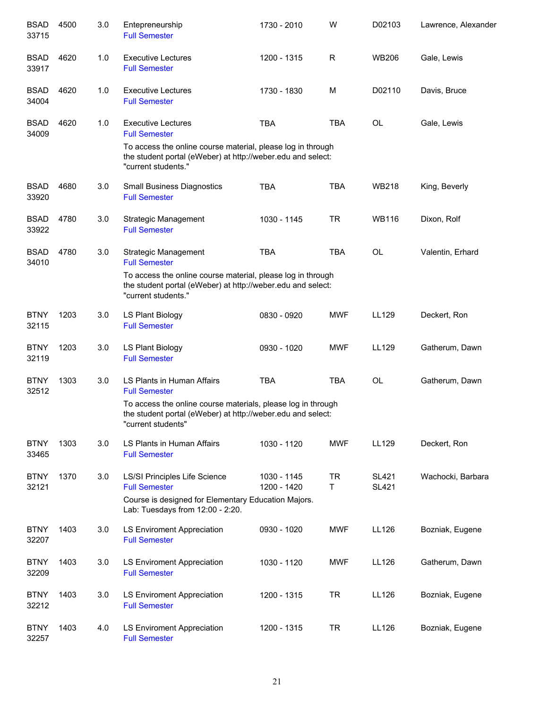| <b>BSAD</b><br>33715 | 4500 | 3.0 | Entepreneurship<br><b>Full Semester</b>                                                                                                                                         | 1730 - 2010                | W              | D02103                       | Lawrence, Alexander |
|----------------------|------|-----|---------------------------------------------------------------------------------------------------------------------------------------------------------------------------------|----------------------------|----------------|------------------------------|---------------------|
| <b>BSAD</b><br>33917 | 4620 | 1.0 | <b>Executive Lectures</b><br><b>Full Semester</b>                                                                                                                               | 1200 - 1315                | R              | <b>WB206</b>                 | Gale, Lewis         |
| <b>BSAD</b><br>34004 | 4620 | 1.0 | <b>Executive Lectures</b><br><b>Full Semester</b>                                                                                                                               | 1730 - 1830                | M              | D02110                       | Davis, Bruce        |
| <b>BSAD</b><br>34009 | 4620 | 1.0 | <b>Executive Lectures</b><br><b>Full Semester</b><br>To access the online course material, please log in through<br>the student portal (eWeber) at http://weber.edu and select: | <b>TBA</b>                 | <b>TBA</b>     | <b>OL</b>                    | Gale, Lewis         |
|                      |      |     | "current students."                                                                                                                                                             |                            |                |                              |                     |
| <b>BSAD</b><br>33920 | 4680 | 3.0 | <b>Small Business Diagnostics</b><br><b>Full Semester</b>                                                                                                                       | <b>TBA</b>                 | <b>TBA</b>     | <b>WB218</b>                 | King, Beverly       |
| <b>BSAD</b><br>33922 | 4780 | 3.0 | Strategic Management<br><b>Full Semester</b>                                                                                                                                    | 1030 - 1145                | <b>TR</b>      | <b>WB116</b>                 | Dixon, Rolf         |
| <b>BSAD</b><br>34010 | 4780 | 3.0 | <b>Strategic Management</b><br><b>Full Semester</b>                                                                                                                             | <b>TBA</b>                 | <b>TBA</b>     | <b>OL</b>                    | Valentin, Erhard    |
|                      |      |     | To access the online course material, please log in through<br>the student portal (eWeber) at http://weber.edu and select:<br>"current students."                               |                            |                |                              |                     |
| <b>BTNY</b><br>32115 | 1203 | 3.0 | LS Plant Biology<br><b>Full Semester</b>                                                                                                                                        | 0830 - 0920                | <b>MWF</b>     | LL129                        | Deckert, Ron        |
| <b>BTNY</b><br>32119 | 1203 | 3.0 | LS Plant Biology<br><b>Full Semester</b>                                                                                                                                        | 0930 - 1020                | <b>MWF</b>     | LL129                        | Gatherum, Dawn      |
| <b>BTNY</b><br>32512 | 1303 | 3.0 | LS Plants in Human Affairs<br><b>Full Semester</b>                                                                                                                              | <b>TBA</b>                 | <b>TBA</b>     | <b>OL</b>                    | Gatherum, Dawn      |
|                      |      |     | To access the online course materials, please log in through<br>the student portal (eWeber) at http://weber.edu and select:<br>"current students"                               |                            |                |                              |                     |
| <b>BTNY</b><br>33465 | 1303 | 3.0 | LS Plants in Human Affairs<br><b>Full Semester</b>                                                                                                                              | 1030 - 1120                | <b>MWF</b>     | LL129                        | Deckert, Ron        |
| <b>BTNY</b><br>32121 | 1370 | 3.0 | LS/SI Principles Life Science<br><b>Full Semester</b>                                                                                                                           | 1030 - 1145<br>1200 - 1420 | <b>TR</b><br>Τ | <b>SL421</b><br><b>SL421</b> | Wachocki, Barbara   |
|                      |      |     | Course is designed for Elementary Education Majors.<br>Lab: Tuesdays from 12:00 - 2:20.                                                                                         |                            |                |                              |                     |
| <b>BTNY</b><br>32207 | 1403 | 3.0 | <b>LS Enviroment Appreciation</b><br><b>Full Semester</b>                                                                                                                       | 0930 - 1020                | <b>MWF</b>     | LL126                        | Bozniak, Eugene     |
| <b>BTNY</b><br>32209 | 1403 | 3.0 | LS Enviroment Appreciation<br><b>Full Semester</b>                                                                                                                              | 1030 - 1120                | <b>MWF</b>     | LL126                        | Gatherum, Dawn      |
| <b>BTNY</b><br>32212 | 1403 | 3.0 | LS Enviroment Appreciation<br><b>Full Semester</b>                                                                                                                              | 1200 - 1315                | <b>TR</b>      | LL126                        | Bozniak, Eugene     |
| <b>BTNY</b><br>32257 | 1403 | 4.0 | LS Enviroment Appreciation<br><b>Full Semester</b>                                                                                                                              | 1200 - 1315                | <b>TR</b>      | LL126                        | Bozniak, Eugene     |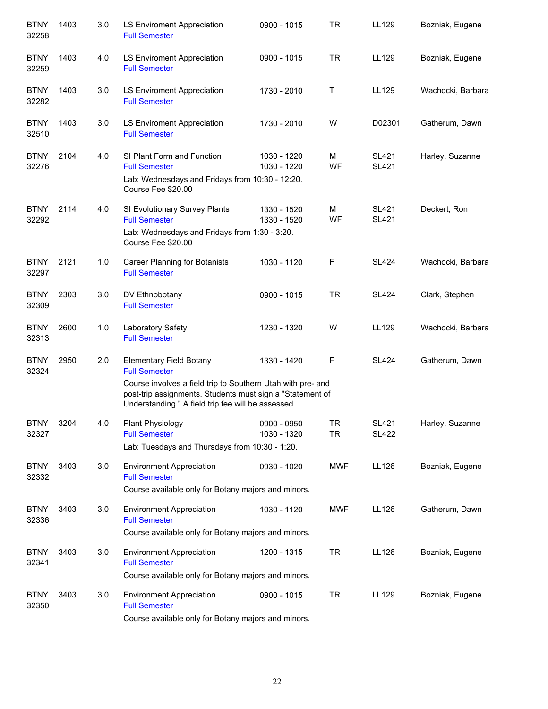| <b>BTNY</b><br>32258 | 1403 | 3.0 | <b>LS Enviroment Appreciation</b><br><b>Full Semester</b>                                                                                                                                                                                | 0900 - 1015                | <b>TR</b>              | LL129                        | Bozniak, Eugene   |
|----------------------|------|-----|------------------------------------------------------------------------------------------------------------------------------------------------------------------------------------------------------------------------------------------|----------------------------|------------------------|------------------------------|-------------------|
| <b>BTNY</b><br>32259 | 1403 | 4.0 | LS Enviroment Appreciation<br><b>Full Semester</b>                                                                                                                                                                                       | 0900 - 1015                | <b>TR</b>              | LL129                        | Bozniak, Eugene   |
| <b>BTNY</b><br>32282 | 1403 | 3.0 | LS Enviroment Appreciation<br><b>Full Semester</b>                                                                                                                                                                                       | 1730 - 2010                | Τ                      | LL129                        | Wachocki, Barbara |
| <b>BTNY</b><br>32510 | 1403 | 3.0 | LS Enviroment Appreciation<br><b>Full Semester</b>                                                                                                                                                                                       | 1730 - 2010                | W                      | D02301                       | Gatherum, Dawn    |
| <b>BTNY</b><br>32276 | 2104 | 4.0 | SI Plant Form and Function<br><b>Full Semester</b><br>Lab: Wednesdays and Fridays from 10:30 - 12:20.<br>Course Fee \$20.00                                                                                                              | 1030 - 1220<br>1030 - 1220 | M<br>WF                | <b>SL421</b><br><b>SL421</b> | Harley, Suzanne   |
| <b>BTNY</b><br>32292 | 2114 | 4.0 | SI Evolutionary Survey Plants<br><b>Full Semester</b><br>Lab: Wednesdays and Fridays from 1:30 - 3:20.<br>Course Fee \$20.00                                                                                                             | 1330 - 1520<br>1330 - 1520 | M<br>WF                | <b>SL421</b><br><b>SL421</b> | Deckert, Ron      |
| <b>BTNY</b><br>32297 | 2121 | 1.0 | Career Planning for Botanists<br><b>Full Semester</b>                                                                                                                                                                                    | 1030 - 1120                | F                      | <b>SL424</b>                 | Wachocki, Barbara |
| <b>BTNY</b><br>32309 | 2303 | 3.0 | DV Ethnobotany<br><b>Full Semester</b>                                                                                                                                                                                                   | 0900 - 1015                | <b>TR</b>              | <b>SL424</b>                 | Clark, Stephen    |
| <b>BTNY</b><br>32313 | 2600 | 1.0 | Laboratory Safety<br><b>Full Semester</b>                                                                                                                                                                                                | 1230 - 1320                | W                      | LL129                        | Wachocki, Barbara |
| <b>BTNY</b><br>32324 | 2950 | 2.0 | <b>Elementary Field Botany</b><br><b>Full Semester</b><br>Course involves a field trip to Southern Utah with pre- and<br>post-trip assignments. Students must sign a "Statement of<br>Understanding." A field trip fee will be assessed. | 1330 - 1420                | F                      | <b>SL424</b>                 | Gatherum, Dawn    |
| <b>BTNY</b><br>32327 | 3204 | 4.0 | Plant Physiology<br><b>Full Semester</b><br>Lab: Tuesdays and Thursdays from 10:30 - 1:20.                                                                                                                                               | 0900 - 0950<br>1030 - 1320 | <b>TR</b><br><b>TR</b> | <b>SL421</b><br><b>SL422</b> | Harley, Suzanne   |
| <b>BTNY</b><br>32332 | 3403 | 3.0 | <b>Environment Appreciation</b><br><b>Full Semester</b><br>Course available only for Botany majors and minors.                                                                                                                           | 0930 - 1020                | <b>MWF</b>             | LL126                        | Bozniak, Eugene   |
| <b>BTNY</b><br>32336 | 3403 | 3.0 | <b>Environment Appreciation</b><br><b>Full Semester</b><br>Course available only for Botany majors and minors.                                                                                                                           | 1030 - 1120                | <b>MWF</b>             | LL126                        | Gatherum, Dawn    |
| <b>BTNY</b><br>32341 | 3403 | 3.0 | <b>Environment Appreciation</b><br><b>Full Semester</b><br>Course available only for Botany majors and minors.                                                                                                                           | 1200 - 1315                | <b>TR</b>              | LL126                        | Bozniak, Eugene   |
| <b>BTNY</b><br>32350 | 3403 | 3.0 | <b>Environment Appreciation</b><br><b>Full Semester</b><br>Course available only for Botany majors and minors.                                                                                                                           | 0900 - 1015                | <b>TR</b>              | LL129                        | Bozniak, Eugene   |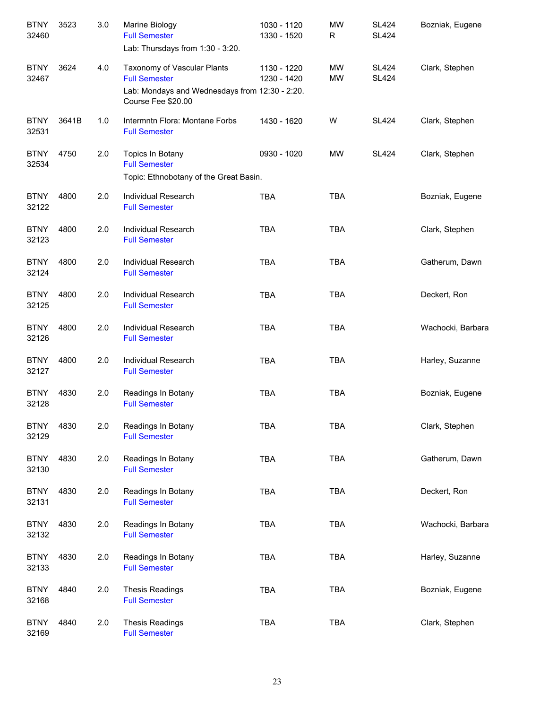| <b>BTNY</b><br>32460 | 3523  | 3.0 | Marine Biology<br><b>Full Semester</b><br>Lab: Thursdays from 1:30 - 3:20.                                                  | 1030 - 1120<br>1330 - 1520 | <b>MW</b><br>R  | <b>SL424</b><br><b>SL424</b> | Bozniak, Eugene   |
|----------------------|-------|-----|-----------------------------------------------------------------------------------------------------------------------------|----------------------------|-----------------|------------------------------|-------------------|
| <b>BTNY</b><br>32467 | 3624  | 4.0 | Taxonomy of Vascular Plants<br><b>Full Semester</b><br>Lab: Mondays and Wednesdays from 12:30 - 2:20.<br>Course Fee \$20.00 | 1130 - 1220<br>1230 - 1420 | MW<br><b>MW</b> | <b>SL424</b><br><b>SL424</b> | Clark, Stephen    |
| <b>BTNY</b><br>32531 | 3641B | 1.0 | Intermntn Flora: Montane Forbs<br><b>Full Semester</b>                                                                      | 1430 - 1620                | W               | <b>SL424</b>                 | Clark, Stephen    |
| <b>BTNY</b><br>32534 | 4750  | 2.0 | Topics In Botany<br><b>Full Semester</b><br>Topic: Ethnobotany of the Great Basin.                                          | 0930 - 1020                | MW              | <b>SL424</b>                 | Clark, Stephen    |
| <b>BTNY</b><br>32122 | 4800  | 2.0 | Individual Research<br><b>Full Semester</b>                                                                                 | <b>TBA</b>                 | <b>TBA</b>      |                              | Bozniak, Eugene   |
| <b>BTNY</b><br>32123 | 4800  | 2.0 | Individual Research<br><b>Full Semester</b>                                                                                 | <b>TBA</b>                 | <b>TBA</b>      |                              | Clark, Stephen    |
| <b>BTNY</b><br>32124 | 4800  | 2.0 | Individual Research<br><b>Full Semester</b>                                                                                 | <b>TBA</b>                 | <b>TBA</b>      |                              | Gatherum, Dawn    |
| <b>BTNY</b><br>32125 | 4800  | 2.0 | Individual Research<br><b>Full Semester</b>                                                                                 | <b>TBA</b>                 | <b>TBA</b>      |                              | Deckert, Ron      |
| <b>BTNY</b><br>32126 | 4800  | 2.0 | Individual Research<br><b>Full Semester</b>                                                                                 | <b>TBA</b>                 | <b>TBA</b>      |                              | Wachocki, Barbara |
| <b>BTNY</b><br>32127 | 4800  | 2.0 | Individual Research<br><b>Full Semester</b>                                                                                 | <b>TBA</b>                 | <b>TBA</b>      |                              | Harley, Suzanne   |
| <b>BTNY</b><br>32128 | 4830  | 2.0 | Readings In Botany<br><b>Full Semester</b>                                                                                  | <b>TBA</b>                 | <b>TBA</b>      |                              | Bozniak, Eugene   |
| <b>BTNY</b><br>32129 | 4830  | 2.0 | Readings In Botany<br><b>Full Semester</b>                                                                                  | TBA                        | <b>TBA</b>      |                              | Clark, Stephen    |
| <b>BTNY</b><br>32130 | 4830  | 2.0 | Readings In Botany<br><b>Full Semester</b>                                                                                  | <b>TBA</b>                 | <b>TBA</b>      |                              | Gatherum, Dawn    |
| <b>BTNY</b><br>32131 | 4830  | 2.0 | Readings In Botany<br><b>Full Semester</b>                                                                                  | <b>TBA</b>                 | <b>TBA</b>      |                              | Deckert, Ron      |
| <b>BTNY</b><br>32132 | 4830  | 2.0 | Readings In Botany<br><b>Full Semester</b>                                                                                  | <b>TBA</b>                 | <b>TBA</b>      |                              | Wachocki, Barbara |
| <b>BTNY</b><br>32133 | 4830  | 2.0 | Readings In Botany<br><b>Full Semester</b>                                                                                  | <b>TBA</b>                 | <b>TBA</b>      |                              | Harley, Suzanne   |
| <b>BTNY</b><br>32168 | 4840  | 2.0 | <b>Thesis Readings</b><br><b>Full Semester</b>                                                                              | <b>TBA</b>                 | <b>TBA</b>      |                              | Bozniak, Eugene   |
| <b>BTNY</b><br>32169 | 4840  | 2.0 | <b>Thesis Readings</b><br><b>Full Semester</b>                                                                              | <b>TBA</b>                 | <b>TBA</b>      |                              | Clark, Stephen    |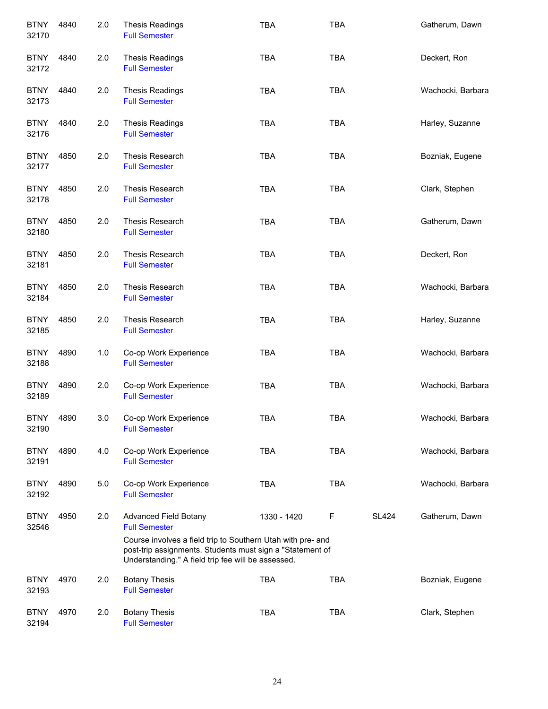| <b>BTNY</b><br>32170 | 4840 | 2.0 | <b>Thesis Readings</b><br><b>Full Semester</b>                                                                                                                                 | <b>TBA</b>  | <b>TBA</b> |              | Gatherum, Dawn    |
|----------------------|------|-----|--------------------------------------------------------------------------------------------------------------------------------------------------------------------------------|-------------|------------|--------------|-------------------|
| <b>BTNY</b><br>32172 | 4840 | 2.0 | <b>Thesis Readings</b><br><b>Full Semester</b>                                                                                                                                 | <b>TBA</b>  | <b>TBA</b> |              | Deckert, Ron      |
| <b>BTNY</b><br>32173 | 4840 | 2.0 | <b>Thesis Readings</b><br><b>Full Semester</b>                                                                                                                                 | <b>TBA</b>  | <b>TBA</b> |              | Wachocki, Barbara |
| <b>BTNY</b><br>32176 | 4840 | 2.0 | <b>Thesis Readings</b><br><b>Full Semester</b>                                                                                                                                 | <b>TBA</b>  | <b>TBA</b> |              | Harley, Suzanne   |
| <b>BTNY</b><br>32177 | 4850 | 2.0 | Thesis Research<br><b>Full Semester</b>                                                                                                                                        | <b>TBA</b>  | <b>TBA</b> |              | Bozniak, Eugene   |
| <b>BTNY</b><br>32178 | 4850 | 2.0 | Thesis Research<br><b>Full Semester</b>                                                                                                                                        | <b>TBA</b>  | <b>TBA</b> |              | Clark, Stephen    |
| <b>BTNY</b><br>32180 | 4850 | 2.0 | Thesis Research<br><b>Full Semester</b>                                                                                                                                        | <b>TBA</b>  | <b>TBA</b> |              | Gatherum, Dawn    |
| <b>BTNY</b><br>32181 | 4850 | 2.0 | Thesis Research<br><b>Full Semester</b>                                                                                                                                        | <b>TBA</b>  | <b>TBA</b> |              | Deckert, Ron      |
| <b>BTNY</b><br>32184 | 4850 | 2.0 | Thesis Research<br><b>Full Semester</b>                                                                                                                                        | <b>TBA</b>  | <b>TBA</b> |              | Wachocki, Barbara |
| <b>BTNY</b><br>32185 | 4850 | 2.0 | Thesis Research<br><b>Full Semester</b>                                                                                                                                        | <b>TBA</b>  | <b>TBA</b> |              | Harley, Suzanne   |
| <b>BTNY</b><br>32188 | 4890 | 1.0 | Co-op Work Experience<br><b>Full Semester</b>                                                                                                                                  | <b>TBA</b>  | <b>TBA</b> |              | Wachocki, Barbara |
| <b>BTNY</b><br>32189 | 4890 | 2.0 | Co-op Work Experience<br><b>Full Semester</b>                                                                                                                                  | <b>TBA</b>  | <b>TBA</b> |              | Wachocki, Barbara |
| <b>BTNY</b><br>32190 | 4890 | 3.0 | Co-op Work Experience<br><b>Full Semester</b>                                                                                                                                  | TBA         | <b>TBA</b> |              | Wachocki, Barbara |
| <b>BTNY</b><br>32191 | 4890 | 4.0 | Co-op Work Experience<br><b>Full Semester</b>                                                                                                                                  | <b>TBA</b>  | <b>TBA</b> |              | Wachocki, Barbara |
| <b>BTNY</b><br>32192 | 4890 | 5.0 | Co-op Work Experience<br><b>Full Semester</b>                                                                                                                                  | <b>TBA</b>  | <b>TBA</b> |              | Wachocki, Barbara |
| <b>BTNY</b><br>32546 | 4950 | 2.0 | <b>Advanced Field Botany</b><br><b>Full Semester</b>                                                                                                                           | 1330 - 1420 | F          | <b>SL424</b> | Gatherum, Dawn    |
|                      |      |     | Course involves a field trip to Southern Utah with pre- and<br>post-trip assignments. Students must sign a "Statement of<br>Understanding." A field trip fee will be assessed. |             |            |              |                   |
| <b>BTNY</b><br>32193 | 4970 | 2.0 | <b>Botany Thesis</b><br><b>Full Semester</b>                                                                                                                                   | <b>TBA</b>  | <b>TBA</b> |              | Bozniak, Eugene   |
| <b>BTNY</b><br>32194 | 4970 | 2.0 | <b>Botany Thesis</b><br><b>Full Semester</b>                                                                                                                                   | <b>TBA</b>  | <b>TBA</b> |              | Clark, Stephen    |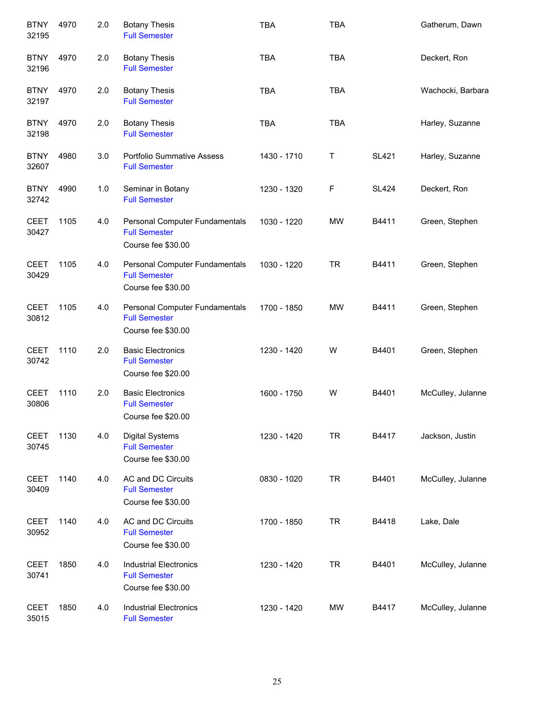| <b>BTNY</b><br>32195 | 4970 | 2.0 | <b>Botany Thesis</b><br><b>Full Semester</b>                                 | <b>TBA</b>  | <b>TBA</b>  |              | Gatherum, Dawn    |
|----------------------|------|-----|------------------------------------------------------------------------------|-------------|-------------|--------------|-------------------|
| <b>BTNY</b><br>32196 | 4970 | 2.0 | <b>Botany Thesis</b><br><b>Full Semester</b>                                 | <b>TBA</b>  | <b>TBA</b>  |              | Deckert, Ron      |
| <b>BTNY</b><br>32197 | 4970 | 2.0 | <b>Botany Thesis</b><br><b>Full Semester</b>                                 | <b>TBA</b>  | <b>TBA</b>  |              | Wachocki, Barbara |
| <b>BTNY</b><br>32198 | 4970 | 2.0 | <b>Botany Thesis</b><br><b>Full Semester</b>                                 | <b>TBA</b>  | <b>TBA</b>  |              | Harley, Suzanne   |
| <b>BTNY</b><br>32607 | 4980 | 3.0 | <b>Portfolio Summative Assess</b><br><b>Full Semester</b>                    | 1430 - 1710 | Τ           | <b>SL421</b> | Harley, Suzanne   |
| <b>BTNY</b><br>32742 | 4990 | 1.0 | Seminar in Botany<br><b>Full Semester</b>                                    | 1230 - 1320 | $\mathsf F$ | <b>SL424</b> | Deckert, Ron      |
| <b>CEET</b><br>30427 | 1105 | 4.0 | Personal Computer Fundamentals<br><b>Full Semester</b><br>Course fee \$30.00 | 1030 - 1220 | <b>MW</b>   | B4411        | Green, Stephen    |
| <b>CEET</b><br>30429 | 1105 | 4.0 | Personal Computer Fundamentals<br><b>Full Semester</b><br>Course fee \$30.00 | 1030 - 1220 | <b>TR</b>   | B4411        | Green, Stephen    |
| <b>CEET</b><br>30812 | 1105 | 4.0 | Personal Computer Fundamentals<br><b>Full Semester</b><br>Course fee \$30.00 | 1700 - 1850 | MW          | B4411        | Green, Stephen    |
| <b>CEET</b><br>30742 | 1110 | 2.0 | <b>Basic Electronics</b><br><b>Full Semester</b><br>Course fee \$20.00       | 1230 - 1420 | W           | B4401        | Green, Stephen    |
| <b>CEET</b><br>30806 | 1110 | 2.0 | <b>Basic Electronics</b><br><b>Full Semester</b><br>Course fee \$20.00       | 1600 - 1750 | W           | B4401        | McCulley, Julanne |
| <b>CEET</b><br>30745 | 1130 | 4.0 | <b>Digital Systems</b><br><b>Full Semester</b><br>Course fee \$30.00         | 1230 - 1420 | <b>TR</b>   | B4417        | Jackson, Justin   |
| <b>CEET</b><br>30409 | 1140 | 4.0 | AC and DC Circuits<br><b>Full Semester</b><br>Course fee \$30.00             | 0830 - 1020 | <b>TR</b>   | B4401        | McCulley, Julanne |
| <b>CEET</b><br>30952 | 1140 | 4.0 | AC and DC Circuits<br><b>Full Semester</b><br>Course fee \$30.00             | 1700 - 1850 | <b>TR</b>   | B4418        | Lake, Dale        |
| <b>CEET</b><br>30741 | 1850 | 4.0 | <b>Industrial Electronics</b><br><b>Full Semester</b><br>Course fee \$30.00  | 1230 - 1420 | <b>TR</b>   | B4401        | McCulley, Julanne |
| <b>CEET</b><br>35015 | 1850 | 4.0 | <b>Industrial Electronics</b><br><b>Full Semester</b>                        | 1230 - 1420 | MW          | B4417        | McCulley, Julanne |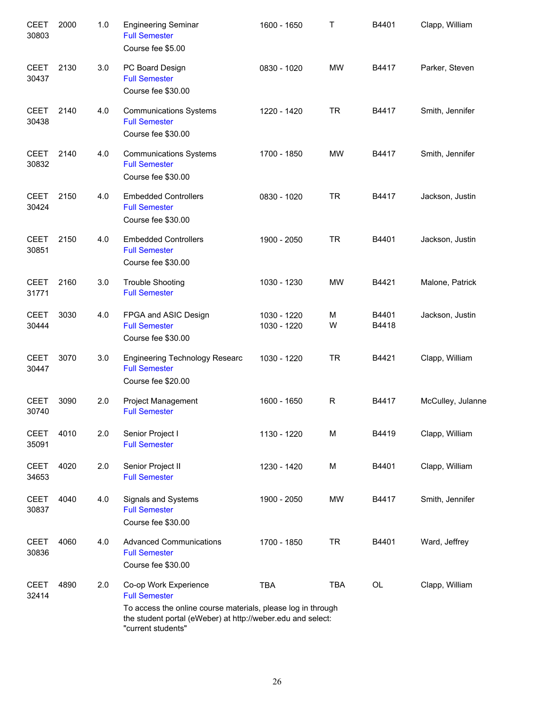| <b>CEET</b><br>30803 | 2000 | 1.0 | <b>Engineering Seminar</b><br><b>Full Semester</b><br>Course fee \$5.00                                                                                                                            | 1600 - 1650                | т          | B4401          | Clapp, William    |
|----------------------|------|-----|----------------------------------------------------------------------------------------------------------------------------------------------------------------------------------------------------|----------------------------|------------|----------------|-------------------|
| <b>CEET</b><br>30437 | 2130 | 3.0 | PC Board Design<br><b>Full Semester</b><br>Course fee \$30.00                                                                                                                                      | 0830 - 1020                | <b>MW</b>  | B4417          | Parker, Steven    |
| <b>CEET</b><br>30438 | 2140 | 4.0 | <b>Communications Systems</b><br><b>Full Semester</b><br>Course fee \$30.00                                                                                                                        | 1220 - 1420                | <b>TR</b>  | B4417          | Smith, Jennifer   |
| <b>CEET</b><br>30832 | 2140 | 4.0 | <b>Communications Systems</b><br><b>Full Semester</b><br>Course fee \$30.00                                                                                                                        | 1700 - 1850                | MW         | B4417          | Smith, Jennifer   |
| <b>CEET</b><br>30424 | 2150 | 4.0 | <b>Embedded Controllers</b><br><b>Full Semester</b><br>Course fee \$30.00                                                                                                                          | 0830 - 1020                | <b>TR</b>  | B4417          | Jackson, Justin   |
| <b>CEET</b><br>30851 | 2150 | 4.0 | <b>Embedded Controllers</b><br><b>Full Semester</b><br>Course fee \$30.00                                                                                                                          | 1900 - 2050                | <b>TR</b>  | B4401          | Jackson, Justin   |
| <b>CEET</b><br>31771 | 2160 | 3.0 | <b>Trouble Shooting</b><br><b>Full Semester</b>                                                                                                                                                    | 1030 - 1230                | <b>MW</b>  | B4421          | Malone, Patrick   |
| <b>CEET</b><br>30444 | 3030 | 4.0 | FPGA and ASIC Design<br><b>Full Semester</b><br>Course fee \$30.00                                                                                                                                 | 1030 - 1220<br>1030 - 1220 | M<br>W     | B4401<br>B4418 | Jackson, Justin   |
| <b>CEET</b><br>30447 | 3070 | 3.0 | <b>Engineering Technology Researc</b><br><b>Full Semester</b><br>Course fee \$20.00                                                                                                                | 1030 - 1220                | <b>TR</b>  | B4421          | Clapp, William    |
| <b>CEET</b><br>30740 | 3090 | 2.0 | <b>Project Management</b><br><b>Full Semester</b>                                                                                                                                                  | 1600 - 1650                | R          | B4417          | McCulley, Julanne |
| <b>CEET</b><br>35091 | 4010 | 2.0 | Senior Project I<br><b>Full Semester</b>                                                                                                                                                           | 1130 - 1220                | M          | B4419          | Clapp, William    |
| <b>CEET</b><br>34653 | 4020 | 2.0 | Senior Project II<br><b>Full Semester</b>                                                                                                                                                          | 1230 - 1420                | M          | B4401          | Clapp, William    |
| <b>CEET</b><br>30837 | 4040 | 4.0 | Signals and Systems<br><b>Full Semester</b><br>Course fee \$30.00                                                                                                                                  | 1900 - 2050                | <b>MW</b>  | B4417          | Smith, Jennifer   |
| <b>CEET</b><br>30836 | 4060 | 4.0 | <b>Advanced Communications</b><br><b>Full Semester</b><br>Course fee \$30.00                                                                                                                       | 1700 - 1850                | <b>TR</b>  | B4401          | Ward, Jeffrey     |
| <b>CEET</b><br>32414 | 4890 | 2.0 | Co-op Work Experience<br><b>Full Semester</b><br>To access the online course materials, please log in through<br>the student portal (eWeber) at http://weber.edu and select:<br>"current students" | <b>TBA</b>                 | <b>TBA</b> | OL             | Clapp, William    |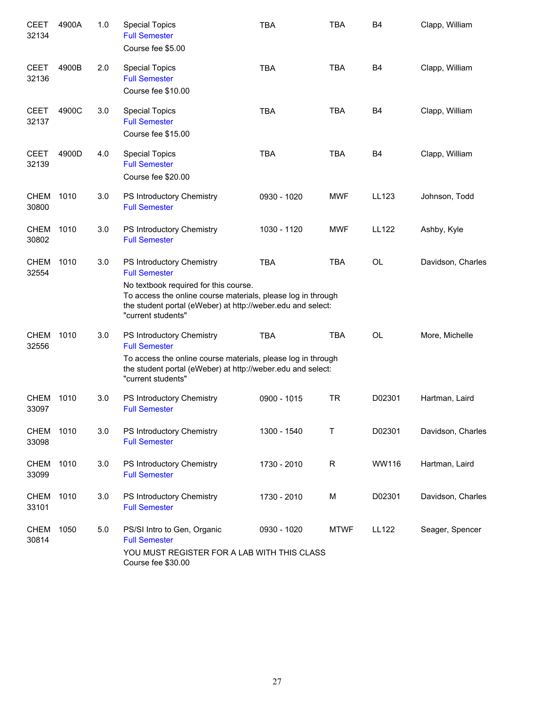| <b>CEET</b><br>32134 | 4900A | 1.0 | <b>Special Topics</b><br><b>Full Semester</b><br>Course fee \$5.00                                                                                                                                                                              | <b>TBA</b>  | <b>TBA</b>  | <b>B4</b>      | Clapp, William    |
|----------------------|-------|-----|-------------------------------------------------------------------------------------------------------------------------------------------------------------------------------------------------------------------------------------------------|-------------|-------------|----------------|-------------------|
| <b>CEET</b><br>32136 | 4900B | 2.0 | <b>Special Topics</b><br><b>Full Semester</b><br>Course fee \$10.00                                                                                                                                                                             | <b>TBA</b>  | <b>TBA</b>  | B <sub>4</sub> | Clapp, William    |
| <b>CEET</b><br>32137 | 4900C | 3.0 | <b>Special Topics</b><br><b>Full Semester</b><br>Course fee \$15.00                                                                                                                                                                             | <b>TBA</b>  | <b>TBA</b>  | B <sub>4</sub> | Clapp, William    |
| <b>CEET</b><br>32139 | 4900D | 4.0 | <b>Special Topics</b><br><b>Full Semester</b><br>Course fee \$20.00                                                                                                                                                                             | <b>TBA</b>  | <b>TBA</b>  | B <sub>4</sub> | Clapp, William    |
| <b>CHEM</b><br>30800 | 1010  | 3.0 | PS Introductory Chemistry<br><b>Full Semester</b>                                                                                                                                                                                               | 0930 - 1020 | <b>MWF</b>  | LL123          | Johnson, Todd     |
| <b>CHEM</b><br>30802 | 1010  | 3.0 | PS Introductory Chemistry<br><b>Full Semester</b>                                                                                                                                                                                               | 1030 - 1120 | <b>MWF</b>  | <b>LL122</b>   | Ashby, Kyle       |
| <b>CHEM</b><br>32554 | 1010  | 3.0 | PS Introductory Chemistry<br><b>Full Semester</b><br>No textbook required for this course.<br>To access the online course materials, please log in through<br>the student portal (eWeber) at http://weber.edu and select:<br>"current students" | <b>TBA</b>  | <b>TBA</b>  | <b>OL</b>      | Davidson, Charles |
| CHEM<br>32556        | 1010  | 3.0 | PS Introductory Chemistry<br><b>Full Semester</b><br>To access the online course materials, please log in through<br>the student portal (eWeber) at http://weber.edu and select:<br>"current students"                                          | <b>TBA</b>  | <b>TBA</b>  | <b>OL</b>      | More, Michelle    |
| <b>CHEM</b><br>33097 | 1010  | 3.0 | PS Introductory Chemistry<br><b>Full Semester</b>                                                                                                                                                                                               | 0900 - 1015 | <b>TR</b>   | D02301         | Hartman, Laird    |
| CHEM<br>33098        | 1010  | 3.0 | PS Introductory Chemistry<br><b>Full Semester</b>                                                                                                                                                                                               | 1300 - 1540 | T           | D02301         | Davidson, Charles |
| CHEM<br>33099        | 1010  | 3.0 | PS Introductory Chemistry<br><b>Full Semester</b>                                                                                                                                                                                               | 1730 - 2010 | $\mathsf R$ | <b>WW116</b>   | Hartman, Laird    |
| CHEM<br>33101        | 1010  | 3.0 | PS Introductory Chemistry<br><b>Full Semester</b>                                                                                                                                                                                               | 1730 - 2010 | М           | D02301         | Davidson, Charles |
| <b>CHEM</b><br>30814 | 1050  | 5.0 | PS/SI Intro to Gen, Organic<br><b>Full Semester</b><br>YOU MUST REGISTER FOR A LAB WITH THIS CLASS<br>Course fee \$30.00                                                                                                                        | 0930 - 1020 | <b>MTWF</b> | LL122          | Seager, Spencer   |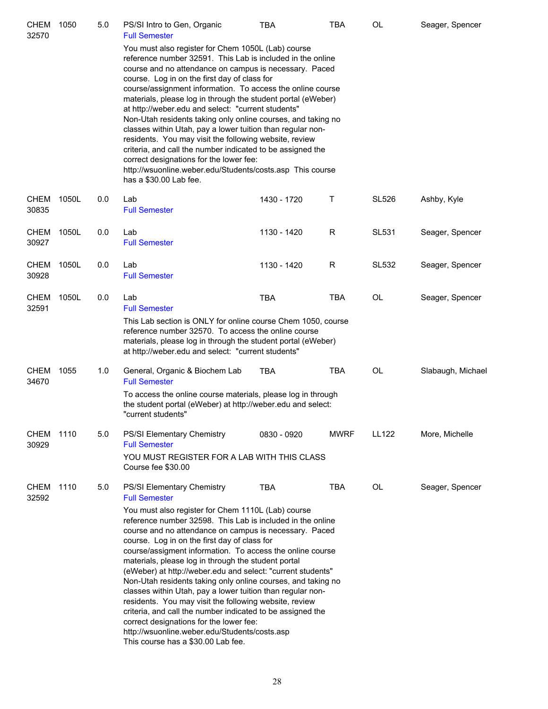| <b>CHEM</b><br>32570 | 1050  | 5.0 | PS/SI Intro to Gen, Organic<br><b>Full Semester</b>                                                                                                                                                                                                                                                                                                                                                                                                                                                                                                                                                                                                                                                                                                                                                                                                         | <b>TBA</b>  | TBA         | <b>OL</b>    | Seager, Spencer   |
|----------------------|-------|-----|-------------------------------------------------------------------------------------------------------------------------------------------------------------------------------------------------------------------------------------------------------------------------------------------------------------------------------------------------------------------------------------------------------------------------------------------------------------------------------------------------------------------------------------------------------------------------------------------------------------------------------------------------------------------------------------------------------------------------------------------------------------------------------------------------------------------------------------------------------------|-------------|-------------|--------------|-------------------|
|                      |       |     | You must also register for Chem 1050L (Lab) course<br>reference number 32591. This Lab is included in the online<br>course and no attendance on campus is necessary. Paced<br>course. Log in on the first day of class for<br>course/assignment information. To access the online course<br>materials, please log in through the student portal (eWeber)<br>at http://weber.edu and select: "current students"<br>Non-Utah residents taking only online courses, and taking no<br>classes within Utah, pay a lower tuition than regular non-<br>residents. You may visit the following website, review<br>criteria, and call the number indicated to be assigned the<br>correct designations for the lower fee:<br>http://wsuonline.weber.edu/Students/costs.asp This course<br>has a \$30.00 Lab fee.                                                      |             |             |              |                   |
| <b>CHEM</b><br>30835 | 1050L | 0.0 | Lab<br><b>Full Semester</b>                                                                                                                                                                                                                                                                                                                                                                                                                                                                                                                                                                                                                                                                                                                                                                                                                                 | 1430 - 1720 | Τ           | <b>SL526</b> | Ashby, Kyle       |
| <b>CHEM</b><br>30927 | 1050L | 0.0 | Lab<br><b>Full Semester</b>                                                                                                                                                                                                                                                                                                                                                                                                                                                                                                                                                                                                                                                                                                                                                                                                                                 | 1130 - 1420 | R           | <b>SL531</b> | Seager, Spencer   |
| <b>CHEM</b><br>30928 | 1050L | 0.0 | Lab<br><b>Full Semester</b>                                                                                                                                                                                                                                                                                                                                                                                                                                                                                                                                                                                                                                                                                                                                                                                                                                 | 1130 - 1420 | R           | <b>SL532</b> | Seager, Spencer   |
| <b>CHEM</b><br>32591 | 1050L | 0.0 | Lab<br><b>Full Semester</b><br>This Lab section is ONLY for online course Chem 1050, course<br>reference number 32570. To access the online course<br>materials, please log in through the student portal (eWeber)<br>at http://weber.edu and select: "current students"                                                                                                                                                                                                                                                                                                                                                                                                                                                                                                                                                                                    | <b>TBA</b>  | <b>TBA</b>  | <b>OL</b>    | Seager, Spencer   |
| <b>CHEM</b><br>34670 | 1055  | 1.0 | General, Organic & Biochem Lab<br><b>Full Semester</b><br>To access the online course materials, please log in through<br>the student portal (eWeber) at http://weber.edu and select:<br>"current students"                                                                                                                                                                                                                                                                                                                                                                                                                                                                                                                                                                                                                                                 | TBA         | <b>TBA</b>  | OL           | Slabaugh, Michael |
| CHEM<br>30929        | 1110  | 5.0 | PS/SI Elementary Chemistry<br><b>Full Semester</b><br>YOU MUST REGISTER FOR A LAB WITH THIS CLASS<br>Course fee \$30.00                                                                                                                                                                                                                                                                                                                                                                                                                                                                                                                                                                                                                                                                                                                                     | 0830 - 0920 | <b>MWRF</b> | LL122        | More, Michelle    |
| <b>CHEM</b><br>32592 | 1110  | 5.0 | PS/SI Elementary Chemistry<br><b>Full Semester</b><br>You must also register for Chem 1110L (Lab) course<br>reference number 32598. This Lab is included in the online<br>course and no attendance on campus is necessary. Paced<br>course. Log in on the first day of class for<br>course/assigment information. To access the online course<br>materials, please log in through the student portal<br>(eWeber) at http://weber.edu and select: "current students"<br>Non-Utah residents taking only online courses, and taking no<br>classes within Utah, pay a lower tuition than regular non-<br>residents. You may visit the following website, review<br>criteria, and call the number indicated to be assigned the<br>correct designations for the lower fee:<br>http://wsuonline.weber.edu/Students/costs.asp<br>This course has a \$30.00 Lab fee. | <b>TBA</b>  | TBA         | OL           | Seager, Spencer   |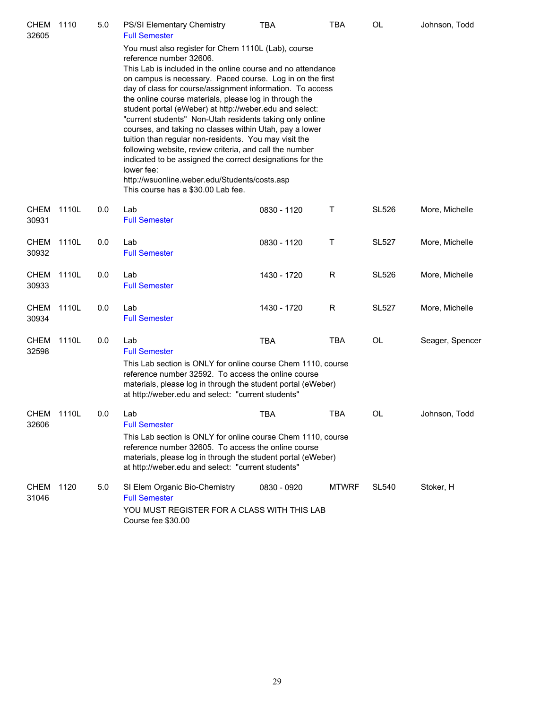| CHEM<br>32605        | 1110  | 5.0 | <b>PS/SI Elementary Chemistry</b><br><b>Full Semester</b>                                                                                                                                                                                                                                                                                                                                                                                                                                                                                                                                                                                                                                                                                                                                                 | TBA         | TBA          | OL           | Johnson, Todd   |
|----------------------|-------|-----|-----------------------------------------------------------------------------------------------------------------------------------------------------------------------------------------------------------------------------------------------------------------------------------------------------------------------------------------------------------------------------------------------------------------------------------------------------------------------------------------------------------------------------------------------------------------------------------------------------------------------------------------------------------------------------------------------------------------------------------------------------------------------------------------------------------|-------------|--------------|--------------|-----------------|
|                      |       |     | You must also register for Chem 1110L (Lab), course<br>reference number 32606.<br>This Lab is included in the online course and no attendance<br>on campus is necessary. Paced course. Log in on the first<br>day of class for course/assignment information. To access<br>the online course materials, please log in through the<br>student portal (eWeber) at http://weber.edu and select:<br>"current students" Non-Utah residents taking only online<br>courses, and taking no classes within Utah, pay a lower<br>tuition than regular non-residents. You may visit the<br>following website, review criteria, and call the number<br>indicated to be assigned the correct designations for the<br>lower fee:<br>http://wsuonline.weber.edu/Students/costs.asp<br>This course has a \$30.00 Lab fee. |             |              |              |                 |
| CHEM<br>30931        | 1110L | 0.0 | Lab<br><b>Full Semester</b>                                                                                                                                                                                                                                                                                                                                                                                                                                                                                                                                                                                                                                                                                                                                                                               | 0830 - 1120 | Τ            | <b>SL526</b> | More, Michelle  |
| CHEM<br>30932        | 1110L | 0.0 | Lab<br><b>Full Semester</b>                                                                                                                                                                                                                                                                                                                                                                                                                                                                                                                                                                                                                                                                                                                                                                               | 0830 - 1120 | Τ            | <b>SL527</b> | More, Michelle  |
| <b>CHEM</b><br>30933 | 1110L | 0.0 | Lab<br><b>Full Semester</b>                                                                                                                                                                                                                                                                                                                                                                                                                                                                                                                                                                                                                                                                                                                                                                               | 1430 - 1720 | R            | <b>SL526</b> | More, Michelle  |
| <b>CHEM</b><br>30934 | 1110L | 0.0 | Lab<br><b>Full Semester</b>                                                                                                                                                                                                                                                                                                                                                                                                                                                                                                                                                                                                                                                                                                                                                                               | 1430 - 1720 | R            | <b>SL527</b> | More, Michelle  |
| <b>CHEM</b><br>32598 | 1110L | 0.0 | Lab<br><b>Full Semester</b><br>This Lab section is ONLY for online course Chem 1110, course<br>reference number 32592. To access the online course<br>materials, please log in through the student portal (eWeber)<br>at http://weber.edu and select: "current students"                                                                                                                                                                                                                                                                                                                                                                                                                                                                                                                                  | <b>TBA</b>  | <b>TBA</b>   | OL           | Seager, Spencer |
| CHEM<br>32606        | 1110L | 0.0 | Lab<br><b>Full Semester</b><br>This Lab section is ONLY for online course Chem 1110, course<br>reference number 32605. To access the online course<br>materials, please log in through the student portal (eWeber)<br>at http://weber.edu and select: "current students"                                                                                                                                                                                                                                                                                                                                                                                                                                                                                                                                  | <b>TBA</b>  | TBA          | OL           | Johnson, Todd   |
| <b>CHEM</b><br>31046 | 1120  | 5.0 | SI Elem Organic Bio-Chemistry<br><b>Full Semester</b><br>YOU MUST REGISTER FOR A CLASS WITH THIS LAB<br>Course fee \$30.00                                                                                                                                                                                                                                                                                                                                                                                                                                                                                                                                                                                                                                                                                | 0830 - 0920 | <b>MTWRF</b> | <b>SL540</b> | Stoker, H       |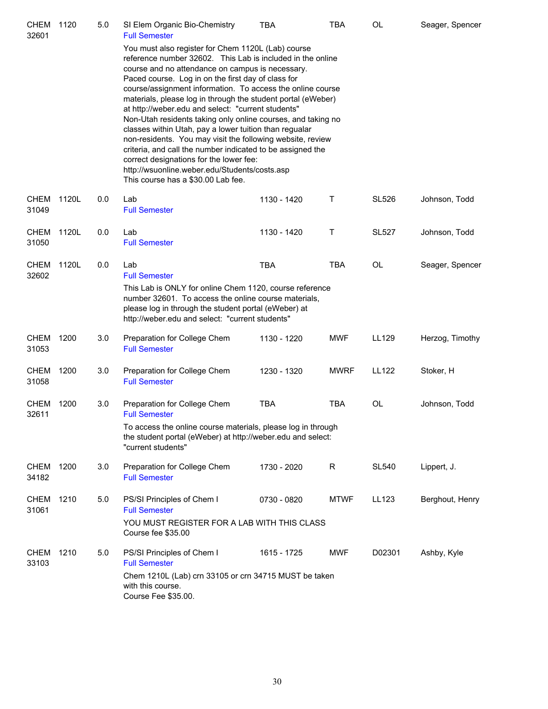| CHEM<br>32601        | 1120  | 5.0 | SI Elem Organic Bio-Chemistry<br><b>Full Semester</b>                                                                                                                                                                                                                                                                                                                                                                                                                                                                                                                                                                                                                                                                                                                                                  | <b>TBA</b>  | <b>TBA</b>  | OL           | Seager, Spencer |
|----------------------|-------|-----|--------------------------------------------------------------------------------------------------------------------------------------------------------------------------------------------------------------------------------------------------------------------------------------------------------------------------------------------------------------------------------------------------------------------------------------------------------------------------------------------------------------------------------------------------------------------------------------------------------------------------------------------------------------------------------------------------------------------------------------------------------------------------------------------------------|-------------|-------------|--------------|-----------------|
|                      |       |     | You must also register for Chem 1120L (Lab) course<br>reference number 32602. This Lab is included in the online<br>course and no attendance on campus is necessary.<br>Paced course. Log in on the first day of class for<br>course/assignment information. To access the online course<br>materials, please log in through the student portal (eWeber)<br>at http://weber.edu and select: "current students"<br>Non-Utah residents taking only online courses, and taking no<br>classes within Utah, pay a lower tuition than regualar<br>non-residents. You may visit the following website, review<br>criteria, and call the number indicated to be assigned the<br>correct designations for the lower fee:<br>http://wsuonline.weber.edu/Students/costs.asp<br>This course has a \$30.00 Lab fee. |             |             |              |                 |
| <b>CHEM</b><br>31049 | 1120L | 0.0 | Lab<br><b>Full Semester</b>                                                                                                                                                                                                                                                                                                                                                                                                                                                                                                                                                                                                                                                                                                                                                                            | 1130 - 1420 | Т           | <b>SL526</b> | Johnson, Todd   |
| <b>CHEM</b><br>31050 | 1120L | 0.0 | Lab<br><b>Full Semester</b>                                                                                                                                                                                                                                                                                                                                                                                                                                                                                                                                                                                                                                                                                                                                                                            | 1130 - 1420 | Т           | <b>SL527</b> | Johnson, Todd   |
| <b>CHEM</b><br>32602 | 1120L | 0.0 | Lab<br><b>Full Semester</b><br>This Lab is ONLY for online Chem 1120, course reference<br>number 32601. To access the online course materials,<br>please log in through the student portal (eWeber) at<br>http://weber.edu and select: "current students"                                                                                                                                                                                                                                                                                                                                                                                                                                                                                                                                              | <b>TBA</b>  | TBA         | <b>OL</b>    | Seager, Spencer |
| <b>CHEM</b><br>31053 | 1200  | 3.0 | Preparation for College Chem<br><b>Full Semester</b>                                                                                                                                                                                                                                                                                                                                                                                                                                                                                                                                                                                                                                                                                                                                                   | 1130 - 1220 | <b>MWF</b>  | LL129        | Herzog, Timothy |
| <b>CHEM</b><br>31058 | 1200  | 3.0 | Preparation for College Chem<br><b>Full Semester</b>                                                                                                                                                                                                                                                                                                                                                                                                                                                                                                                                                                                                                                                                                                                                                   | 1230 - 1320 | <b>MWRF</b> | <b>LL122</b> | Stoker, H       |
| <b>CHEM</b><br>32611 | 1200  | 3.0 | Preparation for College Chem<br><b>Full Semester</b><br>To access the online course materials, please log in through<br>the student portal (eWeber) at http://weber.edu and select:<br>"current students"                                                                                                                                                                                                                                                                                                                                                                                                                                                                                                                                                                                              | <b>TBA</b>  | TBA         | <b>OL</b>    | Johnson, Todd   |
| CHEM<br>34182        | 1200  | 3.0 | Preparation for College Chem<br><b>Full Semester</b>                                                                                                                                                                                                                                                                                                                                                                                                                                                                                                                                                                                                                                                                                                                                                   | 1730 - 2020 | R           | <b>SL540</b> | Lippert, J.     |
| <b>CHEM</b><br>31061 | 1210  | 5.0 | PS/SI Principles of Chem I<br><b>Full Semester</b><br>YOU MUST REGISTER FOR A LAB WITH THIS CLASS<br>Course fee \$35.00                                                                                                                                                                                                                                                                                                                                                                                                                                                                                                                                                                                                                                                                                | 0730 - 0820 | <b>MTWF</b> | LL123        | Berghout, Henry |
| <b>CHEM</b><br>33103 | 1210  | 5.0 | PS/SI Principles of Chem I<br><b>Full Semester</b><br>Chem 1210L (Lab) crn 33105 or crn 34715 MUST be taken<br>with this course.<br>Course Fee \$35.00.                                                                                                                                                                                                                                                                                                                                                                                                                                                                                                                                                                                                                                                | 1615 - 1725 | <b>MWF</b>  | D02301       | Ashby, Kyle     |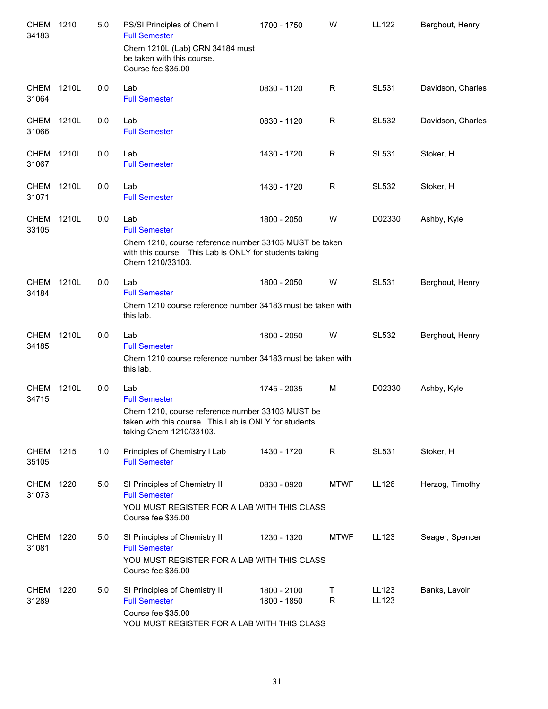| <b>CHEM</b><br>34183 | 1210  | 5.0 | PS/SI Principles of Chem I<br><b>Full Semester</b><br>Chem 1210L (Lab) CRN 34184 must<br>be taken with this course.<br>Course fee \$35.00                           | 1700 - 1750                | W                 | <b>LL122</b>   | Berghout, Henry   |
|----------------------|-------|-----|---------------------------------------------------------------------------------------------------------------------------------------------------------------------|----------------------------|-------------------|----------------|-------------------|
| <b>CHEM</b><br>31064 | 1210L | 0.0 | Lab<br><b>Full Semester</b>                                                                                                                                         | 0830 - 1120                | R                 | <b>SL531</b>   | Davidson, Charles |
| <b>CHEM</b><br>31066 | 1210L | 0.0 | Lab<br><b>Full Semester</b>                                                                                                                                         | 0830 - 1120                | R                 | <b>SL532</b>   | Davidson, Charles |
| CHEM<br>31067        | 1210L | 0.0 | Lab<br><b>Full Semester</b>                                                                                                                                         | 1430 - 1720                | R                 | <b>SL531</b>   | Stoker, H         |
| <b>CHEM</b><br>31071 | 1210L | 0.0 | Lab<br><b>Full Semester</b>                                                                                                                                         | 1430 - 1720                | R                 | <b>SL532</b>   | Stoker, H         |
| <b>CHEM</b><br>33105 | 1210L | 0.0 | Lab<br><b>Full Semester</b><br>Chem 1210, course reference number 33103 MUST be taken                                                                               | 1800 - 2050                | W                 | D02330         | Ashby, Kyle       |
|                      |       |     | with this course. This Lab is ONLY for students taking<br>Chem 1210/33103.                                                                                          |                            |                   |                |                   |
| <b>CHEM</b><br>34184 | 1210L | 0.0 | Lab<br><b>Full Semester</b><br>Chem 1210 course reference number 34183 must be taken with<br>this lab.                                                              | 1800 - 2050                | W                 | <b>SL531</b>   | Berghout, Henry   |
| <b>CHEM</b><br>34185 | 1210L | 0.0 | Lab<br><b>Full Semester</b><br>Chem 1210 course reference number 34183 must be taken with<br>this lab.                                                              | 1800 - 2050                | W                 | <b>SL532</b>   | Berghout, Henry   |
| CHEM<br>34715        | 1210L | 0.0 | Lab<br><b>Full Semester</b><br>Chem 1210, course reference number 33103 MUST be<br>taken with this course. This Lab is ONLY for students<br>taking Chem 1210/33103. | 1745 - 2035                | M                 | D02330         | Ashby, Kyle       |
| CHEM 1215<br>35105   |       | 1.0 | Principles of Chemistry I Lab<br><b>Full Semester</b>                                                                                                               | 1430 - 1720                | R                 | <b>SL531</b>   | Stoker, H         |
| CHEM 1220<br>31073   |       | 5.0 | SI Principles of Chemistry II<br><b>Full Semester</b><br>YOU MUST REGISTER FOR A LAB WITH THIS CLASS<br>Course fee \$35.00                                          | 0830 - 0920                | <b>MTWF</b>       | LL126          | Herzog, Timothy   |
| CHEM<br>31081        | 1220  | 5.0 | SI Principles of Chemistry II<br><b>Full Semester</b><br>YOU MUST REGISTER FOR A LAB WITH THIS CLASS<br>Course fee \$35.00                                          | 1230 - 1320                | <b>MTWF</b>       | LL123          | Seager, Spencer   |
| <b>CHEM</b><br>31289 | 1220  | 5.0 | SI Principles of Chemistry II<br><b>Full Semester</b><br>Course fee \$35.00<br>YOU MUST REGISTER FOR A LAB WITH THIS CLASS                                          | 1800 - 2100<br>1800 - 1850 | Τ<br>$\mathsf{R}$ | LL123<br>LL123 | Banks, Lavoir     |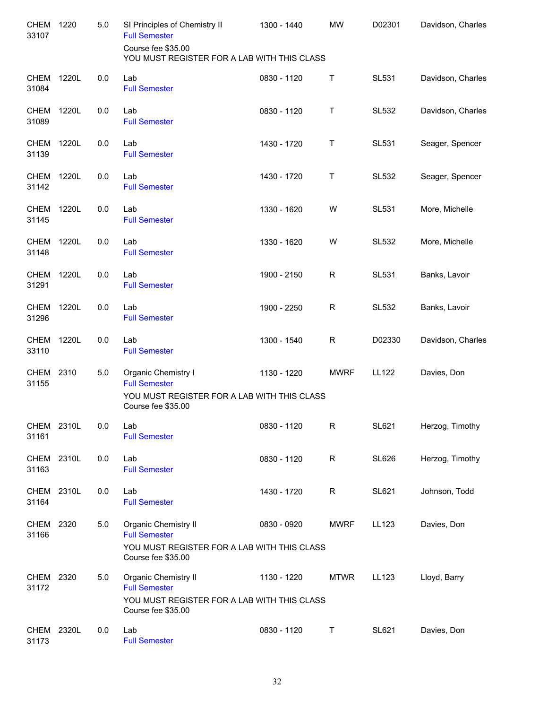| <b>CHEM</b><br>33107 | 1220  | 5.0     | SI Principles of Chemistry II<br><b>Full Semester</b>                                                             | 1300 - 1440 | <b>MW</b>   | D02301       | Davidson, Charles |
|----------------------|-------|---------|-------------------------------------------------------------------------------------------------------------------|-------------|-------------|--------------|-------------------|
|                      |       |         | Course fee \$35.00<br>YOU MUST REGISTER FOR A LAB WITH THIS CLASS                                                 |             |             |              |                   |
| <b>CHEM</b><br>31084 | 1220L | 0.0     | Lab<br><b>Full Semester</b>                                                                                       | 0830 - 1120 | Τ           | <b>SL531</b> | Davidson, Charles |
| <b>CHEM</b><br>31089 | 1220L | 0.0     | Lab<br><b>Full Semester</b>                                                                                       | 0830 - 1120 | T           | <b>SL532</b> | Davidson, Charles |
| <b>CHEM</b><br>31139 | 1220L | 0.0     | Lab<br><b>Full Semester</b>                                                                                       | 1430 - 1720 | Τ           | <b>SL531</b> | Seager, Spencer   |
| <b>CHEM</b><br>31142 | 1220L | 0.0     | Lab<br><b>Full Semester</b>                                                                                       | 1430 - 1720 | Τ           | <b>SL532</b> | Seager, Spencer   |
| <b>CHEM</b><br>31145 | 1220L | 0.0     | Lab<br><b>Full Semester</b>                                                                                       | 1330 - 1620 | W           | <b>SL531</b> | More, Michelle    |
| <b>CHEM</b><br>31148 | 1220L | 0.0     | Lab<br><b>Full Semester</b>                                                                                       | 1330 - 1620 | W           | <b>SL532</b> | More, Michelle    |
| <b>CHEM</b><br>31291 | 1220L | 0.0     | Lab<br><b>Full Semester</b>                                                                                       | 1900 - 2150 | R           | <b>SL531</b> | Banks, Lavoir     |
| <b>CHEM</b><br>31296 | 1220L | 0.0     | Lab<br><b>Full Semester</b>                                                                                       | 1900 - 2250 | $\mathsf R$ | <b>SL532</b> | Banks, Lavoir     |
| <b>CHEM</b><br>33110 | 1220L | 0.0     | Lab<br><b>Full Semester</b>                                                                                       | 1300 - 1540 | $\mathsf R$ | D02330       | Davidson, Charles |
| <b>CHEM</b><br>31155 | 2310  | 5.0     | Organic Chemistry I<br><b>Full Semester</b>                                                                       | 1130 - 1220 | <b>MWRF</b> | LL122        | Davies, Don       |
|                      |       |         | YOU MUST REGISTER FOR A LAB WITH THIS CLASS<br>Course fee \$35.00                                                 |             |             |              |                   |
| CHEM 2310L<br>31161  |       | $0.0\,$ | Lab<br><b>Full Semester</b>                                                                                       | 0830 - 1120 | R           | <b>SL621</b> | Herzog, Timothy   |
| <b>CHEM</b><br>31163 | 2310L | 0.0     | Lab<br><b>Full Semester</b>                                                                                       | 0830 - 1120 | R           | <b>SL626</b> | Herzog, Timothy   |
| <b>CHEM</b><br>31164 | 2310L | 0.0     | Lab<br><b>Full Semester</b>                                                                                       | 1430 - 1720 | R           | SL621        | Johnson, Todd     |
| <b>CHEM</b><br>31166 | 2320  | 5.0     | Organic Chemistry II<br><b>Full Semester</b><br>YOU MUST REGISTER FOR A LAB WITH THIS CLASS<br>Course fee \$35.00 | 0830 - 0920 | <b>MWRF</b> | LL123        | Davies, Don       |
| <b>CHEM</b><br>31172 | 2320  | 5.0     | Organic Chemistry II<br><b>Full Semester</b><br>YOU MUST REGISTER FOR A LAB WITH THIS CLASS<br>Course fee \$35.00 | 1130 - 1220 | <b>MTWR</b> | LL123        | Lloyd, Barry      |
| CHEM 2320L<br>31173  |       | 0.0     | Lab<br><b>Full Semester</b>                                                                                       | 0830 - 1120 | Τ           | <b>SL621</b> | Davies, Don       |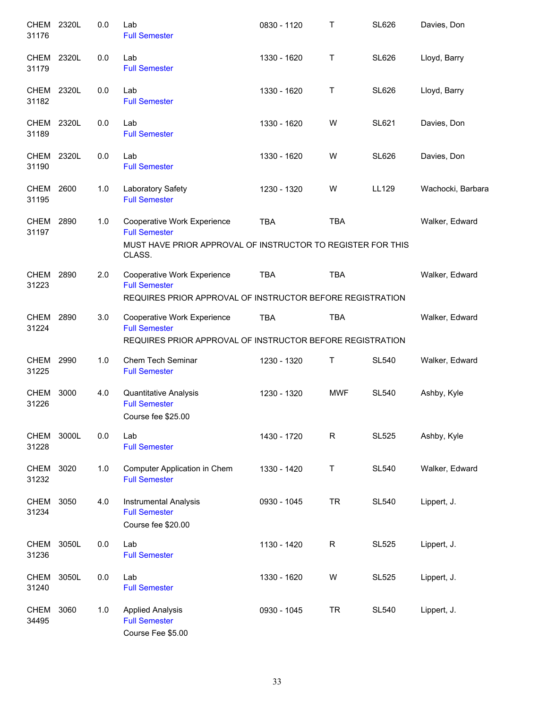| CHEM 2320L<br>31176  |       | 0.0   | Lab<br><b>Full Semester</b>                                                                                      | 0830 - 1120 | Т           | <b>SL626</b> | Davies, Don       |
|----------------------|-------|-------|------------------------------------------------------------------------------------------------------------------|-------------|-------------|--------------|-------------------|
| CHEM<br>31179        | 2320L | 0.0   | Lab<br><b>Full Semester</b>                                                                                      | 1330 - 1620 | Τ           | <b>SL626</b> | Lloyd, Barry      |
| CHEM<br>31182        | 2320L | 0.0   | Lab<br><b>Full Semester</b>                                                                                      | 1330 - 1620 | Τ           | <b>SL626</b> | Lloyd, Barry      |
| CHEM<br>31189        | 2320L | 0.0   | Lab<br><b>Full Semester</b>                                                                                      | 1330 - 1620 | W           | <b>SL621</b> | Davies, Don       |
| CHEM 2320L<br>31190  |       | 0.0   | Lab<br><b>Full Semester</b>                                                                                      | 1330 - 1620 | W           | <b>SL626</b> | Davies, Don       |
| CHEM 2600<br>31195   |       | 1.0   | Laboratory Safety<br><b>Full Semester</b>                                                                        | 1230 - 1320 | W           | LL129        | Wachocki, Barbara |
| CHEM<br>31197        | 2890  | 1.0   | Cooperative Work Experience<br><b>Full Semester</b>                                                              | <b>TBA</b>  | <b>TBA</b>  |              | Walker, Edward    |
|                      |       |       | MUST HAVE PRIOR APPROVAL OF INSTRUCTOR TO REGISTER FOR THIS<br>CLASS.                                            |             |             |              |                   |
| CHEM 2890<br>31223   |       | 2.0   | Cooperative Work Experience<br><b>Full Semester</b>                                                              | <b>TBA</b>  | <b>TBA</b>  |              | Walker, Edward    |
|                      |       |       | REQUIRES PRIOR APPROVAL OF INSTRUCTOR BEFORE REGISTRATION                                                        |             |             |              |                   |
| CHEM<br>31224        | 2890  | 3.0   | Cooperative Work Experience<br><b>Full Semester</b><br>REQUIRES PRIOR APPROVAL OF INSTRUCTOR BEFORE REGISTRATION | <b>TBA</b>  | <b>TBA</b>  |              | Walker, Edward    |
| CHEM 2990<br>31225   |       | 1.0   | Chem Tech Seminar<br><b>Full Semester</b>                                                                        | 1230 - 1320 | Τ           | <b>SL540</b> | Walker, Edward    |
| <b>CHEM</b><br>31226 | 3000  | 4.0   | Quantitative Analysis<br><b>Full Semester</b><br>Course fee \$25.00                                              | 1230 - 1320 | <b>MWF</b>  | <b>SL540</b> | Ashby, Kyle       |
| <b>CHEM</b><br>31228 | 3000L | 0.0   | Lab<br><b>Full Semester</b>                                                                                      | 1430 - 1720 | $\mathsf R$ | <b>SL525</b> | Ashby, Kyle       |
| <b>CHEM</b><br>31232 | 3020  | $1.0$ | Computer Application in Chem<br><b>Full Semester</b>                                                             | 1330 - 1420 | T           | <b>SL540</b> | Walker, Edward    |
| <b>CHEM</b><br>31234 | 3050  | 4.0   | <b>Instrumental Analysis</b><br><b>Full Semester</b><br>Course fee \$20.00                                       | 0930 - 1045 | <b>TR</b>   | <b>SL540</b> | Lippert, J.       |
| <b>CHEM</b><br>31236 | 3050L | 0.0   | Lab<br><b>Full Semester</b>                                                                                      | 1130 - 1420 | $\mathsf R$ | <b>SL525</b> | Lippert, J.       |
| <b>CHEM</b><br>31240 | 3050L | 0.0   | Lab<br><b>Full Semester</b>                                                                                      | 1330 - 1620 | W           | <b>SL525</b> | Lippert, J.       |
| <b>CHEM</b><br>34495 | 3060  | 1.0   | <b>Applied Analysis</b><br><b>Full Semester</b><br>Course Fee \$5.00                                             | 0930 - 1045 | <b>TR</b>   | <b>SL540</b> | Lippert, J.       |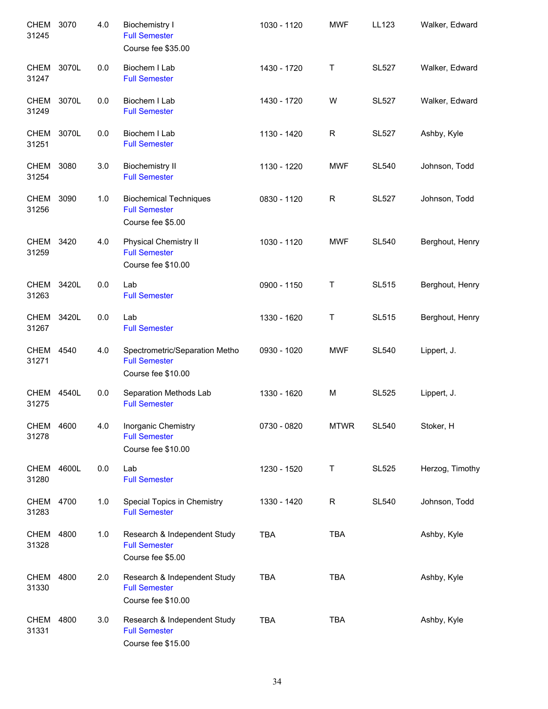| <b>CHEM</b><br>31245 | 3070  | 4.0 | <b>Biochemistry I</b><br><b>Full Semester</b><br>Course fee \$35.00          | 1030 - 1120 | <b>MWF</b>   | LL123        | Walker, Edward  |
|----------------------|-------|-----|------------------------------------------------------------------------------|-------------|--------------|--------------|-----------------|
| CHEM<br>31247        | 3070L | 0.0 | Biochem I Lab<br><b>Full Semester</b>                                        | 1430 - 1720 | Τ            | <b>SL527</b> | Walker, Edward  |
| <b>CHEM</b><br>31249 | 3070L | 0.0 | Biochem I Lab<br><b>Full Semester</b>                                        | 1430 - 1720 | W            | <b>SL527</b> | Walker, Edward  |
| <b>CHEM</b><br>31251 | 3070L | 0.0 | Biochem I Lab<br><b>Full Semester</b>                                        | 1130 - 1420 | $\mathsf{R}$ | <b>SL527</b> | Ashby, Kyle     |
| <b>CHEM</b><br>31254 | 3080  | 3.0 | <b>Biochemistry II</b><br><b>Full Semester</b>                               | 1130 - 1220 | <b>MWF</b>   | <b>SL540</b> | Johnson, Todd   |
| CHEM<br>31256        | 3090  | 1.0 | <b>Biochemical Techniques</b><br><b>Full Semester</b><br>Course fee \$5.00   | 0830 - 1120 | R            | <b>SL527</b> | Johnson, Todd   |
| CHEM<br>31259        | 3420  | 4.0 | <b>Physical Chemistry II</b><br><b>Full Semester</b><br>Course fee \$10.00   | 1030 - 1120 | <b>MWF</b>   | <b>SL540</b> | Berghout, Henry |
| CHEM<br>31263        | 3420L | 0.0 | Lab<br><b>Full Semester</b>                                                  | 0900 - 1150 | Τ            | <b>SL515</b> | Berghout, Henry |
| CHEM<br>31267        | 3420L | 0.0 | Lab<br><b>Full Semester</b>                                                  | 1330 - 1620 | Τ            | <b>SL515</b> | Berghout, Henry |
| <b>CHEM</b><br>31271 | 4540  | 4.0 | Spectrometric/Separation Metho<br><b>Full Semester</b><br>Course fee \$10.00 | 0930 - 1020 | <b>MWF</b>   | <b>SL540</b> | Lippert, J.     |
| <b>CHEM</b><br>31275 | 4540L | 0.0 | Separation Methods Lab<br><b>Full Semester</b>                               | 1330 - 1620 | M            | <b>SL525</b> | Lippert, J.     |
| CHEM 4600<br>31278   |       | 4.0 | Inorganic Chemistry<br><b>Full Semester</b><br>Course fee \$10.00            | 0730 - 0820 | <b>MTWR</b>  | <b>SL540</b> | Stoker, H       |
| CHEM<br>31280        | 4600L | 0.0 | Lab<br><b>Full Semester</b>                                                  | 1230 - 1520 | Τ            | <b>SL525</b> | Herzog, Timothy |
| <b>CHEM</b><br>31283 | 4700  | 1.0 | Special Topics in Chemistry<br><b>Full Semester</b>                          | 1330 - 1420 | $\mathsf{R}$ | <b>SL540</b> | Johnson, Todd   |
| <b>CHEM</b><br>31328 | 4800  | 1.0 | Research & Independent Study<br><b>Full Semester</b><br>Course fee \$5.00    | <b>TBA</b>  | <b>TBA</b>   |              | Ashby, Kyle     |
| <b>CHEM</b><br>31330 | 4800  | 2.0 | Research & Independent Study<br><b>Full Semester</b><br>Course fee \$10.00   | <b>TBA</b>  | <b>TBA</b>   |              | Ashby, Kyle     |
| <b>CHEM</b><br>31331 | 4800  | 3.0 | Research & Independent Study<br><b>Full Semester</b><br>Course fee \$15.00   | <b>TBA</b>  | <b>TBA</b>   |              | Ashby, Kyle     |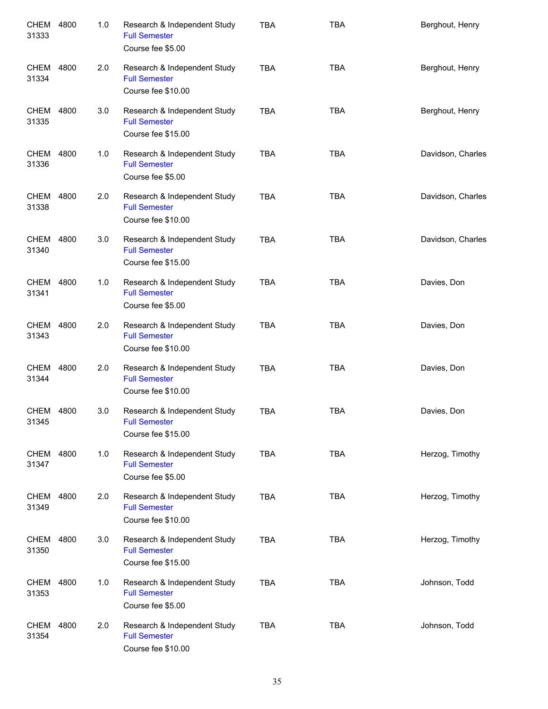| CHEM<br>31333        | 4800 | 1.0 | Research & Independent Study<br><b>Full Semester</b><br>Course fee \$5.00  | <b>TBA</b> | <b>TBA</b> | Berghout, Henry   |
|----------------------|------|-----|----------------------------------------------------------------------------|------------|------------|-------------------|
| <b>CHEM</b><br>31334 | 4800 | 2.0 | Research & Independent Study<br><b>Full Semester</b><br>Course fee \$10.00 | <b>TBA</b> | <b>TBA</b> | Berghout, Henry   |
| CHEM<br>31335        | 4800 | 3.0 | Research & Independent Study<br><b>Full Semester</b><br>Course fee \$15.00 | <b>TBA</b> | <b>TBA</b> | Berghout, Henry   |
| CHEM<br>31336        | 4800 | 1.0 | Research & Independent Study<br><b>Full Semester</b><br>Course fee \$5.00  | <b>TBA</b> | <b>TBA</b> | Davidson, Charles |
| <b>CHEM</b><br>31338 | 4800 | 2.0 | Research & Independent Study<br><b>Full Semester</b><br>Course fee \$10.00 | <b>TBA</b> | <b>TBA</b> | Davidson, Charles |
| <b>CHEM</b><br>31340 | 4800 | 3.0 | Research & Independent Study<br><b>Full Semester</b><br>Course fee \$15.00 | <b>TBA</b> | <b>TBA</b> | Davidson, Charles |
| <b>CHEM</b><br>31341 | 4800 | 1.0 | Research & Independent Study<br><b>Full Semester</b><br>Course fee \$5.00  | <b>TBA</b> | <b>TBA</b> | Davies, Don       |
| <b>CHEM</b><br>31343 | 4800 | 2.0 | Research & Independent Study<br><b>Full Semester</b><br>Course fee \$10.00 | <b>TBA</b> | <b>TBA</b> | Davies, Don       |
| CHEM<br>31344        | 4800 | 2.0 | Research & Independent Study<br><b>Full Semester</b><br>Course fee \$10.00 | <b>TBA</b> | <b>TBA</b> | Davies, Don       |
| CHEM 4800<br>31345   |      | 3.0 | Research & Independent Study<br><b>Full Semester</b><br>Course fee \$15.00 | <b>TBA</b> | <b>TBA</b> | Davies, Don       |
| CHEM 4800<br>31347   |      | 1.0 | Research & Independent Study<br><b>Full Semester</b><br>Course fee \$5.00  | <b>TBA</b> | <b>TBA</b> | Herzog, Timothy   |
| CHEM<br>31349        | 4800 | 2.0 | Research & Independent Study<br><b>Full Semester</b><br>Course fee \$10.00 | <b>TBA</b> | <b>TBA</b> | Herzog, Timothy   |
| CHEM<br>31350        | 4800 | 3.0 | Research & Independent Study<br><b>Full Semester</b><br>Course fee \$15.00 | <b>TBA</b> | <b>TBA</b> | Herzog, Timothy   |
| CHEM<br>31353        | 4800 | 1.0 | Research & Independent Study<br><b>Full Semester</b><br>Course fee \$5.00  | <b>TBA</b> | <b>TBA</b> | Johnson, Todd     |
| <b>CHEM</b><br>31354 | 4800 | 2.0 | Research & Independent Study<br><b>Full Semester</b><br>Course fee \$10.00 | <b>TBA</b> | <b>TBA</b> | Johnson, Todd     |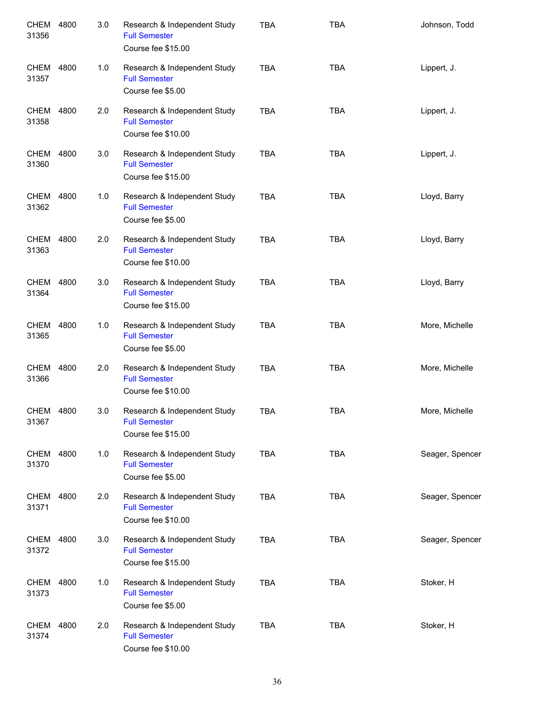| <b>CHEM</b><br>31356 | 4800 | 3.0 | Research & Independent Study<br><b>Full Semester</b><br>Course fee \$15.00 | <b>TBA</b> | <b>TBA</b> | Johnson, Todd   |
|----------------------|------|-----|----------------------------------------------------------------------------|------------|------------|-----------------|
| CHEM<br>31357        | 4800 | 1.0 | Research & Independent Study<br><b>Full Semester</b><br>Course fee \$5.00  | <b>TBA</b> | <b>TBA</b> | Lippert, J.     |
| CHEM<br>31358        | 4800 | 2.0 | Research & Independent Study<br><b>Full Semester</b><br>Course fee \$10.00 | <b>TBA</b> | <b>TBA</b> | Lippert, J.     |
| CHEM<br>31360        | 4800 | 3.0 | Research & Independent Study<br><b>Full Semester</b><br>Course fee \$15.00 | <b>TBA</b> | <b>TBA</b> | Lippert, J.     |
| CHEM<br>31362        | 4800 | 1.0 | Research & Independent Study<br><b>Full Semester</b><br>Course fee \$5.00  | <b>TBA</b> | <b>TBA</b> | Lloyd, Barry    |
| CHEM<br>31363        | 4800 | 2.0 | Research & Independent Study<br><b>Full Semester</b><br>Course fee \$10.00 | <b>TBA</b> | <b>TBA</b> | Lloyd, Barry    |
| CHEM<br>31364        | 4800 | 3.0 | Research & Independent Study<br><b>Full Semester</b><br>Course fee \$15.00 | <b>TBA</b> | <b>TBA</b> | Lloyd, Barry    |
| CHEM<br>31365        | 4800 | 1.0 | Research & Independent Study<br><b>Full Semester</b><br>Course fee \$5.00  | <b>TBA</b> | <b>TBA</b> | More, Michelle  |
| CHEM<br>31366        | 4800 | 2.0 | Research & Independent Study<br><b>Full Semester</b><br>Course fee \$10.00 | <b>TBA</b> | <b>TBA</b> | More, Michelle  |
| CHEM 4800<br>31367   |      | 3.0 | Research & Independent Study<br><b>Full Semester</b><br>Course fee \$15.00 | <b>TBA</b> | <b>TBA</b> | More, Michelle  |
| CHEM 4800<br>31370   |      | 1.0 | Research & Independent Study<br><b>Full Semester</b><br>Course fee \$5.00  | <b>TBA</b> | <b>TBA</b> | Seager, Spencer |
| CHEM<br>31371        | 4800 | 2.0 | Research & Independent Study<br><b>Full Semester</b><br>Course fee \$10.00 | <b>TBA</b> | <b>TBA</b> | Seager, Spencer |
| CHEM 4800<br>31372   |      | 3.0 | Research & Independent Study<br><b>Full Semester</b><br>Course fee \$15.00 | <b>TBA</b> | <b>TBA</b> | Seager, Spencer |
| CHEM<br>31373        | 4800 | 1.0 | Research & Independent Study<br><b>Full Semester</b><br>Course fee \$5.00  | <b>TBA</b> | <b>TBA</b> | Stoker, H       |
| CHEM<br>31374        | 4800 | 2.0 | Research & Independent Study<br><b>Full Semester</b><br>Course fee \$10.00 | <b>TBA</b> | <b>TBA</b> | Stoker, H       |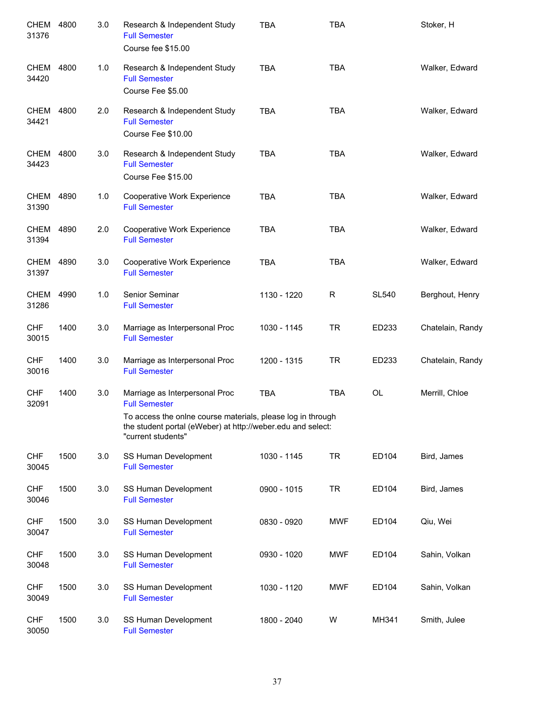| CHEM<br>31376       | 4800 | 3.0 | Research & Independent Study<br><b>Full Semester</b><br>Course fee \$15.00                                                                       | <b>TBA</b>  | <b>TBA</b> |              | Stoker, H        |
|---------------------|------|-----|--------------------------------------------------------------------------------------------------------------------------------------------------|-------------|------------|--------------|------------------|
| CHEM<br>34420       | 4800 | 1.0 | Research & Independent Study<br><b>Full Semester</b><br>Course Fee \$5.00                                                                        | <b>TBA</b>  | <b>TBA</b> |              | Walker, Edward   |
| CHEM<br>34421       | 4800 | 2.0 | Research & Independent Study<br><b>Full Semester</b><br>Course Fee \$10.00                                                                       | <b>TBA</b>  | <b>TBA</b> |              | Walker, Edward   |
| CHEM<br>34423       | 4800 | 3.0 | Research & Independent Study<br><b>Full Semester</b><br>Course Fee \$15.00                                                                       | <b>TBA</b>  | <b>TBA</b> |              | Walker, Edward   |
| CHEM<br>31390       | 4890 | 1.0 | Cooperative Work Experience<br><b>Full Semester</b>                                                                                              | <b>TBA</b>  | <b>TBA</b> |              | Walker, Edward   |
| CHEM<br>31394       | 4890 | 2.0 | Cooperative Work Experience<br><b>Full Semester</b>                                                                                              | <b>TBA</b>  | <b>TBA</b> |              | Walker, Edward   |
| CHEM<br>31397       | 4890 | 3.0 | Cooperative Work Experience<br><b>Full Semester</b>                                                                                              | <b>TBA</b>  | <b>TBA</b> |              | Walker, Edward   |
| CHEM<br>31286       | 4990 | 1.0 | Senior Seminar<br><b>Full Semester</b>                                                                                                           | 1130 - 1220 | R          | <b>SL540</b> | Berghout, Henry  |
| <b>CHF</b><br>30015 | 1400 | 3.0 | Marriage as Interpersonal Proc<br><b>Full Semester</b>                                                                                           | 1030 - 1145 | <b>TR</b>  | ED233        | Chatelain, Randy |
| <b>CHF</b><br>30016 | 1400 | 3.0 | Marriage as Interpersonal Proc<br><b>Full Semester</b>                                                                                           | 1200 - 1315 | <b>TR</b>  | ED233        | Chatelain, Randy |
| <b>CHF</b><br>32091 | 1400 | 3.0 | Marriage as Interpersonal Proc<br><b>Full Semester</b>                                                                                           | <b>TBA</b>  | <b>TBA</b> | <b>OL</b>    | Merrill, Chloe   |
|                     |      |     | To access the onlne course materials, please log in through<br>the student portal (eWeber) at http://weber.edu and select:<br>"current students" |             |            |              |                  |
| <b>CHF</b><br>30045 | 1500 | 3.0 | SS Human Development<br><b>Full Semester</b>                                                                                                     | 1030 - 1145 | <b>TR</b>  | ED104        | Bird, James      |
| <b>CHF</b><br>30046 | 1500 | 3.0 | SS Human Development<br><b>Full Semester</b>                                                                                                     | 0900 - 1015 | <b>TR</b>  | ED104        | Bird, James      |
| <b>CHF</b><br>30047 | 1500 | 3.0 | SS Human Development<br><b>Full Semester</b>                                                                                                     | 0830 - 0920 | <b>MWF</b> | ED104        | Qiu, Wei         |
| <b>CHF</b><br>30048 | 1500 | 3.0 | SS Human Development<br><b>Full Semester</b>                                                                                                     | 0930 - 1020 | <b>MWF</b> | ED104        | Sahin, Volkan    |
| <b>CHF</b><br>30049 | 1500 | 3.0 | SS Human Development<br><b>Full Semester</b>                                                                                                     | 1030 - 1120 | <b>MWF</b> | ED104        | Sahin, Volkan    |
| <b>CHF</b><br>30050 | 1500 | 3.0 | SS Human Development<br><b>Full Semester</b>                                                                                                     | 1800 - 2040 | W          | MH341        | Smith, Julee     |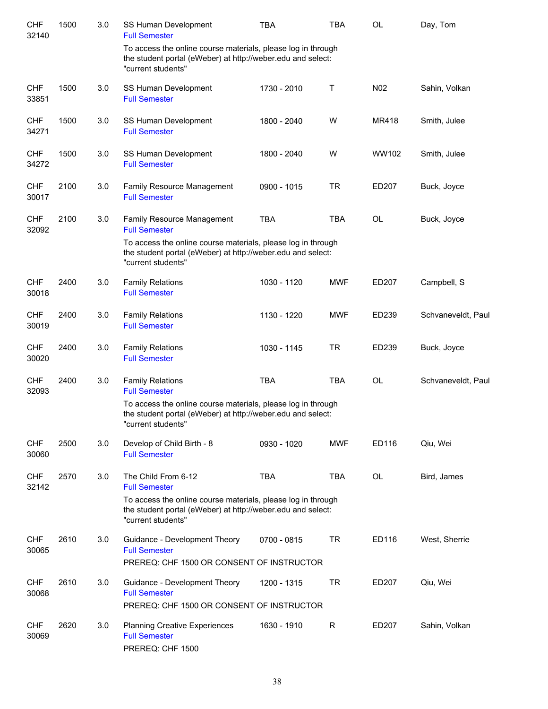| <b>CHF</b><br>32140 | 1500 | 3.0 | SS Human Development<br><b>Full Semester</b>                                                                                                      | <b>TBA</b>  | <b>TBA</b>   | <b>OL</b> | Day, Tom           |
|---------------------|------|-----|---------------------------------------------------------------------------------------------------------------------------------------------------|-------------|--------------|-----------|--------------------|
|                     |      |     | To access the online course materials, please log in through<br>the student portal (eWeber) at http://weber.edu and select:<br>"current students" |             |              |           |                    |
| <b>CHF</b><br>33851 | 1500 | 3.0 | SS Human Development<br><b>Full Semester</b>                                                                                                      | 1730 - 2010 | $\sf T$      | N02       | Sahin, Volkan      |
| <b>CHF</b><br>34271 | 1500 | 3.0 | SS Human Development<br><b>Full Semester</b>                                                                                                      | 1800 - 2040 | W            | MR418     | Smith, Julee       |
| <b>CHF</b><br>34272 | 1500 | 3.0 | SS Human Development<br><b>Full Semester</b>                                                                                                      | 1800 - 2040 | W            | WW102     | Smith, Julee       |
| <b>CHF</b><br>30017 | 2100 | 3.0 | Family Resource Management<br><b>Full Semester</b>                                                                                                | 0900 - 1015 | <b>TR</b>    | ED207     | Buck, Joyce        |
| <b>CHF</b><br>32092 | 2100 | 3.0 | Family Resource Management<br><b>Full Semester</b>                                                                                                | <b>TBA</b>  | <b>TBA</b>   | OL        | Buck, Joyce        |
|                     |      |     | To access the online course materials, please log in through<br>the student portal (eWeber) at http://weber.edu and select:<br>"current students" |             |              |           |                    |
| <b>CHF</b><br>30018 | 2400 | 3.0 | <b>Family Relations</b><br><b>Full Semester</b>                                                                                                   | 1030 - 1120 | <b>MWF</b>   | ED207     | Campbell, S        |
| <b>CHF</b><br>30019 | 2400 | 3.0 | <b>Family Relations</b><br><b>Full Semester</b>                                                                                                   | 1130 - 1220 | <b>MWF</b>   | ED239     | Schvaneveldt, Paul |
| <b>CHF</b><br>30020 | 2400 | 3.0 | <b>Family Relations</b><br><b>Full Semester</b>                                                                                                   | 1030 - 1145 | <b>TR</b>    | ED239     | Buck, Joyce        |
| <b>CHF</b><br>32093 | 2400 | 3.0 | <b>Family Relations</b><br><b>Full Semester</b>                                                                                                   | <b>TBA</b>  | <b>TBA</b>   | OL        | Schvaneveldt, Paul |
|                     |      |     | To access the online course materials, please log in through<br>the student portal (eWeber) at http://weber.edu and select:<br>"current students" |             |              |           |                    |
| <b>CHF</b><br>30060 | 2500 | 3.0 | Develop of Child Birth - 8<br><b>Full Semester</b>                                                                                                | 0930 - 1020 | <b>MWF</b>   | ED116     | Qiu, Wei           |
| <b>CHF</b><br>32142 | 2570 | 3.0 | The Child From 6-12<br><b>Full Semester</b>                                                                                                       | <b>TBA</b>  | <b>TBA</b>   | OL        | Bird, James        |
|                     |      |     | To access the online course materials, please log in through<br>the student portal (eWeber) at http://weber.edu and select:<br>"current students" |             |              |           |                    |
| <b>CHF</b><br>30065 | 2610 | 3.0 | Guidance - Development Theory<br><b>Full Semester</b>                                                                                             | 0700 - 0815 | <b>TR</b>    | ED116     | West, Sherrie      |
|                     |      |     | PREREQ: CHF 1500 OR CONSENT OF INSTRUCTOR                                                                                                         |             |              |           |                    |
| <b>CHF</b><br>30068 | 2610 | 3.0 | Guidance - Development Theory<br><b>Full Semester</b><br>PREREQ: CHF 1500 OR CONSENT OF INSTRUCTOR                                                | 1200 - 1315 | <b>TR</b>    | ED207     | Qiu, Wei           |
| <b>CHF</b><br>30069 | 2620 | 3.0 | <b>Planning Creative Experiences</b><br><b>Full Semester</b><br>PREREQ: CHF 1500                                                                  | 1630 - 1910 | $\mathsf{R}$ | ED207     | Sahin, Volkan      |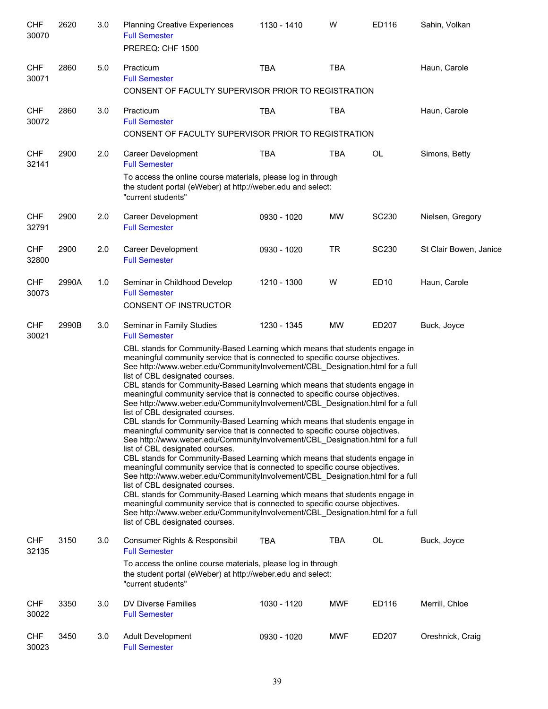| <b>CHF</b><br>30070 | 2620  | 3.0 | <b>Planning Creative Experiences</b><br><b>Full Semester</b><br>PREREQ: CHF 1500                                                                                                                                                                                                                                                                                                                                                                                                                                                                                                                                                                                                                                                                                                                                                                                                                                                                                                                                                                                                                                                                                                                                                                                                                                                                                                                                                                                                      | 1130 - 1410 | W          | ED116        | Sahin, Volkan          |
|---------------------|-------|-----|---------------------------------------------------------------------------------------------------------------------------------------------------------------------------------------------------------------------------------------------------------------------------------------------------------------------------------------------------------------------------------------------------------------------------------------------------------------------------------------------------------------------------------------------------------------------------------------------------------------------------------------------------------------------------------------------------------------------------------------------------------------------------------------------------------------------------------------------------------------------------------------------------------------------------------------------------------------------------------------------------------------------------------------------------------------------------------------------------------------------------------------------------------------------------------------------------------------------------------------------------------------------------------------------------------------------------------------------------------------------------------------------------------------------------------------------------------------------------------------|-------------|------------|--------------|------------------------|
| <b>CHF</b><br>30071 | 2860  | 5.0 | Practicum<br><b>Full Semester</b><br>CONSENT OF FACULTY SUPERVISOR PRIOR TO REGISTRATION                                                                                                                                                                                                                                                                                                                                                                                                                                                                                                                                                                                                                                                                                                                                                                                                                                                                                                                                                                                                                                                                                                                                                                                                                                                                                                                                                                                              | <b>TBA</b>  | <b>TBA</b> |              | Haun, Carole           |
| <b>CHF</b><br>30072 | 2860  | 3.0 | Practicum<br><b>Full Semester</b><br>CONSENT OF FACULTY SUPERVISOR PRIOR TO REGISTRATION                                                                                                                                                                                                                                                                                                                                                                                                                                                                                                                                                                                                                                                                                                                                                                                                                                                                                                                                                                                                                                                                                                                                                                                                                                                                                                                                                                                              | <b>TBA</b>  | <b>TBA</b> |              | Haun, Carole           |
| <b>CHF</b><br>32141 | 2900  | 2.0 | Career Development<br><b>Full Semester</b><br>To access the online course materials, please log in through<br>the student portal (eWeber) at http://weber.edu and select:<br>"current students"                                                                                                                                                                                                                                                                                                                                                                                                                                                                                                                                                                                                                                                                                                                                                                                                                                                                                                                                                                                                                                                                                                                                                                                                                                                                                       | <b>TBA</b>  | <b>TBA</b> | OL           | Simons, Betty          |
| <b>CHF</b><br>32791 | 2900  | 2.0 | Career Development<br><b>Full Semester</b>                                                                                                                                                                                                                                                                                                                                                                                                                                                                                                                                                                                                                                                                                                                                                                                                                                                                                                                                                                                                                                                                                                                                                                                                                                                                                                                                                                                                                                            | 0930 - 1020 | <b>MW</b>  | <b>SC230</b> | Nielsen, Gregory       |
| <b>CHF</b><br>32800 | 2900  | 2.0 | Career Development<br><b>Full Semester</b>                                                                                                                                                                                                                                                                                                                                                                                                                                                                                                                                                                                                                                                                                                                                                                                                                                                                                                                                                                                                                                                                                                                                                                                                                                                                                                                                                                                                                                            | 0930 - 1020 | <b>TR</b>  | <b>SC230</b> | St Clair Bowen, Janice |
| <b>CHF</b><br>30073 | 2990A | 1.0 | Seminar in Childhood Develop<br><b>Full Semester</b><br><b>CONSENT OF INSTRUCTOR</b>                                                                                                                                                                                                                                                                                                                                                                                                                                                                                                                                                                                                                                                                                                                                                                                                                                                                                                                                                                                                                                                                                                                                                                                                                                                                                                                                                                                                  | 1210 - 1300 | W          | ED10         | Haun, Carole           |
| <b>CHF</b><br>30021 | 2990B | 3.0 | Seminar in Family Studies<br><b>Full Semester</b><br>CBL stands for Community-Based Learning which means that students engage in<br>meaningful community service that is connected to specific course objectives.<br>See http://www.weber.edu/CommunityInvolvement/CBL_Designation.html for a full<br>list of CBL designated courses.<br>CBL stands for Community-Based Learning which means that students engage in<br>meaningful community service that is connected to specific course objectives.<br>See http://www.weber.edu/CommunityInvolvement/CBL Designation.html for a full<br>list of CBL designated courses.<br>CBL stands for Community-Based Learning which means that students engage in<br>meaningful community service that is connected to specific course objectives.<br>See http://www.weber.edu/CommunityInvolvement/CBL_Designation.html for a full<br>list of CBL designated courses.<br>CBL stands for Community-Based Learning which means that students engage in<br>meaningful community service that is connected to specific course objectives.<br>See http://www.weber.edu/CommunityInvolvement/CBL_Designation.html for a full<br>list of CBL designated courses.<br>CBL stands for Community-Based Learning which means that students engage in<br>meaningful community service that is connected to specific course objectives.<br>See http://www.weber.edu/CommunityInvolvement/CBL Designation.html for a full<br>list of CBL designated courses. | 1230 - 1345 | <b>MW</b>  | ED207        | Buck, Joyce            |
| <b>CHF</b><br>32135 | 3150  | 3.0 | Consumer Rights & Responsibil<br><b>Full Semester</b><br>To access the online course materials, please log in through<br>the student portal (eWeber) at http://weber.edu and select:<br>"current students"                                                                                                                                                                                                                                                                                                                                                                                                                                                                                                                                                                                                                                                                                                                                                                                                                                                                                                                                                                                                                                                                                                                                                                                                                                                                            | TBA         | TBA        | OL           | Buck, Joyce            |
| <b>CHF</b><br>30022 | 3350  | 3.0 | DV Diverse Families<br><b>Full Semester</b>                                                                                                                                                                                                                                                                                                                                                                                                                                                                                                                                                                                                                                                                                                                                                                                                                                                                                                                                                                                                                                                                                                                                                                                                                                                                                                                                                                                                                                           | 1030 - 1120 | MWF        | ED116        | Merrill, Chloe         |
| <b>CHF</b><br>30023 | 3450  | 3.0 | <b>Adult Development</b><br><b>Full Semester</b>                                                                                                                                                                                                                                                                                                                                                                                                                                                                                                                                                                                                                                                                                                                                                                                                                                                                                                                                                                                                                                                                                                                                                                                                                                                                                                                                                                                                                                      | 0930 - 1020 | MWF        | ED207        | Oreshnick, Craig       |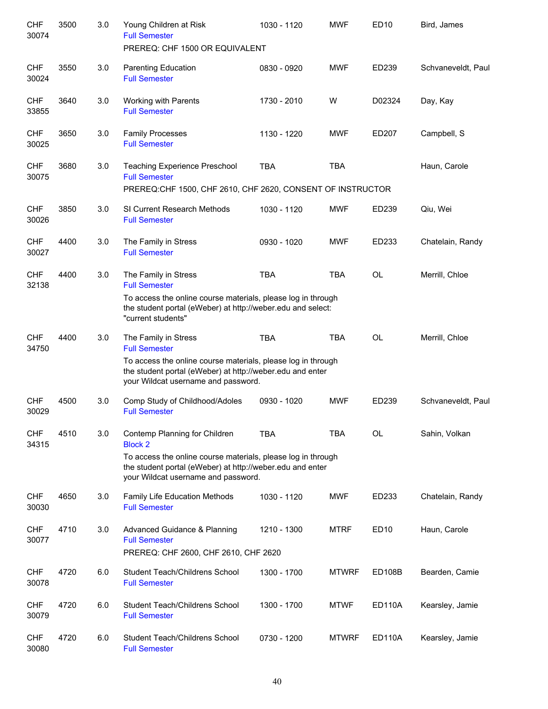| <b>CHF</b><br>30074 | 3500 | 3.0 | Young Children at Risk<br><b>Full Semester</b>                                                                                                                   | 1030 - 1120 | <b>MWF</b>   | <b>ED10</b>   | Bird, James        |
|---------------------|------|-----|------------------------------------------------------------------------------------------------------------------------------------------------------------------|-------------|--------------|---------------|--------------------|
|                     |      |     | PREREQ: CHF 1500 OR EQUIVALENT                                                                                                                                   |             |              |               |                    |
| <b>CHF</b><br>30024 | 3550 | 3.0 | <b>Parenting Education</b><br><b>Full Semester</b>                                                                                                               | 0830 - 0920 | <b>MWF</b>   | ED239         | Schvaneveldt, Paul |
| <b>CHF</b><br>33855 | 3640 | 3.0 | Working with Parents<br><b>Full Semester</b>                                                                                                                     | 1730 - 2010 | W            | D02324        | Day, Kay           |
| <b>CHF</b><br>30025 | 3650 | 3.0 | <b>Family Processes</b><br><b>Full Semester</b>                                                                                                                  | 1130 - 1220 | <b>MWF</b>   | ED207         | Campbell, S        |
| <b>CHF</b><br>30075 | 3680 | 3.0 | Teaching Experience Preschool<br><b>Full Semester</b>                                                                                                            | <b>TBA</b>  | <b>TBA</b>   |               | Haun, Carole       |
|                     |      |     | PREREQ:CHF 1500, CHF 2610, CHF 2620, CONSENT OF INSTRUCTOR                                                                                                       |             |              |               |                    |
| <b>CHF</b><br>30026 | 3850 | 3.0 | SI Current Research Methods<br><b>Full Semester</b>                                                                                                              | 1030 - 1120 | <b>MWF</b>   | ED239         | Qiu, Wei           |
| <b>CHF</b><br>30027 | 4400 | 3.0 | The Family in Stress<br><b>Full Semester</b>                                                                                                                     | 0930 - 1020 | <b>MWF</b>   | ED233         | Chatelain, Randy   |
| <b>CHF</b><br>32138 | 4400 | 3.0 | The Family in Stress<br><b>Full Semester</b>                                                                                                                     | <b>TBA</b>  | <b>TBA</b>   | <b>OL</b>     | Merrill, Chloe     |
|                     |      |     | To access the online course materials, please log in through<br>the student portal (eWeber) at http://weber.edu and select:<br>"current students"                |             |              |               |                    |
| <b>CHF</b><br>34750 | 4400 | 3.0 | The Family in Stress<br><b>Full Semester</b>                                                                                                                     | <b>TBA</b>  | <b>TBA</b>   | <b>OL</b>     | Merrill, Chloe     |
|                     |      |     | To access the online course materials, please log in through<br>the student portal (eWeber) at http://weber.edu and enter<br>your Wildcat username and password. |             |              |               |                    |
| <b>CHF</b><br>30029 | 4500 | 3.0 | Comp Study of Childhood/Adoles<br><b>Full Semester</b>                                                                                                           | 0930 - 1020 | <b>MWF</b>   | ED239         | Schvaneveldt, Paul |
| <b>CHF</b><br>34315 | 4510 | 3.0 | Contemp Planning for Children<br><b>Block 2</b>                                                                                                                  | <b>TBA</b>  | <b>TBA</b>   | OL            | Sahin, Volkan      |
|                     |      |     | To access the online course materials, please log in through<br>the student portal (eWeber) at http://weber.edu and enter<br>your Wildcat username and password. |             |              |               |                    |
| <b>CHF</b><br>30030 | 4650 | 3.0 | Family Life Education Methods<br><b>Full Semester</b>                                                                                                            | 1030 - 1120 | <b>MWF</b>   | ED233         | Chatelain, Randy   |
| <b>CHF</b><br>30077 | 4710 | 3.0 | Advanced Guidance & Planning<br><b>Full Semester</b><br>PREREQ: CHF 2600, CHF 2610, CHF 2620                                                                     | 1210 - 1300 | <b>MTRF</b>  | ED10          | Haun, Carole       |
| <b>CHF</b><br>30078 | 4720 | 6.0 | Student Teach/Childrens School<br><b>Full Semester</b>                                                                                                           | 1300 - 1700 | <b>MTWRF</b> | <b>ED108B</b> | Bearden, Camie     |
| <b>CHF</b><br>30079 | 4720 | 6.0 | Student Teach/Childrens School<br><b>Full Semester</b>                                                                                                           | 1300 - 1700 | <b>MTWF</b>  | <b>ED110A</b> | Kearsley, Jamie    |
| <b>CHF</b><br>30080 | 4720 | 6.0 | Student Teach/Childrens School<br><b>Full Semester</b>                                                                                                           | 0730 - 1200 | <b>MTWRF</b> | <b>ED110A</b> | Kearsley, Jamie    |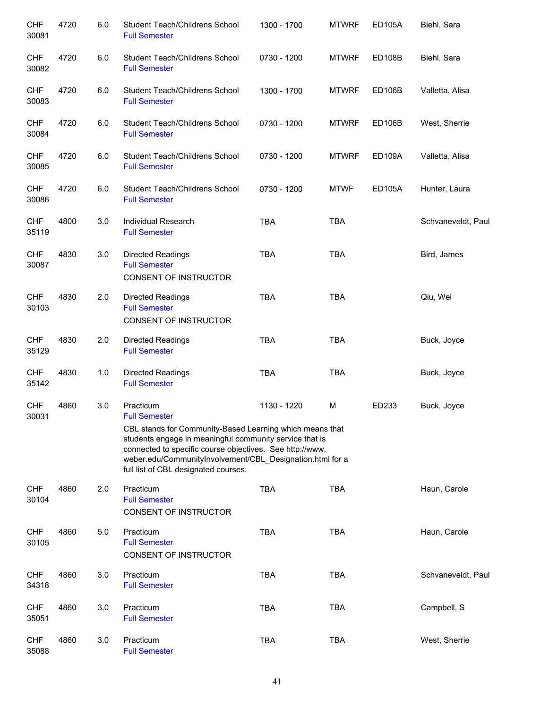| <b>CHF</b><br>30081 | 4720 | 6.0 | Student Teach/Childrens School<br><b>Full Semester</b>                                                                                                                                                                                                                               | 1300 - 1700 | <b>MTWRF</b> | <b>ED105A</b> | Biehl, Sara        |
|---------------------|------|-----|--------------------------------------------------------------------------------------------------------------------------------------------------------------------------------------------------------------------------------------------------------------------------------------|-------------|--------------|---------------|--------------------|
| <b>CHF</b><br>30082 | 4720 | 6.0 | Student Teach/Childrens School<br><b>Full Semester</b>                                                                                                                                                                                                                               | 0730 - 1200 | <b>MTWRF</b> | <b>ED108B</b> | Biehl, Sara        |
| <b>CHF</b><br>30083 | 4720 | 6.0 | Student Teach/Childrens School<br><b>Full Semester</b>                                                                                                                                                                                                                               | 1300 - 1700 | <b>MTWRF</b> | <b>ED106B</b> | Valletta, Alisa    |
| <b>CHF</b><br>30084 | 4720 | 6.0 | Student Teach/Childrens School<br><b>Full Semester</b>                                                                                                                                                                                                                               | 0730 - 1200 | <b>MTWRF</b> | <b>ED106B</b> | West, Sherrie      |
| <b>CHF</b><br>30085 | 4720 | 6.0 | Student Teach/Childrens School<br><b>Full Semester</b>                                                                                                                                                                                                                               | 0730 - 1200 | <b>MTWRF</b> | <b>ED109A</b> | Valletta, Alisa    |
| <b>CHF</b><br>30086 | 4720 | 6.0 | Student Teach/Childrens School<br><b>Full Semester</b>                                                                                                                                                                                                                               | 0730 - 1200 | <b>MTWF</b>  | <b>ED105A</b> | Hunter, Laura      |
| <b>CHF</b><br>35119 | 4800 | 3.0 | Individual Research<br><b>Full Semester</b>                                                                                                                                                                                                                                          | <b>TBA</b>  | <b>TBA</b>   |               | Schvaneveldt, Paul |
| <b>CHF</b><br>30087 | 4830 | 3.0 | <b>Directed Readings</b><br><b>Full Semester</b><br>CONSENT OF INSTRUCTOR                                                                                                                                                                                                            | <b>TBA</b>  | <b>TBA</b>   |               | Bird, James        |
| <b>CHF</b><br>30103 | 4830 | 2.0 | <b>Directed Readings</b><br><b>Full Semester</b><br>CONSENT OF INSTRUCTOR                                                                                                                                                                                                            | <b>TBA</b>  | <b>TBA</b>   |               | Qiu, Wei           |
| <b>CHF</b><br>35129 | 4830 | 2.0 | <b>Directed Readings</b><br><b>Full Semester</b>                                                                                                                                                                                                                                     | <b>TBA</b>  | <b>TBA</b>   |               | Buck, Joyce        |
| <b>CHF</b><br>35142 | 4830 | 1.0 | <b>Directed Readings</b><br><b>Full Semester</b>                                                                                                                                                                                                                                     | <b>TBA</b>  | <b>TBA</b>   |               | Buck, Joyce        |
| <b>CHF</b><br>30031 | 4860 | 3.0 | Practicum<br><b>Full Semester</b>                                                                                                                                                                                                                                                    | 1130 - 1220 | M            | ED233         | Buck, Joyce        |
|                     |      |     | CBL stands for Community-Based Learning which means that<br>students engage in meaningful community service that is<br>connected to specific course objectives. See http://www.<br>weber.edu/CommunityInvolvement/CBL_Designation.html for a<br>full list of CBL designated courses. |             |              |               |                    |
| <b>CHF</b><br>30104 | 4860 | 2.0 | Practicum<br><b>Full Semester</b><br>CONSENT OF INSTRUCTOR                                                                                                                                                                                                                           | <b>TBA</b>  | <b>TBA</b>   |               | Haun, Carole       |
| <b>CHF</b><br>30105 | 4860 | 5.0 | Practicum<br><b>Full Semester</b><br>CONSENT OF INSTRUCTOR                                                                                                                                                                                                                           | <b>TBA</b>  | <b>TBA</b>   |               | Haun, Carole       |
| <b>CHF</b><br>34318 | 4860 | 3.0 | Practicum<br><b>Full Semester</b>                                                                                                                                                                                                                                                    | <b>TBA</b>  | <b>TBA</b>   |               | Schvaneveldt, Paul |
| <b>CHF</b><br>35051 | 4860 | 3.0 | Practicum<br><b>Full Semester</b>                                                                                                                                                                                                                                                    | <b>TBA</b>  | <b>TBA</b>   |               | Campbell, S        |
| <b>CHF</b><br>35088 | 4860 | 3.0 | Practicum<br><b>Full Semester</b>                                                                                                                                                                                                                                                    | <b>TBA</b>  | <b>TBA</b>   |               | West, Sherrie      |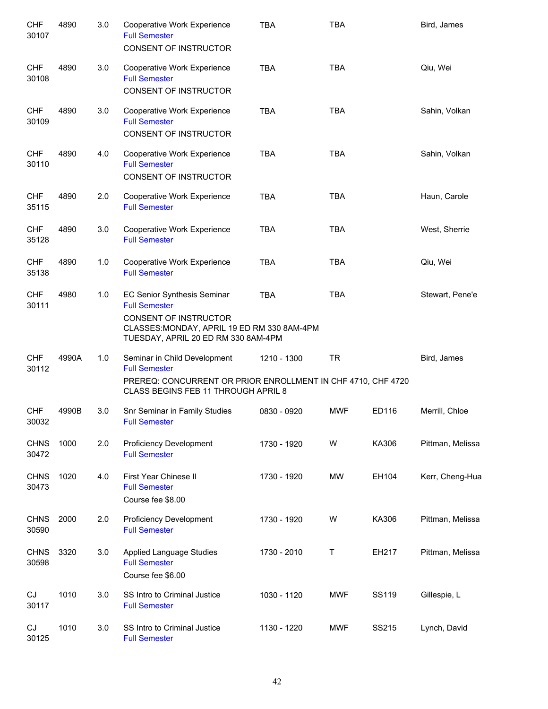| <b>CHF</b><br>30107  | 4890  | 3.0 | Cooperative Work Experience<br><b>Full Semester</b><br>CONSENT OF INSTRUCTOR                                                                                       | <b>TBA</b>  | <b>TBA</b> |       | Bird, James      |
|----------------------|-------|-----|--------------------------------------------------------------------------------------------------------------------------------------------------------------------|-------------|------------|-------|------------------|
| <b>CHF</b><br>30108  | 4890  | 3.0 | Cooperative Work Experience<br><b>Full Semester</b><br>CONSENT OF INSTRUCTOR                                                                                       | <b>TBA</b>  | <b>TBA</b> |       | Qiu, Wei         |
| <b>CHF</b><br>30109  | 4890  | 3.0 | Cooperative Work Experience<br><b>Full Semester</b><br>CONSENT OF INSTRUCTOR                                                                                       | <b>TBA</b>  | <b>TBA</b> |       | Sahin, Volkan    |
| <b>CHF</b><br>30110  | 4890  | 4.0 | Cooperative Work Experience<br><b>Full Semester</b><br>CONSENT OF INSTRUCTOR                                                                                       | <b>TBA</b>  | <b>TBA</b> |       | Sahin, Volkan    |
| <b>CHF</b><br>35115  | 4890  | 2.0 | Cooperative Work Experience<br><b>Full Semester</b>                                                                                                                | <b>TBA</b>  | <b>TBA</b> |       | Haun, Carole     |
| <b>CHF</b><br>35128  | 4890  | 3.0 | Cooperative Work Experience<br><b>Full Semester</b>                                                                                                                | <b>TBA</b>  | <b>TBA</b> |       | West, Sherrie    |
| <b>CHF</b><br>35138  | 4890  | 1.0 | Cooperative Work Experience<br><b>Full Semester</b>                                                                                                                | <b>TBA</b>  | <b>TBA</b> |       | Qiu, Wei         |
| <b>CHF</b><br>30111  | 4980  | 1.0 | EC Senior Synthesis Seminar<br><b>Full Semester</b><br>CONSENT OF INSTRUCTOR<br>CLASSES: MONDAY, APRIL 19 ED RM 330 8AM-4PM<br>TUESDAY, APRIL 20 ED RM 330 8AM-4PM | <b>TBA</b>  | <b>TBA</b> |       | Stewart, Pene'e  |
| <b>CHF</b><br>30112  | 4990A | 1.0 | Seminar in Child Development<br><b>Full Semester</b><br>PREREQ: CONCURRENT OR PRIOR ENROLLMENT IN CHF 4710, CHF 4720<br>CLASS BEGINS FEB 11 THROUGH APRIL 8        | 1210 - 1300 | <b>TR</b>  |       | Bird, James      |
| CHF<br>30032         | 4990B | 3.0 | Snr Seminar in Family Studies<br><b>Full Semester</b>                                                                                                              | 0830 - 0920 | <b>MWF</b> | ED116 | Merrill, Chloe   |
| <b>CHNS</b><br>30472 | 1000  | 2.0 | <b>Proficiency Development</b><br><b>Full Semester</b>                                                                                                             | 1730 - 1920 | W          | KA306 | Pittman, Melissa |
| <b>CHNS</b><br>30473 | 1020  | 4.0 | First Year Chinese II<br><b>Full Semester</b><br>Course fee \$8.00                                                                                                 | 1730 - 1920 | MW         | EH104 | Kerr, Cheng-Hua  |
| <b>CHNS</b><br>30590 | 2000  | 2.0 | <b>Proficiency Development</b><br><b>Full Semester</b>                                                                                                             | 1730 - 1920 | W          | KA306 | Pittman, Melissa |
| <b>CHNS</b><br>30598 | 3320  | 3.0 | Applied Language Studies<br><b>Full Semester</b><br>Course fee \$6.00                                                                                              | 1730 - 2010 | Τ          | EH217 | Pittman, Melissa |
| CJ<br>30117          | 1010  | 3.0 | SS Intro to Criminal Justice<br><b>Full Semester</b>                                                                                                               | 1030 - 1120 | <b>MWF</b> | SS119 | Gillespie, L     |
| CJ<br>30125          | 1010  | 3.0 | SS Intro to Criminal Justice<br><b>Full Semester</b>                                                                                                               | 1130 - 1220 | <b>MWF</b> | SS215 | Lynch, David     |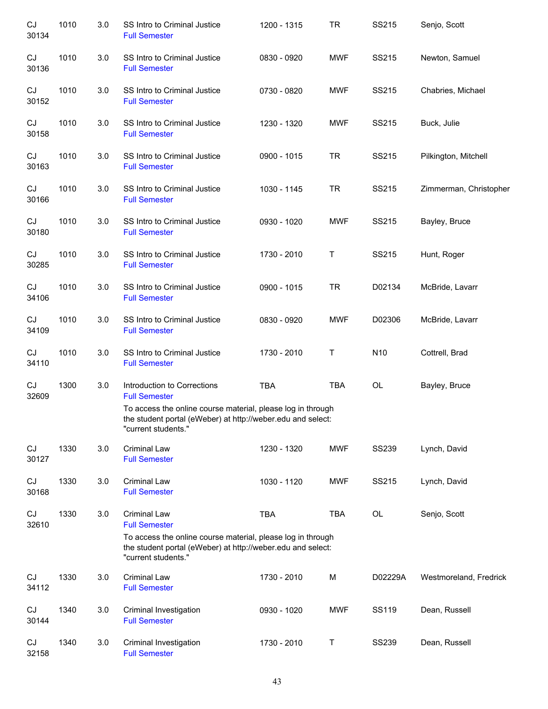| CJ<br>30134 | 1010 | 3.0 | SS Intro to Criminal Justice<br><b>Full Semester</b>                                                                                                                              | 1200 - 1315 | <b>TR</b>  | SS215        | Senjo, Scott           |
|-------------|------|-----|-----------------------------------------------------------------------------------------------------------------------------------------------------------------------------------|-------------|------------|--------------|------------------------|
| CJ<br>30136 | 1010 | 3.0 | SS Intro to Criminal Justice<br><b>Full Semester</b>                                                                                                                              | 0830 - 0920 | MWF        | SS215        | Newton, Samuel         |
| CJ<br>30152 | 1010 | 3.0 | SS Intro to Criminal Justice<br><b>Full Semester</b>                                                                                                                              | 0730 - 0820 | MWF        | SS215        | Chabries, Michael      |
| CJ<br>30158 | 1010 | 3.0 | SS Intro to Criminal Justice<br><b>Full Semester</b>                                                                                                                              | 1230 - 1320 | <b>MWF</b> | SS215        | Buck, Julie            |
| CJ<br>30163 | 1010 | 3.0 | SS Intro to Criminal Justice<br><b>Full Semester</b>                                                                                                                              | 0900 - 1015 | <b>TR</b>  | SS215        | Pilkington, Mitchell   |
| CJ<br>30166 | 1010 | 3.0 | SS Intro to Criminal Justice<br><b>Full Semester</b>                                                                                                                              | 1030 - 1145 | <b>TR</b>  | SS215        | Zimmerman, Christopher |
| CJ<br>30180 | 1010 | 3.0 | SS Intro to Criminal Justice<br><b>Full Semester</b>                                                                                                                              | 0930 - 1020 | <b>MWF</b> | SS215        | Bayley, Bruce          |
| CJ<br>30285 | 1010 | 3.0 | SS Intro to Criminal Justice<br><b>Full Semester</b>                                                                                                                              | 1730 - 2010 | Τ          | SS215        | Hunt, Roger            |
| CJ<br>34106 | 1010 | 3.0 | SS Intro to Criminal Justice<br><b>Full Semester</b>                                                                                                                              | 0900 - 1015 | <b>TR</b>  | D02134       | McBride, Lavarr        |
| CJ<br>34109 | 1010 | 3.0 | SS Intro to Criminal Justice<br><b>Full Semester</b>                                                                                                                              | 0830 - 0920 | <b>MWF</b> | D02306       | McBride, Lavarr        |
| CJ<br>34110 | 1010 | 3.0 | SS Intro to Criminal Justice<br><b>Full Semester</b>                                                                                                                              | 1730 - 2010 | T          | N10          | Cottrell, Brad         |
| CJ<br>32609 | 1300 | 3.0 | Introduction to Corrections<br><b>Full Semester</b><br>To access the online course material, please log in through<br>the student portal (eWeber) at http://weber.edu and select: | <b>TBA</b>  | <b>TBA</b> | OL           | Bayley, Bruce          |
|             |      |     | "current students."                                                                                                                                                               |             |            |              |                        |
| CJ<br>30127 | 1330 | 3.0 | <b>Criminal Law</b><br><b>Full Semester</b>                                                                                                                                       | 1230 - 1320 | <b>MWF</b> | <b>SS239</b> | Lynch, David           |
| CJ<br>30168 | 1330 | 3.0 | <b>Criminal Law</b><br><b>Full Semester</b>                                                                                                                                       | 1030 - 1120 | <b>MWF</b> | SS215        | Lynch, David           |
| CJ<br>32610 | 1330 | 3.0 | <b>Criminal Law</b><br><b>Full Semester</b>                                                                                                                                       | TBA         | <b>TBA</b> | OL           | Senjo, Scott           |
|             |      |     | To access the online course material, please log in through<br>the student portal (eWeber) at http://weber.edu and select:<br>"current students."                                 |             |            |              |                        |
| CJ<br>34112 | 1330 | 3.0 | <b>Criminal Law</b><br><b>Full Semester</b>                                                                                                                                       | 1730 - 2010 | M          | D02229A      | Westmoreland, Fredrick |
| CJ<br>30144 | 1340 | 3.0 | Criminal Investigation<br><b>Full Semester</b>                                                                                                                                    | 0930 - 1020 | <b>MWF</b> | SS119        | Dean, Russell          |
| CJ<br>32158 | 1340 | 3.0 | Criminal Investigation<br><b>Full Semester</b>                                                                                                                                    | 1730 - 2010 | T          | <b>SS239</b> | Dean, Russell          |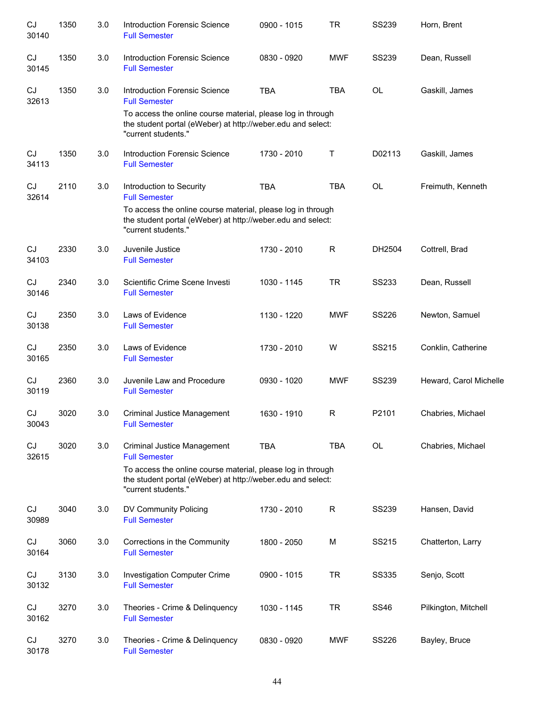| CJ<br>30140        | 1350 | 3.0 | <b>Introduction Forensic Science</b><br><b>Full Semester</b>                                                                                      | 0900 - 1015 | <b>TR</b>    | <b>SS239</b> | Horn, Brent            |
|--------------------|------|-----|---------------------------------------------------------------------------------------------------------------------------------------------------|-------------|--------------|--------------|------------------------|
| CJ<br>30145        | 1350 | 3.0 | <b>Introduction Forensic Science</b><br><b>Full Semester</b>                                                                                      | 0830 - 0920 | <b>MWF</b>   | <b>SS239</b> | Dean, Russell          |
| CJ<br>32613        | 1350 | 3.0 | <b>Introduction Forensic Science</b><br><b>Full Semester</b>                                                                                      | <b>TBA</b>  | <b>TBA</b>   | OL           | Gaskill, James         |
|                    |      |     | To access the online course material, please log in through<br>the student portal (eWeber) at http://weber.edu and select:<br>"current students." |             |              |              |                        |
| CJ<br>34113        | 1350 | 3.0 | <b>Introduction Forensic Science</b><br><b>Full Semester</b>                                                                                      | 1730 - 2010 | Τ            | D02113       | Gaskill, James         |
| CJ<br>32614        | 2110 | 3.0 | Introduction to Security<br><b>Full Semester</b>                                                                                                  | <b>TBA</b>  | <b>TBA</b>   | OL           | Freimuth, Kenneth      |
|                    |      |     | To access the online course material, please log in through<br>the student portal (eWeber) at http://weber.edu and select:<br>"current students." |             |              |              |                        |
| CJ<br>34103        | 2330 | 3.0 | Juvenile Justice<br><b>Full Semester</b>                                                                                                          | 1730 - 2010 | $\mathsf R$  | DH2504       | Cottrell, Brad         |
| CJ<br>30146        | 2340 | 3.0 | Scientific Crime Scene Investi<br><b>Full Semester</b>                                                                                            | 1030 - 1145 | <b>TR</b>    | <b>SS233</b> | Dean, Russell          |
| CJ<br>30138        | 2350 | 3.0 | Laws of Evidence<br><b>Full Semester</b>                                                                                                          | 1130 - 1220 | <b>MWF</b>   | <b>SS226</b> | Newton, Samuel         |
| CJ<br>30165        | 2350 | 3.0 | Laws of Evidence<br><b>Full Semester</b>                                                                                                          | 1730 - 2010 | W            | SS215        | Conklin, Catherine     |
| CJ<br>30119        | 2360 | 3.0 | Juvenile Law and Procedure<br><b>Full Semester</b>                                                                                                | 0930 - 1020 | <b>MWF</b>   | <b>SS239</b> | Heward, Carol Michelle |
| CJ<br>30043        | 3020 | 3.0 | <b>Criminal Justice Management</b><br><b>Full Semester</b>                                                                                        | 1630 - 1910 | R            | P2101        | Chabries, Michael      |
| CJ<br>32615        | 3020 | 3.0 | Criminal Justice Management<br><b>Full Semester</b>                                                                                               | <b>TBA</b>  | <b>TBA</b>   | <b>OL</b>    | Chabries, Michael      |
|                    |      |     | To access the online course material, please log in through<br>the student portal (eWeber) at http://weber.edu and select:<br>"current students." |             |              |              |                        |
| CJ<br>30989        | 3040 | 3.0 | DV Community Policing<br><b>Full Semester</b>                                                                                                     | 1730 - 2010 | $\mathsf{R}$ | <b>SS239</b> | Hansen, David          |
| CJ<br>30164        | 3060 | 3.0 | Corrections in the Community<br><b>Full Semester</b>                                                                                              | 1800 - 2050 | M            | SS215        | Chatterton, Larry      |
| CJ<br>30132        | 3130 | 3.0 | Investigation Computer Crime<br><b>Full Semester</b>                                                                                              | 0900 - 1015 | <b>TR</b>    | <b>SS335</b> | Senjo, Scott           |
| CJ<br>30162        | 3270 | 3.0 | Theories - Crime & Delinquency<br><b>Full Semester</b>                                                                                            | 1030 - 1145 | <b>TR</b>    | <b>SS46</b>  | Pilkington, Mitchell   |
| <b>CJ</b><br>30178 | 3270 | 3.0 | Theories - Crime & Delinquency<br><b>Full Semester</b>                                                                                            | 0830 - 0920 | <b>MWF</b>   | SS226        | Bayley, Bruce          |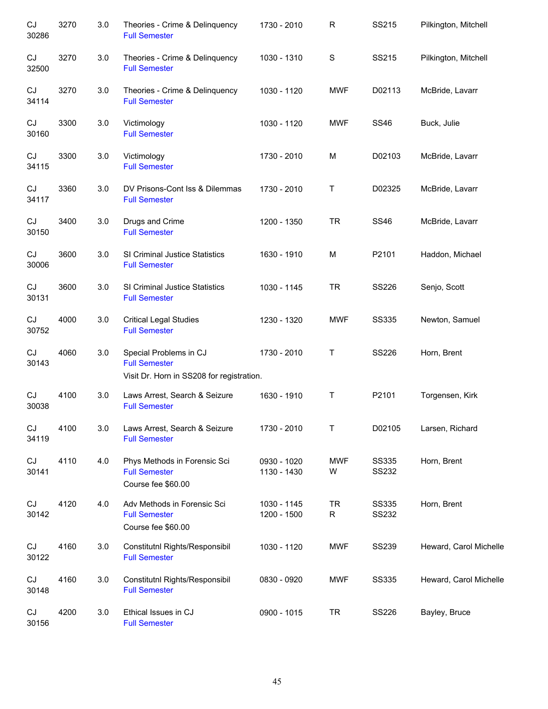| CJ<br>30286 | 3270 | 3.0 | Theories - Crime & Delinquency<br><b>Full Semester</b>                                      | 1730 - 2010                | $\mathsf R$    | SS215                 | Pilkington, Mitchell   |
|-------------|------|-----|---------------------------------------------------------------------------------------------|----------------------------|----------------|-----------------------|------------------------|
| CJ<br>32500 | 3270 | 3.0 | Theories - Crime & Delinquency<br><b>Full Semester</b>                                      | 1030 - 1310                | ${\mathsf S}$  | SS215                 | Pilkington, Mitchell   |
| CJ<br>34114 | 3270 | 3.0 | Theories - Crime & Delinquency<br><b>Full Semester</b>                                      | 1030 - 1120                | <b>MWF</b>     | D02113                | McBride, Lavarr        |
| CJ<br>30160 | 3300 | 3.0 | Victimology<br><b>Full Semester</b>                                                         | 1030 - 1120                | <b>MWF</b>     | <b>SS46</b>           | Buck, Julie            |
| CJ<br>34115 | 3300 | 3.0 | Victimology<br><b>Full Semester</b>                                                         | 1730 - 2010                | M              | D02103                | McBride, Lavarr        |
| CJ<br>34117 | 3360 | 3.0 | DV Prisons-Cont Iss & Dilemmas<br><b>Full Semester</b>                                      | 1730 - 2010                | Τ              | D02325                | McBride, Lavarr        |
| CJ<br>30150 | 3400 | 3.0 | Drugs and Crime<br><b>Full Semester</b>                                                     | 1200 - 1350                | <b>TR</b>      | <b>SS46</b>           | McBride, Lavarr        |
| CJ<br>30006 | 3600 | 3.0 | SI Criminal Justice Statistics<br><b>Full Semester</b>                                      | 1630 - 1910                | M              | P2101                 | Haddon, Michael        |
| CJ<br>30131 | 3600 | 3.0 | SI Criminal Justice Statistics<br><b>Full Semester</b>                                      | 1030 - 1145                | <b>TR</b>      | SS226                 | Senjo, Scott           |
| CJ<br>30752 | 4000 | 3.0 | <b>Critical Legal Studies</b><br><b>Full Semester</b>                                       | 1230 - 1320                | <b>MWF</b>     | <b>SS335</b>          | Newton, Samuel         |
| CJ<br>30143 | 4060 | 3.0 | Special Problems in CJ<br><b>Full Semester</b><br>Visit Dr. Horn in SS208 for registration. | 1730 - 2010                | Τ              | SS226                 | Horn, Brent            |
| CJ<br>30038 | 4100 | 3.0 | Laws Arrest, Search & Seizure<br><b>Full Semester</b>                                       | 1630 - 1910                | $\mathsf T$    | P2101                 | Torgensen, Kirk        |
| CJ<br>34119 | 4100 | 3.0 | Laws Arrest, Search & Seizure<br><b>Full Semester</b>                                       | 1730 - 2010                | Τ              | D02105                | Larsen, Richard        |
| CJ<br>30141 | 4110 | 4.0 | Phys Methods in Forensic Sci<br><b>Full Semester</b><br>Course fee \$60.00                  | 0930 - 1020<br>1130 - 1430 | MWF<br>W       | <b>SS335</b><br>SS232 | Horn, Brent            |
| CJ<br>30142 | 4120 | 4.0 | Adv Methods in Forensic Sci<br><b>Full Semester</b><br>Course fee \$60.00                   | 1030 - 1145<br>1200 - 1500 | <b>TR</b><br>R | <b>SS335</b><br>SS232 | Horn, Brent            |
| CJ<br>30122 | 4160 | 3.0 | Constitutnl Rights/Responsibil<br><b>Full Semester</b>                                      | 1030 - 1120                | <b>MWF</b>     | <b>SS239</b>          | Heward, Carol Michelle |
| CJ<br>30148 | 4160 | 3.0 | Constitutnl Rights/Responsibil<br><b>Full Semester</b>                                      | 0830 - 0920                | <b>MWF</b>     | <b>SS335</b>          | Heward, Carol Michelle |
| CJ<br>30156 | 4200 | 3.0 | Ethical Issues in CJ<br><b>Full Semester</b>                                                | 0900 - 1015                | <b>TR</b>      | SS226                 | Bayley, Bruce          |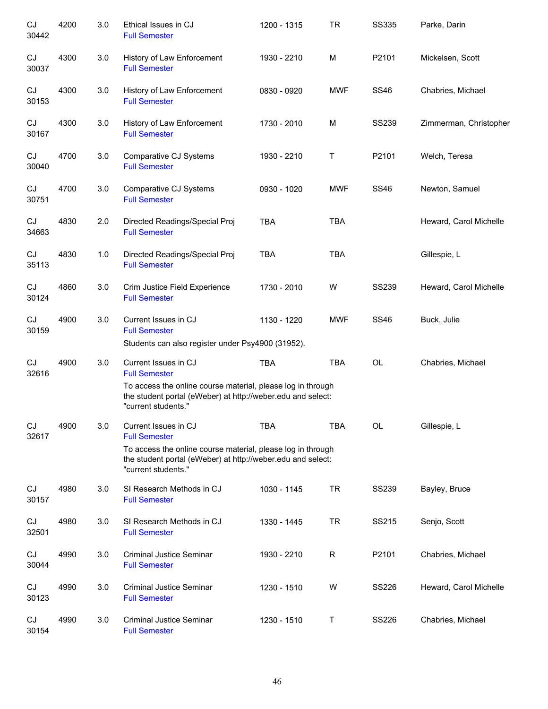| CJ<br>30442                | 4200 | 3.0 | Ethical Issues in CJ<br><b>Full Semester</b>                                                                                                                               | 1200 - 1315 | <b>TR</b>  | <b>SS335</b> | Parke, Darin           |
|----------------------------|------|-----|----------------------------------------------------------------------------------------------------------------------------------------------------------------------------|-------------|------------|--------------|------------------------|
| CJ<br>30037                | 4300 | 3.0 | History of Law Enforcement<br><b>Full Semester</b>                                                                                                                         | 1930 - 2210 | M          | P2101        | Mickelsen, Scott       |
| CJ<br>30153                | 4300 | 3.0 | History of Law Enforcement<br><b>Full Semester</b>                                                                                                                         | 0830 - 0920 | <b>MWF</b> | <b>SS46</b>  | Chabries, Michael      |
| CJ<br>30167                | 4300 | 3.0 | History of Law Enforcement<br><b>Full Semester</b>                                                                                                                         | 1730 - 2010 | M          | <b>SS239</b> | Zimmerman, Christopher |
| CJ<br>30040                | 4700 | 3.0 | Comparative CJ Systems<br><b>Full Semester</b>                                                                                                                             | 1930 - 2210 | т          | P2101        | Welch, Teresa          |
| CJ<br>30751                | 4700 | 3.0 | Comparative CJ Systems<br><b>Full Semester</b>                                                                                                                             | 0930 - 1020 | <b>MWF</b> | <b>SS46</b>  | Newton, Samuel         |
| CJ<br>34663                | 4830 | 2.0 | Directed Readings/Special Proj<br><b>Full Semester</b>                                                                                                                     | <b>TBA</b>  | <b>TBA</b> |              | Heward, Carol Michelle |
| CJ<br>35113                | 4830 | 1.0 | Directed Readings/Special Proj<br><b>Full Semester</b>                                                                                                                     | <b>TBA</b>  | <b>TBA</b> |              | Gillespie, L           |
| CJ<br>30124                | 4860 | 3.0 | Crim Justice Field Experience<br><b>Full Semester</b>                                                                                                                      | 1730 - 2010 | W          | <b>SS239</b> | Heward, Carol Michelle |
| $\mathop{\rm CJ}$<br>30159 | 4900 | 3.0 | Current Issues in CJ<br><b>Full Semester</b><br>Students can also register under Psy4900 (31952).                                                                          | 1130 - 1220 | <b>MWF</b> | <b>SS46</b>  | Buck, Julie            |
| CJ<br>32616                | 4900 | 3.0 | Current Issues in CJ<br><b>Full Semester</b><br>To access the online course material, please log in through<br>the student portal (eWeber) at http://weber.edu and select: | <b>TBA</b>  | <b>TBA</b> | OL           | Chabries, Michael      |
|                            |      |     | "current students."                                                                                                                                                        |             |            |              |                        |
| $\mathop{\rm CJ}$<br>32617 | 4900 | 3.0 | Current Issues in CJ<br><b>Full Semester</b>                                                                                                                               | TBA         | TBA        | OL           | Gillespie, L           |
|                            |      |     | To access the online course material, please log in through<br>the student portal (eWeber) at http://weber.edu and select:<br>"current students."                          |             |            |              |                        |
| CJ<br>30157                | 4980 | 3.0 | SI Research Methods in CJ<br><b>Full Semester</b>                                                                                                                          | 1030 - 1145 | <b>TR</b>  | <b>SS239</b> | Bayley, Bruce          |
| CJ<br>32501                | 4980 | 3.0 | SI Research Methods in CJ<br><b>Full Semester</b>                                                                                                                          | 1330 - 1445 | <b>TR</b>  | SS215        | Senjo, Scott           |
| CJ<br>30044                | 4990 | 3.0 | Criminal Justice Seminar<br><b>Full Semester</b>                                                                                                                           | 1930 - 2210 | R          | P2101        | Chabries, Michael      |
| CJ<br>30123                | 4990 | 3.0 | <b>Criminal Justice Seminar</b><br><b>Full Semester</b>                                                                                                                    | 1230 - 1510 | W          | SS226        | Heward, Carol Michelle |
| CJ<br>30154                | 4990 | 3.0 | <b>Criminal Justice Seminar</b><br><b>Full Semester</b>                                                                                                                    | 1230 - 1510 | Τ          | SS226        | Chabries, Michael      |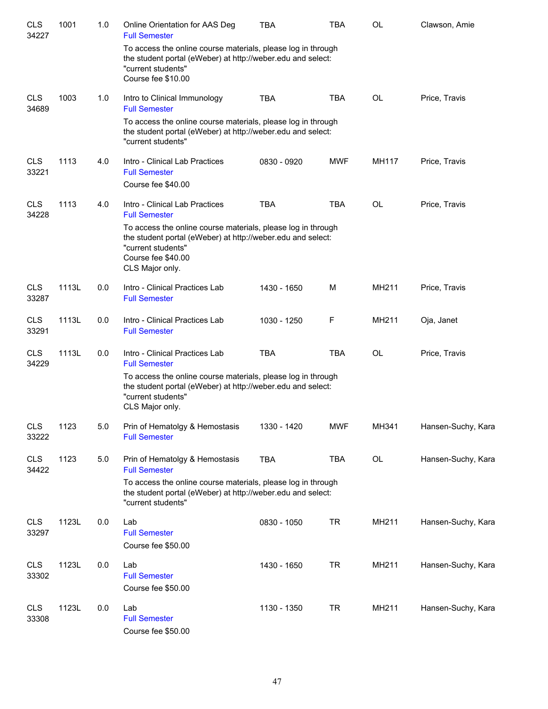| <b>CLS</b><br>34227 | 1001  | 1.0 | Online Orientation for AAS Deg<br><b>Full Semester</b>                                                                                                                                     | <b>TBA</b>  | <b>TBA</b> | OL        | Clawson, Amie      |
|---------------------|-------|-----|--------------------------------------------------------------------------------------------------------------------------------------------------------------------------------------------|-------------|------------|-----------|--------------------|
|                     |       |     | To access the online course materials, please log in through<br>the student portal (eWeber) at http://weber.edu and select:<br>"current students"<br>Course fee \$10.00                    |             |            |           |                    |
| <b>CLS</b><br>34689 | 1003  | 1.0 | Intro to Clinical Immunology<br><b>Full Semester</b>                                                                                                                                       | <b>TBA</b>  | <b>TBA</b> | OL        | Price, Travis      |
|                     |       |     | To access the online course materials, please log in through<br>the student portal (eWeber) at http://weber.edu and select:<br>"current students"                                          |             |            |           |                    |
| <b>CLS</b><br>33221 | 1113  | 4.0 | Intro - Clinical Lab Practices<br><b>Full Semester</b>                                                                                                                                     | 0830 - 0920 | <b>MWF</b> | MH117     | Price, Travis      |
|                     |       |     | Course fee \$40.00                                                                                                                                                                         |             |            |           |                    |
| <b>CLS</b><br>34228 | 1113  | 4.0 | Intro - Clinical Lab Practices<br><b>Full Semester</b>                                                                                                                                     | <b>TBA</b>  | <b>TBA</b> | <b>OL</b> | Price, Travis      |
|                     |       |     | To access the online course materials, please log in through<br>the student portal (eWeber) at http://weber.edu and select:<br>"current students"<br>Course fee \$40.00<br>CLS Major only. |             |            |           |                    |
| <b>CLS</b><br>33287 | 1113L | 0.0 | Intro - Clinical Practices Lab<br><b>Full Semester</b>                                                                                                                                     | 1430 - 1650 | М          | MH211     | Price, Travis      |
| <b>CLS</b><br>33291 | 1113L | 0.0 | Intro - Clinical Practices Lab<br><b>Full Semester</b>                                                                                                                                     | 1030 - 1250 | F          | MH211     | Oja, Janet         |
| <b>CLS</b><br>34229 | 1113L | 0.0 | Intro - Clinical Practices Lab<br><b>Full Semester</b>                                                                                                                                     | <b>TBA</b>  | <b>TBA</b> | OL        | Price, Travis      |
|                     |       |     | To access the online course materials, please log in through<br>the student portal (eWeber) at http://weber.edu and select:<br>"current students"<br>CLS Major only.                       |             |            |           |                    |
| <b>CLS</b><br>33222 | 1123  | 5.0 | Prin of Hematolgy & Hemostasis<br><b>Full Semester</b>                                                                                                                                     | 1330 - 1420 | <b>MWF</b> | MH341     | Hansen-Suchy, Kara |
| <b>CLS</b><br>34422 | 1123  | 5.0 | Prin of Hematolgy & Hemostasis<br><b>Full Semester</b>                                                                                                                                     | <b>TBA</b>  | <b>TBA</b> | OL        | Hansen-Suchy, Kara |
|                     |       |     | To access the online course materials, please log in through<br>the student portal (eWeber) at http://weber.edu and select:<br>"current students"                                          |             |            |           |                    |
| <b>CLS</b><br>33297 | 1123L | 0.0 | Lab<br><b>Full Semester</b><br>Course fee \$50.00                                                                                                                                          | 0830 - 1050 | <b>TR</b>  | MH211     | Hansen-Suchy, Kara |
| <b>CLS</b><br>33302 | 1123L | 0.0 | Lab<br><b>Full Semester</b><br>Course fee \$50.00                                                                                                                                          | 1430 - 1650 | <b>TR</b>  | MH211     | Hansen-Suchy, Kara |
| <b>CLS</b><br>33308 | 1123L | 0.0 | Lab<br><b>Full Semester</b><br>Course fee \$50.00                                                                                                                                          | 1130 - 1350 | <b>TR</b>  | MH211     | Hansen-Suchy, Kara |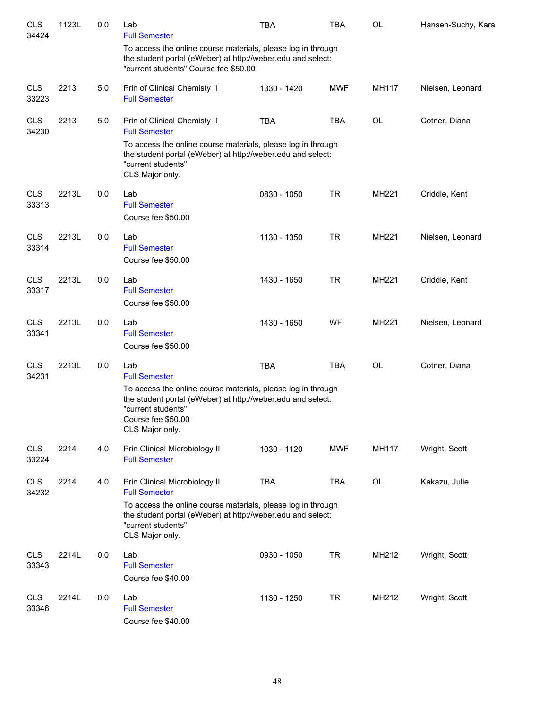| <b>CLS</b><br>34424 | 1123L | 0.0 | Lab<br><b>Full Semester</b>                                                                                                                                                                | <b>TBA</b>  | <b>TBA</b> | OL           | Hansen-Suchy, Kara |
|---------------------|-------|-----|--------------------------------------------------------------------------------------------------------------------------------------------------------------------------------------------|-------------|------------|--------------|--------------------|
|                     |       |     | To access the online course materials, please log in through<br>the student portal (eWeber) at http://weber.edu and select:<br>"current students" Course fee \$50.00                       |             |            |              |                    |
| <b>CLS</b><br>33223 | 2213  | 5.0 | Prin of Clinical Chemisty II<br><b>Full Semester</b>                                                                                                                                       | 1330 - 1420 | <b>MWF</b> | MH117        | Nielsen, Leonard   |
| <b>CLS</b><br>34230 | 2213  | 5.0 | Prin of Clinical Chemisty II<br><b>Full Semester</b><br>To access the online course materials, please log in through                                                                       | <b>TBA</b>  | <b>TBA</b> | OL           | Cotner, Diana      |
|                     |       |     | the student portal (eWeber) at http://weber.edu and select:<br>"current students"<br>CLS Major only.                                                                                       |             |            |              |                    |
| <b>CLS</b><br>33313 | 2213L | 0.0 | Lab<br><b>Full Semester</b><br>Course fee \$50.00                                                                                                                                          | 0830 - 1050 | <b>TR</b>  | MH221        | Criddle, Kent      |
| <b>CLS</b><br>33314 | 2213L | 0.0 | Lab<br><b>Full Semester</b><br>Course fee \$50.00                                                                                                                                          | 1130 - 1350 | <b>TR</b>  | <b>MH221</b> | Nielsen, Leonard   |
| <b>CLS</b><br>33317 | 2213L | 0.0 | Lab<br><b>Full Semester</b><br>Course fee \$50.00                                                                                                                                          | 1430 - 1650 | <b>TR</b>  | MH221        | Criddle, Kent      |
| <b>CLS</b><br>33341 | 2213L | 0.0 | Lab<br><b>Full Semester</b><br>Course fee \$50.00                                                                                                                                          | 1430 - 1650 | WF         | MH221        | Nielsen, Leonard   |
| <b>CLS</b><br>34231 | 2213L | 0.0 | Lab<br><b>Full Semester</b>                                                                                                                                                                | <b>TBA</b>  | <b>TBA</b> | OL           | Cotner, Diana      |
|                     |       |     | To access the online course materials, please log in through<br>the student portal (eWeber) at http://weber.edu and select:<br>"current students"<br>Course fee \$50.00<br>CLS Major only. |             |            |              |                    |
| <b>CLS</b><br>33224 | 2214  | 4.0 | Prin Clinical Microbiology II<br><b>Full Semester</b>                                                                                                                                      | 1030 - 1120 | <b>MWF</b> | MH117        | Wright, Scott      |
| <b>CLS</b><br>34232 | 2214  | 4.0 | Prin Clinical Microbiology II<br><b>Full Semester</b>                                                                                                                                      | <b>TBA</b>  | <b>TBA</b> | OL           | Kakazu, Julie      |
|                     |       |     | To access the online course materials, please log in through<br>the student portal (eWeber) at http://weber.edu and select:<br>"current students"<br>CLS Major only.                       |             |            |              |                    |
| <b>CLS</b><br>33343 | 2214L | 0.0 | Lab<br><b>Full Semester</b><br>Course fee \$40.00                                                                                                                                          | 0930 - 1050 | <b>TR</b>  | MH212        | Wright, Scott      |
| <b>CLS</b><br>33346 | 2214L | 0.0 | Lab<br><b>Full Semester</b><br>Course fee \$40.00                                                                                                                                          | 1130 - 1250 | <b>TR</b>  | MH212        | Wright, Scott      |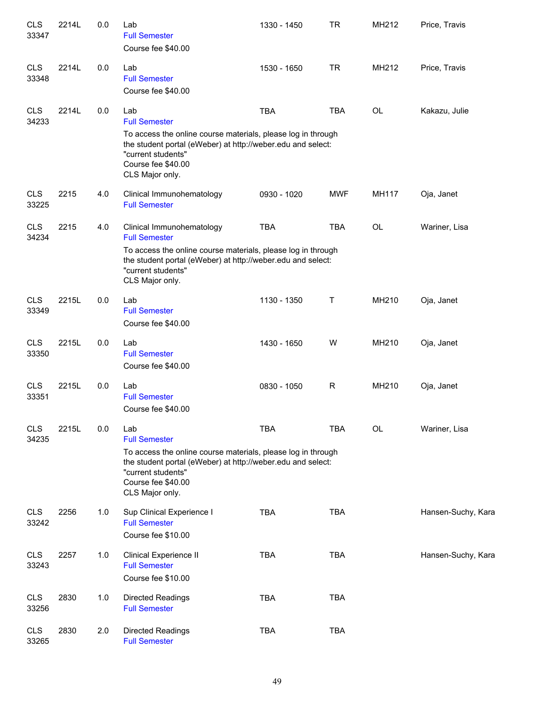| <b>CLS</b><br>33347 | 2214L | 0.0 | Lab<br><b>Full Semester</b><br>Course fee \$40.00                                                                                                                                | 1330 - 1450 | <b>TR</b>    | MH212 | Price, Travis      |
|---------------------|-------|-----|----------------------------------------------------------------------------------------------------------------------------------------------------------------------------------|-------------|--------------|-------|--------------------|
| <b>CLS</b><br>33348 | 2214L | 0.0 | Lab<br><b>Full Semester</b><br>Course fee \$40.00                                                                                                                                | 1530 - 1650 | <b>TR</b>    | MH212 | Price, Travis      |
| <b>CLS</b><br>34233 | 2214L | 0.0 | Lab<br><b>Full Semester</b><br>To access the online course materials, please log in through<br>the student portal (eWeber) at http://weber.edu and select:<br>"current students" | <b>TBA</b>  | <b>TBA</b>   | OL    | Kakazu, Julie      |
|                     |       |     | Course fee \$40.00<br>CLS Major only.                                                                                                                                            |             |              |       |                    |
| <b>CLS</b><br>33225 | 2215  | 4.0 | Clinical Immunohematology<br><b>Full Semester</b>                                                                                                                                | 0930 - 1020 | <b>MWF</b>   | MH117 | Oja, Janet         |
| <b>CLS</b><br>34234 | 2215  | 4.0 | Clinical Immunohematology<br><b>Full Semester</b>                                                                                                                                | <b>TBA</b>  | <b>TBA</b>   | OL    | Wariner, Lisa      |
|                     |       |     | To access the online course materials, please log in through<br>the student portal (eWeber) at http://weber.edu and select:<br>"current students"<br>CLS Major only.             |             |              |       |                    |
| <b>CLS</b><br>33349 | 2215L | 0.0 | Lab<br><b>Full Semester</b><br>Course fee \$40.00                                                                                                                                | 1130 - 1350 | T            | MH210 | Oja, Janet         |
| <b>CLS</b><br>33350 | 2215L | 0.0 | Lab<br><b>Full Semester</b><br>Course fee \$40.00                                                                                                                                | 1430 - 1650 | W            | MH210 | Oja, Janet         |
| <b>CLS</b><br>33351 | 2215L | 0.0 | Lab<br><b>Full Semester</b><br>Course fee \$40.00                                                                                                                                | 0830 - 1050 | $\mathsf{R}$ | MH210 | Oja, Janet         |
| <b>CLS</b><br>34235 | 2215L | 0.0 | Lab<br><b>Full Semester</b><br>To access the online course materials, please log in through<br>the student portal (eWeber) at http://weber.edu and select:                       | <b>TBA</b>  | <b>TBA</b>   | OL    | Wariner, Lisa      |
|                     |       |     | "current students"<br>Course fee \$40.00<br>CLS Major only.                                                                                                                      |             |              |       |                    |
| <b>CLS</b><br>33242 | 2256  | 1.0 | Sup Clinical Experience I<br><b>Full Semester</b><br>Course fee \$10.00                                                                                                          | <b>TBA</b>  | <b>TBA</b>   |       | Hansen-Suchy, Kara |
| <b>CLS</b><br>33243 | 2257  | 1.0 | Clinical Experience II<br><b>Full Semester</b><br>Course fee \$10.00                                                                                                             | <b>TBA</b>  | <b>TBA</b>   |       | Hansen-Suchy, Kara |
| <b>CLS</b><br>33256 | 2830  | 1.0 | <b>Directed Readings</b><br><b>Full Semester</b>                                                                                                                                 | <b>TBA</b>  | <b>TBA</b>   |       |                    |
| <b>CLS</b><br>33265 | 2830  | 2.0 | Directed Readings<br><b>Full Semester</b>                                                                                                                                        | <b>TBA</b>  | <b>TBA</b>   |       |                    |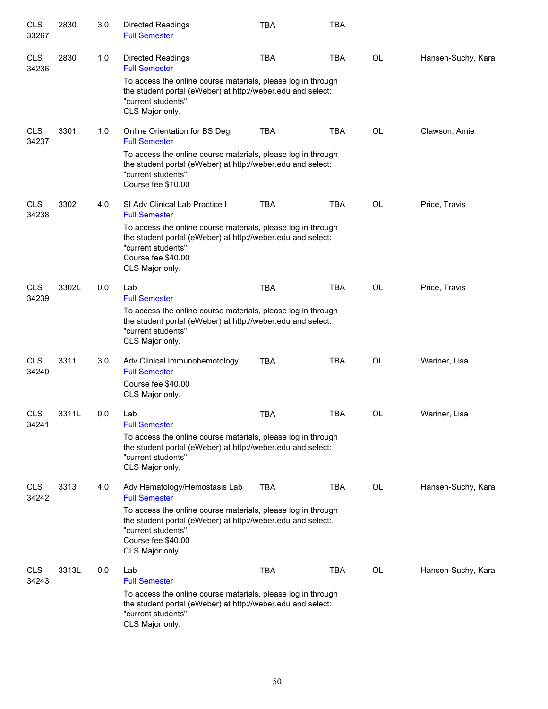| <b>CLS</b><br>33267 | 2830  | 3.0 | <b>Directed Readings</b><br><b>Full Semester</b>                                                                                                                                           | <b>TBA</b> | <b>TBA</b> |           |                    |
|---------------------|-------|-----|--------------------------------------------------------------------------------------------------------------------------------------------------------------------------------------------|------------|------------|-----------|--------------------|
| <b>CLS</b><br>34236 | 2830  | 1.0 | <b>Directed Readings</b><br><b>Full Semester</b>                                                                                                                                           | <b>TBA</b> | <b>TBA</b> | <b>OL</b> | Hansen-Suchy, Kara |
|                     |       |     | To access the online course materials, please log in through<br>the student portal (eWeber) at http://weber.edu and select:<br>"current students"<br>CLS Major only.                       |            |            |           |                    |
| <b>CLS</b><br>34237 | 3301  | 1.0 | Online Orientation for BS Degr<br><b>Full Semester</b>                                                                                                                                     | <b>TBA</b> | <b>TBA</b> | <b>OL</b> | Clawson, Amie      |
|                     |       |     | To access the online course materials, please log in through<br>the student portal (eWeber) at http://weber.edu and select:<br>"current students"<br>Course fee \$10.00                    |            |            |           |                    |
| <b>CLS</b><br>34238 | 3302  | 4.0 | SI Adv Clinical Lab Practice I<br><b>Full Semester</b>                                                                                                                                     | <b>TBA</b> | <b>TBA</b> | <b>OL</b> | Price, Travis      |
|                     |       |     | To access the online course materials, please log in through<br>the student portal (eWeber) at http://weber.edu and select:<br>"current students"<br>Course fee \$40.00<br>CLS Major only. |            |            |           |                    |
| <b>CLS</b><br>34239 | 3302L | 0.0 | Lab<br><b>Full Semester</b>                                                                                                                                                                | <b>TBA</b> | <b>TBA</b> | <b>OL</b> | Price, Travis      |
|                     |       |     | To access the online course materials, please log in through<br>the student portal (eWeber) at http://weber.edu and select:<br>"current students"<br>CLS Major only.                       |            |            |           |                    |
| <b>CLS</b><br>34240 | 3311  | 3.0 | Adv Clinical Immunohemotology<br><b>Full Semester</b>                                                                                                                                      | <b>TBA</b> | <b>TBA</b> | <b>OL</b> | Wariner, Lisa      |
|                     |       |     | Course fee \$40.00<br>CLS Major only.                                                                                                                                                      |            |            |           |                    |
| <b>CLS</b><br>34241 | 3311L | 0.0 | Lab<br><b>Full Semester</b>                                                                                                                                                                | <b>TBA</b> | <b>TBA</b> | OL        | Wariner, Lisa      |
|                     |       |     | To access the online course materials, please log in through<br>the student portal (eWeber) at http://weber.edu and select:<br>"current students"<br>CLS Major only.                       |            |            |           |                    |
| <b>CLS</b><br>34242 | 3313  | 4.0 | Adv Hematology/Hemostasis Lab<br><b>Full Semester</b>                                                                                                                                      | <b>TBA</b> | <b>TBA</b> | OL        | Hansen-Suchy, Kara |
|                     |       |     | To access the online course materials, please log in through<br>the student portal (eWeber) at http://weber.edu and select:<br>"current students"<br>Course fee \$40.00<br>CLS Major only. |            |            |           |                    |
| <b>CLS</b><br>34243 | 3313L | 0.0 | Lab<br><b>Full Semester</b>                                                                                                                                                                | <b>TBA</b> | TBA        | OL        | Hansen-Suchy, Kara |
|                     |       |     | To access the online course materials, please log in through<br>the student portal (eWeber) at http://weber.edu and select:<br>"current students"<br>CLS Major only.                       |            |            |           |                    |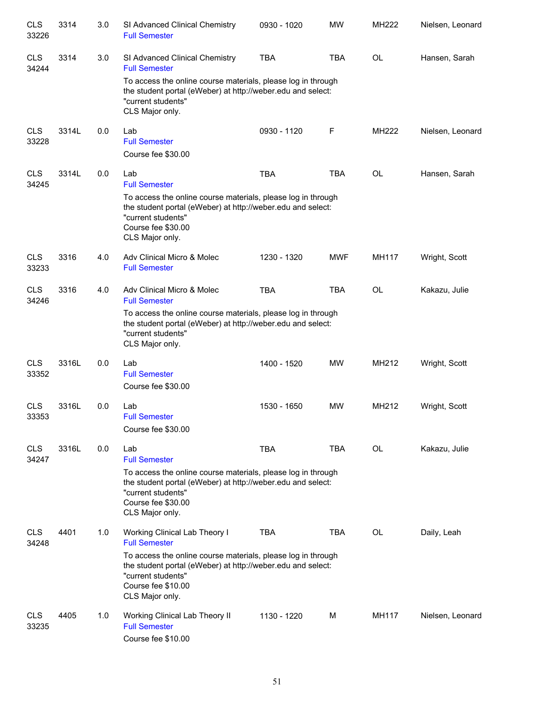| <b>CLS</b><br>33226 | 3314  | 3.0 | SI Advanced Clinical Chemistry<br><b>Full Semester</b>                                                                                                                                     | 0930 - 1020 | <b>MW</b>  | <b>MH222</b> | Nielsen, Leonard |
|---------------------|-------|-----|--------------------------------------------------------------------------------------------------------------------------------------------------------------------------------------------|-------------|------------|--------------|------------------|
| <b>CLS</b><br>34244 | 3314  | 3.0 | SI Advanced Clinical Chemistry<br><b>Full Semester</b>                                                                                                                                     | <b>TBA</b>  | <b>TBA</b> | <b>OL</b>    | Hansen, Sarah    |
|                     |       |     | To access the online course materials, please log in through<br>the student portal (eWeber) at http://weber.edu and select:<br>"current students"<br>CLS Major only.                       |             |            |              |                  |
| <b>CLS</b><br>33228 | 3314L | 0.0 | Lab<br><b>Full Semester</b><br>Course fee \$30.00                                                                                                                                          | 0930 - 1120 | F          | <b>MH222</b> | Nielsen, Leonard |
| <b>CLS</b><br>34245 | 3314L | 0.0 | Lab<br><b>Full Semester</b>                                                                                                                                                                | <b>TBA</b>  | <b>TBA</b> | OL           | Hansen, Sarah    |
|                     |       |     | To access the online course materials, please log in through<br>the student portal (eWeber) at http://weber.edu and select:<br>"current students"<br>Course fee \$30.00<br>CLS Major only. |             |            |              |                  |
| <b>CLS</b><br>33233 | 3316  | 4.0 | Adv Clinical Micro & Molec<br><b>Full Semester</b>                                                                                                                                         | 1230 - 1320 | <b>MWF</b> | <b>MH117</b> | Wright, Scott    |
| <b>CLS</b><br>34246 | 3316  | 4.0 | Adv Clinical Micro & Molec<br><b>Full Semester</b>                                                                                                                                         | <b>TBA</b>  | <b>TBA</b> | OL           | Kakazu, Julie    |
|                     |       |     | To access the online course materials, please log in through<br>the student portal (eWeber) at http://weber.edu and select:<br>"current students"<br>CLS Major only.                       |             |            |              |                  |
| <b>CLS</b><br>33352 | 3316L | 0.0 | Lab<br><b>Full Semester</b><br>Course fee \$30.00                                                                                                                                          | 1400 - 1520 | <b>MW</b>  | MH212        | Wright, Scott    |
| <b>CLS</b><br>33353 | 3316L | 0.0 | Lab<br><b>Full Semester</b><br>Course fee \$30.00                                                                                                                                          | 1530 - 1650 | <b>MW</b>  | MH212        | Wright, Scott    |
| <b>CLS</b><br>34247 | 3316L | 0.0 | Lab<br><b>Full Semester</b>                                                                                                                                                                | <b>TBA</b>  | <b>TBA</b> | <b>OL</b>    | Kakazu, Julie    |
|                     |       |     | To access the online course materials, please log in through<br>the student portal (eWeber) at http://weber.edu and select:<br>"current students"<br>Course fee \$30.00<br>CLS Major only. |             |            |              |                  |
| <b>CLS</b><br>34248 | 4401  | 1.0 | Working Clinical Lab Theory I<br><b>Full Semester</b>                                                                                                                                      | <b>TBA</b>  | TBA        | OL           | Daily, Leah      |
|                     |       |     | To access the online course materials, please log in through<br>the student portal (eWeber) at http://weber.edu and select:<br>"current students"<br>Course fee \$10.00<br>CLS Major only. |             |            |              |                  |
| <b>CLS</b><br>33235 | 4405  | 1.0 | Working Clinical Lab Theory II<br><b>Full Semester</b><br>Course fee \$10.00                                                                                                               | 1130 - 1220 | M          | <b>MH117</b> | Nielsen, Leonard |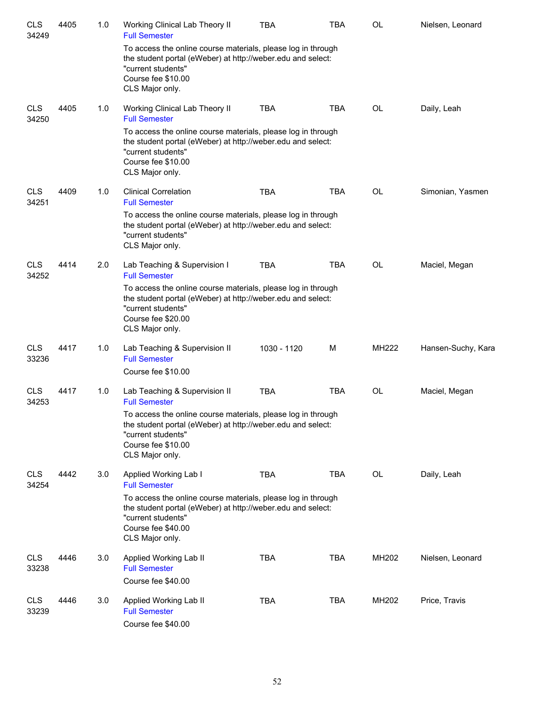| <b>CLS</b><br>34249 | 4405 | 1.0 | Working Clinical Lab Theory II<br><b>Full Semester</b>                                                                                                                                     | TBA         | TBA        | OL        | Nielsen, Leonard   |
|---------------------|------|-----|--------------------------------------------------------------------------------------------------------------------------------------------------------------------------------------------|-------------|------------|-----------|--------------------|
|                     |      |     | To access the online course materials, please log in through<br>the student portal (eWeber) at http://weber.edu and select:<br>"current students"<br>Course fee \$10.00<br>CLS Major only. |             |            |           |                    |
| <b>CLS</b><br>34250 | 4405 | 1.0 | Working Clinical Lab Theory II<br><b>Full Semester</b>                                                                                                                                     | <b>TBA</b>  | <b>TBA</b> | OL        | Daily, Leah        |
|                     |      |     | To access the online course materials, please log in through<br>the student portal (eWeber) at http://weber.edu and select:<br>"current students"<br>Course fee \$10.00<br>CLS Major only. |             |            |           |                    |
| <b>CLS</b><br>34251 | 4409 | 1.0 | <b>Clinical Correlation</b><br><b>Full Semester</b>                                                                                                                                        | <b>TBA</b>  | <b>TBA</b> | <b>OL</b> | Simonian, Yasmen   |
|                     |      |     | To access the online course materials, please log in through<br>the student portal (eWeber) at http://weber.edu and select:<br>"current students"<br>CLS Major only.                       |             |            |           |                    |
| <b>CLS</b><br>34252 | 4414 | 2.0 | Lab Teaching & Supervision I<br><b>Full Semester</b>                                                                                                                                       | <b>TBA</b>  | <b>TBA</b> | OL        | Maciel, Megan      |
|                     |      |     | To access the online course materials, please log in through<br>the student portal (eWeber) at http://weber.edu and select:<br>"current students"<br>Course fee \$20.00<br>CLS Major only. |             |            |           |                    |
| <b>CLS</b><br>33236 | 4417 | 1.0 | Lab Teaching & Supervision II<br><b>Full Semester</b><br>Course fee \$10.00                                                                                                                | 1030 - 1120 | М          | MH222     | Hansen-Suchy, Kara |
| <b>CLS</b><br>34253 | 4417 | 1.0 | Lab Teaching & Supervision II<br><b>Full Semester</b>                                                                                                                                      | <b>TBA</b>  | <b>TBA</b> | OL        | Maciel, Megan      |
|                     |      |     | To access the online course materials, please log in through<br>the student portal (eWeber) at http://weber.edu and select:<br>"current students"<br>Course fee \$10.00<br>CLS Major only. |             |            |           |                    |
| <b>CLS</b><br>34254 | 4442 | 3.0 | Applied Working Lab I<br><b>Full Semester</b>                                                                                                                                              | <b>TBA</b>  | <b>TBA</b> | OL        | Daily, Leah        |
|                     |      |     | To access the online course materials, please log in through<br>the student portal (eWeber) at http://weber.edu and select:<br>"current students"<br>Course fee \$40.00<br>CLS Major only. |             |            |           |                    |
| <b>CLS</b><br>33238 | 4446 | 3.0 | Applied Working Lab II<br><b>Full Semester</b><br>Course fee \$40.00                                                                                                                       | <b>TBA</b>  | <b>TBA</b> | MH202     | Nielsen, Leonard   |
| <b>CLS</b><br>33239 | 4446 | 3.0 | Applied Working Lab II<br><b>Full Semester</b><br>Course fee \$40.00                                                                                                                       | <b>TBA</b>  | <b>TBA</b> | MH202     | Price, Travis      |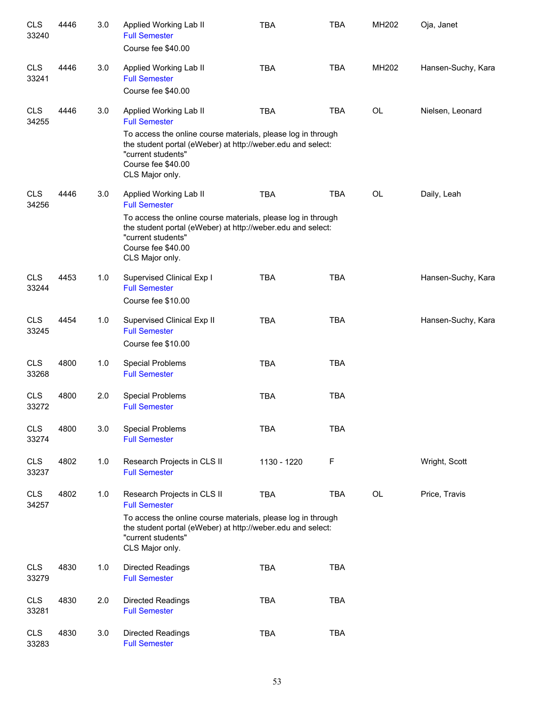| <b>CLS</b><br>33240 | 4446 | 3.0     | Applied Working Lab II<br><b>Full Semester</b><br>Course fee \$40.00                                                                                                                       | <b>TBA</b>  | <b>TBA</b> | MH202 | Oja, Janet         |
|---------------------|------|---------|--------------------------------------------------------------------------------------------------------------------------------------------------------------------------------------------|-------------|------------|-------|--------------------|
| <b>CLS</b><br>33241 | 4446 | 3.0     | Applied Working Lab II<br><b>Full Semester</b><br>Course fee \$40.00                                                                                                                       | <b>TBA</b>  | <b>TBA</b> | MH202 | Hansen-Suchy, Kara |
| <b>CLS</b><br>34255 | 4446 | 3.0     | Applied Working Lab II<br><b>Full Semester</b>                                                                                                                                             | <b>TBA</b>  | <b>TBA</b> | OL    | Nielsen, Leonard   |
|                     |      |         | To access the online course materials, please log in through<br>the student portal (eWeber) at http://weber.edu and select:<br>"current students"<br>Course fee \$40.00<br>CLS Major only. |             |            |       |                    |
| <b>CLS</b><br>34256 | 4446 | 3.0     | Applied Working Lab II<br><b>Full Semester</b>                                                                                                                                             | <b>TBA</b>  | <b>TBA</b> | OL    | Daily, Leah        |
|                     |      |         | To access the online course materials, please log in through<br>the student portal (eWeber) at http://weber.edu and select:<br>"current students"<br>Course fee \$40.00<br>CLS Major only. |             |            |       |                    |
| <b>CLS</b><br>33244 | 4453 | 1.0     | Supervised Clinical Exp I<br><b>Full Semester</b><br>Course fee \$10.00                                                                                                                    | <b>TBA</b>  | <b>TBA</b> |       | Hansen-Suchy, Kara |
| <b>CLS</b><br>33245 | 4454 | 1.0     | Supervised Clinical Exp II<br><b>Full Semester</b><br>Course fee \$10.00                                                                                                                   | <b>TBA</b>  | <b>TBA</b> |       | Hansen-Suchy, Kara |
| <b>CLS</b><br>33268 | 4800 | 1.0     | <b>Special Problems</b><br><b>Full Semester</b>                                                                                                                                            | <b>TBA</b>  | <b>TBA</b> |       |                    |
| <b>CLS</b><br>33272 | 4800 | 2.0     | <b>Special Problems</b><br><b>Full Semester</b>                                                                                                                                            | <b>TBA</b>  | <b>TBA</b> |       |                    |
| <b>CLS</b><br>33274 | 4800 | $3.0\,$ | <b>Special Problems</b><br><b>Full Semester</b>                                                                                                                                            | <b>TBA</b>  | <b>TBA</b> |       |                    |
| <b>CLS</b><br>33237 | 4802 | 1.0     | Research Projects in CLS II<br><b>Full Semester</b>                                                                                                                                        | 1130 - 1220 | F          |       | Wright, Scott      |
| <b>CLS</b><br>34257 | 4802 | 1.0     | Research Projects in CLS II<br><b>Full Semester</b>                                                                                                                                        | TBA         | <b>TBA</b> | OL    | Price, Travis      |
|                     |      |         | To access the online course materials, please log in through<br>the student portal (eWeber) at http://weber.edu and select:<br>"current students"<br>CLS Major only.                       |             |            |       |                    |
| <b>CLS</b><br>33279 | 4830 | 1.0     | <b>Directed Readings</b><br><b>Full Semester</b>                                                                                                                                           | <b>TBA</b>  | <b>TBA</b> |       |                    |
| <b>CLS</b><br>33281 | 4830 | 2.0     | <b>Directed Readings</b><br><b>Full Semester</b>                                                                                                                                           | <b>TBA</b>  | <b>TBA</b> |       |                    |
| <b>CLS</b><br>33283 | 4830 | 3.0     | <b>Directed Readings</b><br><b>Full Semester</b>                                                                                                                                           | <b>TBA</b>  | <b>TBA</b> |       |                    |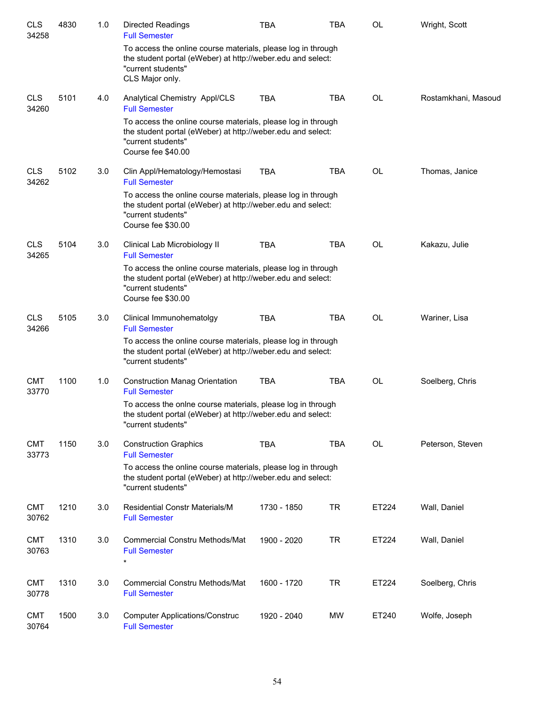| <b>CLS</b><br>34258 | 4830 | 1.0 | <b>Directed Readings</b><br><b>Full Semester</b>                                                                                                                        | <b>TBA</b>  | <b>TBA</b> | <b>OL</b> | Wright, Scott       |
|---------------------|------|-----|-------------------------------------------------------------------------------------------------------------------------------------------------------------------------|-------------|------------|-----------|---------------------|
|                     |      |     | To access the online course materials, please log in through<br>the student portal (eWeber) at http://weber.edu and select:<br>"current students"<br>CLS Major only.    |             |            |           |                     |
| <b>CLS</b><br>34260 | 5101 | 4.0 | Analytical Chemistry Appl/CLS<br><b>Full Semester</b>                                                                                                                   | <b>TBA</b>  | <b>TBA</b> | OL        | Rostamkhani, Masoud |
|                     |      |     | To access the online course materials, please log in through<br>the student portal (eWeber) at http://weber.edu and select:<br>"current students"<br>Course fee \$40.00 |             |            |           |                     |
| <b>CLS</b><br>34262 | 5102 | 3.0 | Clin Appl/Hematology/Hemostasi<br><b>Full Semester</b>                                                                                                                  | <b>TBA</b>  | <b>TBA</b> | OL        | Thomas, Janice      |
|                     |      |     | To access the online course materials, please log in through<br>the student portal (eWeber) at http://weber.edu and select:<br>"current students"<br>Course fee \$30.00 |             |            |           |                     |
| <b>CLS</b><br>34265 | 5104 | 3.0 | Clinical Lab Microbiology II<br><b>Full Semester</b>                                                                                                                    | <b>TBA</b>  | <b>TBA</b> | <b>OL</b> | Kakazu, Julie       |
|                     |      |     | To access the online course materials, please log in through<br>the student portal (eWeber) at http://weber.edu and select:<br>"current students"<br>Course fee \$30.00 |             |            |           |                     |
| <b>CLS</b><br>34266 | 5105 | 3.0 | Clinical Immunohematolgy<br><b>Full Semester</b>                                                                                                                        | <b>TBA</b>  | <b>TBA</b> | <b>OL</b> | Wariner, Lisa       |
|                     |      |     | To access the online course materials, please log in through<br>the student portal (eWeber) at http://weber.edu and select:<br>"current students"                       |             |            |           |                     |
| <b>CMT</b><br>33770 | 1100 | 1.0 | <b>Construction Manag Orientation</b><br><b>Full Semester</b>                                                                                                           | <b>TBA</b>  | <b>TBA</b> | OL        | Soelberg, Chris     |
|                     |      |     | To access the onlne course materials, please log in through<br>the student portal (eWeber) at http://weber.edu and select:<br>"current students"                        |             |            |           |                     |
| <b>CMT</b><br>33773 | 1150 | 3.0 | <b>Construction Graphics</b><br><b>Full Semester</b>                                                                                                                    | <b>TBA</b>  | <b>TBA</b> | <b>OL</b> | Peterson, Steven    |
|                     |      |     | To access the online course materials, please log in through<br>the student portal (eWeber) at http://weber.edu and select:<br>"current students"                       |             |            |           |                     |
| <b>CMT</b><br>30762 | 1210 | 3.0 | <b>Residential Constr Materials/M</b><br><b>Full Semester</b>                                                                                                           | 1730 - 1850 | <b>TR</b>  | ET224     | Wall, Daniel        |
| <b>CMT</b><br>30763 | 1310 | 3.0 | <b>Commercial Constru Methods/Mat</b><br><b>Full Semester</b><br>$\star$                                                                                                | 1900 - 2020 | <b>TR</b>  | ET224     | Wall, Daniel        |
| <b>CMT</b><br>30778 | 1310 | 3.0 | Commercial Constru Methods/Mat<br><b>Full Semester</b>                                                                                                                  | 1600 - 1720 | <b>TR</b>  | ET224     | Soelberg, Chris     |
| <b>CMT</b><br>30764 | 1500 | 3.0 | <b>Computer Applications/Construc</b><br><b>Full Semester</b>                                                                                                           | 1920 - 2040 | MW         | ET240     | Wolfe, Joseph       |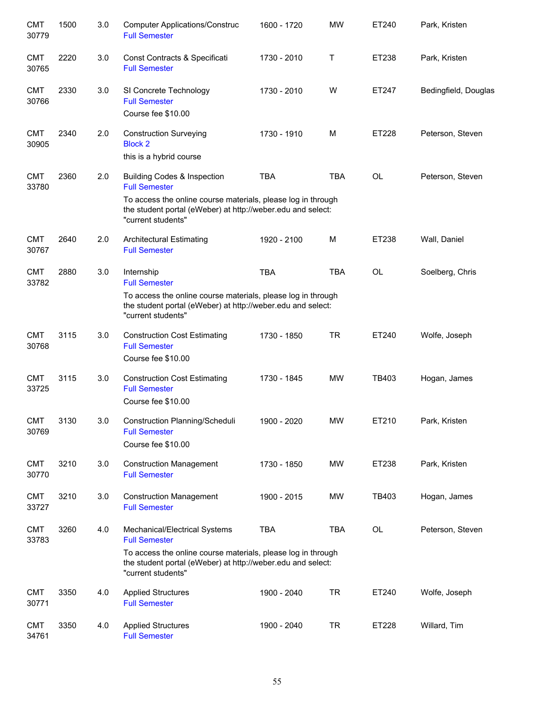| <b>CMT</b><br>30779 | 1500 | 3.0 | <b>Computer Applications/Construc</b><br><b>Full Semester</b>                                                                                     | 1600 - 1720 | <b>MW</b>  | ET240     | Park, Kristen        |
|---------------------|------|-----|---------------------------------------------------------------------------------------------------------------------------------------------------|-------------|------------|-----------|----------------------|
| <b>CMT</b><br>30765 | 2220 | 3.0 | Const Contracts & Specificati<br><b>Full Semester</b>                                                                                             | 1730 - 2010 | Т          | ET238     | Park, Kristen        |
| <b>CMT</b><br>30766 | 2330 | 3.0 | SI Concrete Technology<br><b>Full Semester</b><br>Course fee \$10.00                                                                              | 1730 - 2010 | W          | ET247     | Bedingfield, Douglas |
| <b>CMT</b><br>30905 | 2340 | 2.0 | <b>Construction Surveying</b><br><b>Block 2</b><br>this is a hybrid course                                                                        | 1730 - 1910 | M          | ET228     | Peterson, Steven     |
| <b>CMT</b><br>33780 | 2360 | 2.0 | <b>Building Codes &amp; Inspection</b><br><b>Full Semester</b>                                                                                    | <b>TBA</b>  | <b>TBA</b> | <b>OL</b> | Peterson, Steven     |
|                     |      |     | To access the online course materials, please log in through<br>the student portal (eWeber) at http://weber.edu and select:<br>"current students" |             |            |           |                      |
| <b>CMT</b><br>30767 | 2640 | 2.0 | <b>Architectural Estimating</b><br><b>Full Semester</b>                                                                                           | 1920 - 2100 | M          | ET238     | Wall, Daniel         |
| <b>CMT</b><br>33782 | 2880 | 3.0 | Internship<br><b>Full Semester</b>                                                                                                                | <b>TBA</b>  | <b>TBA</b> | OL        | Soelberg, Chris      |
|                     |      |     | To access the online course materials, please log in through<br>the student portal (eWeber) at http://weber.edu and select:<br>"current students" |             |            |           |                      |
| <b>CMT</b><br>30768 | 3115 | 3.0 | <b>Construction Cost Estimating</b><br><b>Full Semester</b><br>Course fee \$10.00                                                                 | 1730 - 1850 | <b>TR</b>  | ET240     | Wolfe, Joseph        |
| <b>CMT</b><br>33725 | 3115 | 3.0 | <b>Construction Cost Estimating</b><br><b>Full Semester</b><br>Course fee \$10.00                                                                 | 1730 - 1845 | <b>MW</b>  | TB403     | Hogan, James         |
| <b>CMT</b><br>30769 | 3130 | 3.0 | Construction Planning/Scheduli<br><b>Full Semester</b><br>Course fee \$10.00                                                                      | 1900 - 2020 | MW         | ET210     | Park, Kristen        |
| <b>CMT</b><br>30770 | 3210 | 3.0 | <b>Construction Management</b><br><b>Full Semester</b>                                                                                            | 1730 - 1850 | MW         | ET238     | Park, Kristen        |
| <b>CMT</b><br>33727 | 3210 | 3.0 | <b>Construction Management</b><br><b>Full Semester</b>                                                                                            | 1900 - 2015 | MW         | TB403     | Hogan, James         |
| <b>CMT</b><br>33783 | 3260 | 4.0 | Mechanical/Electrical Systems<br><b>Full Semester</b>                                                                                             | <b>TBA</b>  | <b>TBA</b> | OL        | Peterson, Steven     |
|                     |      |     | To access the online course materials, please log in through<br>the student portal (eWeber) at http://weber.edu and select:<br>"current students" |             |            |           |                      |
| <b>CMT</b><br>30771 | 3350 | 4.0 | <b>Applied Structures</b><br><b>Full Semester</b>                                                                                                 | 1900 - 2040 | <b>TR</b>  | ET240     | Wolfe, Joseph        |
| <b>CMT</b><br>34761 | 3350 | 4.0 | <b>Applied Structures</b><br><b>Full Semester</b>                                                                                                 | 1900 - 2040 | <b>TR</b>  | ET228     | Willard, Tim         |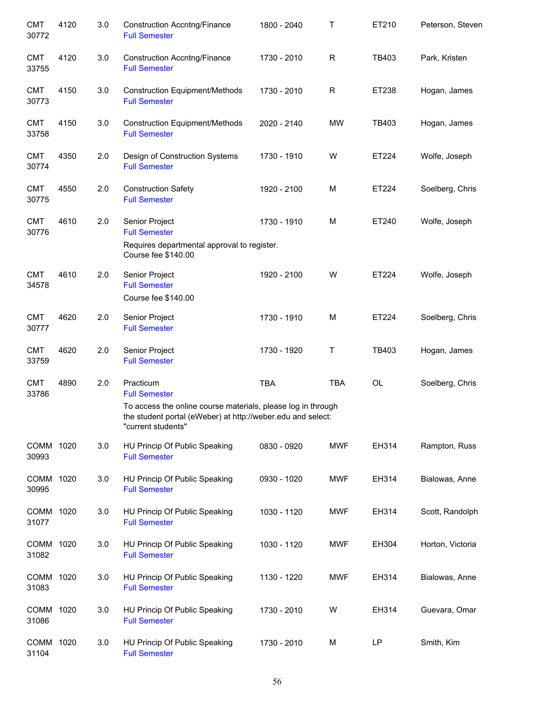| <b>CMT</b><br>30772 | 4120 | 3.0 | <b>Construction Accntng/Finance</b><br><b>Full Semester</b>                                                                                       | 1800 - 2040 | T            | ET210 | Peterson, Steven |
|---------------------|------|-----|---------------------------------------------------------------------------------------------------------------------------------------------------|-------------|--------------|-------|------------------|
| <b>CMT</b><br>33755 | 4120 | 3.0 | <b>Construction Accntng/Finance</b><br><b>Full Semester</b>                                                                                       | 1730 - 2010 | $\mathsf{R}$ | TB403 | Park, Kristen    |
| <b>CMT</b><br>30773 | 4150 | 3.0 | <b>Construction Equipment/Methods</b><br><b>Full Semester</b>                                                                                     | 1730 - 2010 | $\mathsf{R}$ | ET238 | Hogan, James     |
| <b>CMT</b><br>33758 | 4150 | 3.0 | <b>Construction Equipment/Methods</b><br><b>Full Semester</b>                                                                                     | 2020 - 2140 | <b>MW</b>    | TB403 | Hogan, James     |
| <b>CMT</b><br>30774 | 4350 | 2.0 | Design of Construction Systems<br><b>Full Semester</b>                                                                                            | 1730 - 1910 | W            | ET224 | Wolfe, Joseph    |
| <b>CMT</b><br>30775 | 4550 | 2.0 | <b>Construction Safety</b><br><b>Full Semester</b>                                                                                                | 1920 - 2100 | M            | ET224 | Soelberg, Chris  |
| <b>CMT</b><br>30776 | 4610 | 2.0 | Senior Project<br><b>Full Semester</b>                                                                                                            | 1730 - 1910 | M            | ET240 | Wolfe, Joseph    |
|                     |      |     | Requires departmental approval to register.<br>Course fee \$140.00                                                                                |             |              |       |                  |
| <b>CMT</b><br>34578 | 4610 | 2.0 | Senior Project<br><b>Full Semester</b>                                                                                                            | 1920 - 2100 | W            | ET224 | Wolfe, Joseph    |
|                     |      |     | Course fee \$140.00                                                                                                                               |             |              |       |                  |
| <b>CMT</b><br>30777 | 4620 | 2.0 | Senior Project<br><b>Full Semester</b>                                                                                                            | 1730 - 1910 | M            | ET224 | Soelberg, Chris  |
| <b>CMT</b><br>33759 | 4620 | 2.0 | Senior Project<br><b>Full Semester</b>                                                                                                            | 1730 - 1920 | Τ            | TB403 | Hogan, James     |
| <b>CMT</b><br>33786 | 4890 | 2.0 | Practicum<br><b>Full Semester</b>                                                                                                                 | <b>TBA</b>  | <b>TBA</b>   | OL    | Soelberg, Chris  |
|                     |      |     | To access the online course materials, please log in through<br>the student portal (eWeber) at http://weber.edu and select:<br>"current students" |             |              |       |                  |
| COMM 1020<br>30993  |      | 3.0 | HU Princip Of Public Speaking<br><b>Full Semester</b>                                                                                             | 0830 - 0920 | <b>MWF</b>   | EH314 | Rampton, Russ    |
| COMM 1020<br>30995  |      | 3.0 | HU Princip Of Public Speaking<br><b>Full Semester</b>                                                                                             | 0930 - 1020 | <b>MWF</b>   | EH314 | Bialowas, Anne   |
| COMM 1020<br>31077  |      | 3.0 | HU Princip Of Public Speaking<br><b>Full Semester</b>                                                                                             | 1030 - 1120 | <b>MWF</b>   | EH314 | Scott, Randolph  |
| COMM<br>31082       | 1020 | 3.0 | HU Princip Of Public Speaking<br><b>Full Semester</b>                                                                                             | 1030 - 1120 | <b>MWF</b>   | EH304 | Horton, Victoria |
| COMM<br>31083       | 1020 | 3.0 | HU Princip Of Public Speaking<br><b>Full Semester</b>                                                                                             | 1130 - 1220 | <b>MWF</b>   | EH314 | Bialowas, Anne   |
| COMM<br>31086       | 1020 | 3.0 | HU Princip Of Public Speaking<br><b>Full Semester</b>                                                                                             | 1730 - 2010 | W            | EH314 | Guevara, Omar    |
| COMM 1020<br>31104  |      | 3.0 | HU Princip Of Public Speaking<br><b>Full Semester</b>                                                                                             | 1730 - 2010 | M            | LP    | Smith, Kim       |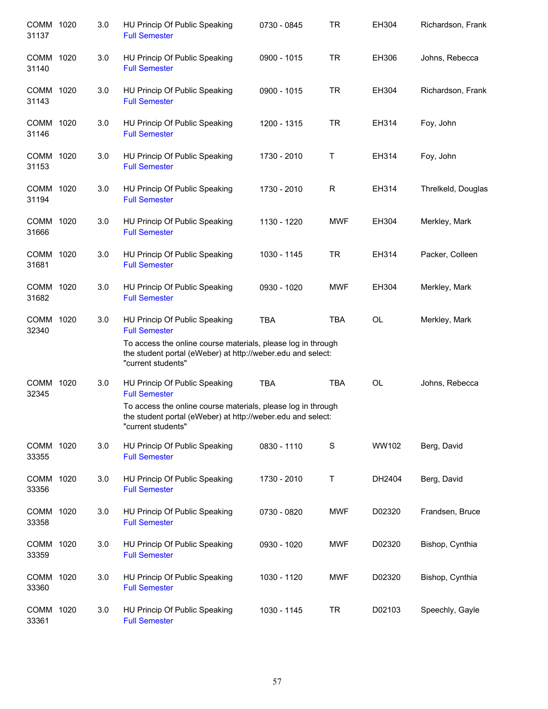| COMM 1020<br>31137 | 3.0 | HU Princip Of Public Speaking<br><b>Full Semester</b>                                                                                             | 0730 - 0845 | <b>TR</b>  | EH304     | Richardson, Frank  |
|--------------------|-----|---------------------------------------------------------------------------------------------------------------------------------------------------|-------------|------------|-----------|--------------------|
| COMM 1020<br>31140 | 3.0 | HU Princip Of Public Speaking<br><b>Full Semester</b>                                                                                             | 0900 - 1015 | <b>TR</b>  | EH306     | Johns, Rebecca     |
| COMM 1020<br>31143 | 3.0 | HU Princip Of Public Speaking<br><b>Full Semester</b>                                                                                             | 0900 - 1015 | <b>TR</b>  | EH304     | Richardson, Frank  |
| COMM 1020<br>31146 | 3.0 | HU Princip Of Public Speaking<br><b>Full Semester</b>                                                                                             | 1200 - 1315 | <b>TR</b>  | EH314     | Foy, John          |
| COMM 1020<br>31153 | 3.0 | HU Princip Of Public Speaking<br><b>Full Semester</b>                                                                                             | 1730 - 2010 | Τ          | EH314     | Foy, John          |
| COMM 1020<br>31194 | 3.0 | HU Princip Of Public Speaking<br><b>Full Semester</b>                                                                                             | 1730 - 2010 | R          | EH314     | Threlkeld, Douglas |
| COMM 1020<br>31666 | 3.0 | HU Princip Of Public Speaking<br><b>Full Semester</b>                                                                                             | 1130 - 1220 | <b>MWF</b> | EH304     | Merkley, Mark      |
| COMM 1020<br>31681 | 3.0 | HU Princip Of Public Speaking<br><b>Full Semester</b>                                                                                             | 1030 - 1145 | <b>TR</b>  | EH314     | Packer, Colleen    |
| COMM 1020<br>31682 | 3.0 | HU Princip Of Public Speaking<br><b>Full Semester</b>                                                                                             | 0930 - 1020 | <b>MWF</b> | EH304     | Merkley, Mark      |
| COMM 1020<br>32340 | 3.0 | HU Princip Of Public Speaking<br><b>Full Semester</b>                                                                                             | <b>TBA</b>  | <b>TBA</b> | OL        | Merkley, Mark      |
|                    |     | To access the online course materials, please log in through<br>the student portal (eWeber) at http://weber.edu and select:<br>"current students" |             |            |           |                    |
| COMM 1020<br>32345 | 3.0 | HU Princip Of Public Speaking<br><b>Full Semester</b>                                                                                             | <b>TBA</b>  | <b>TBA</b> | <b>OL</b> | Johns, Rebecca     |
|                    |     | To access the online course materials, please log in through<br>the student portal (eWeber) at http://weber.edu and select:<br>"current students" |             |            |           |                    |
| COMM 1020<br>33355 | 3.0 | HU Princip Of Public Speaking<br><b>Full Semester</b>                                                                                             | 0830 - 1110 | S          | WW102     | Berg, David        |
| COMM 1020<br>33356 | 3.0 | HU Princip Of Public Speaking<br><b>Full Semester</b>                                                                                             | 1730 - 2010 | Τ          | DH2404    | Berg, David        |
| COMM 1020<br>33358 | 3.0 | HU Princip Of Public Speaking<br><b>Full Semester</b>                                                                                             | 0730 - 0820 | <b>MWF</b> | D02320    | Frandsen, Bruce    |
| COMM 1020<br>33359 | 3.0 | HU Princip Of Public Speaking<br><b>Full Semester</b>                                                                                             | 0930 - 1020 | <b>MWF</b> | D02320    | Bishop, Cynthia    |
| COMM 1020<br>33360 | 3.0 | HU Princip Of Public Speaking<br><b>Full Semester</b>                                                                                             | 1030 - 1120 | <b>MWF</b> | D02320    | Bishop, Cynthia    |
| COMM 1020<br>33361 | 3.0 | HU Princip Of Public Speaking<br><b>Full Semester</b>                                                                                             | 1030 - 1145 | <b>TR</b>  | D02103    | Speechly, Gayle    |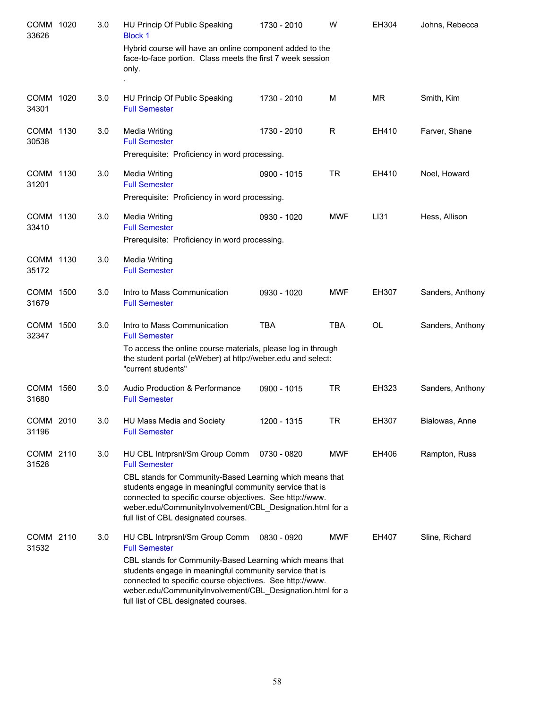| COMM 1020<br>33626 | 3.0 | HU Princip Of Public Speaking<br><b>Block 1</b>                                                                                                                                                                                                                                                                                                | 1730 - 2010 | W          | EH304     | Johns, Rebecca   |
|--------------------|-----|------------------------------------------------------------------------------------------------------------------------------------------------------------------------------------------------------------------------------------------------------------------------------------------------------------------------------------------------|-------------|------------|-----------|------------------|
|                    |     | Hybrid course will have an online component added to the<br>face-to-face portion. Class meets the first 7 week session<br>only.                                                                                                                                                                                                                |             |            |           |                  |
| COMM 1020          | 3.0 |                                                                                                                                                                                                                                                                                                                                                | 1730 - 2010 | М          | <b>MR</b> |                  |
| 34301              |     | HU Princip Of Public Speaking<br><b>Full Semester</b>                                                                                                                                                                                                                                                                                          |             |            |           | Smith, Kim       |
| COMM 1130<br>30538 | 3.0 | Media Writing<br><b>Full Semester</b><br>Prerequisite: Proficiency in word processing.                                                                                                                                                                                                                                                         | 1730 - 2010 | R          | EH410     | Farver, Shane    |
| COMM 1130<br>31201 | 3.0 | <b>Media Writing</b><br><b>Full Semester</b><br>Prerequisite: Proficiency in word processing.                                                                                                                                                                                                                                                  | 0900 - 1015 | <b>TR</b>  | EH410     | Noel, Howard     |
| COMM 1130<br>33410 | 3.0 | <b>Media Writing</b><br><b>Full Semester</b><br>Prerequisite: Proficiency in word processing.                                                                                                                                                                                                                                                  | 0930 - 1020 | MWF        | LI31      | Hess, Allison    |
| COMM 1130<br>35172 | 3.0 | Media Writing<br><b>Full Semester</b>                                                                                                                                                                                                                                                                                                          |             |            |           |                  |
| COMM 1500<br>31679 | 3.0 | Intro to Mass Communication<br><b>Full Semester</b>                                                                                                                                                                                                                                                                                            | 0930 - 1020 | MWF        | EH307     | Sanders, Anthony |
| COMM 1500<br>32347 | 3.0 | Intro to Mass Communication<br><b>Full Semester</b>                                                                                                                                                                                                                                                                                            | <b>TBA</b>  | <b>TBA</b> | <b>OL</b> | Sanders, Anthony |
|                    |     | To access the online course materials, please log in through<br>the student portal (eWeber) at http://weber.edu and select:<br>"current students"                                                                                                                                                                                              |             |            |           |                  |
| COMM 1560<br>31680 | 3.0 | Audio Production & Performance<br><b>Full Semester</b>                                                                                                                                                                                                                                                                                         | 0900 - 1015 | <b>TR</b>  | EH323     | Sanders, Anthony |
| COMM 2010<br>31196 | 3.0 | HU Mass Media and Society<br><b>Full Semester</b>                                                                                                                                                                                                                                                                                              | 1200 - 1315 | <b>TR</b>  | EH307     | Bialowas, Anne   |
| COMM 2110<br>31528 | 3.0 | HU CBL Intrprsnl/Sm Group Comm<br><b>Full Semester</b>                                                                                                                                                                                                                                                                                         | 0730 - 0820 | MWF        | EH406     | Rampton, Russ    |
|                    |     | CBL stands for Community-Based Learning which means that<br>students engage in meaningful community service that is<br>connected to specific course objectives. See http://www.<br>weber.edu/CommunityInvolvement/CBL_Designation.html for a<br>full list of CBL designated courses.                                                           |             |            |           |                  |
| COMM 2110<br>31532 | 3.0 | HU CBL Intrprsnl/Sm Group Comm<br><b>Full Semester</b><br>CBL stands for Community-Based Learning which means that<br>students engage in meaningful community service that is<br>connected to specific course objectives. See http://www.<br>weber.edu/CommunityInvolvement/CBL_Designation.html for a<br>full list of CBL designated courses. | 0830 - 0920 | <b>MWF</b> | EH407     | Sline, Richard   |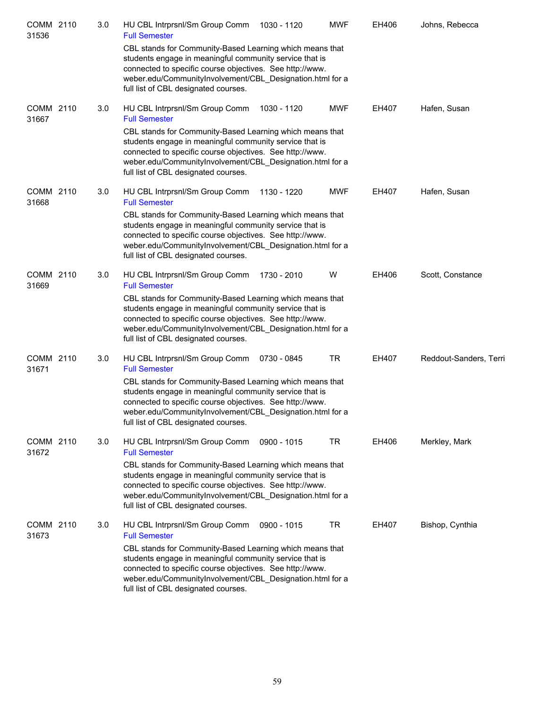| COMM 2110<br>31536 | 3.0 | HU CBL Intrprsnl/Sm Group Comm<br>1030 - 1120<br><b>Full Semester</b>                                                                                                                                                                                                                | <b>MWF</b> | EH406 | Johns, Rebecca         |
|--------------------|-----|--------------------------------------------------------------------------------------------------------------------------------------------------------------------------------------------------------------------------------------------------------------------------------------|------------|-------|------------------------|
|                    |     | CBL stands for Community-Based Learning which means that<br>students engage in meaningful community service that is<br>connected to specific course objectives. See http://www.<br>weber.edu/CommunityInvolvement/CBL Designation.html for a<br>full list of CBL designated courses. |            |       |                        |
| COMM 2110<br>31667 | 3.0 | HU CBL Intrprsnl/Sm Group Comm<br>1030 - 1120<br><b>Full Semester</b>                                                                                                                                                                                                                | <b>MWF</b> | EH407 | Hafen, Susan           |
|                    |     | CBL stands for Community-Based Learning which means that<br>students engage in meaningful community service that is<br>connected to specific course objectives. See http://www.<br>weber.edu/CommunityInvolvement/CBL_Designation.html for a<br>full list of CBL designated courses. |            |       |                        |
| COMM 2110<br>31668 | 3.0 | HU CBL Intrprsnl/Sm Group Comm<br>1130 - 1220<br><b>Full Semester</b>                                                                                                                                                                                                                | <b>MWF</b> | EH407 | Hafen, Susan           |
|                    |     | CBL stands for Community-Based Learning which means that<br>students engage in meaningful community service that is<br>connected to specific course objectives. See http://www.<br>weber.edu/CommunityInvolvement/CBL_Designation.html for a<br>full list of CBL designated courses. |            |       |                        |
| COMM 2110<br>31669 | 3.0 | HU CBL Intrprsnl/Sm Group Comm<br>1730 - 2010<br><b>Full Semester</b>                                                                                                                                                                                                                | W          | EH406 | Scott, Constance       |
|                    |     | CBL stands for Community-Based Learning which means that<br>students engage in meaningful community service that is<br>connected to specific course objectives. See http://www.<br>weber.edu/CommunityInvolvement/CBL_Designation.html for a<br>full list of CBL designated courses. |            |       |                        |
| COMM 2110<br>31671 | 3.0 | HU CBL Intrprsnl/Sm Group Comm<br>0730 - 0845<br><b>Full Semester</b>                                                                                                                                                                                                                | <b>TR</b>  | EH407 | Reddout-Sanders, Terri |
|                    |     | CBL stands for Community-Based Learning which means that<br>students engage in meaningful community service that is<br>connected to specific course objectives. See http://www.<br>weber.edu/CommunityInvolvement/CBL_Designation.html for a<br>full list of CBL designated courses. |            |       |                        |
| COMM 2110<br>31672 | 3.0 | HU CBL Intrprsnl/Sm Group Comm<br>0900 - 1015<br><b>Full Semester</b>                                                                                                                                                                                                                | TR         | EH406 | Merkley, Mark          |
|                    |     | CBL stands for Community-Based Learning which means that<br>students engage in meaningful community service that is<br>connected to specific course objectives. See http://www.<br>weber.edu/CommunityInvolvement/CBL Designation.html for a<br>full list of CBL designated courses. |            |       |                        |
| COMM 2110<br>31673 | 3.0 | HU CBL Intrprsnl/Sm Group Comm<br>0900 - 1015<br><b>Full Semester</b>                                                                                                                                                                                                                | <b>TR</b>  | EH407 | Bishop, Cynthia        |
|                    |     | CBL stands for Community-Based Learning which means that<br>students engage in meaningful community service that is<br>connected to specific course objectives. See http://www.<br>weber.edu/CommunityInvolvement/CBL_Designation.html for a<br>full list of CBL designated courses. |            |       |                        |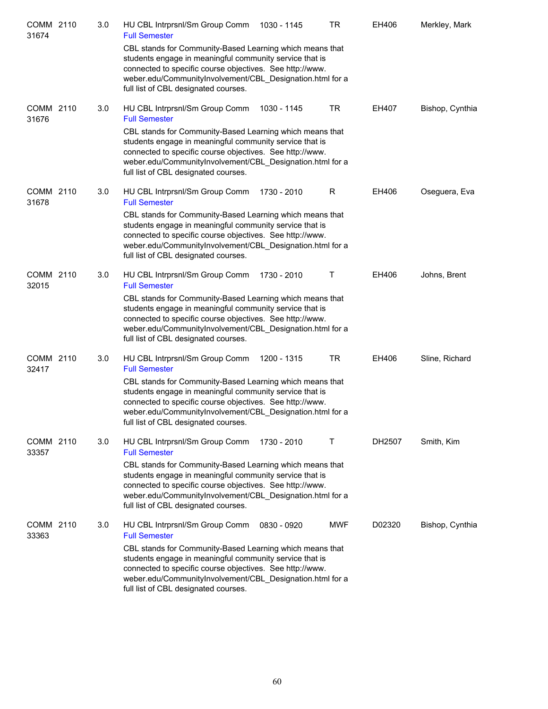| COMM 2110<br>31674 | 3.0 | HU CBL Intrprsnl/Sm Group Comm<br>1030 - 1145<br><b>Full Semester</b>                                                                                                                                                                                                                | TR         | EH406  | Merkley, Mark   |
|--------------------|-----|--------------------------------------------------------------------------------------------------------------------------------------------------------------------------------------------------------------------------------------------------------------------------------------|------------|--------|-----------------|
|                    |     | CBL stands for Community-Based Learning which means that<br>students engage in meaningful community service that is<br>connected to specific course objectives. See http://www.<br>weber.edu/CommunityInvolvement/CBL Designation.html for a<br>full list of CBL designated courses. |            |        |                 |
| COMM 2110<br>31676 | 3.0 | HU CBL Intrprsnl/Sm Group Comm<br>1030 - 1145<br><b>Full Semester</b>                                                                                                                                                                                                                | TR         | EH407  | Bishop, Cynthia |
|                    |     | CBL stands for Community-Based Learning which means that<br>students engage in meaningful community service that is<br>connected to specific course objectives. See http://www.<br>weber.edu/CommunityInvolvement/CBL_Designation.html for a<br>full list of CBL designated courses. |            |        |                 |
| COMM 2110<br>31678 | 3.0 | HU CBL Intrprsnl/Sm Group Comm<br>1730 - 2010<br><b>Full Semester</b>                                                                                                                                                                                                                | R.         | EH406  | Oseguera, Eva   |
|                    |     | CBL stands for Community-Based Learning which means that<br>students engage in meaningful community service that is<br>connected to specific course objectives. See http://www.                                                                                                      |            |        |                 |
|                    |     | weber.edu/CommunityInvolvement/CBL Designation.html for a<br>full list of CBL designated courses.                                                                                                                                                                                    |            |        |                 |
| COMM 2110<br>32015 | 3.0 | HU CBL Intrprsnl/Sm Group Comm<br>1730 - 2010<br><b>Full Semester</b>                                                                                                                                                                                                                | Τ          | EH406  | Johns, Brent    |
|                    |     | CBL stands for Community-Based Learning which means that<br>students engage in meaningful community service that is<br>connected to specific course objectives. See http://www.<br>weber.edu/CommunityInvolvement/CBL_Designation.html for a<br>full list of CBL designated courses. |            |        |                 |
| COMM 2110<br>32417 | 3.0 | HU CBL Intrprsnl/Sm Group Comm<br>1200 - 1315<br><b>Full Semester</b>                                                                                                                                                                                                                | TR         | EH406  | Sline, Richard  |
|                    |     | CBL stands for Community-Based Learning which means that<br>students engage in meaningful community service that is                                                                                                                                                                  |            |        |                 |
|                    |     | connected to specific course objectives. See http://www.<br>weber.edu/CommunityInvolvement/CBL Designation.html for a<br>full list of CBL designated courses.                                                                                                                        |            |        |                 |
| COMM 2110<br>33357 | 3.0 | HU CBL Intrprsnl/Sm Group Comm<br>1730 - 2010<br><b>Full Semester</b>                                                                                                                                                                                                                | т          | DH2507 | Smith, Kim      |
|                    |     | CBL stands for Community-Based Learning which means that<br>students engage in meaningful community service that is<br>connected to specific course objectives. See http://www.                                                                                                      |            |        |                 |
|                    |     | weber.edu/CommunityInvolvement/CBL Designation.html for a<br>full list of CBL designated courses.                                                                                                                                                                                    |            |        |                 |
| COMM 2110<br>33363 | 3.0 | HU CBL Intrprsnl/Sm Group Comm<br>0830 - 0920<br><b>Full Semester</b>                                                                                                                                                                                                                | <b>MWF</b> | D02320 | Bishop, Cynthia |
|                    |     | CBL stands for Community-Based Learning which means that<br>students engage in meaningful community service that is<br>connected to specific course objectives. See http://www.<br>weber.edu/CommunityInvolvement/CBL_Designation.html for a<br>full list of CBL designated courses. |            |        |                 |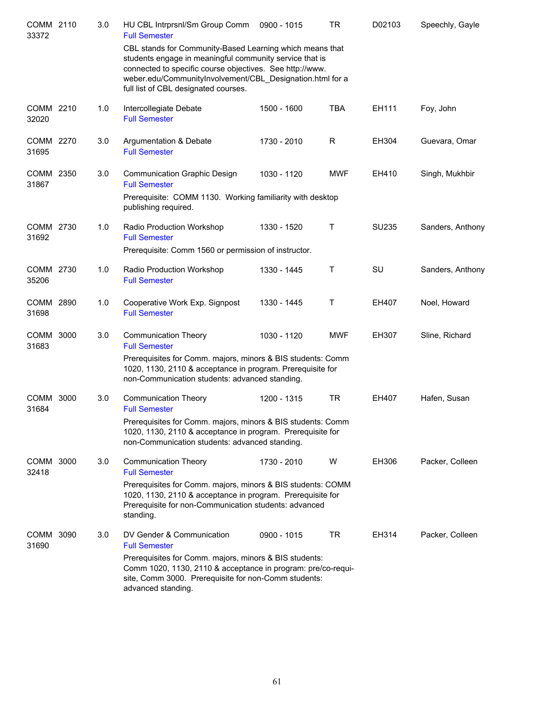| COMM 2110<br>33372 | 3.0 | HU CBL Intrprsnl/Sm Group Comm<br><b>Full Semester</b>                                                                                                                                                                                                                               | 0900 - 1015 | <b>TR</b>    | D02103 | Speechly, Gayle  |
|--------------------|-----|--------------------------------------------------------------------------------------------------------------------------------------------------------------------------------------------------------------------------------------------------------------------------------------|-------------|--------------|--------|------------------|
|                    |     | CBL stands for Community-Based Learning which means that<br>students engage in meaningful community service that is<br>connected to specific course objectives. See http://www.<br>weber.edu/CommunityInvolvement/CBL Designation.html for a<br>full list of CBL designated courses. |             |              |        |                  |
| COMM 2210<br>32020 | 1.0 | Intercollegiate Debate<br><b>Full Semester</b>                                                                                                                                                                                                                                       | 1500 - 1600 | <b>TBA</b>   | EH111  | Foy, John        |
| COMM 2270<br>31695 | 3.0 | Argumentation & Debate<br><b>Full Semester</b>                                                                                                                                                                                                                                       | 1730 - 2010 | R            | EH304  | Guevara, Omar    |
| COMM 2350<br>31867 | 3.0 | <b>Communication Graphic Design</b><br><b>Full Semester</b>                                                                                                                                                                                                                          | 1030 - 1120 | <b>MWF</b>   | EH410  | Singh, Mukhbir   |
|                    |     | Prerequisite: COMM 1130. Working familiarity with desktop<br>publishing required.                                                                                                                                                                                                    |             |              |        |                  |
| COMM 2730<br>31692 | 1.0 | Radio Production Workshop<br><b>Full Semester</b>                                                                                                                                                                                                                                    | 1330 - 1520 | $\mathsf{T}$ | SU235  | Sanders, Anthony |
|                    |     | Prerequisite: Comm 1560 or permission of instructor.                                                                                                                                                                                                                                 |             |              |        |                  |
| COMM 2730<br>35206 | 1.0 | Radio Production Workshop<br><b>Full Semester</b>                                                                                                                                                                                                                                    | 1330 - 1445 | T            | SU     | Sanders, Anthony |
| COMM 2890<br>31698 | 1.0 | Cooperative Work Exp. Signpost<br><b>Full Semester</b>                                                                                                                                                                                                                               | 1330 - 1445 | T            | EH407  | Noel, Howard     |
| COMM 3000<br>31683 | 3.0 | <b>Communication Theory</b><br><b>Full Semester</b>                                                                                                                                                                                                                                  | 1030 - 1120 | <b>MWF</b>   | EH307  | Sline, Richard   |
|                    |     | Prerequisites for Comm. majors, minors & BIS students: Comm<br>1020, 1130, 2110 & acceptance in program. Prerequisite for<br>non-Communication students: advanced standing.                                                                                                          |             |              |        |                  |
| COMM 3000<br>31684 | 3.0 | <b>Communication Theory</b><br><b>Full Semester</b>                                                                                                                                                                                                                                  | 1200 - 1315 | <b>TR</b>    | EH407  | Hafen, Susan     |
|                    |     | Prerequisites for Comm. majors, minors & BIS students: Comm<br>1020, 1130, 2110 & acceptance in program. Prerequisite for<br>non-Communication students: advanced standing.                                                                                                          |             |              |        |                  |
| COMM 3000<br>32418 | 3.0 | <b>Communication Theory</b><br><b>Full Semester</b>                                                                                                                                                                                                                                  | 1730 - 2010 | W            | EH306  | Packer, Colleen  |
|                    |     | Prerequisites for Comm. majors, minors & BIS students: COMM<br>1020, 1130, 2110 & acceptance in program. Prerequisite for<br>Prerequisite for non-Communication students: advanced<br>standing.                                                                                      |             |              |        |                  |
| COMM 3090<br>31690 | 3.0 | DV Gender & Communication<br><b>Full Semester</b>                                                                                                                                                                                                                                    | 0900 - 1015 | TR           | EH314  | Packer, Colleen  |
|                    |     | Prerequisites for Comm. majors, minors & BIS students:<br>Comm 1020, 1130, 2110 & acceptance in program: pre/co-requi-<br>site, Comm 3000. Prerequisite for non-Comm students:<br>advanced standing.                                                                                 |             |              |        |                  |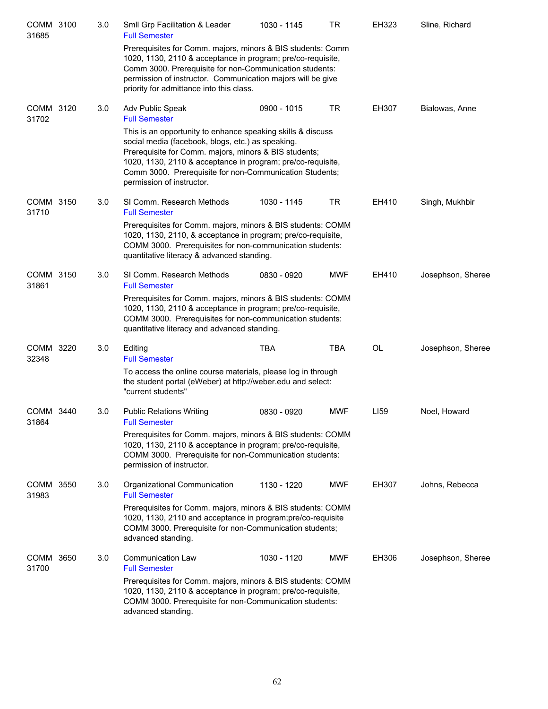| COMM 3100<br>31685 | 3.0 | Smll Grp Facilitation & Leader<br><b>Full Semester</b>                                                                                                                                                                                                                                                                           | 1030 - 1145 | TR         | EH323            | Sline, Richard    |
|--------------------|-----|----------------------------------------------------------------------------------------------------------------------------------------------------------------------------------------------------------------------------------------------------------------------------------------------------------------------------------|-------------|------------|------------------|-------------------|
|                    |     | Prerequisites for Comm. majors, minors & BIS students: Comm<br>1020, 1130, 2110 & acceptance in program; pre/co-requisite,<br>Comm 3000. Prerequisite for non-Communication students:<br>permission of instructor. Communication majors will be give<br>priority for admittance into this class.                                 |             |            |                  |                   |
| COMM 3120<br>31702 | 3.0 | Adv Public Speak<br><b>Full Semester</b>                                                                                                                                                                                                                                                                                         | 0900 - 1015 | TR         | EH307            | Bialowas, Anne    |
|                    |     | This is an opportunity to enhance speaking skills & discuss<br>social media (facebook, blogs, etc.) as speaking.<br>Prerequisite for Comm. majors, minors & BIS students;<br>1020, 1130, 2110 & acceptance in program; pre/co-requisite,<br>Comm 3000. Prerequisite for non-Communication Students;<br>permission of instructor. |             |            |                  |                   |
| COMM 3150<br>31710 | 3.0 | SI Comm. Research Methods<br><b>Full Semester</b>                                                                                                                                                                                                                                                                                | 1030 - 1145 | TR         | EH410            | Singh, Mukhbir    |
|                    |     | Prerequisites for Comm. majors, minors & BIS students: COMM<br>1020, 1130, 2110, & acceptance in program; pre/co-requisite,<br>COMM 3000. Prerequisites for non-communication students:<br>quantitative literacy & advanced standing.                                                                                            |             |            |                  |                   |
| COMM 3150<br>31861 | 3.0 | SI Comm. Research Methods<br><b>Full Semester</b>                                                                                                                                                                                                                                                                                | 0830 - 0920 | <b>MWF</b> | EH410            | Josephson, Sheree |
|                    |     | Prerequisites for Comm. majors, minors & BIS students: COMM<br>1020, 1130, 2110 & acceptance in program; pre/co-requisite,<br>COMM 3000. Prerequisites for non-communication students:<br>quantitative literacy and advanced standing.                                                                                           |             |            |                  |                   |
| COMM 3220<br>32348 | 3.0 | Editing<br><b>Full Semester</b>                                                                                                                                                                                                                                                                                                  | <b>TBA</b>  | TBA        | OL               | Josephson, Sheree |
|                    |     | To access the online course materials, please log in through<br>the student portal (eWeber) at http://weber.edu and select:<br>"current students"                                                                                                                                                                                |             |            |                  |                   |
| COMM 3440<br>31864 | 3.0 | <b>Public Relations Writing</b><br><b>Full Semester</b>                                                                                                                                                                                                                                                                          | 0830 - 0920 | <b>MWF</b> | LI <sub>59</sub> | Noel, Howard      |
|                    |     | Prerequisites for Comm. majors, minors & BIS students: COMM<br>1020, 1130, 2110 & acceptance in program; pre/co-requisite,<br>COMM 3000. Prerequisite for non-Communication students:<br>permission of instructor.                                                                                                               |             |            |                  |                   |
| COMM 3550<br>31983 | 3.0 | Organizational Communication<br><b>Full Semester</b>                                                                                                                                                                                                                                                                             | 1130 - 1220 | <b>MWF</b> | EH307            | Johns, Rebecca    |
|                    |     | Prerequisites for Comm. majors, minors & BIS students: COMM<br>1020, 1130, 2110 and acceptance in program; pre/co-requisite<br>COMM 3000. Prerequisite for non-Communication students;<br>advanced standing.                                                                                                                     |             |            |                  |                   |
| COMM 3650<br>31700 | 3.0 | <b>Communication Law</b><br><b>Full Semester</b>                                                                                                                                                                                                                                                                                 | 1030 - 1120 | <b>MWF</b> | EH306            | Josephson, Sheree |
|                    |     | Prerequisites for Comm. majors, minors & BIS students: COMM<br>1020, 1130, 2110 & acceptance in program; pre/co-requisite,<br>COMM 3000. Prerequisite for non-Communication students:<br>advanced standing.                                                                                                                      |             |            |                  |                   |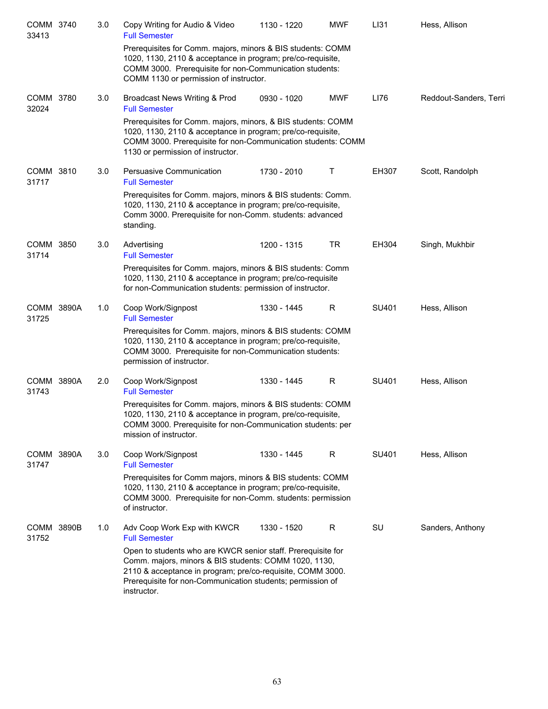| COMM 3740<br>33413   |       | 3.0 | Copy Writing for Audio & Video<br><b>Full Semester</b>                                                                                                                                                                                                           | 1130 - 1220 | <b>MWF</b> | LI31  | Hess, Allison          |
|----------------------|-------|-----|------------------------------------------------------------------------------------------------------------------------------------------------------------------------------------------------------------------------------------------------------------------|-------------|------------|-------|------------------------|
|                      |       |     | Prerequisites for Comm. majors, minors & BIS students: COMM<br>1020, 1130, 2110 & acceptance in program; pre/co-requisite,<br>COMM 3000. Prerequisite for non-Communication students:<br>COMM 1130 or permission of instructor.                                  |             |            |       |                        |
| COMM 3780<br>32024   |       | 3.0 | Broadcast News Writing & Prod<br><b>Full Semester</b>                                                                                                                                                                                                            | 0930 - 1020 | <b>MWF</b> | LI76  | Reddout-Sanders, Terri |
|                      |       |     | Prerequisites for Comm. majors, minors, & BIS students: COMM<br>1020, 1130, 2110 & acceptance in program; pre/co-requisite,<br>COMM 3000. Prerequisite for non-Communication students: COMM<br>1130 or permission of instructor.                                 |             |            |       |                        |
| <b>COMM</b><br>31717 | 3810  | 3.0 | Persuasive Communication<br><b>Full Semester</b>                                                                                                                                                                                                                 | 1730 - 2010 | Τ          | EH307 | Scott, Randolph        |
|                      |       |     | Prerequisites for Comm. majors, minors & BIS students: Comm.<br>1020, 1130, 2110 & acceptance in program; pre/co-requisite,<br>Comm 3000. Prerequisite for non-Comm. students: advanced<br>standing.                                                             |             |            |       |                        |
| <b>COMM</b><br>31714 | 3850  | 3.0 | Advertising<br><b>Full Semester</b>                                                                                                                                                                                                                              | 1200 - 1315 | TR         | EH304 | Singh, Mukhbir         |
|                      |       |     | Prerequisites for Comm. majors, minors & BIS students: Comm<br>1020, 1130, 2110 & acceptance in program; pre/co-requisite<br>for non-Communication students: permission of instructor.                                                                           |             |            |       |                        |
| <b>COMM</b><br>31725 | 3890A | 1.0 | Coop Work/Signpost<br><b>Full Semester</b>                                                                                                                                                                                                                       | 1330 - 1445 | R          | SU401 | Hess, Allison          |
|                      |       |     | Prerequisites for Comm. majors, minors & BIS students: COMM<br>1020, 1130, 2110 & acceptance in program; pre/co-requisite,<br>COMM 3000. Prerequisite for non-Communication students:<br>permission of instructor.                                               |             |            |       |                        |
| <b>COMM</b><br>31743 | 3890A | 2.0 | Coop Work/Signpost<br><b>Full Semester</b>                                                                                                                                                                                                                       | 1330 - 1445 | R          | SU401 | Hess, Allison          |
|                      |       |     | Prerequisites for Comm. majors, minors & BIS students: COMM<br>1020, 1130, 2110 & acceptance in program, pre/co-requisite,<br>COMM 3000. Prerequisite for non-Communication students: per<br>mission of instructor.                                              |             |            |       |                        |
| COMM 3890A<br>31747  |       | 3.0 | Coop Work/Signpost<br><b>Full Semester</b>                                                                                                                                                                                                                       | 1330 - 1445 | R          | SU401 | Hess, Allison          |
|                      |       |     | Prerequisites for Comm majors, minors & BIS students: COMM<br>1020, 1130, 2110 & acceptance in program; pre/co-requisite,<br>COMM 3000. Prerequisite for non-Comm. students: permission<br>of instructor.                                                        |             |            |       |                        |
| <b>COMM</b><br>31752 | 3890B | 1.0 | Adv Coop Work Exp with KWCR<br><b>Full Semester</b>                                                                                                                                                                                                              | 1330 - 1520 | R          | SU    | Sanders, Anthony       |
|                      |       |     | Open to students who are KWCR senior staff. Prerequisite for<br>Comm. majors, minors & BIS students: COMM 1020, 1130,<br>2110 & acceptance in program; pre/co-requisite, COMM 3000.<br>Prerequisite for non-Communication students; permission of<br>instructor. |             |            |       |                        |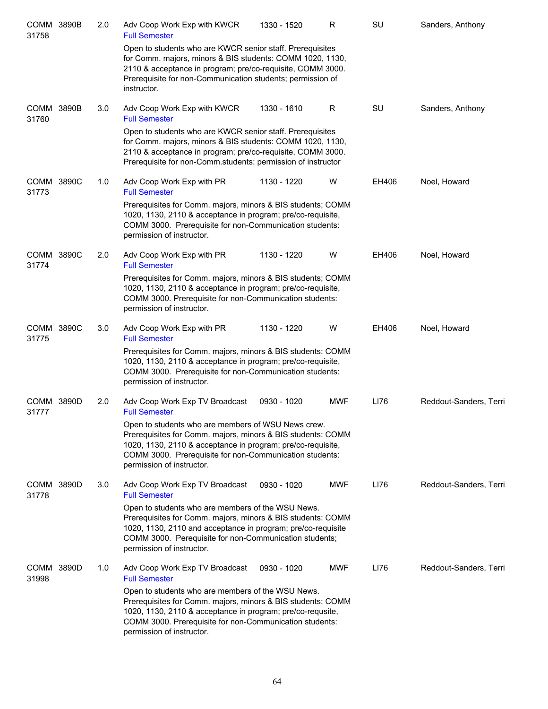| <b>COMM 3890B</b><br>31758 | 2.0 | Adv Coop Work Exp with KWCR<br><b>Full Semester</b>                                                                                                                                                                                                                      | 1330 - 1520 | R          | SU    | Sanders, Anthony       |
|----------------------------|-----|--------------------------------------------------------------------------------------------------------------------------------------------------------------------------------------------------------------------------------------------------------------------------|-------------|------------|-------|------------------------|
|                            |     | Open to students who are KWCR senior staff. Prerequisites<br>for Comm. majors, minors & BIS students: COMM 1020, 1130,<br>2110 & acceptance in program; pre/co-requisite, COMM 3000.<br>Prerequisite for non-Communication students; permission of<br>instructor.        |             |            |       |                        |
| COMM 3890B<br>31760        | 3.0 | Adv Coop Work Exp with KWCR<br><b>Full Semester</b>                                                                                                                                                                                                                      | 1330 - 1610 | R          | SU    | Sanders, Anthony       |
|                            |     | Open to students who are KWCR senior staff. Prerequisites<br>for Comm. majors, minors & BIS students: COMM 1020, 1130,<br>2110 & acceptance in program; pre/co-requisite, COMM 3000.<br>Prerequisite for non-Comm.students: permission of instructor                     |             |            |       |                        |
| COMM 3890C<br>31773        | 1.0 | Adv Coop Work Exp with PR<br><b>Full Semester</b>                                                                                                                                                                                                                        | 1130 - 1220 | W          | EH406 | Noel, Howard           |
|                            |     | Prerequisites for Comm. majors, minors & BIS students; COMM<br>1020, 1130, 2110 & acceptance in program; pre/co-requisite,<br>COMM 3000. Prerequisite for non-Communication students:<br>permission of instructor.                                                       |             |            |       |                        |
| COMM 3890C<br>31774        | 2.0 | Adv Coop Work Exp with PR<br><b>Full Semester</b>                                                                                                                                                                                                                        | 1130 - 1220 | W          | EH406 | Noel, Howard           |
|                            |     | Prerequisites for Comm. majors, minors & BIS students; COMM<br>1020, 1130, 2110 & acceptance in program; pre/co-requisite,<br>COMM 3000. Prerequisite for non-Communication students:<br>permission of instructor.                                                       |             |            |       |                        |
| COMM 3890C<br>31775        | 3.0 | Adv Coop Work Exp with PR<br><b>Full Semester</b>                                                                                                                                                                                                                        | 1130 - 1220 | W          | EH406 | Noel, Howard           |
|                            |     | Prerequisites for Comm. majors, minors & BIS students: COMM<br>1020, 1130, 2110 & acceptance in program; pre/co-requisite,<br>COMM 3000. Prerequisite for non-Communication students:<br>permission of instructor.                                                       |             |            |       |                        |
| COMM 3890D<br>31777        | 2.0 | Adv Coop Work Exp TV Broadcast<br><b>Full Semester</b>                                                                                                                                                                                                                   | 0930 - 1020 | <b>MWF</b> | LI76  | Reddout-Sanders, Terri |
|                            |     | Open to students who are members of WSU News crew.<br>Prerequisites for Comm. majors, minors & BIS students: COMM<br>1020, 1130, 2110 & acceptance in program; pre/co-requisite,<br>COMM 3000. Prerequisite for non-Communication students:<br>permission of instructor. |             |            |       |                        |
| COMM 3890D<br>31778        | 3.0 | Adv Coop Work Exp TV Broadcast<br><b>Full Semester</b>                                                                                                                                                                                                                   | 0930 - 1020 | <b>MWF</b> | LI76  | Reddout-Sanders, Terri |
|                            |     | Open to students who are members of the WSU News.<br>Prerequisites for Comm. majors, minors & BIS students: COMM<br>1020, 1130, 2110 and acceptance in program; pre/co-requisite<br>COMM 3000. Perequisite for non-Communication students;<br>permission of instructor.  |             |            |       |                        |
| COMM 3890D<br>31998        | 1.0 | Adv Coop Work Exp TV Broadcast<br><b>Full Semester</b>                                                                                                                                                                                                                   | 0930 - 1020 | <b>MWF</b> | LI76  | Reddout-Sanders, Terri |
|                            |     | Open to students who are members of the WSU News.<br>Prerequisites for Comm. majors, minors & BIS students: COMM<br>1020, 1130, 2110 & acceptance in program; pre/co-requsite,<br>COMM 3000. Prerequisite for non-Communication students:<br>permission of instructor.   |             |            |       |                        |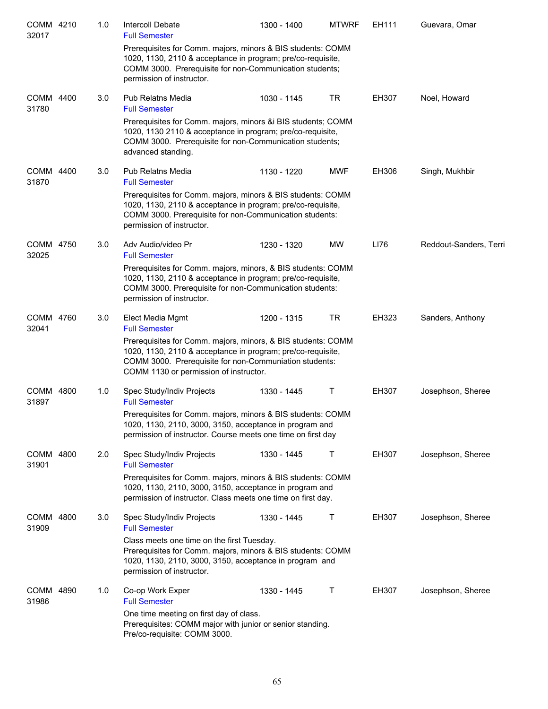| COMM 4210<br>32017   |      | 1.0 | Intercoll Debate<br><b>Full Semester</b>                                                                                                                                                                                        | 1300 - 1400 | <b>MTWRF</b> | EH111 | Guevara, Omar          |
|----------------------|------|-----|---------------------------------------------------------------------------------------------------------------------------------------------------------------------------------------------------------------------------------|-------------|--------------|-------|------------------------|
|                      |      |     | Prerequisites for Comm. majors, minors & BIS students: COMM<br>1020, 1130, 2110 & acceptance in program; pre/co-requisite,<br>COMM 3000. Prerequisite for non-Communication students;<br>permission of instructor.              |             |              |       |                        |
| COMM 4400<br>31780   |      | 3.0 | <b>Pub Relatns Media</b><br><b>Full Semester</b>                                                                                                                                                                                | 1030 - 1145 | TR           | EH307 | Noel, Howard           |
|                      |      |     | Prerequisites for Comm. majors, minors &i BIS students; COMM<br>1020, 1130 2110 & acceptance in program; pre/co-requisite,<br>COMM 3000. Prerequisite for non-Communication students;<br>advanced standing.                     |             |              |       |                        |
| <b>COMM</b><br>31870 | 4400 | 3.0 | <b>Pub Relatns Media</b><br><b>Full Semester</b>                                                                                                                                                                                | 1130 - 1220 | <b>MWF</b>   | EH306 | Singh, Mukhbir         |
|                      |      |     | Prerequisites for Comm. majors, minors & BIS students: COMM<br>1020, 1130, 2110 & acceptance in program; pre/co-requisite,<br>COMM 3000. Prerequisite for non-Communication students:<br>permission of instructor.              |             |              |       |                        |
| COMM 4750<br>32025   |      | 3.0 | Adv Audio/video Pr<br><b>Full Semester</b>                                                                                                                                                                                      | 1230 - 1320 | <b>MW</b>    | LI76  | Reddout-Sanders, Terri |
|                      |      |     | Prerequisites for Comm. majors, minors, & BIS students: COMM<br>1020, 1130, 2110 & acceptance in program; pre/co-requisite,<br>COMM 3000. Prerequisite for non-Communication students:<br>permission of instructor.             |             |              |       |                        |
| COMM 4760<br>32041   |      | 3.0 | Elect Media Mgmt<br><b>Full Semester</b>                                                                                                                                                                                        | 1200 - 1315 | TR           | EH323 | Sanders, Anthony       |
|                      |      |     | Prerequisites for Comm. majors, minors, & BIS students: COMM<br>1020, 1130, 2110 & acceptance in program; pre/co-requisite,<br>COMM 3000. Prerequisite for non-Communiation students:<br>COMM 1130 or permission of instructor. |             |              |       |                        |
| <b>COMM</b><br>31897 | 4800 | 1.0 | Spec Study/Indiv Projects<br><b>Full Semester</b>                                                                                                                                                                               | 1330 - 1445 | Τ            | EH307 | Josephson, Sheree      |
|                      |      |     | Prerequisites for Comm. majors, minors & BIS students: COMM<br>1020, 1130, 2110, 3000, 3150, acceptance in program and<br>permission of instructor. Course meets one time on first day                                          |             |              |       |                        |
| COMM 4800<br>31901   |      | 2.0 | Spec Study/Indiv Projects<br><b>Full Semester</b>                                                                                                                                                                               | 1330 - 1445 | Τ            | EH307 | Josephson, Sheree      |
|                      |      |     | Prerequisites for Comm. majors, minors & BIS students: COMM<br>1020, 1130, 2110, 3000, 3150, acceptance in program and<br>permission of instructor. Class meets one time on first day.                                          |             |              |       |                        |
| COMM 4800<br>31909   |      | 3.0 | Spec Study/Indiv Projects<br><b>Full Semester</b>                                                                                                                                                                               | 1330 - 1445 | Τ            | EH307 | Josephson, Sheree      |
|                      |      |     | Class meets one time on the first Tuesday.<br>Prerequisites for Comm. majors, minors & BIS students: COMM<br>1020, 1130, 2110, 3000, 3150, acceptance in program and<br>permission of instructor.                               |             |              |       |                        |
| COMM 4890<br>31986   |      | 1.0 | Co-op Work Exper<br><b>Full Semester</b>                                                                                                                                                                                        | 1330 - 1445 | Τ            | EH307 | Josephson, Sheree      |
|                      |      |     | One time meeting on first day of class.<br>Prerequisites: COMM major with junior or senior standing.<br>Pre/co-requisite: COMM 3000.                                                                                            |             |              |       |                        |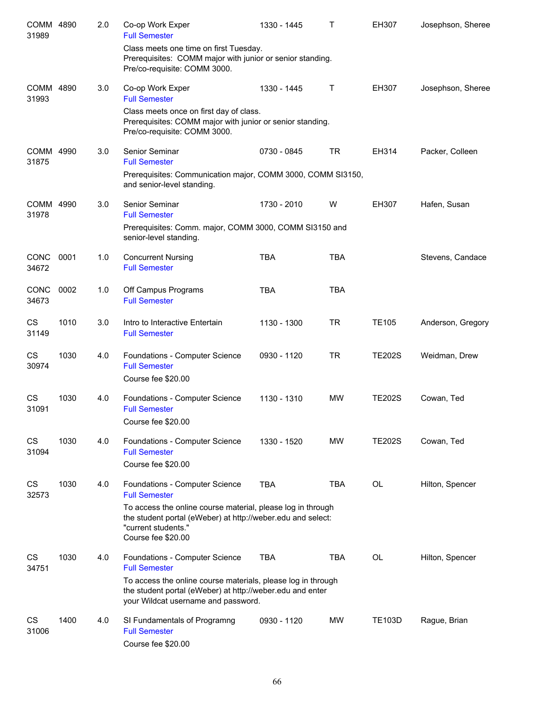| COMM 4890<br>31989   |      | 2.0 | Co-op Work Exper<br><b>Full Semester</b>                                                                                                                                | 1330 - 1445 | T          | EH307         | Josephson, Sheree |
|----------------------|------|-----|-------------------------------------------------------------------------------------------------------------------------------------------------------------------------|-------------|------------|---------------|-------------------|
|                      |      |     | Class meets one time on first Tuesday.<br>Prerequisites: COMM major with junior or senior standing.<br>Pre/co-requisite: COMM 3000.                                     |             |            |               |                   |
| COMM 4890<br>31993   |      | 3.0 | Co-op Work Exper<br><b>Full Semester</b>                                                                                                                                | 1330 - 1445 | т          | EH307         | Josephson, Sheree |
|                      |      |     | Class meets once on first day of class.<br>Prerequisites: COMM major with junior or senior standing.<br>Pre/co-requisite: COMM 3000.                                    |             |            |               |                   |
| COMM 4990<br>31875   |      | 3.0 | Senior Seminar<br><b>Full Semester</b>                                                                                                                                  | 0730 - 0845 | <b>TR</b>  | EH314         | Packer, Colleen   |
|                      |      |     | Prerequisites: Communication major, COMM 3000, COMM SI3150,<br>and senior-level standing.                                                                               |             |            |               |                   |
| COMM 4990<br>31978   |      | 3.0 | Senior Seminar<br><b>Full Semester</b>                                                                                                                                  | 1730 - 2010 | W          | EH307         | Hafen, Susan      |
|                      |      |     | Prerequisites: Comm. major, COMM 3000, COMM SI3150 and<br>senior-level standing.                                                                                        |             |            |               |                   |
| <b>CONC</b><br>34672 | 0001 | 1.0 | <b>Concurrent Nursing</b><br><b>Full Semester</b>                                                                                                                       | <b>TBA</b>  | <b>TBA</b> |               | Stevens, Candace  |
| CONC<br>34673        | 0002 | 1.0 | Off Campus Programs<br><b>Full Semester</b>                                                                                                                             | <b>TBA</b>  | <b>TBA</b> |               |                   |
| CS<br>31149          | 1010 | 3.0 | Intro to Interactive Entertain<br><b>Full Semester</b>                                                                                                                  | 1130 - 1300 | <b>TR</b>  | <b>TE105</b>  | Anderson, Gregory |
| CS<br>30974          | 1030 | 4.0 | Foundations - Computer Science<br><b>Full Semester</b><br>Course fee \$20.00                                                                                            | 0930 - 1120 | <b>TR</b>  | <b>TE202S</b> | Weidman, Drew     |
| CS<br>31091          | 1030 | 4.0 | Foundations - Computer Science<br><b>Full Semester</b><br>Course fee \$20.00                                                                                            | 1130 - 1310 | <b>MW</b>  | <b>TE202S</b> | Cowan, Ted        |
| CS<br>31094          | 1030 | 4.0 | Foundations - Computer Science<br><b>Full Semester</b><br>Course fee \$20.00                                                                                            | 1330 - 1520 | <b>MW</b>  | <b>TE202S</b> | Cowan, Ted        |
| CS<br>32573          | 1030 | 4.0 | Foundations - Computer Science<br><b>Full Semester</b>                                                                                                                  | <b>TBA</b>  | TBA        | OL            | Hilton, Spencer   |
|                      |      |     | To access the online course material, please log in through<br>the student portal (eWeber) at http://weber.edu and select:<br>"current students."<br>Course fee \$20.00 |             |            |               |                   |
| CS<br>34751          | 1030 | 4.0 | Foundations - Computer Science<br><b>Full Semester</b>                                                                                                                  | <b>TBA</b>  | <b>TBA</b> | OL            | Hilton, Spencer   |
|                      |      |     | To access the online course materials, please log in through<br>the student portal (eWeber) at http://weber.edu and enter<br>your Wildcat username and password.        |             |            |               |                   |
| <b>CS</b><br>31006   | 1400 | 4.0 | SI Fundamentals of Programng<br><b>Full Semester</b><br>Course fee \$20.00                                                                                              | 0930 - 1120 | <b>MW</b>  | <b>TE103D</b> | Rague, Brian      |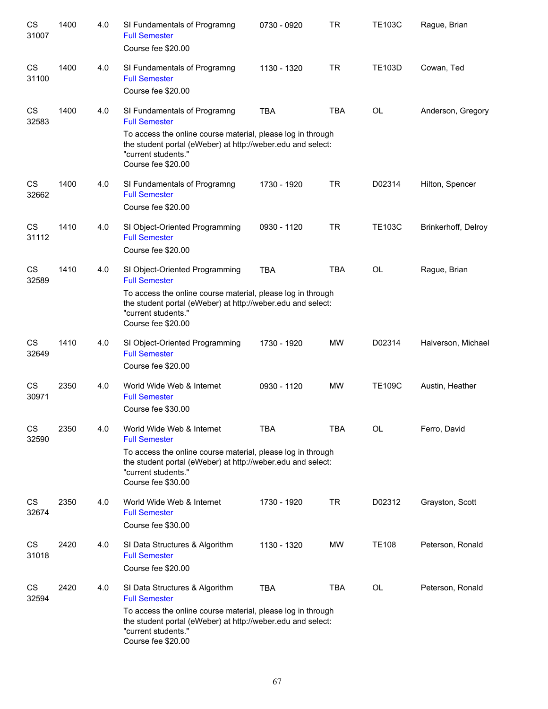| CS<br>31007 | 1400 | 4.0 | SI Fundamentals of Programng<br><b>Full Semester</b><br>Course fee \$20.00                                                                                              | 0730 - 0920 | <b>TR</b>  | <b>TE103C</b> | Rague, Brian        |
|-------------|------|-----|-------------------------------------------------------------------------------------------------------------------------------------------------------------------------|-------------|------------|---------------|---------------------|
| CS<br>31100 | 1400 | 4.0 | SI Fundamentals of Programng<br><b>Full Semester</b><br>Course fee \$20.00                                                                                              | 1130 - 1320 | <b>TR</b>  | <b>TE103D</b> | Cowan, Ted          |
| CS<br>32583 | 1400 | 4.0 | SI Fundamentals of Programng<br><b>Full Semester</b>                                                                                                                    | <b>TBA</b>  | <b>TBA</b> | <b>OL</b>     | Anderson, Gregory   |
|             |      |     | To access the online course material, please log in through<br>the student portal (eWeber) at http://weber.edu and select:<br>"current students."<br>Course fee \$20.00 |             |            |               |                     |
| CS<br>32662 | 1400 | 4.0 | SI Fundamentals of Programng<br><b>Full Semester</b><br>Course fee \$20.00                                                                                              | 1730 - 1920 | <b>TR</b>  | D02314        | Hilton, Spencer     |
| CS<br>31112 | 1410 | 4.0 | SI Object-Oriented Programming<br><b>Full Semester</b><br>Course fee \$20.00                                                                                            | 0930 - 1120 | <b>TR</b>  | <b>TE103C</b> | Brinkerhoff, Delroy |
| CS<br>32589 | 1410 | 4.0 | SI Object-Oriented Programming<br><b>Full Semester</b>                                                                                                                  | <b>TBA</b>  | <b>TBA</b> | <b>OL</b>     | Rague, Brian        |
|             |      |     | To access the online course material, please log in through<br>the student portal (eWeber) at http://weber.edu and select:<br>"current students."<br>Course fee \$20.00 |             |            |               |                     |
| CS<br>32649 | 1410 | 4.0 | SI Object-Oriented Programming<br><b>Full Semester</b><br>Course fee \$20.00                                                                                            | 1730 - 1920 | <b>MW</b>  | D02314        | Halverson, Michael  |
| CS<br>30971 | 2350 | 4.0 | World Wide Web & Internet<br><b>Full Semester</b><br>Course fee \$30.00                                                                                                 | 0930 - 1120 | <b>MW</b>  | <b>TE109C</b> | Austin, Heather     |
| CS<br>32590 | 2350 | 4.0 | World Wide Web & Internet<br><b>Full Semester</b>                                                                                                                       | <b>TBA</b>  | <b>TBA</b> | <b>OL</b>     | Ferro, David        |
|             |      |     | To access the online course material, please log in through<br>the student portal (eWeber) at http://weber.edu and select:<br>"current students."<br>Course fee \$30.00 |             |            |               |                     |
| CS<br>32674 | 2350 | 4.0 | World Wide Web & Internet<br><b>Full Semester</b><br>Course fee \$30.00                                                                                                 | 1730 - 1920 | <b>TR</b>  | D02312        | Grayston, Scott     |
| CS<br>31018 | 2420 | 4.0 | SI Data Structures & Algorithm<br><b>Full Semester</b>                                                                                                                  | 1130 - 1320 | MW         | <b>TE108</b>  | Peterson, Ronald    |
|             |      |     | Course fee \$20.00                                                                                                                                                      |             |            |               |                     |
| CS<br>32594 | 2420 | 4.0 | SI Data Structures & Algorithm<br><b>Full Semester</b>                                                                                                                  | <b>TBA</b>  | <b>TBA</b> | <b>OL</b>     | Peterson, Ronald    |
|             |      |     | To access the online course material, please log in through<br>the student portal (eWeber) at http://weber.edu and select:<br>"current students."<br>Course fee \$20.00 |             |            |               |                     |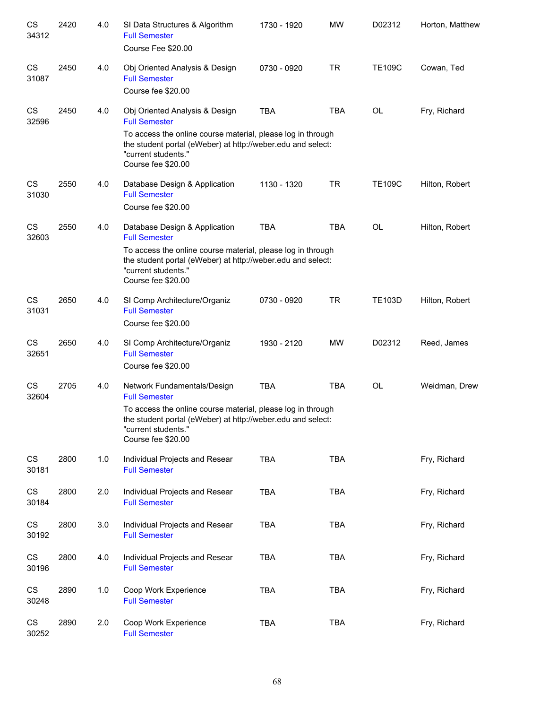| CS<br>34312        | 2420 | 4.0 | SI Data Structures & Algorithm<br><b>Full Semester</b><br>Course Fee \$20.00                                                                                                                    | 1730 - 1920 | <b>MW</b>  | D02312        | Horton, Matthew |
|--------------------|------|-----|-------------------------------------------------------------------------------------------------------------------------------------------------------------------------------------------------|-------------|------------|---------------|-----------------|
| CS<br>31087        | 2450 | 4.0 | Obj Oriented Analysis & Design<br><b>Full Semester</b><br>Course fee \$20.00                                                                                                                    | 0730 - 0920 | <b>TR</b>  | <b>TE109C</b> | Cowan, Ted      |
| CS<br>32596        | 2450 | 4.0 | Obj Oriented Analysis & Design<br><b>Full Semester</b>                                                                                                                                          | <b>TBA</b>  | <b>TBA</b> | OL            | Fry, Richard    |
|                    |      |     | To access the online course material, please log in through<br>the student portal (eWeber) at http://weber.edu and select:<br>"current students."<br>Course fee \$20.00                         |             |            |               |                 |
| CS<br>31030        | 2550 | 4.0 | Database Design & Application<br><b>Full Semester</b><br>Course fee \$20.00                                                                                                                     | 1130 - 1320 | <b>TR</b>  | <b>TE109C</b> | Hilton, Robert  |
| CS<br>32603        | 2550 | 4.0 | Database Design & Application<br><b>Full Semester</b>                                                                                                                                           | <b>TBA</b>  | <b>TBA</b> | <b>OL</b>     | Hilton, Robert  |
|                    |      |     | To access the online course material, please log in through<br>the student portal (eWeber) at http://weber.edu and select:<br>"current students."<br>Course fee \$20.00                         |             |            |               |                 |
| CS<br>31031        | 2650 | 4.0 | SI Comp Architecture/Organiz<br><b>Full Semester</b><br>Course fee \$20.00                                                                                                                      | 0730 - 0920 | <b>TR</b>  | <b>TE103D</b> | Hilton, Robert  |
| CS<br>32651        | 2650 | 4.0 | SI Comp Architecture/Organiz<br><b>Full Semester</b>                                                                                                                                            | 1930 - 2120 | <b>MW</b>  | D02312        | Reed, James     |
| CS                 | 2705 | 4.0 | Course fee \$20.00<br>Network Fundamentals/Design                                                                                                                                               | <b>TBA</b>  | <b>TBA</b> | <b>OL</b>     | Weidman, Drew   |
| 32604              |      |     | <b>Full Semester</b><br>To access the online course material, please log in through<br>the student portal (eWeber) at http://weber.edu and select:<br>"current students."<br>Course fee \$20.00 |             |            |               |                 |
| CS<br>30181        | 2800 | 1.0 | Individual Projects and Resear<br><b>Full Semester</b>                                                                                                                                          | TBA         | TBA        |               | Fry, Richard    |
| CS<br>30184        | 2800 | 2.0 | Individual Projects and Resear<br><b>Full Semester</b>                                                                                                                                          | <b>TBA</b>  | <b>TBA</b> |               | Fry, Richard    |
| CS<br>30192        | 2800 | 3.0 | Individual Projects and Resear<br><b>Full Semester</b>                                                                                                                                          | <b>TBA</b>  | <b>TBA</b> |               | Fry, Richard    |
| CS<br>30196        | 2800 | 4.0 | Individual Projects and Resear<br><b>Full Semester</b>                                                                                                                                          | <b>TBA</b>  | <b>TBA</b> |               | Fry, Richard    |
| CS<br>30248        | 2890 | 1.0 | Coop Work Experience<br><b>Full Semester</b>                                                                                                                                                    | <b>TBA</b>  | <b>TBA</b> |               | Fry, Richard    |
| <b>CS</b><br>30252 | 2890 | 2.0 | Coop Work Experience<br><b>Full Semester</b>                                                                                                                                                    | <b>TBA</b>  | <b>TBA</b> |               | Fry, Richard    |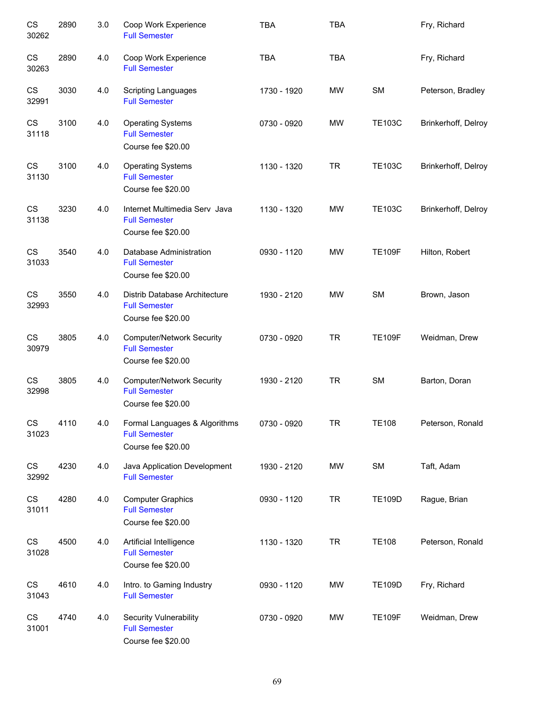| CS<br>30262 | 2890 | 3.0 | Coop Work Experience<br><b>Full Semester</b>                                   | <b>TBA</b>  | <b>TBA</b> |               | Fry, Richard        |
|-------------|------|-----|--------------------------------------------------------------------------------|-------------|------------|---------------|---------------------|
| CS<br>30263 | 2890 | 4.0 | Coop Work Experience<br><b>Full Semester</b>                                   | <b>TBA</b>  | <b>TBA</b> |               | Fry, Richard        |
| CS<br>32991 | 3030 | 4.0 | <b>Scripting Languages</b><br><b>Full Semester</b>                             | 1730 - 1920 | <b>MW</b>  | <b>SM</b>     | Peterson, Bradley   |
| CS<br>31118 | 3100 | 4.0 | <b>Operating Systems</b><br><b>Full Semester</b><br>Course fee \$20.00         | 0730 - 0920 | <b>MW</b>  | <b>TE103C</b> | Brinkerhoff, Delroy |
| CS<br>31130 | 3100 | 4.0 | <b>Operating Systems</b><br><b>Full Semester</b><br>Course fee \$20.00         | 1130 - 1320 | <b>TR</b>  | <b>TE103C</b> | Brinkerhoff, Delroy |
| CS<br>31138 | 3230 | 4.0 | Internet Multimedia Serv Java<br><b>Full Semester</b><br>Course fee \$20.00    | 1130 - 1320 | MW         | <b>TE103C</b> | Brinkerhoff, Delroy |
| CS<br>31033 | 3540 | 4.0 | Database Administration<br><b>Full Semester</b><br>Course fee \$20.00          | 0930 - 1120 | <b>MW</b>  | <b>TE109F</b> | Hilton, Robert      |
| CS<br>32993 | 3550 | 4.0 | Distrib Database Architecture<br><b>Full Semester</b><br>Course fee \$20.00    | 1930 - 2120 | <b>MW</b>  | <b>SM</b>     | Brown, Jason        |
| CS<br>30979 | 3805 | 4.0 | <b>Computer/Network Security</b><br><b>Full Semester</b><br>Course fee \$20.00 | 0730 - 0920 | <b>TR</b>  | <b>TE109F</b> | Weidman, Drew       |
| CS<br>32998 | 3805 | 4.0 | <b>Computer/Network Security</b><br><b>Full Semester</b><br>Course fee \$20.00 | 1930 - 2120 | <b>TR</b>  | <b>SM</b>     | Barton, Doran       |
| CS<br>31023 | 4110 | 4.0 | Formal Languages & Algorithms<br><b>Full Semester</b><br>Course fee \$20.00    | 0730 - 0920 | <b>TR</b>  | <b>TE108</b>  | Peterson, Ronald    |
| CS<br>32992 | 4230 | 4.0 | Java Application Development<br><b>Full Semester</b>                           | 1930 - 2120 | <b>MW</b>  | <b>SM</b>     | Taft, Adam          |
| CS<br>31011 | 4280 | 4.0 | <b>Computer Graphics</b><br><b>Full Semester</b><br>Course fee \$20.00         | 0930 - 1120 | <b>TR</b>  | <b>TE109D</b> | Rague, Brian        |
| CS<br>31028 | 4500 | 4.0 | Artificial Intelligence<br><b>Full Semester</b><br>Course fee \$20.00          | 1130 - 1320 | <b>TR</b>  | <b>TE108</b>  | Peterson, Ronald    |
| CS<br>31043 | 4610 | 4.0 | Intro. to Gaming Industry<br><b>Full Semester</b>                              | 0930 - 1120 | <b>MW</b>  | <b>TE109D</b> | Fry, Richard        |
| CS<br>31001 | 4740 | 4.0 | Security Vulnerability<br><b>Full Semester</b><br>Course fee \$20.00           | 0730 - 0920 | <b>MW</b>  | <b>TE109F</b> | Weidman, Drew       |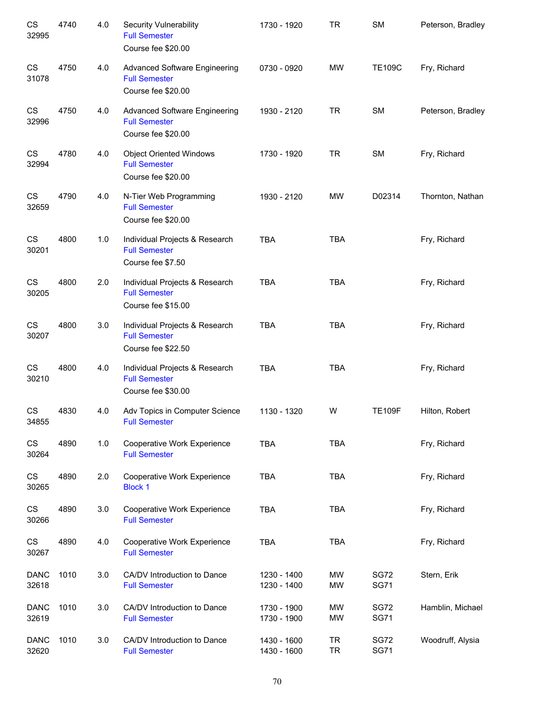| CS<br>32995          | 4740 | 4.0 | <b>Security Vulnerability</b><br><b>Full Semester</b><br>Course fee \$20.00        | 1730 - 1920                | <b>TR</b>              | <b>SM</b>                  | Peterson, Bradley |
|----------------------|------|-----|------------------------------------------------------------------------------------|----------------------------|------------------------|----------------------------|-------------------|
| CS<br>31078          | 4750 | 4.0 | <b>Advanced Software Engineering</b><br><b>Full Semester</b><br>Course fee \$20.00 | 0730 - 0920                | <b>MW</b>              | <b>TE109C</b>              | Fry, Richard      |
| CS<br>32996          | 4750 | 4.0 | <b>Advanced Software Engineering</b><br><b>Full Semester</b><br>Course fee \$20.00 | 1930 - 2120                | <b>TR</b>              | <b>SM</b>                  | Peterson, Bradley |
| CS<br>32994          | 4780 | 4.0 | <b>Object Oriented Windows</b><br><b>Full Semester</b><br>Course fee \$20.00       | 1730 - 1920                | <b>TR</b>              | <b>SM</b>                  | Fry, Richard      |
| CS<br>32659          | 4790 | 4.0 | N-Tier Web Programming<br><b>Full Semester</b><br>Course fee \$20.00               | 1930 - 2120                | <b>MW</b>              | D02314                     | Thornton, Nathan  |
| CS<br>30201          | 4800 | 1.0 | Individual Projects & Research<br><b>Full Semester</b><br>Course fee \$7.50        | <b>TBA</b>                 | <b>TBA</b>             |                            | Fry, Richard      |
| CS<br>30205          | 4800 | 2.0 | Individual Projects & Research<br><b>Full Semester</b><br>Course fee \$15.00       | <b>TBA</b>                 | <b>TBA</b>             |                            | Fry, Richard      |
| CS<br>30207          | 4800 | 3.0 | Individual Projects & Research<br><b>Full Semester</b><br>Course fee \$22.50       | <b>TBA</b>                 | <b>TBA</b>             |                            | Fry, Richard      |
| CS<br>30210          | 4800 | 4.0 | Individual Projects & Research<br><b>Full Semester</b><br>Course fee \$30.00       | <b>TBA</b>                 | <b>TBA</b>             |                            | Fry, Richard      |
| CS<br>34855          | 4830 | 4.0 | Adv Topics in Computer Science<br><b>Full Semester</b>                             | 1130 - 1320                | W                      | <b>TE109F</b>              | Hilton, Robert    |
| CS<br>30264          | 4890 | 1.0 | Cooperative Work Experience<br><b>Full Semester</b>                                | TBA                        | <b>TBA</b>             |                            | Fry, Richard      |
| CS<br>30265          | 4890 | 2.0 | <b>Cooperative Work Experience</b><br><b>Block 1</b>                               | <b>TBA</b>                 | <b>TBA</b>             |                            | Fry, Richard      |
| CS<br>30266          | 4890 | 3.0 | Cooperative Work Experience<br><b>Full Semester</b>                                | TBA                        | <b>TBA</b>             |                            | Fry, Richard      |
| CS<br>30267          | 4890 | 4.0 | Cooperative Work Experience<br><b>Full Semester</b>                                | TBA                        | <b>TBA</b>             |                            | Fry, Richard      |
| <b>DANC</b><br>32618 | 1010 | 3.0 | CA/DV Introduction to Dance<br><b>Full Semester</b>                                | 1230 - 1400<br>1230 - 1400 | MW<br><b>MW</b>        | <b>SG72</b><br><b>SG71</b> | Stern, Erik       |
| <b>DANC</b><br>32619 | 1010 | 3.0 | CA/DV Introduction to Dance<br><b>Full Semester</b>                                | 1730 - 1900<br>1730 - 1900 | <b>MW</b><br><b>MW</b> | <b>SG72</b><br><b>SG71</b> | Hamblin, Michael  |
| <b>DANC</b><br>32620 | 1010 | 3.0 | CA/DV Introduction to Dance<br><b>Full Semester</b>                                | 1430 - 1600<br>1430 - 1600 | <b>TR</b><br><b>TR</b> | <b>SG72</b><br><b>SG71</b> | Woodruff, Alysia  |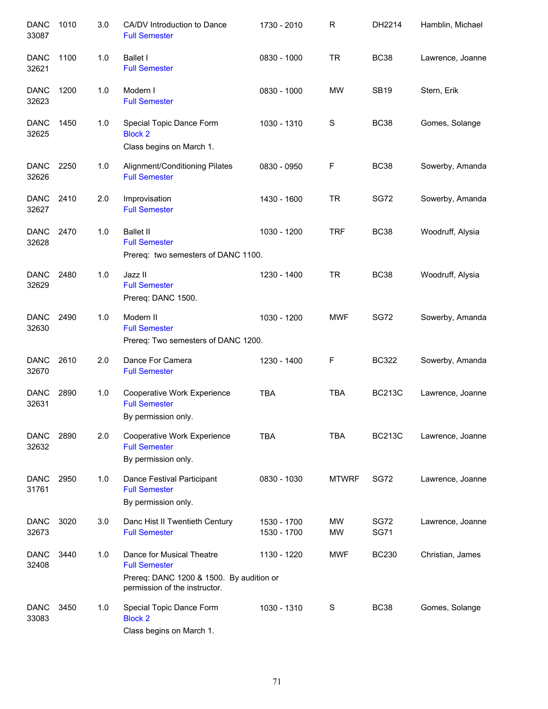| <b>DANC</b><br>33087 | 1010 | 3.0 | CA/DV Introduction to Dance<br><b>Full Semester</b>                                                                            | 1730 - 2010                | $\mathsf R$            | DH2214                     | Hamblin, Michael |
|----------------------|------|-----|--------------------------------------------------------------------------------------------------------------------------------|----------------------------|------------------------|----------------------------|------------------|
| <b>DANC</b><br>32621 | 1100 | 1.0 | <b>Ballet I</b><br><b>Full Semester</b>                                                                                        | 0830 - 1000                | <b>TR</b>              | <b>BC38</b>                | Lawrence, Joanne |
| <b>DANC</b><br>32623 | 1200 | 1.0 | Modern I<br><b>Full Semester</b>                                                                                               | 0830 - 1000                | <b>MW</b>              | <b>SB19</b>                | Stern, Erik      |
| <b>DANC</b><br>32625 | 1450 | 1.0 | Special Topic Dance Form<br><b>Block 2</b><br>Class begins on March 1.                                                         | 1030 - 1310                | S                      | <b>BC38</b>                | Gomes, Solange   |
| <b>DANC</b><br>32626 | 2250 | 1.0 | Alignment/Conditioning Pilates<br><b>Full Semester</b>                                                                         | 0830 - 0950                | F                      | <b>BC38</b>                | Sowerby, Amanda  |
| <b>DANC</b><br>32627 | 2410 | 2.0 | Improvisation<br><b>Full Semester</b>                                                                                          | 1430 - 1600                | <b>TR</b>              | <b>SG72</b>                | Sowerby, Amanda  |
| <b>DANC</b><br>32628 | 2470 | 1.0 | <b>Ballet II</b><br><b>Full Semester</b><br>Prereq: two semesters of DANC 1100.                                                | 1030 - 1200                | <b>TRF</b>             | <b>BC38</b>                | Woodruff, Alysia |
| <b>DANC</b><br>32629 | 2480 | 1.0 | Jazz II<br><b>Full Semester</b><br>Prereq: DANC 1500.                                                                          | 1230 - 1400                | <b>TR</b>              | <b>BC38</b>                | Woodruff, Alysia |
| <b>DANC</b><br>32630 | 2490 | 1.0 | Modern II<br><b>Full Semester</b><br>Prereq: Two semesters of DANC 1200.                                                       | 1030 - 1200                | <b>MWF</b>             | <b>SG72</b>                | Sowerby, Amanda  |
| <b>DANC</b><br>32670 | 2610 | 2.0 | Dance For Camera<br><b>Full Semester</b>                                                                                       | 1230 - 1400                | F                      | <b>BC322</b>               | Sowerby, Amanda  |
| <b>DANC</b><br>32631 | 2890 | 1.0 | Cooperative Work Experience<br><b>Full Semester</b><br>By permission only.                                                     | <b>TBA</b>                 | <b>TBA</b>             | <b>BC213C</b>              | Lawrence, Joanne |
| <b>DANC</b><br>32632 | 2890 | 2.0 | Cooperative Work Experience<br><b>Full Semester</b><br>By permission only.                                                     | <b>TBA</b>                 | <b>TBA</b>             | <b>BC213C</b>              | Lawrence, Joanne |
| <b>DANC</b><br>31761 | 2950 | 1.0 | Dance Festival Participant<br><b>Full Semester</b><br>By permission only.                                                      | 0830 - 1030                | <b>MTWRF</b>           | <b>SG72</b>                | Lawrence, Joanne |
| <b>DANC</b><br>32673 | 3020 | 3.0 | Danc Hist II Twentieth Century<br><b>Full Semester</b>                                                                         | 1530 - 1700<br>1530 - 1700 | <b>MW</b><br><b>MW</b> | <b>SG72</b><br><b>SG71</b> | Lawrence, Joanne |
| <b>DANC</b><br>32408 | 3440 | 1.0 | Dance for Musical Theatre<br><b>Full Semester</b><br>Prereq: DANC 1200 & 1500. By audition or<br>permission of the instructor. | 1130 - 1220                | <b>MWF</b>             | <b>BC230</b>               | Christian, James |
| <b>DANC</b><br>33083 | 3450 | 1.0 | Special Topic Dance Form<br><b>Block 2</b><br>Class begins on March 1.                                                         | 1030 - 1310                | S                      | <b>BC38</b>                | Gomes, Solange   |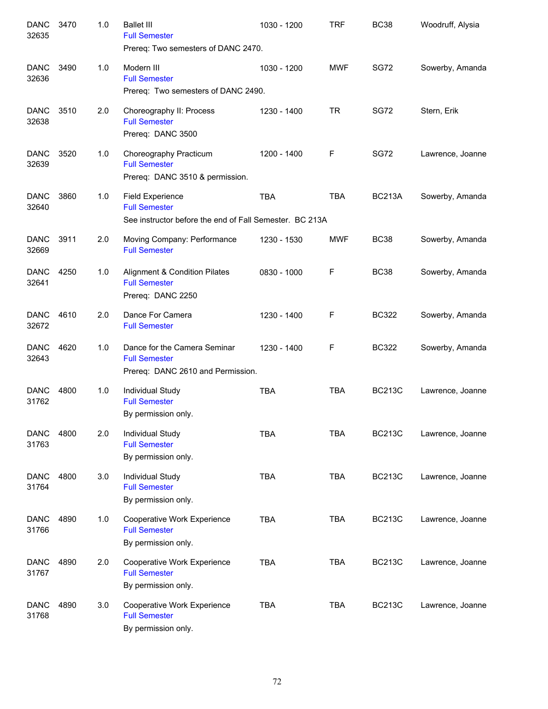| <b>DANC</b><br>32635 | 3470 | 1.0 | <b>Ballet III</b><br><b>Full Semester</b><br>Prereq: Two semesters of DANC 2470.                           | 1030 - 1200 | <b>TRF</b> | <b>BC38</b>   | Woodruff, Alysia |
|----------------------|------|-----|------------------------------------------------------------------------------------------------------------|-------------|------------|---------------|------------------|
| <b>DANC</b><br>32636 | 3490 | 1.0 | Modern III<br><b>Full Semester</b><br>Prereq: Two semesters of DANC 2490.                                  | 1030 - 1200 | <b>MWF</b> | <b>SG72</b>   | Sowerby, Amanda  |
| <b>DANC</b><br>32638 | 3510 | 2.0 | Choreography II: Process<br><b>Full Semester</b><br>Prereq: DANC 3500                                      | 1230 - 1400 | <b>TR</b>  | <b>SG72</b>   | Stern, Erik      |
| <b>DANC</b><br>32639 | 3520 | 1.0 | Choreography Practicum<br><b>Full Semester</b><br>Prereq: DANC 3510 & permission.                          | 1200 - 1400 | F          | <b>SG72</b>   | Lawrence, Joanne |
| <b>DANC</b><br>32640 | 3860 | 1.0 | <b>Field Experience</b><br><b>Full Semester</b><br>See instructor before the end of Fall Semester. BC 213A | <b>TBA</b>  | <b>TBA</b> | <b>BC213A</b> | Sowerby, Amanda  |
| <b>DANC</b><br>32669 | 3911 | 2.0 | Moving Company: Performance<br><b>Full Semester</b>                                                        | 1230 - 1530 | <b>MWF</b> | <b>BC38</b>   | Sowerby, Amanda  |
| <b>DANC</b><br>32641 | 4250 | 1.0 | <b>Alignment &amp; Condition Pilates</b><br><b>Full Semester</b><br>Prereq: DANC 2250                      | 0830 - 1000 | F          | <b>BC38</b>   | Sowerby, Amanda  |
| <b>DANC</b><br>32672 | 4610 | 2.0 | Dance For Camera<br><b>Full Semester</b>                                                                   | 1230 - 1400 | F          | <b>BC322</b>  | Sowerby, Amanda  |
| <b>DANC</b><br>32643 | 4620 | 1.0 | Dance for the Camera Seminar<br><b>Full Semester</b><br>Prereq: DANC 2610 and Permission.                  | 1230 - 1400 | F          | <b>BC322</b>  | Sowerby, Amanda  |
| <b>DANC</b><br>31762 | 4800 | 1.0 | Individual Study<br><b>Full Semester</b><br>By permission only.                                            | <b>TBA</b>  | <b>TBA</b> | <b>BC213C</b> | Lawrence, Joanne |
| <b>DANC</b><br>31763 | 4800 | 2.0 | <b>Individual Study</b><br><b>Full Semester</b><br>By permission only.                                     | <b>TBA</b>  | TBA        | <b>BC213C</b> | Lawrence, Joanne |
| <b>DANC</b><br>31764 | 4800 | 3.0 | Individual Study<br><b>Full Semester</b><br>By permission only.                                            | <b>TBA</b>  | <b>TBA</b> | <b>BC213C</b> | Lawrence, Joanne |
| <b>DANC</b><br>31766 | 4890 | 1.0 | Cooperative Work Experience<br><b>Full Semester</b><br>By permission only.                                 | <b>TBA</b>  | <b>TBA</b> | <b>BC213C</b> | Lawrence, Joanne |
| <b>DANC</b><br>31767 | 4890 | 2.0 | Cooperative Work Experience<br><b>Full Semester</b><br>By permission only.                                 | <b>TBA</b>  | <b>TBA</b> | <b>BC213C</b> | Lawrence, Joanne |
| <b>DANC</b><br>31768 | 4890 | 3.0 | Cooperative Work Experience<br><b>Full Semester</b><br>By permission only.                                 | <b>TBA</b>  | <b>TBA</b> | <b>BC213C</b> | Lawrence, Joanne |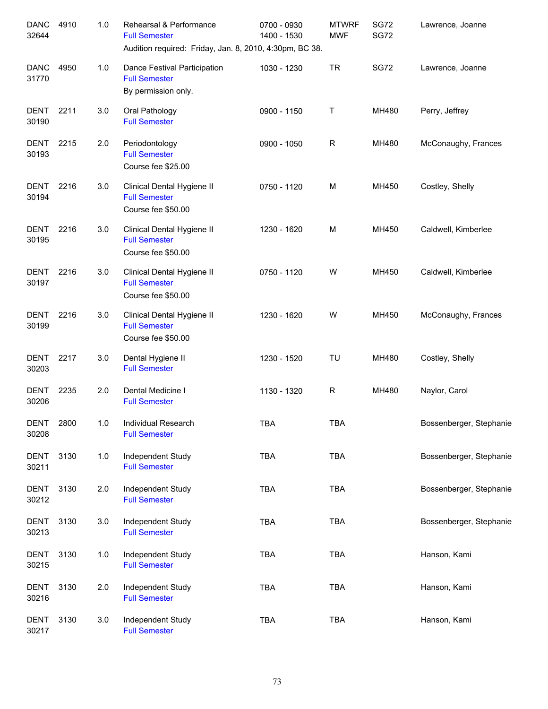| <b>DANC</b><br>32644 | 4910 | 1.0 | Rehearsal & Performance<br><b>Full Semester</b><br>Audition required: Friday, Jan. 8, 2010, 4:30pm, BC 38. | 0700 - 0930<br>1400 - 1530 | <b>MTWRF</b><br><b>MWF</b> | <b>SG72</b><br><b>SG72</b> | Lawrence, Joanne        |
|----------------------|------|-----|------------------------------------------------------------------------------------------------------------|----------------------------|----------------------------|----------------------------|-------------------------|
| <b>DANC</b><br>31770 | 4950 | 1.0 | Dance Festival Participation<br><b>Full Semester</b><br>By permission only.                                | 1030 - 1230                | <b>TR</b>                  | <b>SG72</b>                | Lawrence, Joanne        |
| <b>DENT</b><br>30190 | 2211 | 3.0 | Oral Pathology<br><b>Full Semester</b>                                                                     | 0900 - 1150                | Τ                          | MH480                      | Perry, Jeffrey          |
| DENT<br>30193        | 2215 | 2.0 | Periodontology<br><b>Full Semester</b><br>Course fee \$25.00                                               | 0900 - 1050                | R                          | MH480                      | McConaughy, Frances     |
| <b>DENT</b><br>30194 | 2216 | 3.0 | Clinical Dental Hygiene II<br><b>Full Semester</b><br>Course fee \$50.00                                   | 0750 - 1120                | M                          | MH450                      | Costley, Shelly         |
| <b>DENT</b><br>30195 | 2216 | 3.0 | Clinical Dental Hygiene II<br><b>Full Semester</b><br>Course fee \$50.00                                   | 1230 - 1620                | M                          | MH450                      | Caldwell, Kimberlee     |
| <b>DENT</b><br>30197 | 2216 | 3.0 | Clinical Dental Hygiene II<br><b>Full Semester</b><br>Course fee \$50.00                                   | 0750 - 1120                | W                          | MH450                      | Caldwell, Kimberlee     |
| <b>DENT</b><br>30199 | 2216 | 3.0 | Clinical Dental Hygiene II<br><b>Full Semester</b><br>Course fee \$50.00                                   | 1230 - 1620                | W                          | MH450                      | McConaughy, Frances     |
| <b>DENT</b><br>30203 | 2217 | 3.0 | Dental Hygiene II<br><b>Full Semester</b>                                                                  | 1230 - 1520                | TU                         | MH480                      | Costley, Shelly         |
| DENT<br>30206        | 2235 | 2.0 | Dental Medicine I<br><b>Full Semester</b>                                                                  | 1130 - 1320                | R                          | MH480                      | Naylor, Carol           |
| <b>DENT</b><br>30208 | 2800 | 1.0 | Individual Research<br><b>Full Semester</b>                                                                | TBA                        | TBA                        |                            | Bossenberger, Stephanie |
| <b>DENT</b><br>30211 | 3130 | 1.0 | Independent Study<br><b>Full Semester</b>                                                                  | <b>TBA</b>                 | <b>TBA</b>                 |                            | Bossenberger, Stephanie |
| <b>DENT</b><br>30212 | 3130 | 2.0 | Independent Study<br><b>Full Semester</b>                                                                  | <b>TBA</b>                 | <b>TBA</b>                 |                            | Bossenberger, Stephanie |
| <b>DENT</b><br>30213 | 3130 | 3.0 | Independent Study<br><b>Full Semester</b>                                                                  | <b>TBA</b>                 | <b>TBA</b>                 |                            | Bossenberger, Stephanie |
| <b>DENT</b><br>30215 | 3130 | 1.0 | Independent Study<br><b>Full Semester</b>                                                                  | <b>TBA</b>                 | <b>TBA</b>                 |                            | Hanson, Kami            |
| <b>DENT</b><br>30216 | 3130 | 2.0 | Independent Study<br><b>Full Semester</b>                                                                  | <b>TBA</b>                 | <b>TBA</b>                 |                            | Hanson, Kami            |
| DENT<br>30217        | 3130 | 3.0 | Independent Study<br><b>Full Semester</b>                                                                  | <b>TBA</b>                 | <b>TBA</b>                 |                            | Hanson, Kami            |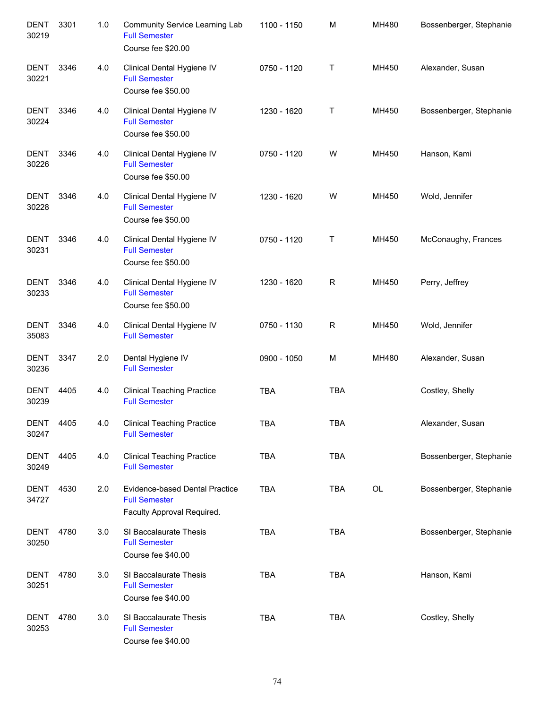| <b>DENT</b><br>30219 | 3301 | 1.0 | Community Service Learning Lab<br><b>Full Semester</b><br>Course fee \$20.00                | 1100 - 1150 | M           | MH480 | Bossenberger, Stephanie |
|----------------------|------|-----|---------------------------------------------------------------------------------------------|-------------|-------------|-------|-------------------------|
| <b>DENT</b><br>30221 | 3346 | 4.0 | Clinical Dental Hygiene IV<br><b>Full Semester</b><br>Course fee \$50.00                    | 0750 - 1120 | Τ           | MH450 | Alexander, Susan        |
| <b>DENT</b><br>30224 | 3346 | 4.0 | Clinical Dental Hygiene IV<br><b>Full Semester</b><br>Course fee \$50.00                    | 1230 - 1620 | т           | MH450 | Bossenberger, Stephanie |
| <b>DENT</b><br>30226 | 3346 | 4.0 | Clinical Dental Hygiene IV<br><b>Full Semester</b><br>Course fee \$50.00                    | 0750 - 1120 | W           | MH450 | Hanson, Kami            |
| <b>DENT</b><br>30228 | 3346 | 4.0 | Clinical Dental Hygiene IV<br><b>Full Semester</b><br>Course fee \$50.00                    | 1230 - 1620 | W           | MH450 | Wold, Jennifer          |
| <b>DENT</b><br>30231 | 3346 | 4.0 | Clinical Dental Hygiene IV<br><b>Full Semester</b><br>Course fee \$50.00                    | 0750 - 1120 | Τ           | MH450 | McConaughy, Frances     |
| <b>DENT</b><br>30233 | 3346 | 4.0 | Clinical Dental Hygiene IV<br><b>Full Semester</b><br>Course fee \$50.00                    | 1230 - 1620 | $\mathsf R$ | MH450 | Perry, Jeffrey          |
| <b>DENT</b><br>35083 | 3346 | 4.0 | Clinical Dental Hygiene IV<br><b>Full Semester</b>                                          | 0750 - 1130 | $\mathsf R$ | MH450 | Wold, Jennifer          |
| <b>DENT</b><br>30236 | 3347 | 2.0 | Dental Hygiene IV<br><b>Full Semester</b>                                                   | 0900 - 1050 | M           | MH480 | Alexander, Susan        |
| DENT<br>30239        | 4405 | 4.0 | <b>Clinical Teaching Practice</b><br><b>Full Semester</b>                                   | <b>TBA</b>  | <b>TBA</b>  |       | Costley, Shelly         |
| <b>DENT</b><br>30247 | 4405 | 4.0 | <b>Clinical Teaching Practice</b><br><b>Full Semester</b>                                   | <b>TBA</b>  | TBA         |       | Alexander, Susan        |
| <b>DENT</b><br>30249 | 4405 | 4.0 | <b>Clinical Teaching Practice</b><br><b>Full Semester</b>                                   | <b>TBA</b>  | <b>TBA</b>  |       | Bossenberger, Stephanie |
| <b>DENT</b><br>34727 | 4530 | 2.0 | <b>Evidence-based Dental Practice</b><br><b>Full Semester</b><br>Faculty Approval Required. | <b>TBA</b>  | <b>TBA</b>  | OL    | Bossenberger, Stephanie |
| <b>DENT</b><br>30250 | 4780 | 3.0 | SI Baccalaurate Thesis<br><b>Full Semester</b><br>Course fee \$40.00                        | <b>TBA</b>  | <b>TBA</b>  |       | Bossenberger, Stephanie |
| <b>DENT</b><br>30251 | 4780 | 3.0 | SI Baccalaurate Thesis<br><b>Full Semester</b><br>Course fee \$40.00                        | <b>TBA</b>  | <b>TBA</b>  |       | Hanson, Kami            |
| <b>DENT</b><br>30253 | 4780 | 3.0 | SI Baccalaurate Thesis<br><b>Full Semester</b><br>Course fee \$40.00                        | <b>TBA</b>  | <b>TBA</b>  |       | Costley, Shelly         |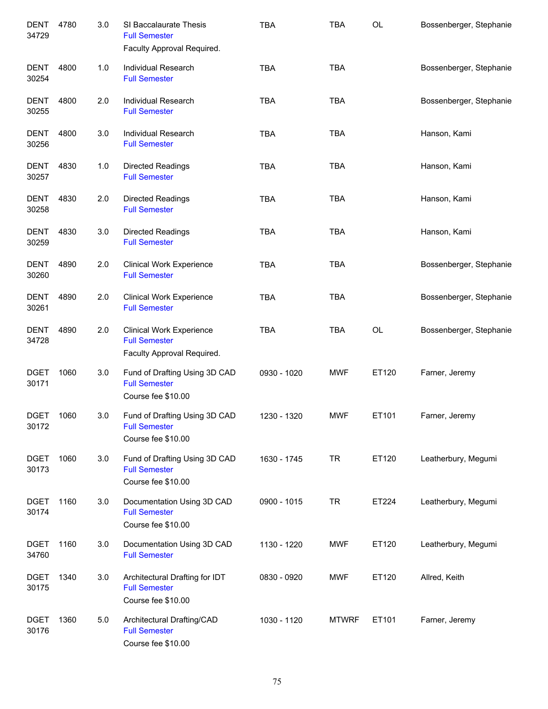| DENT<br>34729        | 4780 | 3.0 | SI Baccalaurate Thesis<br><b>Full Semester</b><br>Faculty Approval Required.          | <b>TBA</b>  | <b>TBA</b>   | OL    | Bossenberger, Stephanie |
|----------------------|------|-----|---------------------------------------------------------------------------------------|-------------|--------------|-------|-------------------------|
| DENT<br>30254        | 4800 | 1.0 | Individual Research<br><b>Full Semester</b>                                           | <b>TBA</b>  | <b>TBA</b>   |       | Bossenberger, Stephanie |
| <b>DENT</b><br>30255 | 4800 | 2.0 | Individual Research<br><b>Full Semester</b>                                           | <b>TBA</b>  | <b>TBA</b>   |       | Bossenberger, Stephanie |
| <b>DENT</b><br>30256 | 4800 | 3.0 | <b>Individual Research</b><br><b>Full Semester</b>                                    | <b>TBA</b>  | <b>TBA</b>   |       | Hanson, Kami            |
| <b>DENT</b><br>30257 | 4830 | 1.0 | <b>Directed Readings</b><br><b>Full Semester</b>                                      | <b>TBA</b>  | <b>TBA</b>   |       | Hanson, Kami            |
| <b>DENT</b><br>30258 | 4830 | 2.0 | <b>Directed Readings</b><br><b>Full Semester</b>                                      | <b>TBA</b>  | <b>TBA</b>   |       | Hanson, Kami            |
| DENT<br>30259        | 4830 | 3.0 | <b>Directed Readings</b><br><b>Full Semester</b>                                      | <b>TBA</b>  | <b>TBA</b>   |       | Hanson, Kami            |
| <b>DENT</b><br>30260 | 4890 | 2.0 | <b>Clinical Work Experience</b><br><b>Full Semester</b>                               | <b>TBA</b>  | <b>TBA</b>   |       | Bossenberger, Stephanie |
| <b>DENT</b><br>30261 | 4890 | 2.0 | <b>Clinical Work Experience</b><br><b>Full Semester</b>                               | <b>TBA</b>  | <b>TBA</b>   |       | Bossenberger, Stephanie |
| <b>DENT</b><br>34728 | 4890 | 2.0 | <b>Clinical Work Experience</b><br><b>Full Semester</b><br>Faculty Approval Required. | <b>TBA</b>  | <b>TBA</b>   | OL    | Bossenberger, Stephanie |
| <b>DGET</b><br>30171 | 1060 | 3.0 | Fund of Drafting Using 3D CAD<br><b>Full Semester</b><br>Course fee \$10.00           | 0930 - 1020 | <b>MWF</b>   | ET120 | Farner, Jeremy          |
| <b>DGET</b><br>30172 | 1060 | 3.0 | Fund of Drafting Using 3D CAD<br><b>Full Semester</b><br>Course fee \$10.00           | 1230 - 1320 | <b>MWF</b>   | ET101 | Farner, Jeremy          |
| <b>DGET</b><br>30173 | 1060 | 3.0 | Fund of Drafting Using 3D CAD<br><b>Full Semester</b><br>Course fee \$10.00           | 1630 - 1745 | <b>TR</b>    | ET120 | Leatherbury, Megumi     |
| <b>DGET</b><br>30174 | 1160 | 3.0 | Documentation Using 3D CAD<br><b>Full Semester</b><br>Course fee \$10.00              | 0900 - 1015 | <b>TR</b>    | ET224 | Leatherbury, Megumi     |
| <b>DGET</b><br>34760 | 1160 | 3.0 | Documentation Using 3D CAD<br><b>Full Semester</b>                                    | 1130 - 1220 | <b>MWF</b>   | ET120 | Leatherbury, Megumi     |
| <b>DGET</b><br>30175 | 1340 | 3.0 | Architectural Drafting for IDT<br><b>Full Semester</b><br>Course fee \$10.00          | 0830 - 0920 | <b>MWF</b>   | ET120 | Allred, Keith           |
| <b>DGET</b><br>30176 | 1360 | 5.0 | Architectural Drafting/CAD<br><b>Full Semester</b><br>Course fee \$10.00              | 1030 - 1120 | <b>MTWRF</b> | ET101 | Farner, Jeremy          |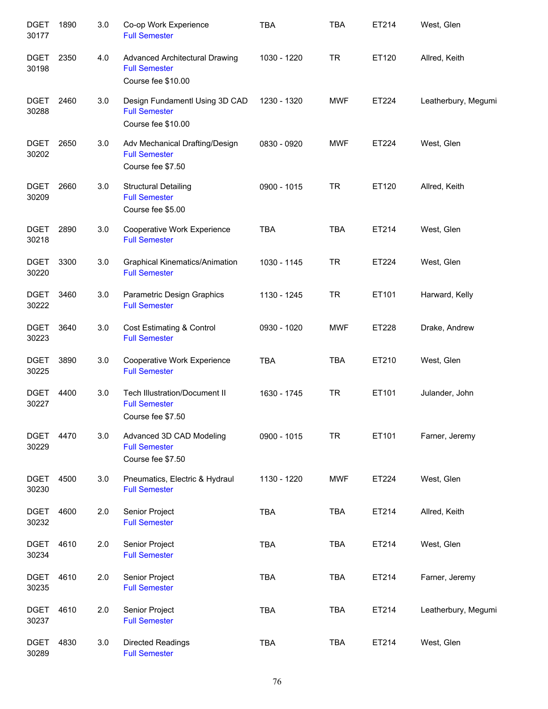| <b>DGET</b><br>30177 | 1890 | 3.0     | Co-op Work Experience<br><b>Full Semester</b>                                | <b>TBA</b>  | <b>TBA</b> | ET214 | West, Glen          |
|----------------------|------|---------|------------------------------------------------------------------------------|-------------|------------|-------|---------------------|
| <b>DGET</b><br>30198 | 2350 | 4.0     | Advanced Architectural Drawing<br><b>Full Semester</b><br>Course fee \$10.00 | 1030 - 1220 | <b>TR</b>  | ET120 | Allred, Keith       |
| <b>DGET</b><br>30288 | 2460 | 3.0     | Design Fundamentl Using 3D CAD<br><b>Full Semester</b><br>Course fee \$10.00 | 1230 - 1320 | <b>MWF</b> | ET224 | Leatherbury, Megumi |
| <b>DGET</b><br>30202 | 2650 | 3.0     | Adv Mechanical Drafting/Design<br><b>Full Semester</b><br>Course fee \$7.50  | 0830 - 0920 | <b>MWF</b> | ET224 | West, Glen          |
| <b>DGET</b><br>30209 | 2660 | 3.0     | <b>Structural Detailing</b><br><b>Full Semester</b><br>Course fee \$5.00     | 0900 - 1015 | <b>TR</b>  | ET120 | Allred, Keith       |
| <b>DGET</b><br>30218 | 2890 | 3.0     | Cooperative Work Experience<br><b>Full Semester</b>                          | <b>TBA</b>  | <b>TBA</b> | ET214 | West, Glen          |
| <b>DGET</b><br>30220 | 3300 | 3.0     | <b>Graphical Kinematics/Animation</b><br><b>Full Semester</b>                | 1030 - 1145 | <b>TR</b>  | ET224 | West, Glen          |
| <b>DGET</b><br>30222 | 3460 | 3.0     | Parametric Design Graphics<br><b>Full Semester</b>                           | 1130 - 1245 | <b>TR</b>  | ET101 | Harward, Kelly      |
| <b>DGET</b><br>30223 | 3640 | 3.0     | Cost Estimating & Control<br><b>Full Semester</b>                            | 0930 - 1020 | <b>MWF</b> | ET228 | Drake, Andrew       |
| <b>DGET</b><br>30225 | 3890 | 3.0     | Cooperative Work Experience<br><b>Full Semester</b>                          | <b>TBA</b>  | <b>TBA</b> | ET210 | West, Glen          |
| <b>DGET</b><br>30227 | 4400 | 3.0     | Tech Illustration/Document II<br><b>Full Semester</b><br>Course fee \$7.50   | 1630 - 1745 | <b>TR</b>  | ET101 | Julander, John      |
| <b>DGET</b><br>30229 | 4470 | 3.0     | Advanced 3D CAD Modeling<br><b>Full Semester</b><br>Course fee \$7.50        | 0900 - 1015 | <b>TR</b>  | ET101 | Farner, Jeremy      |
| <b>DGET</b><br>30230 | 4500 | $3.0\,$ | Pneumatics, Electric & Hydraul<br><b>Full Semester</b>                       | 1130 - 1220 | <b>MWF</b> | ET224 | West, Glen          |
| <b>DGET</b><br>30232 | 4600 | 2.0     | Senior Project<br><b>Full Semester</b>                                       | <b>TBA</b>  | <b>TBA</b> | ET214 | Allred, Keith       |
| <b>DGET</b><br>30234 | 4610 | 2.0     | Senior Project<br><b>Full Semester</b>                                       | <b>TBA</b>  | <b>TBA</b> | ET214 | West, Glen          |
| <b>DGET</b><br>30235 | 4610 | 2.0     | Senior Project<br><b>Full Semester</b>                                       | <b>TBA</b>  | <b>TBA</b> | ET214 | Farner, Jeremy      |
| <b>DGET</b><br>30237 | 4610 | 2.0     | Senior Project<br><b>Full Semester</b>                                       | <b>TBA</b>  | <b>TBA</b> | ET214 | Leatherbury, Megumi |
| <b>DGET</b><br>30289 | 4830 | 3.0     | Directed Readings<br><b>Full Semester</b>                                    | <b>TBA</b>  | <b>TBA</b> | ET214 | West, Glen          |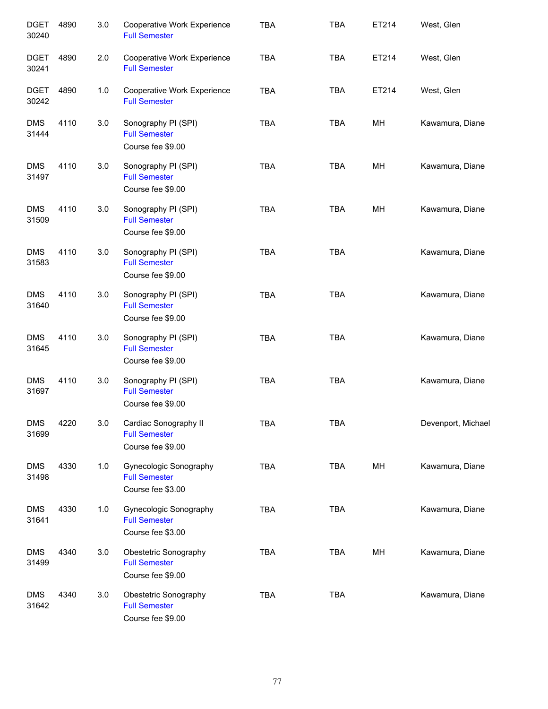| <b>DGET</b><br>30240 | 4890 | 3.0 | Cooperative Work Experience<br><b>Full Semester</b>                 | <b>TBA</b> | <b>TBA</b> | ET214 | West, Glen         |
|----------------------|------|-----|---------------------------------------------------------------------|------------|------------|-------|--------------------|
| <b>DGET</b><br>30241 | 4890 | 2.0 | Cooperative Work Experience<br><b>Full Semester</b>                 | <b>TBA</b> | <b>TBA</b> | ET214 | West, Glen         |
| <b>DGET</b><br>30242 | 4890 | 1.0 | Cooperative Work Experience<br><b>Full Semester</b>                 | <b>TBA</b> | <b>TBA</b> | ET214 | West, Glen         |
| <b>DMS</b><br>31444  | 4110 | 3.0 | Sonography PI (SPI)<br><b>Full Semester</b><br>Course fee \$9.00    | <b>TBA</b> | <b>TBA</b> | MH    | Kawamura, Diane    |
| <b>DMS</b><br>31497  | 4110 | 3.0 | Sonography PI (SPI)<br><b>Full Semester</b><br>Course fee \$9.00    | <b>TBA</b> | <b>TBA</b> | MH    | Kawamura, Diane    |
| <b>DMS</b><br>31509  | 4110 | 3.0 | Sonography PI (SPI)<br><b>Full Semester</b><br>Course fee \$9.00    | <b>TBA</b> | <b>TBA</b> | MH    | Kawamura, Diane    |
| <b>DMS</b><br>31583  | 4110 | 3.0 | Sonography PI (SPI)<br><b>Full Semester</b><br>Course fee \$9.00    | <b>TBA</b> | <b>TBA</b> |       | Kawamura, Diane    |
| <b>DMS</b><br>31640  | 4110 | 3.0 | Sonography PI (SPI)<br><b>Full Semester</b><br>Course fee \$9.00    | <b>TBA</b> | <b>TBA</b> |       | Kawamura, Diane    |
| <b>DMS</b><br>31645  | 4110 | 3.0 | Sonography PI (SPI)<br><b>Full Semester</b><br>Course fee \$9.00    | <b>TBA</b> | <b>TBA</b> |       | Kawamura, Diane    |
| <b>DMS</b><br>31697  | 4110 | 3.0 | Sonography PI (SPI)<br><b>Full Semester</b><br>Course fee \$9.00    | <b>TBA</b> | <b>TBA</b> |       | Kawamura, Diane    |
| <b>DMS</b><br>31699  | 4220 | 3.0 | Cardiac Sonography II<br><b>Full Semester</b><br>Course fee \$9.00  | TBA        | <b>TBA</b> |       | Devenport, Michael |
| <b>DMS</b><br>31498  | 4330 | 1.0 | Gynecologic Sonography<br><b>Full Semester</b><br>Course fee \$3.00 | <b>TBA</b> | <b>TBA</b> | MH    | Kawamura, Diane    |
| <b>DMS</b><br>31641  | 4330 | 1.0 | Gynecologic Sonography<br><b>Full Semester</b><br>Course fee \$3.00 | <b>TBA</b> | <b>TBA</b> |       | Kawamura, Diane    |
| <b>DMS</b><br>31499  | 4340 | 3.0 | Obestetric Sonography<br><b>Full Semester</b><br>Course fee \$9.00  | <b>TBA</b> | <b>TBA</b> | MH    | Kawamura, Diane    |
| <b>DMS</b><br>31642  | 4340 | 3.0 | Obestetric Sonography<br><b>Full Semester</b><br>Course fee \$9.00  | <b>TBA</b> | <b>TBA</b> |       | Kawamura, Diane    |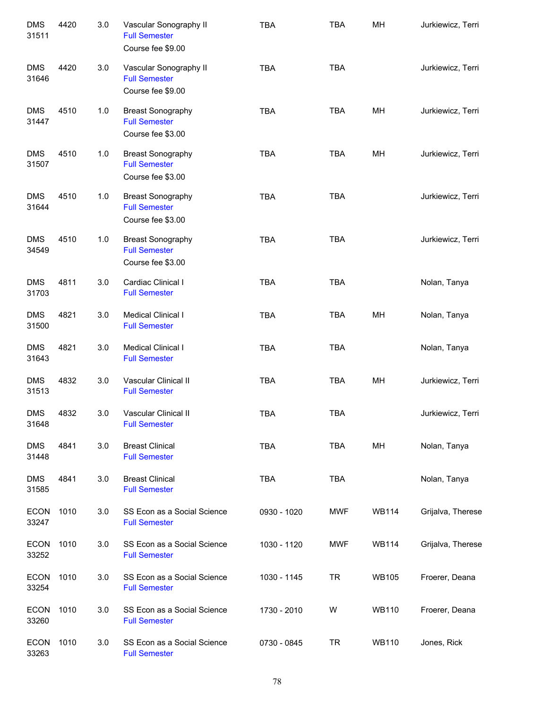| <b>DMS</b><br>31511  | 4420 | 3.0 | Vascular Sonography II<br><b>Full Semester</b><br>Course fee \$9.00   | <b>TBA</b>  | <b>TBA</b> | MH           | Jurkiewicz, Terri |
|----------------------|------|-----|-----------------------------------------------------------------------|-------------|------------|--------------|-------------------|
| <b>DMS</b><br>31646  | 4420 | 3.0 | Vascular Sonography II<br><b>Full Semester</b><br>Course fee \$9.00   | <b>TBA</b>  | <b>TBA</b> |              | Jurkiewicz, Terri |
| <b>DMS</b><br>31447  | 4510 | 1.0 | <b>Breast Sonography</b><br><b>Full Semester</b><br>Course fee \$3.00 | <b>TBA</b>  | <b>TBA</b> | MH           | Jurkiewicz, Terri |
| <b>DMS</b><br>31507  | 4510 | 1.0 | <b>Breast Sonography</b><br><b>Full Semester</b><br>Course fee \$3.00 | <b>TBA</b>  | <b>TBA</b> | MH           | Jurkiewicz, Terri |
| <b>DMS</b><br>31644  | 4510 | 1.0 | <b>Breast Sonography</b><br><b>Full Semester</b><br>Course fee \$3.00 | <b>TBA</b>  | <b>TBA</b> |              | Jurkiewicz, Terri |
| <b>DMS</b><br>34549  | 4510 | 1.0 | <b>Breast Sonography</b><br><b>Full Semester</b><br>Course fee \$3.00 | <b>TBA</b>  | <b>TBA</b> |              | Jurkiewicz, Terri |
| <b>DMS</b><br>31703  | 4811 | 3.0 | Cardiac Clinical I<br><b>Full Semester</b>                            | <b>TBA</b>  | <b>TBA</b> |              | Nolan, Tanya      |
| <b>DMS</b><br>31500  | 4821 | 3.0 | Medical Clinical I<br><b>Full Semester</b>                            | <b>TBA</b>  | <b>TBA</b> | MH           | Nolan, Tanya      |
| <b>DMS</b><br>31643  | 4821 | 3.0 | Medical Clinical I<br><b>Full Semester</b>                            | <b>TBA</b>  | <b>TBA</b> |              | Nolan, Tanya      |
| <b>DMS</b><br>31513  | 4832 | 3.0 | Vascular Clinical II<br><b>Full Semester</b>                          | <b>TBA</b>  | <b>TBA</b> | MH           | Jurkiewicz, Terri |
| <b>DMS</b><br>31648  | 4832 | 3.0 | Vascular Clinical II<br><b>Full Semester</b>                          | <b>TBA</b>  | <b>TBA</b> |              | Jurkiewicz, Terri |
| <b>DMS</b><br>31448  | 4841 | 3.0 | <b>Breast Clinical</b><br><b>Full Semester</b>                        | <b>TBA</b>  | <b>TBA</b> | MH           | Nolan, Tanya      |
| <b>DMS</b><br>31585  | 4841 | 3.0 | <b>Breast Clinical</b><br><b>Full Semester</b>                        | <b>TBA</b>  | <b>TBA</b> |              | Nolan, Tanya      |
| <b>ECON</b><br>33247 | 1010 | 3.0 | SS Econ as a Social Science<br><b>Full Semester</b>                   | 0930 - 1020 | <b>MWF</b> | <b>WB114</b> | Grijalva, Therese |
| <b>ECON</b><br>33252 | 1010 | 3.0 | SS Econ as a Social Science<br><b>Full Semester</b>                   | 1030 - 1120 | <b>MWF</b> | <b>WB114</b> | Grijalva, Therese |
| <b>ECON</b><br>33254 | 1010 | 3.0 | SS Econ as a Social Science<br><b>Full Semester</b>                   | 1030 - 1145 | <b>TR</b>  | <b>WB105</b> | Froerer, Deana    |
| <b>ECON</b><br>33260 | 1010 | 3.0 | SS Econ as a Social Science<br><b>Full Semester</b>                   | 1730 - 2010 | W          | <b>WB110</b> | Froerer, Deana    |
| <b>ECON</b><br>33263 | 1010 | 3.0 | SS Econ as a Social Science<br><b>Full Semester</b>                   | 0730 - 0845 | <b>TR</b>  | <b>WB110</b> | Jones, Rick       |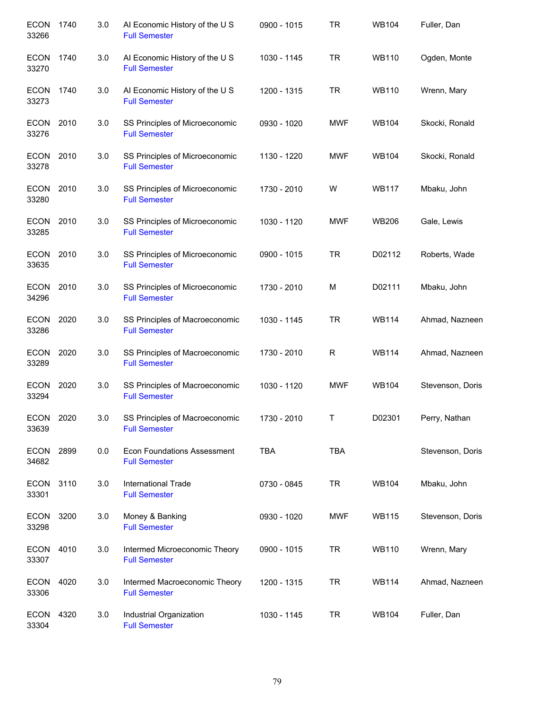| <b>ECON</b><br>33266 | 1740 | 3.0 | AI Economic History of the U S<br><b>Full Semester</b>     | 0900 - 1015 | <b>TR</b>   | <b>WB104</b> | Fuller, Dan      |
|----------------------|------|-----|------------------------------------------------------------|-------------|-------------|--------------|------------------|
| <b>ECON</b><br>33270 | 1740 | 3.0 | AI Economic History of the U S<br><b>Full Semester</b>     | 1030 - 1145 | <b>TR</b>   | <b>WB110</b> | Ogden, Monte     |
| <b>ECON</b><br>33273 | 1740 | 3.0 | Al Economic History of the U S<br><b>Full Semester</b>     | 1200 - 1315 | <b>TR</b>   | <b>WB110</b> | Wrenn, Mary      |
| ECON 2010<br>33276   |      | 3.0 | SS Principles of Microeconomic<br><b>Full Semester</b>     | 0930 - 1020 | <b>MWF</b>  | <b>WB104</b> | Skocki, Ronald   |
| ECON 2010<br>33278   |      | 3.0 | SS Principles of Microeconomic<br><b>Full Semester</b>     | 1130 - 1220 | <b>MWF</b>  | <b>WB104</b> | Skocki, Ronald   |
| ECON 2010<br>33280   |      | 3.0 | SS Principles of Microeconomic<br><b>Full Semester</b>     | 1730 - 2010 | W           | <b>WB117</b> | Mbaku, John      |
| <b>ECON</b><br>33285 | 2010 | 3.0 | SS Principles of Microeconomic<br><b>Full Semester</b>     | 1030 - 1120 | <b>MWF</b>  | <b>WB206</b> | Gale, Lewis      |
| ECON<br>33635        | 2010 | 3.0 | SS Principles of Microeconomic<br><b>Full Semester</b>     | 0900 - 1015 | <b>TR</b>   | D02112       | Roberts, Wade    |
| ECON<br>34296        | 2010 | 3.0 | SS Principles of Microeconomic<br><b>Full Semester</b>     | 1730 - 2010 | M           | D02111       | Mbaku, John      |
| <b>ECON</b><br>33286 | 2020 | 3.0 | SS Principles of Macroeconomic<br><b>Full Semester</b>     | 1030 - 1145 | <b>TR</b>   | <b>WB114</b> | Ahmad, Nazneen   |
| <b>ECON</b><br>33289 | 2020 | 3.0 | SS Principles of Macroeconomic<br><b>Full Semester</b>     | 1730 - 2010 | $\mathsf R$ | <b>WB114</b> | Ahmad, Nazneen   |
| <b>ECON</b><br>33294 | 2020 | 3.0 | SS Principles of Macroeconomic<br><b>Full Semester</b>     | 1030 - 1120 | <b>MWF</b>  | <b>WB104</b> | Stevenson, Doris |
| <b>ECON</b><br>33639 | 2020 | 3.0 | SS Principles of Macroeconomic<br><b>Full Semester</b>     | 1730 - 2010 | Τ           | D02301       | Perry, Nathan    |
| ECON<br>34682        | 2899 | 0.0 | <b>Econ Foundations Assessment</b><br><b>Full Semester</b> | <b>TBA</b>  | <b>TBA</b>  |              | Stevenson, Doris |
| ECON<br>33301        | 3110 | 3.0 | <b>International Trade</b><br><b>Full Semester</b>         | 0730 - 0845 | <b>TR</b>   | <b>WB104</b> | Mbaku, John      |
| <b>ECON</b><br>33298 | 3200 | 3.0 | Money & Banking<br><b>Full Semester</b>                    | 0930 - 1020 | <b>MWF</b>  | <b>WB115</b> | Stevenson, Doris |
| ECON<br>33307        | 4010 | 3.0 | Intermed Microeconomic Theory<br><b>Full Semester</b>      | 0900 - 1015 | <b>TR</b>   | <b>WB110</b> | Wrenn, Mary      |
| <b>ECON</b><br>33306 | 4020 | 3.0 | Intermed Macroeconomic Theory<br><b>Full Semester</b>      | 1200 - 1315 | <b>TR</b>   | <b>WB114</b> | Ahmad, Nazneen   |
| ECON<br>33304        | 4320 | 3.0 | Industrial Organization<br><b>Full Semester</b>            | 1030 - 1145 | <b>TR</b>   | <b>WB104</b> | Fuller, Dan      |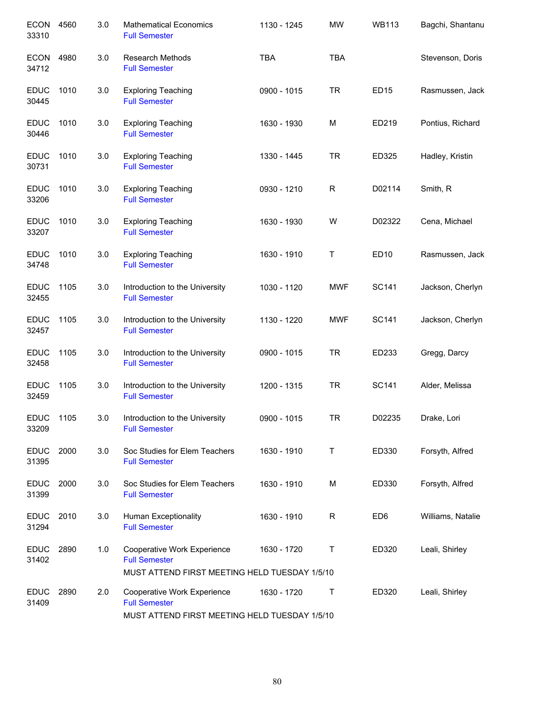| <b>ECON</b><br>33310 | 4560 | 3.0 | <b>Mathematical Economics</b><br><b>Full Semester</b>                                                | 1130 - 1245 | <b>MW</b>   | <b>WB113</b>    | Bagchi, Shantanu  |
|----------------------|------|-----|------------------------------------------------------------------------------------------------------|-------------|-------------|-----------------|-------------------|
| <b>ECON</b><br>34712 | 4980 | 3.0 | <b>Research Methods</b><br><b>Full Semester</b>                                                      | <b>TBA</b>  | <b>TBA</b>  |                 | Stevenson, Doris  |
| <b>EDUC</b><br>30445 | 1010 | 3.0 | <b>Exploring Teaching</b><br><b>Full Semester</b>                                                    | 0900 - 1015 | <b>TR</b>   | <b>ED15</b>     | Rasmussen, Jack   |
| <b>EDUC</b><br>30446 | 1010 | 3.0 | <b>Exploring Teaching</b><br><b>Full Semester</b>                                                    | 1630 - 1930 | M           | ED219           | Pontius, Richard  |
| <b>EDUC</b><br>30731 | 1010 | 3.0 | <b>Exploring Teaching</b><br><b>Full Semester</b>                                                    | 1330 - 1445 | <b>TR</b>   | ED325           | Hadley, Kristin   |
| <b>EDUC</b><br>33206 | 1010 | 3.0 | <b>Exploring Teaching</b><br><b>Full Semester</b>                                                    | 0930 - 1210 | $\mathsf R$ | D02114          | Smith, R          |
| <b>EDUC</b><br>33207 | 1010 | 3.0 | <b>Exploring Teaching</b><br><b>Full Semester</b>                                                    | 1630 - 1930 | W           | D02322          | Cena, Michael     |
| <b>EDUC</b><br>34748 | 1010 | 3.0 | <b>Exploring Teaching</b><br><b>Full Semester</b>                                                    | 1630 - 1910 | Τ           | <b>ED10</b>     | Rasmussen, Jack   |
| <b>EDUC</b><br>32455 | 1105 | 3.0 | Introduction to the University<br><b>Full Semester</b>                                               | 1030 - 1120 | <b>MWF</b>  | SC141           | Jackson, Cherlyn  |
| <b>EDUC</b><br>32457 | 1105 | 3.0 | Introduction to the University<br><b>Full Semester</b>                                               | 1130 - 1220 | <b>MWF</b>  | SC141           | Jackson, Cherlyn  |
| <b>EDUC</b><br>32458 | 1105 | 3.0 | Introduction to the University<br><b>Full Semester</b>                                               | 0900 - 1015 | <b>TR</b>   | ED233           | Gregg, Darcy      |
| <b>EDUC</b><br>32459 | 1105 | 3.0 | Introduction to the University<br><b>Full Semester</b>                                               | 1200 - 1315 | <b>TR</b>   | <b>SC141</b>    | Alder, Melissa    |
| <b>EDUC</b><br>33209 | 1105 | 3.0 | Introduction to the University<br><b>Full Semester</b>                                               | 0900 - 1015 | <b>TR</b>   | D02235          | Drake, Lori       |
| <b>EDUC</b><br>31395 | 2000 | 3.0 | Soc Studies for Elem Teachers<br><b>Full Semester</b>                                                | 1630 - 1910 | Τ           | ED330           | Forsyth, Alfred   |
| <b>EDUC</b><br>31399 | 2000 | 3.0 | Soc Studies for Elem Teachers<br><b>Full Semester</b>                                                | 1630 - 1910 | M           | ED330           | Forsyth, Alfred   |
| <b>EDUC</b><br>31294 | 2010 | 3.0 | Human Exceptionality<br><b>Full Semester</b>                                                         | 1630 - 1910 | R           | ED <sub>6</sub> | Williams, Natalie |
| <b>EDUC</b><br>31402 | 2890 | 1.0 | Cooperative Work Experience<br><b>Full Semester</b>                                                  | 1630 - 1720 | Τ           | ED320           | Leali, Shirley    |
|                      |      |     | MUST ATTEND FIRST MEETING HELD TUESDAY 1/5/10                                                        |             |             |                 |                   |
| <b>EDUC</b><br>31409 | 2890 | 2.0 | Cooperative Work Experience<br><b>Full Semester</b><br>MUST ATTEND FIRST MEETING HELD TUESDAY 1/5/10 | 1630 - 1720 | Т           | ED320           | Leali, Shirley    |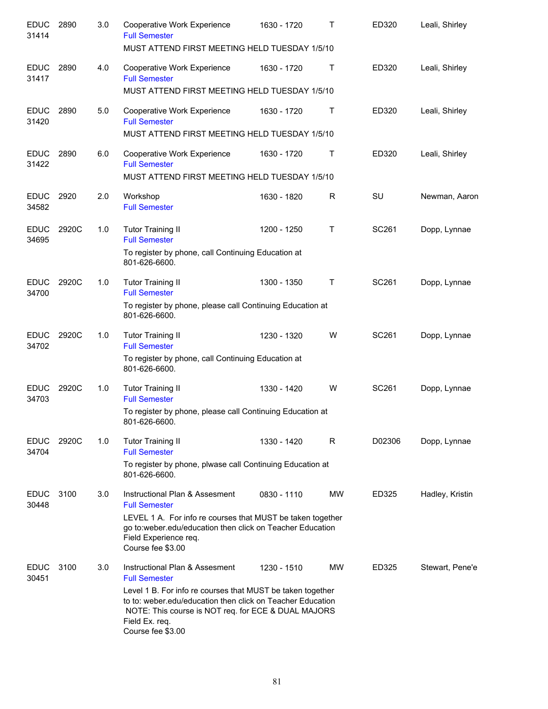| <b>EDUC</b><br>31414 | 2890  | 3.0 | Cooperative Work Experience<br><b>Full Semester</b><br>MUST ATTEND FIRST MEETING HELD TUESDAY 1/5/10                                                                                                                   | 1630 - 1720 | Τ            | ED320  | Leali, Shirley  |
|----------------------|-------|-----|------------------------------------------------------------------------------------------------------------------------------------------------------------------------------------------------------------------------|-------------|--------------|--------|-----------------|
| <b>EDUC</b><br>31417 | 2890  | 4.0 | Cooperative Work Experience<br><b>Full Semester</b>                                                                                                                                                                    | 1630 - 1720 | Τ            | ED320  | Leali, Shirley  |
|                      |       |     | MUST ATTEND FIRST MEETING HELD TUESDAY 1/5/10                                                                                                                                                                          |             |              |        |                 |
| <b>EDUC</b><br>31420 | 2890  | 5.0 | Cooperative Work Experience<br><b>Full Semester</b>                                                                                                                                                                    | 1630 - 1720 | $\top$       | ED320  | Leali, Shirley  |
|                      |       |     | MUST ATTEND FIRST MEETING HELD TUESDAY 1/5/10                                                                                                                                                                          |             |              |        |                 |
| <b>EDUC</b><br>31422 | 2890  | 6.0 | Cooperative Work Experience<br><b>Full Semester</b><br>MUST ATTEND FIRST MEETING HELD TUESDAY 1/5/10                                                                                                                   | 1630 - 1720 | Τ            | ED320  | Leali, Shirley  |
| <b>EDUC</b><br>34582 | 2920  | 2.0 | Workshop<br><b>Full Semester</b>                                                                                                                                                                                       | 1630 - 1820 | R            | SU     | Newman, Aaron   |
| <b>EDUC</b><br>34695 | 2920C | 1.0 | <b>Tutor Training II</b><br><b>Full Semester</b>                                                                                                                                                                       | 1200 - 1250 | $\mathsf T$  | SC261  | Dopp, Lynnae    |
|                      |       |     | To register by phone, call Continuing Education at<br>801-626-6600.                                                                                                                                                    |             |              |        |                 |
| <b>EDUC</b><br>34700 | 2920C | 1.0 | <b>Tutor Training II</b><br><b>Full Semester</b>                                                                                                                                                                       | 1300 - 1350 | $\mathsf{T}$ | SC261  | Dopp, Lynnae    |
|                      |       |     | To register by phone, please call Continuing Education at<br>801-626-6600.                                                                                                                                             |             |              |        |                 |
| <b>EDUC</b><br>34702 | 2920C | 1.0 | <b>Tutor Training II</b><br><b>Full Semester</b>                                                                                                                                                                       | 1230 - 1320 | W            | SC261  | Dopp, Lynnae    |
|                      |       |     | To register by phone, call Continuing Education at<br>801-626-6600.                                                                                                                                                    |             |              |        |                 |
| <b>EDUC</b><br>34703 | 2920C | 1.0 | <b>Tutor Training II</b><br><b>Full Semester</b>                                                                                                                                                                       | 1330 - 1420 | W            | SC261  | Dopp, Lynnae    |
|                      |       |     | To register by phone, please call Continuing Education at<br>801-626-6600.                                                                                                                                             |             |              |        |                 |
| <b>EDUC</b><br>34704 | 2920C | 1.0 | <b>Tutor Training II</b><br><b>Full Semester</b>                                                                                                                                                                       | 1330 - 1420 | R            | D02306 | Dopp, Lynnae    |
|                      |       |     | To register by phone, plwase call Continuing Education at<br>801-626-6600.                                                                                                                                             |             |              |        |                 |
| <b>EDUC</b><br>30448 | 3100  | 3.0 | Instructional Plan & Assesment<br><b>Full Semester</b>                                                                                                                                                                 | 0830 - 1110 | MW           | ED325  | Hadley, Kristin |
|                      |       |     | LEVEL 1 A. For info re courses that MUST be taken together<br>go to:weber.edu/education then click on Teacher Education<br>Field Experience req.<br>Course fee \$3.00                                                  |             |              |        |                 |
| <b>EDUC</b><br>30451 | 3100  | 3.0 | Instructional Plan & Assesment<br><b>Full Semester</b>                                                                                                                                                                 | 1230 - 1510 | MW           | ED325  | Stewart, Pene'e |
|                      |       |     | Level 1 B. For info re courses that MUST be taken together<br>to to: weber.edu/education then click on Teacher Education<br>NOTE: This course is NOT req. for ECE & DUAL MAJORS<br>Field Ex. req.<br>Course fee \$3.00 |             |              |        |                 |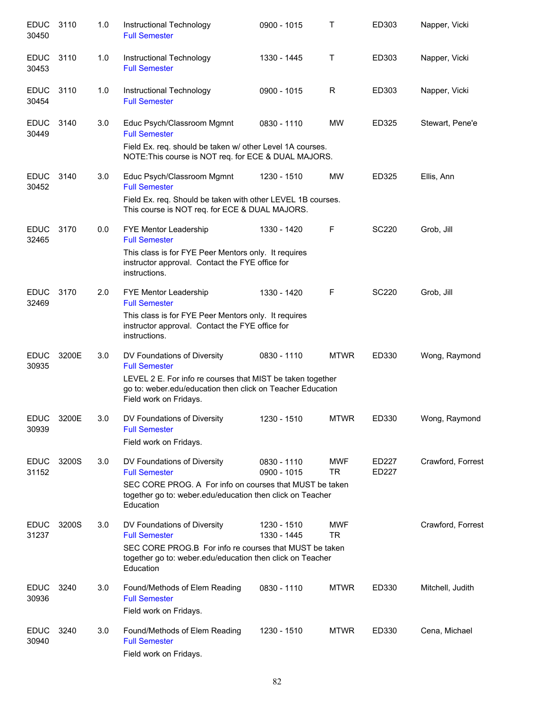| <b>EDUC</b><br>30450 | 3110  | 1.0 | Instructional Technology<br><b>Full Semester</b>                                                                                                                                                          | 0900 - 1015                | T                       | ED303          | Napper, Vicki     |
|----------------------|-------|-----|-----------------------------------------------------------------------------------------------------------------------------------------------------------------------------------------------------------|----------------------------|-------------------------|----------------|-------------------|
| <b>EDUC</b><br>30453 | 3110  | 1.0 | Instructional Technology<br><b>Full Semester</b>                                                                                                                                                          | 1330 - 1445                | Т                       | ED303          | Napper, Vicki     |
| <b>EDUC</b><br>30454 | 3110  | 1.0 | Instructional Technology<br><b>Full Semester</b>                                                                                                                                                          | 0900 - 1015                | R                       | ED303          | Napper, Vicki     |
| <b>EDUC</b><br>30449 | 3140  | 3.0 | Educ Psych/Classroom Mgmnt<br><b>Full Semester</b><br>Field Ex. req. should be taken w/ other Level 1A courses.<br>NOTE: This course is NOT req. for ECE & DUAL MAJORS.                                   | 0830 - 1110                | MW                      | ED325          | Stewart, Pene'e   |
| <b>EDUC</b><br>30452 | 3140  | 3.0 | Educ Psych/Classroom Mgmnt<br><b>Full Semester</b><br>Field Ex. req. Should be taken with other LEVEL 1B courses.<br>This course is NOT req. for ECE & DUAL MAJORS.                                       | 1230 - 1510                | <b>MW</b>               | ED325          | Ellis, Ann        |
| <b>EDUC</b><br>32465 | 3170  | 0.0 | <b>FYE Mentor Leadership</b><br><b>Full Semester</b><br>This class is for FYE Peer Mentors only. It requires<br>instructor approval. Contact the FYE office for<br>instructions.                          | 1330 - 1420                | F                       | <b>SC220</b>   | Grob, Jill        |
| <b>EDUC</b><br>32469 | 3170  | 2.0 | FYE Mentor Leadership<br><b>Full Semester</b><br>This class is for FYE Peer Mentors only. It requires<br>instructor approval. Contact the FYE office for<br>instructions.                                 | 1330 - 1420                | F                       | <b>SC220</b>   | Grob, Jill        |
| <b>EDUC</b><br>30935 | 3200E | 3.0 | DV Foundations of Diversity<br><b>Full Semester</b><br>LEVEL 2 E. For info re courses that MIST be taken together<br>go to: weber.edu/education then click on Teacher Education<br>Field work on Fridays. | 0830 - 1110                | <b>MTWR</b>             | ED330          | Wong, Raymond     |
| <b>EDUC</b><br>30939 | 3200E | 3.0 | DV Foundations of Diversity<br><b>Full Semester</b><br>Field work on Fridays.                                                                                                                             | 1230 - 1510                | <b>MTWR</b>             | ED330          | Wong, Raymond     |
| <b>EDUC</b><br>31152 | 3200S | 3.0 | DV Foundations of Diversity<br><b>Full Semester</b><br>SEC CORE PROG. A For info on courses that MUST be taken<br>together go to: weber.edu/education then click on Teacher<br>Education                  | 0830 - 1110<br>0900 - 1015 | <b>MWF</b><br><b>TR</b> | ED227<br>ED227 | Crawford, Forrest |
| <b>EDUC</b><br>31237 | 3200S | 3.0 | DV Foundations of Diversity<br><b>Full Semester</b><br>SEC CORE PROG.B For info re courses that MUST be taken<br>together go to: weber.edu/education then click on Teacher<br>Education                   | 1230 - 1510<br>1330 - 1445 | <b>MWF</b><br><b>TR</b> |                | Crawford, Forrest |
| <b>EDUC</b><br>30936 | 3240  | 3.0 | Found/Methods of Elem Reading<br><b>Full Semester</b><br>Field work on Fridays.                                                                                                                           | 0830 - 1110                | <b>MTWR</b>             | ED330          | Mitchell, Judith  |
| <b>EDUC</b><br>30940 | 3240  | 3.0 | Found/Methods of Elem Reading<br><b>Full Semester</b><br>Field work on Fridays.                                                                                                                           | 1230 - 1510                | <b>MTWR</b>             | ED330          | Cena, Michael     |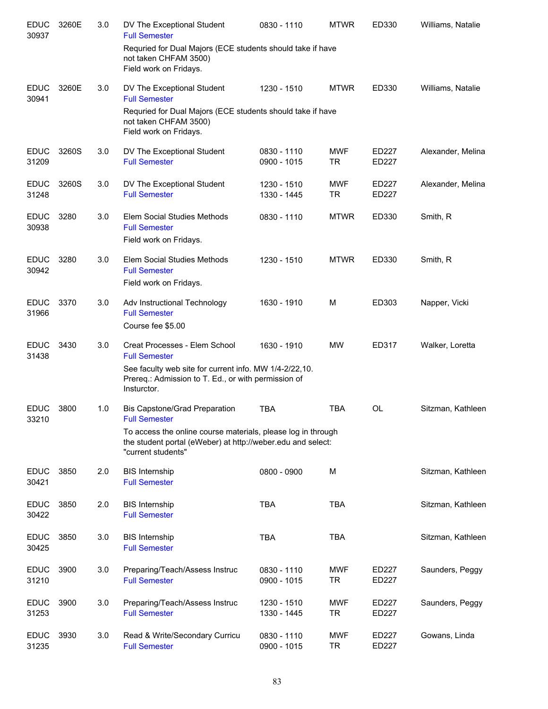| <b>EDUC</b><br>30937 | 3260E | 3.0 | DV The Exceptional Student<br><b>Full Semester</b>                                                                                                                                    | 0830 - 1110                | <b>MTWR</b>             | ED330          | Williams, Natalie |
|----------------------|-------|-----|---------------------------------------------------------------------------------------------------------------------------------------------------------------------------------------|----------------------------|-------------------------|----------------|-------------------|
|                      |       |     | Requried for Dual Majors (ECE students should take if have<br>not taken CHFAM 3500)<br>Field work on Fridays.                                                                         |                            |                         |                |                   |
| <b>EDUC</b><br>30941 | 3260E | 3.0 | DV The Exceptional Student<br><b>Full Semester</b>                                                                                                                                    | 1230 - 1510                | <b>MTWR</b>             | ED330          | Williams, Natalie |
|                      |       |     | Requried for Dual Majors (ECE students should take if have<br>not taken CHFAM 3500)<br>Field work on Fridays.                                                                         |                            |                         |                |                   |
| EDUC<br>31209        | 3260S | 3.0 | DV The Exceptional Student<br><b>Full Semester</b>                                                                                                                                    | 0830 - 1110<br>0900 - 1015 | <b>MWF</b><br>TR        | ED227<br>ED227 | Alexander, Melina |
| <b>EDUC</b><br>31248 | 3260S | 3.0 | DV The Exceptional Student<br><b>Full Semester</b>                                                                                                                                    | 1230 - 1510<br>1330 - 1445 | <b>MWF</b><br><b>TR</b> | ED227<br>ED227 | Alexander, Melina |
| <b>EDUC</b><br>30938 | 3280  | 3.0 | Elem Social Studies Methods<br><b>Full Semester</b><br>Field work on Fridays.                                                                                                         | 0830 - 1110                | <b>MTWR</b>             | ED330          | Smith, R          |
|                      |       |     |                                                                                                                                                                                       |                            |                         |                |                   |
| <b>EDUC</b><br>30942 | 3280  | 3.0 | Elem Social Studies Methods<br><b>Full Semester</b><br>Field work on Fridays.                                                                                                         | 1230 - 1510                | <b>MTWR</b>             | ED330          | Smith, R          |
| <b>EDUC</b><br>31966 | 3370  | 3.0 | Adv Instructional Technology<br><b>Full Semester</b><br>Course fee \$5.00                                                                                                             | 1630 - 1910                | M                       | ED303          | Napper, Vicki     |
| <b>EDUC</b><br>31438 | 3430  | 3.0 | Creat Processes - Elem School<br><b>Full Semester</b><br>See faculty web site for current info. MW 1/4-2/22,10.<br>Prereq.: Admission to T. Ed., or with permission of<br>Insturctor. | 1630 - 1910                | <b>MW</b>               | ED317          | Walker, Loretta   |
| <b>EDUC</b><br>33210 | 3800  | 1.0 | <b>Bis Capstone/Grad Preparation</b><br><b>Full Semester</b>                                                                                                                          | <b>TBA</b>                 | <b>TBA</b>              | <b>OL</b>      | Sitzman, Kathleen |
|                      |       |     | To access the online course materials, please log in through<br>the student portal (eWeber) at http://weber.edu and select:<br>"current students"                                     |                            |                         |                |                   |
| <b>EDUC</b><br>30421 | 3850  | 2.0 | <b>BIS</b> Internship<br><b>Full Semester</b>                                                                                                                                         | 0800 - 0900                | M                       |                | Sitzman, Kathleen |
| <b>EDUC</b><br>30422 | 3850  | 2.0 | <b>BIS Internship</b><br><b>Full Semester</b>                                                                                                                                         | <b>TBA</b>                 | <b>TBA</b>              |                | Sitzman, Kathleen |
| <b>EDUC</b><br>30425 | 3850  | 3.0 | <b>BIS Internship</b><br><b>Full Semester</b>                                                                                                                                         | <b>TBA</b>                 | <b>TBA</b>              |                | Sitzman, Kathleen |
| <b>EDUC</b><br>31210 | 3900  | 3.0 | Preparing/Teach/Assess Instruc<br><b>Full Semester</b>                                                                                                                                | 0830 - 1110<br>0900 - 1015 | <b>MWF</b><br><b>TR</b> | ED227<br>ED227 | Saunders, Peggy   |
| <b>EDUC</b><br>31253 | 3900  | 3.0 | Preparing/Teach/Assess Instruc<br><b>Full Semester</b>                                                                                                                                | 1230 - 1510<br>1330 - 1445 | <b>MWF</b><br><b>TR</b> | ED227<br>ED227 | Saunders, Peggy   |
| <b>EDUC</b><br>31235 | 3930  | 3.0 | Read & Write/Secondary Curricu<br><b>Full Semester</b>                                                                                                                                | 0830 - 1110<br>0900 - 1015 | <b>MWF</b><br><b>TR</b> | ED227<br>ED227 | Gowans, Linda     |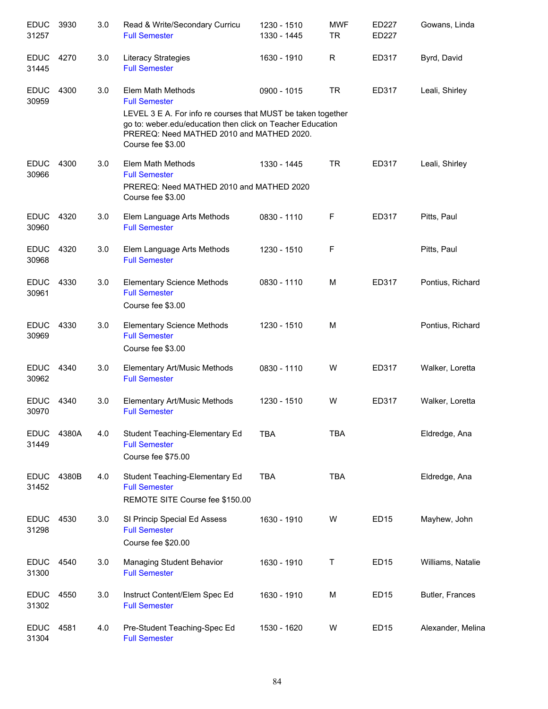| <b>EDUC</b><br>31257 | 3930  | 3.0 | Read & Write/Secondary Curricu<br><b>Full Semester</b>                                                                                                                                       | 1230 - 1510<br>1330 - 1445 | <b>MWF</b><br><b>TR</b> | ED227<br>ED227   | Gowans, Linda     |
|----------------------|-------|-----|----------------------------------------------------------------------------------------------------------------------------------------------------------------------------------------------|----------------------------|-------------------------|------------------|-------------------|
| <b>EDUC</b><br>31445 | 4270  | 3.0 | Literacy Strategies<br><b>Full Semester</b>                                                                                                                                                  | 1630 - 1910                | R                       | ED317            | Byrd, David       |
| <b>EDUC</b><br>30959 | 4300  | 3.0 | Elem Math Methods<br><b>Full Semester</b>                                                                                                                                                    | 0900 - 1015                | <b>TR</b>               | ED317            | Leali, Shirley    |
|                      |       |     | LEVEL 3 E A. For info re courses that MUST be taken together<br>go to: weber.edu/education then click on Teacher Education<br>PREREQ: Need MATHED 2010 and MATHED 2020.<br>Course fee \$3.00 |                            |                         |                  |                   |
| <b>EDUC</b><br>30966 | 4300  | 3.0 | Elem Math Methods<br><b>Full Semester</b>                                                                                                                                                    | 1330 - 1445                | <b>TR</b>               | ED317            | Leali, Shirley    |
|                      |       |     | PREREQ: Need MATHED 2010 and MATHED 2020<br>Course fee \$3.00                                                                                                                                |                            |                         |                  |                   |
| <b>EDUC</b><br>30960 | 4320  | 3.0 | Elem Language Arts Methods<br><b>Full Semester</b>                                                                                                                                           | 0830 - 1110                | F                       | ED317            | Pitts, Paul       |
| <b>EDUC</b><br>30968 | 4320  | 3.0 | Elem Language Arts Methods<br><b>Full Semester</b>                                                                                                                                           | 1230 - 1510                | F                       |                  | Pitts, Paul       |
| <b>EDUC</b><br>30961 | 4330  | 3.0 | <b>Elementary Science Methods</b><br><b>Full Semester</b><br>Course fee \$3.00                                                                                                               | 0830 - 1110                | M                       | ED317            | Pontius, Richard  |
| <b>EDUC</b><br>30969 | 4330  | 3.0 | <b>Elementary Science Methods</b><br><b>Full Semester</b><br>Course fee \$3.00                                                                                                               | 1230 - 1510                | M                       |                  | Pontius, Richard  |
| <b>EDUC</b><br>30962 | 4340  | 3.0 | Elementary Art/Music Methods<br><b>Full Semester</b>                                                                                                                                         | 0830 - 1110                | W                       | ED317            | Walker, Loretta   |
| <b>EDUC</b><br>30970 | 4340  | 3.0 | <b>Elementary Art/Music Methods</b><br><b>Full Semester</b>                                                                                                                                  | 1230 - 1510                | W                       | ED317            | Walker, Loretta   |
| <b>EDUC</b><br>31449 | 4380A | 4.0 | Student Teaching-Elementary Ed<br><b>Full Semester</b><br>Course fee \$75.00                                                                                                                 | <b>TBA</b>                 | <b>TBA</b>              |                  | Eldredge, Ana     |
| <b>EDUC</b><br>31452 | 4380B | 4.0 | Student Teaching-Elementary Ed<br><b>Full Semester</b><br>REMOTE SITE Course fee \$150.00                                                                                                    | <b>TBA</b>                 | <b>TBA</b>              |                  | Eldredge, Ana     |
| <b>EDUC</b><br>31298 | 4530  | 3.0 | SI Princip Special Ed Assess<br><b>Full Semester</b><br>Course fee \$20.00                                                                                                                   | 1630 - 1910                | W                       | <b>ED15</b>      | Mayhew, John      |
| <b>EDUC</b><br>31300 | 4540  | 3.0 | Managing Student Behavior<br><b>Full Semester</b>                                                                                                                                            | 1630 - 1910                | $\mathsf T$             | <b>ED15</b>      | Williams, Natalie |
| <b>EDUC</b><br>31302 | 4550  | 3.0 | Instruct Content/Elem Spec Ed<br><b>Full Semester</b>                                                                                                                                        | 1630 - 1910                | M                       | ED <sub>15</sub> | Butler, Frances   |
| <b>EDUC</b><br>31304 | 4581  | 4.0 | Pre-Student Teaching-Spec Ed<br><b>Full Semester</b>                                                                                                                                         | 1530 - 1620                | W                       | ED <sub>15</sub> | Alexander, Melina |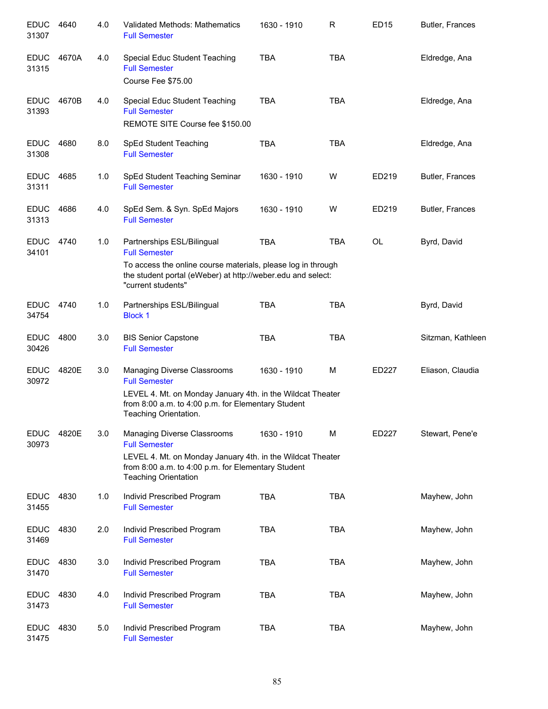| <b>EDUC</b><br>31307 | 4640  | 4.0 | Validated Methods: Mathematics<br><b>Full Semester</b>                                                                                                                                                  | 1630 - 1910 | R          | <b>ED15</b> | Butler, Frances   |
|----------------------|-------|-----|---------------------------------------------------------------------------------------------------------------------------------------------------------------------------------------------------------|-------------|------------|-------------|-------------------|
| <b>EDUC</b><br>31315 | 4670A | 4.0 | Special Educ Student Teaching<br><b>Full Semester</b><br>Course Fee \$75.00                                                                                                                             | <b>TBA</b>  | <b>TBA</b> |             | Eldredge, Ana     |
| <b>EDUC</b><br>31393 | 4670B | 4.0 | Special Educ Student Teaching<br><b>Full Semester</b><br>REMOTE SITE Course fee \$150.00                                                                                                                | <b>TBA</b>  | <b>TBA</b> |             | Eldredge, Ana     |
| <b>EDUC</b><br>31308 | 4680  | 8.0 | SpEd Student Teaching<br><b>Full Semester</b>                                                                                                                                                           | <b>TBA</b>  | <b>TBA</b> |             | Eldredge, Ana     |
| <b>EDUC</b><br>31311 | 4685  | 1.0 | SpEd Student Teaching Seminar<br><b>Full Semester</b>                                                                                                                                                   | 1630 - 1910 | W          | ED219       | Butler, Frances   |
| <b>EDUC</b><br>31313 | 4686  | 4.0 | SpEd Sem. & Syn. SpEd Majors<br><b>Full Semester</b>                                                                                                                                                    | 1630 - 1910 | W          | ED219       | Butler, Frances   |
| <b>EDUC</b><br>34101 | 4740  | 1.0 | Partnerships ESL/Bilingual<br><b>Full Semester</b><br>To access the online course materials, please log in through<br>the student portal (eWeber) at http://weber.edu and select:<br>"current students" | <b>TBA</b>  | <b>TBA</b> | <b>OL</b>   | Byrd, David       |
| <b>EDUC</b><br>34754 | 4740  | 1.0 | Partnerships ESL/Bilingual<br><b>Block 1</b>                                                                                                                                                            | <b>TBA</b>  | <b>TBA</b> |             | Byrd, David       |
| <b>EDUC</b><br>30426 | 4800  | 3.0 | <b>BIS Senior Capstone</b><br><b>Full Semester</b>                                                                                                                                                      | <b>TBA</b>  | <b>TBA</b> |             | Sitzman, Kathleen |
| <b>EDUC</b><br>30972 | 4820E | 3.0 | Managing Diverse Classrooms<br><b>Full Semester</b><br>LEVEL 4. Mt. on Monday January 4th. in the Wildcat Theater<br>from 8:00 a.m. to 4:00 p.m. for Elementary Student<br>Teaching Orientation.        | 1630 - 1910 | M          | ED227       | Eliason, Claudia  |
| <b>EDUC</b><br>30973 | 4820E | 3.0 | Managing Diverse Classrooms<br><b>Full Semester</b><br>LEVEL 4. Mt. on Monday January 4th. in the Wildcat Theater<br>from 8:00 a.m. to 4:00 p.m. for Elementary Student<br><b>Teaching Orientation</b>  | 1630 - 1910 | M          | ED227       | Stewart, Pene'e   |
| <b>EDUC</b><br>31455 | 4830  | 1.0 | Individ Prescribed Program<br><b>Full Semester</b>                                                                                                                                                      | <b>TBA</b>  | <b>TBA</b> |             | Mayhew, John      |
| <b>EDUC</b><br>31469 | 4830  | 2.0 | Individ Prescribed Program<br><b>Full Semester</b>                                                                                                                                                      | <b>TBA</b>  | <b>TBA</b> |             | Mayhew, John      |
| <b>EDUC</b><br>31470 | 4830  | 3.0 | Individ Prescribed Program<br><b>Full Semester</b>                                                                                                                                                      | <b>TBA</b>  | <b>TBA</b> |             | Mayhew, John      |
| <b>EDUC</b><br>31473 | 4830  | 4.0 | Individ Prescribed Program<br><b>Full Semester</b>                                                                                                                                                      | <b>TBA</b>  | <b>TBA</b> |             | Mayhew, John      |
| <b>EDUC</b><br>31475 | 4830  | 5.0 | Individ Prescribed Program<br><b>Full Semester</b>                                                                                                                                                      | <b>TBA</b>  | <b>TBA</b> |             | Mayhew, John      |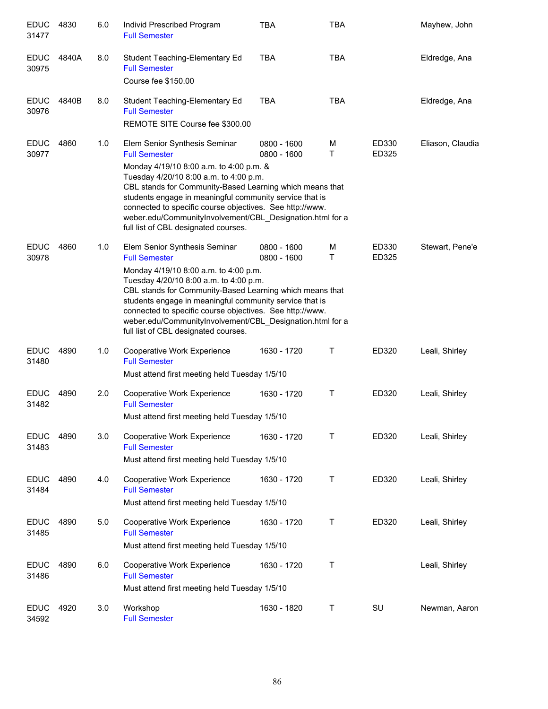| <b>EDUC</b><br>31477 | 4830  | 6.0 | Individ Prescribed Program<br><b>Full Semester</b>                                                                                                                                                                                                                                                                                                                                                                                 | <b>TBA</b>                 | <b>TBA</b> |                | Mayhew, John     |
|----------------------|-------|-----|------------------------------------------------------------------------------------------------------------------------------------------------------------------------------------------------------------------------------------------------------------------------------------------------------------------------------------------------------------------------------------------------------------------------------------|----------------------------|------------|----------------|------------------|
| <b>EDUC</b><br>30975 | 4840A | 8.0 | Student Teaching-Elementary Ed<br><b>Full Semester</b><br>Course fee \$150.00                                                                                                                                                                                                                                                                                                                                                      | <b>TBA</b>                 | <b>TBA</b> |                | Eldredge, Ana    |
| <b>EDUC</b><br>30976 | 4840B | 8.0 | Student Teaching-Elementary Ed<br><b>Full Semester</b><br>REMOTE SITE Course fee \$300.00                                                                                                                                                                                                                                                                                                                                          | TBA                        | <b>TBA</b> |                | Eldredge, Ana    |
| <b>EDUC</b><br>30977 | 4860  | 1.0 | Elem Senior Synthesis Seminar<br><b>Full Semester</b><br>Monday 4/19/10 8:00 a.m. to 4:00 p.m. &<br>Tuesday 4/20/10 8:00 a.m. to 4:00 p.m.<br>CBL stands for Community-Based Learning which means that<br>students engage in meaningful community service that is<br>connected to specific course objectives. See http://www.<br>weber.edu/CommunityInvolvement/CBL Designation.html for a<br>full list of CBL designated courses. | 0800 - 1600<br>0800 - 1600 | M<br>т     | ED330<br>ED325 | Eliason, Claudia |
| <b>EDUC</b><br>30978 | 4860  | 1.0 | Elem Senior Synthesis Seminar<br><b>Full Semester</b><br>Monday 4/19/10 8:00 a.m. to 4:00 p.m.<br>Tuesday 4/20/10 8:00 a.m. to 4:00 p.m.<br>CBL stands for Community-Based Learning which means that<br>students engage in meaningful community service that is<br>connected to specific course objectives. See http://www.<br>weber.edu/CommunityInvolvement/CBL_Designation.html for a<br>full list of CBL designated courses.   | 0800 - 1600<br>0800 - 1600 | M<br>T     | ED330<br>ED325 | Stewart, Pene'e  |
| <b>EDUC</b><br>31480 | 4890  | 1.0 | Cooperative Work Experience<br><b>Full Semester</b><br>Must attend first meeting held Tuesday 1/5/10                                                                                                                                                                                                                                                                                                                               | 1630 - 1720                | Т          | ED320          | Leali, Shirley   |
| <b>EDUC</b><br>31482 | 4890  | 2.0 | Cooperative Work Experience<br><b>Full Semester</b><br>Must attend first meeting held Tuesday 1/5/10                                                                                                                                                                                                                                                                                                                               | 1630 - 1720                | Τ          | ED320          | Leali, Shirley   |
| <b>EDUC</b><br>31483 | 4890  | 3.0 | Cooperative Work Experience<br><b>Full Semester</b><br>Must attend first meeting held Tuesday 1/5/10                                                                                                                                                                                                                                                                                                                               | 1630 - 1720                | Τ          | ED320          | Leali, Shirley   |
| <b>EDUC</b><br>31484 | 4890  | 4.0 | Cooperative Work Experience<br><b>Full Semester</b><br>Must attend first meeting held Tuesday 1/5/10                                                                                                                                                                                                                                                                                                                               | 1630 - 1720                | Τ          | ED320          | Leali, Shirley   |
| <b>EDUC</b><br>31485 | 4890  | 5.0 | Cooperative Work Experience<br><b>Full Semester</b><br>Must attend first meeting held Tuesday 1/5/10                                                                                                                                                                                                                                                                                                                               | 1630 - 1720                | Τ          | ED320          | Leali, Shirley   |
| <b>EDUC</b><br>31486 | 4890  | 6.0 | Cooperative Work Experience<br><b>Full Semester</b><br>Must attend first meeting held Tuesday 1/5/10                                                                                                                                                                                                                                                                                                                               | 1630 - 1720                | Τ          |                | Leali, Shirley   |
| <b>EDUC</b><br>34592 | 4920  | 3.0 | Workshop<br><b>Full Semester</b>                                                                                                                                                                                                                                                                                                                                                                                                   | 1630 - 1820                | Τ          | SU             | Newman, Aaron    |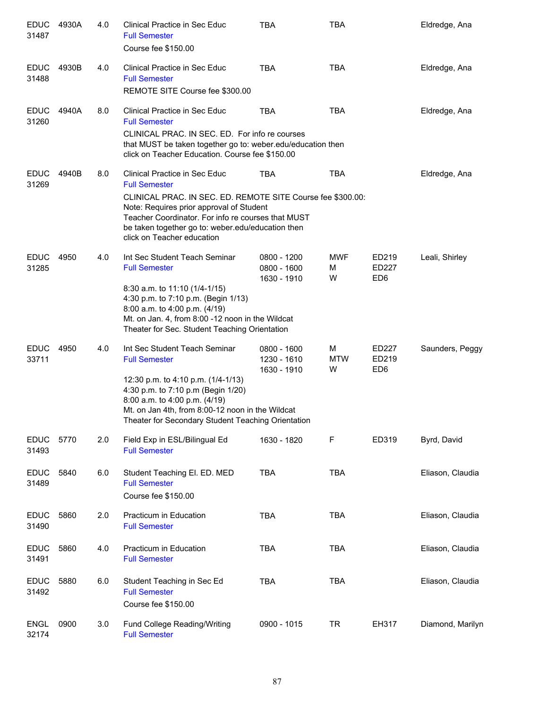| <b>EDUC</b><br>31487 | 4930A | 4.0 | Clinical Practice in Sec Educ<br><b>Full Semester</b><br>Course fee \$150.00                                                                                                                                                                     | <b>TBA</b>                                | <b>TBA</b>           |                                   | Eldredge, Ana    |
|----------------------|-------|-----|--------------------------------------------------------------------------------------------------------------------------------------------------------------------------------------------------------------------------------------------------|-------------------------------------------|----------------------|-----------------------------------|------------------|
| <b>EDUC</b><br>31488 | 4930B | 4.0 | Clinical Practice in Sec Educ<br><b>Full Semester</b><br>REMOTE SITE Course fee \$300.00                                                                                                                                                         | <b>TBA</b>                                | <b>TBA</b>           |                                   | Eldredge, Ana    |
| <b>EDUC</b><br>31260 | 4940A | 8.0 | Clinical Practice in Sec Educ<br><b>Full Semester</b>                                                                                                                                                                                            | <b>TBA</b>                                | <b>TBA</b>           |                                   | Eldredge, Ana    |
|                      |       |     | CLINICAL PRAC. IN SEC. ED. For info re courses<br>that MUST be taken together go to: weber.edu/education then<br>click on Teacher Education. Course fee \$150.00                                                                                 |                                           |                      |                                   |                  |
| <b>EDUC</b><br>31269 | 4940B | 8.0 | Clinical Practice in Sec Educ<br><b>Full Semester</b>                                                                                                                                                                                            | <b>TBA</b>                                | <b>TBA</b>           |                                   | Eldredge, Ana    |
|                      |       |     | CLINICAL PRAC. IN SEC. ED. REMOTE SITE Course fee \$300.00:<br>Note: Requires prior approval of Student<br>Teacher Coordinator. For info re courses that MUST<br>be taken together go to: weber.edu/education then<br>click on Teacher education |                                           |                      |                                   |                  |
| <b>EDUC</b><br>31285 | 4950  | 4.0 | Int Sec Student Teach Seminar<br><b>Full Semester</b>                                                                                                                                                                                            | 0800 - 1200<br>0800 - 1600                | <b>MWF</b><br>M      | ED219<br><b>ED227</b>             | Leali, Shirley   |
|                      |       |     | 8:30 a.m. to 11:10 (1/4-1/15)<br>4:30 p.m. to 7:10 p.m. (Begin 1/13)<br>8:00 a.m. to 4:00 p.m. (4/19)<br>Mt. on Jan. 4, from 8:00 -12 noon in the Wildcat<br>Theater for Sec. Student Teaching Orientation                                       | 1630 - 1910                               | W                    | ED <sub>6</sub>                   |                  |
| <b>EDUC</b><br>33711 | 4950  | 4.0 | Int Sec Student Teach Seminar<br><b>Full Semester</b>                                                                                                                                                                                            | 0800 - 1600<br>1230 - 1610<br>1630 - 1910 | M<br><b>MTW</b><br>W | ED227<br>ED219<br>ED <sub>6</sub> | Saunders, Peggy  |
|                      |       |     | 12:30 p.m. to 4:10 p.m. (1/4-1/13)<br>4:30 p.m. to 7:10 p.m (Begin 1/20)<br>8:00 a.m. to 4:00 p.m. (4/19)<br>Mt. on Jan 4th, from 8:00-12 noon in the Wildcat<br>Theater for Secondary Student Teaching Orientation                              |                                           |                      |                                   |                  |
| <b>EDUC</b><br>31493 | 5770  | 2.0 | Field Exp in ESL/Bilingual Ed<br><b>Full Semester</b>                                                                                                                                                                                            | 1630 - 1820                               | F                    | ED319                             | Byrd, David      |
| <b>EDUC</b><br>31489 | 5840  | 6.0 | Student Teaching El. ED. MED<br><b>Full Semester</b><br>Course fee \$150.00                                                                                                                                                                      | <b>TBA</b>                                | <b>TBA</b>           |                                   | Eliason, Claudia |
| <b>EDUC</b><br>31490 | 5860  | 2.0 | Practicum in Education<br><b>Full Semester</b>                                                                                                                                                                                                   | <b>TBA</b>                                | <b>TBA</b>           |                                   | Eliason, Claudia |
| <b>EDUC</b><br>31491 | 5860  | 4.0 | Practicum in Education<br><b>Full Semester</b>                                                                                                                                                                                                   | <b>TBA</b>                                | <b>TBA</b>           |                                   | Eliason, Claudia |
| <b>EDUC</b><br>31492 | 5880  | 6.0 | Student Teaching in Sec Ed<br><b>Full Semester</b><br>Course fee \$150.00                                                                                                                                                                        | <b>TBA</b>                                | <b>TBA</b>           |                                   | Eliason, Claudia |
| <b>ENGL</b><br>32174 | 0900  | 3.0 | Fund College Reading/Writing<br><b>Full Semester</b>                                                                                                                                                                                             | 0900 - 1015                               | <b>TR</b>            | EH317                             | Diamond, Marilyn |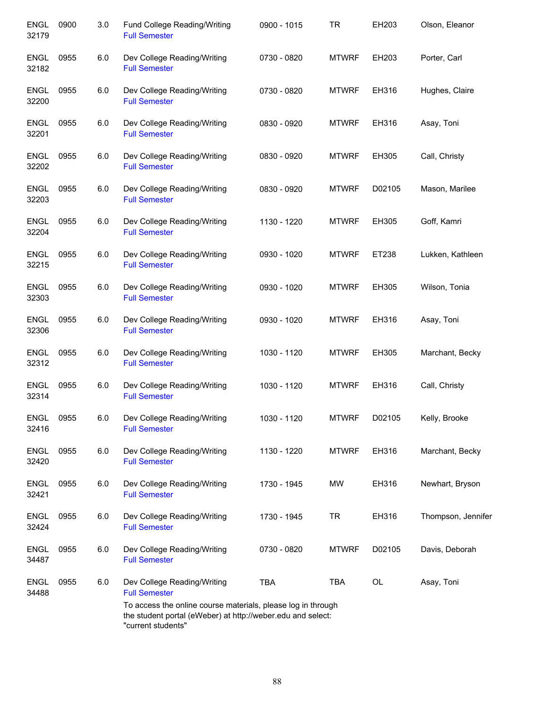| <b>ENGL</b><br>32179 | 0900 | 3.0 | Fund College Reading/Writing<br><b>Full Semester</b>                                                                                              | 0900 - 1015 | <b>TR</b>    | EH203  | Olson, Eleanor     |
|----------------------|------|-----|---------------------------------------------------------------------------------------------------------------------------------------------------|-------------|--------------|--------|--------------------|
| <b>ENGL</b><br>32182 | 0955 | 6.0 | Dev College Reading/Writing<br><b>Full Semester</b>                                                                                               | 0730 - 0820 | <b>MTWRF</b> | EH203  | Porter, Carl       |
| <b>ENGL</b><br>32200 | 0955 | 6.0 | Dev College Reading/Writing<br><b>Full Semester</b>                                                                                               | 0730 - 0820 | <b>MTWRF</b> | EH316  | Hughes, Claire     |
| <b>ENGL</b><br>32201 | 0955 | 6.0 | Dev College Reading/Writing<br><b>Full Semester</b>                                                                                               | 0830 - 0920 | <b>MTWRF</b> | EH316  | Asay, Toni         |
| <b>ENGL</b><br>32202 | 0955 | 6.0 | Dev College Reading/Writing<br><b>Full Semester</b>                                                                                               | 0830 - 0920 | <b>MTWRF</b> | EH305  | Call, Christy      |
| ENGL<br>32203        | 0955 | 6.0 | Dev College Reading/Writing<br><b>Full Semester</b>                                                                                               | 0830 - 0920 | <b>MTWRF</b> | D02105 | Mason, Marilee     |
| <b>ENGL</b><br>32204 | 0955 | 6.0 | Dev College Reading/Writing<br><b>Full Semester</b>                                                                                               | 1130 - 1220 | <b>MTWRF</b> | EH305  | Goff, Kamri        |
| <b>ENGL</b><br>32215 | 0955 | 6.0 | Dev College Reading/Writing<br><b>Full Semester</b>                                                                                               | 0930 - 1020 | <b>MTWRF</b> | ET238  | Lukken, Kathleen   |
| <b>ENGL</b><br>32303 | 0955 | 6.0 | Dev College Reading/Writing<br><b>Full Semester</b>                                                                                               | 0930 - 1020 | <b>MTWRF</b> | EH305  | Wilson, Tonia      |
| <b>ENGL</b><br>32306 | 0955 | 6.0 | Dev College Reading/Writing<br><b>Full Semester</b>                                                                                               | 0930 - 1020 | <b>MTWRF</b> | EH316  | Asay, Toni         |
| <b>ENGL</b><br>32312 | 0955 | 6.0 | Dev College Reading/Writing<br><b>Full Semester</b>                                                                                               | 1030 - 1120 | <b>MTWRF</b> | EH305  | Marchant, Becky    |
| <b>ENGL</b><br>32314 | 0955 | 6.0 | Dev College Reading/Writing<br><b>Full Semester</b>                                                                                               | 1030 - 1120 | <b>MTWRF</b> | EH316  | Call, Christy      |
| <b>ENGL</b><br>32416 | 0955 | 6.0 | Dev College Reading/Writing<br><b>Full Semester</b>                                                                                               | 1030 - 1120 | <b>MTWRF</b> | D02105 | Kelly, Brooke      |
| <b>ENGL</b><br>32420 | 0955 | 6.0 | Dev College Reading/Writing<br><b>Full Semester</b>                                                                                               | 1130 - 1220 | <b>MTWRF</b> | EH316  | Marchant, Becky    |
| <b>ENGL</b><br>32421 | 0955 | 6.0 | Dev College Reading/Writing<br><b>Full Semester</b>                                                                                               | 1730 - 1945 | <b>MW</b>    | EH316  | Newhart, Bryson    |
| <b>ENGL</b><br>32424 | 0955 | 6.0 | Dev College Reading/Writing<br><b>Full Semester</b>                                                                                               | 1730 - 1945 | <b>TR</b>    | EH316  | Thompson, Jennifer |
| <b>ENGL</b><br>34487 | 0955 | 6.0 | Dev College Reading/Writing<br><b>Full Semester</b>                                                                                               | 0730 - 0820 | <b>MTWRF</b> | D02105 | Davis, Deborah     |
| <b>ENGL</b><br>34488 | 0955 | 6.0 | Dev College Reading/Writing<br><b>Full Semester</b>                                                                                               | <b>TBA</b>  | <b>TBA</b>   | OL     | Asay, Toni         |
|                      |      |     | To access the online course materials, please log in through<br>the student portal (eWeber) at http://weber.edu and select:<br>"current students" |             |              |        |                    |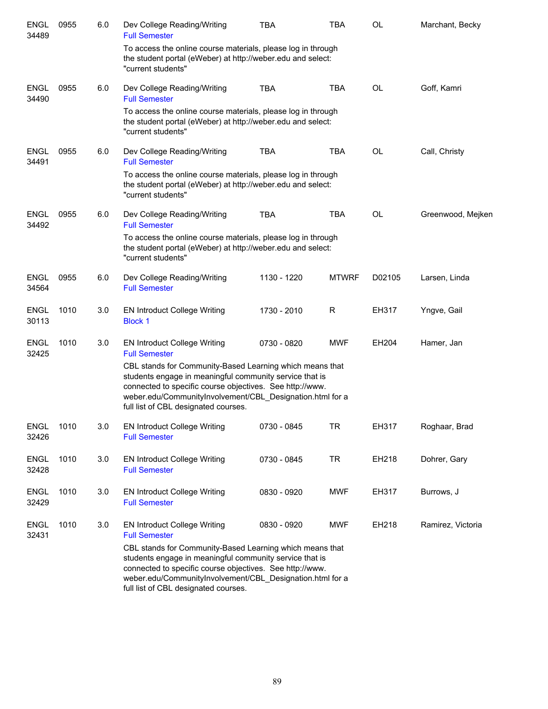| <b>ENGL</b><br>34489 | 0955 | 6.0 | Dev College Reading/Writing<br><b>Full Semester</b>                                                                                                                                                                                                                                  | <b>TBA</b>  | <b>TBA</b>   | <b>OL</b> | Marchant, Becky   |
|----------------------|------|-----|--------------------------------------------------------------------------------------------------------------------------------------------------------------------------------------------------------------------------------------------------------------------------------------|-------------|--------------|-----------|-------------------|
|                      |      |     | To access the online course materials, please log in through<br>the student portal (eWeber) at http://weber.edu and select:<br>"current students"                                                                                                                                    |             |              |           |                   |
| <b>ENGL</b><br>34490 | 0955 | 6.0 | Dev College Reading/Writing<br><b>Full Semester</b>                                                                                                                                                                                                                                  | <b>TBA</b>  | <b>TBA</b>   | <b>OL</b> | Goff, Kamri       |
|                      |      |     | To access the online course materials, please log in through<br>the student portal (eWeber) at http://weber.edu and select:<br>"current students"                                                                                                                                    |             |              |           |                   |
| <b>ENGL</b><br>34491 | 0955 | 6.0 | Dev College Reading/Writing<br><b>Full Semester</b>                                                                                                                                                                                                                                  | <b>TBA</b>  | <b>TBA</b>   | <b>OL</b> | Call, Christy     |
|                      |      |     | To access the online course materials, please log in through<br>the student portal (eWeber) at http://weber.edu and select:<br>"current students"                                                                                                                                    |             |              |           |                   |
| <b>ENGL</b><br>34492 | 0955 | 6.0 | Dev College Reading/Writing<br><b>Full Semester</b>                                                                                                                                                                                                                                  | <b>TBA</b>  | <b>TBA</b>   | <b>OL</b> | Greenwood, Mejken |
|                      |      |     | To access the online course materials, please log in through<br>the student portal (eWeber) at http://weber.edu and select:<br>"current students"                                                                                                                                    |             |              |           |                   |
| <b>ENGL</b><br>34564 | 0955 | 6.0 | Dev College Reading/Writing<br><b>Full Semester</b>                                                                                                                                                                                                                                  | 1130 - 1220 | <b>MTWRF</b> | D02105    | Larsen, Linda     |
| <b>ENGL</b><br>30113 | 1010 | 3.0 | <b>EN Introduct College Writing</b><br><b>Block 1</b>                                                                                                                                                                                                                                | 1730 - 2010 | R            | EH317     | Yngve, Gail       |
| <b>ENGL</b><br>32425 | 1010 | 3.0 | <b>EN Introduct College Writing</b><br><b>Full Semester</b>                                                                                                                                                                                                                          | 0730 - 0820 | MWF          | EH204     | Hamer, Jan        |
|                      |      |     | CBL stands for Community-Based Learning which means that<br>students engage in meaningful community service that is<br>connected to specific course objectives. See http://www.<br>weber.edu/CommunityInvolvement/CBL_Designation.html for a<br>full list of CBL designated courses. |             |              |           |                   |
| <b>ENGL</b><br>32426 | 1010 | 3.0 | <b>EN Introduct College Writing</b><br><b>Full Semester</b>                                                                                                                                                                                                                          | 0730 - 0845 | <b>TR</b>    | EH317     | Roghaar, Brad     |
| <b>ENGL</b><br>32428 | 1010 | 3.0 | <b>EN Introduct College Writing</b><br><b>Full Semester</b>                                                                                                                                                                                                                          | 0730 - 0845 | <b>TR</b>    | EH218     | Dohrer, Gary      |
| <b>ENGL</b><br>32429 | 1010 | 3.0 | <b>EN Introduct College Writing</b><br><b>Full Semester</b>                                                                                                                                                                                                                          | 0830 - 0920 | <b>MWF</b>   | EH317     | Burrows, J        |
| <b>ENGL</b><br>32431 | 1010 | 3.0 | EN Introduct College Writing<br><b>Full Semester</b>                                                                                                                                                                                                                                 | 0830 - 0920 | <b>MWF</b>   | EH218     | Ramirez, Victoria |
|                      |      |     | CBL stands for Community-Based Learning which means that<br>students engage in meaningful community service that is<br>connected to specific course objectives. See http://www.<br>weber.edu/CommunityInvolvement/CBL_Designation.html for a<br>full list of CBL designated courses. |             |              |           |                   |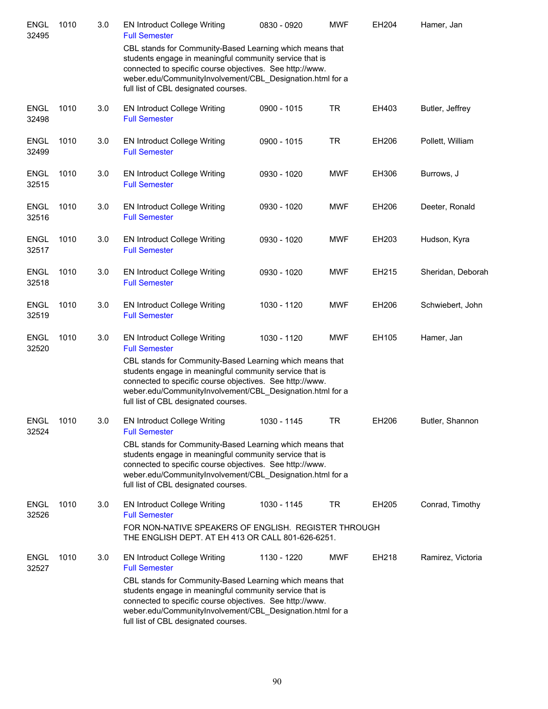| <b>ENGL</b><br>32495 | 1010 | 3.0 | <b>EN Introduct College Writing</b><br><b>Full Semester</b>                                                                                                                                                                                                                          | 0830 - 0920 | <b>MWF</b> | EH204 | Hamer, Jan        |
|----------------------|------|-----|--------------------------------------------------------------------------------------------------------------------------------------------------------------------------------------------------------------------------------------------------------------------------------------|-------------|------------|-------|-------------------|
|                      |      |     | CBL stands for Community-Based Learning which means that<br>students engage in meaningful community service that is<br>connected to specific course objectives. See http://www.<br>weber.edu/CommunityInvolvement/CBL_Designation.html for a<br>full list of CBL designated courses. |             |            |       |                   |
| <b>ENGL</b><br>32498 | 1010 | 3.0 | <b>EN Introduct College Writing</b><br><b>Full Semester</b>                                                                                                                                                                                                                          | 0900 - 1015 | <b>TR</b>  | EH403 | Butler, Jeffrey   |
| <b>ENGL</b><br>32499 | 1010 | 3.0 | <b>EN Introduct College Writing</b><br><b>Full Semester</b>                                                                                                                                                                                                                          | 0900 - 1015 | <b>TR</b>  | EH206 | Pollett, William  |
| <b>ENGL</b><br>32515 | 1010 | 3.0 | <b>EN Introduct College Writing</b><br><b>Full Semester</b>                                                                                                                                                                                                                          | 0930 - 1020 | <b>MWF</b> | EH306 | Burrows, J        |
| <b>ENGL</b><br>32516 | 1010 | 3.0 | <b>EN Introduct College Writing</b><br><b>Full Semester</b>                                                                                                                                                                                                                          | 0930 - 1020 | <b>MWF</b> | EH206 | Deeter, Ronald    |
| <b>ENGL</b><br>32517 | 1010 | 3.0 | <b>EN Introduct College Writing</b><br><b>Full Semester</b>                                                                                                                                                                                                                          | 0930 - 1020 | <b>MWF</b> | EH203 | Hudson, Kyra      |
| <b>ENGL</b><br>32518 | 1010 | 3.0 | <b>EN Introduct College Writing</b><br><b>Full Semester</b>                                                                                                                                                                                                                          | 0930 - 1020 | <b>MWF</b> | EH215 | Sheridan, Deborah |
| <b>ENGL</b><br>32519 | 1010 | 3.0 | <b>EN Introduct College Writing</b><br><b>Full Semester</b>                                                                                                                                                                                                                          | 1030 - 1120 | <b>MWF</b> | EH206 | Schwiebert, John  |
| <b>ENGL</b><br>32520 | 1010 | 3.0 | <b>EN Introduct College Writing</b><br><b>Full Semester</b>                                                                                                                                                                                                                          | 1030 - 1120 | <b>MWF</b> | EH105 | Hamer, Jan        |
|                      |      |     | CBL stands for Community-Based Learning which means that<br>students engage in meaningful community service that is<br>connected to specific course objectives. See http://www.<br>weber.edu/CommunityInvolvement/CBL Designation.html for a<br>full list of CBL designated courses. |             |            |       |                   |
| <b>ENGL</b><br>32524 | 1010 | 3.0 | <b>EN Introduct College Writing</b><br><b>Full Semester</b>                                                                                                                                                                                                                          | 1030 - 1145 | TR         | EH206 | Butler, Shannon   |
|                      |      |     | CBL stands for Community-Based Learning which means that<br>students engage in meaningful community service that is<br>connected to specific course objectives. See http://www.<br>weber.edu/CommunityInvolvement/CBL_Designation.html for a<br>full list of CBL designated courses. |             |            |       |                   |
| <b>ENGL</b><br>32526 | 1010 | 3.0 | EN Introduct College Writing<br><b>Full Semester</b><br>FOR NON-NATIVE SPEAKERS OF ENGLISH. REGISTER THROUGH                                                                                                                                                                         | 1030 - 1145 | <b>TR</b>  | EH205 | Conrad, Timothy   |
|                      |      |     | THE ENGLISH DEPT. AT EH 413 OR CALL 801-626-6251.                                                                                                                                                                                                                                    |             |            |       |                   |
| <b>ENGL</b><br>32527 | 1010 | 3.0 | <b>EN Introduct College Writing</b><br><b>Full Semester</b>                                                                                                                                                                                                                          | 1130 - 1220 | <b>MWF</b> | EH218 | Ramirez, Victoria |
|                      |      |     | CBL stands for Community-Based Learning which means that<br>students engage in meaningful community service that is<br>connected to specific course objectives. See http://www.<br>weber.edu/CommunityInvolvement/CBL_Designation.html for a<br>full list of CBL designated courses. |             |            |       |                   |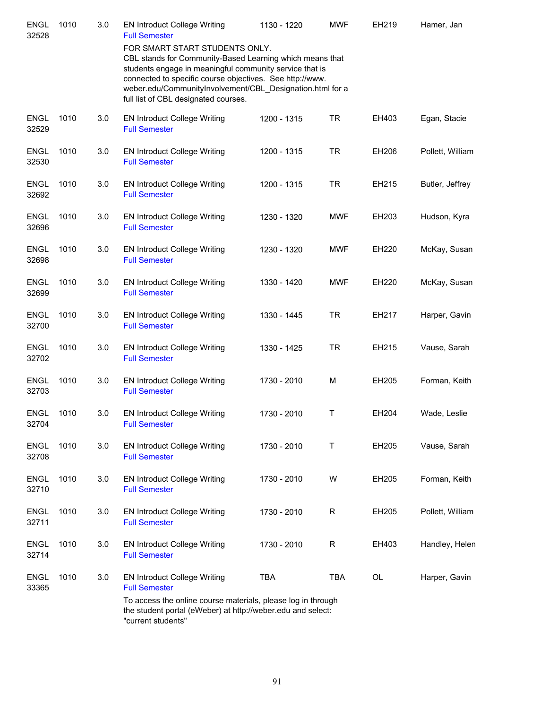| <b>ENGL</b><br>32528 | 1010 | 3.0 | <b>EN Introduct College Writing</b><br><b>Full Semester</b><br>FOR SMART START STUDENTS ONLY.                                                                                                                                                                                        | 1130 - 1220 | <b>MWF</b>   | EH219 | Hamer, Jan       |
|----------------------|------|-----|--------------------------------------------------------------------------------------------------------------------------------------------------------------------------------------------------------------------------------------------------------------------------------------|-------------|--------------|-------|------------------|
|                      |      |     | CBL stands for Community-Based Learning which means that<br>students engage in meaningful community service that is<br>connected to specific course objectives. See http://www.<br>weber.edu/CommunityInvolvement/CBL_Designation.html for a<br>full list of CBL designated courses. |             |              |       |                  |
| <b>ENGL</b><br>32529 | 1010 | 3.0 | <b>EN Introduct College Writing</b><br><b>Full Semester</b>                                                                                                                                                                                                                          | 1200 - 1315 | <b>TR</b>    | EH403 | Egan, Stacie     |
| <b>ENGL</b><br>32530 | 1010 | 3.0 | <b>EN Introduct College Writing</b><br><b>Full Semester</b>                                                                                                                                                                                                                          | 1200 - 1315 | TR           | EH206 | Pollett, William |
| <b>ENGL</b><br>32692 | 1010 | 3.0 | <b>EN Introduct College Writing</b><br><b>Full Semester</b>                                                                                                                                                                                                                          | 1200 - 1315 | <b>TR</b>    | EH215 | Butler, Jeffrey  |
| <b>ENGL</b><br>32696 | 1010 | 3.0 | <b>EN Introduct College Writing</b><br><b>Full Semester</b>                                                                                                                                                                                                                          | 1230 - 1320 | <b>MWF</b>   | EH203 | Hudson, Kyra     |
| <b>ENGL</b><br>32698 | 1010 | 3.0 | <b>EN Introduct College Writing</b><br><b>Full Semester</b>                                                                                                                                                                                                                          | 1230 - 1320 | <b>MWF</b>   | EH220 | McKay, Susan     |
| <b>ENGL</b><br>32699 | 1010 | 3.0 | <b>EN Introduct College Writing</b><br><b>Full Semester</b>                                                                                                                                                                                                                          | 1330 - 1420 | <b>MWF</b>   | EH220 | McKay, Susan     |
| <b>ENGL</b><br>32700 | 1010 | 3.0 | <b>EN Introduct College Writing</b><br><b>Full Semester</b>                                                                                                                                                                                                                          | 1330 - 1445 | TR           | EH217 | Harper, Gavin    |
| <b>ENGL</b><br>32702 | 1010 | 3.0 | <b>EN Introduct College Writing</b><br><b>Full Semester</b>                                                                                                                                                                                                                          | 1330 - 1425 | <b>TR</b>    | EH215 | Vause, Sarah     |
| <b>ENGL</b><br>32703 | 1010 | 3.0 | <b>EN Introduct College Writing</b><br><b>Full Semester</b>                                                                                                                                                                                                                          | 1730 - 2010 | M            | EH205 | Forman, Keith    |
| <b>ENGL</b><br>32704 | 1010 | 3.0 | <b>EN Introduct College Writing</b><br><b>Full Semester</b>                                                                                                                                                                                                                          | 1730 - 2010 | $\mathsf{T}$ | EH204 | Wade, Leslie     |
| <b>ENGL</b><br>32708 | 1010 | 3.0 | <b>EN Introduct College Writing</b><br><b>Full Semester</b>                                                                                                                                                                                                                          | 1730 - 2010 | Τ            | EH205 | Vause, Sarah     |
| <b>ENGL</b><br>32710 | 1010 | 3.0 | <b>EN Introduct College Writing</b><br><b>Full Semester</b>                                                                                                                                                                                                                          | 1730 - 2010 | W            | EH205 | Forman, Keith    |
| <b>ENGL</b><br>32711 | 1010 | 3.0 | <b>EN Introduct College Writing</b><br><b>Full Semester</b>                                                                                                                                                                                                                          | 1730 - 2010 | $\mathsf{R}$ | EH205 | Pollett, William |
| <b>ENGL</b><br>32714 | 1010 | 3.0 | <b>EN Introduct College Writing</b><br><b>Full Semester</b>                                                                                                                                                                                                                          | 1730 - 2010 | R            | EH403 | Handley, Helen   |
| <b>ENGL</b><br>33365 | 1010 | 3.0 | <b>EN Introduct College Writing</b><br><b>Full Semester</b>                                                                                                                                                                                                                          | <b>TBA</b>  | <b>TBA</b>   | OL    | Harper, Gavin    |
|                      |      |     | To access the online course materials, please log in through<br>the student portal (eWeber) at http://weber.edu and select:<br>"current students"                                                                                                                                    |             |              |       |                  |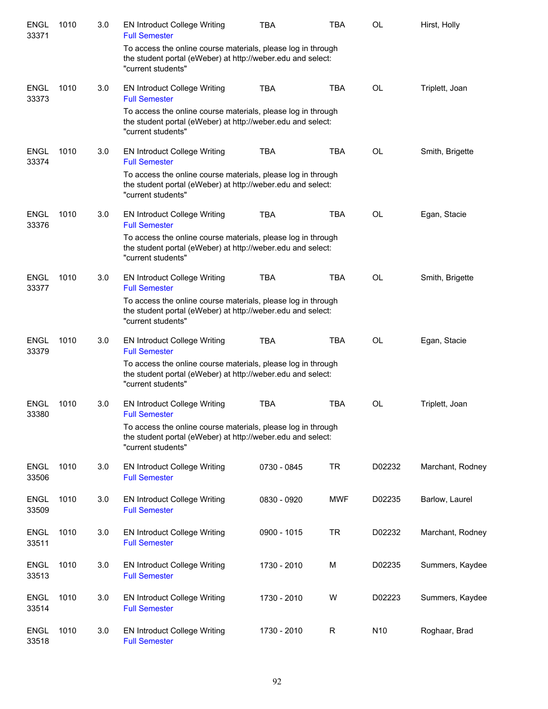| <b>ENGL</b><br>33371 | 1010 | 3.0 | <b>EN Introduct College Writing</b><br><b>Full Semester</b>                                                                                       | <b>TBA</b>  | <b>TBA</b>  | OL        | Hirst, Holly     |
|----------------------|------|-----|---------------------------------------------------------------------------------------------------------------------------------------------------|-------------|-------------|-----------|------------------|
|                      |      |     | To access the online course materials, please log in through<br>the student portal (eWeber) at http://weber.edu and select:<br>"current students" |             |             |           |                  |
| <b>ENGL</b><br>33373 | 1010 | 3.0 | <b>EN Introduct College Writing</b><br><b>Full Semester</b>                                                                                       | <b>TBA</b>  | <b>TBA</b>  | OL        | Triplett, Joan   |
|                      |      |     | To access the online course materials, please log in through<br>the student portal (eWeber) at http://weber.edu and select:<br>"current students" |             |             |           |                  |
| <b>ENGL</b><br>33374 | 1010 | 3.0 | <b>EN Introduct College Writing</b><br><b>Full Semester</b>                                                                                       | <b>TBA</b>  | <b>TBA</b>  | OL        | Smith, Brigette  |
|                      |      |     | To access the online course materials, please log in through<br>the student portal (eWeber) at http://weber.edu and select:<br>"current students" |             |             |           |                  |
| <b>ENGL</b><br>33376 | 1010 | 3.0 | <b>EN Introduct College Writing</b><br><b>Full Semester</b>                                                                                       | <b>TBA</b>  | <b>TBA</b>  | <b>OL</b> | Egan, Stacie     |
|                      |      |     | To access the online course materials, please log in through<br>the student portal (eWeber) at http://weber.edu and select:<br>"current students" |             |             |           |                  |
| <b>ENGL</b><br>33377 | 1010 | 3.0 | <b>EN Introduct College Writing</b><br><b>Full Semester</b>                                                                                       | <b>TBA</b>  | <b>TBA</b>  | <b>OL</b> | Smith, Brigette  |
|                      |      |     | To access the online course materials, please log in through<br>the student portal (eWeber) at http://weber.edu and select:<br>"current students" |             |             |           |                  |
| <b>ENGL</b><br>33379 | 1010 | 3.0 | <b>EN Introduct College Writing</b><br><b>Full Semester</b>                                                                                       | <b>TBA</b>  | <b>TBA</b>  | OL        | Egan, Stacie     |
|                      |      |     | To access the online course materials, please log in through<br>the student portal (eWeber) at http://weber.edu and select:<br>"current students" |             |             |           |                  |
| ENGL<br>33380        | 1010 | 3.0 | <b>EN Introduct College Writing</b><br><b>Full Semester</b>                                                                                       | <b>TBA</b>  | <b>TBA</b>  | OL        | Triplett, Joan   |
|                      |      |     | To access the online course materials, please log in through<br>the student portal (eWeber) at http://weber.edu and select:<br>"current students" |             |             |           |                  |
| <b>ENGL</b><br>33506 | 1010 | 3.0 | <b>EN Introduct College Writing</b><br><b>Full Semester</b>                                                                                       | 0730 - 0845 | <b>TR</b>   | D02232    | Marchant, Rodney |
| <b>ENGL</b><br>33509 | 1010 | 3.0 | <b>EN Introduct College Writing</b><br><b>Full Semester</b>                                                                                       | 0830 - 0920 | <b>MWF</b>  | D02235    | Barlow, Laurel   |
| <b>ENGL</b><br>33511 | 1010 | 3.0 | <b>EN Introduct College Writing</b><br><b>Full Semester</b>                                                                                       | 0900 - 1015 | <b>TR</b>   | D02232    | Marchant, Rodney |
| <b>ENGL</b><br>33513 | 1010 | 3.0 | <b>EN Introduct College Writing</b><br><b>Full Semester</b>                                                                                       | 1730 - 2010 | М           | D02235    | Summers, Kaydee  |
| <b>ENGL</b><br>33514 | 1010 | 3.0 | <b>EN Introduct College Writing</b><br><b>Full Semester</b>                                                                                       | 1730 - 2010 | W           | D02223    | Summers, Kaydee  |
| <b>ENGL</b><br>33518 | 1010 | 3.0 | <b>EN Introduct College Writing</b><br><b>Full Semester</b>                                                                                       | 1730 - 2010 | $\mathsf R$ | N10       | Roghaar, Brad    |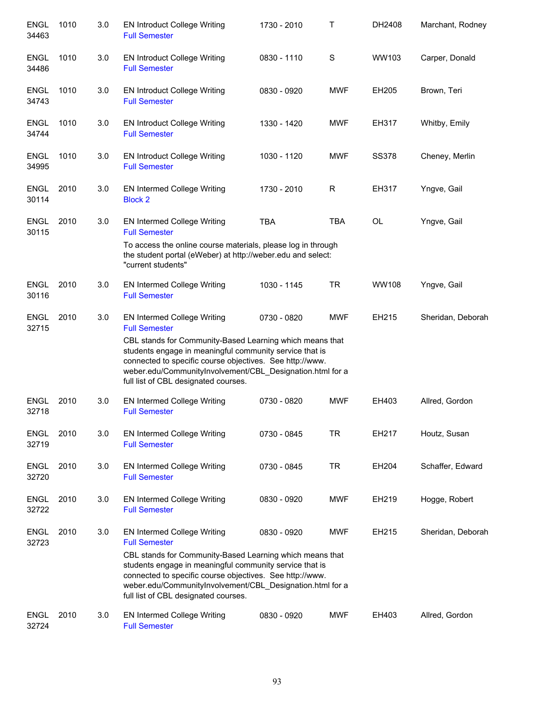| <b>ENGL</b><br>34463 | 1010 | 3.0 | <b>EN Introduct College Writing</b><br><b>Full Semester</b>                                                                                                                                                                                                                          | 1730 - 2010 | Τ          | DH2408       | Marchant, Rodney  |
|----------------------|------|-----|--------------------------------------------------------------------------------------------------------------------------------------------------------------------------------------------------------------------------------------------------------------------------------------|-------------|------------|--------------|-------------------|
| <b>ENGL</b><br>34486 | 1010 | 3.0 | <b>EN Introduct College Writing</b><br><b>Full Semester</b>                                                                                                                                                                                                                          | 0830 - 1110 | S          | WW103        | Carper, Donald    |
| <b>ENGL</b><br>34743 | 1010 | 3.0 | <b>EN Introduct College Writing</b><br><b>Full Semester</b>                                                                                                                                                                                                                          | 0830 - 0920 | <b>MWF</b> | EH205        | Brown, Teri       |
| <b>ENGL</b><br>34744 | 1010 | 3.0 | <b>EN Introduct College Writing</b><br><b>Full Semester</b>                                                                                                                                                                                                                          | 1330 - 1420 | <b>MWF</b> | EH317        | Whitby, Emily     |
| <b>ENGL</b><br>34995 | 1010 | 3.0 | <b>EN Introduct College Writing</b><br><b>Full Semester</b>                                                                                                                                                                                                                          | 1030 - 1120 | <b>MWF</b> | <b>SS378</b> | Cheney, Merlin    |
| <b>ENGL</b><br>30114 | 2010 | 3.0 | EN Intermed College Writing<br><b>Block 2</b>                                                                                                                                                                                                                                        | 1730 - 2010 | R          | <b>EH317</b> | Yngve, Gail       |
| <b>ENGL</b><br>30115 | 2010 | 3.0 | EN Intermed College Writing<br><b>Full Semester</b>                                                                                                                                                                                                                                  | <b>TBA</b>  | <b>TBA</b> | OL           | Yngve, Gail       |
|                      |      |     | To access the online course materials, please log in through<br>the student portal (eWeber) at http://weber.edu and select:<br>"current students"                                                                                                                                    |             |            |              |                   |
| <b>ENGL</b><br>30116 | 2010 | 3.0 | EN Intermed College Writing<br><b>Full Semester</b>                                                                                                                                                                                                                                  | 1030 - 1145 | <b>TR</b>  | <b>WW108</b> | Yngve, Gail       |
| <b>ENGL</b><br>32715 | 2010 | 3.0 | EN Intermed College Writing<br><b>Full Semester</b>                                                                                                                                                                                                                                  | 0730 - 0820 | <b>MWF</b> | EH215        | Sheridan, Deborah |
|                      |      |     | CBL stands for Community-Based Learning which means that<br>students engage in meaningful community service that is<br>connected to specific course objectives. See http://www.<br>weber.edu/CommunityInvolvement/CBL_Designation.html for a<br>full list of CBL designated courses. |             |            |              |                   |
| <b>ENGL</b><br>32718 | 2010 | 3.0 | EN Intermed College Writing<br><b>Full Semester</b>                                                                                                                                                                                                                                  | 0730 - 0820 | <b>MWF</b> | EH403        | Allred, Gordon    |
| <b>ENGL</b><br>32719 | 2010 | 3.0 | <b>EN Intermed College Writing</b><br><b>Full Semester</b>                                                                                                                                                                                                                           | 0730 - 0845 | <b>TR</b>  | EH217        | Houtz, Susan      |
| <b>ENGL</b><br>32720 | 2010 | 3.0 | EN Intermed College Writing<br><b>Full Semester</b>                                                                                                                                                                                                                                  | 0730 - 0845 | <b>TR</b>  | EH204        | Schaffer, Edward  |
| <b>ENGL</b><br>32722 | 2010 | 3.0 | EN Intermed College Writing<br><b>Full Semester</b>                                                                                                                                                                                                                                  | 0830 - 0920 | <b>MWF</b> | EH219        | Hogge, Robert     |
| <b>ENGL</b><br>32723 | 2010 | 3.0 | EN Intermed College Writing<br><b>Full Semester</b>                                                                                                                                                                                                                                  | 0830 - 0920 | <b>MWF</b> | EH215        | Sheridan, Deborah |
|                      |      |     | CBL stands for Community-Based Learning which means that<br>students engage in meaningful community service that is<br>connected to specific course objectives. See http://www.<br>weber.edu/CommunityInvolvement/CBL_Designation.html for a<br>full list of CBL designated courses. |             |            |              |                   |
| <b>ENGL</b><br>32724 | 2010 | 3.0 | EN Intermed College Writing<br><b>Full Semester</b>                                                                                                                                                                                                                                  | 0830 - 0920 | <b>MWF</b> | EH403        | Allred, Gordon    |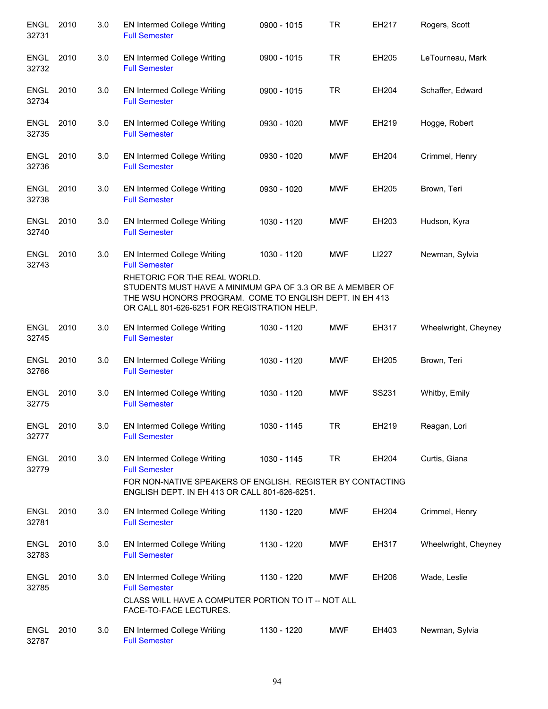| <b>ENGL</b><br>32731 | 2010 | 3.0 | EN Intermed College Writing<br><b>Full Semester</b>                                                                                                                                                         | 0900 - 1015 | <b>TR</b>  | EH217 | Rogers, Scott        |
|----------------------|------|-----|-------------------------------------------------------------------------------------------------------------------------------------------------------------------------------------------------------------|-------------|------------|-------|----------------------|
| ENGL<br>32732        | 2010 | 3.0 | EN Intermed College Writing<br><b>Full Semester</b>                                                                                                                                                         | 0900 - 1015 | <b>TR</b>  | EH205 | LeTourneau, Mark     |
| <b>ENGL</b><br>32734 | 2010 | 3.0 | EN Intermed College Writing<br><b>Full Semester</b>                                                                                                                                                         | 0900 - 1015 | <b>TR</b>  | EH204 | Schaffer, Edward     |
| <b>ENGL</b><br>32735 | 2010 | 3.0 | EN Intermed College Writing<br><b>Full Semester</b>                                                                                                                                                         | 0930 - 1020 | <b>MWF</b> | EH219 | Hogge, Robert        |
| <b>ENGL</b><br>32736 | 2010 | 3.0 | EN Intermed College Writing<br><b>Full Semester</b>                                                                                                                                                         | 0930 - 1020 | <b>MWF</b> | EH204 | Crimmel, Henry       |
| <b>ENGL</b><br>32738 | 2010 | 3.0 | EN Intermed College Writing<br><b>Full Semester</b>                                                                                                                                                         | 0930 - 1020 | <b>MWF</b> | EH205 | Brown, Teri          |
| <b>ENGL</b><br>32740 | 2010 | 3.0 | EN Intermed College Writing<br><b>Full Semester</b>                                                                                                                                                         | 1030 - 1120 | <b>MWF</b> | EH203 | Hudson, Kyra         |
| <b>ENGL</b><br>32743 | 2010 | 3.0 | EN Intermed College Writing<br><b>Full Semester</b><br>RHETORIC FOR THE REAL WORLD.<br>STUDENTS MUST HAVE A MINIMUM GPA OF 3.3 OR BE A MEMBER OF<br>THE WSU HONORS PROGRAM. COME TO ENGLISH DEPT. IN EH 413 | 1030 - 1120 | <b>MWF</b> | LI227 | Newman, Sylvia       |
|                      |      |     | OR CALL 801-626-6251 FOR REGISTRATION HELP.                                                                                                                                                                 |             |            |       |                      |
| <b>ENGL</b><br>32745 | 2010 | 3.0 | EN Intermed College Writing<br><b>Full Semester</b>                                                                                                                                                         | 1030 - 1120 | <b>MWF</b> | EH317 | Wheelwright, Cheyney |
| <b>ENGL</b><br>32766 | 2010 | 3.0 | EN Intermed College Writing<br><b>Full Semester</b>                                                                                                                                                         | 1030 - 1120 | <b>MWF</b> | EH205 | Brown, Teri          |
| ENGL<br>32775        | 2010 | 3.0 | EN Intermed College Writing<br><b>Full Semester</b>                                                                                                                                                         | 1030 - 1120 | <b>MWF</b> | SS231 | Whitby, Emily        |
| <b>ENGL</b><br>32777 | 2010 | 3.0 | <b>EN Intermed College Writing</b><br><b>Full Semester</b>                                                                                                                                                  | 1030 - 1145 | TR         | EH219 | Reagan, Lori         |
| <b>ENGL</b><br>32779 | 2010 | 3.0 | EN Intermed College Writing<br><b>Full Semester</b><br>FOR NON-NATIVE SPEAKERS OF ENGLISH. REGISTER BY CONTACTING<br>ENGLISH DEPT. IN EH 413 OR CALL 801-626-6251.                                          | 1030 - 1145 | <b>TR</b>  | EH204 | Curtis, Giana        |
| <b>ENGL</b><br>32781 | 2010 | 3.0 | <b>EN Intermed College Writing</b><br><b>Full Semester</b>                                                                                                                                                  | 1130 - 1220 | <b>MWF</b> | EH204 | Crimmel, Henry       |
| <b>ENGL</b><br>32783 | 2010 | 3.0 | <b>EN Intermed College Writing</b><br><b>Full Semester</b>                                                                                                                                                  | 1130 - 1220 | <b>MWF</b> | EH317 | Wheelwright, Cheyney |
| <b>ENGL</b><br>32785 | 2010 | 3.0 | <b>EN Intermed College Writing</b><br><b>Full Semester</b><br>CLASS WILL HAVE A COMPUTER PORTION TO IT -- NOT ALL<br>FACE-TO-FACE LECTURES.                                                                 | 1130 - 1220 | <b>MWF</b> | EH206 | Wade, Leslie         |
| <b>ENGL</b><br>32787 | 2010 | 3.0 | <b>EN Intermed College Writing</b><br><b>Full Semester</b>                                                                                                                                                  | 1130 - 1220 | <b>MWF</b> | EH403 | Newman, Sylvia       |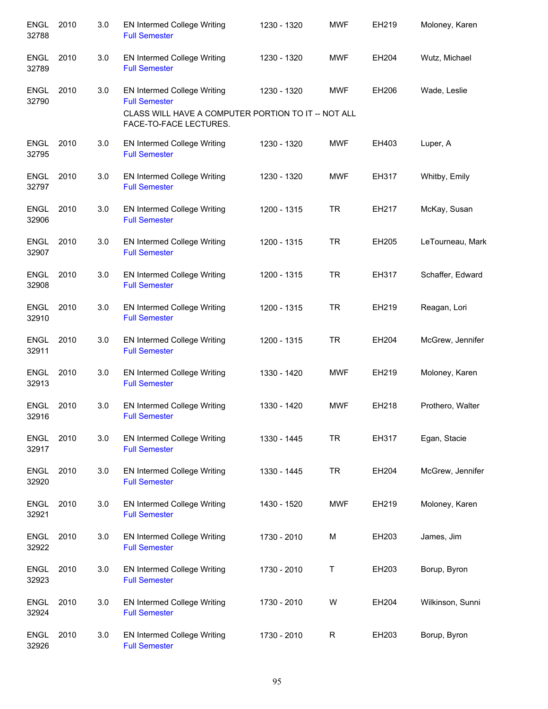| <b>ENGL</b><br>32788 | 2010 | 3.0 | EN Intermed College Writing<br><b>Full Semester</b>                           | 1230 - 1320 | <b>MWF</b> | EH219 | Moloney, Karen   |
|----------------------|------|-----|-------------------------------------------------------------------------------|-------------|------------|-------|------------------|
| <b>ENGL</b><br>32789 | 2010 | 3.0 | EN Intermed College Writing<br><b>Full Semester</b>                           | 1230 - 1320 | <b>MWF</b> | EH204 | Wutz, Michael    |
| <b>ENGL</b><br>32790 | 2010 | 3.0 | <b>EN Intermed College Writing</b><br><b>Full Semester</b>                    | 1230 - 1320 | MWF        | EH206 | Wade, Leslie     |
|                      |      |     | CLASS WILL HAVE A COMPUTER PORTION TO IT -- NOT ALL<br>FACE-TO-FACE LECTURES. |             |            |       |                  |
| <b>ENGL</b><br>32795 | 2010 | 3.0 | EN Intermed College Writing<br><b>Full Semester</b>                           | 1230 - 1320 | MWF        | EH403 | Luper, A         |
| <b>ENGL</b><br>32797 | 2010 | 3.0 | EN Intermed College Writing<br><b>Full Semester</b>                           | 1230 - 1320 | <b>MWF</b> | EH317 | Whitby, Emily    |
| <b>ENGL</b><br>32906 | 2010 | 3.0 | EN Intermed College Writing<br><b>Full Semester</b>                           | 1200 - 1315 | <b>TR</b>  | EH217 | McKay, Susan     |
| <b>ENGL</b><br>32907 | 2010 | 3.0 | EN Intermed College Writing<br><b>Full Semester</b>                           | 1200 - 1315 | <b>TR</b>  | EH205 | LeTourneau, Mark |
| <b>ENGL</b><br>32908 | 2010 | 3.0 | EN Intermed College Writing<br><b>Full Semester</b>                           | 1200 - 1315 | <b>TR</b>  | EH317 | Schaffer, Edward |
| <b>ENGL</b><br>32910 | 2010 | 3.0 | EN Intermed College Writing<br><b>Full Semester</b>                           | 1200 - 1315 | <b>TR</b>  | EH219 | Reagan, Lori     |
| <b>ENGL</b><br>32911 | 2010 | 3.0 | <b>EN Intermed College Writing</b><br><b>Full Semester</b>                    | 1200 - 1315 | <b>TR</b>  | EH204 | McGrew, Jennifer |
| <b>ENGL</b><br>32913 | 2010 | 3.0 | EN Intermed College Writing<br><b>Full Semester</b>                           | 1330 - 1420 | <b>MWF</b> | EH219 | Moloney, Karen   |
| <b>ENGL</b><br>32916 | 2010 | 3.0 | EN Intermed College Writing<br><b>Full Semester</b>                           | 1330 - 1420 | <b>MWF</b> | EH218 | Prothero, Walter |
| <b>ENGL</b><br>32917 | 2010 | 3.0 | <b>EN Intermed College Writing</b><br><b>Full Semester</b>                    | 1330 - 1445 | <b>TR</b>  | EH317 | Egan, Stacie     |
| <b>ENGL</b><br>32920 | 2010 | 3.0 | EN Intermed College Writing<br><b>Full Semester</b>                           | 1330 - 1445 | <b>TR</b>  | EH204 | McGrew, Jennifer |
| <b>ENGL</b><br>32921 | 2010 | 3.0 | EN Intermed College Writing<br><b>Full Semester</b>                           | 1430 - 1520 | MWF        | EH219 | Moloney, Karen   |
| <b>ENGL</b><br>32922 | 2010 | 3.0 | EN Intermed College Writing<br><b>Full Semester</b>                           | 1730 - 2010 | М          | EH203 | James, Jim       |
| <b>ENGL</b><br>32923 | 2010 | 3.0 | EN Intermed College Writing<br><b>Full Semester</b>                           | 1730 - 2010 | т          | EH203 | Borup, Byron     |
| <b>ENGL</b><br>32924 | 2010 | 3.0 | EN Intermed College Writing<br><b>Full Semester</b>                           | 1730 - 2010 | W          | EH204 | Wilkinson, Sunni |
| <b>ENGL</b><br>32926 | 2010 | 3.0 | EN Intermed College Writing<br><b>Full Semester</b>                           | 1730 - 2010 | R          | EH203 | Borup, Byron     |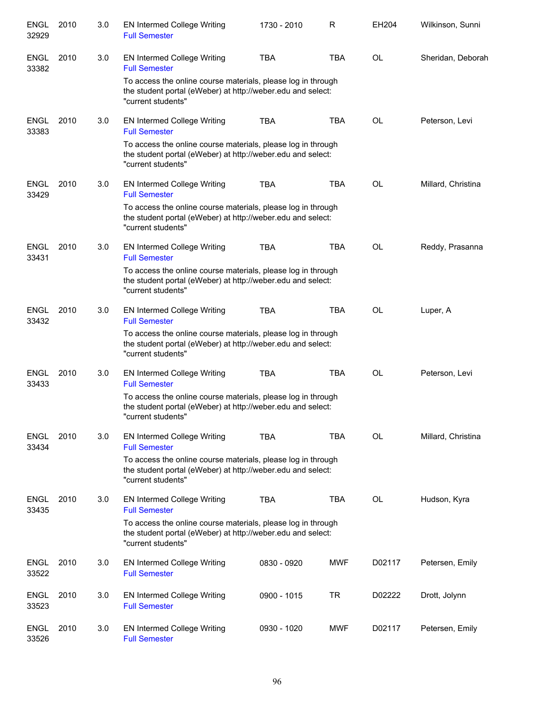| <b>ENGL</b><br>32929 | 2010 | 3.0 | <b>EN Intermed College Writing</b><br><b>Full Semester</b>                                                                                        | 1730 - 2010 | R          | EH204     | Wilkinson, Sunni   |
|----------------------|------|-----|---------------------------------------------------------------------------------------------------------------------------------------------------|-------------|------------|-----------|--------------------|
| <b>ENGL</b><br>33382 | 2010 | 3.0 | <b>EN Intermed College Writing</b><br><b>Full Semester</b>                                                                                        | <b>TBA</b>  | <b>TBA</b> | <b>OL</b> | Sheridan, Deborah  |
|                      |      |     | To access the online course materials, please log in through<br>the student portal (eWeber) at http://weber.edu and select:<br>"current students" |             |            |           |                    |
| <b>ENGL</b><br>33383 | 2010 | 3.0 | <b>EN Intermed College Writing</b><br><b>Full Semester</b>                                                                                        | <b>TBA</b>  | <b>TBA</b> | <b>OL</b> | Peterson, Levi     |
|                      |      |     | To access the online course materials, please log in through<br>the student portal (eWeber) at http://weber.edu and select:<br>"current students" |             |            |           |                    |
| <b>ENGL</b><br>33429 | 2010 | 3.0 | <b>EN Intermed College Writing</b><br><b>Full Semester</b>                                                                                        | <b>TBA</b>  | <b>TBA</b> | OL        | Millard, Christina |
|                      |      |     | To access the online course materials, please log in through<br>the student portal (eWeber) at http://weber.edu and select:<br>"current students" |             |            |           |                    |
| <b>ENGL</b><br>33431 | 2010 | 3.0 | <b>EN Intermed College Writing</b><br><b>Full Semester</b>                                                                                        | <b>TBA</b>  | <b>TBA</b> | <b>OL</b> | Reddy, Prasanna    |
|                      |      |     | To access the online course materials, please log in through<br>the student portal (eWeber) at http://weber.edu and select:<br>"current students" |             |            |           |                    |
| <b>ENGL</b><br>33432 | 2010 | 3.0 | <b>EN Intermed College Writing</b><br><b>Full Semester</b>                                                                                        | <b>TBA</b>  | <b>TBA</b> | OL        | Luper, A           |
|                      |      |     | To access the online course materials, please log in through<br>the student portal (eWeber) at http://weber.edu and select:<br>"current students" |             |            |           |                    |
| <b>ENGL</b><br>33433 | 2010 | 3.0 | EN Intermed College Writing<br><b>Full Semester</b>                                                                                               | <b>TBA</b>  | <b>TBA</b> | <b>OL</b> | Peterson, Levi     |
|                      |      |     | To access the online course materials, please log in through<br>the student portal (eWeber) at http://weber.edu and select:<br>"current students" |             |            |           |                    |
| <b>ENGL</b><br>33434 | 2010 | 3.0 | <b>EN Intermed College Writing</b><br><b>Full Semester</b>                                                                                        | <b>TBA</b>  | <b>TBA</b> | OL        | Millard, Christina |
|                      |      |     | To access the online course materials, please log in through<br>the student portal (eWeber) at http://weber.edu and select:<br>"current students" |             |            |           |                    |
| <b>ENGL</b><br>33435 | 2010 | 3.0 | <b>EN Intermed College Writing</b><br><b>Full Semester</b>                                                                                        | <b>TBA</b>  | <b>TBA</b> | <b>OL</b> | Hudson, Kyra       |
|                      |      |     | To access the online course materials, please log in through<br>the student portal (eWeber) at http://weber.edu and select:<br>"current students" |             |            |           |                    |
| <b>ENGL</b><br>33522 | 2010 | 3.0 | EN Intermed College Writing<br><b>Full Semester</b>                                                                                               | 0830 - 0920 | MWF        | D02117    | Petersen, Emily    |
| <b>ENGL</b><br>33523 | 2010 | 3.0 | <b>EN Intermed College Writing</b><br><b>Full Semester</b>                                                                                        | 0900 - 1015 | TR         | D02222    | Drott, Jolynn      |
| <b>ENGL</b><br>33526 | 2010 | 3.0 | <b>EN Intermed College Writing</b><br><b>Full Semester</b>                                                                                        | 0930 - 1020 | MWF        | D02117    | Petersen, Emily    |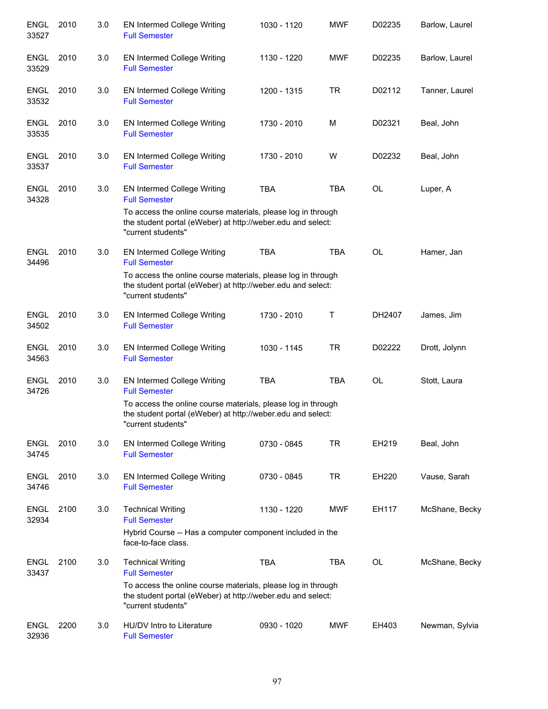| <b>ENGL</b><br>33527 | 2010 | 3.0 | <b>EN Intermed College Writing</b><br><b>Full Semester</b>                                                                                        | 1030 - 1120 | <b>MWF</b> | D02235       | Barlow, Laurel |
|----------------------|------|-----|---------------------------------------------------------------------------------------------------------------------------------------------------|-------------|------------|--------------|----------------|
| <b>ENGL</b><br>33529 | 2010 | 3.0 | <b>EN Intermed College Writing</b><br><b>Full Semester</b>                                                                                        | 1130 - 1220 | <b>MWF</b> | D02235       | Barlow, Laurel |
| <b>ENGL</b><br>33532 | 2010 | 3.0 | <b>EN Intermed College Writing</b><br><b>Full Semester</b>                                                                                        | 1200 - 1315 | <b>TR</b>  | D02112       | Tanner, Laurel |
| <b>ENGL</b><br>33535 | 2010 | 3.0 | <b>EN Intermed College Writing</b><br><b>Full Semester</b>                                                                                        | 1730 - 2010 | M          | D02321       | Beal, John     |
| <b>ENGL</b><br>33537 | 2010 | 3.0 | <b>EN Intermed College Writing</b><br><b>Full Semester</b>                                                                                        | 1730 - 2010 | W          | D02232       | Beal, John     |
| <b>ENGL</b><br>34328 | 2010 | 3.0 | EN Intermed College Writing<br><b>Full Semester</b>                                                                                               | <b>TBA</b>  | <b>TBA</b> | OL           | Luper, A       |
|                      |      |     | To access the online course materials, please log in through<br>the student portal (eWeber) at http://weber.edu and select:<br>"current students" |             |            |              |                |
| <b>ENGL</b><br>34496 | 2010 | 3.0 | <b>EN Intermed College Writing</b><br><b>Full Semester</b>                                                                                        | <b>TBA</b>  | <b>TBA</b> | <b>OL</b>    | Hamer, Jan     |
|                      |      |     | To access the online course materials, please log in through<br>the student portal (eWeber) at http://weber.edu and select:<br>"current students" |             |            |              |                |
| <b>ENGL</b><br>34502 | 2010 | 3.0 | <b>EN Intermed College Writing</b><br><b>Full Semester</b>                                                                                        | 1730 - 2010 | Τ          | DH2407       | James, Jim     |
| <b>ENGL</b><br>34563 | 2010 | 3.0 | <b>EN Intermed College Writing</b><br><b>Full Semester</b>                                                                                        | 1030 - 1145 | <b>TR</b>  | D02222       | Drott, Jolynn  |
| <b>ENGL</b><br>34726 | 2010 | 3.0 | <b>EN Intermed College Writing</b><br><b>Full Semester</b>                                                                                        | <b>TBA</b>  | <b>TBA</b> | <b>OL</b>    | Stott, Laura   |
|                      |      |     | To access the online course materials, please log in through<br>the student portal (eWeber) at http://weber.edu and select:<br>"current students" |             |            |              |                |
| <b>ENGL</b><br>34745 | 2010 | 3.0 | <b>EN Intermed College Writing</b><br><b>Full Semester</b>                                                                                        | 0730 - 0845 | TR         | EH219        | Beal, John     |
| <b>ENGL</b><br>34746 | 2010 | 3.0 | <b>EN Intermed College Writing</b><br><b>Full Semester</b>                                                                                        | 0730 - 0845 | TR         | <b>EH220</b> | Vause, Sarah   |
| <b>ENGL</b><br>32934 | 2100 | 3.0 | <b>Technical Writing</b><br><b>Full Semester</b><br>Hybrid Course -- Has a computer component included in the<br>face-to-face class.              | 1130 - 1220 | <b>MWF</b> | EH117        | McShane, Becky |
| <b>ENGL</b><br>33437 | 2100 | 3.0 | <b>Technical Writing</b><br><b>Full Semester</b>                                                                                                  | <b>TBA</b>  | TBA        | OL           | McShane, Becky |
|                      |      |     | To access the online course materials, please log in through<br>the student portal (eWeber) at http://weber.edu and select:<br>"current students" |             |            |              |                |
| <b>ENGL</b><br>32936 | 2200 | 3.0 | HU/DV Intro to Literature<br><b>Full Semester</b>                                                                                                 | 0930 - 1020 | <b>MWF</b> | EH403        | Newman, Sylvia |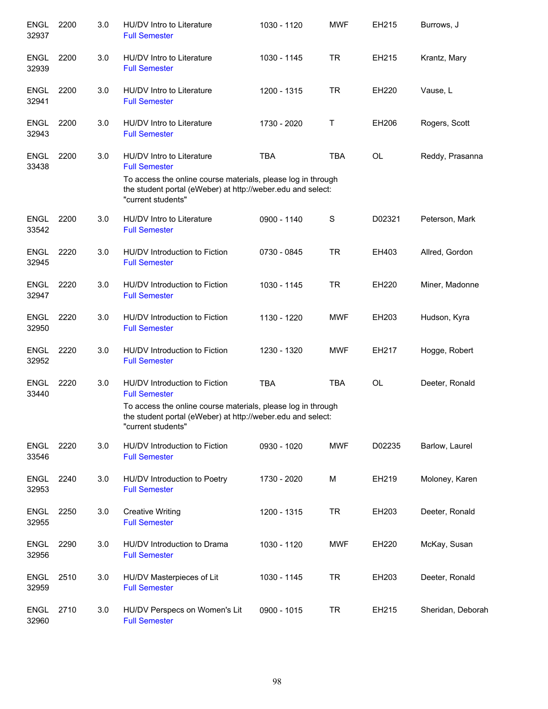| <b>ENGL</b><br>32937 | 2200 | 3.0 | HU/DV Intro to Literature<br><b>Full Semester</b>                                                                                                 | 1030 - 1120 | <b>MWF</b> | EH215     | Burrows, J        |
|----------------------|------|-----|---------------------------------------------------------------------------------------------------------------------------------------------------|-------------|------------|-----------|-------------------|
| <b>ENGL</b><br>32939 | 2200 | 3.0 | HU/DV Intro to Literature<br><b>Full Semester</b>                                                                                                 | 1030 - 1145 | <b>TR</b>  | EH215     | Krantz, Mary      |
| <b>ENGL</b><br>32941 | 2200 | 3.0 | HU/DV Intro to Literature<br><b>Full Semester</b>                                                                                                 | 1200 - 1315 | <b>TR</b>  | EH220     | Vause, L          |
| <b>ENGL</b><br>32943 | 2200 | 3.0 | HU/DV Intro to Literature<br><b>Full Semester</b>                                                                                                 | 1730 - 2020 | Т          | EH206     | Rogers, Scott     |
| <b>ENGL</b><br>33438 | 2200 | 3.0 | HU/DV Intro to Literature<br><b>Full Semester</b>                                                                                                 | <b>TBA</b>  | <b>TBA</b> | <b>OL</b> | Reddy, Prasanna   |
|                      |      |     | To access the online course materials, please log in through<br>the student portal (eWeber) at http://weber.edu and select:<br>"current students" |             |            |           |                   |
| <b>ENGL</b><br>33542 | 2200 | 3.0 | HU/DV Intro to Literature<br><b>Full Semester</b>                                                                                                 | 0900 - 1140 | S          | D02321    | Peterson, Mark    |
| <b>ENGL</b><br>32945 | 2220 | 3.0 | HU/DV Introduction to Fiction<br><b>Full Semester</b>                                                                                             | 0730 - 0845 | <b>TR</b>  | EH403     | Allred, Gordon    |
| <b>ENGL</b><br>32947 | 2220 | 3.0 | HU/DV Introduction to Fiction<br><b>Full Semester</b>                                                                                             | 1030 - 1145 | <b>TR</b>  | EH220     | Miner, Madonne    |
| <b>ENGL</b><br>32950 | 2220 | 3.0 | HU/DV Introduction to Fiction<br><b>Full Semester</b>                                                                                             | 1130 - 1220 | <b>MWF</b> | EH203     | Hudson, Kyra      |
| <b>ENGL</b><br>32952 | 2220 | 3.0 | HU/DV Introduction to Fiction<br><b>Full Semester</b>                                                                                             | 1230 - 1320 | <b>MWF</b> | EH217     | Hogge, Robert     |
| <b>ENGL</b><br>33440 | 2220 | 3.0 | HU/DV Introduction to Fiction<br><b>Full Semester</b>                                                                                             | <b>TBA</b>  | <b>TBA</b> | <b>OL</b> | Deeter, Ronald    |
|                      |      |     | To access the online course materials, please log in through<br>the student portal (eWeber) at http://weber.edu and select:<br>"current students" |             |            |           |                   |
| <b>ENGL</b><br>33546 | 2220 | 3.0 | HU/DV Introduction to Fiction<br><b>Full Semester</b>                                                                                             | 0930 - 1020 | <b>MWF</b> | D02235    | Barlow, Laurel    |
| <b>ENGL</b><br>32953 | 2240 | 3.0 | HU/DV Introduction to Poetry<br><b>Full Semester</b>                                                                                              | 1730 - 2020 | M          | EH219     | Moloney, Karen    |
| <b>ENGL</b><br>32955 | 2250 | 3.0 | <b>Creative Writing</b><br><b>Full Semester</b>                                                                                                   | 1200 - 1315 | <b>TR</b>  | EH203     | Deeter, Ronald    |
| <b>ENGL</b><br>32956 | 2290 | 3.0 | HU/DV Introduction to Drama<br><b>Full Semester</b>                                                                                               | 1030 - 1120 | <b>MWF</b> | EH220     | McKay, Susan      |
| <b>ENGL</b><br>32959 | 2510 | 3.0 | HU/DV Masterpieces of Lit<br><b>Full Semester</b>                                                                                                 | 1030 - 1145 | <b>TR</b>  | EH203     | Deeter, Ronald    |
| <b>ENGL</b><br>32960 | 2710 | 3.0 | HU/DV Perspecs on Women's Lit<br><b>Full Semester</b>                                                                                             | 0900 - 1015 | <b>TR</b>  | EH215     | Sheridan, Deborah |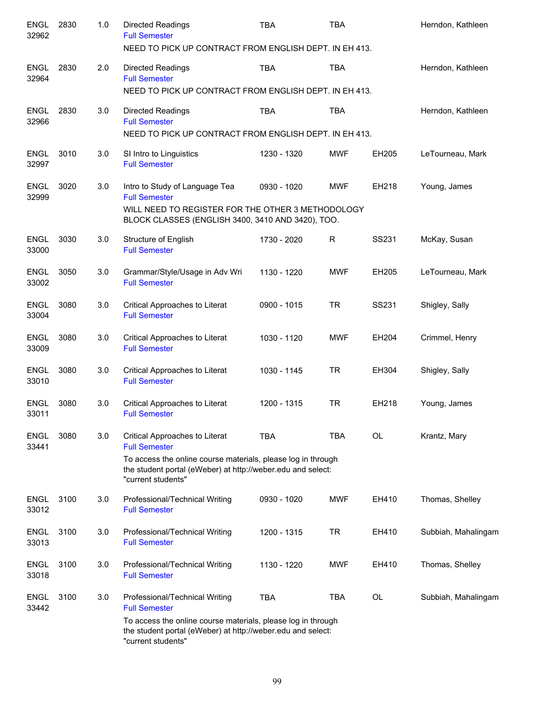| <b>ENGL</b><br>32962 | 2830 | 1.0 | <b>Directed Readings</b><br><b>Full Semester</b>                                                                                                  | <b>TBA</b>  | <b>TBA</b> |           | Herndon, Kathleen   |
|----------------------|------|-----|---------------------------------------------------------------------------------------------------------------------------------------------------|-------------|------------|-----------|---------------------|
|                      |      |     | NEED TO PICK UP CONTRACT FROM ENGLISH DEPT. IN EH 413.                                                                                            |             |            |           |                     |
| <b>ENGL</b><br>32964 | 2830 | 2.0 | <b>Directed Readings</b><br><b>Full Semester</b>                                                                                                  | <b>TBA</b>  | <b>TBA</b> |           | Herndon, Kathleen   |
|                      |      |     | NEED TO PICK UP CONTRACT FROM ENGLISH DEPT. IN EH 413.                                                                                            |             |            |           |                     |
| <b>ENGL</b><br>32966 | 2830 | 3.0 | <b>Directed Readings</b><br><b>Full Semester</b>                                                                                                  | <b>TBA</b>  | <b>TBA</b> |           | Herndon, Kathleen   |
|                      |      |     | NEED TO PICK UP CONTRACT FROM ENGLISH DEPT. IN EH 413.                                                                                            |             |            |           |                     |
| <b>ENGL</b><br>32997 | 3010 | 3.0 | SI Intro to Linguistics<br><b>Full Semester</b>                                                                                                   | 1230 - 1320 | <b>MWF</b> | EH205     | LeTourneau, Mark    |
| <b>ENGL</b><br>32999 | 3020 | 3.0 | Intro to Study of Language Tea<br><b>Full Semester</b>                                                                                            | 0930 - 1020 | <b>MWF</b> | EH218     | Young, James        |
|                      |      |     | WILL NEED TO REGISTER FOR THE OTHER 3 METHODOLOGY<br>BLOCK CLASSES (ENGLISH 3400, 3410 AND 3420), TOO.                                            |             |            |           |                     |
| <b>ENGL</b><br>33000 | 3030 | 3.0 | Structure of English<br><b>Full Semester</b>                                                                                                      | 1730 - 2020 | R          | SS231     | McKay, Susan        |
| <b>ENGL</b><br>33002 | 3050 | 3.0 | Grammar/Style/Usage in Adv Wri<br><b>Full Semester</b>                                                                                            | 1130 - 1220 | <b>MWF</b> | EH205     | LeTourneau, Mark    |
| <b>ENGL</b><br>33004 | 3080 | 3.0 | Critical Approaches to Literat<br><b>Full Semester</b>                                                                                            | 0900 - 1015 | <b>TR</b>  | SS231     | Shigley, Sally      |
| <b>ENGL</b><br>33009 | 3080 | 3.0 | Critical Approaches to Literat<br><b>Full Semester</b>                                                                                            | 1030 - 1120 | MWF        | EH204     | Crimmel, Henry      |
| ENGL<br>33010        | 3080 | 3.0 | Critical Approaches to Literat<br><b>Full Semester</b>                                                                                            | 1030 - 1145 | <b>TR</b>  | EH304     | Shigley, Sally      |
| <b>ENGL</b><br>33011 | 3080 | 3.0 | Critical Approaches to Literat<br><b>Full Semester</b>                                                                                            | 1200 - 1315 | <b>TR</b>  | EH218     | Young, James        |
| <b>ENGL</b><br>33441 | 3080 | 3.0 | Critical Approaches to Literat<br><b>Full Semester</b>                                                                                            | <b>TBA</b>  | <b>TBA</b> | <b>OL</b> | Krantz, Mary        |
|                      |      |     | To access the online course materials, please log in through<br>the student portal (eWeber) at http://weber.edu and select:<br>"current students" |             |            |           |                     |
| <b>ENGL</b><br>33012 | 3100 | 3.0 | Professional/Technical Writing<br><b>Full Semester</b>                                                                                            | 0930 - 1020 | <b>MWF</b> | EH410     | Thomas, Shelley     |
| <b>ENGL</b><br>33013 | 3100 | 3.0 | Professional/Technical Writing<br><b>Full Semester</b>                                                                                            | 1200 - 1315 | TR         | EH410     | Subbiah, Mahalingam |
| <b>ENGL</b><br>33018 | 3100 | 3.0 | Professional/Technical Writing<br><b>Full Semester</b>                                                                                            | 1130 - 1220 | <b>MWF</b> | EH410     | Thomas, Shelley     |
| <b>ENGL</b><br>33442 | 3100 | 3.0 | Professional/Technical Writing<br><b>Full Semester</b>                                                                                            | <b>TBA</b>  | <b>TBA</b> | OL        | Subbiah, Mahalingam |
|                      |      |     | To access the online course materials, please log in through<br>the student portal (eWeber) at http://weber.edu and select:<br>"current students" |             |            |           |                     |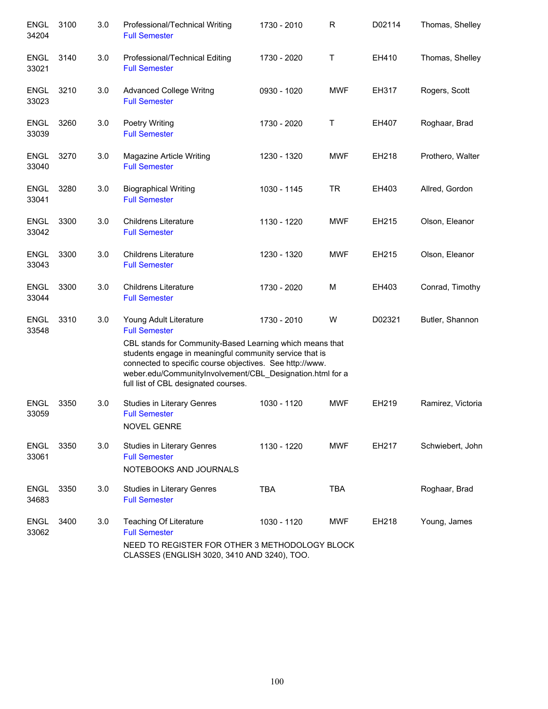| <b>ENGL</b><br>34204 | 3100 | 3.0 | Professional/Technical Writing<br><b>Full Semester</b>                                                                                                                                                                                                                                                                                 | 1730 - 2010 | $\mathsf{R}$ | D02114 | Thomas, Shelley   |
|----------------------|------|-----|----------------------------------------------------------------------------------------------------------------------------------------------------------------------------------------------------------------------------------------------------------------------------------------------------------------------------------------|-------------|--------------|--------|-------------------|
| ENGL<br>33021        | 3140 | 3.0 | Professional/Technical Editing<br><b>Full Semester</b>                                                                                                                                                                                                                                                                                 | 1730 - 2020 | Τ            | EH410  | Thomas, Shelley   |
| <b>ENGL</b><br>33023 | 3210 | 3.0 | <b>Advanced College Writng</b><br><b>Full Semester</b>                                                                                                                                                                                                                                                                                 | 0930 - 1020 | <b>MWF</b>   | EH317  | Rogers, Scott     |
| <b>ENGL</b><br>33039 | 3260 | 3.0 | <b>Poetry Writing</b><br><b>Full Semester</b>                                                                                                                                                                                                                                                                                          | 1730 - 2020 | Τ            | EH407  | Roghaar, Brad     |
| <b>ENGL</b><br>33040 | 3270 | 3.0 | Magazine Article Writing<br><b>Full Semester</b>                                                                                                                                                                                                                                                                                       | 1230 - 1320 | <b>MWF</b>   | EH218  | Prothero, Walter  |
| <b>ENGL</b><br>33041 | 3280 | 3.0 | <b>Biographical Writing</b><br><b>Full Semester</b>                                                                                                                                                                                                                                                                                    | 1030 - 1145 | <b>TR</b>    | EH403  | Allred, Gordon    |
| <b>ENGL</b><br>33042 | 3300 | 3.0 | <b>Childrens Literature</b><br><b>Full Semester</b>                                                                                                                                                                                                                                                                                    | 1130 - 1220 | <b>MWF</b>   | EH215  | Olson, Eleanor    |
| <b>ENGL</b><br>33043 | 3300 | 3.0 | <b>Childrens Literature</b><br><b>Full Semester</b>                                                                                                                                                                                                                                                                                    | 1230 - 1320 | <b>MWF</b>   | EH215  | Olson, Eleanor    |
| <b>ENGL</b><br>33044 | 3300 | 3.0 | <b>Childrens Literature</b><br><b>Full Semester</b>                                                                                                                                                                                                                                                                                    | 1730 - 2020 | M            | EH403  | Conrad, Timothy   |
| <b>ENGL</b><br>33548 | 3310 | 3.0 | Young Adult Literature<br><b>Full Semester</b><br>CBL stands for Community-Based Learning which means that<br>students engage in meaningful community service that is<br>connected to specific course objectives. See http://www.<br>weber.edu/CommunityInvolvement/CBL Designation.html for a<br>full list of CBL designated courses. | 1730 - 2010 | W            | D02321 | Butler, Shannon   |
| <b>ENGL</b><br>33059 | 3350 | 3.0 | Studies in Literary Genres<br><b>Full Semester</b><br><b>NOVEL GENRE</b>                                                                                                                                                                                                                                                               | 1030 - 1120 | <b>MWF</b>   | EH219  | Ramirez, Victoria |
| <b>ENGL</b><br>33061 | 3350 | 3.0 | <b>Studies in Literary Genres</b><br><b>Full Semester</b><br>NOTEBOOKS AND JOURNALS                                                                                                                                                                                                                                                    | 1130 - 1220 | <b>MWF</b>   | EH217  | Schwiebert, John  |
| <b>ENGL</b><br>34683 | 3350 | 3.0 | Studies in Literary Genres<br><b>Full Semester</b>                                                                                                                                                                                                                                                                                     | <b>TBA</b>  | <b>TBA</b>   |        | Roghaar, Brad     |
| <b>ENGL</b><br>33062 | 3400 | 3.0 | <b>Teaching Of Literature</b><br><b>Full Semester</b><br>NEED TO REGISTER FOR OTHER 3 METHODOLOGY BLOCK<br>CLASSES (ENGLISH 3020, 3410 AND 3240), TOO.                                                                                                                                                                                 | 1030 - 1120 | <b>MWF</b>   | EH218  | Young, James      |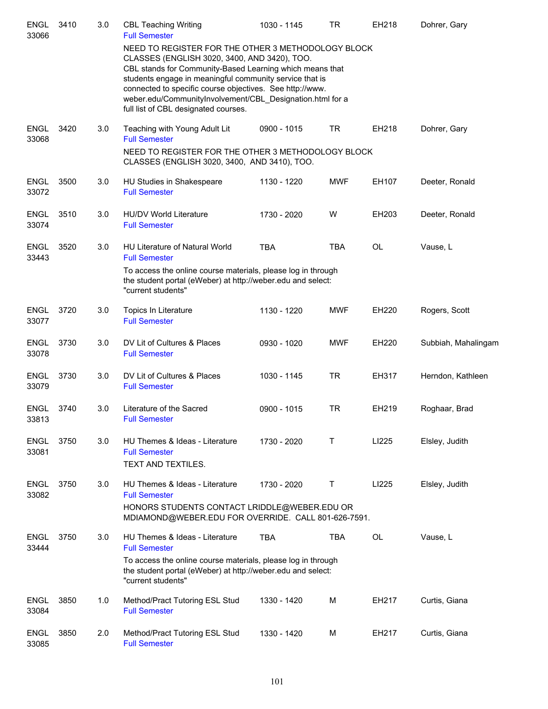| <b>ENGL</b><br>33066 | 3410 | 3.0 | <b>CBL Teaching Writing</b><br><b>Full Semester</b>                                                                                                                                                                                                                                                                                                                                        | 1030 - 1145 | <b>TR</b>  | EH218     | Dohrer, Gary        |
|----------------------|------|-----|--------------------------------------------------------------------------------------------------------------------------------------------------------------------------------------------------------------------------------------------------------------------------------------------------------------------------------------------------------------------------------------------|-------------|------------|-----------|---------------------|
|                      |      |     | NEED TO REGISTER FOR THE OTHER 3 METHODOLOGY BLOCK<br>CLASSES (ENGLISH 3020, 3400, AND 3420), TOO.<br>CBL stands for Community-Based Learning which means that<br>students engage in meaningful community service that is<br>connected to specific course objectives. See http://www.<br>weber.edu/CommunityInvolvement/CBL_Designation.html for a<br>full list of CBL designated courses. |             |            |           |                     |
| <b>ENGL</b><br>33068 | 3420 | 3.0 | Teaching with Young Adult Lit<br><b>Full Semester</b>                                                                                                                                                                                                                                                                                                                                      | 0900 - 1015 | <b>TR</b>  | EH218     | Dohrer, Gary        |
|                      |      |     | NEED TO REGISTER FOR THE OTHER 3 METHODOLOGY BLOCK<br>CLASSES (ENGLISH 3020, 3400, AND 3410), TOO.                                                                                                                                                                                                                                                                                         |             |            |           |                     |
| <b>ENGL</b><br>33072 | 3500 | 3.0 | HU Studies in Shakespeare<br><b>Full Semester</b>                                                                                                                                                                                                                                                                                                                                          | 1130 - 1220 | <b>MWF</b> | EH107     | Deeter, Ronald      |
| <b>ENGL</b><br>33074 | 3510 | 3.0 | <b>HU/DV World Literature</b><br><b>Full Semester</b>                                                                                                                                                                                                                                                                                                                                      | 1730 - 2020 | W          | EH203     | Deeter, Ronald      |
| <b>ENGL</b><br>33443 | 3520 | 3.0 | <b>HU Literature of Natural World</b><br><b>Full Semester</b>                                                                                                                                                                                                                                                                                                                              | <b>TBA</b>  | <b>TBA</b> | <b>OL</b> | Vause, L            |
|                      |      |     | To access the online course materials, please log in through<br>the student portal (eWeber) at http://weber.edu and select:<br>"current students"                                                                                                                                                                                                                                          |             |            |           |                     |
| <b>ENGL</b><br>33077 | 3720 | 3.0 | Topics In Literature<br><b>Full Semester</b>                                                                                                                                                                                                                                                                                                                                               | 1130 - 1220 | <b>MWF</b> | EH220     | Rogers, Scott       |
| ENGL<br>33078        | 3730 | 3.0 | DV Lit of Cultures & Places<br><b>Full Semester</b>                                                                                                                                                                                                                                                                                                                                        | 0930 - 1020 | <b>MWF</b> | EH220     | Subbiah, Mahalingam |
| <b>ENGL</b><br>33079 | 3730 | 3.0 | DV Lit of Cultures & Places<br><b>Full Semester</b>                                                                                                                                                                                                                                                                                                                                        | 1030 - 1145 | <b>TR</b>  | EH317     | Herndon, Kathleen   |
| <b>ENGL</b><br>33813 | 3740 | 3.0 | Literature of the Sacred<br><b>Full Semester</b>                                                                                                                                                                                                                                                                                                                                           | 0900 - 1015 | <b>TR</b>  | EH219     | Roghaar, Brad       |
| <b>ENGL</b><br>33081 | 3750 | 3.0 | HU Themes & Ideas - Literature<br><b>Full Semester</b><br>TEXT AND TEXTILES.                                                                                                                                                                                                                                                                                                               | 1730 - 2020 | Τ          | LI225     | Elsley, Judith      |
| <b>ENGL</b><br>33082 | 3750 | 3.0 | HU Themes & Ideas - Literature<br><b>Full Semester</b>                                                                                                                                                                                                                                                                                                                                     | 1730 - 2020 | Т          | LI225     | Elsley, Judith      |
|                      |      |     | HONORS STUDENTS CONTACT LRIDDLE@WEBER.EDU OR<br>MDIAMOND@WEBER.EDU FOR OVERRIDE. CALL 801-626-7591.                                                                                                                                                                                                                                                                                        |             |            |           |                     |
| <b>ENGL</b><br>33444 | 3750 | 3.0 | HU Themes & Ideas - Literature<br><b>Full Semester</b>                                                                                                                                                                                                                                                                                                                                     | <b>TBA</b>  | <b>TBA</b> | OL        | Vause, L            |
|                      |      |     | To access the online course materials, please log in through<br>the student portal (eWeber) at http://weber.edu and select:<br>"current students"                                                                                                                                                                                                                                          |             |            |           |                     |
| <b>ENGL</b><br>33084 | 3850 | 1.0 | Method/Pract Tutoring ESL Stud<br><b>Full Semester</b>                                                                                                                                                                                                                                                                                                                                     | 1330 - 1420 | M          | EH217     | Curtis, Giana       |
| <b>ENGL</b><br>33085 | 3850 | 2.0 | Method/Pract Tutoring ESL Stud<br><b>Full Semester</b>                                                                                                                                                                                                                                                                                                                                     | 1330 - 1420 | M          | EH217     | Curtis, Giana       |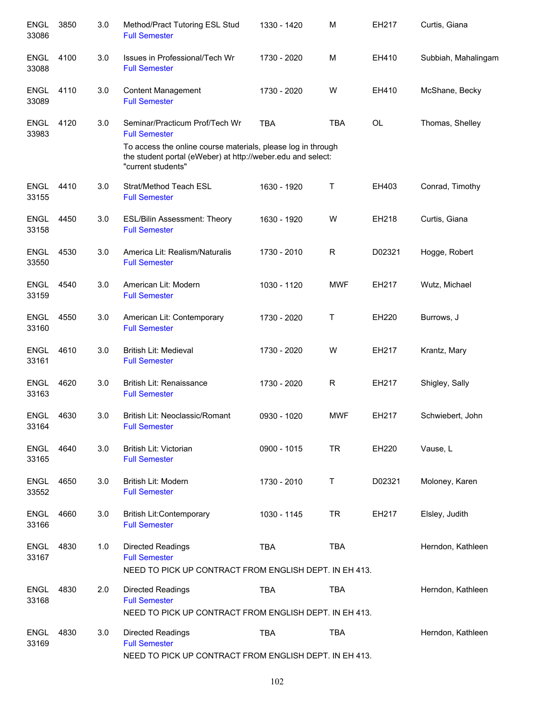| <b>ENGL</b><br>33086 | 3850 | 3.0 | Method/Pract Tutoring ESL Stud<br><b>Full Semester</b>                                                                 | 1330 - 1420 | M            | EH217     | Curtis, Giana       |
|----------------------|------|-----|------------------------------------------------------------------------------------------------------------------------|-------------|--------------|-----------|---------------------|
| <b>ENGL</b><br>33088 | 4100 | 3.0 | Issues in Professional/Tech Wr<br><b>Full Semester</b>                                                                 | 1730 - 2020 | M            | EH410     | Subbiah, Mahalingam |
| <b>ENGL</b><br>33089 | 4110 | 3.0 | <b>Content Management</b><br><b>Full Semester</b>                                                                      | 1730 - 2020 | W            | EH410     | McShane, Becky      |
| <b>ENGL</b><br>33983 | 4120 | 3.0 | Seminar/Practicum Prof/Tech Wr<br><b>Full Semester</b><br>To access the online course materials, please log in through | <b>TBA</b>  | <b>TBA</b>   | <b>OL</b> | Thomas, Shelley     |
|                      |      |     | the student portal (eWeber) at http://weber.edu and select:<br>"current students"                                      |             |              |           |                     |
| <b>ENGL</b><br>33155 | 4410 | 3.0 | Strat/Method Teach ESL<br><b>Full Semester</b>                                                                         | 1630 - 1920 | Т            | EH403     | Conrad, Timothy     |
| <b>ENGL</b><br>33158 | 4450 | 3.0 | <b>ESL/Bilin Assessment: Theory</b><br><b>Full Semester</b>                                                            | 1630 - 1920 | W            | EH218     | Curtis, Giana       |
| <b>ENGL</b><br>33550 | 4530 | 3.0 | America Lit: Realism/Naturalis<br><b>Full Semester</b>                                                                 | 1730 - 2010 | R            | D02321    | Hogge, Robert       |
| <b>ENGL</b><br>33159 | 4540 | 3.0 | American Lit: Modern<br><b>Full Semester</b>                                                                           | 1030 - 1120 | <b>MWF</b>   | EH217     | Wutz, Michael       |
| <b>ENGL</b><br>33160 | 4550 | 3.0 | American Lit: Contemporary<br><b>Full Semester</b>                                                                     | 1730 - 2020 | $\mathsf T$  | EH220     | Burrows, J          |
| <b>ENGL</b><br>33161 | 4610 | 3.0 | <b>British Lit: Medieval</b><br><b>Full Semester</b>                                                                   | 1730 - 2020 | W            | EH217     | Krantz, Mary        |
| <b>ENGL</b><br>33163 | 4620 | 3.0 | British Lit: Renaissance<br><b>Full Semester</b>                                                                       | 1730 - 2020 | $\mathsf{R}$ | EH217     | Shigley, Sally      |
| <b>ENGL</b><br>33164 | 4630 | 3.0 | British Lit: Neoclassic/Romant<br><b>Full Semester</b>                                                                 | 0930 - 1020 | <b>MWF</b>   | EH217     | Schwiebert, John    |
| <b>ENGL</b><br>33165 | 4640 | 3.0 | British Lit: Victorian<br><b>Full Semester</b>                                                                         | 0900 - 1015 | <b>TR</b>    | EH220     | Vause, L            |
| <b>ENGL</b><br>33552 | 4650 | 3.0 | British Lit: Modern<br><b>Full Semester</b>                                                                            | 1730 - 2010 | T            | D02321    | Moloney, Karen      |
| <b>ENGL</b><br>33166 | 4660 | 3.0 | <b>British Lit:Contemporary</b><br><b>Full Semester</b>                                                                | 1030 - 1145 | <b>TR</b>    | EH217     | Elsley, Judith      |
| <b>ENGL</b><br>33167 | 4830 | 1.0 | <b>Directed Readings</b><br><b>Full Semester</b><br>NEED TO PICK UP CONTRACT FROM ENGLISH DEPT. IN EH 413.             | <b>TBA</b>  | <b>TBA</b>   |           | Herndon, Kathleen   |
| <b>ENGL</b><br>33168 | 4830 | 2.0 | <b>Directed Readings</b><br><b>Full Semester</b>                                                                       | <b>TBA</b>  | <b>TBA</b>   |           | Herndon, Kathleen   |
|                      |      |     | NEED TO PICK UP CONTRACT FROM ENGLISH DEPT. IN EH 413.                                                                 |             |              |           |                     |
| <b>ENGL</b><br>33169 | 4830 | 3.0 | <b>Directed Readings</b><br><b>Full Semester</b><br>NEED TO PICK UP CONTRACT FROM ENGLISH DEPT. IN EH 413.             | <b>TBA</b>  | <b>TBA</b>   |           | Herndon, Kathleen   |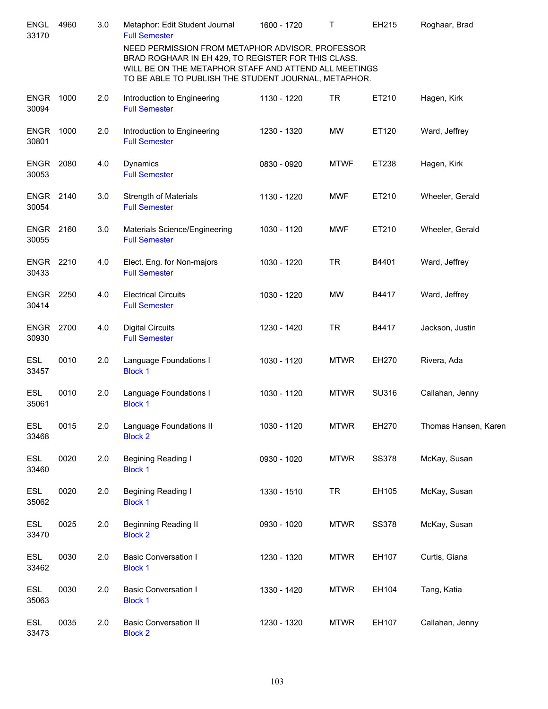| <b>ENGL</b><br>33170 | 4960 | 3.0 | Metaphor: Edit Student Journal<br><b>Full Semester</b>                                                                                                                                                                   | 1600 - 1720 | Т           | EH215        | Roghaar, Brad        |
|----------------------|------|-----|--------------------------------------------------------------------------------------------------------------------------------------------------------------------------------------------------------------------------|-------------|-------------|--------------|----------------------|
|                      |      |     | NEED PERMISSION FROM METAPHOR ADVISOR, PROFESSOR<br>BRAD ROGHAAR IN EH 429, TO REGISTER FOR THIS CLASS.<br>WILL BE ON THE METAPHOR STAFF AND ATTEND ALL MEETINGS<br>TO BE ABLE TO PUBLISH THE STUDENT JOURNAL, METAPHOR. |             |             |              |                      |
| <b>ENGR</b><br>30094 | 1000 | 2.0 | Introduction to Engineering<br><b>Full Semester</b>                                                                                                                                                                      | 1130 - 1220 | <b>TR</b>   | ET210        | Hagen, Kirk          |
| <b>ENGR</b><br>30801 | 1000 | 2.0 | Introduction to Engineering<br><b>Full Semester</b>                                                                                                                                                                      | 1230 - 1320 | <b>MW</b>   | ET120        | Ward, Jeffrey        |
| <b>ENGR</b><br>30053 | 2080 | 4.0 | Dynamics<br><b>Full Semester</b>                                                                                                                                                                                         | 0830 - 0920 | <b>MTWF</b> | ET238        | Hagen, Kirk          |
| <b>ENGR</b><br>30054 | 2140 | 3.0 | <b>Strength of Materials</b><br><b>Full Semester</b>                                                                                                                                                                     | 1130 - 1220 | <b>MWF</b>  | ET210        | Wheeler, Gerald      |
| <b>ENGR</b><br>30055 | 2160 | 3.0 | Materials Science/Engineering<br><b>Full Semester</b>                                                                                                                                                                    | 1030 - 1120 | <b>MWF</b>  | ET210        | Wheeler, Gerald      |
| <b>ENGR</b><br>30433 | 2210 | 4.0 | Elect. Eng. for Non-majors<br><b>Full Semester</b>                                                                                                                                                                       | 1030 - 1220 | <b>TR</b>   | B4401        | Ward, Jeffrey        |
| <b>ENGR</b><br>30414 | 2250 | 4.0 | <b>Electrical Circuits</b><br><b>Full Semester</b>                                                                                                                                                                       | 1030 - 1220 | <b>MW</b>   | B4417        | Ward, Jeffrey        |
| <b>ENGR</b><br>30930 | 2700 | 4.0 | <b>Digital Circuits</b><br><b>Full Semester</b>                                                                                                                                                                          | 1230 - 1420 | <b>TR</b>   | B4417        | Jackson, Justin      |
| <b>ESL</b><br>33457  | 0010 | 2.0 | Language Foundations I<br><b>Block 1</b>                                                                                                                                                                                 | 1030 - 1120 | <b>MTWR</b> | EH270        | Rivera, Ada          |
| ESL<br>35061         | 0010 | 2.0 | Language Foundations I<br><b>Block 1</b>                                                                                                                                                                                 | 1030 - 1120 | <b>MTWR</b> | SU316        | Callahan, Jenny      |
| ESL<br>33468         | 0015 | 2.0 | Language Foundations II<br><b>Block 2</b>                                                                                                                                                                                | 1030 - 1120 | <b>MTWR</b> | EH270        | Thomas Hansen, Karen |
| <b>ESL</b><br>33460  | 0020 | 2.0 | Begining Reading I<br><b>Block 1</b>                                                                                                                                                                                     | 0930 - 1020 | <b>MTWR</b> | <b>SS378</b> | McKay, Susan         |
| <b>ESL</b><br>35062  | 0020 | 2.0 | Begining Reading I<br><b>Block 1</b>                                                                                                                                                                                     | 1330 - 1510 | <b>TR</b>   | EH105        | McKay, Susan         |
| <b>ESL</b><br>33470  | 0025 | 2.0 | <b>Beginning Reading II</b><br><b>Block 2</b>                                                                                                                                                                            | 0930 - 1020 | <b>MTWR</b> | <b>SS378</b> | McKay, Susan         |
| <b>ESL</b><br>33462  | 0030 | 2.0 | <b>Basic Conversation I</b><br><b>Block 1</b>                                                                                                                                                                            | 1230 - 1320 | <b>MTWR</b> | EH107        | Curtis, Giana        |
| <b>ESL</b><br>35063  | 0030 | 2.0 | <b>Basic Conversation I</b><br><b>Block 1</b>                                                                                                                                                                            | 1330 - 1420 | <b>MTWR</b> | EH104        | Tang, Katia          |
| <b>ESL</b><br>33473  | 0035 | 2.0 | <b>Basic Conversation II</b><br><b>Block 2</b>                                                                                                                                                                           | 1230 - 1320 | <b>MTWR</b> | EH107        | Callahan, Jenny      |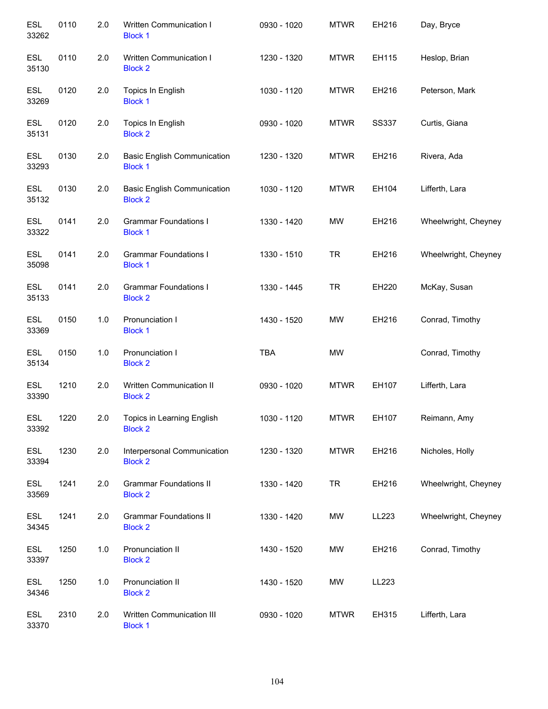| <b>ESL</b><br>33262 | 0110 | 2.0 | <b>Written Communication I</b><br><b>Block 1</b>     | 0930 - 1020 | <b>MTWR</b> | EH216        | Day, Bryce           |
|---------------------|------|-----|------------------------------------------------------|-------------|-------------|--------------|----------------------|
| <b>ESL</b><br>35130 | 0110 | 2.0 | Written Communication I<br><b>Block 2</b>            | 1230 - 1320 | <b>MTWR</b> | EH115        | Heslop, Brian        |
| <b>ESL</b><br>33269 | 0120 | 2.0 | Topics In English<br><b>Block 1</b>                  | 1030 - 1120 | <b>MTWR</b> | EH216        | Peterson, Mark       |
| <b>ESL</b><br>35131 | 0120 | 2.0 | Topics In English<br><b>Block 2</b>                  | 0930 - 1020 | <b>MTWR</b> | <b>SS337</b> | Curtis, Giana        |
| <b>ESL</b><br>33293 | 0130 | 2.0 | <b>Basic English Communication</b><br><b>Block 1</b> | 1230 - 1320 | <b>MTWR</b> | EH216        | Rivera, Ada          |
| <b>ESL</b><br>35132 | 0130 | 2.0 | <b>Basic English Communication</b><br><b>Block 2</b> | 1030 - 1120 | <b>MTWR</b> | EH104        | Lifferth, Lara       |
| <b>ESL</b><br>33322 | 0141 | 2.0 | <b>Grammar Foundations I</b><br><b>Block 1</b>       | 1330 - 1420 | <b>MW</b>   | EH216        | Wheelwright, Cheyney |
| <b>ESL</b><br>35098 | 0141 | 2.0 | <b>Grammar Foundations I</b><br><b>Block 1</b>       | 1330 - 1510 | <b>TR</b>   | EH216        | Wheelwright, Cheyney |
| <b>ESL</b><br>35133 | 0141 | 2.0 | <b>Grammar Foundations I</b><br><b>Block 2</b>       | 1330 - 1445 | <b>TR</b>   | EH220        | McKay, Susan         |
| <b>ESL</b><br>33369 | 0150 | 1.0 | Pronunciation I<br><b>Block 1</b>                    | 1430 - 1520 | <b>MW</b>   | EH216        | Conrad, Timothy      |
| <b>ESL</b><br>35134 | 0150 | 1.0 | Pronunciation I<br><b>Block 2</b>                    | <b>TBA</b>  | <b>MW</b>   |              | Conrad, Timothy      |
| <b>ESL</b><br>33390 | 1210 | 2.0 | Written Communication II<br><b>Block 2</b>           | 0930 - 1020 | <b>MTWR</b> | EH107        | Lifferth, Lara       |
| <b>ESL</b><br>33392 | 1220 | 2.0 | Topics in Learning English<br><b>Block 2</b>         | 1030 - 1120 | <b>MTWR</b> | EH107        | Reimann, Amy         |
| <b>ESL</b><br>33394 | 1230 | 2.0 | Interpersonal Communication<br><b>Block 2</b>        | 1230 - 1320 | <b>MTWR</b> | EH216        | Nicholes, Holly      |
| ESL<br>33569        | 1241 | 2.0 | <b>Grammar Foundations II</b><br><b>Block 2</b>      | 1330 - 1420 | <b>TR</b>   | EH216        | Wheelwright, Cheyney |
| <b>ESL</b><br>34345 | 1241 | 2.0 | <b>Grammar Foundations II</b><br><b>Block 2</b>      | 1330 - 1420 | <b>MW</b>   | LL223        | Wheelwright, Cheyney |
| <b>ESL</b><br>33397 | 1250 | 1.0 | Pronunciation II<br><b>Block 2</b>                   | 1430 - 1520 | MW          | EH216        | Conrad, Timothy      |
| ESL<br>34346        | 1250 | 1.0 | Pronunciation II<br><b>Block 2</b>                   | 1430 - 1520 | <b>MW</b>   | LL223        |                      |
| ESL<br>33370        | 2310 | 2.0 | Written Communication III<br><b>Block 1</b>          | 0930 - 1020 | <b>MTWR</b> | EH315        | Lifferth, Lara       |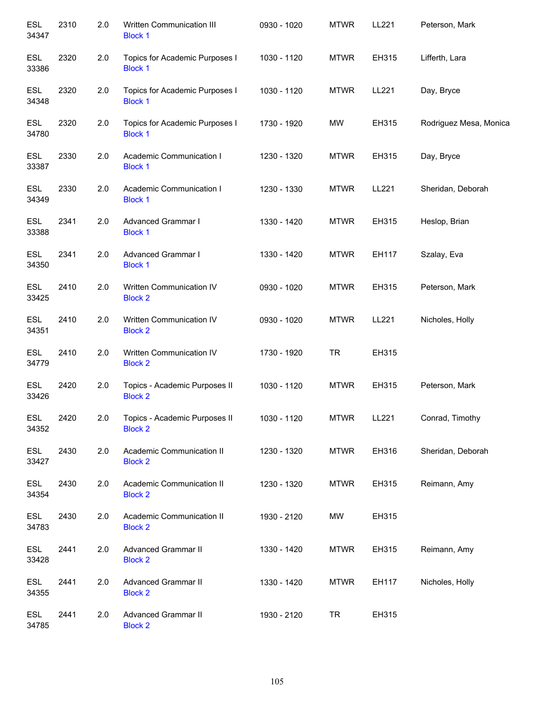| <b>ESL</b><br>34347 | 2310 | 2.0 | Written Communication III<br><b>Block 1</b>      | 0930 - 1020 | <b>MTWR</b> | LL221 | Peterson, Mark         |
|---------------------|------|-----|--------------------------------------------------|-------------|-------------|-------|------------------------|
| <b>ESL</b><br>33386 | 2320 | 2.0 | Topics for Academic Purposes I<br><b>Block 1</b> | 1030 - 1120 | <b>MTWR</b> | EH315 | Lifferth, Lara         |
| <b>ESL</b><br>34348 | 2320 | 2.0 | Topics for Academic Purposes I<br><b>Block 1</b> | 1030 - 1120 | <b>MTWR</b> | LL221 | Day, Bryce             |
| ESL<br>34780        | 2320 | 2.0 | Topics for Academic Purposes I<br><b>Block 1</b> | 1730 - 1920 | <b>MW</b>   | EH315 | Rodriguez Mesa, Monica |
| ESL<br>33387        | 2330 | 2.0 | Academic Communication I<br><b>Block 1</b>       | 1230 - 1320 | <b>MTWR</b> | EH315 | Day, Bryce             |
| ESL<br>34349        | 2330 | 2.0 | Academic Communication I<br><b>Block 1</b>       | 1230 - 1330 | <b>MTWR</b> | LL221 | Sheridan, Deborah      |
| ESL<br>33388        | 2341 | 2.0 | Advanced Grammar I<br><b>Block 1</b>             | 1330 - 1420 | <b>MTWR</b> | EH315 | Heslop, Brian          |
| ESL<br>34350        | 2341 | 2.0 | Advanced Grammar I<br><b>Block 1</b>             | 1330 - 1420 | <b>MTWR</b> | EH117 | Szalay, Eva            |
| ESL<br>33425        | 2410 | 2.0 | Written Communication IV<br><b>Block 2</b>       | 0930 - 1020 | <b>MTWR</b> | EH315 | Peterson, Mark         |
| ESL<br>34351        | 2410 | 2.0 | Written Communication IV<br><b>Block 2</b>       | 0930 - 1020 | <b>MTWR</b> | LL221 | Nicholes, Holly        |
| <b>ESL</b><br>34779 | 2410 | 2.0 | Written Communication IV<br><b>Block 2</b>       | 1730 - 1920 | <b>TR</b>   | EH315 |                        |
| <b>ESL</b><br>33426 | 2420 | 2.0 | Topics - Academic Purposes II<br><b>Block 2</b>  | 1030 - 1120 | <b>MTWR</b> | EH315 | Peterson, Mark         |
| <b>ESL</b><br>34352 | 2420 | 2.0 | Topics - Academic Purposes II<br><b>Block 2</b>  | 1030 - 1120 | <b>MTWR</b> | LL221 | Conrad, Timothy        |
| ESL<br>33427        | 2430 | 2.0 | Academic Communication II<br><b>Block 2</b>      | 1230 - 1320 | <b>MTWR</b> | EH316 | Sheridan, Deborah      |
| ESL<br>34354        | 2430 | 2.0 | Academic Communication II<br><b>Block 2</b>      | 1230 - 1320 | <b>MTWR</b> | EH315 | Reimann, Amy           |
| <b>ESL</b><br>34783 | 2430 | 2.0 | Academic Communication II<br><b>Block 2</b>      | 1930 - 2120 | MW          | EH315 |                        |
| ESL<br>33428        | 2441 | 2.0 | Advanced Grammar II<br><b>Block 2</b>            | 1330 - 1420 | <b>MTWR</b> | EH315 | Reimann, Amy           |
| ESL<br>34355        | 2441 | 2.0 | <b>Advanced Grammar II</b><br><b>Block 2</b>     | 1330 - 1420 | <b>MTWR</b> | EH117 | Nicholes, Holly        |
| <b>ESL</b><br>34785 | 2441 | 2.0 | <b>Advanced Grammar II</b><br><b>Block 2</b>     | 1930 - 2120 | <b>TR</b>   | EH315 |                        |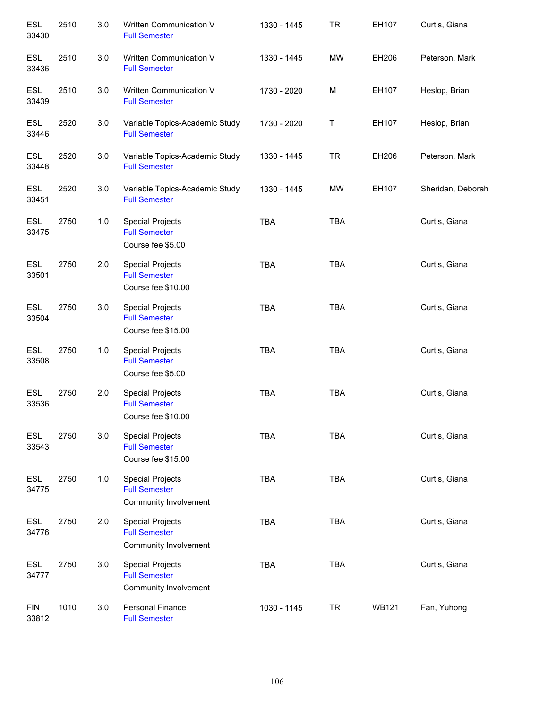| ESL<br>33430        | 2510 | 3.0   | Written Communication V<br><b>Full Semester</b>                          | 1330 - 1445 | <b>TR</b>  | EH107        | Curtis, Giana     |
|---------------------|------|-------|--------------------------------------------------------------------------|-------------|------------|--------------|-------------------|
| <b>ESL</b><br>33436 | 2510 | 3.0   | Written Communication V<br><b>Full Semester</b>                          | 1330 - 1445 | <b>MW</b>  | EH206        | Peterson, Mark    |
| <b>ESL</b><br>33439 | 2510 | 3.0   | Written Communication V<br><b>Full Semester</b>                          | 1730 - 2020 | M          | EH107        | Heslop, Brian     |
| <b>ESL</b><br>33446 | 2520 | 3.0   | Variable Topics-Academic Study<br><b>Full Semester</b>                   | 1730 - 2020 | T          | EH107        | Heslop, Brian     |
| ESL<br>33448        | 2520 | 3.0   | Variable Topics-Academic Study<br><b>Full Semester</b>                   | 1330 - 1445 | <b>TR</b>  | EH206        | Peterson, Mark    |
| <b>ESL</b><br>33451 | 2520 | 3.0   | Variable Topics-Academic Study<br><b>Full Semester</b>                   | 1330 - 1445 | <b>MW</b>  | EH107        | Sheridan, Deborah |
| ESL<br>33475        | 2750 | $1.0$ | <b>Special Projects</b><br><b>Full Semester</b><br>Course fee \$5.00     | <b>TBA</b>  | TBA        |              | Curtis, Giana     |
| ESL<br>33501        | 2750 | 2.0   | <b>Special Projects</b><br><b>Full Semester</b><br>Course fee \$10.00    | <b>TBA</b>  | <b>TBA</b> |              | Curtis, Giana     |
| ESL<br>33504        | 2750 | 3.0   | <b>Special Projects</b><br><b>Full Semester</b><br>Course fee \$15.00    | <b>TBA</b>  | <b>TBA</b> |              | Curtis, Giana     |
| <b>ESL</b><br>33508 | 2750 | $1.0$ | <b>Special Projects</b><br><b>Full Semester</b><br>Course fee \$5.00     | <b>TBA</b>  | <b>TBA</b> |              | Curtis, Giana     |
| <b>ESL</b><br>33536 | 2750 | 2.0   | <b>Special Projects</b><br><b>Full Semester</b><br>Course fee \$10.00    | <b>TBA</b>  | <b>TBA</b> |              | Curtis, Giana     |
| <b>ESL</b><br>33543 | 2750 | 3.0   | <b>Special Projects</b><br><b>Full Semester</b><br>Course fee \$15.00    | <b>TBA</b>  | <b>TBA</b> |              | Curtis, Giana     |
| <b>ESL</b><br>34775 | 2750 | 1.0   | <b>Special Projects</b><br><b>Full Semester</b><br>Community Involvement | <b>TBA</b>  | <b>TBA</b> |              | Curtis, Giana     |
| <b>ESL</b><br>34776 | 2750 | 2.0   | <b>Special Projects</b><br><b>Full Semester</b><br>Community Involvement | <b>TBA</b>  | <b>TBA</b> |              | Curtis, Giana     |
| <b>ESL</b><br>34777 | 2750 | 3.0   | <b>Special Projects</b><br><b>Full Semester</b><br>Community Involvement | <b>TBA</b>  | <b>TBA</b> |              | Curtis, Giana     |
| <b>FIN</b><br>33812 | 1010 | 3.0   | <b>Personal Finance</b><br><b>Full Semester</b>                          | 1030 - 1145 | <b>TR</b>  | <b>WB121</b> | Fan, Yuhong       |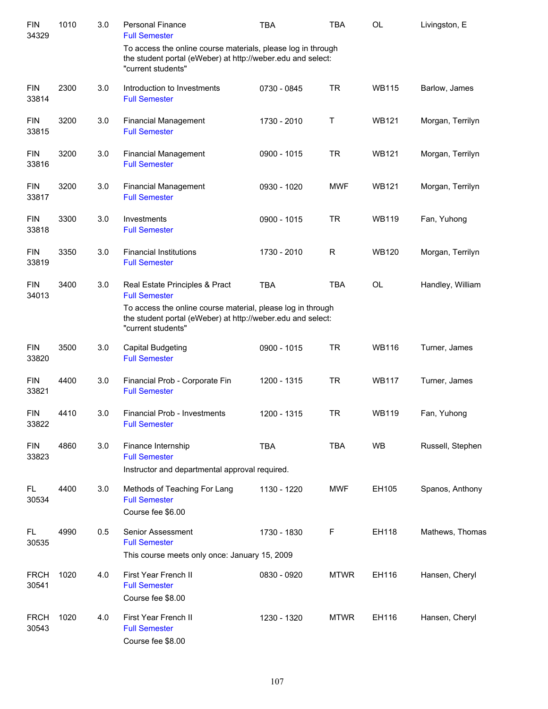| <b>FIN</b><br>34329  | 1010 | 3.0 | <b>Personal Finance</b><br><b>Full Semester</b>                                                                                                   | <b>TBA</b>  | <b>TBA</b>  | <b>OL</b>    | Livingston, E    |
|----------------------|------|-----|---------------------------------------------------------------------------------------------------------------------------------------------------|-------------|-------------|--------------|------------------|
|                      |      |     | To access the online course materials, please log in through<br>the student portal (eWeber) at http://weber.edu and select:<br>"current students" |             |             |              |                  |
| <b>FIN</b><br>33814  | 2300 | 3.0 | Introduction to Investments<br><b>Full Semester</b>                                                                                               | 0730 - 0845 | <b>TR</b>   | <b>WB115</b> | Barlow, James    |
| <b>FIN</b><br>33815  | 3200 | 3.0 | <b>Financial Management</b><br><b>Full Semester</b>                                                                                               | 1730 - 2010 | Τ           | <b>WB121</b> | Morgan, Terrilyn |
| <b>FIN</b><br>33816  | 3200 | 3.0 | <b>Financial Management</b><br><b>Full Semester</b>                                                                                               | 0900 - 1015 | <b>TR</b>   | <b>WB121</b> | Morgan, Terrilyn |
| <b>FIN</b><br>33817  | 3200 | 3.0 | <b>Financial Management</b><br><b>Full Semester</b>                                                                                               | 0930 - 1020 | <b>MWF</b>  | <b>WB121</b> | Morgan, Terrilyn |
| <b>FIN</b><br>33818  | 3300 | 3.0 | Investments<br><b>Full Semester</b>                                                                                                               | 0900 - 1015 | <b>TR</b>   | <b>WB119</b> | Fan, Yuhong      |
| <b>FIN</b><br>33819  | 3350 | 3.0 | <b>Financial Institutions</b><br><b>Full Semester</b>                                                                                             | 1730 - 2010 | R           | <b>WB120</b> | Morgan, Terrilyn |
| <b>FIN</b><br>34013  | 3400 | 3.0 | Real Estate Principles & Pract<br><b>Full Semester</b>                                                                                            | <b>TBA</b>  | <b>TBA</b>  | <b>OL</b>    | Handley, William |
|                      |      |     | To access the online course material, please log in through<br>the student portal (eWeber) at http://weber.edu and select:<br>"current students"  |             |             |              |                  |
| <b>FIN</b><br>33820  | 3500 | 3.0 | <b>Capital Budgeting</b><br><b>Full Semester</b>                                                                                                  | 0900 - 1015 | <b>TR</b>   | <b>WB116</b> | Turner, James    |
| <b>FIN</b><br>33821  | 4400 | 3.0 | Financial Prob - Corporate Fin<br><b>Full Semester</b>                                                                                            | 1200 - 1315 | <b>TR</b>   | <b>WB117</b> | Turner, James    |
| <b>FIN</b><br>33822  | 4410 | 3.0 | <b>Financial Prob - Investments</b><br><b>Full Semester</b>                                                                                       | 1200 - 1315 | <b>TR</b>   | <b>WB119</b> | Fan, Yuhong      |
| <b>FIN</b><br>33823  | 4860 | 3.0 | Finance Internship<br><b>Full Semester</b>                                                                                                        | <b>TBA</b>  | <b>TBA</b>  | <b>WB</b>    | Russell, Stephen |
|                      |      |     | Instructor and departmental approval required.                                                                                                    |             |             |              |                  |
| FL.<br>30534         | 4400 | 3.0 | Methods of Teaching For Lang<br><b>Full Semester</b><br>Course fee \$6.00                                                                         | 1130 - 1220 | <b>MWF</b>  | EH105        | Spanos, Anthony  |
| FL.<br>30535         | 4990 | 0.5 | Senior Assessment<br><b>Full Semester</b><br>This course meets only once: January 15, 2009                                                        | 1730 - 1830 | F           | EH118        | Mathews, Thomas  |
| <b>FRCH</b><br>30541 | 1020 | 4.0 | First Year French II<br><b>Full Semester</b><br>Course fee \$8.00                                                                                 | 0830 - 0920 | <b>MTWR</b> | EH116        | Hansen, Cheryl   |
| <b>FRCH</b><br>30543 | 1020 | 4.0 | First Year French II<br><b>Full Semester</b><br>Course fee \$8.00                                                                                 | 1230 - 1320 | <b>MTWR</b> | EH116        | Hansen, Cheryl   |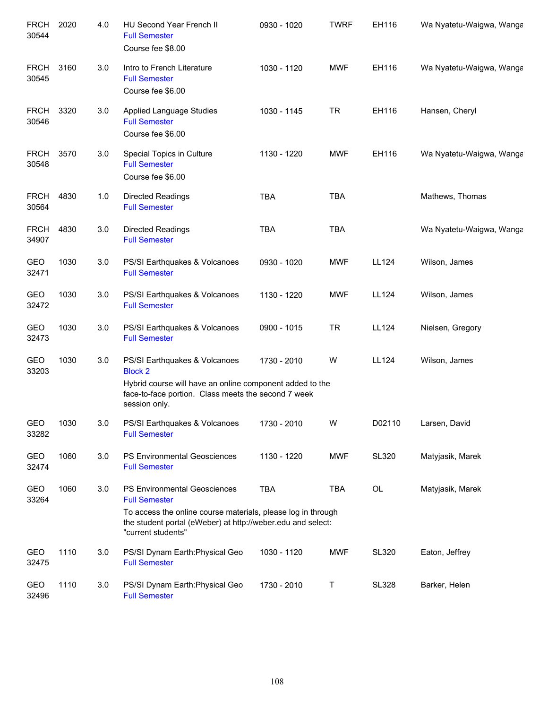| <b>FRCH</b><br>30544 | 2020 | 4.0 | HU Second Year French II<br><b>Full Semester</b><br>Course fee \$8.00                                                                                                                                     | 0930 - 1020 | <b>TWRF</b> | EH116        | Wa Nyatetu-Waigwa, Wanga |
|----------------------|------|-----|-----------------------------------------------------------------------------------------------------------------------------------------------------------------------------------------------------------|-------------|-------------|--------------|--------------------------|
| <b>FRCH</b><br>30545 | 3160 | 3.0 | Intro to French Literature<br><b>Full Semester</b><br>Course fee \$6.00                                                                                                                                   | 1030 - 1120 | <b>MWF</b>  | EH116        | Wa Nyatetu-Waigwa, Wanga |
| <b>FRCH</b><br>30546 | 3320 | 3.0 | <b>Applied Language Studies</b><br><b>Full Semester</b><br>Course fee \$6.00                                                                                                                              | 1030 - 1145 | <b>TR</b>   | EH116        | Hansen, Cheryl           |
| <b>FRCH</b><br>30548 | 3570 | 3.0 | Special Topics in Culture<br><b>Full Semester</b><br>Course fee \$6.00                                                                                                                                    | 1130 - 1220 | <b>MWF</b>  | EH116        | Wa Nyatetu-Waigwa, Wanga |
| <b>FRCH</b><br>30564 | 4830 | 1.0 | <b>Directed Readings</b><br><b>Full Semester</b>                                                                                                                                                          | <b>TBA</b>  | <b>TBA</b>  |              | Mathews, Thomas          |
| <b>FRCH</b><br>34907 | 4830 | 3.0 | <b>Directed Readings</b><br><b>Full Semester</b>                                                                                                                                                          | <b>TBA</b>  | <b>TBA</b>  |              | Wa Nyatetu-Waigwa, Wanga |
| <b>GEO</b><br>32471  | 1030 | 3.0 | PS/SI Earthquakes & Volcanoes<br><b>Full Semester</b>                                                                                                                                                     | 0930 - 1020 | <b>MWF</b>  | LL124        | Wilson, James            |
| <b>GEO</b><br>32472  | 1030 | 3.0 | PS/SI Earthquakes & Volcanoes<br><b>Full Semester</b>                                                                                                                                                     | 1130 - 1220 | <b>MWF</b>  | LL124        | Wilson, James            |
| <b>GEO</b><br>32473  | 1030 | 3.0 | PS/SI Earthquakes & Volcanoes<br><b>Full Semester</b>                                                                                                                                                     | 0900 - 1015 | <b>TR</b>   | LL124        | Nielsen, Gregory         |
| <b>GEO</b><br>33203  | 1030 | 3.0 | PS/SI Earthquakes & Volcanoes<br><b>Block 2</b><br>Hybrid course will have an online component added to the<br>face-to-face portion. Class meets the second 7 week<br>session only.                       | 1730 - 2010 | W           | LL124        | Wilson, James            |
| GEO<br>33282         | 1030 | 3.0 | PS/SI Earthquakes & Volcanoes<br><b>Full Semester</b>                                                                                                                                                     | 1730 - 2010 | W           | D02110       | Larsen, David            |
| GEO<br>32474         | 1060 | 3.0 | PS Environmental Geosciences<br><b>Full Semester</b>                                                                                                                                                      | 1130 - 1220 | <b>MWF</b>  | <b>SL320</b> | Matyjasik, Marek         |
| GEO<br>33264         | 1060 | 3.0 | PS Environmental Geosciences<br><b>Full Semester</b><br>To access the online course materials, please log in through<br>the student portal (eWeber) at http://weber.edu and select:<br>"current students" | <b>TBA</b>  | <b>TBA</b>  | OL           | Matyjasik, Marek         |
| GEO<br>32475         | 1110 | 3.0 | PS/SI Dynam Earth: Physical Geo<br><b>Full Semester</b>                                                                                                                                                   | 1030 - 1120 | <b>MWF</b>  | <b>SL320</b> | Eaton, Jeffrey           |
| <b>GEO</b><br>32496  | 1110 | 3.0 | PS/SI Dynam Earth: Physical Geo<br><b>Full Semester</b>                                                                                                                                                   | 1730 - 2010 | Τ           | <b>SL328</b> | Barker, Helen            |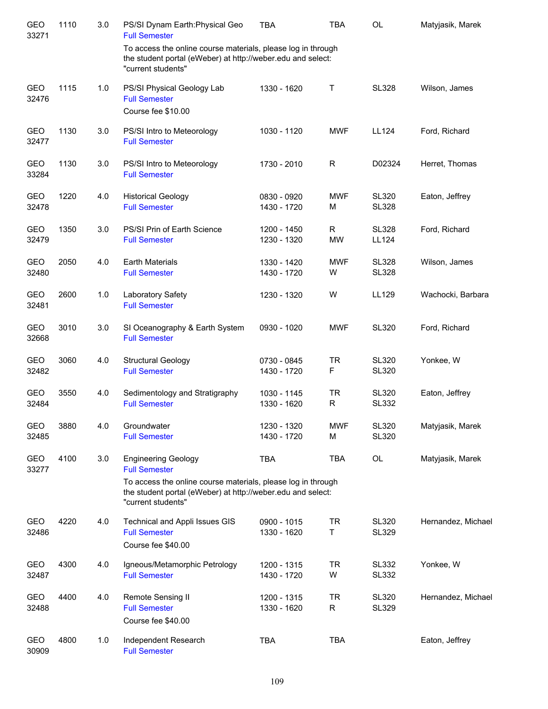| <b>GEO</b><br>33271 | 1110 | 3.0 | PS/SI Dynam Earth: Physical Geo<br><b>Full Semester</b>                                                                                           | <b>TBA</b>                 | <b>TBA</b>      | <b>OL</b>                    | Matyjasik, Marek   |
|---------------------|------|-----|---------------------------------------------------------------------------------------------------------------------------------------------------|----------------------------|-----------------|------------------------------|--------------------|
|                     |      |     | To access the online course materials, please log in through<br>the student portal (eWeber) at http://weber.edu and select:<br>"current students" |                            |                 |                              |                    |
| <b>GEO</b><br>32476 | 1115 | 1.0 | PS/SI Physical Geology Lab<br><b>Full Semester</b>                                                                                                | 1330 - 1620                | Τ               | <b>SL328</b>                 | Wilson, James      |
|                     |      |     | Course fee \$10.00                                                                                                                                |                            |                 |                              |                    |
| <b>GEO</b><br>32477 | 1130 | 3.0 | PS/SI Intro to Meteorology<br><b>Full Semester</b>                                                                                                | 1030 - 1120                | <b>MWF</b>      | LL124                        | Ford, Richard      |
| GEO<br>33284        | 1130 | 3.0 | PS/SI Intro to Meteorology<br><b>Full Semester</b>                                                                                                | 1730 - 2010                | $\mathsf{R}$    | D02324                       | Herret, Thomas     |
| GEO<br>32478        | 1220 | 4.0 | <b>Historical Geology</b><br><b>Full Semester</b>                                                                                                 | 0830 - 0920<br>1430 - 1720 | <b>MWF</b><br>M | <b>SL320</b><br><b>SL328</b> | Eaton, Jeffrey     |
| GEO<br>32479        | 1350 | 3.0 | PS/SI Prin of Earth Science<br><b>Full Semester</b>                                                                                               | 1200 - 1450<br>1230 - 1320 | R<br><b>MW</b>  | <b>SL328</b><br><b>LL124</b> | Ford, Richard      |
| <b>GEO</b><br>32480 | 2050 | 4.0 | <b>Earth Materials</b><br><b>Full Semester</b>                                                                                                    | 1330 - 1420<br>1430 - 1720 | <b>MWF</b><br>W | <b>SL328</b><br><b>SL328</b> | Wilson, James      |
| <b>GEO</b><br>32481 | 2600 | 1.0 | Laboratory Safety<br><b>Full Semester</b>                                                                                                         | 1230 - 1320                | W               | LL129                        | Wachocki, Barbara  |
| GEO<br>32668        | 3010 | 3.0 | SI Oceanography & Earth System<br><b>Full Semester</b>                                                                                            | 0930 - 1020                | <b>MWF</b>      | <b>SL320</b>                 | Ford, Richard      |
| GEO<br>32482        | 3060 | 4.0 | <b>Structural Geology</b><br><b>Full Semester</b>                                                                                                 | 0730 - 0845<br>1430 - 1720 | <b>TR</b><br>F  | <b>SL320</b><br><b>SL320</b> | Yonkee, W          |
| GEO<br>32484        | 3550 | 4.0 | Sedimentology and Stratigraphy<br><b>Full Semester</b>                                                                                            | 1030 - 1145<br>1330 - 1620 | <b>TR</b><br>R  | <b>SL320</b><br><b>SL332</b> | Eaton, Jeffrey     |
| GEO<br>32485        | 3880 | 4.0 | Groundwater<br><b>Full Semester</b>                                                                                                               | 1230 - 1320<br>1430 - 1720 | <b>MWF</b><br>M | <b>SL320</b><br><b>SL320</b> | Matyjasik, Marek   |
| GEO<br>33277        | 4100 | 3.0 | <b>Engineering Geology</b><br><b>Full Semester</b>                                                                                                | <b>TBA</b>                 | <b>TBA</b>      | OL                           | Matyjasik, Marek   |
|                     |      |     | To access the online course materials, please log in through<br>the student portal (eWeber) at http://weber.edu and select:<br>"current students" |                            |                 |                              |                    |
| GEO<br>32486        | 4220 | 4.0 | Technical and Appli Issues GIS<br><b>Full Semester</b><br>Course fee \$40.00                                                                      | 0900 - 1015<br>1330 - 1620 | <b>TR</b><br>T  | <b>SL320</b><br><b>SL329</b> | Hernandez, Michael |
| GEO<br>32487        | 4300 | 4.0 | Igneous/Metamorphic Petrology<br><b>Full Semester</b>                                                                                             | 1200 - 1315<br>1430 - 1720 | <b>TR</b><br>W  | <b>SL332</b><br><b>SL332</b> | Yonkee, W          |
| GEO<br>32488        | 4400 | 4.0 | Remote Sensing II<br><b>Full Semester</b><br>Course fee \$40.00                                                                                   | 1200 - 1315<br>1330 - 1620 | <b>TR</b><br>R  | <b>SL320</b><br><b>SL329</b> | Hernandez, Michael |
| GEO<br>30909        | 4800 | 1.0 | Independent Research<br><b>Full Semester</b>                                                                                                      | <b>TBA</b>                 | <b>TBA</b>      |                              | Eaton, Jeffrey     |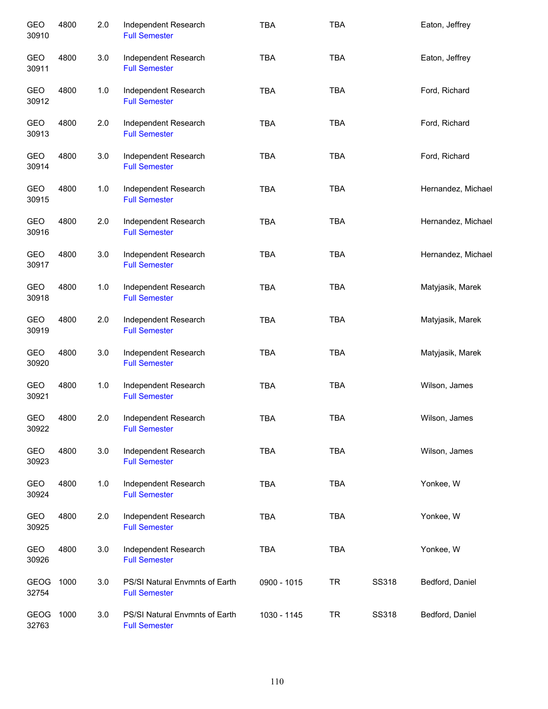| GEO<br>30910         | 4800 | 2.0 | Independent Research<br><b>Full Semester</b>           | <b>TBA</b>  | <b>TBA</b> |              | Eaton, Jeffrey     |
|----------------------|------|-----|--------------------------------------------------------|-------------|------------|--------------|--------------------|
| GEO<br>30911         | 4800 | 3.0 | Independent Research<br><b>Full Semester</b>           | <b>TBA</b>  | <b>TBA</b> |              | Eaton, Jeffrey     |
| GEO<br>30912         | 4800 | 1.0 | Independent Research<br><b>Full Semester</b>           | <b>TBA</b>  | <b>TBA</b> |              | Ford, Richard      |
| GEO<br>30913         | 4800 | 2.0 | Independent Research<br><b>Full Semester</b>           | <b>TBA</b>  | <b>TBA</b> |              | Ford, Richard      |
| GEO<br>30914         | 4800 | 3.0 | Independent Research<br><b>Full Semester</b>           | <b>TBA</b>  | <b>TBA</b> |              | Ford, Richard      |
| GEO<br>30915         | 4800 | 1.0 | Independent Research<br><b>Full Semester</b>           | <b>TBA</b>  | <b>TBA</b> |              | Hernandez, Michael |
| GEO<br>30916         | 4800 | 2.0 | Independent Research<br><b>Full Semester</b>           | <b>TBA</b>  | <b>TBA</b> |              | Hernandez, Michael |
| GEO<br>30917         | 4800 | 3.0 | Independent Research<br><b>Full Semester</b>           | <b>TBA</b>  | <b>TBA</b> |              | Hernandez, Michael |
| GEO<br>30918         | 4800 | 1.0 | Independent Research<br><b>Full Semester</b>           | <b>TBA</b>  | <b>TBA</b> |              | Matyjasik, Marek   |
| GEO<br>30919         | 4800 | 2.0 | Independent Research<br><b>Full Semester</b>           | <b>TBA</b>  | <b>TBA</b> |              | Matyjasik, Marek   |
| GEO<br>30920         | 4800 | 3.0 | Independent Research<br><b>Full Semester</b>           | <b>TBA</b>  | <b>TBA</b> |              | Matyjasik, Marek   |
| GEO<br>30921         | 4800 | 1.0 | Independent Research<br><b>Full Semester</b>           | <b>TBA</b>  | <b>TBA</b> |              | Wilson, James      |
| GEO<br>30922         | 4800 | 2.0 | Independent Research<br><b>Full Semester</b>           | <b>TBA</b>  | <b>TBA</b> |              | Wilson, James      |
| GEO<br>30923         | 4800 | 3.0 | Independent Research<br><b>Full Semester</b>           | <b>TBA</b>  | <b>TBA</b> |              | Wilson, James      |
| GEO<br>30924         | 4800 | 1.0 | Independent Research<br><b>Full Semester</b>           | <b>TBA</b>  | TBA        |              | Yonkee, W          |
| GEO<br>30925         | 4800 | 2.0 | Independent Research<br><b>Full Semester</b>           | <b>TBA</b>  | <b>TBA</b> |              | Yonkee, W          |
| GEO<br>30926         | 4800 | 3.0 | Independent Research<br><b>Full Semester</b>           | <b>TBA</b>  | <b>TBA</b> |              | Yonkee, W          |
| GEOG<br>32754        | 1000 | 3.0 | PS/SI Natural Envmnts of Earth<br><b>Full Semester</b> | 0900 - 1015 | <b>TR</b>  | SS318        | Bedford, Daniel    |
| <b>GEOG</b><br>32763 | 1000 | 3.0 | PS/SI Natural Envmnts of Earth<br><b>Full Semester</b> | 1030 - 1145 | <b>TR</b>  | <b>SS318</b> | Bedford, Daniel    |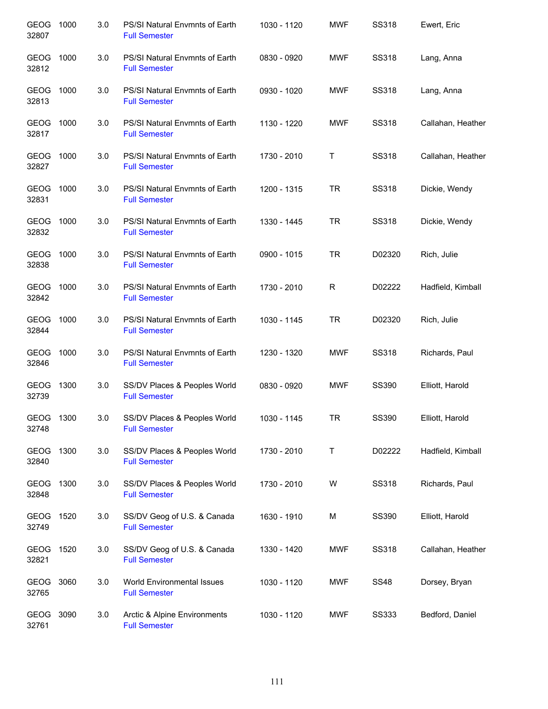| GEOG<br>32807        | 1000 | 3.0 | PS/SI Natural Envmnts of Earth<br><b>Full Semester</b> | 1030 - 1120 | <b>MWF</b> | <b>SS318</b> | Ewert, Eric       |
|----------------------|------|-----|--------------------------------------------------------|-------------|------------|--------------|-------------------|
| GEOG<br>32812        | 1000 | 3.0 | PS/SI Natural Envmnts of Earth<br><b>Full Semester</b> | 0830 - 0920 | <b>MWF</b> | SS318        | Lang, Anna        |
| GEOG<br>32813        | 1000 | 3.0 | PS/SI Natural Envmnts of Earth<br><b>Full Semester</b> | 0930 - 1020 | MWF        | SS318        | Lang, Anna        |
| GEOG 1000<br>32817   |      | 3.0 | PS/SI Natural Envmnts of Earth<br><b>Full Semester</b> | 1130 - 1220 | <b>MWF</b> | <b>SS318</b> | Callahan, Heather |
| GEOG 1000<br>32827   |      | 3.0 | PS/SI Natural Envmnts of Earth<br><b>Full Semester</b> | 1730 - 2010 | Т          | SS318        | Callahan, Heather |
| GEOG 1000<br>32831   |      | 3.0 | PS/SI Natural Envmnts of Earth<br><b>Full Semester</b> | 1200 - 1315 | <b>TR</b>  | SS318        | Dickie, Wendy     |
| GEOG 1000<br>32832   |      | 3.0 | PS/SI Natural Envmnts of Earth<br><b>Full Semester</b> | 1330 - 1445 | <b>TR</b>  | SS318        | Dickie, Wendy     |
| GEOG<br>32838        | 1000 | 3.0 | PS/SI Natural Envmnts of Earth<br><b>Full Semester</b> | 0900 - 1015 | <b>TR</b>  | D02320       | Rich, Julie       |
| GEOG<br>32842        | 1000 | 3.0 | PS/SI Natural Envmnts of Earth<br><b>Full Semester</b> | 1730 - 2010 | R          | D02222       | Hadfield, Kimball |
| GEOG<br>32844        | 1000 | 3.0 | PS/SI Natural Envmnts of Earth<br><b>Full Semester</b> | 1030 - 1145 | <b>TR</b>  | D02320       | Rich, Julie       |
| GEOG<br>32846        | 1000 | 3.0 | PS/SI Natural Envmnts of Earth<br><b>Full Semester</b> | 1230 - 1320 | MWF        | SS318        | Richards, Paul    |
| <b>GEOG</b><br>32739 | 1300 | 3.0 | SS/DV Places & Peoples World<br><b>Full Semester</b>   | 0830 - 0920 | MWF        | SS390        | Elliott, Harold   |
| GEOG<br>32748        | 1300 | 3.0 | SS/DV Places & Peoples World<br><b>Full Semester</b>   | 1030 - 1145 | TR         | SS390        | Elliott, Harold   |
| GEOG<br>32840        | 1300 | 3.0 | SS/DV Places & Peoples World<br><b>Full Semester</b>   | 1730 - 2010 | Τ          | D02222       | Hadfield, Kimball |
| GEOG<br>32848        | 1300 | 3.0 | SS/DV Places & Peoples World<br><b>Full Semester</b>   | 1730 - 2010 | W          | <b>SS318</b> | Richards, Paul    |
| <b>GEOG</b><br>32749 | 1520 | 3.0 | SS/DV Geog of U.S. & Canada<br><b>Full Semester</b>    | 1630 - 1910 | M          | SS390        | Elliott, Harold   |
| GEOG<br>32821        | 1520 | 3.0 | SS/DV Geog of U.S. & Canada<br><b>Full Semester</b>    | 1330 - 1420 | MWF        | SS318        | Callahan, Heather |
| GEOG<br>32765        | 3060 | 3.0 | World Environmental Issues<br><b>Full Semester</b>     | 1030 - 1120 | MWF        | <b>SS48</b>  | Dorsey, Bryan     |
| GEOG<br>32761        | 3090 | 3.0 | Arctic & Alpine Environments<br><b>Full Semester</b>   | 1030 - 1120 | <b>MWF</b> | <b>SS333</b> | Bedford, Daniel   |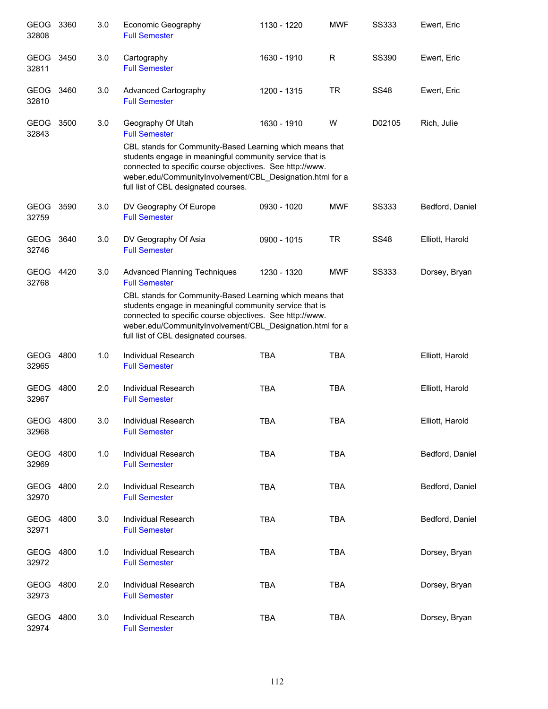| GEOG 3360<br>32808   |      | 3.0 | Economic Geography<br><b>Full Semester</b>                                                                                                                                                                                                                                                                                                          | 1130 - 1220 | <b>MWF</b> | <b>SS333</b> | Ewert, Eric     |
|----------------------|------|-----|-----------------------------------------------------------------------------------------------------------------------------------------------------------------------------------------------------------------------------------------------------------------------------------------------------------------------------------------------------|-------------|------------|--------------|-----------------|
| GEOG<br>32811        | 3450 | 3.0 | Cartography<br><b>Full Semester</b>                                                                                                                                                                                                                                                                                                                 | 1630 - 1910 | R          | SS390        | Ewert, Eric     |
| GEOG<br>32810        | 3460 | 3.0 | Advanced Cartography<br><b>Full Semester</b>                                                                                                                                                                                                                                                                                                        | 1200 - 1315 | <b>TR</b>  | <b>SS48</b>  | Ewert, Eric     |
| <b>GEOG</b><br>32843 | 3500 | 3.0 | Geography Of Utah<br><b>Full Semester</b><br>CBL stands for Community-Based Learning which means that<br>students engage in meaningful community service that is<br>connected to specific course objectives. See http://www.<br>weber.edu/CommunityInvolvement/CBL_Designation.html for a<br>full list of CBL designated courses.                   | 1630 - 1910 | W          | D02105       | Rich, Julie     |
| GEOG<br>32759        | 3590 | 3.0 | DV Geography Of Europe<br><b>Full Semester</b>                                                                                                                                                                                                                                                                                                      | 0930 - 1020 | <b>MWF</b> | <b>SS333</b> | Bedford, Daniel |
| GEOG<br>32746        | 3640 | 3.0 | DV Geography Of Asia<br><b>Full Semester</b>                                                                                                                                                                                                                                                                                                        | 0900 - 1015 | <b>TR</b>  | <b>SS48</b>  | Elliott, Harold |
| GEOG<br>32768        | 4420 | 3.0 | <b>Advanced Planning Techniques</b><br><b>Full Semester</b><br>CBL stands for Community-Based Learning which means that<br>students engage in meaningful community service that is<br>connected to specific course objectives. See http://www.<br>weber.edu/CommunityInvolvement/CBL_Designation.html for a<br>full list of CBL designated courses. | 1230 - 1320 | <b>MWF</b> | <b>SS333</b> | Dorsey, Bryan   |
| GEOG 4800<br>32965   |      | 1.0 | Individual Research<br><b>Full Semester</b>                                                                                                                                                                                                                                                                                                         | <b>TBA</b>  | <b>TBA</b> |              | Elliott, Harold |
| GEOG<br>32967        | 4800 | 2.0 | <b>Individual Research</b><br><b>Full Semester</b>                                                                                                                                                                                                                                                                                                  | <b>TBA</b>  | <b>TBA</b> |              | Elliott, Harold |
| GEOG 4800<br>32968   |      | 3.0 | Individual Research<br><b>Full Semester</b>                                                                                                                                                                                                                                                                                                         | <b>TBA</b>  | <b>TBA</b> |              | Elliott, Harold |
| GEOG 4800<br>32969   |      | 1.0 | Individual Research<br><b>Full Semester</b>                                                                                                                                                                                                                                                                                                         | <b>TBA</b>  | <b>TBA</b> |              | Bedford, Daniel |
| GEOG 4800<br>32970   |      | 2.0 | Individual Research<br><b>Full Semester</b>                                                                                                                                                                                                                                                                                                         | <b>TBA</b>  | <b>TBA</b> |              | Bedford, Daniel |
| GEOG 4800<br>32971   |      | 3.0 | <b>Individual Research</b><br><b>Full Semester</b>                                                                                                                                                                                                                                                                                                  | <b>TBA</b>  | <b>TBA</b> |              | Bedford, Daniel |
| GEOG 4800<br>32972   |      | 1.0 | <b>Individual Research</b><br><b>Full Semester</b>                                                                                                                                                                                                                                                                                                  | <b>TBA</b>  | <b>TBA</b> |              | Dorsey, Bryan   |
| <b>GEOG</b><br>32973 | 4800 | 2.0 | Individual Research<br><b>Full Semester</b>                                                                                                                                                                                                                                                                                                         | <b>TBA</b>  | <b>TBA</b> |              | Dorsey, Bryan   |
| GEOG 4800<br>32974   |      | 3.0 | Individual Research<br><b>Full Semester</b>                                                                                                                                                                                                                                                                                                         | <b>TBA</b>  | <b>TBA</b> |              | Dorsey, Bryan   |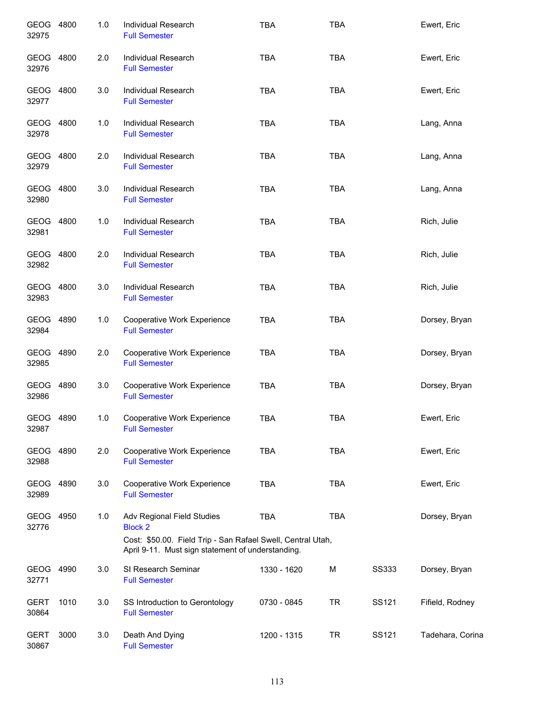| GEOG 4800<br>32975   |      | 1.0 | Individual Research<br><b>Full Semester</b>                                                                                                                      | <b>TBA</b>  | <b>TBA</b> |       | Ewert, Eric      |
|----------------------|------|-----|------------------------------------------------------------------------------------------------------------------------------------------------------------------|-------------|------------|-------|------------------|
| GEOG 4800<br>32976   |      | 2.0 | <b>Individual Research</b><br><b>Full Semester</b>                                                                                                               | <b>TBA</b>  | <b>TBA</b> |       | Ewert, Eric      |
| GEOG 4800<br>32977   |      | 3.0 | Individual Research<br><b>Full Semester</b>                                                                                                                      | <b>TBA</b>  | <b>TBA</b> |       | Ewert, Eric      |
| GEOG 4800<br>32978   |      | 1.0 | Individual Research<br><b>Full Semester</b>                                                                                                                      | <b>TBA</b>  | <b>TBA</b> |       | Lang, Anna       |
| GEOG 4800<br>32979   |      | 2.0 | <b>Individual Research</b><br><b>Full Semester</b>                                                                                                               | <b>TBA</b>  | <b>TBA</b> |       | Lang, Anna       |
| GEOG 4800<br>32980   |      | 3.0 | Individual Research<br><b>Full Semester</b>                                                                                                                      | <b>TBA</b>  | <b>TBA</b> |       | Lang, Anna       |
| GEOG 4800<br>32981   |      | 1.0 | <b>Individual Research</b><br><b>Full Semester</b>                                                                                                               | <b>TBA</b>  | <b>TBA</b> |       | Rich, Julie      |
| GEOG 4800<br>32982   |      | 2.0 | Individual Research<br><b>Full Semester</b>                                                                                                                      | <b>TBA</b>  | <b>TBA</b> |       | Rich, Julie      |
| GEOG 4800<br>32983   |      | 3.0 | Individual Research<br><b>Full Semester</b>                                                                                                                      | <b>TBA</b>  | <b>TBA</b> |       | Rich, Julie      |
| GEOG 4890<br>32984   |      | 1.0 | Cooperative Work Experience<br><b>Full Semester</b>                                                                                                              | <b>TBA</b>  | <b>TBA</b> |       | Dorsey, Bryan    |
| GEOG 4890<br>32985   |      | 2.0 | Cooperative Work Experience<br><b>Full Semester</b>                                                                                                              | <b>TBA</b>  | <b>TBA</b> |       | Dorsey, Bryan    |
| GEOG 4890<br>32986   |      | 3.0 | Cooperative Work Experience<br><b>Full Semester</b>                                                                                                              | <b>TBA</b>  | <b>TBA</b> |       | Dorsey, Bryan    |
| GEOG 4890<br>32987   |      | 1.0 | Cooperative Work Experience<br><b>Full Semester</b>                                                                                                              | <b>TBA</b>  | <b>TBA</b> |       | Ewert, Eric      |
| GEOG 4890<br>32988   |      | 2.0 | Cooperative Work Experience<br><b>Full Semester</b>                                                                                                              | <b>TBA</b>  | <b>TBA</b> |       | Ewert, Eric      |
| GEOG 4890<br>32989   |      | 3.0 | Cooperative Work Experience<br><b>Full Semester</b>                                                                                                              | <b>TBA</b>  | <b>TBA</b> |       | Ewert, Eric      |
| GEOG 4950<br>32776   |      | 1.0 | Adv Regional Field Studies<br><b>Block 2</b><br>Cost: \$50.00. Field Trip - San Rafael Swell, Central Utah,<br>April 9-11. Must sign statement of understanding. | <b>TBA</b>  | <b>TBA</b> |       | Dorsey, Bryan    |
| GEOG 4990<br>32771   |      | 3.0 | SI Research Seminar<br><b>Full Semester</b>                                                                                                                      | 1330 - 1620 | M          | SS333 | Dorsey, Bryan    |
| <b>GERT</b><br>30864 | 1010 | 3.0 | SS Introduction to Gerontology<br><b>Full Semester</b>                                                                                                           | 0730 - 0845 | <b>TR</b>  | SS121 | Fifield, Rodney  |
| <b>GERT</b><br>30867 | 3000 | 3.0 | Death And Dying<br><b>Full Semester</b>                                                                                                                          | 1200 - 1315 | <b>TR</b>  | SS121 | Tadehara, Corina |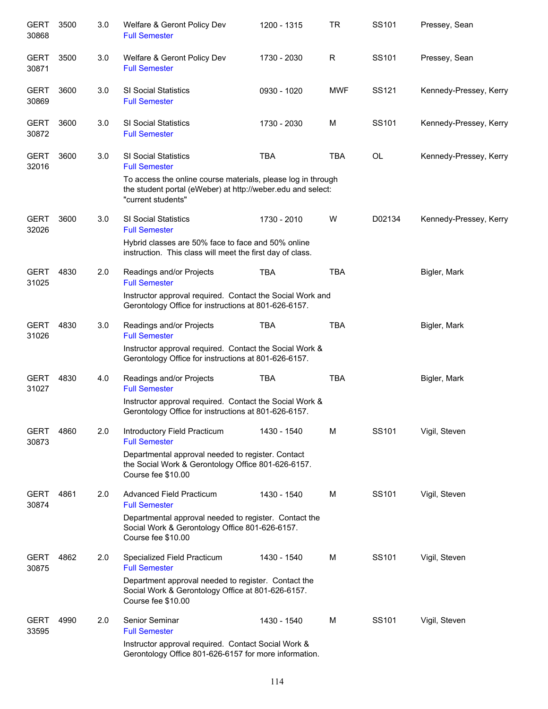| <b>GERT</b><br>30868 | 3500 | 3.0 | Welfare & Geront Policy Dev<br><b>Full Semester</b>                                                                                               | 1200 - 1315 | <b>TR</b>   | SS101  | Pressey, Sean          |
|----------------------|------|-----|---------------------------------------------------------------------------------------------------------------------------------------------------|-------------|-------------|--------|------------------------|
| <b>GERT</b><br>30871 | 3500 | 3.0 | Welfare & Geront Policy Dev<br><b>Full Semester</b>                                                                                               | 1730 - 2030 | $\mathsf R$ | SS101  | Pressey, Sean          |
| <b>GERT</b><br>30869 | 3600 | 3.0 | <b>SI Social Statistics</b><br><b>Full Semester</b>                                                                                               | 0930 - 1020 | <b>MWF</b>  | SS121  | Kennedy-Pressey, Kerry |
| <b>GERT</b><br>30872 | 3600 | 3.0 | SI Social Statistics<br><b>Full Semester</b>                                                                                                      | 1730 - 2030 | M           | SS101  | Kennedy-Pressey, Kerry |
| <b>GERT</b><br>32016 | 3600 | 3.0 | SI Social Statistics<br><b>Full Semester</b>                                                                                                      | <b>TBA</b>  | <b>TBA</b>  | OL     | Kennedy-Pressey, Kerry |
|                      |      |     | To access the online course materials, please log in through<br>the student portal (eWeber) at http://weber.edu and select:<br>"current students" |             |             |        |                        |
| <b>GERT</b><br>32026 | 3600 | 3.0 | SI Social Statistics<br><b>Full Semester</b>                                                                                                      | 1730 - 2010 | W           | D02134 | Kennedy-Pressey, Kerry |
|                      |      |     | Hybrid classes are 50% face to face and 50% online<br>instruction. This class will meet the first day of class.                                   |             |             |        |                        |
| <b>GERT</b><br>31025 | 4830 | 2.0 | Readings and/or Projects<br><b>Full Semester</b>                                                                                                  | <b>TBA</b>  | <b>TBA</b>  |        | Bigler, Mark           |
|                      |      |     | Instructor approval required. Contact the Social Work and<br>Gerontology Office for instructions at 801-626-6157.                                 |             |             |        |                        |
| <b>GERT</b><br>31026 | 4830 | 3.0 | Readings and/or Projects<br><b>Full Semester</b>                                                                                                  | <b>TBA</b>  | <b>TBA</b>  |        | Bigler, Mark           |
|                      |      |     | Instructor approval required. Contact the Social Work &<br>Gerontology Office for instructions at 801-626-6157.                                   |             |             |        |                        |
| <b>GERT</b><br>31027 | 4830 | 4.0 | Readings and/or Projects<br><b>Full Semester</b>                                                                                                  | <b>TBA</b>  | <b>TBA</b>  |        | Bigler, Mark           |
|                      |      |     | Instructor approval required. Contact the Social Work &<br>Gerontology Office for instructions at 801-626-6157.                                   |             |             |        |                        |
| <b>GERT</b><br>30873 | 4860 | 2.0 | Introductory Field Practicum<br><b>Full Semester</b>                                                                                              | 1430 - 1540 | M           | SS101  | Vigil, Steven          |
|                      |      |     | Departmental approval needed to register. Contact<br>the Social Work & Gerontology Office 801-626-6157.<br>Course fee \$10.00                     |             |             |        |                        |
| <b>GERT</b><br>30874 | 4861 | 2.0 | Advanced Field Practicum<br><b>Full Semester</b>                                                                                                  | 1430 - 1540 | м           | SS101  | Vigil, Steven          |
|                      |      |     | Departmental approval needed to register. Contact the<br>Social Work & Gerontology Office 801-626-6157.<br>Course fee \$10.00                     |             |             |        |                        |
| <b>GERT</b><br>30875 | 4862 | 2.0 | Specialized Field Practicum<br><b>Full Semester</b>                                                                                               | 1430 - 1540 | м           | SS101  | Vigil, Steven          |
|                      |      |     | Department approval needed to register. Contact the<br>Social Work & Gerontology Office at 801-626-6157.<br>Course fee \$10.00                    |             |             |        |                        |
| <b>GERT</b><br>33595 | 4990 | 2.0 | Senior Seminar<br><b>Full Semester</b>                                                                                                            | 1430 - 1540 | M           | SS101  | Vigil, Steven          |
|                      |      |     | Instructor approval required. Contact Social Work &<br>Gerontology Office 801-626-6157 for more information.                                      |             |             |        |                        |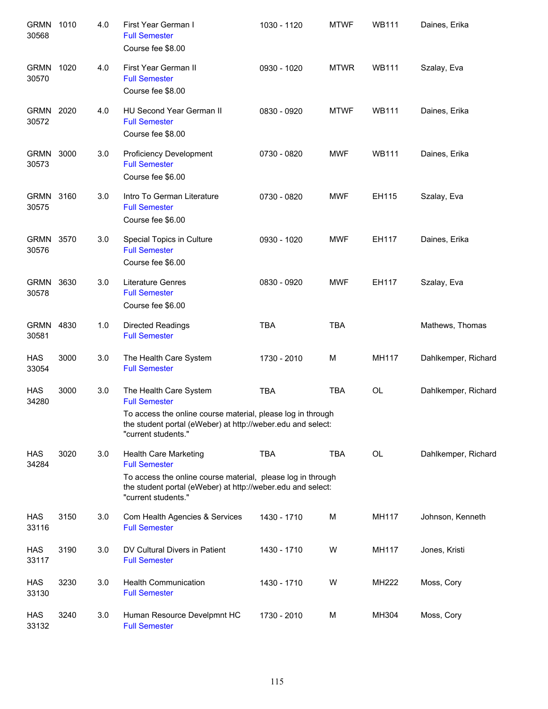| <b>GRMN</b><br>30568 | 1010 | 4.0 | First Year German I<br><b>Full Semester</b><br>Course fee \$8.00                                                                                  | 1030 - 1120 | <b>MTWF</b> | <b>WB111</b> | Daines, Erika       |
|----------------------|------|-----|---------------------------------------------------------------------------------------------------------------------------------------------------|-------------|-------------|--------------|---------------------|
| <b>GRMN</b><br>30570 | 1020 | 4.0 | First Year German II<br><b>Full Semester</b><br>Course fee \$8.00                                                                                 | 0930 - 1020 | <b>MTWR</b> | <b>WB111</b> | Szalay, Eva         |
| GRMN 2020<br>30572   |      | 4.0 | HU Second Year German II<br><b>Full Semester</b><br>Course fee \$8.00                                                                             | 0830 - 0920 | <b>MTWF</b> | <b>WB111</b> | Daines, Erika       |
| GRMN 3000<br>30573   |      | 3.0 | <b>Proficiency Development</b><br><b>Full Semester</b><br>Course fee \$6.00                                                                       | 0730 - 0820 | <b>MWF</b>  | <b>WB111</b> | Daines, Erika       |
| GRMN 3160<br>30575   |      | 3.0 | Intro To German Literature<br><b>Full Semester</b><br>Course fee \$6.00                                                                           | 0730 - 0820 | <b>MWF</b>  | EH115        | Szalay, Eva         |
| GRMN 3570<br>30576   |      | 3.0 | Special Topics in Culture<br><b>Full Semester</b><br>Course fee \$6.00                                                                            | 0930 - 1020 | <b>MWF</b>  | EH117        | Daines, Erika       |
| GRMN 3630<br>30578   |      | 3.0 | <b>Literature Genres</b><br><b>Full Semester</b><br>Course fee \$6.00                                                                             | 0830 - 0920 | <b>MWF</b>  | EH117        | Szalay, Eva         |
| GRMN<br>30581        | 4830 | 1.0 | Directed Readings<br><b>Full Semester</b>                                                                                                         | <b>TBA</b>  | <b>TBA</b>  |              | Mathews, Thomas     |
| <b>HAS</b><br>33054  | 3000 | 3.0 | The Health Care System<br><b>Full Semester</b>                                                                                                    | 1730 - 2010 | M           | MH117        | Dahlkemper, Richard |
| <b>HAS</b><br>34280  | 3000 | 3.0 | The Health Care System<br><b>Full Semester</b>                                                                                                    | <b>TBA</b>  | <b>TBA</b>  | <b>OL</b>    | Dahlkemper, Richard |
|                      |      |     | To access the online course material, please log in through<br>the student portal (eWeber) at http://weber.edu and select:<br>"current students." |             |             |              |                     |
| HAS<br>34284         | 3020 | 3.0 | Health Care Marketing<br><b>Full Semester</b>                                                                                                     | <b>TBA</b>  | <b>TBA</b>  | OL           | Dahlkemper, Richard |
|                      |      |     | To access the online course material, please log in through<br>the student portal (eWeber) at http://weber.edu and select:<br>"current students." |             |             |              |                     |
| <b>HAS</b><br>33116  | 3150 | 3.0 | Com Health Agencies & Services<br><b>Full Semester</b>                                                                                            | 1430 - 1710 | М           | MH117        | Johnson, Kenneth    |
| HAS<br>33117         | 3190 | 3.0 | DV Cultural Divers in Patient<br><b>Full Semester</b>                                                                                             | 1430 - 1710 | W           | MH117        | Jones, Kristi       |
| HAS<br>33130         | 3230 | 3.0 | <b>Health Communication</b><br><b>Full Semester</b>                                                                                               | 1430 - 1710 | W           | MH222        | Moss, Cory          |
| HAS<br>33132         | 3240 | 3.0 | Human Resource Develpmnt HC<br><b>Full Semester</b>                                                                                               | 1730 - 2010 | M           | MH304        | Moss, Cory          |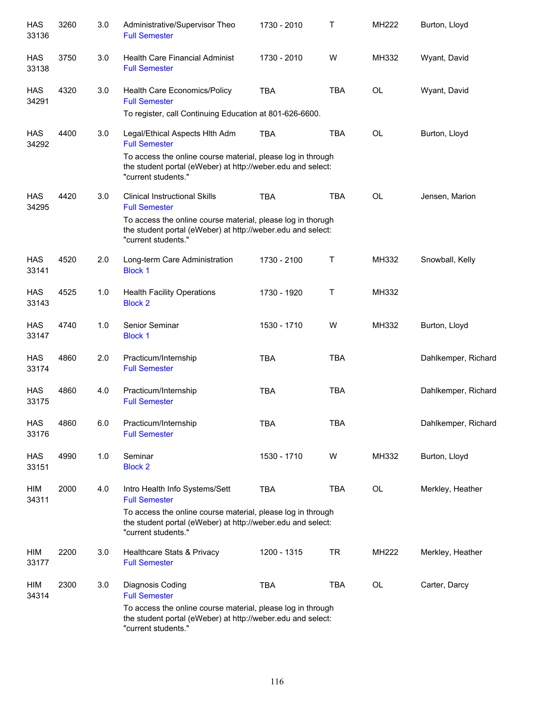| <b>HAS</b><br>33136 | 3260 | 3.0 | Administrative/Supervisor Theo<br><b>Full Semester</b>                                                                                            | 1730 - 2010 | Τ          | MH222     | Burton, Lloyd       |
|---------------------|------|-----|---------------------------------------------------------------------------------------------------------------------------------------------------|-------------|------------|-----------|---------------------|
| <b>HAS</b><br>33138 | 3750 | 3.0 | <b>Health Care Financial Administ</b><br><b>Full Semester</b>                                                                                     | 1730 - 2010 | W          | MH332     | Wyant, David        |
| HAS<br>34291        | 4320 | 3.0 | Health Care Economics/Policy<br><b>Full Semester</b>                                                                                              | <b>TBA</b>  | <b>TBA</b> | <b>OL</b> | Wyant, David        |
|                     |      |     | To register, call Continuing Education at 801-626-6600.                                                                                           |             |            |           |                     |
| HAS<br>34292        | 4400 | 3.0 | Legal/Ethical Aspects Hith Adm<br><b>Full Semester</b>                                                                                            | <b>TBA</b>  | <b>TBA</b> | <b>OL</b> | Burton, Lloyd       |
|                     |      |     | To access the online course material, please log in through<br>the student portal (eWeber) at http://weber.edu and select:<br>"current students." |             |            |           |                     |
| HAS<br>34295        | 4420 | 3.0 | <b>Clinical Instructional Skills</b><br><b>Full Semester</b>                                                                                      | <b>TBA</b>  | <b>TBA</b> | <b>OL</b> | Jensen, Marion      |
|                     |      |     | To access the online course material, please log in thorugh<br>the student portal (eWeber) at http://weber.edu and select:<br>"current students." |             |            |           |                     |
| <b>HAS</b><br>33141 | 4520 | 2.0 | Long-term Care Administration<br><b>Block 1</b>                                                                                                   | 1730 - 2100 | Т          | MH332     | Snowball, Kelly     |
| <b>HAS</b><br>33143 | 4525 | 1.0 | <b>Health Facility Operations</b><br><b>Block 2</b>                                                                                               | 1730 - 1920 | Т          | MH332     |                     |
| <b>HAS</b><br>33147 | 4740 | 1.0 | Senior Seminar<br><b>Block 1</b>                                                                                                                  | 1530 - 1710 | W          | MH332     | Burton, Lloyd       |
| <b>HAS</b><br>33174 | 4860 | 2.0 | Practicum/Internship<br><b>Full Semester</b>                                                                                                      | <b>TBA</b>  | <b>TBA</b> |           | Dahlkemper, Richard |
| <b>HAS</b><br>33175 | 4860 | 4.0 | Practicum/Internship<br><b>Full Semester</b>                                                                                                      | <b>TBA</b>  | <b>TBA</b> |           | Dahlkemper, Richard |
| HAS<br>33176        | 4860 | 6.0 | Practicum/Internship<br><b>Full Semester</b>                                                                                                      | TBA         | TBA        |           | Dahlkemper, Richard |
| HAS<br>33151        | 4990 | 1.0 | Seminar<br><b>Block 2</b>                                                                                                                         | 1530 - 1710 | W          | MH332     | Burton, Lloyd       |
| HIM<br>34311        | 2000 | 4.0 | Intro Health Info Systems/Sett<br><b>Full Semester</b>                                                                                            | <b>TBA</b>  | <b>TBA</b> | OL        | Merkley, Heather    |
|                     |      |     | To access the online course material, please log in through<br>the student portal (eWeber) at http://weber.edu and select:<br>"current students." |             |            |           |                     |
| HIM<br>33177        | 2200 | 3.0 | Healthcare Stats & Privacy<br><b>Full Semester</b>                                                                                                | 1200 - 1315 | <b>TR</b>  | MH222     | Merkley, Heather    |
| HIM<br>34314        | 2300 | 3.0 | Diagnosis Coding<br><b>Full Semester</b>                                                                                                          | <b>TBA</b>  | <b>TBA</b> | OL        | Carter, Darcy       |
|                     |      |     | To access the online course material, please log in through<br>the student portal (eWeber) at http://weber.edu and select:<br>"current students." |             |            |           |                     |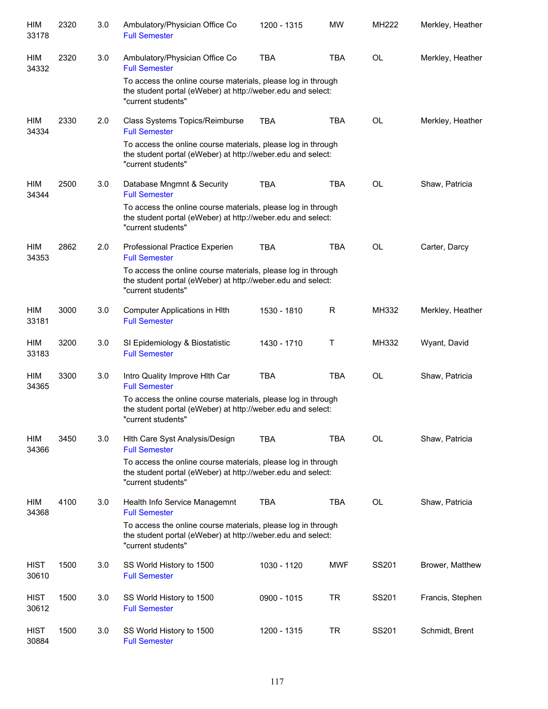| HIM<br>33178         | 2320 | 3.0 | Ambulatory/Physician Office Co<br><b>Full Semester</b>                                                                                            | 1200 - 1315 | <b>MW</b>  | <b>MH222</b> | Merkley, Heather |
|----------------------|------|-----|---------------------------------------------------------------------------------------------------------------------------------------------------|-------------|------------|--------------|------------------|
| HIM<br>34332         | 2320 | 3.0 | Ambulatory/Physician Office Co<br><b>Full Semester</b>                                                                                            | <b>TBA</b>  | <b>TBA</b> | OL           | Merkley, Heather |
|                      |      |     | To access the online course materials, please log in through<br>the student portal (eWeber) at http://weber.edu and select:<br>"current students" |             |            |              |                  |
| HIM<br>34334         | 2330 | 2.0 | Class Systems Topics/Reimburse<br><b>Full Semester</b>                                                                                            | <b>TBA</b>  | <b>TBA</b> | OL           | Merkley, Heather |
|                      |      |     | To access the online course materials, please log in through<br>the student portal (eWeber) at http://weber.edu and select:<br>"current students" |             |            |              |                  |
| HIM<br>34344         | 2500 | 3.0 | Database Mngmnt & Security<br><b>Full Semester</b>                                                                                                | <b>TBA</b>  | <b>TBA</b> | <b>OL</b>    | Shaw, Patricia   |
|                      |      |     | To access the online course materials, please log in through<br>the student portal (eWeber) at http://weber.edu and select:<br>"current students" |             |            |              |                  |
| HIM<br>34353         | 2862 | 2.0 | Professional Practice Experien<br><b>Full Semester</b>                                                                                            | <b>TBA</b>  | <b>TBA</b> | <b>OL</b>    | Carter, Darcy    |
|                      |      |     | To access the online course materials, please log in through<br>the student portal (eWeber) at http://weber.edu and select:<br>"current students" |             |            |              |                  |
| HIM<br>33181         | 3000 | 3.0 | Computer Applications in Hlth<br><b>Full Semester</b>                                                                                             | 1530 - 1810 | R          | MH332        | Merkley, Heather |
| HIM<br>33183         | 3200 | 3.0 | SI Epidemiology & Biostatistic<br><b>Full Semester</b>                                                                                            | 1430 - 1710 | Τ          | MH332        | Wyant, David     |
| HIM<br>34365         | 3300 | 3.0 | Intro Quality Improve Hith Car<br><b>Full Semester</b>                                                                                            | <b>TBA</b>  | <b>TBA</b> | OL           | Shaw, Patricia   |
|                      |      |     | To access the online course materials, please log in through<br>the student portal (eWeber) at http://weber.edu and select:<br>"current students" |             |            |              |                  |
| HIM<br>34366         | 3450 | 3.0 | Hith Care Syst Analysis/Design<br><b>Full Semester</b>                                                                                            | <b>TBA</b>  | TBA        | <b>OL</b>    | Shaw, Patricia   |
|                      |      |     | To access the online course materials, please log in through<br>the student portal (eWeber) at http://weber.edu and select:<br>"current students" |             |            |              |                  |
| HIM<br>34368         | 4100 | 3.0 | Health Info Service Managemnt<br><b>Full Semester</b>                                                                                             | <b>TBA</b>  | <b>TBA</b> | <b>OL</b>    | Shaw, Patricia   |
|                      |      |     | To access the online course materials, please log in through<br>the student portal (eWeber) at http://weber.edu and select:<br>"current students" |             |            |              |                  |
| <b>HIST</b><br>30610 | 1500 | 3.0 | SS World History to 1500<br><b>Full Semester</b>                                                                                                  | 1030 - 1120 | <b>MWF</b> | SS201        | Brower, Matthew  |
| <b>HIST</b><br>30612 | 1500 | 3.0 | SS World History to 1500<br><b>Full Semester</b>                                                                                                  | 0900 - 1015 | <b>TR</b>  | SS201        | Francis, Stephen |
| <b>HIST</b><br>30884 | 1500 | 3.0 | SS World History to 1500<br><b>Full Semester</b>                                                                                                  | 1200 - 1315 | <b>TR</b>  | SS201        | Schmidt, Brent   |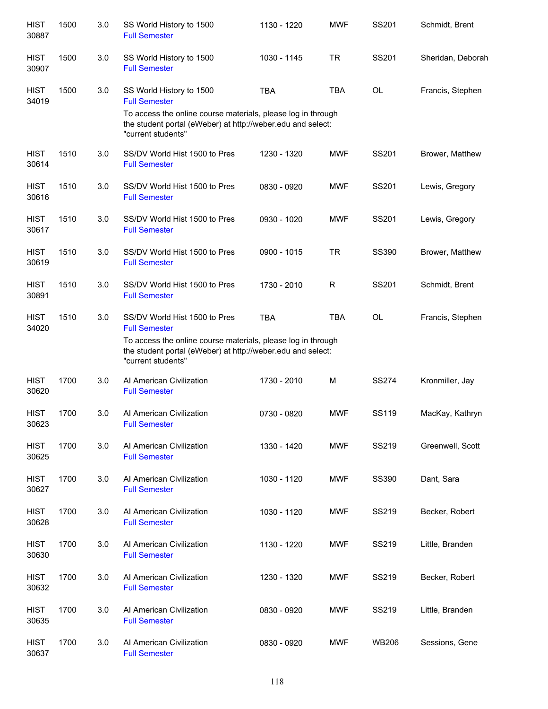| <b>HIST</b><br>30887 | 1500 | 3.0 | SS World History to 1500<br><b>Full Semester</b>                                                                                                  | 1130 - 1220 | <b>MWF</b> | SS201        | Schmidt, Brent    |
|----------------------|------|-----|---------------------------------------------------------------------------------------------------------------------------------------------------|-------------|------------|--------------|-------------------|
| <b>HIST</b><br>30907 | 1500 | 3.0 | SS World History to 1500<br><b>Full Semester</b>                                                                                                  | 1030 - 1145 | <b>TR</b>  | SS201        | Sheridan, Deborah |
| <b>HIST</b><br>34019 | 1500 | 3.0 | SS World History to 1500<br><b>Full Semester</b>                                                                                                  | <b>TBA</b>  | <b>TBA</b> | OL           | Francis, Stephen  |
|                      |      |     | To access the online course materials, please log in through<br>the student portal (eWeber) at http://weber.edu and select:<br>"current students" |             |            |              |                   |
| <b>HIST</b><br>30614 | 1510 | 3.0 | SS/DV World Hist 1500 to Pres<br><b>Full Semester</b>                                                                                             | 1230 - 1320 | <b>MWF</b> | SS201        | Brower, Matthew   |
| <b>HIST</b><br>30616 | 1510 | 3.0 | SS/DV World Hist 1500 to Pres<br><b>Full Semester</b>                                                                                             | 0830 - 0920 | <b>MWF</b> | SS201        | Lewis, Gregory    |
| <b>HIST</b><br>30617 | 1510 | 3.0 | SS/DV World Hist 1500 to Pres<br><b>Full Semester</b>                                                                                             | 0930 - 1020 | <b>MWF</b> | SS201        | Lewis, Gregory    |
| <b>HIST</b><br>30619 | 1510 | 3.0 | SS/DV World Hist 1500 to Pres<br><b>Full Semester</b>                                                                                             | 0900 - 1015 | <b>TR</b>  | SS390        | Brower, Matthew   |
| <b>HIST</b><br>30891 | 1510 | 3.0 | SS/DV World Hist 1500 to Pres<br><b>Full Semester</b>                                                                                             | 1730 - 2010 | R          | SS201        | Schmidt, Brent    |
| <b>HIST</b><br>34020 | 1510 | 3.0 | SS/DV World Hist 1500 to Pres<br><b>Full Semester</b>                                                                                             | <b>TBA</b>  | <b>TBA</b> | <b>OL</b>    | Francis, Stephen  |
|                      |      |     | To access the online course materials, please log in through<br>the student portal (eWeber) at http://weber.edu and select:<br>"current students" |             |            |              |                   |
| <b>HIST</b><br>30620 | 1700 | 3.0 | Al American Civilization<br><b>Full Semester</b>                                                                                                  | 1730 - 2010 | M          | <b>SS274</b> | Kronmiller, Jay   |
| <b>HIST</b><br>30623 | 1700 | 3.0 | Al American Civilization<br><b>Full Semester</b>                                                                                                  | 0730 - 0820 | <b>MWF</b> | <b>SS119</b> | MacKay, Kathryn   |
| <b>HIST</b><br>30625 | 1700 | 3.0 | Al American Civilization<br><b>Full Semester</b>                                                                                                  | 1330 - 1420 | <b>MWF</b> | SS219        | Greenwell, Scott  |
| <b>HIST</b><br>30627 | 1700 | 3.0 | Al American Civilization<br><b>Full Semester</b>                                                                                                  | 1030 - 1120 | <b>MWF</b> | SS390        | Dant, Sara        |
| <b>HIST</b><br>30628 | 1700 | 3.0 | Al American Civilization<br><b>Full Semester</b>                                                                                                  | 1030 - 1120 | <b>MWF</b> | SS219        | Becker, Robert    |
| <b>HIST</b><br>30630 | 1700 | 3.0 | Al American Civilization<br><b>Full Semester</b>                                                                                                  | 1130 - 1220 | <b>MWF</b> | SS219        | Little, Branden   |
| <b>HIST</b><br>30632 | 1700 | 3.0 | Al American Civilization<br><b>Full Semester</b>                                                                                                  | 1230 - 1320 | <b>MWF</b> | SS219        | Becker, Robert    |
| <b>HIST</b><br>30635 | 1700 | 3.0 | Al American Civilization<br><b>Full Semester</b>                                                                                                  | 0830 - 0920 | <b>MWF</b> | SS219        | Little, Branden   |
| <b>HIST</b><br>30637 | 1700 | 3.0 | Al American Civilization<br><b>Full Semester</b>                                                                                                  | 0830 - 0920 | <b>MWF</b> | <b>WB206</b> | Sessions, Gene    |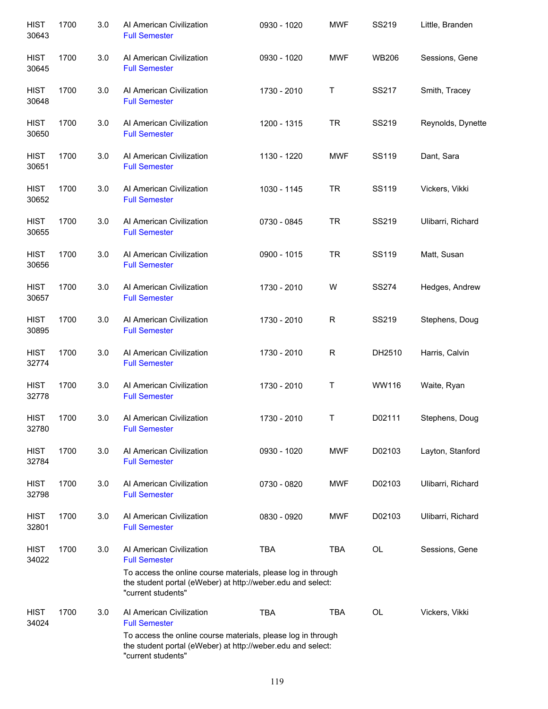| <b>HIST</b><br>30643 | 1700 | 3.0 | Al American Civilization<br><b>Full Semester</b>                                                                                                  | 0930 - 1020 | <b>MWF</b>   | SS219        | Little, Branden   |
|----------------------|------|-----|---------------------------------------------------------------------------------------------------------------------------------------------------|-------------|--------------|--------------|-------------------|
| <b>HIST</b><br>30645 | 1700 | 3.0 | Al American Civilization<br><b>Full Semester</b>                                                                                                  | 0930 - 1020 | <b>MWF</b>   | <b>WB206</b> | Sessions, Gene    |
| <b>HIST</b><br>30648 | 1700 | 3.0 | Al American Civilization<br><b>Full Semester</b>                                                                                                  | 1730 - 2010 | Τ            | <b>SS217</b> | Smith, Tracey     |
| <b>HIST</b><br>30650 | 1700 | 3.0 | Al American Civilization<br><b>Full Semester</b>                                                                                                  | 1200 - 1315 | <b>TR</b>    | SS219        | Reynolds, Dynette |
| <b>HIST</b><br>30651 | 1700 | 3.0 | Al American Civilization<br><b>Full Semester</b>                                                                                                  | 1130 - 1220 | MWF          | SS119        | Dant, Sara        |
| <b>HIST</b><br>30652 | 1700 | 3.0 | Al American Civilization<br><b>Full Semester</b>                                                                                                  | 1030 - 1145 | <b>TR</b>    | SS119        | Vickers, Vikki    |
| <b>HIST</b><br>30655 | 1700 | 3.0 | Al American Civilization<br><b>Full Semester</b>                                                                                                  | 0730 - 0845 | <b>TR</b>    | SS219        | Ulibarri, Richard |
| <b>HIST</b><br>30656 | 1700 | 3.0 | Al American Civilization<br><b>Full Semester</b>                                                                                                  | 0900 - 1015 | <b>TR</b>    | SS119        | Matt, Susan       |
| <b>HIST</b><br>30657 | 1700 | 3.0 | Al American Civilization<br><b>Full Semester</b>                                                                                                  | 1730 - 2010 | W            | <b>SS274</b> | Hedges, Andrew    |
| <b>HIST</b><br>30895 | 1700 | 3.0 | Al American Civilization<br><b>Full Semester</b>                                                                                                  | 1730 - 2010 | $\mathsf{R}$ | SS219        | Stephens, Doug    |
| <b>HIST</b><br>32774 | 1700 | 3.0 | Al American Civilization<br><b>Full Semester</b>                                                                                                  | 1730 - 2010 | $\mathsf{R}$ | DH2510       | Harris, Calvin    |
| <b>HIST</b><br>32778 | 1700 | 3.0 | Al American Civilization<br><b>Full Semester</b>                                                                                                  | 1730 - 2010 | Τ            | WW116        | Waite, Ryan       |
| <b>HIST</b><br>32780 | 1700 | 3.0 | Al American Civilization<br><b>Full Semester</b>                                                                                                  | 1730 - 2010 | Τ            | D02111       | Stephens, Doug    |
| <b>HIST</b><br>32784 | 1700 | 3.0 | Al American Civilization<br><b>Full Semester</b>                                                                                                  | 0930 - 1020 | <b>MWF</b>   | D02103       | Layton, Stanford  |
| <b>HIST</b><br>32798 | 1700 | 3.0 | Al American Civilization<br><b>Full Semester</b>                                                                                                  | 0730 - 0820 | <b>MWF</b>   | D02103       | Ulibarri, Richard |
| <b>HIST</b><br>32801 | 1700 | 3.0 | Al American Civilization<br><b>Full Semester</b>                                                                                                  | 0830 - 0920 | <b>MWF</b>   | D02103       | Ulibarri, Richard |
| <b>HIST</b><br>34022 | 1700 | 3.0 | Al American Civilization<br><b>Full Semester</b>                                                                                                  | <b>TBA</b>  | <b>TBA</b>   | <b>OL</b>    | Sessions, Gene    |
|                      |      |     | To access the online course materials, please log in through<br>the student portal (eWeber) at http://weber.edu and select:<br>"current students" |             |              |              |                   |
| <b>HIST</b><br>34024 | 1700 | 3.0 | Al American Civilization<br><b>Full Semester</b>                                                                                                  | <b>TBA</b>  | <b>TBA</b>   | <b>OL</b>    | Vickers, Vikki    |
|                      |      |     | To access the online course materials, please log in through<br>the student portal (eWeber) at http://weber.edu and select:<br>"current students" |             |              |              |                   |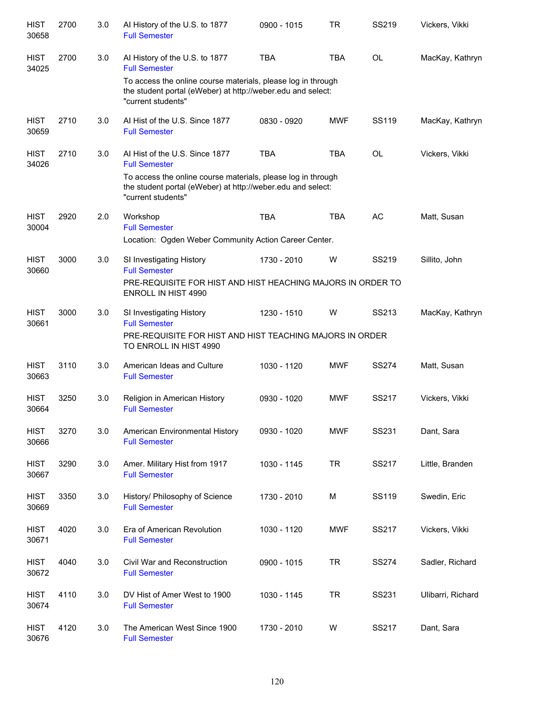| <b>HIST</b><br>30658 | 2700 | 3.0 | Al History of the U.S. to 1877<br><b>Full Semester</b>                                                                                            | 0900 - 1015 | TR         | SS219        | Vickers, Vikki    |
|----------------------|------|-----|---------------------------------------------------------------------------------------------------------------------------------------------------|-------------|------------|--------------|-------------------|
| <b>HIST</b><br>34025 | 2700 | 3.0 | Al History of the U.S. to 1877<br><b>Full Semester</b>                                                                                            | <b>TBA</b>  | <b>TBA</b> | <b>OL</b>    | MacKay, Kathryn   |
|                      |      |     | To access the online course materials, please log in through<br>the student portal (eWeber) at http://weber.edu and select:<br>"current students" |             |            |              |                   |
| <b>HIST</b><br>30659 | 2710 | 3.0 | Al Hist of the U.S. Since 1877<br><b>Full Semester</b>                                                                                            | 0830 - 0920 | <b>MWF</b> | <b>SS119</b> | MacKay, Kathryn   |
| <b>HIST</b><br>34026 | 2710 | 3.0 | Al Hist of the U.S. Since 1877<br><b>Full Semester</b>                                                                                            | <b>TBA</b>  | <b>TBA</b> | OL           | Vickers, Vikki    |
|                      |      |     | To access the online course materials, please log in through<br>the student portal (eWeber) at http://weber.edu and select:<br>"current students" |             |            |              |                   |
| <b>HIST</b><br>30004 | 2920 | 2.0 | Workshop<br><b>Full Semester</b>                                                                                                                  | <b>TBA</b>  | <b>TBA</b> | AC           | Matt, Susan       |
|                      |      |     | Location: Ogden Weber Community Action Career Center.                                                                                             |             |            |              |                   |
| <b>HIST</b><br>30660 | 3000 | 3.0 | SI Investigating History<br><b>Full Semester</b>                                                                                                  | 1730 - 2010 | W          | SS219        | Sillito, John     |
|                      |      |     | PRE-REQUISITE FOR HIST AND HIST HEACHING MAJORS IN ORDER TO<br><b>ENROLL IN HIST 4990</b>                                                         |             |            |              |                   |
| <b>HIST</b><br>30661 | 3000 | 3.0 | SI Investigating History<br><b>Full Semester</b>                                                                                                  | 1230 - 1510 | W          | SS213        | MacKay, Kathryn   |
|                      |      |     | PRE-REQUISITE FOR HIST AND HIST TEACHING MAJORS IN ORDER<br>TO ENROLL IN HIST 4990                                                                |             |            |              |                   |
| <b>HIST</b><br>30663 | 3110 | 3.0 | American Ideas and Culture<br><b>Full Semester</b>                                                                                                | 1030 - 1120 | <b>MWF</b> | <b>SS274</b> | Matt, Susan       |
| <b>HIST</b><br>30664 | 3250 | 3.0 | Religion in American History<br><b>Full Semester</b>                                                                                              | 0930 - 1020 | <b>MWF</b> | SS217        | Vickers, Vikki    |
| <b>HIST</b><br>30666 | 3270 | 3.0 | American Environmental History<br><b>Full Semester</b>                                                                                            | 0930 - 1020 | <b>MWF</b> | SS231        | Dant, Sara        |
| <b>HIST</b><br>30667 | 3290 | 3.0 | Amer. Military Hist from 1917<br><b>Full Semester</b>                                                                                             | 1030 - 1145 | <b>TR</b>  | SS217        | Little, Branden   |
| <b>HIST</b><br>30669 | 3350 | 3.0 | History/ Philosophy of Science<br><b>Full Semester</b>                                                                                            | 1730 - 2010 | М          | SS119        | Swedin, Eric      |
| <b>HIST</b><br>30671 | 4020 | 3.0 | Era of American Revolution<br><b>Full Semester</b>                                                                                                | 1030 - 1120 | MWF        | SS217        | Vickers, Vikki    |
| <b>HIST</b><br>30672 | 4040 | 3.0 | Civil War and Reconstruction<br><b>Full Semester</b>                                                                                              | 0900 - 1015 | TR         | <b>SS274</b> | Sadler, Richard   |
| <b>HIST</b><br>30674 | 4110 | 3.0 | DV Hist of Amer West to 1900<br><b>Full Semester</b>                                                                                              | 1030 - 1145 | <b>TR</b>  | SS231        | Ulibarri, Richard |
| <b>HIST</b><br>30676 | 4120 | 3.0 | The American West Since 1900<br><b>Full Semester</b>                                                                                              | 1730 - 2010 | W          | SS217        | Dant, Sara        |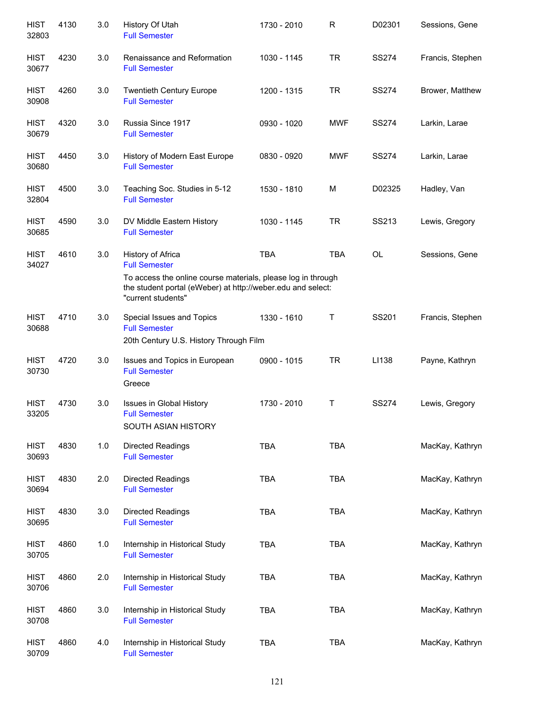| <b>HIST</b><br>32803 | 4130 | 3.0 | History Of Utah<br><b>Full Semester</b>                                                                                                           | 1730 - 2010 | R          | D02301       | Sessions, Gene   |
|----------------------|------|-----|---------------------------------------------------------------------------------------------------------------------------------------------------|-------------|------------|--------------|------------------|
| <b>HIST</b><br>30677 | 4230 | 3.0 | Renaissance and Reformation<br><b>Full Semester</b>                                                                                               | 1030 - 1145 | <b>TR</b>  | <b>SS274</b> | Francis, Stephen |
| <b>HIST</b><br>30908 | 4260 | 3.0 | <b>Twentieth Century Europe</b><br><b>Full Semester</b>                                                                                           | 1200 - 1315 | <b>TR</b>  | <b>SS274</b> | Brower, Matthew  |
| <b>HIST</b><br>30679 | 4320 | 3.0 | Russia Since 1917<br><b>Full Semester</b>                                                                                                         | 0930 - 1020 | <b>MWF</b> | <b>SS274</b> | Larkin, Larae    |
| <b>HIST</b><br>30680 | 4450 | 3.0 | History of Modern East Europe<br><b>Full Semester</b>                                                                                             | 0830 - 0920 | <b>MWF</b> | <b>SS274</b> | Larkin, Larae    |
| <b>HIST</b><br>32804 | 4500 | 3.0 | Teaching Soc. Studies in 5-12<br><b>Full Semester</b>                                                                                             | 1530 - 1810 | M          | D02325       | Hadley, Van      |
| <b>HIST</b><br>30685 | 4590 | 3.0 | DV Middle Eastern History<br><b>Full Semester</b>                                                                                                 | 1030 - 1145 | <b>TR</b>  | SS213        | Lewis, Gregory   |
| <b>HIST</b><br>34027 | 4610 | 3.0 | History of Africa<br><b>Full Semester</b>                                                                                                         | <b>TBA</b>  | <b>TBA</b> | <b>OL</b>    | Sessions, Gene   |
|                      |      |     | To access the online course materials, please log in through<br>the student portal (eWeber) at http://weber.edu and select:<br>"current students" |             |            |              |                  |
| <b>HIST</b><br>30688 | 4710 | 3.0 | Special Issues and Topics<br><b>Full Semester</b><br>20th Century U.S. History Through Film                                                       | 1330 - 1610 | Τ          | SS201        | Francis, Stephen |
| <b>HIST</b><br>30730 | 4720 | 3.0 | Issues and Topics in European<br><b>Full Semester</b><br>Greece                                                                                   | 0900 - 1015 | <b>TR</b>  | LI138        | Payne, Kathryn   |
| <b>HIST</b><br>33205 | 4730 | 3.0 | Issues in Global History<br><b>Full Semester</b><br>SOUTH ASIAN HISTORY                                                                           | 1730 - 2010 | Τ          | <b>SS274</b> | Lewis, Gregory   |
| <b>HIST</b><br>30693 | 4830 | 1.0 | Directed Readings<br><b>Full Semester</b>                                                                                                         | <b>TBA</b>  | <b>TBA</b> |              | MacKay, Kathryn  |
| <b>HIST</b><br>30694 | 4830 | 2.0 | <b>Directed Readings</b><br><b>Full Semester</b>                                                                                                  | <b>TBA</b>  | <b>TBA</b> |              | MacKay, Kathryn  |
| <b>HIST</b><br>30695 | 4830 | 3.0 | Directed Readings<br><b>Full Semester</b>                                                                                                         | <b>TBA</b>  | <b>TBA</b> |              | MacKay, Kathryn  |
| <b>HIST</b><br>30705 | 4860 | 1.0 | Internship in Historical Study<br><b>Full Semester</b>                                                                                            | <b>TBA</b>  | <b>TBA</b> |              | MacKay, Kathryn  |
| <b>HIST</b><br>30706 | 4860 | 2.0 | Internship in Historical Study<br><b>Full Semester</b>                                                                                            | <b>TBA</b>  | <b>TBA</b> |              | MacKay, Kathryn  |
| <b>HIST</b><br>30708 | 4860 | 3.0 | Internship in Historical Study<br><b>Full Semester</b>                                                                                            | <b>TBA</b>  | <b>TBA</b> |              | MacKay, Kathryn  |
| <b>HIST</b><br>30709 | 4860 | 4.0 | Internship in Historical Study<br><b>Full Semester</b>                                                                                            | <b>TBA</b>  | <b>TBA</b> |              | MacKay, Kathryn  |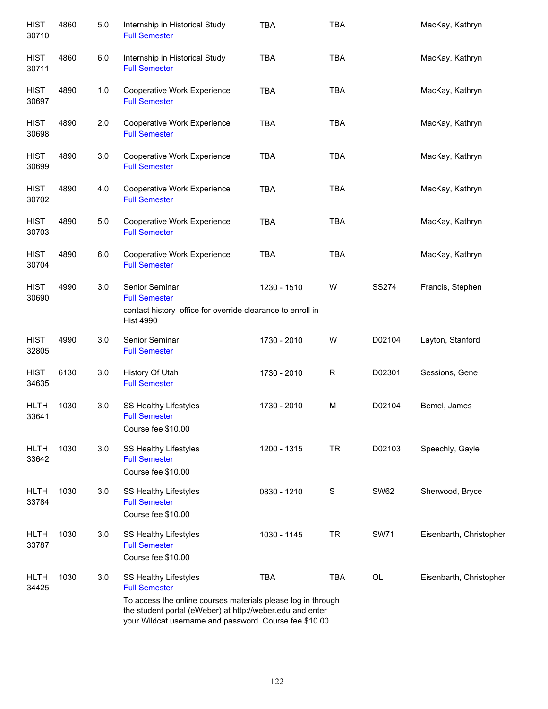| <b>HIST</b><br>30710 | 4860 | 5.0 | Internship in Historical Study<br><b>Full Semester</b>                                                                                                                              | <b>TBA</b>  | <b>TBA</b>   |              | MacKay, Kathryn         |
|----------------------|------|-----|-------------------------------------------------------------------------------------------------------------------------------------------------------------------------------------|-------------|--------------|--------------|-------------------------|
| <b>HIST</b><br>30711 | 4860 | 6.0 | Internship in Historical Study<br><b>Full Semester</b>                                                                                                                              | <b>TBA</b>  | <b>TBA</b>   |              | MacKay, Kathryn         |
| <b>HIST</b><br>30697 | 4890 | 1.0 | Cooperative Work Experience<br><b>Full Semester</b>                                                                                                                                 | <b>TBA</b>  | <b>TBA</b>   |              | MacKay, Kathryn         |
| <b>HIST</b><br>30698 | 4890 | 2.0 | Cooperative Work Experience<br><b>Full Semester</b>                                                                                                                                 | <b>TBA</b>  | <b>TBA</b>   |              | MacKay, Kathryn         |
| <b>HIST</b><br>30699 | 4890 | 3.0 | Cooperative Work Experience<br><b>Full Semester</b>                                                                                                                                 | <b>TBA</b>  | <b>TBA</b>   |              | MacKay, Kathryn         |
| <b>HIST</b><br>30702 | 4890 | 4.0 | Cooperative Work Experience<br><b>Full Semester</b>                                                                                                                                 | <b>TBA</b>  | <b>TBA</b>   |              | MacKay, Kathryn         |
| <b>HIST</b><br>30703 | 4890 | 5.0 | Cooperative Work Experience<br><b>Full Semester</b>                                                                                                                                 | <b>TBA</b>  | <b>TBA</b>   |              | MacKay, Kathryn         |
| <b>HIST</b><br>30704 | 4890 | 6.0 | Cooperative Work Experience<br><b>Full Semester</b>                                                                                                                                 | <b>TBA</b>  | <b>TBA</b>   |              | MacKay, Kathryn         |
| <b>HIST</b><br>30690 | 4990 | 3.0 | Senior Seminar<br><b>Full Semester</b><br>contact history office for override clearance to enroll in<br><b>Hist 4990</b>                                                            | 1230 - 1510 | W            | <b>SS274</b> | Francis, Stephen        |
| <b>HIST</b><br>32805 | 4990 | 3.0 | Senior Seminar<br><b>Full Semester</b>                                                                                                                                              | 1730 - 2010 | W            | D02104       | Layton, Stanford        |
| <b>HIST</b><br>34635 | 6130 | 3.0 | History Of Utah<br><b>Full Semester</b>                                                                                                                                             | 1730 - 2010 | $\mathsf{R}$ | D02301       | Sessions, Gene          |
| <b>HLTH</b><br>33641 | 1030 | 3.0 | <b>SS Healthy Lifestyles</b><br><b>Full Semester</b><br>Course fee \$10.00                                                                                                          | 1730 - 2010 | M            | D02104       | Bemel, James            |
| <b>HLTH</b><br>33642 | 1030 | 3.0 | SS Healthy Lifestyles<br><b>Full Semester</b><br>Course fee \$10.00                                                                                                                 | 1200 - 1315 | <b>TR</b>    | D02103       | Speechly, Gayle         |
| <b>HLTH</b><br>33784 | 1030 | 3.0 | SS Healthy Lifestyles<br><b>Full Semester</b><br>Course fee \$10.00                                                                                                                 | 0830 - 1210 | $\mathbf S$  | <b>SW62</b>  | Sherwood, Bryce         |
| <b>HLTH</b><br>33787 | 1030 | 3.0 | SS Healthy Lifestyles<br><b>Full Semester</b><br>Course fee \$10.00                                                                                                                 | 1030 - 1145 | <b>TR</b>    | <b>SW71</b>  | Eisenbarth, Christopher |
| <b>HLTH</b><br>34425 | 1030 | 3.0 | SS Healthy Lifestyles<br><b>Full Semester</b>                                                                                                                                       | <b>TBA</b>  | <b>TBA</b>   | OL           | Eisenbarth, Christopher |
|                      |      |     | To access the online courses materials please log in through<br>the student portal (eWeber) at http://weber.edu and enter<br>your Wildcat username and password. Course fee \$10.00 |             |              |              |                         |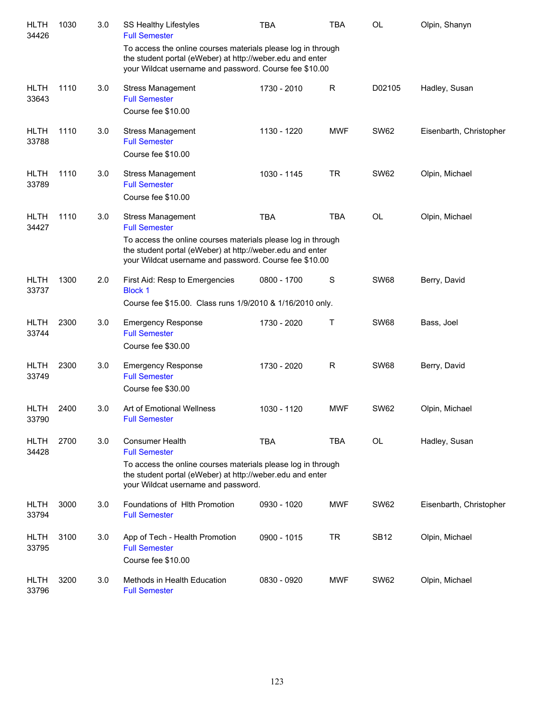| <b>HLTH</b><br>34426 | 1030 | 3.0 | <b>SS Healthy Lifestyles</b><br><b>Full Semester</b>                                                                                                                                                                                    | <b>TBA</b>  | <b>TBA</b>   | OL          | Olpin, Shanyn           |
|----------------------|------|-----|-----------------------------------------------------------------------------------------------------------------------------------------------------------------------------------------------------------------------------------------|-------------|--------------|-------------|-------------------------|
|                      |      |     | To access the online courses materials please log in through<br>the student portal (eWeber) at http://weber.edu and enter<br>your Wildcat username and password. Course fee \$10.00                                                     |             |              |             |                         |
| <b>HLTH</b><br>33643 | 1110 | 3.0 | <b>Stress Management</b><br><b>Full Semester</b><br>Course fee \$10.00                                                                                                                                                                  | 1730 - 2010 | $\mathsf{R}$ | D02105      | Hadley, Susan           |
| <b>HLTH</b><br>33788 | 1110 | 3.0 | <b>Stress Management</b><br><b>Full Semester</b><br>Course fee \$10.00                                                                                                                                                                  | 1130 - 1220 | <b>MWF</b>   | <b>SW62</b> | Eisenbarth, Christopher |
| <b>HLTH</b><br>33789 | 1110 | 3.0 | <b>Stress Management</b><br><b>Full Semester</b><br>Course fee \$10.00                                                                                                                                                                  | 1030 - 1145 | <b>TR</b>    | <b>SW62</b> | Olpin, Michael          |
| <b>HLTH</b><br>34427 | 1110 | 3.0 | <b>Stress Management</b><br><b>Full Semester</b><br>To access the online courses materials please log in through<br>the student portal (eWeber) at http://weber.edu and enter<br>your Wildcat username and password. Course fee \$10.00 | <b>TBA</b>  | <b>TBA</b>   | <b>OL</b>   | Olpin, Michael          |
| <b>HLTH</b><br>33737 | 1300 | 2.0 | First Aid: Resp to Emergencies<br><b>Block 1</b><br>Course fee \$15.00. Class runs 1/9/2010 & 1/16/2010 only.                                                                                                                           | 0800 - 1700 | S            | <b>SW68</b> | Berry, David            |
| <b>HLTH</b><br>33744 | 2300 | 3.0 | <b>Emergency Response</b><br><b>Full Semester</b><br>Course fee \$30.00                                                                                                                                                                 | 1730 - 2020 | $\mathsf T$  | <b>SW68</b> | Bass, Joel              |
| <b>HLTH</b><br>33749 | 2300 | 3.0 | <b>Emergency Response</b><br><b>Full Semester</b><br>Course fee \$30.00                                                                                                                                                                 | 1730 - 2020 | R            | <b>SW68</b> | Berry, David            |
| <b>HLTH</b><br>33790 | 2400 | 3.0 | Art of Emotional Wellness<br><b>Full Semester</b>                                                                                                                                                                                       | 1030 - 1120 | <b>MWF</b>   | <b>SW62</b> | Olpin, Michael          |
| <b>HLTH</b><br>34428 | 2700 | 3.0 | <b>Consumer Health</b><br><b>Full Semester</b><br>To access the online courses materials please log in through<br>the student portal (eWeber) at http://weber.edu and enter<br>your Wildcat username and password.                      | <b>TBA</b>  | <b>TBA</b>   | OL          | Hadley, Susan           |
| <b>HLTH</b><br>33794 | 3000 | 3.0 | Foundations of HIth Promotion<br><b>Full Semester</b>                                                                                                                                                                                   | 0930 - 1020 | <b>MWF</b>   | <b>SW62</b> | Eisenbarth, Christopher |
| <b>HLTH</b><br>33795 | 3100 | 3.0 | App of Tech - Health Promotion<br><b>Full Semester</b><br>Course fee \$10.00                                                                                                                                                            | 0900 - 1015 | <b>TR</b>    | <b>SB12</b> | Olpin, Michael          |
| <b>HLTH</b><br>33796 | 3200 | 3.0 | Methods in Health Education<br><b>Full Semester</b>                                                                                                                                                                                     | 0830 - 0920 | <b>MWF</b>   | <b>SW62</b> | Olpin, Michael          |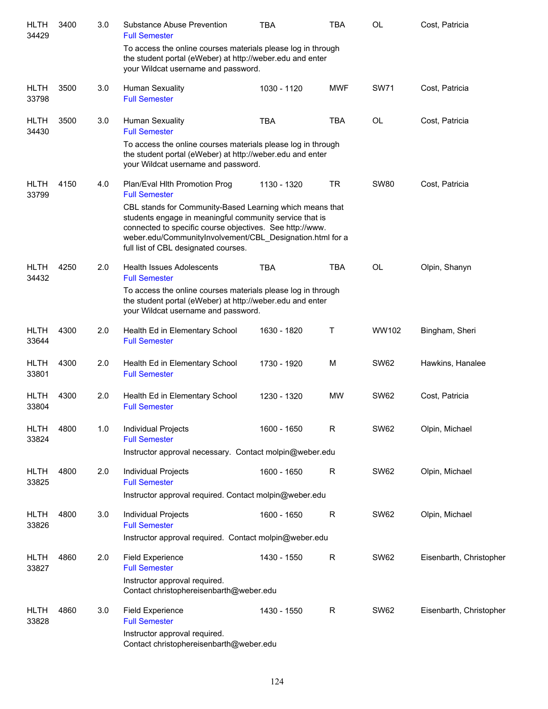| <b>HLTH</b><br>34429 | 3400 | 3.0 | Substance Abuse Prevention<br><b>Full Semester</b>                                                                                                                                                                                                                                   | <b>TBA</b>  | <b>TBA</b>   | <b>OL</b>   | Cost, Patricia          |
|----------------------|------|-----|--------------------------------------------------------------------------------------------------------------------------------------------------------------------------------------------------------------------------------------------------------------------------------------|-------------|--------------|-------------|-------------------------|
|                      |      |     | To access the online courses materials please log in through<br>the student portal (eWeber) at http://weber.edu and enter<br>your Wildcat username and password.                                                                                                                     |             |              |             |                         |
| <b>HLTH</b><br>33798 | 3500 | 3.0 | Human Sexuality<br><b>Full Semester</b>                                                                                                                                                                                                                                              | 1030 - 1120 | <b>MWF</b>   | <b>SW71</b> | Cost, Patricia          |
| <b>HLTH</b><br>34430 | 3500 | 3.0 | <b>Human Sexuality</b><br><b>Full Semester</b><br>To access the online courses materials please log in through<br>the student portal (eWeber) at http://weber.edu and enter                                                                                                          | <b>TBA</b>  | <b>TBA</b>   | OL          | Cost, Patricia          |
|                      |      |     | your Wildcat username and password.                                                                                                                                                                                                                                                  |             |              |             |                         |
| <b>HLTH</b><br>33799 | 4150 | 4.0 | Plan/Eval Hith Promotion Prog<br><b>Full Semester</b>                                                                                                                                                                                                                                | 1130 - 1320 | <b>TR</b>    | <b>SW80</b> | Cost, Patricia          |
|                      |      |     | CBL stands for Community-Based Learning which means that<br>students engage in meaningful community service that is<br>connected to specific course objectives. See http://www.<br>weber.edu/CommunityInvolvement/CBL_Designation.html for a<br>full list of CBL designated courses. |             |              |             |                         |
| <b>HLTH</b><br>34432 | 4250 | 2.0 | <b>Health Issues Adolescents</b><br><b>Full Semester</b>                                                                                                                                                                                                                             | <b>TBA</b>  | <b>TBA</b>   | OL          | Olpin, Shanyn           |
|                      |      |     | To access the online courses materials please log in through<br>the student portal (eWeber) at http://weber.edu and enter<br>your Wildcat username and password.                                                                                                                     |             |              |             |                         |
| <b>HLTH</b><br>33644 | 4300 | 2.0 | Health Ed in Elementary School<br><b>Full Semester</b>                                                                                                                                                                                                                               | 1630 - 1820 | Т            | WW102       | Bingham, Sheri          |
| <b>HLTH</b><br>33801 | 4300 | 2.0 | Health Ed in Elementary School<br><b>Full Semester</b>                                                                                                                                                                                                                               | 1730 - 1920 | M            | <b>SW62</b> | Hawkins, Hanalee        |
| <b>HLTH</b><br>33804 | 4300 | 2.0 | Health Ed in Elementary School<br><b>Full Semester</b>                                                                                                                                                                                                                               | 1230 - 1320 | MW           | <b>SW62</b> | Cost, Patricia          |
| <b>HLTH</b><br>33824 | 4800 | 1.0 | Individual Projects<br><b>Full Semester</b>                                                                                                                                                                                                                                          | 1600 - 1650 | $\mathsf{R}$ | <b>SW62</b> | Olpin, Michael          |
|                      |      |     | Instructor approval necessary. Contact molpin@weber.edu                                                                                                                                                                                                                              |             |              |             |                         |
| <b>HLTH</b><br>33825 | 4800 | 2.0 | Individual Projects<br><b>Full Semester</b>                                                                                                                                                                                                                                          | 1600 - 1650 | R            | <b>SW62</b> | Olpin, Michael          |
|                      |      |     | Instructor approval required. Contact molpin@weber.edu                                                                                                                                                                                                                               |             |              |             |                         |
| <b>HLTH</b><br>33826 | 4800 | 3.0 | Individual Projects<br><b>Full Semester</b>                                                                                                                                                                                                                                          | 1600 - 1650 | $\mathsf R$  | <b>SW62</b> | Olpin, Michael          |
|                      |      |     | Instructor approval required. Contact molpin@weber.edu                                                                                                                                                                                                                               |             |              |             |                         |
| <b>HLTH</b><br>33827 | 4860 | 2.0 | <b>Field Experience</b><br><b>Full Semester</b>                                                                                                                                                                                                                                      | 1430 - 1550 | R            | <b>SW62</b> | Eisenbarth, Christopher |
|                      |      |     | Instructor approval required.<br>Contact christophereisenbarth@weber.edu                                                                                                                                                                                                             |             |              |             |                         |
| <b>HLTH</b><br>33828 | 4860 | 3.0 | <b>Field Experience</b><br><b>Full Semester</b>                                                                                                                                                                                                                                      | 1430 - 1550 | $\mathsf R$  | <b>SW62</b> | Eisenbarth, Christopher |
|                      |      |     | Instructor approval required.<br>Contact christophereisenbarth@weber.edu                                                                                                                                                                                                             |             |              |             |                         |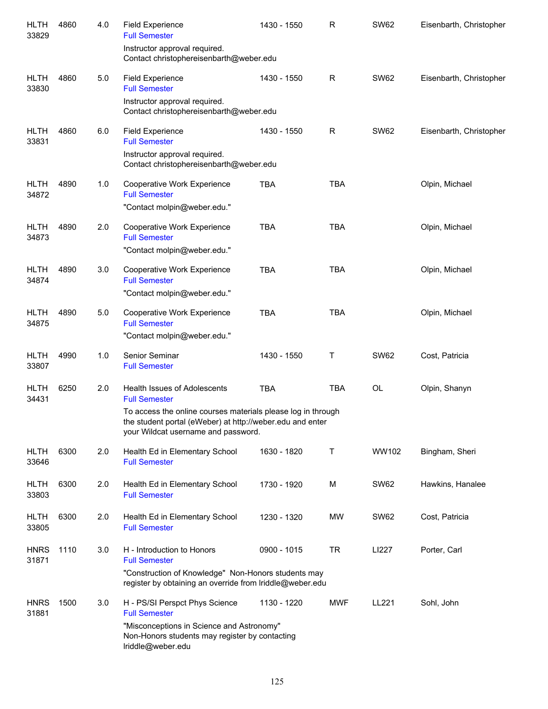| <b>HLTH</b><br>33829 | 4860 | 4.0 | <b>Field Experience</b><br><b>Full Semester</b>                                                                                                                  | 1430 - 1550 | R          | <b>SW62</b> | Eisenbarth, Christopher |
|----------------------|------|-----|------------------------------------------------------------------------------------------------------------------------------------------------------------------|-------------|------------|-------------|-------------------------|
|                      |      |     | Instructor approval required.<br>Contact christophereisenbarth@weber.edu                                                                                         |             |            |             |                         |
| <b>HLTH</b><br>33830 | 4860 | 5.0 | <b>Field Experience</b><br><b>Full Semester</b>                                                                                                                  | 1430 - 1550 | R          | <b>SW62</b> | Eisenbarth, Christopher |
|                      |      |     | Instructor approval required.<br>Contact christophereisenbarth@weber.edu                                                                                         |             |            |             |                         |
| <b>HLTH</b><br>33831 | 4860 | 6.0 | <b>Field Experience</b><br><b>Full Semester</b>                                                                                                                  | 1430 - 1550 | R          | <b>SW62</b> | Eisenbarth, Christopher |
|                      |      |     | Instructor approval required.<br>Contact christophereisenbarth@weber.edu                                                                                         |             |            |             |                         |
| <b>HLTH</b><br>34872 | 4890 | 1.0 | Cooperative Work Experience<br><b>Full Semester</b>                                                                                                              | <b>TBA</b>  | <b>TBA</b> |             | Olpin, Michael          |
|                      |      |     | "Contact molpin@weber.edu."                                                                                                                                      |             |            |             |                         |
| <b>HLTH</b><br>34873 | 4890 | 2.0 | <b>Cooperative Work Experience</b><br><b>Full Semester</b>                                                                                                       | <b>TBA</b>  | <b>TBA</b> |             | Olpin, Michael          |
|                      |      |     | "Contact molpin@weber.edu."                                                                                                                                      |             |            |             |                         |
| <b>HLTH</b><br>34874 | 4890 | 3.0 | <b>Cooperative Work Experience</b><br><b>Full Semester</b>                                                                                                       | <b>TBA</b>  | <b>TBA</b> |             | Olpin, Michael          |
|                      |      |     | "Contact molpin@weber.edu."                                                                                                                                      |             |            |             |                         |
| <b>HLTH</b><br>34875 | 4890 | 5.0 | Cooperative Work Experience<br><b>Full Semester</b>                                                                                                              | <b>TBA</b>  | <b>TBA</b> |             | Olpin, Michael          |
|                      |      |     | "Contact molpin@weber.edu."                                                                                                                                      |             |            |             |                         |
| <b>HLTH</b><br>33807 | 4990 | 1.0 | Senior Seminar<br><b>Full Semester</b>                                                                                                                           | 1430 - 1550 | Т          | <b>SW62</b> | Cost, Patricia          |
| <b>HLTH</b><br>34431 | 6250 | 2.0 | Health Issues of Adolescents<br><b>Full Semester</b>                                                                                                             | <b>TBA</b>  | <b>TBA</b> | OL          | Olpin, Shanyn           |
|                      |      |     | To access the online courses materials please log in through<br>the student portal (eWeber) at http://weber.edu and enter<br>your Wildcat username and password. |             |            |             |                         |
| <b>HLTH</b><br>33646 | 6300 | 2.0 | Health Ed in Elementary School<br><b>Full Semester</b>                                                                                                           | 1630 - 1820 | Т          | WW102       | Bingham, Sheri          |
| <b>HLTH</b><br>33803 | 6300 | 2.0 | Health Ed in Elementary School<br><b>Full Semester</b>                                                                                                           | 1730 - 1920 | М          | <b>SW62</b> | Hawkins, Hanalee        |
| <b>HLTH</b><br>33805 | 6300 | 2.0 | Health Ed in Elementary School<br><b>Full Semester</b>                                                                                                           | 1230 - 1320 | MW         | SW62        | Cost, Patricia          |
| <b>HNRS</b><br>31871 | 1110 | 3.0 | H - Introduction to Honors<br><b>Full Semester</b>                                                                                                               | 0900 - 1015 | <b>TR</b>  | LI227       | Porter, Carl            |
|                      |      |     | "Construction of Knowledge" Non-Honors students may<br>register by obtaining an override from Iriddle@weber.edu                                                  |             |            |             |                         |
| <b>HNRS</b><br>31881 | 1500 | 3.0 | H - PS/SI Perspct Phys Science<br><b>Full Semester</b>                                                                                                           | 1130 - 1220 | <b>MWF</b> | LL221       | Sohl, John              |
|                      |      |     | "Misconceptions in Science and Astronomy"<br>Non-Honors students may register by contacting<br>Iriddle@weber.edu                                                 |             |            |             |                         |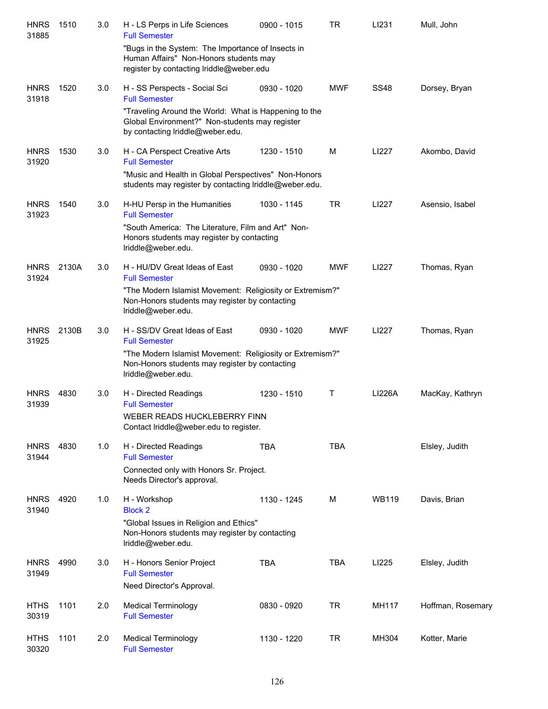| <b>HNRS</b><br>31885 | 1510  | 3.0 | H - LS Perps in Life Sciences<br><b>Full Semester</b><br>"Bugs in the System: The Importance of Insects in                                  | 0900 - 1015 | TR         | LI231        | Mull, John        |
|----------------------|-------|-----|---------------------------------------------------------------------------------------------------------------------------------------------|-------------|------------|--------------|-------------------|
|                      |       |     | Human Affairs" Non-Honors students may<br>register by contacting Iriddle@weber.edu                                                          |             |            |              |                   |
| <b>HNRS</b><br>31918 | 1520  | 3.0 | H - SS Perspects - Social Sci<br><b>Full Semester</b>                                                                                       | 0930 - 1020 | <b>MWF</b> | <b>SS48</b>  | Dorsey, Bryan     |
|                      |       |     | "Traveling Around the World: What is Happening to the<br>Global Environment?" Non-students may register<br>by contacting Iriddle@weber.edu. |             |            |              |                   |
| <b>HNRS</b><br>31920 | 1530  | 3.0 | H - CA Perspect Creative Arts<br><b>Full Semester</b><br>"Music and Health in Global Perspectives" Non-Honors                               | 1230 - 1510 | M          | LI227        | Akombo, David     |
|                      |       |     | students may register by contacting Iriddle@weber.edu.                                                                                      |             |            |              |                   |
| <b>HNRS</b><br>31923 | 1540  | 3.0 | H-HU Persp in the Humanities<br><b>Full Semester</b>                                                                                        | 1030 - 1145 | <b>TR</b>  | LI227        | Asensio, Isabel   |
|                      |       |     | "South America: The Literature, Film and Art" Non-<br>Honors students may register by contacting<br>Iriddle@weber.edu.                      |             |            |              |                   |
| <b>HNRS</b><br>31924 | 2130A | 3.0 | H - HU/DV Great Ideas of East<br><b>Full Semester</b>                                                                                       | 0930 - 1020 | <b>MWF</b> | LI227        | Thomas, Ryan      |
|                      |       |     | "The Modern Islamist Movement: Religiosity or Extremism?"<br>Non-Honors students may register by contacting<br>Iriddle@weber.edu.           |             |            |              |                   |
| <b>HNRS</b><br>31925 | 2130B | 3.0 | H - SS/DV Great Ideas of East<br><b>Full Semester</b>                                                                                       | 0930 - 1020 | <b>MWF</b> | LI227        | Thomas, Ryan      |
|                      |       |     | "The Modern Islamist Movement: Religiosity or Extremism?"<br>Non-Honors students may register by contacting<br>Iriddle@weber.edu.           |             |            |              |                   |
| <b>HNRS</b><br>31939 | 4830  | 3.0 | H - Directed Readings<br><b>Full Semester</b>                                                                                               | 1230 - 1510 | Т          | LI226A       | MacKay, Kathryn   |
|                      |       |     | WEBER READS HUCKLEBERRY FINN<br>Contact Iriddle@weber.edu to register.                                                                      |             |            |              |                   |
| <b>HNRS</b><br>31944 | 4830  | 1.0 | H - Directed Readings<br><b>Full Semester</b>                                                                                               | <b>TBA</b>  | <b>TBA</b> |              | Elsley, Judith    |
|                      |       |     | Connected only with Honors Sr. Project.<br>Needs Director's approval.                                                                       |             |            |              |                   |
| <b>HNRS</b><br>31940 | 4920  | 1.0 | H - Workshop<br><b>Block 2</b>                                                                                                              | 1130 - 1245 | M          | <b>WB119</b> | Davis, Brian      |
|                      |       |     | "Global Issues in Religion and Ethics"<br>Non-Honors students may register by contacting<br>Iriddle@weber.edu.                              |             |            |              |                   |
| <b>HNRS</b><br>31949 | 4990  | 3.0 | H - Honors Senior Project<br><b>Full Semester</b>                                                                                           | <b>TBA</b>  | <b>TBA</b> | LI225        | Elsley, Judith    |
|                      |       |     | Need Director's Approval.                                                                                                                   |             |            |              |                   |
| <b>HTHS</b><br>30319 | 1101  | 2.0 | <b>Medical Terminology</b><br><b>Full Semester</b>                                                                                          | 0830 - 0920 | <b>TR</b>  | MH117        | Hoffman, Rosemary |
| <b>HTHS</b><br>30320 | 1101  | 2.0 | <b>Medical Terminology</b><br><b>Full Semester</b>                                                                                          | 1130 - 1220 | <b>TR</b>  | MH304        | Kotter, Marie     |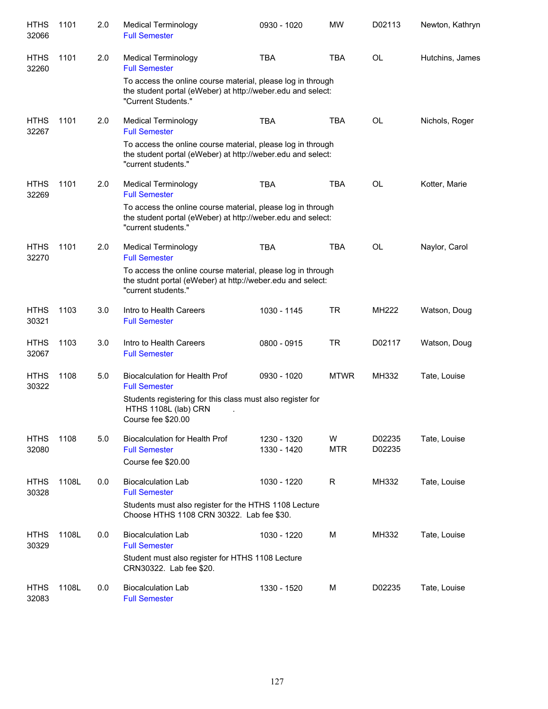| <b>HTHS</b><br>32066 | 1101  | 2.0 | <b>Medical Terminology</b><br><b>Full Semester</b>                                                                                                | 0930 - 1020                | <b>MW</b>       | D02113           | Newton, Kathryn |
|----------------------|-------|-----|---------------------------------------------------------------------------------------------------------------------------------------------------|----------------------------|-----------------|------------------|-----------------|
| <b>HTHS</b><br>32260 | 1101  | 2.0 | Medical Terminology<br><b>Full Semester</b>                                                                                                       | <b>TBA</b>                 | <b>TBA</b>      | <b>OL</b>        | Hutchins, James |
|                      |       |     | To access the online course material, please log in through<br>the student portal (eWeber) at http://weber.edu and select:<br>"Current Students." |                            |                 |                  |                 |
| <b>HTHS</b><br>32267 | 1101  | 2.0 | <b>Medical Terminology</b><br><b>Full Semester</b>                                                                                                | <b>TBA</b>                 | <b>TBA</b>      | <b>OL</b>        | Nichols, Roger  |
|                      |       |     | To access the online course material, please log in through<br>the student portal (eWeber) at http://weber.edu and select:<br>"current students." |                            |                 |                  |                 |
| <b>HTHS</b><br>32269 | 1101  | 2.0 | <b>Medical Terminology</b><br><b>Full Semester</b>                                                                                                | <b>TBA</b>                 | <b>TBA</b>      | <b>OL</b>        | Kotter, Marie   |
|                      |       |     | To access the online course material, please log in through<br>the student portal (eWeber) at http://weber.edu and select:<br>"current students." |                            |                 |                  |                 |
| <b>HTHS</b><br>32270 | 1101  | 2.0 | <b>Medical Terminology</b><br><b>Full Semester</b>                                                                                                | <b>TBA</b>                 | <b>TBA</b>      | <b>OL</b>        | Naylor, Carol   |
|                      |       |     | To access the online course material, please log in through<br>the studnt portal (eWeber) at http://weber.edu and select:<br>"current students."  |                            |                 |                  |                 |
| <b>HTHS</b><br>30321 | 1103  | 3.0 | Intro to Health Careers<br><b>Full Semester</b>                                                                                                   | 1030 - 1145                | <b>TR</b>       | MH222            | Watson, Doug    |
| <b>HTHS</b><br>32067 | 1103  | 3.0 | Intro to Health Careers<br><b>Full Semester</b>                                                                                                   | 0800 - 0915                | <b>TR</b>       | D02117           | Watson, Doug    |
| <b>HTHS</b><br>30322 | 1108  | 5.0 | <b>Biocalculation for Health Prof</b><br><b>Full Semester</b>                                                                                     | 0930 - 1020                | <b>MTWR</b>     | MH332            | Tate, Louise    |
|                      |       |     | Students registering for this class must also register for<br>HTHS 1108L (lab) CRN<br>Course fee \$20.00                                          |                            |                 |                  |                 |
| <b>HTHS</b><br>32080 | 1108  | 5.0 | <b>Biocalculation for Health Prof</b><br><b>Full Semester</b><br>Course fee \$20.00                                                               | 1230 - 1320<br>1330 - 1420 | W<br><b>MTR</b> | D02235<br>D02235 | Tate, Louise    |
| <b>HTHS</b><br>30328 | 1108L | 0.0 | <b>Biocalculation Lab</b><br><b>Full Semester</b>                                                                                                 | 1030 - 1220                | R               | MH332            | Tate, Louise    |
|                      |       |     | Students must also register for the HTHS 1108 Lecture<br>Choose HTHS 1108 CRN 30322. Lab fee \$30.                                                |                            |                 |                  |                 |
| <b>HTHS</b><br>30329 | 1108L | 0.0 | <b>Biocalculation Lab</b><br><b>Full Semester</b>                                                                                                 | 1030 - 1220                | M               | MH332            | Tate, Louise    |
|                      |       |     | Student must also register for HTHS 1108 Lecture<br>CRN30322. Lab fee \$20.                                                                       |                            |                 |                  |                 |
| <b>HTHS</b><br>32083 | 1108L | 0.0 | <b>Biocalculation Lab</b><br><b>Full Semester</b>                                                                                                 | 1330 - 1520                | М               | D02235           | Tate, Louise    |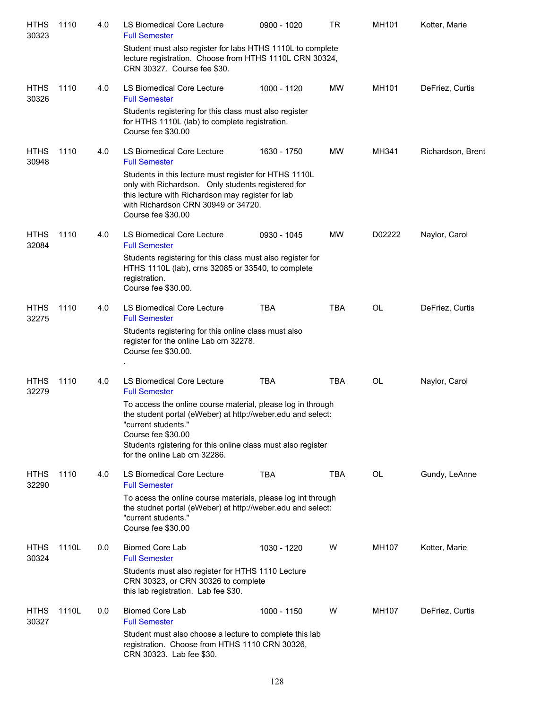| <b>HTHS</b><br>30323 | 1110  | 4.0 | LS Biomedical Core Lecture<br><b>Full Semester</b>                                                                                                                                                                                                                                         | 0900 - 1020 | TR         | MH101  | Kotter, Marie     |
|----------------------|-------|-----|--------------------------------------------------------------------------------------------------------------------------------------------------------------------------------------------------------------------------------------------------------------------------------------------|-------------|------------|--------|-------------------|
|                      |       |     | Student must also register for labs HTHS 1110L to complete<br>lecture registration. Choose from HTHS 1110L CRN 30324,<br>CRN 30327. Course fee \$30.                                                                                                                                       |             |            |        |                   |
| <b>HTHS</b><br>30326 | 1110  | 4.0 | LS Biomedical Core Lecture<br><b>Full Semester</b>                                                                                                                                                                                                                                         | 1000 - 1120 | MW         | MH101  | DeFriez, Curtis   |
|                      |       |     | Students registering for this class must also register<br>for HTHS 1110L (lab) to complete registration.<br>Course fee \$30.00                                                                                                                                                             |             |            |        |                   |
| <b>HTHS</b><br>30948 | 1110  | 4.0 | <b>LS Biomedical Core Lecture</b><br><b>Full Semester</b><br>Students in this lecture must register for HTHS 1110L<br>only with Richardson. Only students registered for<br>this lecture with Richardson may register for lab<br>with Richardson CRN 30949 or 34720.<br>Course fee \$30.00 | 1630 - 1750 | <b>MW</b>  | MH341  | Richardson, Brent |
| <b>HTHS</b><br>32084 | 1110  | 4.0 | LS Biomedical Core Lecture<br><b>Full Semester</b>                                                                                                                                                                                                                                         | 0930 - 1045 | <b>MW</b>  | D02222 | Naylor, Carol     |
|                      |       |     | Students registering for this class must also register for<br>HTHS 1110L (lab), crns 32085 or 33540, to complete<br>registration.<br>Course fee \$30.00.                                                                                                                                   |             |            |        |                   |
| <b>HTHS</b><br>32275 | 1110  | 4.0 | LS Biomedical Core Lecture<br><b>Full Semester</b>                                                                                                                                                                                                                                         | <b>TBA</b>  | <b>TBA</b> | OL     | DeFriez, Curtis   |
|                      |       |     | Students registering for this online class must also<br>register for the online Lab crn 32278.<br>Course fee \$30.00.                                                                                                                                                                      |             |            |        |                   |
| <b>HTHS</b><br>32279 | 1110  | 4.0 | LS Biomedical Core Lecture<br><b>Full Semester</b>                                                                                                                                                                                                                                         | <b>TBA</b>  | <b>TBA</b> | OL     | Naylor, Carol     |
|                      |       |     | To access the online course material, please log in through<br>the student portal (eWeber) at http://weber.edu and select:<br>"current students."<br>Course fee \$30.00<br>Students rgistering for this online class must also register<br>for the online Lab crn 32286.                   |             |            |        |                   |
| <b>HTHS</b><br>32290 | 1110  | 4.0 | LS Biomedical Core Lecture<br><b>Full Semester</b>                                                                                                                                                                                                                                         | <b>TBA</b>  | TBA        | OL     | Gundy, LeAnne     |
|                      |       |     | To acess the online course materials, please log int through<br>the studnet portal (eWeber) at http://weber.edu and select:<br>"current students."<br>Course fee \$30.00                                                                                                                   |             |            |        |                   |
| <b>HTHS</b><br>30324 | 1110L | 0.0 | <b>Biomed Core Lab</b><br><b>Full Semester</b>                                                                                                                                                                                                                                             | 1030 - 1220 | W          | MH107  | Kotter, Marie     |
|                      |       |     | Students must also register for HTHS 1110 Lecture<br>CRN 30323, or CRN 30326 to complete<br>this lab registration. Lab fee \$30.                                                                                                                                                           |             |            |        |                   |
| <b>HTHS</b><br>30327 | 1110L | 0.0 | <b>Biomed Core Lab</b><br><b>Full Semester</b>                                                                                                                                                                                                                                             | 1000 - 1150 | W          | MH107  | DeFriez, Curtis   |
|                      |       |     | Student must also choose a lecture to complete this lab<br>registration. Choose from HTHS 1110 CRN 30326,<br>CRN 30323. Lab fee \$30.                                                                                                                                                      |             |            |        |                   |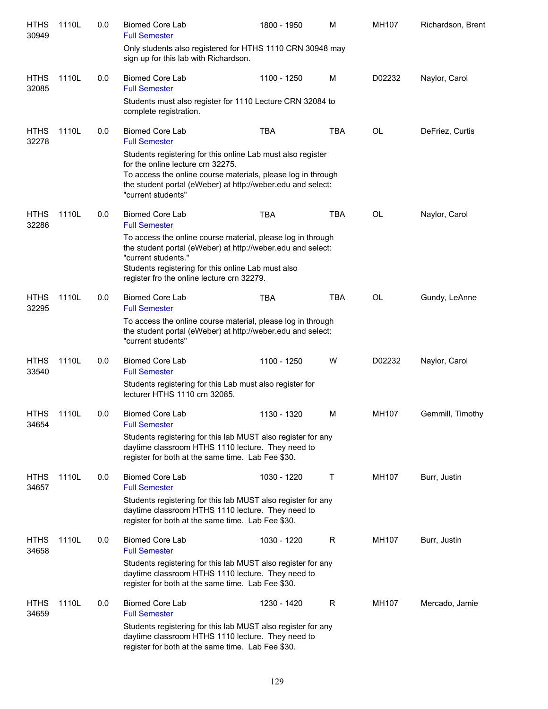| <b>HTHS</b><br>30949 | 1110L | 0.0 | <b>Biomed Core Lab</b><br><b>Full Semester</b>                                                                                                                                                                                                        | 1800 - 1950 | M          | MH107  | Richardson, Brent |
|----------------------|-------|-----|-------------------------------------------------------------------------------------------------------------------------------------------------------------------------------------------------------------------------------------------------------|-------------|------------|--------|-------------------|
|                      |       |     | Only students also registered for HTHS 1110 CRN 30948 may<br>sign up for this lab with Richardson.                                                                                                                                                    |             |            |        |                   |
| <b>HTHS</b><br>32085 | 1110L | 0.0 | <b>Biomed Core Lab</b><br><b>Full Semester</b>                                                                                                                                                                                                        | 1100 - 1250 | M          | D02232 | Naylor, Carol     |
|                      |       |     | Students must also register for 1110 Lecture CRN 32084 to<br>complete registration.                                                                                                                                                                   |             |            |        |                   |
| <b>HTHS</b><br>32278 | 1110L | 0.0 | <b>Biomed Core Lab</b><br><b>Full Semester</b>                                                                                                                                                                                                        | <b>TBA</b>  | TBA        | OL     | DeFriez, Curtis   |
|                      |       |     | Students registering for this online Lab must also register<br>for the online lecture crn 32275.<br>To access the online course materials, please log in through<br>the student portal (eWeber) at http://weber.edu and select:<br>"current students" |             |            |        |                   |
| <b>HTHS</b><br>32286 | 1110L | 0.0 | <b>Biomed Core Lab</b><br><b>Full Semester</b>                                                                                                                                                                                                        | <b>TBA</b>  | TBA        | OL     | Naylor, Carol     |
|                      |       |     | To access the online course material, please log in through<br>the student portal (eWeber) at http://weber.edu and select:<br>"current students."<br>Students registering for this online Lab must also<br>register fro the online lecture crn 32279. |             |            |        |                   |
| <b>HTHS</b><br>32295 | 1110L | 0.0 | <b>Biomed Core Lab</b><br><b>Full Semester</b>                                                                                                                                                                                                        | <b>TBA</b>  | <b>TBA</b> | OL     | Gundy, LeAnne     |
|                      |       |     | To access the online course material, please log in through<br>the student portal (eWeber) at http://weber.edu and select:<br>"current students"                                                                                                      |             |            |        |                   |
| <b>HTHS</b><br>33540 | 1110L | 0.0 | <b>Biomed Core Lab</b><br><b>Full Semester</b>                                                                                                                                                                                                        | 1100 - 1250 | W          | D02232 | Naylor, Carol     |
|                      |       |     | Students registering for this Lab must also register for<br>lecturer HTHS 1110 crn 32085.                                                                                                                                                             |             |            |        |                   |
| <b>HTHS</b><br>34654 | 1110L | 0.0 | <b>Biomed Core Lab</b><br><b>Full Semester</b>                                                                                                                                                                                                        | 1130 - 1320 | M          | MH107  | Gemmill, Timothy  |
|                      |       |     | Students registering for this lab MUST also register for any<br>daytime classroom HTHS 1110 lecture. They need to<br>register for both at the same time. Lab Fee \$30.                                                                                |             |            |        |                   |
| <b>HTHS</b><br>34657 | 1110L | 0.0 | <b>Biomed Core Lab</b><br><b>Full Semester</b>                                                                                                                                                                                                        | 1030 - 1220 | Τ          | MH107  | Burr, Justin      |
|                      |       |     | Students registering for this lab MUST also register for any<br>daytime classroom HTHS 1110 lecture. They need to<br>register for both at the same time. Lab Fee \$30.                                                                                |             |            |        |                   |
| <b>HTHS</b><br>34658 | 1110L | 0.0 | <b>Biomed Core Lab</b><br><b>Full Semester</b>                                                                                                                                                                                                        | 1030 - 1220 | R          | MH107  | Burr, Justin      |
|                      |       |     | Students registering for this lab MUST also register for any<br>daytime classroom HTHS 1110 lecture. They need to<br>register for both at the same time. Lab Fee \$30.                                                                                |             |            |        |                   |
| <b>HTHS</b><br>34659 | 1110L | 0.0 | <b>Biomed Core Lab</b><br><b>Full Semester</b>                                                                                                                                                                                                        | 1230 - 1420 | R          | MH107  | Mercado, Jamie    |
|                      |       |     | Students registering for this lab MUST also register for any<br>daytime classroom HTHS 1110 lecture. They need to<br>register for both at the same time. Lab Fee \$30.                                                                                |             |            |        |                   |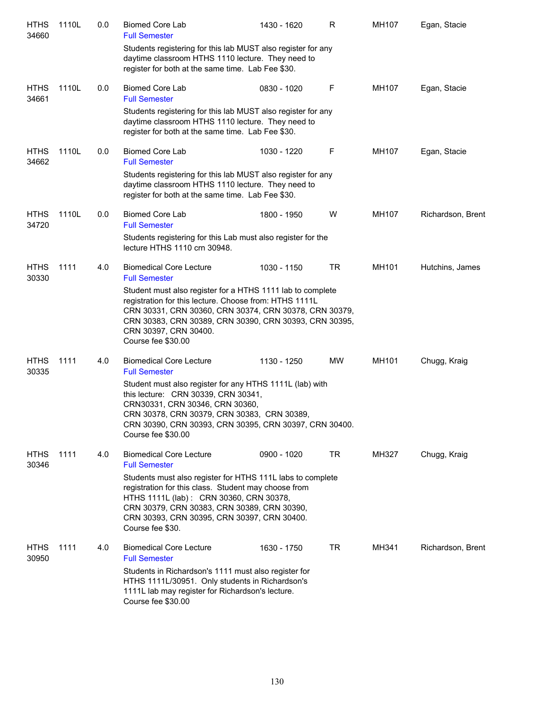| <b>HTHS</b><br>34660 | 1110L | 0.0 | <b>Biomed Core Lab</b><br><b>Full Semester</b>                                                                                                                                                                                                                                          | 1430 - 1620 | R   | MH107        | Egan, Stacie      |
|----------------------|-------|-----|-----------------------------------------------------------------------------------------------------------------------------------------------------------------------------------------------------------------------------------------------------------------------------------------|-------------|-----|--------------|-------------------|
|                      |       |     | Students registering for this lab MUST also register for any<br>daytime classroom HTHS 1110 lecture. They need to<br>register for both at the same time. Lab Fee \$30.                                                                                                                  |             |     |              |                   |
| <b>HTHS</b><br>34661 | 1110L | 0.0 | <b>Biomed Core Lab</b><br><b>Full Semester</b>                                                                                                                                                                                                                                          | 0830 - 1020 | F   | MH107        | Egan, Stacie      |
|                      |       |     | Students registering for this lab MUST also register for any<br>daytime classroom HTHS 1110 lecture. They need to<br>register for both at the same time. Lab Fee \$30.                                                                                                                  |             |     |              |                   |
| <b>HTHS</b><br>34662 | 1110L | 0.0 | <b>Biomed Core Lab</b><br><b>Full Semester</b>                                                                                                                                                                                                                                          | 1030 - 1220 | F   | MH107        | Egan, Stacie      |
|                      |       |     | Students registering for this lab MUST also register for any<br>daytime classroom HTHS 1110 lecture. They need to<br>register for both at the same time. Lab Fee \$30.                                                                                                                  |             |     |              |                   |
| <b>HTHS</b><br>34720 | 1110L | 0.0 | <b>Biomed Core Lab</b><br><b>Full Semester</b>                                                                                                                                                                                                                                          | 1800 - 1950 | W   | MH107        | Richardson, Brent |
|                      |       |     | Students registering for this Lab must also register for the<br>lecture HTHS 1110 crn 30948.                                                                                                                                                                                            |             |     |              |                   |
| <b>HTHS</b><br>30330 | 1111  | 4.0 | <b>Biomedical Core Lecture</b><br><b>Full Semester</b>                                                                                                                                                                                                                                  | 1030 - 1150 | TR  | MH101        | Hutchins, James   |
|                      |       |     | Student must also register for a HTHS 1111 lab to complete<br>registration for this lecture. Choose from: HTHS 1111L<br>CRN 30331, CRN 30360, CRN 30374, CRN 30378, CRN 30379,<br>CRN 30383, CRN 30389, CRN 30390, CRN 30393, CRN 30395,<br>CRN 30397, CRN 30400.<br>Course fee \$30.00 |             |     |              |                   |
| <b>HTHS</b><br>30335 | 1111  | 4.0 | <b>Biomedical Core Lecture</b><br><b>Full Semester</b>                                                                                                                                                                                                                                  | 1130 - 1250 | MW  | MH101        | Chugg, Kraig      |
|                      |       |     | Student must also register for any HTHS 1111L (lab) with<br>this lecture: CRN 30339, CRN 30341,<br>CRN30331, CRN 30346, CRN 30360,<br>CRN 30378, CRN 30379, CRN 30383, CRN 30389,<br>CRN 30390, CRN 30393, CRN 30395, CRN 30397, CRN 30400.<br>Course fee \$30.00                       |             |     |              |                   |
| <b>HTHS</b><br>30346 | 1111  | 4.0 | <b>Biomedical Core Lecture</b><br><b>Full Semester</b>                                                                                                                                                                                                                                  | 0900 - 1020 | TR. | <b>MH327</b> | Chugg, Kraig      |
|                      |       |     | Students must also register for HTHS 111L labs to complete<br>registration for this class. Student may choose from<br>HTHS 1111L (lab): CRN 30360, CRN 30378,<br>CRN 30379, CRN 30383, CRN 30389, CRN 30390,<br>CRN 30393, CRN 30395, CRN 30397, CRN 30400.<br>Course fee \$30.         |             |     |              |                   |
| <b>HTHS</b><br>30950 | 1111  | 4.0 | <b>Biomedical Core Lecture</b><br><b>Full Semester</b>                                                                                                                                                                                                                                  | 1630 - 1750 | TR  | MH341        | Richardson, Brent |
|                      |       |     | Students in Richardson's 1111 must also register for<br>HTHS 1111L/30951. Only students in Richardson's<br>1111L lab may register for Richardson's lecture.<br>Course fee \$30.00                                                                                                       |             |     |              |                   |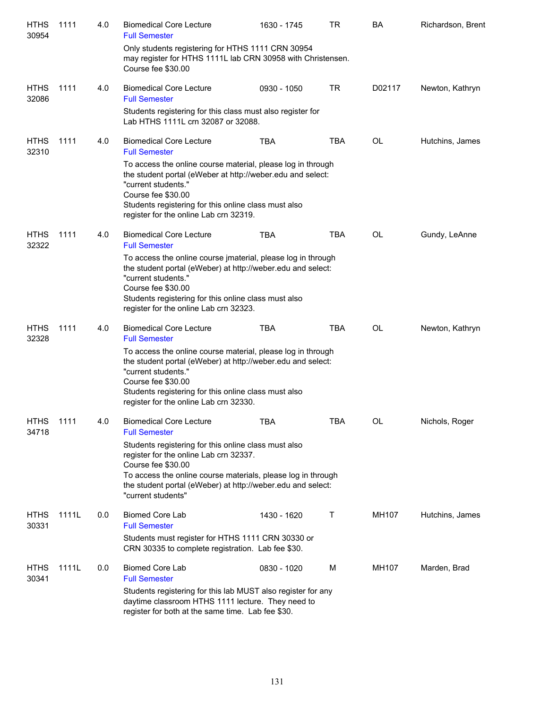| <b>HTHS</b><br>30954 | 1111  | 4.0 | <b>Biomedical Core Lecture</b><br><b>Full Semester</b>                                                                                                                                                                                                                     | 1630 - 1745 | <b>TR</b>  | BA     | Richardson, Brent |
|----------------------|-------|-----|----------------------------------------------------------------------------------------------------------------------------------------------------------------------------------------------------------------------------------------------------------------------------|-------------|------------|--------|-------------------|
|                      |       |     | Only students registering for HTHS 1111 CRN 30954<br>may register for HTHS 1111L lab CRN 30958 with Christensen.<br>Course fee \$30.00                                                                                                                                     |             |            |        |                   |
| <b>HTHS</b><br>32086 | 1111  | 4.0 | <b>Biomedical Core Lecture</b><br><b>Full Semester</b>                                                                                                                                                                                                                     | 0930 - 1050 | <b>TR</b>  | D02117 | Newton, Kathryn   |
|                      |       |     | Students registering for this class must also register for<br>Lab HTHS 1111L crn 32087 or 32088.                                                                                                                                                                           |             |            |        |                   |
| <b>HTHS</b><br>32310 | 1111  | 4.0 | <b>Biomedical Core Lecture</b><br><b>Full Semester</b>                                                                                                                                                                                                                     | <b>TBA</b>  | <b>TBA</b> | OL     | Hutchins, James   |
|                      |       |     | To access the online course material, please log in through<br>the student portal (eWeber at http://weber.edu and select:<br>"current students."<br>Course fee \$30.00<br>Students registering for this online class must also<br>register for the online Lab crn 32319.   |             |            |        |                   |
| <b>HTHS</b><br>32322 | 1111  | 4.0 | <b>Biomedical Core Lecture</b><br><b>Full Semester</b>                                                                                                                                                                                                                     | TBA         | TBA        | OL     | Gundy, LeAnne     |
|                      |       |     | To access the online course jmaterial, please log in through<br>the student portal (eWeber) at http://weber.edu and select:<br>"current students."<br>Course fee \$30.00<br>Students registering for this online class must also<br>register for the online Lab crn 32323. |             |            |        |                   |
| <b>HTHS</b><br>32328 | 1111  | 4.0 | <b>Biomedical Core Lecture</b><br><b>Full Semester</b>                                                                                                                                                                                                                     | <b>TBA</b>  | <b>TBA</b> | OL     | Newton, Kathryn   |
|                      |       |     | To access the online course material, please log in through<br>the student portal (eWeber) at http://weber.edu and select:<br>"current students."<br>Course fee \$30.00<br>Students registering for this online class must also<br>register for the online Lab crn 32330.  |             |            |        |                   |
| <b>HTHS</b><br>34718 | 1111  | 4.0 | <b>Biomedical Core Lecture</b><br><b>Full Semester</b>                                                                                                                                                                                                                     | TBA         | TBA        | OL     | Nichols, Roger    |
|                      |       |     | Students registering for this online class must also<br>register for the online Lab crn 32337.<br>Course fee \$30.00<br>To access the online course materials, please log in through<br>the student portal (eWeber) at http://weber.edu and select:<br>"current students"  |             |            |        |                   |
| <b>HTHS</b>          | 1111L | 0.0 | <b>Biomed Core Lab</b>                                                                                                                                                                                                                                                     | 1430 - 1620 | Τ          | MH107  | Hutchins, James   |
| 30331                |       |     | <b>Full Semester</b><br>Students must register for HTHS 1111 CRN 30330 or<br>CRN 30335 to complete registration. Lab fee \$30.                                                                                                                                             |             |            |        |                   |
| <b>HTHS</b><br>30341 | 1111L | 0.0 | <b>Biomed Core Lab</b><br><b>Full Semester</b>                                                                                                                                                                                                                             | 0830 - 1020 | M          | MH107  | Marden, Brad      |
|                      |       |     | Students registering for this lab MUST also register for any<br>daytime classroom HTHS 1111 lecture. They need to<br>register for both at the same time. Lab fee \$30.                                                                                                     |             |            |        |                   |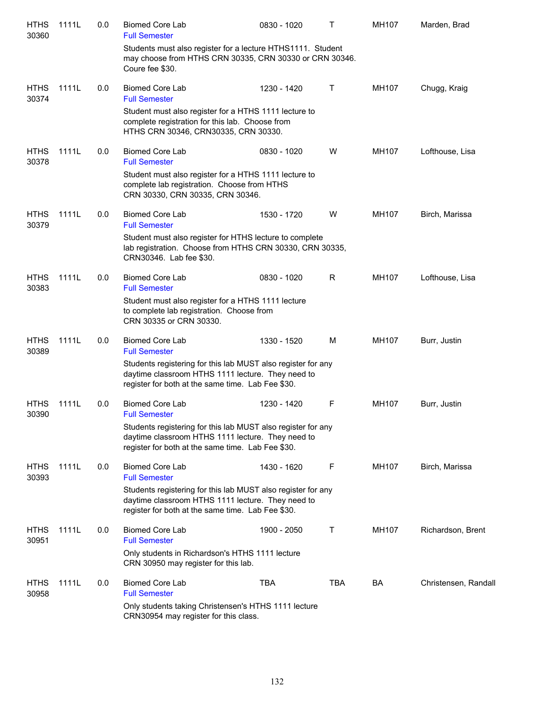| <b>HTHS</b><br>30360 | 1111L | 0.0 | <b>Biomed Core Lab</b><br><b>Full Semester</b>                                                                                                                         | 0830 - 1020 | т   | MH107 | Marden, Brad         |
|----------------------|-------|-----|------------------------------------------------------------------------------------------------------------------------------------------------------------------------|-------------|-----|-------|----------------------|
|                      |       |     | Students must also register for a lecture HTHS1111. Student<br>may choose from HTHS CRN 30335, CRN 30330 or CRN 30346.<br>Coure fee \$30.                              |             |     |       |                      |
| <b>HTHS</b><br>30374 | 1111L | 0.0 | Biomed Core Lab<br><b>Full Semester</b>                                                                                                                                | 1230 - 1420 | Τ   | MH107 | Chugg, Kraig         |
|                      |       |     | Student must also register for a HTHS 1111 lecture to<br>complete registration for this lab. Choose from<br>HTHS CRN 30346, CRN30335, CRN 30330.                       |             |     |       |                      |
| <b>HTHS</b><br>30378 | 1111L | 0.0 | <b>Biomed Core Lab</b><br><b>Full Semester</b>                                                                                                                         | 0830 - 1020 | W   | MH107 | Lofthouse, Lisa      |
|                      |       |     | Student must also register for a HTHS 1111 lecture to<br>complete lab registration. Choose from HTHS<br>CRN 30330, CRN 30335, CRN 30346.                               |             |     |       |                      |
| <b>HTHS</b><br>30379 | 1111L | 0.0 | <b>Biomed Core Lab</b><br><b>Full Semester</b>                                                                                                                         | 1530 - 1720 | W   | MH107 | Birch, Marissa       |
|                      |       |     | Student must also register for HTHS lecture to complete<br>lab registration. Choose from HTHS CRN 30330, CRN 30335,<br>CRN30346. Lab fee \$30.                         |             |     |       |                      |
| <b>HTHS</b><br>30383 | 1111L | 0.0 | <b>Biomed Core Lab</b><br><b>Full Semester</b>                                                                                                                         | 0830 - 1020 | R   | MH107 | Lofthouse, Lisa      |
|                      |       |     | Student must also register for a HTHS 1111 lecture<br>to complete lab registration. Choose from<br>CRN 30335 or CRN 30330.                                             |             |     |       |                      |
| <b>HTHS</b><br>30389 | 1111L | 0.0 | <b>Biomed Core Lab</b><br><b>Full Semester</b>                                                                                                                         | 1330 - 1520 | M   | MH107 | Burr, Justin         |
|                      |       |     | Students registering for this lab MUST also register for any<br>daytime classroom HTHS 1111 lecture. They need to<br>register for both at the same time. Lab Fee \$30. |             |     |       |                      |
| <b>HTHS</b><br>30390 | 1111L | 0.0 | <b>Biomed Core Lab</b><br><b>Full Semester</b>                                                                                                                         | 1230 - 1420 | F   | MH107 | Burr, Justin         |
|                      |       |     | Students registering for this lab MUST also register for any<br>daytime classroom HTHS 1111 lecture. They need to<br>register for both at the same time. Lab Fee \$30. |             |     |       |                      |
| <b>HTHS</b><br>30393 | 1111L | 0.0 | <b>Biomed Core Lab</b><br><b>Full Semester</b>                                                                                                                         | 1430 - 1620 | F   | MH107 | Birch, Marissa       |
|                      |       |     | Students registering for this lab MUST also register for any<br>daytime classroom HTHS 1111 lecture. They need to<br>register for both at the same time. Lab Fee \$30. |             |     |       |                      |
| <b>HTHS</b><br>30951 | 1111L | 0.0 | <b>Biomed Core Lab</b><br><b>Full Semester</b>                                                                                                                         | 1900 - 2050 | Т   | MH107 | Richardson, Brent    |
|                      |       |     | Only students in Richardson's HTHS 1111 lecture<br>CRN 30950 may register for this lab.                                                                                |             |     |       |                      |
| <b>HTHS</b><br>30958 | 1111L | 0.0 | <b>Biomed Core Lab</b><br><b>Full Semester</b>                                                                                                                         | <b>TBA</b>  | TBA | BA    | Christensen, Randall |
|                      |       |     | Only students taking Christensen's HTHS 1111 lecture<br>CRN30954 may register for this class.                                                                          |             |     |       |                      |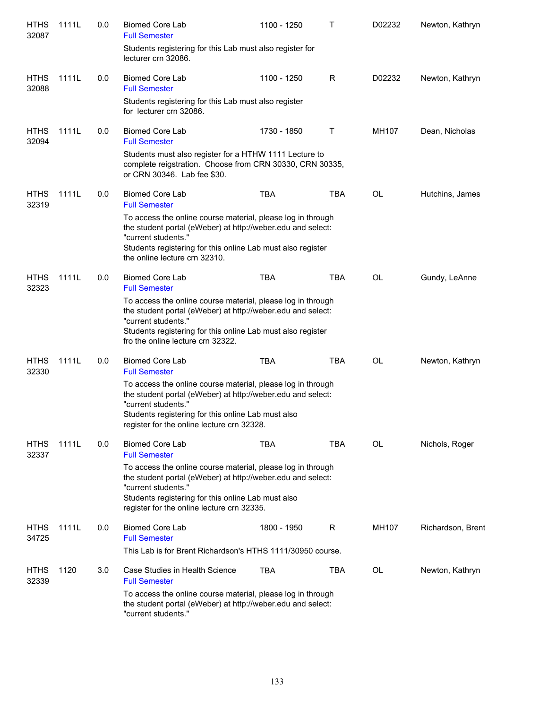| <b>HTHS</b><br>32087 | 1111L | 0.0 | <b>Biomed Core Lab</b><br><b>Full Semester</b>                                                                                                                                                                                                        | 1100 - 1250 | т          | D02232 | Newton, Kathryn   |
|----------------------|-------|-----|-------------------------------------------------------------------------------------------------------------------------------------------------------------------------------------------------------------------------------------------------------|-------------|------------|--------|-------------------|
|                      |       |     | Students registering for this Lab must also register for<br>lecturer crn 32086.                                                                                                                                                                       |             |            |        |                   |
| <b>HTHS</b><br>32088 | 1111L | 0.0 | <b>Biomed Core Lab</b><br><b>Full Semester</b>                                                                                                                                                                                                        | 1100 - 1250 | R          | D02232 | Newton, Kathryn   |
|                      |       |     | Students registering for this Lab must also register<br>for lecturer crn 32086.                                                                                                                                                                       |             |            |        |                   |
| <b>HTHS</b><br>32094 | 1111L | 0.0 | <b>Biomed Core Lab</b><br><b>Full Semester</b>                                                                                                                                                                                                        | 1730 - 1850 | Τ          | MH107  | Dean, Nicholas    |
|                      |       |     | Students must also register for a HTHW 1111 Lecture to<br>complete reigstration. Choose from CRN 30330, CRN 30335,<br>or CRN 30346. Lab fee \$30.                                                                                                     |             |            |        |                   |
| <b>HTHS</b><br>32319 | 1111L | 0.0 | <b>Biomed Core Lab</b><br><b>Full Semester</b>                                                                                                                                                                                                        | <b>TBA</b>  | <b>TBA</b> | OL     | Hutchins, James   |
|                      |       |     | To access the online course material, please log in through<br>the student portal (eWeber) at http://weber.edu and select:<br>"current students."<br>Students registering for this online Lab must also register                                      |             |            |        |                   |
| <b>HTHS</b>          | 1111L | 0.0 | the online lecture crn 32310.<br><b>Biomed Core Lab</b>                                                                                                                                                                                               | <b>TBA</b>  | <b>TBA</b> | OL     | Gundy, LeAnne     |
| 32323                |       |     | <b>Full Semester</b>                                                                                                                                                                                                                                  |             |            |        |                   |
|                      |       |     | To access the online course material, please log in through<br>the student portal (eWeber) at http://weber.edu and select:<br>"current students."<br>Students registering for this online Lab must also register<br>fro the online lecture crn 32322. |             |            |        |                   |
| <b>HTHS</b><br>32330 | 1111L | 0.0 | <b>Biomed Core Lab</b><br><b>Full Semester</b>                                                                                                                                                                                                        | <b>TBA</b>  | <b>TBA</b> | OL     | Newton, Kathryn   |
|                      |       |     | To access the online course material, please log in through<br>the student portal (eWeber) at http://weber.edu and select:<br>"current students."<br>Students registering for this online Lab must also<br>register for the online lecture crn 32328. |             |            |        |                   |
| <b>HTHS</b><br>32337 | 1111L | 0.0 | <b>Biomed Core Lab</b><br><b>Full Semester</b>                                                                                                                                                                                                        | TBA         | <b>TBA</b> | OL     | Nichols, Roger    |
|                      |       |     | To access the online course material, please log in through<br>the student portal (eWeber) at http://weber.edu and select:<br>"current students."<br>Students registering for this online Lab must also<br>register for the online lecture crn 32335. |             |            |        |                   |
| <b>HTHS</b><br>34725 | 1111L | 0.0 | <b>Biomed Core Lab</b><br><b>Full Semester</b>                                                                                                                                                                                                        | 1800 - 1950 | R          | MH107  | Richardson, Brent |
|                      |       |     | This Lab is for Brent Richardson's HTHS 1111/30950 course.                                                                                                                                                                                            |             |            |        |                   |
| <b>HTHS</b><br>32339 | 1120  | 3.0 | Case Studies in Health Science<br><b>Full Semester</b>                                                                                                                                                                                                | TBA         | <b>TBA</b> | OL     | Newton, Kathryn   |
|                      |       |     | To access the online course material, please log in through<br>the student portal (eWeber) at http://weber.edu and select:<br>"current students."                                                                                                     |             |            |        |                   |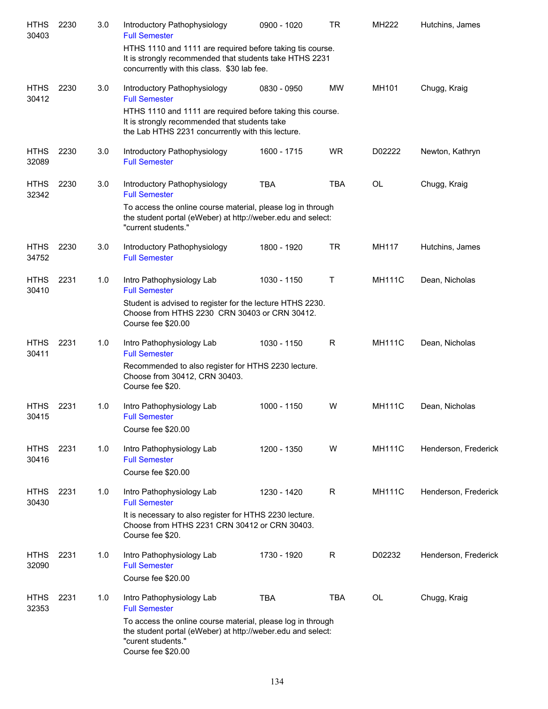| <b>HTHS</b><br>30403 | 2230 | 3.0 | Introductory Pathophysiology<br><b>Full Semester</b>                                                                                                                | 0900 - 1020 | TR         | MH222         | Hutchins, James      |
|----------------------|------|-----|---------------------------------------------------------------------------------------------------------------------------------------------------------------------|-------------|------------|---------------|----------------------|
|                      |      |     | HTHS 1110 and 1111 are required before taking tis course.<br>It is strongly recommended that students take HTHS 2231<br>concurrently with this class. \$30 lab fee. |             |            |               |                      |
| <b>HTHS</b><br>30412 | 2230 | 3.0 | Introductory Pathophysiology<br><b>Full Semester</b>                                                                                                                | 0830 - 0950 | <b>MW</b>  | MH101         | Chugg, Kraig         |
|                      |      |     | HTHS 1110 and 1111 are required before taking this course.<br>It is strongly recommended that students take<br>the Lab HTHS 2231 concurrently with this lecture.    |             |            |               |                      |
| <b>HTHS</b><br>32089 | 2230 | 3.0 | Introductory Pathophysiology<br><b>Full Semester</b>                                                                                                                | 1600 - 1715 | <b>WR</b>  | D02222        | Newton, Kathryn      |
| <b>HTHS</b><br>32342 | 2230 | 3.0 | Introductory Pathophysiology<br><b>Full Semester</b>                                                                                                                | <b>TBA</b>  | <b>TBA</b> | <b>OL</b>     | Chugg, Kraig         |
|                      |      |     | To access the online course material, please log in through<br>the student portal (eWeber) at http://weber.edu and select:<br>"current students."                   |             |            |               |                      |
| <b>HTHS</b><br>34752 | 2230 | 3.0 | Introductory Pathophysiology<br><b>Full Semester</b>                                                                                                                | 1800 - 1920 | <b>TR</b>  | MH117         | Hutchins, James      |
| <b>HTHS</b><br>30410 | 2231 | 1.0 | Intro Pathophysiology Lab<br><b>Full Semester</b>                                                                                                                   | 1030 - 1150 | Τ          | <b>MH111C</b> | Dean, Nicholas       |
|                      |      |     | Student is advised to register for the lecture HTHS 2230.<br>Choose from HTHS 2230 CRN 30403 or CRN 30412.<br>Course fee \$20.00                                    |             |            |               |                      |
| <b>HTHS</b><br>30411 | 2231 | 1.0 | Intro Pathophysiology Lab<br><b>Full Semester</b>                                                                                                                   | 1030 - 1150 | R          | <b>MH111C</b> | Dean, Nicholas       |
|                      |      |     | Recommended to also register for HTHS 2230 lecture.<br>Choose from 30412, CRN 30403.<br>Course fee \$20.                                                            |             |            |               |                      |
| <b>HTHS</b><br>30415 | 2231 | 1.0 | Intro Pathophysiology Lab<br><b>Full Semester</b>                                                                                                                   | 1000 - 1150 | W          | <b>MH111C</b> | Dean, Nicholas       |
|                      |      |     | Course fee \$20.00                                                                                                                                                  |             |            |               |                      |
| <b>HTHS</b><br>30416 | 2231 | 1.0 | Intro Pathophysiology Lab<br><b>Full Semester</b>                                                                                                                   | 1200 - 1350 | W          | <b>MH111C</b> | Henderson, Frederick |
|                      |      |     | Course fee \$20.00                                                                                                                                                  |             |            |               |                      |
| <b>HTHS</b><br>30430 | 2231 | 1.0 | Intro Pathophysiology Lab<br><b>Full Semester</b>                                                                                                                   | 1230 - 1420 | R          | <b>MH111C</b> | Henderson, Frederick |
|                      |      |     | It is necessary to also register for HTHS 2230 lecture.<br>Choose from HTHS 2231 CRN 30412 or CRN 30403.<br>Course fee \$20.                                        |             |            |               |                      |
| <b>HTHS</b><br>32090 | 2231 | 1.0 | Intro Pathophysiology Lab<br><b>Full Semester</b><br>Course fee \$20.00                                                                                             | 1730 - 1920 | R          | D02232        | Henderson, Frederick |
| <b>HTHS</b>          | 2231 | 1.0 | Intro Pathophysiology Lab                                                                                                                                           | <b>TBA</b>  | <b>TBA</b> | OL            | Chugg, Kraig         |
| 32353                |      |     | <b>Full Semester</b><br>To access the online course material, please log in through                                                                                 |             |            |               |                      |
|                      |      |     | the student portal (eWeber) at http://weber.edu and select:<br>"curent students."<br>Course fee \$20.00                                                             |             |            |               |                      |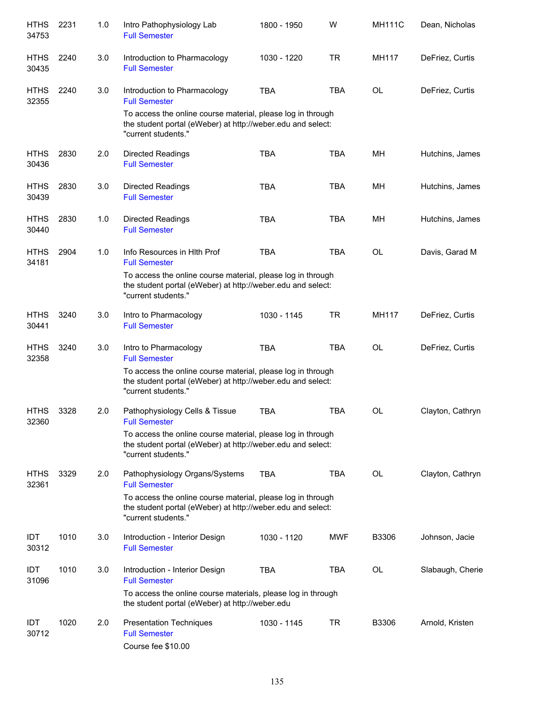| <b>HTHS</b><br>34753 | 2231 | 1.0 | Intro Pathophysiology Lab<br><b>Full Semester</b>                                                                                                 | 1800 - 1950 | W          | <b>MH111C</b> | Dean, Nicholas   |
|----------------------|------|-----|---------------------------------------------------------------------------------------------------------------------------------------------------|-------------|------------|---------------|------------------|
| <b>HTHS</b><br>30435 | 2240 | 3.0 | Introduction to Pharmacology<br><b>Full Semester</b>                                                                                              | 1030 - 1220 | <b>TR</b>  | MH117         | DeFriez, Curtis  |
| <b>HTHS</b><br>32355 | 2240 | 3.0 | Introduction to Pharmacology<br><b>Full Semester</b>                                                                                              | <b>TBA</b>  | <b>TBA</b> | OL            | DeFriez, Curtis  |
|                      |      |     | To access the online course material, please log in through<br>the student portal (eWeber) at http://weber.edu and select:<br>"current students." |             |            |               |                  |
| <b>HTHS</b><br>30436 | 2830 | 2.0 | <b>Directed Readings</b><br><b>Full Semester</b>                                                                                                  | <b>TBA</b>  | <b>TBA</b> | MН            | Hutchins, James  |
| <b>HTHS</b><br>30439 | 2830 | 3.0 | <b>Directed Readings</b><br><b>Full Semester</b>                                                                                                  | <b>TBA</b>  | <b>TBA</b> | MH            | Hutchins, James  |
| <b>HTHS</b><br>30440 | 2830 | 1.0 | <b>Directed Readings</b><br><b>Full Semester</b>                                                                                                  | <b>TBA</b>  | <b>TBA</b> | MH            | Hutchins, James  |
| <b>HTHS</b><br>34181 | 2904 | 1.0 | Info Resources in Hith Prof<br><b>Full Semester</b>                                                                                               | <b>TBA</b>  | <b>TBA</b> | <b>OL</b>     | Davis, Garad M   |
|                      |      |     | To access the online course material, please log in through<br>the student portal (eWeber) at http://weber.edu and select:<br>"current students." |             |            |               |                  |
| <b>HTHS</b><br>30441 | 3240 | 3.0 | Intro to Pharmacology<br><b>Full Semester</b>                                                                                                     | 1030 - 1145 | <b>TR</b>  | MH117         | DeFriez, Curtis  |
| <b>HTHS</b><br>32358 | 3240 | 3.0 | Intro to Pharmacology<br><b>Full Semester</b>                                                                                                     | <b>TBA</b>  | <b>TBA</b> | <b>OL</b>     | DeFriez, Curtis  |
|                      |      |     | To access the online course material, please log in through<br>the student portal (eWeber) at http://weber.edu and select:<br>"current students." |             |            |               |                  |
| <b>HTHS</b><br>32360 | 3328 | 2.0 | Pathophysiology Cells & Tissue<br><b>Full Semester</b>                                                                                            | <b>TBA</b>  | <b>TBA</b> | <b>OL</b>     | Clayton, Cathryn |
|                      |      |     | To access the online course material, please log in through<br>the student portal (eWeber) at http://weber.edu and select:<br>"current students." |             |            |               |                  |
| <b>HTHS</b><br>32361 | 3329 | 2.0 | Pathophysiology Organs/Systems<br><b>Full Semester</b>                                                                                            | <b>TBA</b>  | <b>TBA</b> | <b>OL</b>     | Clayton, Cathryn |
|                      |      |     | To access the online course material, please log in through<br>the student portal (eWeber) at http://weber.edu and select:<br>"current students." |             |            |               |                  |
| IDT<br>30312         | 1010 | 3.0 | Introduction - Interior Design<br><b>Full Semester</b>                                                                                            | 1030 - 1120 | <b>MWF</b> | B3306         | Johnson, Jacie   |
| IDT<br>31096         | 1010 | 3.0 | Introduction - Interior Design<br><b>Full Semester</b>                                                                                            | <b>TBA</b>  | TBA        | OL            | Slabaugh, Cherie |
|                      |      |     | To access the online course materials, please log in through<br>the student portal (eWeber) at http://weber.edu                                   |             |            |               |                  |
| IDT<br>30712         | 1020 | 2.0 | <b>Presentation Techniques</b><br><b>Full Semester</b><br>Course fee \$10.00                                                                      | 1030 - 1145 | TR         | B3306         | Arnold, Kristen  |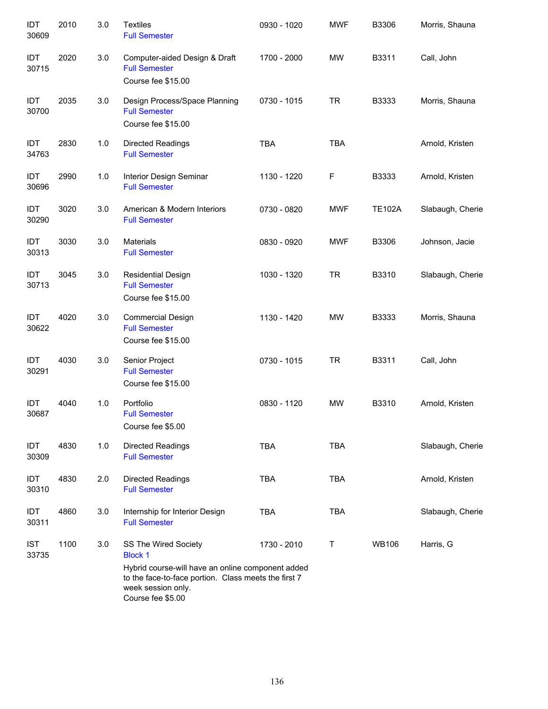| IDT<br>30609        | 2010 | 3.0 | <b>Textiles</b><br><b>Full Semester</b>                                                                                                                                                        | 0930 - 1020 | <b>MWF</b> | B3306         | Morris, Shauna   |
|---------------------|------|-----|------------------------------------------------------------------------------------------------------------------------------------------------------------------------------------------------|-------------|------------|---------------|------------------|
| IDT<br>30715        | 2020 | 3.0 | Computer-aided Design & Draft<br><b>Full Semester</b><br>Course fee \$15.00                                                                                                                    | 1700 - 2000 | <b>MW</b>  | B3311         | Call, John       |
| IDT<br>30700        | 2035 | 3.0 | Design Process/Space Planning<br><b>Full Semester</b><br>Course fee \$15.00                                                                                                                    | 0730 - 1015 | <b>TR</b>  | B3333         | Morris, Shauna   |
| IDT<br>34763        | 2830 | 1.0 | <b>Directed Readings</b><br><b>Full Semester</b>                                                                                                                                               | <b>TBA</b>  | <b>TBA</b> |               | Arnold, Kristen  |
| IDT<br>30696        | 2990 | 1.0 | Interior Design Seminar<br><b>Full Semester</b>                                                                                                                                                | 1130 - 1220 | F          | B3333         | Arnold, Kristen  |
| IDT<br>30290        | 3020 | 3.0 | American & Modern Interiors<br><b>Full Semester</b>                                                                                                                                            | 0730 - 0820 | <b>MWF</b> | <b>TE102A</b> | Slabaugh, Cherie |
| IDT<br>30313        | 3030 | 3.0 | <b>Materials</b><br><b>Full Semester</b>                                                                                                                                                       | 0830 - 0920 | <b>MWF</b> | B3306         | Johnson, Jacie   |
| IDT<br>30713        | 3045 | 3.0 | <b>Residential Design</b><br><b>Full Semester</b><br>Course fee \$15.00                                                                                                                        | 1030 - 1320 | <b>TR</b>  | B3310         | Slabaugh, Cherie |
| IDT<br>30622        | 4020 | 3.0 | <b>Commercial Design</b><br><b>Full Semester</b><br>Course fee \$15.00                                                                                                                         | 1130 - 1420 | <b>MW</b>  | B3333         | Morris, Shauna   |
| IDT<br>30291        | 4030 | 3.0 | Senior Project<br><b>Full Semester</b><br>Course fee \$15.00                                                                                                                                   | 0730 - 1015 | <b>TR</b>  | B3311         | Call, John       |
| IDT<br>30687        | 4040 | 1.0 | Portfolio<br><b>Full Semester</b><br>Course fee \$5.00                                                                                                                                         | 0830 - 1120 | <b>MW</b>  | B3310         | Arnold, Kristen  |
| IDT<br>30309        | 4830 | 1.0 | <b>Directed Readings</b><br><b>Full Semester</b>                                                                                                                                               | <b>TBA</b>  | <b>TBA</b> |               | Slabaugh, Cherie |
| IDT<br>30310        | 4830 | 2.0 | <b>Directed Readings</b><br><b>Full Semester</b>                                                                                                                                               | <b>TBA</b>  | <b>TBA</b> |               | Arnold, Kristen  |
| IDT<br>30311        | 4860 | 3.0 | Internship for Interior Design<br><b>Full Semester</b>                                                                                                                                         | <b>TBA</b>  | <b>TBA</b> |               | Slabaugh, Cherie |
| <b>IST</b><br>33735 | 1100 | 3.0 | SS The Wired Society<br><b>Block 1</b><br>Hybrid course-will have an online component added<br>to the face-to-face portion. Class meets the first 7<br>week session only.<br>Course fee \$5.00 | 1730 - 2010 | T          | <b>WB106</b>  | Harris, G        |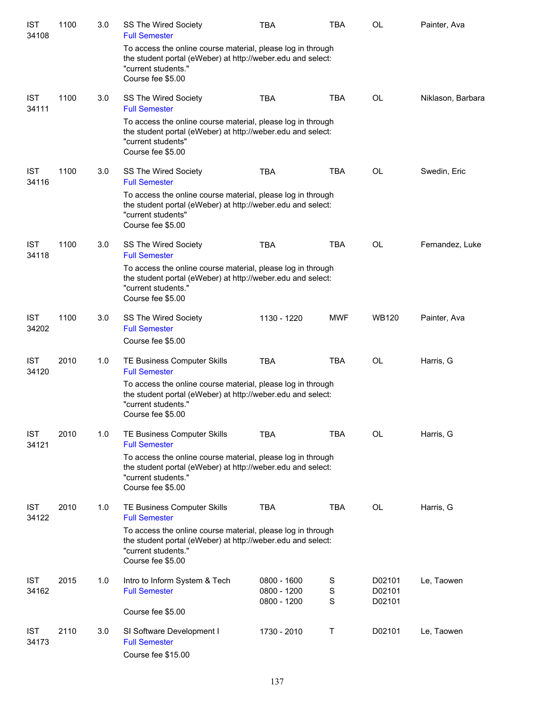| <b>IST</b><br>34108 | 1100 | 3.0 | SS The Wired Society<br><b>Full Semester</b>                                                                                                                           | TBA                                       | <b>TBA</b>            | <b>OL</b>                  | Painter, Ava      |
|---------------------|------|-----|------------------------------------------------------------------------------------------------------------------------------------------------------------------------|-------------------------------------------|-----------------------|----------------------------|-------------------|
|                     |      |     | To access the online course material, please log in through<br>the student portal (eWeber) at http://weber.edu and select:<br>"current students."<br>Course fee \$5.00 |                                           |                       |                            |                   |
| <b>IST</b><br>34111 | 1100 | 3.0 | SS The Wired Society<br><b>Full Semester</b>                                                                                                                           | <b>TBA</b>                                | <b>TBA</b>            | OL                         | Niklason, Barbara |
|                     |      |     | To access the online course material, please log in through<br>the student portal (eWeber) at http://weber.edu and select:<br>"current students"<br>Course fee \$5.00  |                                           |                       |                            |                   |
| <b>IST</b><br>34116 | 1100 | 3.0 | SS The Wired Society<br><b>Full Semester</b>                                                                                                                           | <b>TBA</b>                                | <b>TBA</b>            | OL                         | Swedin, Eric      |
|                     |      |     | To access the online course material, please log in through<br>the student portal (eWeber) at http://weber.edu and select:<br>"current students"<br>Course fee \$5.00  |                                           |                       |                            |                   |
| <b>IST</b><br>34118 | 1100 | 3.0 | SS The Wired Society<br><b>Full Semester</b>                                                                                                                           | <b>TBA</b>                                | <b>TBA</b>            | OL                         | Fernandez, Luke   |
|                     |      |     | To access the online course material, please log in through<br>the student portal (eWeber) at http://weber.edu and select:<br>"current students."<br>Course fee \$5.00 |                                           |                       |                            |                   |
| <b>IST</b><br>34202 | 1100 | 3.0 | SS The Wired Society<br><b>Full Semester</b><br>Course fee \$5.00                                                                                                      | 1130 - 1220                               | <b>MWF</b>            | <b>WB120</b>               | Painter, Ava      |
| <b>IST</b><br>34120 | 2010 | 1.0 | TE Business Computer Skills<br><b>Full Semester</b>                                                                                                                    | <b>TBA</b>                                | <b>TBA</b>            | OL                         | Harris, G         |
|                     |      |     | To access the online course material, please log in through<br>the student portal (eWeber) at http://weber.edu and select:<br>"current students."<br>Course fee \$5.00 |                                           |                       |                            |                   |
| <b>IST</b><br>34121 | 2010 | 1.0 | TE Business Computer Skills<br><b>Full Semester</b>                                                                                                                    | <b>TBA</b>                                | <b>TBA</b>            | <b>OL</b>                  | Harris, G         |
|                     |      |     | To access the online course material, please log in through<br>the student portal (eWeber) at http://weber.edu and select:<br>"current students."<br>Course fee \$5.00 |                                           |                       |                            |                   |
| <b>IST</b><br>34122 | 2010 | 1.0 | TE Business Computer Skills<br><b>Full Semester</b>                                                                                                                    | <b>TBA</b>                                | TBA                   | OL                         | Harris, G         |
|                     |      |     | To access the online course material, please log in through<br>the student portal (eWeber) at http://weber.edu and select:<br>"current students."<br>Course fee \$5.00 |                                           |                       |                            |                   |
| <b>IST</b><br>34162 | 2015 | 1.0 | Intro to Inform System & Tech<br><b>Full Semester</b>                                                                                                                  | 0800 - 1600<br>0800 - 1200<br>0800 - 1200 | S<br>$\mathbf S$<br>S | D02101<br>D02101<br>D02101 | Le, Taowen        |
|                     |      |     | Course fee \$5.00                                                                                                                                                      |                                           |                       |                            |                   |
| <b>IST</b><br>34173 | 2110 | 3.0 | SI Software Development I<br><b>Full Semester</b><br>Course fee \$15.00                                                                                                | 1730 - 2010                               | Τ                     | D02101                     | Le, Taowen        |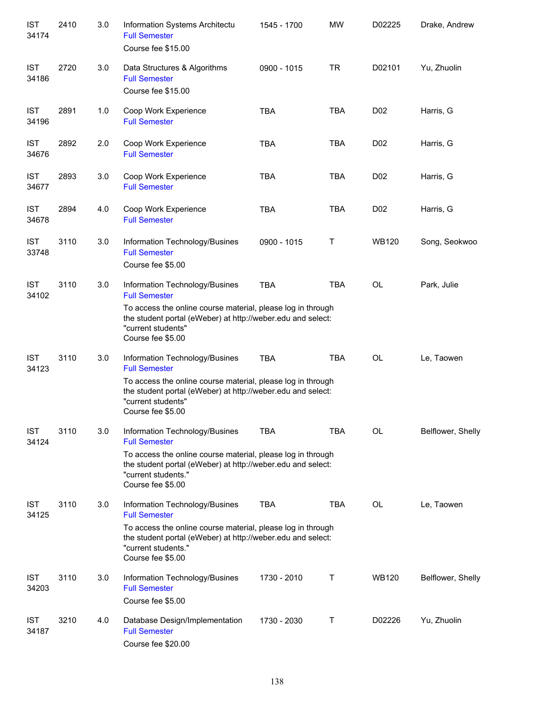| <b>IST</b><br>34174 | 2410 | 3.0 | Information Systems Architectu<br><b>Full Semester</b><br>Course fee \$15.00                                                                                           | 1545 - 1700 | <b>MW</b>  | D02225           | Drake, Andrew     |
|---------------------|------|-----|------------------------------------------------------------------------------------------------------------------------------------------------------------------------|-------------|------------|------------------|-------------------|
| <b>IST</b><br>34186 | 2720 | 3.0 | Data Structures & Algorithms<br><b>Full Semester</b><br>Course fee \$15.00                                                                                             | 0900 - 1015 | <b>TR</b>  | D02101           | Yu, Zhuolin       |
| <b>IST</b><br>34196 | 2891 | 1.0 | Coop Work Experience<br><b>Full Semester</b>                                                                                                                           | <b>TBA</b>  | <b>TBA</b> | D <sub>0</sub> 2 | Harris, G         |
| <b>IST</b><br>34676 | 2892 | 2.0 | Coop Work Experience<br><b>Full Semester</b>                                                                                                                           | <b>TBA</b>  | <b>TBA</b> | D <sub>0</sub> 2 | Harris, G         |
| <b>IST</b><br>34677 | 2893 | 3.0 | Coop Work Experience<br><b>Full Semester</b>                                                                                                                           | <b>TBA</b>  | <b>TBA</b> | D <sub>0</sub> 2 | Harris, G         |
| <b>IST</b><br>34678 | 2894 | 4.0 | Coop Work Experience<br><b>Full Semester</b>                                                                                                                           | <b>TBA</b>  | <b>TBA</b> | D <sub>0</sub> 2 | Harris, G         |
| <b>IST</b><br>33748 | 3110 | 3.0 | Information Technology/Busines<br><b>Full Semester</b><br>Course fee \$5.00                                                                                            | 0900 - 1015 | Τ          | <b>WB120</b>     | Song, Seokwoo     |
| <b>IST</b><br>34102 | 3110 | 3.0 | Information Technology/Busines<br><b>Full Semester</b>                                                                                                                 | <b>TBA</b>  | <b>TBA</b> | <b>OL</b>        | Park, Julie       |
|                     |      |     | To access the online course material, please log in through<br>the student portal (eWeber) at http://weber.edu and select:<br>"current students"<br>Course fee \$5.00  |             |            |                  |                   |
| <b>IST</b><br>34123 | 3110 | 3.0 | Information Technology/Busines<br><b>Full Semester</b>                                                                                                                 | <b>TBA</b>  | <b>TBA</b> | OL               | Le, Taowen        |
|                     |      |     | To access the online course material, please log in through<br>the student portal (eWeber) at http://weber.edu and select:<br>"current students"<br>Course fee \$5.00  |             |            |                  |                   |
| <b>IST</b><br>34124 | 3110 | 3.0 | Information Technology/Busines<br><b>Full Semester</b>                                                                                                                 | <b>TBA</b>  | <b>TBA</b> | <b>OL</b>        | Belflower, Shelly |
|                     |      |     | To access the online course material, please log in through<br>the student portal (eWeber) at http://weber.edu and select:<br>"current students."<br>Course fee \$5.00 |             |            |                  |                   |
| <b>IST</b><br>34125 | 3110 | 3.0 | Information Technology/Busines<br><b>Full Semester</b>                                                                                                                 | <b>TBA</b>  | <b>TBA</b> | OL               | Le, Taowen        |
|                     |      |     | To access the online course material, please log in through<br>the student portal (eWeber) at http://weber.edu and select:<br>"current students."<br>Course fee \$5.00 |             |            |                  |                   |
| <b>IST</b><br>34203 | 3110 | 3.0 | Information Technology/Busines<br><b>Full Semester</b><br>Course fee \$5.00                                                                                            | 1730 - 2010 | Т          | <b>WB120</b>     | Belflower, Shelly |
| <b>IST</b><br>34187 | 3210 | 4.0 | Database Design/Implementation<br><b>Full Semester</b><br>Course fee \$20.00                                                                                           | 1730 - 2030 | Т          | D02226           | Yu, Zhuolin       |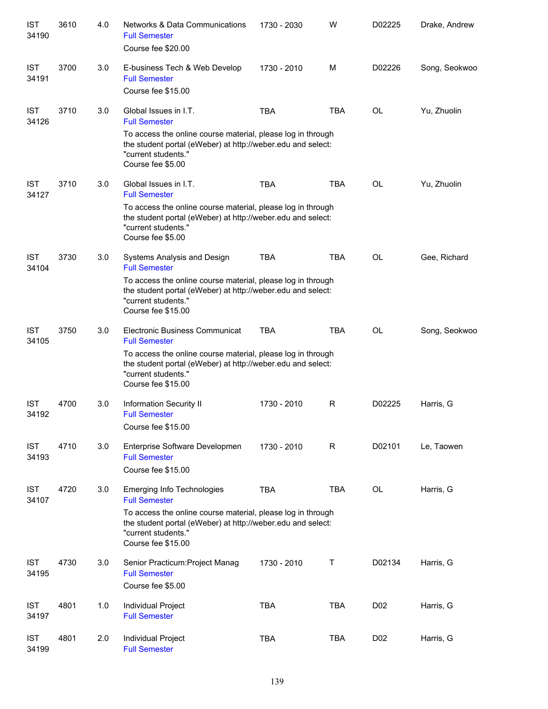| <b>IST</b><br>34190 | 3610 | 4.0 | <b>Networks &amp; Data Communications</b><br><b>Full Semester</b><br>Course fee \$20.00                                                                                 | 1730 - 2030 | W          | D02225          | Drake, Andrew |
|---------------------|------|-----|-------------------------------------------------------------------------------------------------------------------------------------------------------------------------|-------------|------------|-----------------|---------------|
| <b>IST</b><br>34191 | 3700 | 3.0 | E-business Tech & Web Develop<br><b>Full Semester</b><br>Course fee \$15.00                                                                                             | 1730 - 2010 | M          | D02226          | Song, Seokwoo |
| <b>IST</b><br>34126 | 3710 | 3.0 | Global Issues in I.T.<br><b>Full Semester</b>                                                                                                                           | <b>TBA</b>  | <b>TBA</b> | OL              | Yu, Zhuolin   |
|                     |      |     | To access the online course material, please log in through<br>the student portal (eWeber) at http://weber.edu and select:<br>"current students."<br>Course fee \$5.00  |             |            |                 |               |
| <b>IST</b><br>34127 | 3710 | 3.0 | Global Issues in I.T.<br><b>Full Semester</b>                                                                                                                           | <b>TBA</b>  | <b>TBA</b> | <b>OL</b>       | Yu, Zhuolin   |
|                     |      |     | To access the online course material, please log in through<br>the student portal (eWeber) at http://weber.edu and select:<br>"current students."<br>Course fee \$5.00  |             |            |                 |               |
| <b>IST</b><br>34104 | 3730 | 3.0 | Systems Analysis and Design<br><b>Full Semester</b>                                                                                                                     | <b>TBA</b>  | <b>TBA</b> | OL              | Gee, Richard  |
|                     |      |     | To access the online course material, please log in through<br>the student portal (eWeber) at http://weber.edu and select:<br>"current students."<br>Course fee \$15.00 |             |            |                 |               |
| <b>IST</b><br>34105 | 3750 | 3.0 | Electronic Business Communicat<br><b>Full Semester</b>                                                                                                                  | <b>TBA</b>  | <b>TBA</b> | <b>OL</b>       | Song, Seokwoo |
|                     |      |     | To access the online course material, please log in through<br>the student portal (eWeber) at http://weber.edu and select:<br>"current students."<br>Course fee \$15.00 |             |            |                 |               |
| <b>IST</b><br>34192 | 4700 | 3.0 | Information Security II<br><b>Full Semester</b><br>Course fee \$15.00                                                                                                   | 1730 - 2010 | R          | D02225          | Harris, G     |
| <b>IST</b><br>34193 | 4710 | 3.0 | Enterprise Software Developmen<br><b>Full Semester</b><br>Course fee \$15.00                                                                                            | 1730 - 2010 | R          | D02101          | Le, Taowen    |
| <b>IST</b><br>34107 | 4720 | 3.0 | <b>Emerging Info Technologies</b><br><b>Full Semester</b>                                                                                                               | <b>TBA</b>  | <b>TBA</b> | OL              | Harris, G     |
|                     |      |     | To access the online course material, please log in through<br>the student portal (eWeber) at http://weber.edu and select:<br>"current students."<br>Course fee \$15.00 |             |            |                 |               |
| <b>IST</b><br>34195 | 4730 | 3.0 | Senior Practicum: Project Manag<br><b>Full Semester</b><br>Course fee \$5.00                                                                                            | 1730 - 2010 | Τ          | D02134          | Harris, G     |
| <b>IST</b><br>34197 | 4801 | 1.0 | Individual Project<br><b>Full Semester</b>                                                                                                                              | <b>TBA</b>  | <b>TBA</b> | D <sub>02</sub> | Harris, G     |
| <b>IST</b><br>34199 | 4801 | 2.0 | Individual Project<br><b>Full Semester</b>                                                                                                                              | TBA         | <b>TBA</b> | D <sub>02</sub> | Harris, G     |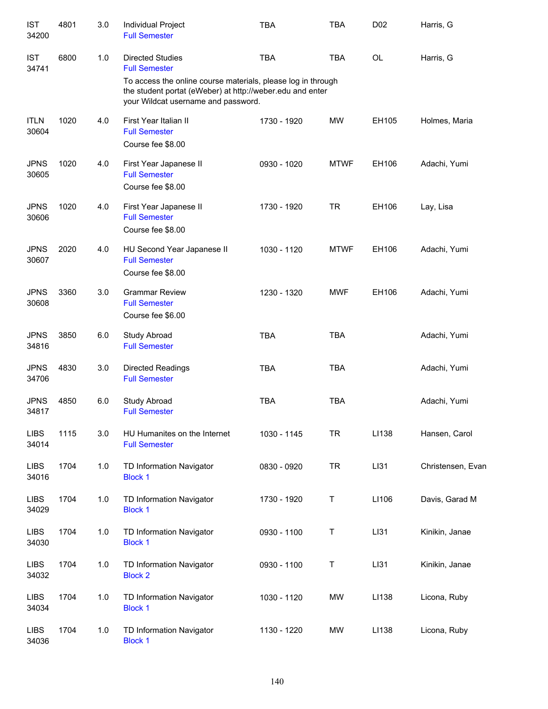| <b>IST</b><br>34200  | 4801 | 3.0   | Individual Project<br><b>Full Semester</b>                                                                                                                                                                          | <b>TBA</b>  | <b>TBA</b>  | D <sub>0</sub> 2 | Harris, G         |
|----------------------|------|-------|---------------------------------------------------------------------------------------------------------------------------------------------------------------------------------------------------------------------|-------------|-------------|------------------|-------------------|
| <b>IST</b><br>34741  | 6800 | 1.0   | <b>Directed Studies</b><br><b>Full Semester</b><br>To access the online course materials, please log in through<br>the student portat (eWeber) at http://weber.edu and enter<br>your Wildcat username and password. | <b>TBA</b>  | <b>TBA</b>  | <b>OL</b>        | Harris, G         |
| <b>ITLN</b><br>30604 | 1020 | 4.0   | First Year Italian II<br><b>Full Semester</b><br>Course fee \$8.00                                                                                                                                                  | 1730 - 1920 | <b>MW</b>   | EH105            | Holmes, Maria     |
| <b>JPNS</b><br>30605 | 1020 | 4.0   | First Year Japanese II<br><b>Full Semester</b><br>Course fee \$8.00                                                                                                                                                 | 0930 - 1020 | <b>MTWF</b> | EH106            | Adachi, Yumi      |
| <b>JPNS</b><br>30606 | 1020 | 4.0   | First Year Japanese II<br><b>Full Semester</b><br>Course fee \$8.00                                                                                                                                                 | 1730 - 1920 | <b>TR</b>   | EH106            | Lay, Lisa         |
| <b>JPNS</b><br>30607 | 2020 | 4.0   | HU Second Year Japanese II<br><b>Full Semester</b><br>Course fee \$8.00                                                                                                                                             | 1030 - 1120 | <b>MTWF</b> | EH106            | Adachi, Yumi      |
| <b>JPNS</b><br>30608 | 3360 | 3.0   | <b>Grammar Review</b><br><b>Full Semester</b><br>Course fee \$6.00                                                                                                                                                  | 1230 - 1320 | <b>MWF</b>  | EH106            | Adachi, Yumi      |
| <b>JPNS</b><br>34816 | 3850 | 6.0   | Study Abroad<br><b>Full Semester</b>                                                                                                                                                                                | <b>TBA</b>  | <b>TBA</b>  |                  | Adachi, Yumi      |
| <b>JPNS</b><br>34706 | 4830 | 3.0   | Directed Readings<br><b>Full Semester</b>                                                                                                                                                                           | <b>TBA</b>  | <b>TBA</b>  |                  | Adachi, Yumi      |
| <b>JPNS</b><br>34817 | 4850 | 6.0   | Study Abroad<br><b>Full Semester</b>                                                                                                                                                                                | <b>TBA</b>  | <b>TBA</b>  |                  | Adachi, Yumi      |
| <b>LIBS</b><br>34014 | 1115 | 3.0   | HU Humanites on the Internet<br><b>Full Semester</b>                                                                                                                                                                | 1030 - 1145 | <b>TR</b>   | LI138            | Hansen, Carol     |
| <b>LIBS</b><br>34016 | 1704 | 1.0   | TD Information Navigator<br><b>Block 1</b>                                                                                                                                                                          | 0830 - 0920 | <b>TR</b>   | LI31             | Christensen, Evan |
| <b>LIBS</b><br>34029 | 1704 | 1.0   | TD Information Navigator<br><b>Block 1</b>                                                                                                                                                                          | 1730 - 1920 | Τ           | LI106            | Davis, Garad M    |
| <b>LIBS</b><br>34030 | 1704 | 1.0   | TD Information Navigator<br><b>Block 1</b>                                                                                                                                                                          | 0930 - 1100 | T           | LI31             | Kinikin, Janae    |
| <b>LIBS</b><br>34032 | 1704 | 1.0   | TD Information Navigator<br><b>Block 2</b>                                                                                                                                                                          | 0930 - 1100 | Τ           | LI31             | Kinikin, Janae    |
| <b>LIBS</b><br>34034 | 1704 | $1.0$ | TD Information Navigator<br><b>Block 1</b>                                                                                                                                                                          | 1030 - 1120 | MW          | LI138            | Licona, Ruby      |
| <b>LIBS</b><br>34036 | 1704 | 1.0   | TD Information Navigator<br><b>Block 1</b>                                                                                                                                                                          | 1130 - 1220 | MW          | LI138            | Licona, Ruby      |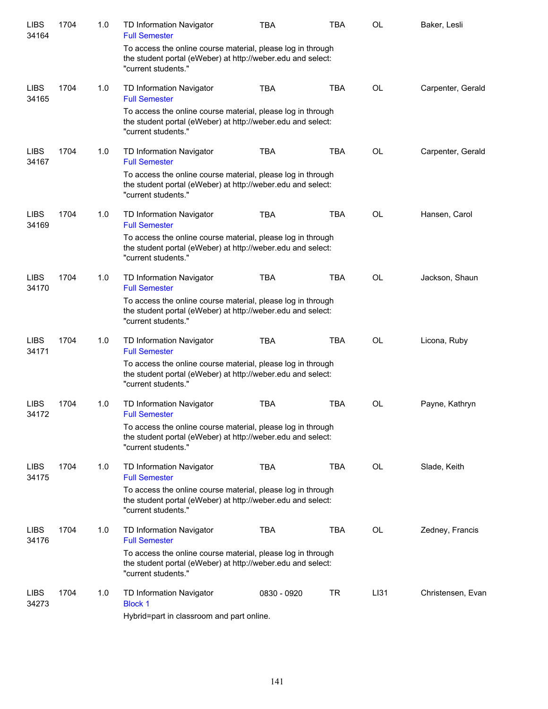| <b>LIBS</b><br>34164 | 1704 | 1.0 | TD Information Navigator<br><b>Full Semester</b>                                                                                                  | <b>TBA</b>  | TBA        | <b>OL</b> | Baker, Lesli      |
|----------------------|------|-----|---------------------------------------------------------------------------------------------------------------------------------------------------|-------------|------------|-----------|-------------------|
|                      |      |     | To access the online course material, please log in through<br>the student portal (eWeber) at http://weber.edu and select:<br>"current students." |             |            |           |                   |
| <b>LIBS</b><br>34165 | 1704 | 1.0 | TD Information Navigator<br><b>Full Semester</b>                                                                                                  | <b>TBA</b>  | <b>TBA</b> | <b>OL</b> | Carpenter, Gerald |
|                      |      |     | To access the online course material, please log in through<br>the student portal (eWeber) at http://weber.edu and select:<br>"current students." |             |            |           |                   |
| <b>LIBS</b><br>34167 | 1704 | 1.0 | TD Information Navigator<br><b>Full Semester</b>                                                                                                  | <b>TBA</b>  | <b>TBA</b> | OL        | Carpenter, Gerald |
|                      |      |     | To access the online course material, please log in through<br>the student portal (eWeber) at http://weber.edu and select:<br>"current students." |             |            |           |                   |
| <b>LIBS</b><br>34169 | 1704 | 1.0 | TD Information Navigator<br><b>Full Semester</b>                                                                                                  | <b>TBA</b>  | <b>TBA</b> | OL        | Hansen, Carol     |
|                      |      |     | To access the online course material, please log in through<br>the student portal (eWeber) at http://weber.edu and select:<br>"current students." |             |            |           |                   |
| <b>LIBS</b><br>34170 | 1704 | 1.0 | TD Information Navigator<br><b>Full Semester</b>                                                                                                  | <b>TBA</b>  | <b>TBA</b> | <b>OL</b> | Jackson, Shaun    |
|                      |      |     | To access the online course material, please log in through<br>the student portal (eWeber) at http://weber.edu and select:<br>"current students." |             |            |           |                   |
| <b>LIBS</b><br>34171 | 1704 | 1.0 | TD Information Navigator<br><b>Full Semester</b>                                                                                                  | <b>TBA</b>  | <b>TBA</b> | <b>OL</b> | Licona, Ruby      |
|                      |      |     | To access the online course material, please log in through<br>the student portal (eWeber) at http://weber.edu and select:<br>"current students." |             |            |           |                   |
| <b>LIBS</b><br>34172 | 1704 | 1.0 | TD Information Navigator<br><b>Full Semester</b>                                                                                                  | <b>TBA</b>  | <b>TBA</b> | OL        | Payne, Kathryn    |
|                      |      |     | To access the online course material, please log in through<br>the student portal (eWeber) at http://weber.edu and select:<br>"current students." |             |            |           |                   |
| <b>LIBS</b><br>34175 | 1704 | 1.0 | TD Information Navigator<br><b>Full Semester</b>                                                                                                  | TBA         | <b>TBA</b> | OL        | Slade, Keith      |
|                      |      |     | To access the online course material, please log in through<br>the student portal (eWeber) at http://weber.edu and select:<br>"current students." |             |            |           |                   |
| <b>LIBS</b><br>34176 | 1704 | 1.0 | TD Information Navigator<br><b>Full Semester</b>                                                                                                  | TBA         | TBA        | OL        | Zedney, Francis   |
|                      |      |     | To access the online course material, please log in through<br>the student portal (eWeber) at http://weber.edu and select:<br>"current students." |             |            |           |                   |
| <b>LIBS</b><br>34273 | 1704 | 1.0 | TD Information Navigator<br><b>Block 1</b>                                                                                                        | 0830 - 0920 | TR         | LI31      | Christensen, Evan |
|                      |      |     | Hybrid=part in classroom and part online.                                                                                                         |             |            |           |                   |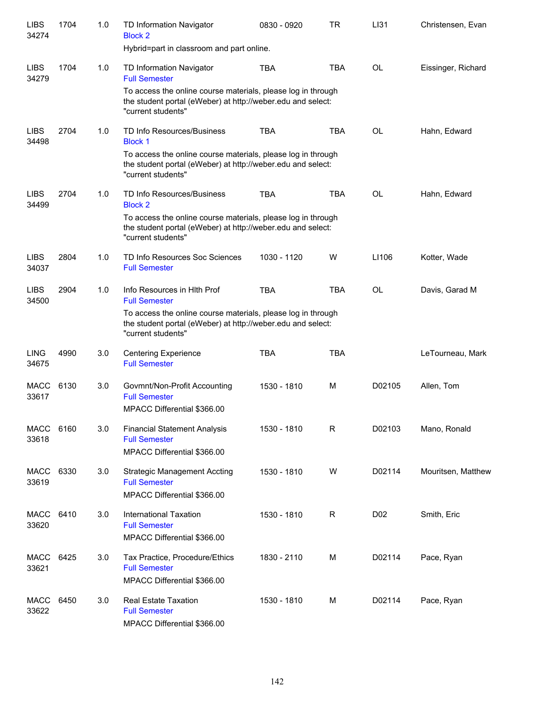| <b>LIBS</b><br>34274 | 1704 | 1.0 | TD Information Navigator<br><b>Block 2</b>                                                                                                        | 0830 - 0920 | <b>TR</b>   | LI31             | Christensen, Evan  |
|----------------------|------|-----|---------------------------------------------------------------------------------------------------------------------------------------------------|-------------|-------------|------------------|--------------------|
|                      |      |     | Hybrid=part in classroom and part online.                                                                                                         |             |             |                  |                    |
| <b>LIBS</b><br>34279 | 1704 | 1.0 | TD Information Navigator<br><b>Full Semester</b>                                                                                                  | <b>TBA</b>  | <b>TBA</b>  | <b>OL</b>        | Eissinger, Richard |
|                      |      |     | To access the online course materials, please log in through<br>the student portal (eWeber) at http://weber.edu and select:<br>"current students" |             |             |                  |                    |
| <b>LIBS</b><br>34498 | 2704 | 1.0 | TD Info Resources/Business<br><b>Block 1</b>                                                                                                      | <b>TBA</b>  | <b>TBA</b>  | <b>OL</b>        | Hahn, Edward       |
|                      |      |     | To access the online course materials, please log in through<br>the student portal (eWeber) at http://weber.edu and select:<br>"current students" |             |             |                  |                    |
| <b>LIBS</b><br>34499 | 2704 | 1.0 | TD Info Resources/Business<br><b>Block 2</b>                                                                                                      | <b>TBA</b>  | <b>TBA</b>  | <b>OL</b>        | Hahn, Edward       |
|                      |      |     | To access the online course materials, please log in through<br>the student portal (eWeber) at http://weber.edu and select:<br>"current students" |             |             |                  |                    |
| <b>LIBS</b><br>34037 | 2804 | 1.0 | TD Info Resources Soc Sciences<br><b>Full Semester</b>                                                                                            | 1030 - 1120 | W           | LI106            | Kotter, Wade       |
| <b>LIBS</b><br>34500 | 2904 | 1.0 | Info Resources in HIth Prof<br><b>Full Semester</b>                                                                                               | <b>TBA</b>  | <b>TBA</b>  | <b>OL</b>        | Davis, Garad M     |
|                      |      |     | To access the online course materials, please log in through<br>the student portal (eWeber) at http://weber.edu and select:<br>"current students" |             |             |                  |                    |
| <b>LING</b><br>34675 | 4990 | 3.0 | <b>Centering Experience</b><br><b>Full Semester</b>                                                                                               | <b>TBA</b>  | <b>TBA</b>  |                  | LeTourneau, Mark   |
| MACC<br>33617        | 6130 | 3.0 | Govmnt/Non-Profit Accounting<br><b>Full Semester</b><br>MPACC Differential \$366.00                                                               | 1530 - 1810 | M           | D02105           | Allen, Tom         |
| <b>MACC</b><br>33618 | 6160 | 3.0 | <b>Financial Statement Analysis</b><br><b>Full Semester</b><br>MPACC Differential \$366.00                                                        | 1530 - 1810 | R           | D02103           | Mano, Ronald       |
| MACC<br>33619        | 6330 | 3.0 | <b>Strategic Management Accting</b><br><b>Full Semester</b><br>MPACC Differential \$366.00                                                        | 1530 - 1810 | W           | D02114           | Mouritsen, Matthew |
| MACC<br>33620        | 6410 | 3.0 | International Taxation<br><b>Full Semester</b><br>MPACC Differential \$366.00                                                                     | 1530 - 1810 | $\mathsf R$ | D <sub>0</sub> 2 | Smith, Eric        |
| MACC<br>33621        | 6425 | 3.0 | Tax Practice, Procedure/Ethics<br><b>Full Semester</b><br>MPACC Differential \$366.00                                                             | 1830 - 2110 | М           | D02114           | Pace, Ryan         |
| MACC<br>33622        | 6450 | 3.0 | Real Estate Taxation<br><b>Full Semester</b><br>MPACC Differential \$366.00                                                                       | 1530 - 1810 | М           | D02114           | Pace, Ryan         |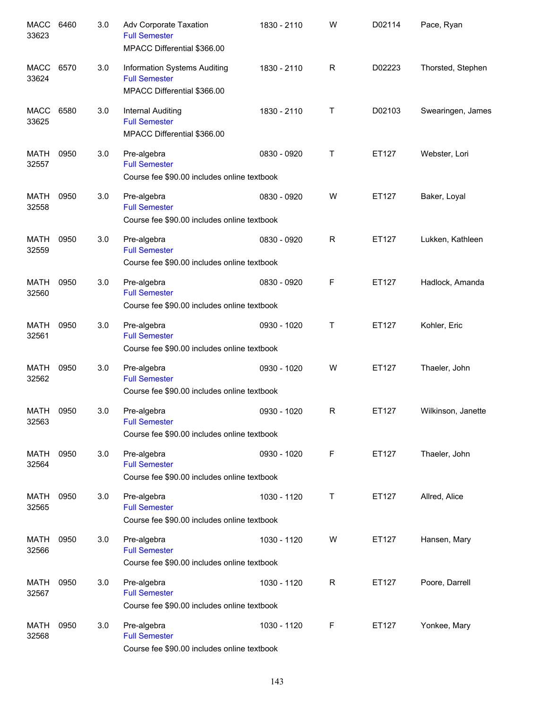| <b>MACC</b><br>33623 | 6460 | 3.0 | Adv Corporate Taxation<br><b>Full Semester</b><br>MPACC Differential \$366.00       | 1830 - 2110 | W            | D02114 | Pace, Ryan         |
|----------------------|------|-----|-------------------------------------------------------------------------------------|-------------|--------------|--------|--------------------|
| MACC<br>33624        | 6570 | 3.0 | Information Systems Auditing<br><b>Full Semester</b><br>MPACC Differential \$366.00 | 1830 - 2110 | R            | D02223 | Thorsted, Stephen  |
| MACC<br>33625        | 6580 | 3.0 | Internal Auditing<br><b>Full Semester</b><br>MPACC Differential \$366.00            | 1830 - 2110 | Τ            | D02103 | Swearingen, James  |
| MATH<br>32557        | 0950 | 3.0 | Pre-algebra<br><b>Full Semester</b><br>Course fee \$90.00 includes online textbook  | 0830 - 0920 | Т            | ET127  | Webster, Lori      |
| <b>MATH</b><br>32558 | 0950 | 3.0 | Pre-algebra<br><b>Full Semester</b><br>Course fee \$90.00 includes online textbook  | 0830 - 0920 | W            | ET127  | Baker, Loyal       |
| <b>MATH</b><br>32559 | 0950 | 3.0 | Pre-algebra<br><b>Full Semester</b><br>Course fee \$90.00 includes online textbook  | 0830 - 0920 | $\mathsf{R}$ | ET127  | Lukken, Kathleen   |
| <b>MATH</b><br>32560 | 0950 | 3.0 | Pre-algebra<br><b>Full Semester</b><br>Course fee \$90.00 includes online textbook  | 0830 - 0920 | F            | ET127  | Hadlock, Amanda    |
| <b>MATH</b><br>32561 | 0950 | 3.0 | Pre-algebra<br><b>Full Semester</b><br>Course fee \$90.00 includes online textbook  | 0930 - 1020 | Т            | ET127  | Kohler, Eric       |
| <b>MATH</b><br>32562 | 0950 | 3.0 | Pre-algebra<br><b>Full Semester</b><br>Course fee \$90.00 includes online textbook  | 0930 - 1020 | W            | ET127  | Thaeler, John      |
| MATH<br>32563        | 0950 | 3.0 | Pre-algebra<br><b>Full Semester</b><br>Course fee \$90.00 includes online textbook  | 0930 - 1020 | R            | ET127  | Wilkinson, Janette |
| MATH<br>32564        | 0950 | 3.0 | Pre-algebra<br><b>Full Semester</b><br>Course fee \$90.00 includes online textbook  | 0930 - 1020 | F            | ET127  | Thaeler, John      |
| <b>MATH</b><br>32565 | 0950 | 3.0 | Pre-algebra<br><b>Full Semester</b><br>Course fee \$90.00 includes online textbook  | 1030 - 1120 | Τ            | ET127  | Allred, Alice      |
| MATH<br>32566        | 0950 | 3.0 | Pre-algebra<br><b>Full Semester</b><br>Course fee \$90.00 includes online textbook  | 1030 - 1120 | W            | ET127  | Hansen, Mary       |
| MATH<br>32567        | 0950 | 3.0 | Pre-algebra<br><b>Full Semester</b><br>Course fee \$90.00 includes online textbook  | 1030 - 1120 | R            | ET127  | Poore, Darrell     |
| <b>MATH</b><br>32568 | 0950 | 3.0 | Pre-algebra<br><b>Full Semester</b><br>Course fee \$90.00 includes online textbook  | 1030 - 1120 | F            | ET127  | Yonkee, Mary       |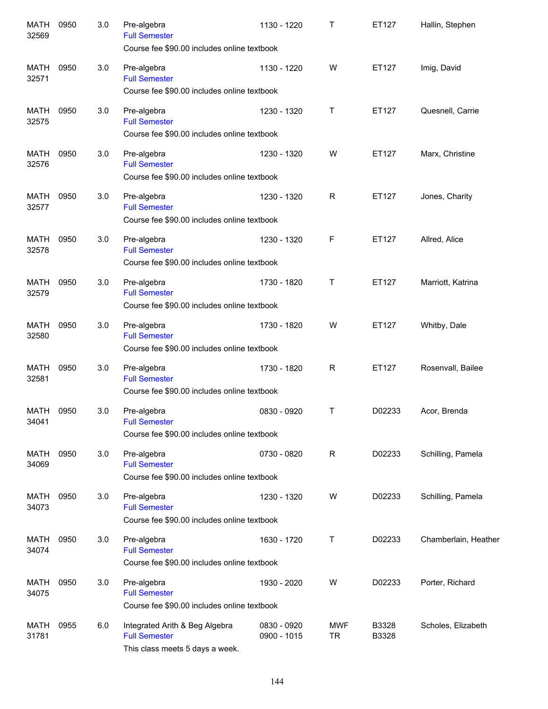| <b>MATH</b><br>32569 | 0950 | 3.0 | Pre-algebra<br><b>Full Semester</b><br>Course fee \$90.00 includes online textbook        | 1130 - 1220                | Т                       | ET127          | Hallin, Stephen      |
|----------------------|------|-----|-------------------------------------------------------------------------------------------|----------------------------|-------------------------|----------------|----------------------|
| MATH<br>32571        | 0950 | 3.0 | Pre-algebra<br><b>Full Semester</b><br>Course fee \$90.00 includes online textbook        | 1130 - 1220                | W                       | ET127          | Imig, David          |
| <b>MATH</b><br>32575 | 0950 | 3.0 | Pre-algebra<br><b>Full Semester</b><br>Course fee \$90.00 includes online textbook        | 1230 - 1320                | Τ                       | ET127          | Quesnell, Carrie     |
| <b>MATH</b><br>32576 | 0950 | 3.0 | Pre-algebra<br><b>Full Semester</b><br>Course fee \$90.00 includes online textbook        | 1230 - 1320                | W                       | ET127          | Marx, Christine      |
| MATH<br>32577        | 0950 | 3.0 | Pre-algebra<br><b>Full Semester</b><br>Course fee \$90.00 includes online textbook        | 1230 - 1320                | R                       | ET127          | Jones, Charity       |
| MATH<br>32578        | 0950 | 3.0 | Pre-algebra<br><b>Full Semester</b><br>Course fee \$90.00 includes online textbook        | 1230 - 1320                | F                       | ET127          | Allred, Alice        |
| <b>MATH</b><br>32579 | 0950 | 3.0 | Pre-algebra<br><b>Full Semester</b><br>Course fee \$90.00 includes online textbook        | 1730 - 1820                | $\top$                  | ET127          | Marriott, Katrina    |
| <b>MATH</b><br>32580 | 0950 | 3.0 | Pre-algebra<br><b>Full Semester</b><br>Course fee \$90.00 includes online textbook        | 1730 - 1820                | W                       | ET127          | Whitby, Dale         |
| <b>MATH</b><br>32581 | 0950 | 3.0 | Pre-algebra<br><b>Full Semester</b><br>Course fee \$90.00 includes online textbook        | 1730 - 1820                | $\mathsf{R}$            | ET127          | Rosenvall, Bailee    |
| MATH<br>34041        | 0950 | 3.0 | Pre-algebra<br><b>Full Semester</b><br>Course fee \$90.00 includes online textbook        | 0830 - 0920                | T                       | D02233         | Acor, Brenda         |
| MATH<br>34069        | 0950 | 3.0 | Pre-algebra<br><b>Full Semester</b><br>Course fee \$90.00 includes online textbook        | 0730 - 0820                | $\mathsf{R}$            | D02233         | Schilling, Pamela    |
| MATH<br>34073        | 0950 | 3.0 | Pre-algebra<br><b>Full Semester</b><br>Course fee \$90.00 includes online textbook        | 1230 - 1320                | W                       | D02233         | Schilling, Pamela    |
| MATH<br>34074        | 0950 | 3.0 | Pre-algebra<br><b>Full Semester</b><br>Course fee \$90.00 includes online textbook        | 1630 - 1720                | $\sf T$                 | D02233         | Chamberlain, Heather |
| MATH<br>34075        | 0950 | 3.0 | Pre-algebra<br><b>Full Semester</b><br>Course fee \$90.00 includes online textbook        | 1930 - 2020                | W                       | D02233         | Porter, Richard      |
| MATH<br>31781        | 0955 | 6.0 | Integrated Arith & Beg Algebra<br><b>Full Semester</b><br>This class meets 5 days a week. | 0830 - 0920<br>0900 - 1015 | <b>MWF</b><br><b>TR</b> | B3328<br>B3328 | Scholes, Elizabeth   |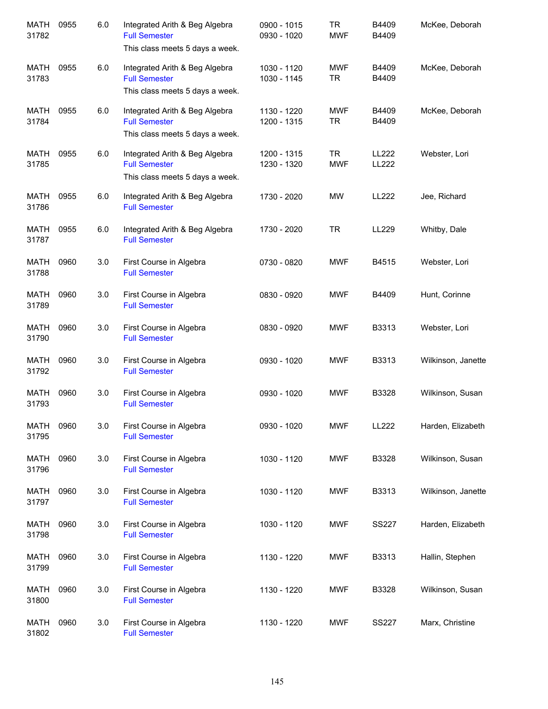| <b>MATH</b><br>31782 | 0955 | 6.0 | Integrated Arith & Beg Algebra<br><b>Full Semester</b><br>This class meets 5 days a week. | 0900 - 1015<br>0930 - 1020 | <b>TR</b><br><b>MWF</b> | B4409<br>B4409 | McKee, Deborah     |
|----------------------|------|-----|-------------------------------------------------------------------------------------------|----------------------------|-------------------------|----------------|--------------------|
| MATH<br>31783        | 0955 | 6.0 | Integrated Arith & Beg Algebra<br><b>Full Semester</b><br>This class meets 5 days a week. | 1030 - 1120<br>1030 - 1145 | <b>MWF</b><br><b>TR</b> | B4409<br>B4409 | McKee, Deborah     |
| MATH<br>31784        | 0955 | 6.0 | Integrated Arith & Beg Algebra<br><b>Full Semester</b><br>This class meets 5 days a week. | 1130 - 1220<br>1200 - 1315 | <b>MWF</b><br><b>TR</b> | B4409<br>B4409 | McKee, Deborah     |
| MATH<br>31785        | 0955 | 6.0 | Integrated Arith & Beg Algebra<br><b>Full Semester</b><br>This class meets 5 days a week. | 1200 - 1315<br>1230 - 1320 | <b>TR</b><br><b>MWF</b> | LL222<br>LL222 | Webster, Lori      |
| MATH<br>31786        | 0955 | 6.0 | Integrated Arith & Beg Algebra<br><b>Full Semester</b>                                    | 1730 - 2020                | MW                      | <b>LL222</b>   | Jee, Richard       |
| <b>MATH</b><br>31787 | 0955 | 6.0 | Integrated Arith & Beg Algebra<br><b>Full Semester</b>                                    | 1730 - 2020                | <b>TR</b>               | LL229          | Whitby, Dale       |
| <b>MATH</b><br>31788 | 0960 | 3.0 | First Course in Algebra<br><b>Full Semester</b>                                           | 0730 - 0820                | <b>MWF</b>              | B4515          | Webster, Lori      |
| <b>MATH</b><br>31789 | 0960 | 3.0 | First Course in Algebra<br><b>Full Semester</b>                                           | 0830 - 0920                | <b>MWF</b>              | B4409          | Hunt, Corinne      |
| <b>MATH</b><br>31790 | 0960 | 3.0 | First Course in Algebra<br><b>Full Semester</b>                                           | 0830 - 0920                | <b>MWF</b>              | B3313          | Webster, Lori      |
| <b>MATH</b><br>31792 | 0960 | 3.0 | First Course in Algebra<br><b>Full Semester</b>                                           | 0930 - 1020                | <b>MWF</b>              | B3313          | Wilkinson, Janette |
| <b>MATH</b><br>31793 | 0960 | 3.0 | First Course in Algebra<br><b>Full Semester</b>                                           | 0930 - 1020                | <b>MWF</b>              | B3328          | Wilkinson, Susan   |
| MATH<br>31795        | 0960 | 3.0 | First Course in Algebra<br><b>Full Semester</b>                                           | 0930 - 1020                | <b>MWF</b>              | LL222          | Harden, Elizabeth  |
| <b>MATH</b><br>31796 | 0960 | 3.0 | First Course in Algebra<br><b>Full Semester</b>                                           | 1030 - 1120                | <b>MWF</b>              | B3328          | Wilkinson, Susan   |
| MATH<br>31797        | 0960 | 3.0 | First Course in Algebra<br><b>Full Semester</b>                                           | 1030 - 1120                | <b>MWF</b>              | B3313          | Wilkinson, Janette |
| MATH<br>31798        | 0960 | 3.0 | First Course in Algebra<br><b>Full Semester</b>                                           | 1030 - 1120                | <b>MWF</b>              | <b>SS227</b>   | Harden, Elizabeth  |
| MATH<br>31799        | 0960 | 3.0 | First Course in Algebra<br><b>Full Semester</b>                                           | 1130 - 1220                | MWF                     | B3313          | Hallin, Stephen    |
| MATH<br>31800        | 0960 | 3.0 | First Course in Algebra<br><b>Full Semester</b>                                           | 1130 - 1220                | <b>MWF</b>              | B3328          | Wilkinson, Susan   |
| MATH<br>31802        | 0960 | 3.0 | First Course in Algebra<br><b>Full Semester</b>                                           | 1130 - 1220                | <b>MWF</b>              | <b>SS227</b>   | Marx, Christine    |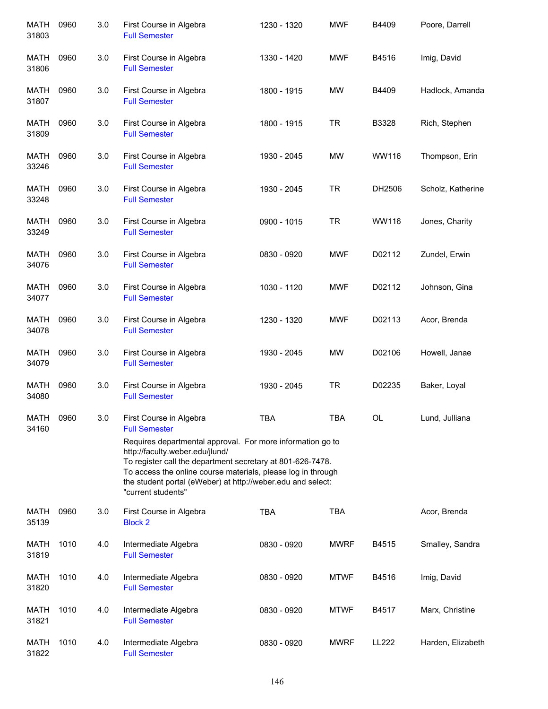| <b>MATH</b><br>31803 | 0960 | 3.0 | First Course in Algebra<br><b>Full Semester</b>                                                                                                                                                                                                                                                                                                                     | 1230 - 1320 | <b>MWF</b>  | B4409  | Poore, Darrell    |
|----------------------|------|-----|---------------------------------------------------------------------------------------------------------------------------------------------------------------------------------------------------------------------------------------------------------------------------------------------------------------------------------------------------------------------|-------------|-------------|--------|-------------------|
| MATH<br>31806        | 0960 | 3.0 | First Course in Algebra<br><b>Full Semester</b>                                                                                                                                                                                                                                                                                                                     | 1330 - 1420 | <b>MWF</b>  | B4516  | Imig, David       |
| MATH<br>31807        | 0960 | 3.0 | First Course in Algebra<br><b>Full Semester</b>                                                                                                                                                                                                                                                                                                                     | 1800 - 1915 | <b>MW</b>   | B4409  | Hadlock, Amanda   |
| MATH<br>31809        | 0960 | 3.0 | First Course in Algebra<br><b>Full Semester</b>                                                                                                                                                                                                                                                                                                                     | 1800 - 1915 | <b>TR</b>   | B3328  | Rich, Stephen     |
| MATH<br>33246        | 0960 | 3.0 | First Course in Algebra<br><b>Full Semester</b>                                                                                                                                                                                                                                                                                                                     | 1930 - 2045 | <b>MW</b>   | WW116  | Thompson, Erin    |
| MATH<br>33248        | 0960 | 3.0 | First Course in Algebra<br><b>Full Semester</b>                                                                                                                                                                                                                                                                                                                     | 1930 - 2045 | <b>TR</b>   | DH2506 | Scholz, Katherine |
| MATH<br>33249        | 0960 | 3.0 | First Course in Algebra<br><b>Full Semester</b>                                                                                                                                                                                                                                                                                                                     | 0900 - 1015 | <b>TR</b>   | WW116  | Jones, Charity    |
| <b>MATH</b><br>34076 | 0960 | 3.0 | First Course in Algebra<br><b>Full Semester</b>                                                                                                                                                                                                                                                                                                                     | 0830 - 0920 | <b>MWF</b>  | D02112 | Zundel, Erwin     |
| <b>MATH</b><br>34077 | 0960 | 3.0 | First Course in Algebra<br><b>Full Semester</b>                                                                                                                                                                                                                                                                                                                     | 1030 - 1120 | <b>MWF</b>  | D02112 | Johnson, Gina     |
| <b>MATH</b><br>34078 | 0960 | 3.0 | First Course in Algebra<br><b>Full Semester</b>                                                                                                                                                                                                                                                                                                                     | 1230 - 1320 | <b>MWF</b>  | D02113 | Acor, Brenda      |
| <b>MATH</b><br>34079 | 0960 | 3.0 | First Course in Algebra<br><b>Full Semester</b>                                                                                                                                                                                                                                                                                                                     | 1930 - 2045 | <b>MW</b>   | D02106 | Howell, Janae     |
| <b>MATH</b><br>34080 | 0960 | 3.0 | First Course in Algebra<br><b>Full Semester</b>                                                                                                                                                                                                                                                                                                                     | 1930 - 2045 | <b>TR</b>   | D02235 | Baker, Loyal      |
| <b>MATH</b><br>34160 | 0960 | 3.0 | First Course in Algebra<br><b>Full Semester</b><br>Requires departmental approval. For more information go to<br>http://faculty.weber.edu/jlund/<br>To register call the department secretary at 801-626-7478.<br>To access the online course materials, please log in through<br>the student portal (eWeber) at http://weber.edu and select:<br>"current students" | <b>TBA</b>  | <b>TBA</b>  | OL     | Lund, Julliana    |
| <b>MATH</b><br>35139 | 0960 | 3.0 | First Course in Algebra<br><b>Block 2</b>                                                                                                                                                                                                                                                                                                                           | <b>TBA</b>  | <b>TBA</b>  |        | Acor, Brenda      |
| <b>MATH</b><br>31819 | 1010 | 4.0 | Intermediate Algebra<br><b>Full Semester</b>                                                                                                                                                                                                                                                                                                                        | 0830 - 0920 | <b>MWRF</b> | B4515  | Smalley, Sandra   |
| <b>MATH</b><br>31820 | 1010 | 4.0 | Intermediate Algebra<br><b>Full Semester</b>                                                                                                                                                                                                                                                                                                                        | 0830 - 0920 | <b>MTWF</b> | B4516  | Imig, David       |
| <b>MATH</b><br>31821 | 1010 | 4.0 | Intermediate Algebra<br><b>Full Semester</b>                                                                                                                                                                                                                                                                                                                        | 0830 - 0920 | <b>MTWF</b> | B4517  | Marx, Christine   |
| MATH<br>31822        | 1010 | 4.0 | Intermediate Algebra<br><b>Full Semester</b>                                                                                                                                                                                                                                                                                                                        | 0830 - 0920 | <b>MWRF</b> | LL222  | Harden, Elizabeth |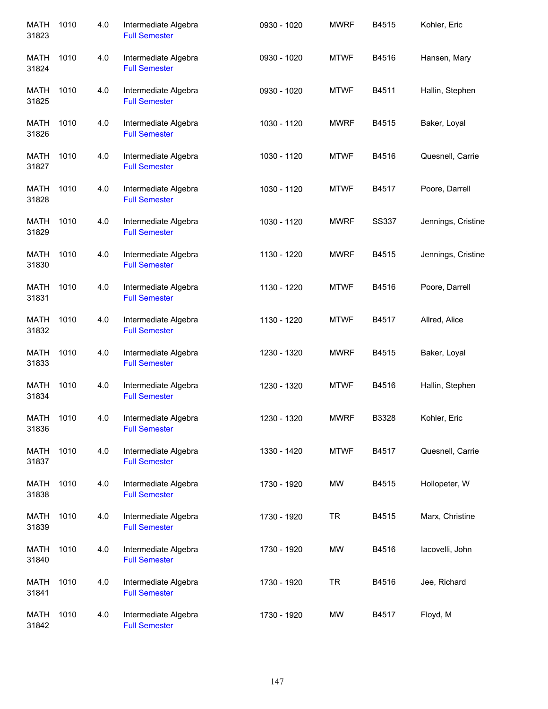| MATH<br>31823        | 1010 | 4.0 | Intermediate Algebra<br><b>Full Semester</b> | 0930 - 1020 | <b>MWRF</b> | B4515        | Kohler, Eric       |
|----------------------|------|-----|----------------------------------------------|-------------|-------------|--------------|--------------------|
| MATH<br>31824        | 1010 | 4.0 | Intermediate Algebra<br><b>Full Semester</b> | 0930 - 1020 | <b>MTWF</b> | B4516        | Hansen, Mary       |
| MATH<br>31825        | 1010 | 4.0 | Intermediate Algebra<br><b>Full Semester</b> | 0930 - 1020 | <b>MTWF</b> | B4511        | Hallin, Stephen    |
| MATH<br>31826        | 1010 | 4.0 | Intermediate Algebra<br><b>Full Semester</b> | 1030 - 1120 | <b>MWRF</b> | B4515        | Baker, Loyal       |
| MATH<br>31827        | 1010 | 4.0 | Intermediate Algebra<br><b>Full Semester</b> | 1030 - 1120 | <b>MTWF</b> | B4516        | Quesnell, Carrie   |
| <b>MATH</b><br>31828 | 1010 | 4.0 | Intermediate Algebra<br><b>Full Semester</b> | 1030 - 1120 | <b>MTWF</b> | B4517        | Poore, Darrell     |
| <b>MATH</b><br>31829 | 1010 | 4.0 | Intermediate Algebra<br><b>Full Semester</b> | 1030 - 1120 | <b>MWRF</b> | <b>SS337</b> | Jennings, Cristine |
| <b>MATH</b><br>31830 | 1010 | 4.0 | Intermediate Algebra<br><b>Full Semester</b> | 1130 - 1220 | <b>MWRF</b> | B4515        | Jennings, Cristine |
| <b>MATH</b><br>31831 | 1010 | 4.0 | Intermediate Algebra<br><b>Full Semester</b> | 1130 - 1220 | <b>MTWF</b> | B4516        | Poore, Darrell     |
| <b>MATH</b><br>31832 | 1010 | 4.0 | Intermediate Algebra<br><b>Full Semester</b> | 1130 - 1220 | <b>MTWF</b> | B4517        | Allred, Alice      |
| <b>MATH</b><br>31833 | 1010 | 4.0 | Intermediate Algebra<br><b>Full Semester</b> | 1230 - 1320 | <b>MWRF</b> | B4515        | Baker, Loyal       |
| <b>MATH</b><br>31834 | 1010 | 4.0 | Intermediate Algebra<br><b>Full Semester</b> | 1230 - 1320 | <b>MTWF</b> | B4516        | Hallin, Stephen    |
| <b>MATH</b><br>31836 | 1010 | 4.0 | Intermediate Algebra<br><b>Full Semester</b> | 1230 - 1320 | <b>MWRF</b> | B3328        | Kohler, Eric       |
| MATH<br>31837        | 1010 | 4.0 | Intermediate Algebra<br><b>Full Semester</b> | 1330 - 1420 | <b>MTWF</b> | B4517        | Quesnell, Carrie   |
| MATH<br>31838        | 1010 | 4.0 | Intermediate Algebra<br><b>Full Semester</b> | 1730 - 1920 | MW          | B4515        | Hollopeter, W      |
| <b>MATH</b><br>31839 | 1010 | 4.0 | Intermediate Algebra<br><b>Full Semester</b> | 1730 - 1920 | <b>TR</b>   | B4515        | Marx, Christine    |
| <b>MATH</b><br>31840 | 1010 | 4.0 | Intermediate Algebra<br><b>Full Semester</b> | 1730 - 1920 | MW          | B4516        | lacovelli, John    |
| <b>MATH</b><br>31841 | 1010 | 4.0 | Intermediate Algebra<br><b>Full Semester</b> | 1730 - 1920 | <b>TR</b>   | B4516        | Jee, Richard       |
| <b>MATH</b><br>31842 | 1010 | 4.0 | Intermediate Algebra<br><b>Full Semester</b> | 1730 - 1920 | MW          | B4517        | Floyd, M           |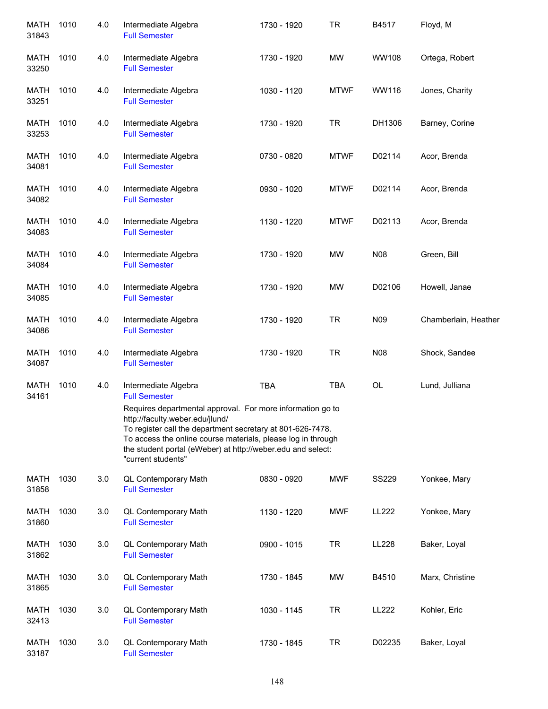| <b>MATH</b><br>31843 | 1010 | 4.0 | Intermediate Algebra<br><b>Full Semester</b>                                                                                                                                                                                                                                                                     | 1730 - 1920 | <b>TR</b>   | B4517        | Floyd, M             |
|----------------------|------|-----|------------------------------------------------------------------------------------------------------------------------------------------------------------------------------------------------------------------------------------------------------------------------------------------------------------------|-------------|-------------|--------------|----------------------|
| <b>MATH</b><br>33250 | 1010 | 4.0 | Intermediate Algebra<br><b>Full Semester</b>                                                                                                                                                                                                                                                                     | 1730 - 1920 | <b>MW</b>   | WW108        | Ortega, Robert       |
| <b>MATH</b><br>33251 | 1010 | 4.0 | Intermediate Algebra<br><b>Full Semester</b>                                                                                                                                                                                                                                                                     | 1030 - 1120 | <b>MTWF</b> | WW116        | Jones, Charity       |
| MATH<br>33253        | 1010 | 4.0 | Intermediate Algebra<br><b>Full Semester</b>                                                                                                                                                                                                                                                                     | 1730 - 1920 | <b>TR</b>   | DH1306       | Barney, Corine       |
| <b>MATH</b><br>34081 | 1010 | 4.0 | Intermediate Algebra<br><b>Full Semester</b>                                                                                                                                                                                                                                                                     | 0730 - 0820 | <b>MTWF</b> | D02114       | Acor, Brenda         |
| <b>MATH</b><br>34082 | 1010 | 4.0 | Intermediate Algebra<br><b>Full Semester</b>                                                                                                                                                                                                                                                                     | 0930 - 1020 | <b>MTWF</b> | D02114       | Acor, Brenda         |
| <b>MATH</b><br>34083 | 1010 | 4.0 | Intermediate Algebra<br><b>Full Semester</b>                                                                                                                                                                                                                                                                     | 1130 - 1220 | <b>MTWF</b> | D02113       | Acor, Brenda         |
| <b>MATH</b><br>34084 | 1010 | 4.0 | Intermediate Algebra<br><b>Full Semester</b>                                                                                                                                                                                                                                                                     | 1730 - 1920 | <b>MW</b>   | N08          | Green, Bill          |
| <b>MATH</b><br>34085 | 1010 | 4.0 | Intermediate Algebra<br><b>Full Semester</b>                                                                                                                                                                                                                                                                     | 1730 - 1920 | <b>MW</b>   | D02106       | Howell, Janae        |
| <b>MATH</b><br>34086 | 1010 | 4.0 | Intermediate Algebra<br><b>Full Semester</b>                                                                                                                                                                                                                                                                     | 1730 - 1920 | <b>TR</b>   | N09          | Chamberlain, Heather |
| <b>MATH</b><br>34087 | 1010 | 4.0 | Intermediate Algebra<br><b>Full Semester</b>                                                                                                                                                                                                                                                                     | 1730 - 1920 | <b>TR</b>   | N08          | Shock, Sandee        |
| <b>MATH</b><br>34161 | 1010 | 4.0 | Intermediate Algebra<br><b>Full Semester</b>                                                                                                                                                                                                                                                                     | <b>TBA</b>  | <b>TBA</b>  | OL           | Lund, Julliana       |
|                      |      |     | Requires departmental approval. For more information go to<br>http://faculty.weber.edu/jlund/<br>To register call the department secretary at 801-626-7478.<br>To access the online course materials, please log in through<br>the student portal (eWeber) at http://weber.edu and select:<br>"current students" |             |             |              |                      |
| <b>MATH</b><br>31858 | 1030 | 3.0 | QL Contemporary Math<br><b>Full Semester</b>                                                                                                                                                                                                                                                                     | 0830 - 0920 | <b>MWF</b>  | <b>SS229</b> | Yonkee, Mary         |
| <b>MATH</b><br>31860 | 1030 | 3.0 | QL Contemporary Math<br><b>Full Semester</b>                                                                                                                                                                                                                                                                     | 1130 - 1220 | <b>MWF</b>  | <b>LL222</b> | Yonkee, Mary         |
| <b>MATH</b><br>31862 | 1030 | 3.0 | QL Contemporary Math<br><b>Full Semester</b>                                                                                                                                                                                                                                                                     | 0900 - 1015 | <b>TR</b>   | LL228        | Baker, Loyal         |
| <b>MATH</b><br>31865 | 1030 | 3.0 | QL Contemporary Math<br><b>Full Semester</b>                                                                                                                                                                                                                                                                     | 1730 - 1845 | <b>MW</b>   | B4510        | Marx, Christine      |
| MATH<br>32413        | 1030 | 3.0 | <b>QL Contemporary Math</b><br><b>Full Semester</b>                                                                                                                                                                                                                                                              | 1030 - 1145 | <b>TR</b>   | LL222        | Kohler, Eric         |
| <b>MATH</b><br>33187 | 1030 | 3.0 | QL Contemporary Math<br><b>Full Semester</b>                                                                                                                                                                                                                                                                     | 1730 - 1845 | <b>TR</b>   | D02235       | Baker, Loyal         |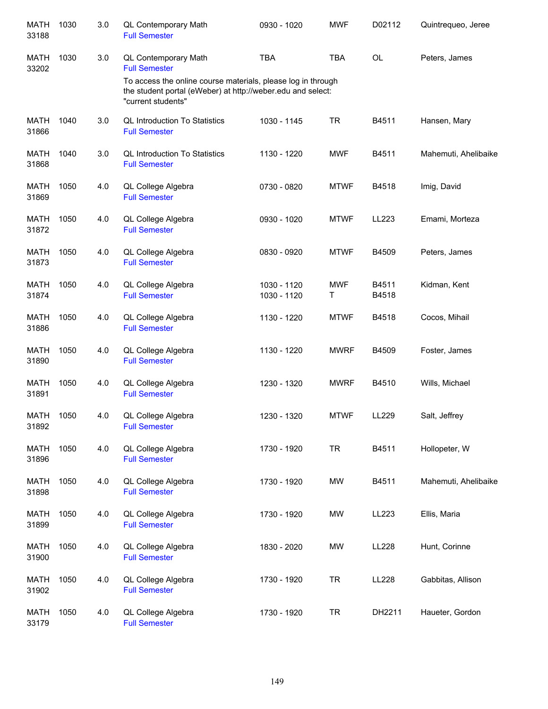| <b>MATH</b><br>33188 | 1030 | 3.0 | QL Contemporary Math<br><b>Full Semester</b>                                                                                                      | 0930 - 1020                | <b>MWF</b>      | D02112         | Quintrequeo, Jeree   |
|----------------------|------|-----|---------------------------------------------------------------------------------------------------------------------------------------------------|----------------------------|-----------------|----------------|----------------------|
| MATH<br>33202        | 1030 | 3.0 | <b>QL Contemporary Math</b><br><b>Full Semester</b>                                                                                               | <b>TBA</b>                 | <b>TBA</b>      | OL             | Peters, James        |
|                      |      |     | To access the online course materials, please log in through<br>the student portal (eWeber) at http://weber.edu and select:<br>"current students" |                            |                 |                |                      |
| <b>MATH</b><br>31866 | 1040 | 3.0 | <b>QL Introduction To Statistics</b><br><b>Full Semester</b>                                                                                      | 1030 - 1145                | <b>TR</b>       | B4511          | Hansen, Mary         |
| <b>MATH</b><br>31868 | 1040 | 3.0 | <b>QL Introduction To Statistics</b><br><b>Full Semester</b>                                                                                      | 1130 - 1220                | <b>MWF</b>      | B4511          | Mahemuti, Ahelibaike |
| <b>MATH</b><br>31869 | 1050 | 4.0 | QL College Algebra<br><b>Full Semester</b>                                                                                                        | 0730 - 0820                | <b>MTWF</b>     | B4518          | Imig, David          |
| <b>MATH</b><br>31872 | 1050 | 4.0 | QL College Algebra<br><b>Full Semester</b>                                                                                                        | 0930 - 1020                | <b>MTWF</b>     | LL223          | Emami, Morteza       |
| <b>MATH</b><br>31873 | 1050 | 4.0 | QL College Algebra<br><b>Full Semester</b>                                                                                                        | 0830 - 0920                | <b>MTWF</b>     | B4509          | Peters, James        |
| <b>MATH</b><br>31874 | 1050 | 4.0 | QL College Algebra<br><b>Full Semester</b>                                                                                                        | 1030 - 1120<br>1030 - 1120 | <b>MWF</b><br>Т | B4511<br>B4518 | Kidman, Kent         |
| <b>MATH</b><br>31886 | 1050 | 4.0 | QL College Algebra<br><b>Full Semester</b>                                                                                                        | 1130 - 1220                | <b>MTWF</b>     | B4518          | Cocos, Mihail        |
| <b>MATH</b><br>31890 | 1050 | 4.0 | QL College Algebra<br><b>Full Semester</b>                                                                                                        | 1130 - 1220                | <b>MWRF</b>     | B4509          | Foster, James        |
| <b>MATH</b><br>31891 | 1050 | 4.0 | QL College Algebra<br><b>Full Semester</b>                                                                                                        | 1230 - 1320                | <b>MWRF</b>     | B4510          | Wills, Michael       |
| <b>MATH</b><br>31892 | 1050 | 4.0 | QL College Algebra<br><b>Full Semester</b>                                                                                                        | 1230 - 1320                | <b>MTWF</b>     | LL229          | Salt, Jeffrey        |
| <b>MATH</b><br>31896 | 1050 | 4.0 | QL College Algebra<br><b>Full Semester</b>                                                                                                        | 1730 - 1920                | <b>TR</b>       | B4511          | Hollopeter, W        |
| <b>MATH</b><br>31898 | 1050 | 4.0 | QL College Algebra<br><b>Full Semester</b>                                                                                                        | 1730 - 1920                | <b>MW</b>       | B4511          | Mahemuti, Ahelibaike |
| <b>MATH</b><br>31899 | 1050 | 4.0 | QL College Algebra<br><b>Full Semester</b>                                                                                                        | 1730 - 1920                | MW              | LL223          | Ellis, Maria         |
| <b>MATH</b><br>31900 | 1050 | 4.0 | QL College Algebra<br><b>Full Semester</b>                                                                                                        | 1830 - 2020                | MW              | LL228          | Hunt, Corinne        |
| <b>MATH</b><br>31902 | 1050 | 4.0 | QL College Algebra<br><b>Full Semester</b>                                                                                                        | 1730 - 1920                | <b>TR</b>       | LL228          | Gabbitas, Allison    |
| <b>MATH</b><br>33179 | 1050 | 4.0 | QL College Algebra<br><b>Full Semester</b>                                                                                                        | 1730 - 1920                | <b>TR</b>       | DH2211         | Haueter, Gordon      |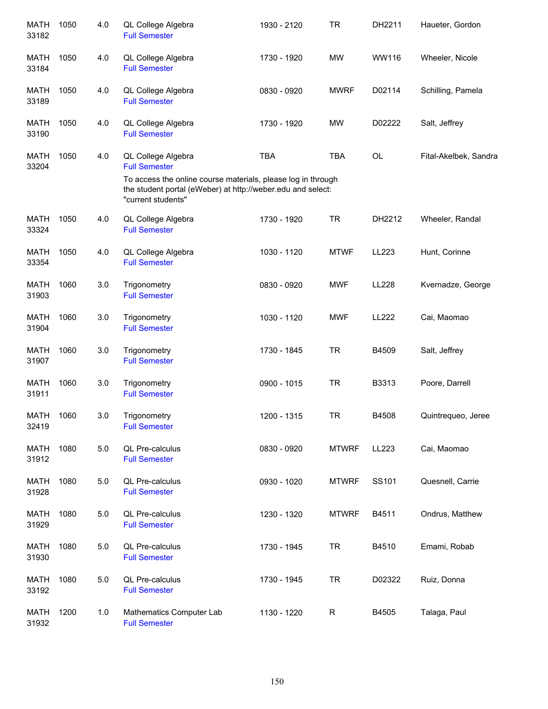| <b>MATH</b><br>33182 | 1050 | 4.0 | QL College Algebra<br><b>Full Semester</b>                                                                                                        | 1930 - 2120 | <b>TR</b>    | DH2211       | Haueter, Gordon       |
|----------------------|------|-----|---------------------------------------------------------------------------------------------------------------------------------------------------|-------------|--------------|--------------|-----------------------|
| MATH<br>33184        | 1050 | 4.0 | QL College Algebra<br><b>Full Semester</b>                                                                                                        | 1730 - 1920 | <b>MW</b>    | WW116        | Wheeler, Nicole       |
| MATH<br>33189        | 1050 | 4.0 | QL College Algebra<br><b>Full Semester</b>                                                                                                        | 0830 - 0920 | <b>MWRF</b>  | D02114       | Schilling, Pamela     |
| <b>MATH</b><br>33190 | 1050 | 4.0 | QL College Algebra<br><b>Full Semester</b>                                                                                                        | 1730 - 1920 | <b>MW</b>    | D02222       | Salt, Jeffrey         |
| <b>MATH</b><br>33204 | 1050 | 4.0 | QL College Algebra<br><b>Full Semester</b>                                                                                                        | <b>TBA</b>  | <b>TBA</b>   | OL           | Fital-Akelbek, Sandra |
|                      |      |     | To access the online course materials, please log in through<br>the student portal (eWeber) at http://weber.edu and select:<br>"current students" |             |              |              |                       |
| <b>MATH</b><br>33324 | 1050 | 4.0 | QL College Algebra<br><b>Full Semester</b>                                                                                                        | 1730 - 1920 | <b>TR</b>    | DH2212       | Wheeler, Randal       |
| <b>MATH</b><br>33354 | 1050 | 4.0 | QL College Algebra<br><b>Full Semester</b>                                                                                                        | 1030 - 1120 | <b>MTWF</b>  | LL223        | Hunt, Corinne         |
| <b>MATH</b><br>31903 | 1060 | 3.0 | Trigonometry<br><b>Full Semester</b>                                                                                                              | 0830 - 0920 | <b>MWF</b>   | <b>LL228</b> | Kvernadze, George     |
| <b>MATH</b><br>31904 | 1060 | 3.0 | Trigonometry<br><b>Full Semester</b>                                                                                                              | 1030 - 1120 | <b>MWF</b>   | LL222        | Cai, Maomao           |
| <b>MATH</b><br>31907 | 1060 | 3.0 | Trigonometry<br><b>Full Semester</b>                                                                                                              | 1730 - 1845 | <b>TR</b>    | B4509        | Salt, Jeffrey         |
| <b>MATH</b><br>31911 | 1060 | 3.0 | Trigonometry<br><b>Full Semester</b>                                                                                                              | 0900 - 1015 | <b>TR</b>    | B3313        | Poore, Darrell        |
| <b>MATH</b><br>32419 | 1060 | 3.0 | Trigonometry<br><b>Full Semester</b>                                                                                                              | 1200 - 1315 | <b>TR</b>    | B4508        | Quintrequeo, Jeree    |
| <b>MATH</b><br>31912 | 1080 | 5.0 | QL Pre-calculus<br><b>Full Semester</b>                                                                                                           | 0830 - 0920 | <b>MTWRF</b> | LL223        | Cai, Maomao           |
| <b>MATH</b><br>31928 | 1080 | 5.0 | QL Pre-calculus<br><b>Full Semester</b>                                                                                                           | 0930 - 1020 | <b>MTWRF</b> | SS101        | Quesnell, Carrie      |
| <b>MATH</b><br>31929 | 1080 | 5.0 | QL Pre-calculus<br><b>Full Semester</b>                                                                                                           | 1230 - 1320 | <b>MTWRF</b> | B4511        | Ondrus, Matthew       |
| <b>MATH</b><br>31930 | 1080 | 5.0 | QL Pre-calculus<br><b>Full Semester</b>                                                                                                           | 1730 - 1945 | <b>TR</b>    | B4510        | Emami, Robab          |
| <b>MATH</b><br>33192 | 1080 | 5.0 | QL Pre-calculus<br><b>Full Semester</b>                                                                                                           | 1730 - 1945 | <b>TR</b>    | D02322       | Ruiz, Donna           |
| MATH<br>31932        | 1200 | 1.0 | Mathematics Computer Lab<br><b>Full Semester</b>                                                                                                  | 1130 - 1220 | R            | B4505        | Talaga, Paul          |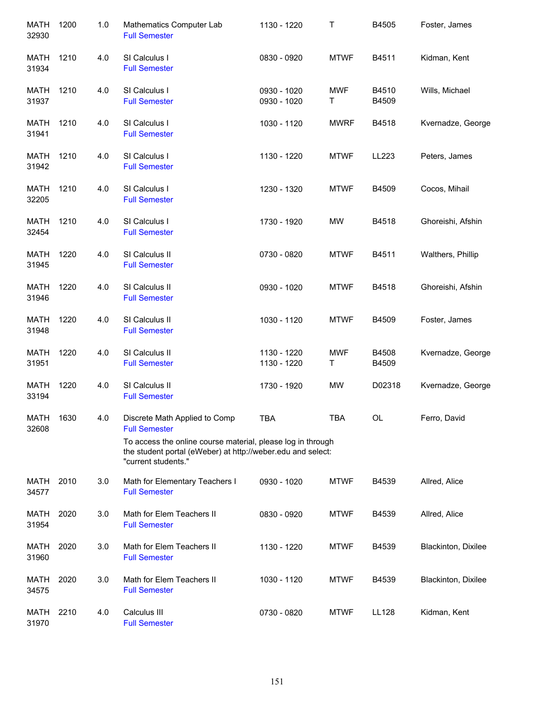| <b>MATH</b><br>32930 | 1200 | 1.0 | Mathematics Computer Lab<br><b>Full Semester</b>                                                                                                  | 1130 - 1220                | Τ               | B4505          | Foster, James       |
|----------------------|------|-----|---------------------------------------------------------------------------------------------------------------------------------------------------|----------------------------|-----------------|----------------|---------------------|
| MATH<br>31934        | 1210 | 4.0 | SI Calculus I<br><b>Full Semester</b>                                                                                                             | 0830 - 0920                | <b>MTWF</b>     | B4511          | Kidman, Kent        |
| MATH<br>31937        | 1210 | 4.0 | SI Calculus I<br><b>Full Semester</b>                                                                                                             | 0930 - 1020<br>0930 - 1020 | <b>MWF</b><br>Τ | B4510<br>B4509 | Wills, Michael      |
| MATH<br>31941        | 1210 | 4.0 | SI Calculus I<br><b>Full Semester</b>                                                                                                             | 1030 - 1120                | <b>MWRF</b>     | B4518          | Kvernadze, George   |
| MATH<br>31942        | 1210 | 4.0 | SI Calculus I<br><b>Full Semester</b>                                                                                                             | 1130 - 1220                | <b>MTWF</b>     | LL223          | Peters, James       |
| MATH<br>32205        | 1210 | 4.0 | SI Calculus I<br><b>Full Semester</b>                                                                                                             | 1230 - 1320                | <b>MTWF</b>     | B4509          | Cocos, Mihail       |
| <b>MATH</b><br>32454 | 1210 | 4.0 | SI Calculus I<br><b>Full Semester</b>                                                                                                             | 1730 - 1920                | MW              | B4518          | Ghoreishi, Afshin   |
| <b>MATH</b><br>31945 | 1220 | 4.0 | SI Calculus II<br><b>Full Semester</b>                                                                                                            | 0730 - 0820                | <b>MTWF</b>     | B4511          | Walthers, Phillip   |
| <b>MATH</b><br>31946 | 1220 | 4.0 | SI Calculus II<br><b>Full Semester</b>                                                                                                            | 0930 - 1020                | <b>MTWF</b>     | B4518          | Ghoreishi, Afshin   |
| <b>MATH</b><br>31948 | 1220 | 4.0 | SI Calculus II<br><b>Full Semester</b>                                                                                                            | 1030 - 1120                | <b>MTWF</b>     | B4509          | Foster, James       |
| MATH<br>31951        | 1220 | 4.0 | SI Calculus II<br><b>Full Semester</b>                                                                                                            | 1130 - 1220<br>1130 - 1220 | <b>MWF</b><br>Τ | B4508<br>B4509 | Kvernadze, George   |
| <b>MATH</b><br>33194 | 1220 | 4.0 | SI Calculus II<br><b>Full Semester</b>                                                                                                            | 1730 - 1920                | <b>MW</b>       | D02318         | Kvernadze, George   |
| <b>MATH</b><br>32608 | 1630 | 4.0 | Discrete Math Applied to Comp<br><b>Full Semester</b>                                                                                             | <b>TBA</b>                 | TBA             | OL             | Ferro, David        |
|                      |      |     | To access the online course material, please log in through<br>the student portal (eWeber) at http://weber.edu and select:<br>"current students." |                            |                 |                |                     |
| MATH<br>34577        | 2010 | 3.0 | Math for Elementary Teachers I<br><b>Full Semester</b>                                                                                            | 0930 - 1020                | <b>MTWF</b>     | B4539          | Allred, Alice       |
| MATH<br>31954        | 2020 | 3.0 | Math for Elem Teachers II<br><b>Full Semester</b>                                                                                                 | 0830 - 0920                | <b>MTWF</b>     | B4539          | Allred, Alice       |
| MATH<br>31960        | 2020 | 3.0 | Math for Elem Teachers II<br><b>Full Semester</b>                                                                                                 | 1130 - 1220                | <b>MTWF</b>     | B4539          | Blackinton, Dixilee |
| MATH<br>34575        | 2020 | 3.0 | Math for Elem Teachers II<br><b>Full Semester</b>                                                                                                 | 1030 - 1120                | <b>MTWF</b>     | B4539          | Blackinton, Dixilee |
| MATH<br>31970        | 2210 | 4.0 | Calculus III<br><b>Full Semester</b>                                                                                                              | 0730 - 0820                | <b>MTWF</b>     | LL128          | Kidman, Kent        |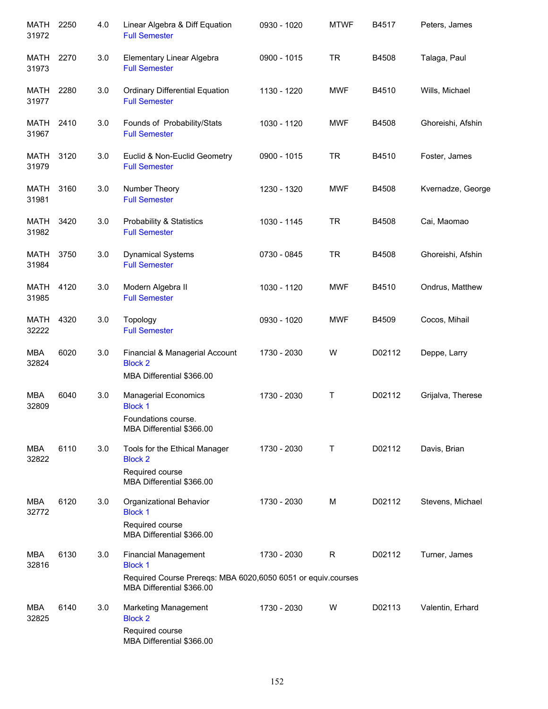| MATH<br>31972        | 2250 | 4.0 | Linear Algebra & Diff Equation<br><b>Full Semester</b>                                                              | 0930 - 1020 | <b>MTWF</b> | B4517  | Peters, James     |
|----------------------|------|-----|---------------------------------------------------------------------------------------------------------------------|-------------|-------------|--------|-------------------|
| MATH<br>31973        | 2270 | 3.0 | Elementary Linear Algebra<br><b>Full Semester</b>                                                                   | 0900 - 1015 | <b>TR</b>   | B4508  | Talaga, Paul      |
| MATH<br>31977        | 2280 | 3.0 | <b>Ordinary Differential Equation</b><br><b>Full Semester</b>                                                       | 1130 - 1220 | <b>MWF</b>  | B4510  | Wills, Michael    |
| MATH<br>31967        | 2410 | 3.0 | Founds of Probability/Stats<br><b>Full Semester</b>                                                                 | 1030 - 1120 | <b>MWF</b>  | B4508  | Ghoreishi, Afshin |
| MATH<br>31979        | 3120 | 3.0 | Euclid & Non-Euclid Geometry<br><b>Full Semester</b>                                                                | 0900 - 1015 | <b>TR</b>   | B4510  | Foster, James     |
| MATH<br>31981        | 3160 | 3.0 | Number Theory<br><b>Full Semester</b>                                                                               | 1230 - 1320 | <b>MWF</b>  | B4508  | Kvernadze, George |
| MATH<br>31982        | 3420 | 3.0 | <b>Probability &amp; Statistics</b><br><b>Full Semester</b>                                                         | 1030 - 1145 | <b>TR</b>   | B4508  | Cai, Maomao       |
| <b>MATH</b><br>31984 | 3750 | 3.0 | <b>Dynamical Systems</b><br><b>Full Semester</b>                                                                    | 0730 - 0845 | <b>TR</b>   | B4508  | Ghoreishi, Afshin |
| <b>MATH</b><br>31985 | 4120 | 3.0 | Modern Algebra II<br><b>Full Semester</b>                                                                           | 1030 - 1120 | <b>MWF</b>  | B4510  | Ondrus, Matthew   |
| <b>MATH</b><br>32222 | 4320 | 3.0 | Topology<br><b>Full Semester</b>                                                                                    | 0930 - 1020 | <b>MWF</b>  | B4509  | Cocos, Mihail     |
| <b>MBA</b><br>32824  | 6020 | 3.0 | Financial & Managerial Account<br><b>Block 2</b><br>MBA Differential \$366.00                                       | 1730 - 2030 | W           | D02112 | Deppe, Larry      |
| <b>MBA</b><br>32809  | 6040 | 3.0 | <b>Managerial Economics</b><br><b>Block 1</b><br>Foundations course.<br>MBA Differential \$366.00                   | 1730 - 2030 | Τ           | D02112 | Grijalva, Therese |
| <b>MBA</b><br>32822  | 6110 | 3.0 | Tools for the Ethical Manager<br><b>Block 2</b><br>Required course<br>MBA Differential \$366.00                     | 1730 - 2030 | Τ           | D02112 | Davis, Brian      |
| <b>MBA</b><br>32772  | 6120 | 3.0 | Organizational Behavior<br><b>Block 1</b><br>Required course<br>MBA Differential \$366.00                           | 1730 - 2030 | M           | D02112 | Stevens, Michael  |
| <b>MBA</b><br>32816  | 6130 | 3.0 | <b>Financial Management</b><br><b>Block 1</b><br>Required Course Prereqs: MBA 6020,6050 6051 or equiv.courses       | 1730 - 2030 | $\mathsf R$ | D02112 | Turner, James     |
| MBA<br>32825         | 6140 | 3.0 | MBA Differential \$366.00<br>Marketing Management<br><b>Block 2</b><br>Required course<br>MBA Differential \$366.00 | 1730 - 2030 | W           | D02113 | Valentin, Erhard  |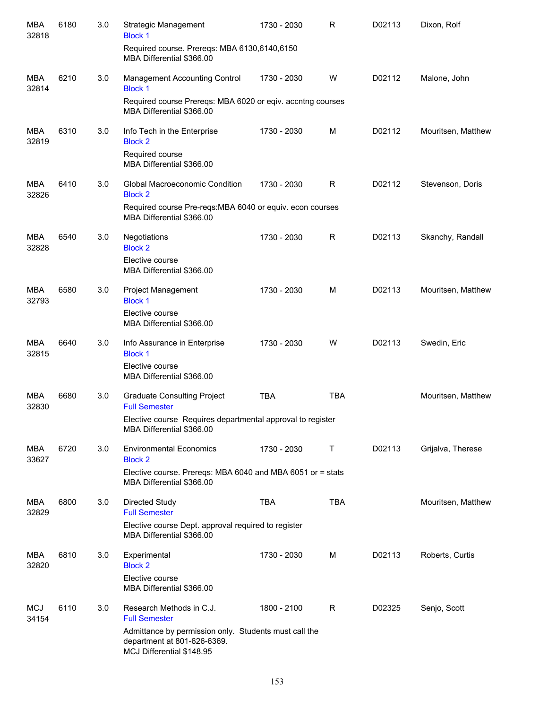| <b>MBA</b><br>32818 | 6180 | 3.0 | Strategic Management<br><b>Block 1</b>                                                                            | 1730 - 2030 | R          | D02113 | Dixon, Rolf        |
|---------------------|------|-----|-------------------------------------------------------------------------------------------------------------------|-------------|------------|--------|--------------------|
|                     |      |     | Required course. Prereqs: MBA 6130,6140,6150<br>MBA Differential \$366.00                                         |             |            |        |                    |
| MBA<br>32814        | 6210 | 3.0 | Management Accounting Control<br><b>Block 1</b>                                                                   | 1730 - 2030 | W          | D02112 | Malone, John       |
|                     |      |     | Required course Prereqs: MBA 6020 or eqiv. accntng courses<br>MBA Differential \$366.00                           |             |            |        |                    |
| <b>MBA</b><br>32819 | 6310 | 3.0 | Info Tech in the Enterprise<br><b>Block 2</b>                                                                     | 1730 - 2030 | M          | D02112 | Mouritsen, Matthew |
|                     |      |     | Required course<br>MBA Differential \$366.00                                                                      |             |            |        |                    |
| <b>MBA</b><br>32826 | 6410 | 3.0 | Global Macroeconomic Condition<br><b>Block 2</b>                                                                  | 1730 - 2030 | R          | D02112 | Stevenson, Doris   |
|                     |      |     | Required course Pre-reqs: MBA 6040 or equiv. econ courses<br>MBA Differential \$366.00                            |             |            |        |                    |
| MBA<br>32828        | 6540 | 3.0 | Negotiations<br><b>Block 2</b>                                                                                    | 1730 - 2030 | R          | D02113 | Skanchy, Randall   |
|                     |      |     | Elective course<br>MBA Differential \$366.00                                                                      |             |            |        |                    |
| MBA<br>32793        | 6580 | 3.0 | Project Management<br><b>Block 1</b>                                                                              | 1730 - 2030 | M          | D02113 | Mouritsen, Matthew |
|                     |      |     | Elective course<br>MBA Differential \$366.00                                                                      |             |            |        |                    |
| MBA<br>32815        | 6640 | 3.0 | Info Assurance in Enterprise<br><b>Block 1</b>                                                                    | 1730 - 2030 | W          | D02113 | Swedin, Eric       |
|                     |      |     | Elective course<br>MBA Differential \$366.00                                                                      |             |            |        |                    |
| <b>MBA</b><br>32830 | 6680 | 3.0 | <b>Graduate Consulting Project</b><br><b>Full Semester</b>                                                        | <b>TBA</b>  | <b>TBA</b> |        | Mouritsen, Matthew |
|                     |      |     | Elective course Requires departmental approval to register<br>MBA Differential \$366.00                           |             |            |        |                    |
| MBA<br>33627        | 6720 | 3.0 | <b>Environmental Economics</b><br><b>Block 2</b>                                                                  | 1730 - 2030 | Τ          | D02113 | Grijalva, Therese  |
|                     |      |     | Elective course. Prereqs: MBA 6040 and MBA 6051 or = stats<br>MBA Differential \$366.00                           |             |            |        |                    |
| MBA<br>32829        | 6800 | 3.0 | <b>Directed Study</b><br><b>Full Semester</b>                                                                     | <b>TBA</b>  | <b>TBA</b> |        | Mouritsen, Matthew |
|                     |      |     | Elective course Dept. approval required to register<br>MBA Differential \$366.00                                  |             |            |        |                    |
| MBA<br>32820        | 6810 | 3.0 | Experimental<br><b>Block 2</b>                                                                                    | 1730 - 2030 | M          | D02113 | Roberts, Curtis    |
|                     |      |     | Elective course<br>MBA Differential \$366.00                                                                      |             |            |        |                    |
| <b>MCJ</b><br>34154 | 6110 | 3.0 | Research Methods in C.J.<br><b>Full Semester</b>                                                                  | 1800 - 2100 | R          | D02325 | Senjo, Scott       |
|                     |      |     | Admittance by permission only. Students must call the<br>department at 801-626-6369.<br>MCJ Differential \$148.95 |             |            |        |                    |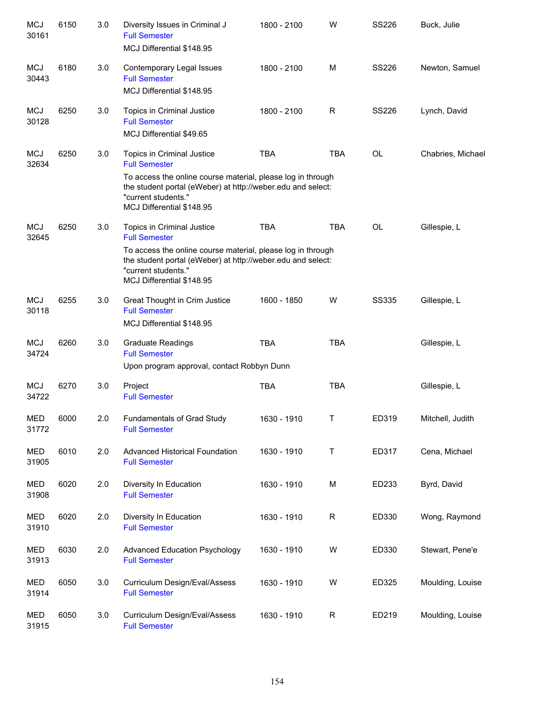| <b>MCJ</b><br>30161 | 6150 | 3.0 | Diversity Issues in Criminal J<br><b>Full Semester</b><br>MCJ Differential \$148.95                                                                                            | 1800 - 2100 | W            | <b>SS226</b> | Buck, Julie       |
|---------------------|------|-----|--------------------------------------------------------------------------------------------------------------------------------------------------------------------------------|-------------|--------------|--------------|-------------------|
| <b>MCJ</b><br>30443 | 6180 | 3.0 | Contemporary Legal Issues<br><b>Full Semester</b><br>MCJ Differential \$148.95                                                                                                 | 1800 - 2100 | M            | <b>SS226</b> | Newton, Samuel    |
| <b>MCJ</b><br>30128 | 6250 | 3.0 | Topics in Criminal Justice<br><b>Full Semester</b><br>MCJ Differential \$49.65                                                                                                 | 1800 - 2100 | $\mathsf{R}$ | <b>SS226</b> | Lynch, David      |
| <b>MCJ</b><br>32634 | 6250 | 3.0 | Topics in Criminal Justice<br><b>Full Semester</b>                                                                                                                             | <b>TBA</b>  | <b>TBA</b>   | <b>OL</b>    | Chabries, Michael |
|                     |      |     | To access the online course material, please log in through<br>the student portal (eWeber) at http://weber.edu and select:<br>"current students."<br>MCJ Differential \$148.95 |             |              |              |                   |
| <b>MCJ</b><br>32645 | 6250 | 3.0 | Topics in Criminal Justice<br><b>Full Semester</b>                                                                                                                             | <b>TBA</b>  | <b>TBA</b>   | OL           | Gillespie, L      |
|                     |      |     | To access the online course material, please log in through<br>the student portal (eWeber) at http://weber.edu and select:<br>"current students."<br>MCJ Differential \$148.95 |             |              |              |                   |
| <b>MCJ</b><br>30118 | 6255 | 3.0 | Great Thought in Crim Justice<br><b>Full Semester</b><br>MCJ Differential \$148.95                                                                                             | 1600 - 1850 | W            | <b>SS335</b> | Gillespie, L      |
| <b>MCJ</b><br>34724 | 6260 | 3.0 | <b>Graduate Readings</b><br><b>Full Semester</b>                                                                                                                               | <b>TBA</b>  | <b>TBA</b>   |              | Gillespie, L      |
|                     |      |     | Upon program approval, contact Robbyn Dunn                                                                                                                                     |             |              |              |                   |
| <b>MCJ</b><br>34722 | 6270 | 3.0 | Project<br><b>Full Semester</b>                                                                                                                                                | <b>TBA</b>  | <b>TBA</b>   |              | Gillespie, L      |
| <b>MED</b><br>31772 | 6000 | 2.0 | Fundamentals of Grad Study<br><b>Full Semester</b>                                                                                                                             | 1630 - 1910 | Τ            | ED319        | Mitchell, Judith  |
| <b>MED</b><br>31905 | 6010 | 2.0 | Advanced Historical Foundation<br><b>Full Semester</b>                                                                                                                         | 1630 - 1910 | T            | ED317        | Cena, Michael     |
| MED<br>31908        | 6020 | 2.0 | Diversity In Education<br><b>Full Semester</b>                                                                                                                                 | 1630 - 1910 | M            | ED233        | Byrd, David       |
| MED<br>31910        | 6020 | 2.0 | Diversity In Education<br><b>Full Semester</b>                                                                                                                                 | 1630 - 1910 | R            | ED330        | Wong, Raymond     |
| MED<br>31913        | 6030 | 2.0 | <b>Advanced Education Psychology</b><br><b>Full Semester</b>                                                                                                                   | 1630 - 1910 | W            | ED330        | Stewart, Pene'e   |
| <b>MED</b><br>31914 | 6050 | 3.0 | Curriculum Design/Eval/Assess<br><b>Full Semester</b>                                                                                                                          | 1630 - 1910 | W            | ED325        | Moulding, Louise  |
| MED<br>31915        | 6050 | 3.0 | Curriculum Design/Eval/Assess<br><b>Full Semester</b>                                                                                                                          | 1630 - 1910 | R            | ED219        | Moulding, Louise  |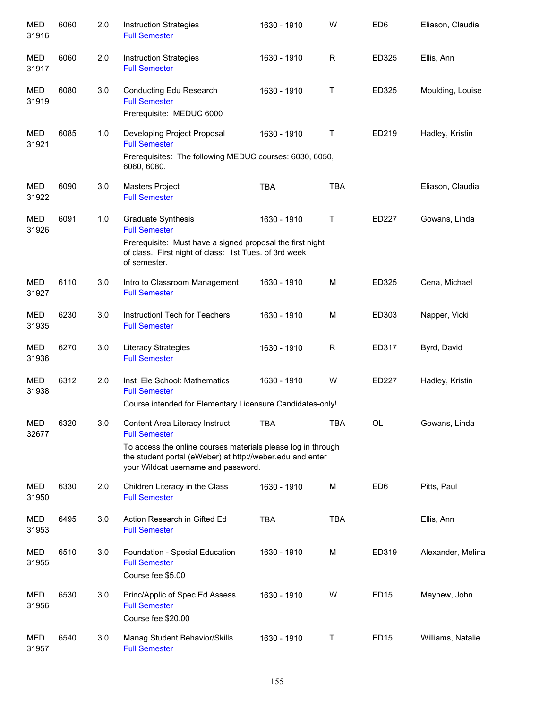| <b>MED</b><br>31916 | 6060 | 2.0 | <b>Instruction Strategies</b><br><b>Full Semester</b>                                                                                                                                                                      | 1630 - 1910 | W           | ED <sub>6</sub> | Eliason, Claudia  |
|---------------------|------|-----|----------------------------------------------------------------------------------------------------------------------------------------------------------------------------------------------------------------------------|-------------|-------------|-----------------|-------------------|
| MED<br>31917        | 6060 | 2.0 | <b>Instruction Strategies</b><br><b>Full Semester</b>                                                                                                                                                                      | 1630 - 1910 | R           | ED325           | Ellis, Ann        |
| <b>MED</b><br>31919 | 6080 | 3.0 | Conducting Edu Research<br><b>Full Semester</b><br>Prerequisite: MEDUC 6000                                                                                                                                                | 1630 - 1910 | Τ           | ED325           | Moulding, Louise  |
| MED<br>31921        | 6085 | 1.0 | Developing Project Proposal<br><b>Full Semester</b><br>Prerequisites: The following MEDUC courses: 6030, 6050,<br>6060, 6080.                                                                                              | 1630 - 1910 | Τ           | ED219           | Hadley, Kristin   |
| MED<br>31922        | 6090 | 3.0 | Masters Project<br><b>Full Semester</b>                                                                                                                                                                                    | <b>TBA</b>  | <b>TBA</b>  |                 | Eliason, Claudia  |
| MED<br>31926        | 6091 | 1.0 | <b>Graduate Synthesis</b><br><b>Full Semester</b><br>Prerequisite: Must have a signed proposal the first night<br>of class. First night of class: 1st Tues. of 3rd week<br>of semester.                                    | 1630 - 1910 | $\mathsf T$ | ED227           | Gowans, Linda     |
| MED<br>31927        | 6110 | 3.0 | Intro to Classroom Management<br><b>Full Semester</b>                                                                                                                                                                      | 1630 - 1910 | M           | ED325           | Cena, Michael     |
| MED<br>31935        | 6230 | 3.0 | Instruction Tech for Teachers<br><b>Full Semester</b>                                                                                                                                                                      | 1630 - 1910 | M           | ED303           | Napper, Vicki     |
| <b>MED</b><br>31936 | 6270 | 3.0 | <b>Literacy Strategies</b><br><b>Full Semester</b>                                                                                                                                                                         | 1630 - 1910 | R           | ED317           | Byrd, David       |
| <b>MED</b><br>31938 | 6312 | 2.0 | Inst Ele School: Mathematics<br><b>Full Semester</b><br>Course intended for Elementary Licensure Candidates-only!                                                                                                          | 1630 - 1910 | W           | ED227           | Hadley, Kristin   |
| <b>MED</b><br>32677 | 6320 | 3.0 | Content Area Literacy Instruct<br><b>Full Semester</b><br>To access the online courses materials please log in through<br>the student portal (eWeber) at http://weber.edu and enter<br>your Wildcat username and password. | TBA         | <b>TBA</b>  | OL              | Gowans, Linda     |
| MED<br>31950        | 6330 | 2.0 | Children Literacy in the Class<br><b>Full Semester</b>                                                                                                                                                                     | 1630 - 1910 | М           | ED <sub>6</sub> | Pitts, Paul       |
| MED<br>31953        | 6495 | 3.0 | Action Research in Gifted Ed<br><b>Full Semester</b>                                                                                                                                                                       | <b>TBA</b>  | <b>TBA</b>  |                 | Ellis, Ann        |
| MED<br>31955        | 6510 | 3.0 | Foundation - Special Education<br><b>Full Semester</b><br>Course fee \$5.00                                                                                                                                                | 1630 - 1910 | М           | ED319           | Alexander, Melina |
| MED<br>31956        | 6530 | 3.0 | Princ/Applic of Spec Ed Assess<br><b>Full Semester</b><br>Course fee \$20.00                                                                                                                                               | 1630 - 1910 | W           | <b>ED15</b>     | Mayhew, John      |
| MED<br>31957        | 6540 | 3.0 | Manag Student Behavior/Skills<br><b>Full Semester</b>                                                                                                                                                                      | 1630 - 1910 | $\mathsf T$ | <b>ED15</b>     | Williams, Natalie |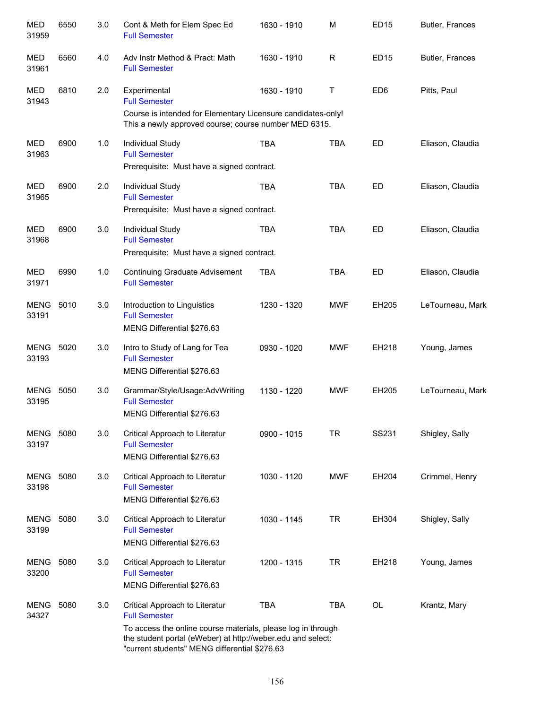| <b>MED</b><br>31959       | 6550 | 3.0 | Cont & Meth for Elem Spec Ed<br><b>Full Semester</b>                                                                                                                         | 1630 - 1910   | M          | <b>ED15</b>     | Butler, Frances  |
|---------------------------|------|-----|------------------------------------------------------------------------------------------------------------------------------------------------------------------------------|---------------|------------|-----------------|------------------|
| MED<br>31961              | 6560 | 4.0 | Adv Instr Method & Pract: Math<br><b>Full Semester</b>                                                                                                                       | 1630 - 1910   | R          | ED15            | Butler, Frances  |
| MED<br>31943              | 6810 | 2.0 | Experimental<br><b>Full Semester</b>                                                                                                                                         | 1630 - 1910   | Τ          | ED <sub>6</sub> | Pitts, Paul      |
|                           |      |     | Course is intended for Elementary Licensure candidates-only!<br>This a newly approved course; course number MED 6315.                                                        |               |            |                 |                  |
| MED<br>31963              | 6900 | 1.0 | Individual Study<br><b>Full Semester</b>                                                                                                                                     | <b>TBA</b>    | <b>TBA</b> | ED              | Eliason, Claudia |
|                           |      |     | Prerequisite: Must have a signed contract.                                                                                                                                   |               |            |                 |                  |
| MED<br>31965              | 6900 | 2.0 | Individual Study<br><b>Full Semester</b>                                                                                                                                     | <b>TBA</b>    | <b>TBA</b> | ED              | Eliason, Claudia |
|                           |      |     | Prerequisite: Must have a signed contract.                                                                                                                                   |               |            |                 |                  |
| MED<br>31968              | 6900 | 3.0 | Individual Study<br><b>Full Semester</b>                                                                                                                                     | <b>TBA</b>    | <b>TBA</b> | ED              | Eliason, Claudia |
|                           |      |     | Prerequisite: Must have a signed contract.                                                                                                                                   |               |            |                 |                  |
| MED<br>31971              | 6990 | 1.0 | <b>Continuing Graduate Advisement</b><br><b>Full Semester</b>                                                                                                                | <b>TBA</b>    | <b>TBA</b> | ED              | Eliason, Claudia |
| <b>MENG</b><br>33191      | 5010 | 3.0 | Introduction to Linguistics<br><b>Full Semester</b><br>MENG Differential \$276.63                                                                                            | 1230 - 1320   | <b>MWF</b> | EH205           | LeTourneau, Mark |
| <b>MENG</b><br>33193      | 5020 | 3.0 | Intro to Study of Lang for Tea<br><b>Full Semester</b><br>MENG Differential \$276.63                                                                                         | 0930 - 1020   | <b>MWF</b> | EH218           | Young, James     |
| <b>MENG</b><br>33195      | 5050 | 3.0 | Grammar/Style/Usage:AdvWriting<br><b>Full Semester</b><br>MENG Differential \$276.63                                                                                         | 1130 - 1220   | <b>MWF</b> | EH205           | LeTourneau, Mark |
| <b>MENG 5080</b><br>33197 |      | 3.0 | Critical Approach to Literatur<br><b>Full Semester</b><br>MENG Differential \$276.63                                                                                         | $0900 - 1015$ | <b>TR</b>  | SS231           | Shigley, Sally   |
| MENG<br>33198             | 5080 | 3.0 | Critical Approach to Literatur<br><b>Full Semester</b><br>MENG Differential \$276.63                                                                                         | 1030 - 1120   | <b>MWF</b> | EH204           | Crimmel, Henry   |
| MENG<br>33199             | 5080 | 3.0 | Critical Approach to Literatur<br><b>Full Semester</b><br>MENG Differential \$276.63                                                                                         | 1030 - 1145   | <b>TR</b>  | EH304           | Shigley, Sally   |
| MENG<br>33200             | 5080 | 3.0 | Critical Approach to Literatur<br><b>Full Semester</b>                                                                                                                       | 1200 - 1315   | <b>TR</b>  | EH218           | Young, James     |
|                           |      |     | MENG Differential \$276.63                                                                                                                                                   |               |            |                 |                  |
| MENG<br>34327             | 5080 | 3.0 | Critical Approach to Literatur<br><b>Full Semester</b>                                                                                                                       | <b>TBA</b>    | <b>TBA</b> | <b>OL</b>       | Krantz, Mary     |
|                           |      |     | To access the online course materials, please log in through<br>the student portal (eWeber) at http://weber.edu and select:<br>"current students" MENG differential \$276.63 |               |            |                 |                  |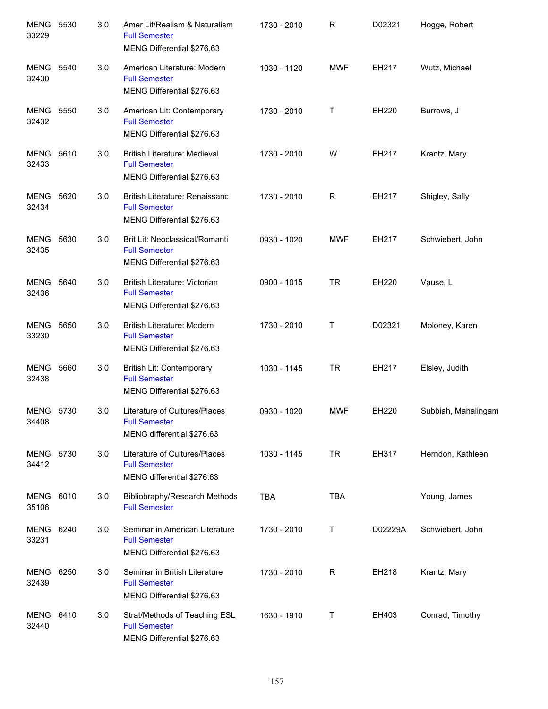| <b>MENG</b><br>33229 | 5530 | 3.0 | Amer Lit/Realism & Naturalism<br><b>Full Semester</b><br>MENG Differential \$276.63       | 1730 - 2010 | $\mathsf{R}$ | D02321  | Hogge, Robert       |
|----------------------|------|-----|-------------------------------------------------------------------------------------------|-------------|--------------|---------|---------------------|
| MENG<br>32430        | 5540 | 3.0 | American Literature: Modern<br><b>Full Semester</b><br>MENG Differential \$276.63         | 1030 - 1120 | <b>MWF</b>   | EH217   | Wutz, Michael       |
| MENG<br>32432        | 5550 | 3.0 | American Lit: Contemporary<br><b>Full Semester</b><br>MENG Differential \$276.63          | 1730 - 2010 | Τ            | EH220   | Burrows, J          |
| MENG<br>32433        | 5610 | 3.0 | <b>British Literature: Medieval</b><br><b>Full Semester</b><br>MENG Differential \$276.63 | 1730 - 2010 | W            | EH217   | Krantz, Mary        |
| MENG<br>32434        | 5620 | 3.0 | British Literature: Renaissanc<br><b>Full Semester</b><br>MENG Differential \$276.63      | 1730 - 2010 | R            | EH217   | Shigley, Sally      |
| MENG<br>32435        | 5630 | 3.0 | Brit Lit: Neoclassical/Romanti<br><b>Full Semester</b><br>MENG Differential \$276.63      | 0930 - 1020 | <b>MWF</b>   | EH217   | Schwiebert, John    |
| MENG<br>32436        | 5640 | 3.0 | British Literature: Victorian<br><b>Full Semester</b><br>MENG Differential \$276.63       | 0900 - 1015 | <b>TR</b>    | EH220   | Vause, L            |
| MENG<br>33230        | 5650 | 3.0 | British Literature: Modern<br><b>Full Semester</b><br>MENG Differential \$276.63          | 1730 - 2010 | Τ            | D02321  | Moloney, Karen      |
| MENG<br>32438        | 5660 | 3.0 | British Lit: Contemporary<br><b>Full Semester</b><br>MENG Differential \$276.63           | 1030 - 1145 | TR           | EH217   | Elsley, Judith      |
| MENG 5730<br>34408   |      | 3.0 | Literature of Cultures/Places<br><b>Full Semester</b><br>MENG differential \$276.63       | 0930 - 1020 | <b>MWF</b>   | EH220   | Subbiah, Mahalingam |
| MENG 5730<br>34412   |      | 3.0 | Literature of Cultures/Places<br><b>Full Semester</b><br>MENG differential \$276.63       | 1030 - 1145 | <b>TR</b>    | EH317   | Herndon, Kathleen   |
| MENG<br>35106        | 6010 | 3.0 | Bibliobraphy/Research Methods<br><b>Full Semester</b>                                     | <b>TBA</b>  | <b>TBA</b>   |         | Young, James        |
| MENG<br>33231        | 6240 | 3.0 | Seminar in American Literature<br><b>Full Semester</b><br>MENG Differential \$276.63      | 1730 - 2010 | Τ            | D02229A | Schwiebert, John    |
| MENG<br>32439        | 6250 | 3.0 | Seminar in British Literature<br><b>Full Semester</b><br>MENG Differential \$276.63       | 1730 - 2010 | $\mathsf{R}$ | EH218   | Krantz, Mary        |
| MENG<br>32440        | 6410 | 3.0 | Strat/Methods of Teaching ESL<br><b>Full Semester</b><br>MENG Differential \$276.63       | 1630 - 1910 | Τ            | EH403   | Conrad, Timothy     |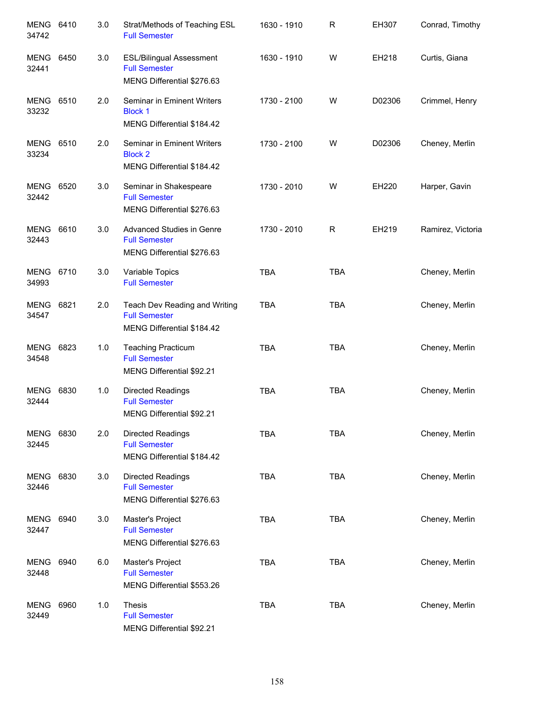| <b>MENG</b><br>34742 | 6410 | 3.0 | Strat/Methods of Teaching ESL<br><b>Full Semester</b>                                 | 1630 - 1910 | R            | EH307  | Conrad, Timothy   |
|----------------------|------|-----|---------------------------------------------------------------------------------------|-------------|--------------|--------|-------------------|
| MENG<br>32441        | 6450 | 3.0 | <b>ESL/Bilingual Assessment</b><br><b>Full Semester</b><br>MENG Differential \$276.63 | 1630 - 1910 | W            | EH218  | Curtis, Giana     |
| MENG<br>33232        | 6510 | 2.0 | Seminar in Eminent Writers<br><b>Block 1</b><br>MENG Differential \$184.42            | 1730 - 2100 | W            | D02306 | Crimmel, Henry    |
| <b>MENG</b><br>33234 | 6510 | 2.0 | Seminar in Eminent Writers<br><b>Block 2</b><br>MENG Differential \$184.42            | 1730 - 2100 | W            | D02306 | Cheney, Merlin    |
| MENG<br>32442        | 6520 | 3.0 | Seminar in Shakespeare<br><b>Full Semester</b><br>MENG Differential \$276.63          | 1730 - 2010 | W            | EH220  | Harper, Gavin     |
| <b>MENG</b><br>32443 | 6610 | 3.0 | Advanced Studies in Genre<br><b>Full Semester</b><br>MENG Differential \$276.63       | 1730 - 2010 | $\mathsf{R}$ | EH219  | Ramirez, Victoria |
| MENG<br>34993        | 6710 | 3.0 | Variable Topics<br><b>Full Semester</b>                                               | <b>TBA</b>  | <b>TBA</b>   |        | Cheney, Merlin    |
| MENG<br>34547        | 6821 | 2.0 | Teach Dev Reading and Writing<br><b>Full Semester</b><br>MENG Differential \$184.42   | <b>TBA</b>  | <b>TBA</b>   |        | Cheney, Merlin    |
| MENG<br>34548        | 6823 | 1.0 | <b>Teaching Practicum</b><br><b>Full Semester</b><br>MENG Differential \$92.21        | <b>TBA</b>  | <b>TBA</b>   |        | Cheney, Merlin    |
| <b>MENG</b><br>32444 | 6830 | 1.0 | Directed Readings<br><b>Full Semester</b><br>MENG Differential \$92.21                | <b>TBA</b>  | <b>TBA</b>   |        | Cheney, Merlin    |
| MENG<br>32445        | 6830 | 2.0 | <b>Directed Readings</b><br><b>Full Semester</b><br>MENG Differential \$184.42        | <b>TBA</b>  | <b>TBA</b>   |        | Cheney, Merlin    |
| MENG<br>32446        | 6830 | 3.0 | <b>Directed Readings</b><br><b>Full Semester</b><br>MENG Differential \$276.63        | <b>TBA</b>  | <b>TBA</b>   |        | Cheney, Merlin    |
| MENG<br>32447        | 6940 | 3.0 | Master's Project<br><b>Full Semester</b><br>MENG Differential \$276.63                | <b>TBA</b>  | <b>TBA</b>   |        | Cheney, Merlin    |
| MENG<br>32448        | 6940 | 6.0 | Master's Project<br><b>Full Semester</b><br>MENG Differential \$553.26                | <b>TBA</b>  | <b>TBA</b>   |        | Cheney, Merlin    |
| MENG<br>32449        | 6960 | 1.0 | <b>Thesis</b><br><b>Full Semester</b><br>MENG Differential \$92.21                    | <b>TBA</b>  | <b>TBA</b>   |        | Cheney, Merlin    |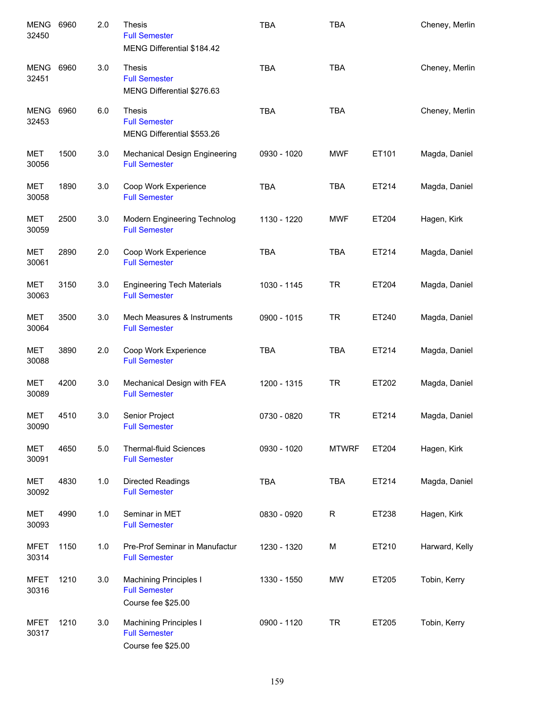| <b>MENG</b><br>32450 | 6960 | 2.0 | <b>Thesis</b><br><b>Full Semester</b><br>MENG Differential \$184.42         | <b>TBA</b>  | <b>TBA</b>   |       | Cheney, Merlin |
|----------------------|------|-----|-----------------------------------------------------------------------------|-------------|--------------|-------|----------------|
| <b>MENG</b><br>32451 | 6960 | 3.0 | <b>Thesis</b><br><b>Full Semester</b><br>MENG Differential \$276.63         | <b>TBA</b>  | <b>TBA</b>   |       | Cheney, Merlin |
| <b>MENG</b><br>32453 | 6960 | 6.0 | <b>Thesis</b><br><b>Full Semester</b><br>MENG Differential \$553.26         | <b>TBA</b>  | <b>TBA</b>   |       | Cheney, Merlin |
| <b>MET</b><br>30056  | 1500 | 3.0 | Mechanical Design Engineering<br><b>Full Semester</b>                       | 0930 - 1020 | <b>MWF</b>   | ET101 | Magda, Daniel  |
| <b>MET</b><br>30058  | 1890 | 3.0 | Coop Work Experience<br><b>Full Semester</b>                                | <b>TBA</b>  | <b>TBA</b>   | ET214 | Magda, Daniel  |
| <b>MET</b><br>30059  | 2500 | 3.0 | Modern Engineering Technolog<br><b>Full Semester</b>                        | 1130 - 1220 | <b>MWF</b>   | ET204 | Hagen, Kirk    |
| <b>MET</b><br>30061  | 2890 | 2.0 | Coop Work Experience<br><b>Full Semester</b>                                | <b>TBA</b>  | <b>TBA</b>   | ET214 | Magda, Daniel  |
| <b>MET</b><br>30063  | 3150 | 3.0 | <b>Engineering Tech Materials</b><br><b>Full Semester</b>                   | 1030 - 1145 | <b>TR</b>    | ET204 | Magda, Daniel  |
| MET<br>30064         | 3500 | 3.0 | Mech Measures & Instruments<br><b>Full Semester</b>                         | 0900 - 1015 | <b>TR</b>    | ET240 | Magda, Daniel  |
| <b>MET</b><br>30088  | 3890 | 2.0 | Coop Work Experience<br><b>Full Semester</b>                                | <b>TBA</b>  | <b>TBA</b>   | ET214 | Magda, Daniel  |
| <b>MET</b><br>30089  | 4200 | 3.0 | Mechanical Design with FEA<br><b>Full Semester</b>                          | 1200 - 1315 | <b>TR</b>    | ET202 | Magda, Daniel  |
| <b>MET</b><br>30090  | 4510 | 3.0 | Senior Project<br><b>Full Semester</b>                                      | 0730 - 0820 | <b>TR</b>    | ET214 | Magda, Daniel  |
| <b>MET</b><br>30091  | 4650 | 5.0 | <b>Thermal-fluid Sciences</b><br><b>Full Semester</b>                       | 0930 - 1020 | <b>MTWRF</b> | ET204 | Hagen, Kirk    |
| <b>MET</b><br>30092  | 4830 | 1.0 | Directed Readings<br><b>Full Semester</b>                                   | <b>TBA</b>  | <b>TBA</b>   | ET214 | Magda, Daniel  |
| <b>MET</b><br>30093  | 4990 | 1.0 | Seminar in MET<br><b>Full Semester</b>                                      | 0830 - 0920 | $\mathsf R$  | ET238 | Hagen, Kirk    |
| <b>MFET</b><br>30314 | 1150 | 1.0 | Pre-Prof Seminar in Manufactur<br><b>Full Semester</b>                      | 1230 - 1320 | M            | ET210 | Harward, Kelly |
| <b>MFET</b><br>30316 | 1210 | 3.0 | <b>Machining Principles I</b><br><b>Full Semester</b><br>Course fee \$25.00 | 1330 - 1550 | <b>MW</b>    | ET205 | Tobin, Kerry   |
| <b>MFET</b><br>30317 | 1210 | 3.0 | <b>Machining Principles I</b><br><b>Full Semester</b><br>Course fee \$25.00 | 0900 - 1120 | <b>TR</b>    | ET205 | Tobin, Kerry   |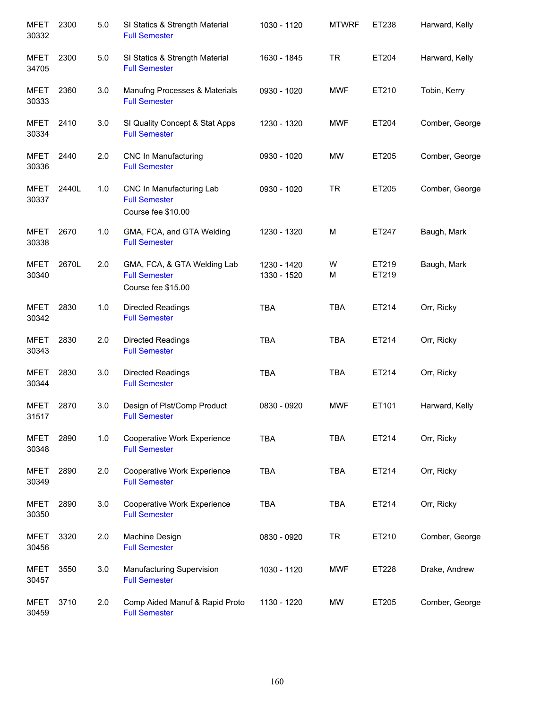| <b>MFET</b><br>30332 | 2300  | 5.0 | SI Statics & Strength Material<br><b>Full Semester</b>                    | 1030 - 1120                | <b>MTWRF</b> | ET238          | Harward, Kelly |
|----------------------|-------|-----|---------------------------------------------------------------------------|----------------------------|--------------|----------------|----------------|
| <b>MFET</b><br>34705 | 2300  | 5.0 | SI Statics & Strength Material<br><b>Full Semester</b>                    | 1630 - 1845                | <b>TR</b>    | ET204          | Harward, Kelly |
| <b>MFET</b><br>30333 | 2360  | 3.0 | Manufng Processes & Materials<br><b>Full Semester</b>                     | 0930 - 1020                | <b>MWF</b>   | ET210          | Tobin, Kerry   |
| <b>MFET</b><br>30334 | 2410  | 3.0 | SI Quality Concept & Stat Apps<br><b>Full Semester</b>                    | 1230 - 1320                | <b>MWF</b>   | ET204          | Comber, George |
| MFET<br>30336        | 2440  | 2.0 | <b>CNC In Manufacturing</b><br><b>Full Semester</b>                       | 0930 - 1020                | <b>MW</b>    | ET205          | Comber, George |
| <b>MFET</b><br>30337 | 2440L | 1.0 | CNC In Manufacturing Lab<br><b>Full Semester</b><br>Course fee \$10.00    | 0930 - 1020                | <b>TR</b>    | ET205          | Comber, George |
| <b>MFET</b><br>30338 | 2670  | 1.0 | GMA, FCA, and GTA Welding<br><b>Full Semester</b>                         | 1230 - 1320                | M            | ET247          | Baugh, Mark    |
| <b>MFET</b><br>30340 | 2670L | 2.0 | GMA, FCA, & GTA Welding Lab<br><b>Full Semester</b><br>Course fee \$15.00 | 1230 - 1420<br>1330 - 1520 | W<br>М       | ET219<br>ET219 | Baugh, Mark    |
| <b>MFET</b><br>30342 | 2830  | 1.0 | Directed Readings<br><b>Full Semester</b>                                 | <b>TBA</b>                 | <b>TBA</b>   | ET214          | Orr, Ricky     |
| <b>MFET</b><br>30343 | 2830  | 2.0 | Directed Readings<br><b>Full Semester</b>                                 | <b>TBA</b>                 | <b>TBA</b>   | ET214          | Orr, Ricky     |
| <b>MFET</b><br>30344 | 2830  | 3.0 | Directed Readings<br><b>Full Semester</b>                                 | <b>TBA</b>                 | <b>TBA</b>   | ET214          | Orr, Ricky     |
| <b>MFET</b><br>31517 | 2870  | 3.0 | Design of Plst/Comp Product<br><b>Full Semester</b>                       | 0830 - 0920                | <b>MWF</b>   | ET101          | Harward, Kelly |
| <b>MFET</b><br>30348 | 2890  | 1.0 | Cooperative Work Experience<br><b>Full Semester</b>                       | <b>TBA</b>                 | <b>TBA</b>   | ET214          | Orr, Ricky     |
| <b>MFET</b><br>30349 | 2890  | 2.0 | Cooperative Work Experience<br><b>Full Semester</b>                       | <b>TBA</b>                 | <b>TBA</b>   | ET214          | Orr, Ricky     |
| <b>MFET</b><br>30350 | 2890  | 3.0 | Cooperative Work Experience<br><b>Full Semester</b>                       | <b>TBA</b>                 | <b>TBA</b>   | ET214          | Orr, Ricky     |
| <b>MFET</b><br>30456 | 3320  | 2.0 | Machine Design<br><b>Full Semester</b>                                    | 0830 - 0920                | <b>TR</b>    | ET210          | Comber, George |
| <b>MFET</b><br>30457 | 3550  | 3.0 | Manufacturing Supervision<br><b>Full Semester</b>                         | 1030 - 1120                | <b>MWF</b>   | ET228          | Drake, Andrew  |
| <b>MFET</b><br>30459 | 3710  | 2.0 | Comp Aided Manuf & Rapid Proto<br><b>Full Semester</b>                    | 1130 - 1220                | <b>MW</b>    | ET205          | Comber, George |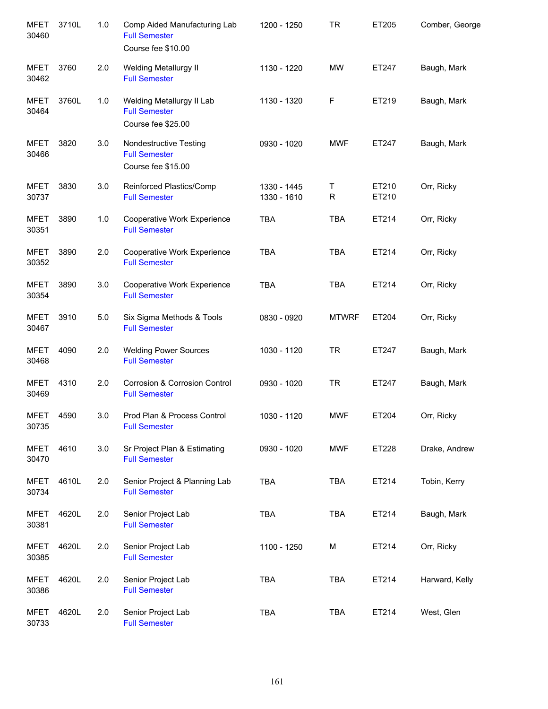| <b>MFET</b><br>30460 | 3710L | 1.0 | Comp Aided Manufacturing Lab<br><b>Full Semester</b><br>Course fee \$10.00 | 1200 - 1250                | <b>TR</b>    | ET205          | Comber, George |
|----------------------|-------|-----|----------------------------------------------------------------------------|----------------------------|--------------|----------------|----------------|
| <b>MFET</b><br>30462 | 3760  | 2.0 | <b>Welding Metallurgy II</b><br><b>Full Semester</b>                       | 1130 - 1220                | <b>MW</b>    | ET247          | Baugh, Mark    |
| <b>MFET</b><br>30464 | 3760L | 1.0 | Welding Metallurgy II Lab<br><b>Full Semester</b><br>Course fee \$25.00    | 1130 - 1320                | $\mathsf F$  | ET219          | Baugh, Mark    |
| <b>MFET</b><br>30466 | 3820  | 3.0 | Nondestructive Testing<br><b>Full Semester</b><br>Course fee \$15.00       | 0930 - 1020                | <b>MWF</b>   | ET247          | Baugh, Mark    |
| <b>MFET</b><br>30737 | 3830  | 3.0 | Reinforced Plastics/Comp<br><b>Full Semester</b>                           | 1330 - 1445<br>1330 - 1610 | Т<br>R       | ET210<br>ET210 | Orr, Ricky     |
| <b>MFET</b><br>30351 | 3890  | 1.0 | Cooperative Work Experience<br><b>Full Semester</b>                        | <b>TBA</b>                 | <b>TBA</b>   | ET214          | Orr, Ricky     |
| <b>MFET</b><br>30352 | 3890  | 2.0 | Cooperative Work Experience<br><b>Full Semester</b>                        | <b>TBA</b>                 | <b>TBA</b>   | ET214          | Orr, Ricky     |
| <b>MFET</b><br>30354 | 3890  | 3.0 | Cooperative Work Experience<br><b>Full Semester</b>                        | <b>TBA</b>                 | <b>TBA</b>   | ET214          | Orr, Ricky     |
| <b>MFET</b><br>30467 | 3910  | 5.0 | Six Sigma Methods & Tools<br><b>Full Semester</b>                          | 0830 - 0920                | <b>MTWRF</b> | ET204          | Orr, Ricky     |
| <b>MFET</b><br>30468 | 4090  | 2.0 | <b>Welding Power Sources</b><br><b>Full Semester</b>                       | 1030 - 1120                | <b>TR</b>    | ET247          | Baugh, Mark    |
| <b>MFET</b><br>30469 | 4310  | 2.0 | <b>Corrosion &amp; Corrosion Control</b><br><b>Full Semester</b>           | 0930 - 1020                | <b>TR</b>    | ET247          | Baugh, Mark    |
| <b>MFET</b><br>30735 | 4590  | 3.0 | Prod Plan & Process Control<br><b>Full Semester</b>                        | 1030 - 1120                | <b>MWF</b>   | ET204          | Orr, Ricky     |
| <b>MFET</b><br>30470 | 4610  | 3.0 | Sr Project Plan & Estimating<br><b>Full Semester</b>                       | 0930 - 1020                | <b>MWF</b>   | ET228          | Drake, Andrew  |
| <b>MFET</b><br>30734 | 4610L | 2.0 | Senior Project & Planning Lab<br><b>Full Semester</b>                      | <b>TBA</b>                 | <b>TBA</b>   | ET214          | Tobin, Kerry   |
| <b>MFET</b><br>30381 | 4620L | 2.0 | Senior Project Lab<br><b>Full Semester</b>                                 | <b>TBA</b>                 | <b>TBA</b>   | ET214          | Baugh, Mark    |
| <b>MFET</b><br>30385 | 4620L | 2.0 | Senior Project Lab<br><b>Full Semester</b>                                 | 1100 - 1250                | M            | ET214          | Orr, Ricky     |
| <b>MFET</b><br>30386 | 4620L | 2.0 | Senior Project Lab<br><b>Full Semester</b>                                 | <b>TBA</b>                 | <b>TBA</b>   | ET214          | Harward, Kelly |
| <b>MFET</b><br>30733 | 4620L | 2.0 | Senior Project Lab<br><b>Full Semester</b>                                 | TBA                        | <b>TBA</b>   | ET214          | West, Glen     |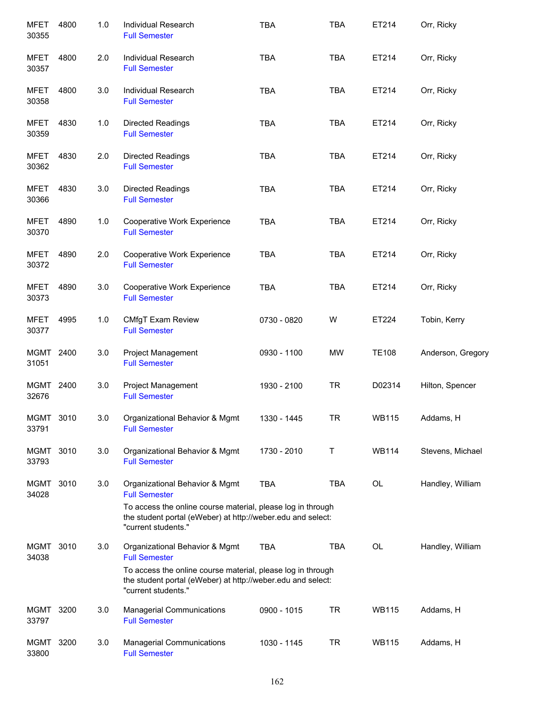| <b>MFET</b><br>30355 | 4800 | $1.0$ | Individual Research<br><b>Full Semester</b>                                                                                                       | <b>TBA</b>  | <b>TBA</b> | ET214        | Orr, Ricky        |
|----------------------|------|-------|---------------------------------------------------------------------------------------------------------------------------------------------------|-------------|------------|--------------|-------------------|
| <b>MFET</b><br>30357 | 4800 | 2.0   | Individual Research<br><b>Full Semester</b>                                                                                                       | <b>TBA</b>  | <b>TBA</b> | ET214        | Orr, Ricky        |
| <b>MFET</b><br>30358 | 4800 | 3.0   | Individual Research<br><b>Full Semester</b>                                                                                                       | <b>TBA</b>  | <b>TBA</b> | ET214        | Orr, Ricky        |
| <b>MFET</b><br>30359 | 4830 | $1.0$ | <b>Directed Readings</b><br><b>Full Semester</b>                                                                                                  | <b>TBA</b>  | <b>TBA</b> | ET214        | Orr, Ricky        |
| MFET<br>30362        | 4830 | 2.0   | Directed Readings<br><b>Full Semester</b>                                                                                                         | <b>TBA</b>  | <b>TBA</b> | ET214        | Orr, Ricky        |
| <b>MFET</b><br>30366 | 4830 | 3.0   | <b>Directed Readings</b><br><b>Full Semester</b>                                                                                                  | <b>TBA</b>  | <b>TBA</b> | ET214        | Orr, Ricky        |
| MFET<br>30370        | 4890 | 1.0   | Cooperative Work Experience<br><b>Full Semester</b>                                                                                               | <b>TBA</b>  | <b>TBA</b> | ET214        | Orr, Ricky        |
| <b>MFET</b><br>30372 | 4890 | 2.0   | Cooperative Work Experience<br><b>Full Semester</b>                                                                                               | <b>TBA</b>  | <b>TBA</b> | ET214        | Orr, Ricky        |
| <b>MFET</b><br>30373 | 4890 | 3.0   | Cooperative Work Experience<br><b>Full Semester</b>                                                                                               | <b>TBA</b>  | <b>TBA</b> | ET214        | Orr, Ricky        |
| MFET<br>30377        | 4995 | 1.0   | <b>CMfgT Exam Review</b><br><b>Full Semester</b>                                                                                                  | 0730 - 0820 | W          | ET224        | Tobin, Kerry      |
| MGMT 2400<br>31051   |      | 3.0   | Project Management<br><b>Full Semester</b>                                                                                                        | 0930 - 1100 | MW         | <b>TE108</b> | Anderson, Gregory |
| <b>MGMT</b><br>32676 | 2400 | 3.0   | <b>Project Management</b><br><b>Full Semester</b>                                                                                                 | 1930 - 2100 | <b>TR</b>  | D02314       | Hilton, Spencer   |
| <b>MGMT</b><br>33791 | 3010 | 3.0   | Organizational Behavior & Mgmt<br><b>Full Semester</b>                                                                                            | 1330 - 1445 | <b>TR</b>  | <b>WB115</b> | Addams, H         |
| MGMT<br>33793        | 3010 | 3.0   | Organizational Behavior & Mgmt<br><b>Full Semester</b>                                                                                            | 1730 - 2010 | Т          | <b>WB114</b> | Stevens, Michael  |
| MGMT<br>34028        | 3010 | 3.0   | Organizational Behavior & Mgmt<br><b>Full Semester</b>                                                                                            | <b>TBA</b>  | TBA        | OL           | Handley, William  |
|                      |      |       | To access the online course material, please log in through<br>the student portal (eWeber) at http://weber.edu and select:<br>"current students." |             |            |              |                   |
| MGMT<br>34038        | 3010 | 3.0   | Organizational Behavior & Mgmt<br><b>Full Semester</b>                                                                                            | <b>TBA</b>  | TBA        | OL           | Handley, William  |
|                      |      |       | To access the online course material, please log in through<br>the student portal (eWeber) at http://weber.edu and select:<br>"current students." |             |            |              |                   |
| MGMT<br>33797        | 3200 | 3.0   | <b>Managerial Communications</b><br><b>Full Semester</b>                                                                                          | 0900 - 1015 | <b>TR</b>  | <b>WB115</b> | Addams, H         |
| MGMT<br>33800        | 3200 | 3.0   | <b>Managerial Communications</b><br><b>Full Semester</b>                                                                                          | 1030 - 1145 | TR         | <b>WB115</b> | Addams, H         |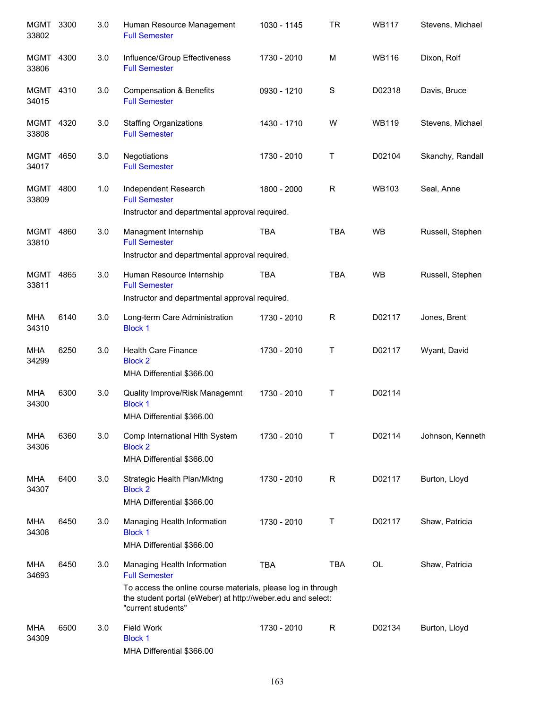| MGMT 3300<br>33802 |      | 3.0 | Human Resource Management<br><b>Full Semester</b>                                                                                                                                                        | 1030 - 1145 | TR          | <b>WB117</b> | Stevens, Michael |
|--------------------|------|-----|----------------------------------------------------------------------------------------------------------------------------------------------------------------------------------------------------------|-------------|-------------|--------------|------------------|
| MGMT<br>33806      | 4300 | 3.0 | Influence/Group Effectiveness<br><b>Full Semester</b>                                                                                                                                                    | 1730 - 2010 | M           | <b>WB116</b> | Dixon, Rolf      |
| MGMT 4310<br>34015 |      | 3.0 | <b>Compensation &amp; Benefits</b><br><b>Full Semester</b>                                                                                                                                               | 0930 - 1210 | S           | D02318       | Davis, Bruce     |
| MGMT 4320<br>33808 |      | 3.0 | <b>Staffing Organizations</b><br><b>Full Semester</b>                                                                                                                                                    | 1430 - 1710 | W           | <b>WB119</b> | Stevens, Michael |
| MGMT 4650<br>34017 |      | 3.0 | Negotiations<br><b>Full Semester</b>                                                                                                                                                                     | 1730 - 2010 | Τ           | D02104       | Skanchy, Randall |
| MGMT 4800<br>33809 |      | 1.0 | Independent Research<br><b>Full Semester</b><br>Instructor and departmental approval required.                                                                                                           | 1800 - 2000 | $\mathsf R$ | <b>WB103</b> | Seal, Anne       |
| MGMT 4860<br>33810 |      | 3.0 | Managment Internship<br><b>Full Semester</b><br>Instructor and departmental approval required.                                                                                                           | <b>TBA</b>  | <b>TBA</b>  | <b>WB</b>    | Russell, Stephen |
| MGMT 4865<br>33811 |      | 3.0 | Human Resource Internship<br><b>Full Semester</b><br>Instructor and departmental approval required.                                                                                                      | <b>TBA</b>  | <b>TBA</b>  | <b>WB</b>    | Russell, Stephen |
| MHA<br>34310       | 6140 | 3.0 | Long-term Care Administration<br><b>Block 1</b>                                                                                                                                                          | 1730 - 2010 | $\mathsf R$ | D02117       | Jones, Brent     |
| MHA<br>34299       | 6250 | 3.0 | <b>Health Care Finance</b><br><b>Block 2</b><br>MHA Differential \$366.00                                                                                                                                | 1730 - 2010 | Τ           | D02117       | Wyant, David     |
| MHA<br>34300       | 6300 | 3.0 | Quality Improve/Risk Managemnt<br><b>Block 1</b><br>MHA Differential \$366.00                                                                                                                            | 1730 - 2010 | Τ           | D02114       |                  |
| MHA<br>34306       | 6360 | 3.0 | Comp International Hith System<br><b>Block 2</b><br>MHA Differential \$366.00                                                                                                                            | 1730 - 2010 | т           | D02114       | Johnson, Kenneth |
| MHA<br>34307       | 6400 | 3.0 | Strategic Health Plan/Mktng<br><b>Block 2</b><br>MHA Differential \$366.00                                                                                                                               | 1730 - 2010 | $\mathsf R$ | D02117       | Burton, Lloyd    |
| MHA<br>34308       | 6450 | 3.0 | Managing Health Information<br><b>Block 1</b><br>MHA Differential \$366.00                                                                                                                               | 1730 - 2010 | Τ           | D02117       | Shaw, Patricia   |
| MHA<br>34693       | 6450 | 3.0 | Managing Health Information<br><b>Full Semester</b><br>To access the online course materials, please log in through<br>the student portal (eWeber) at http://weber.edu and select:<br>"current students" | <b>TBA</b>  | <b>TBA</b>  | <b>OL</b>    | Shaw, Patricia   |
| MHA<br>34309       | 6500 | 3.0 | <b>Field Work</b><br><b>Block 1</b><br>MHA Differential \$366.00                                                                                                                                         | 1730 - 2010 | R           | D02134       | Burton, Lloyd    |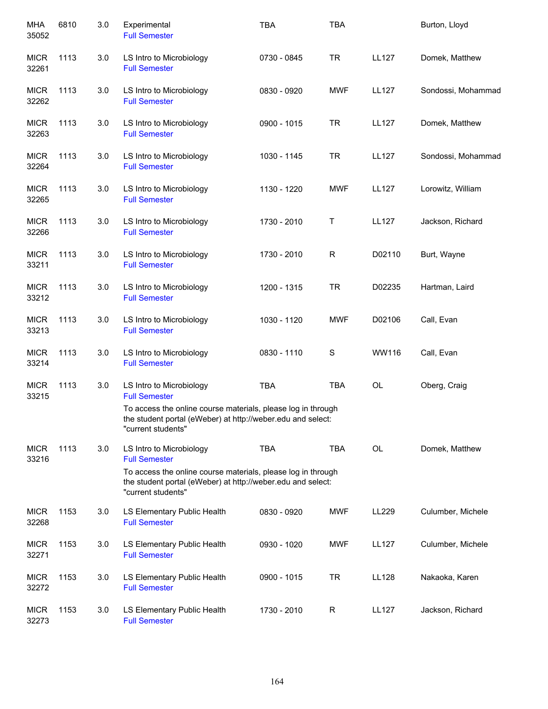| <b>MHA</b><br>35052  | 6810 | 3.0 | Experimental<br><b>Full Semester</b>                                                                                                              | <b>TBA</b>  | <b>TBA</b>   |              | Burton, Lloyd      |
|----------------------|------|-----|---------------------------------------------------------------------------------------------------------------------------------------------------|-------------|--------------|--------------|--------------------|
| <b>MICR</b><br>32261 | 1113 | 3.0 | LS Intro to Microbiology<br><b>Full Semester</b>                                                                                                  | 0730 - 0845 | <b>TR</b>    | <b>LL127</b> | Domek, Matthew     |
| <b>MICR</b><br>32262 | 1113 | 3.0 | LS Intro to Microbiology<br><b>Full Semester</b>                                                                                                  | 0830 - 0920 | <b>MWF</b>   | <b>LL127</b> | Sondossi, Mohammad |
| <b>MICR</b><br>32263 | 1113 | 3.0 | LS Intro to Microbiology<br><b>Full Semester</b>                                                                                                  | 0900 - 1015 | <b>TR</b>    | <b>LL127</b> | Domek, Matthew     |
| <b>MICR</b><br>32264 | 1113 | 3.0 | LS Intro to Microbiology<br><b>Full Semester</b>                                                                                                  | 1030 - 1145 | <b>TR</b>    | <b>LL127</b> | Sondossi, Mohammad |
| <b>MICR</b><br>32265 | 1113 | 3.0 | LS Intro to Microbiology<br><b>Full Semester</b>                                                                                                  | 1130 - 1220 | <b>MWF</b>   | <b>LL127</b> | Lorowitz, William  |
| <b>MICR</b><br>32266 | 1113 | 3.0 | LS Intro to Microbiology<br><b>Full Semester</b>                                                                                                  | 1730 - 2010 | Τ            | <b>LL127</b> | Jackson, Richard   |
| <b>MICR</b><br>33211 | 1113 | 3.0 | LS Intro to Microbiology<br><b>Full Semester</b>                                                                                                  | 1730 - 2010 | $\mathsf{R}$ | D02110       | Burt, Wayne        |
| <b>MICR</b><br>33212 | 1113 | 3.0 | LS Intro to Microbiology<br><b>Full Semester</b>                                                                                                  | 1200 - 1315 | <b>TR</b>    | D02235       | Hartman, Laird     |
| <b>MICR</b><br>33213 | 1113 | 3.0 | LS Intro to Microbiology<br><b>Full Semester</b>                                                                                                  | 1030 - 1120 | <b>MWF</b>   | D02106       | Call, Evan         |
| <b>MICR</b><br>33214 | 1113 | 3.0 | LS Intro to Microbiology<br><b>Full Semester</b>                                                                                                  | 0830 - 1110 | S            | WW116        | Call, Evan         |
| <b>MICR</b><br>33215 | 1113 | 3.0 | LS Intro to Microbiology<br><b>Full Semester</b>                                                                                                  | <b>TBA</b>  | <b>TBA</b>   | OL           | Oberg, Craig       |
|                      |      |     | To access the online course materials, please log in through<br>the student portal (eWeber) at http://weber.edu and select:<br>"current students" |             |              |              |                    |
| <b>MICR</b><br>33216 | 1113 | 3.0 | LS Intro to Microbiology<br><b>Full Semester</b>                                                                                                  | <b>TBA</b>  | <b>TBA</b>   | <b>OL</b>    | Domek, Matthew     |
|                      |      |     | To access the online course materials, please log in through<br>the student portal (eWeber) at http://weber.edu and select:<br>"current students" |             |              |              |                    |
| <b>MICR</b><br>32268 | 1153 | 3.0 | LS Elementary Public Health<br><b>Full Semester</b>                                                                                               | 0830 - 0920 | <b>MWF</b>   | LL229        | Culumber, Michele  |
| <b>MICR</b><br>32271 | 1153 | 3.0 | LS Elementary Public Health<br><b>Full Semester</b>                                                                                               | 0930 - 1020 | <b>MWF</b>   | <b>LL127</b> | Culumber, Michele  |
| <b>MICR</b><br>32272 | 1153 | 3.0 | LS Elementary Public Health<br><b>Full Semester</b>                                                                                               | 0900 - 1015 | <b>TR</b>    | <b>LL128</b> | Nakaoka, Karen     |
| <b>MICR</b><br>32273 | 1153 | 3.0 | LS Elementary Public Health<br><b>Full Semester</b>                                                                                               | 1730 - 2010 | R            | <b>LL127</b> | Jackson, Richard   |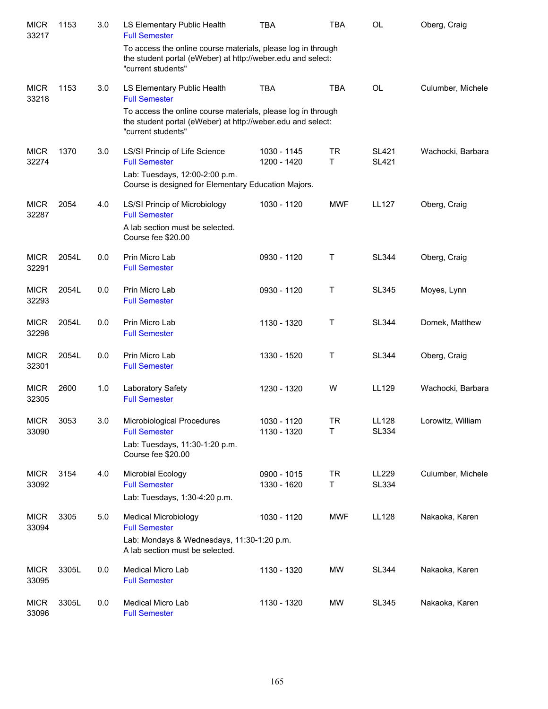| <b>MICR</b><br>33217 | 1153  | 3.0 | LS Elementary Public Health<br><b>Full Semester</b>                                                                                               | <b>TBA</b>                 | <b>TBA</b>     | <b>OL</b>                    | Oberg, Craig      |
|----------------------|-------|-----|---------------------------------------------------------------------------------------------------------------------------------------------------|----------------------------|----------------|------------------------------|-------------------|
|                      |       |     | To access the online course materials, please log in through<br>the student portal (eWeber) at http://weber.edu and select:<br>"current students" |                            |                |                              |                   |
| <b>MICR</b><br>33218 | 1153  | 3.0 | LS Elementary Public Health<br><b>Full Semester</b>                                                                                               | <b>TBA</b>                 | <b>TBA</b>     | <b>OL</b>                    | Culumber, Michele |
|                      |       |     | To access the online course materials, please log in through<br>the student portal (eWeber) at http://weber.edu and select:<br>"current students" |                            |                |                              |                   |
| <b>MICR</b><br>32274 | 1370  | 3.0 | LS/SI Princip of Life Science<br><b>Full Semester</b><br>Lab: Tuesdays, 12:00-2:00 p.m.<br>Course is designed for Elementary Education Majors.    | 1030 - 1145<br>1200 - 1420 | <b>TR</b><br>T | <b>SL421</b><br><b>SL421</b> | Wachocki, Barbara |
| <b>MICR</b><br>32287 | 2054  | 4.0 | LS/SI Princip of Microbiology<br><b>Full Semester</b><br>A lab section must be selected.<br>Course fee \$20.00                                    | 1030 - 1120                | <b>MWF</b>     | <b>LL127</b>                 | Oberg, Craig      |
| <b>MICR</b><br>32291 | 2054L | 0.0 | Prin Micro Lab<br><b>Full Semester</b>                                                                                                            | 0930 - 1120                | Τ              | <b>SL344</b>                 | Oberg, Craig      |
| <b>MICR</b><br>32293 | 2054L | 0.0 | Prin Micro Lab<br><b>Full Semester</b>                                                                                                            | 0930 - 1120                | Τ              | <b>SL345</b>                 | Moyes, Lynn       |
| <b>MICR</b><br>32298 | 2054L | 0.0 | Prin Micro Lab<br><b>Full Semester</b>                                                                                                            | 1130 - 1320                | $\top$         | <b>SL344</b>                 | Domek, Matthew    |
| <b>MICR</b><br>32301 | 2054L | 0.0 | Prin Micro Lab<br><b>Full Semester</b>                                                                                                            | 1330 - 1520                | Τ              | <b>SL344</b>                 | Oberg, Craig      |
| <b>MICR</b><br>32305 | 2600  | 1.0 | Laboratory Safety<br><b>Full Semester</b>                                                                                                         | 1230 - 1320                | W              | LL129                        | Wachocki, Barbara |
| <b>MICR</b><br>33090 | 3053  | 3.0 | Microbiological Procedures<br><b>Full Semester</b><br>Lab: Tuesdays, 11:30-1:20 p.m.<br>Course fee \$20.00                                        | 1030 - 1120<br>1130 - 1320 | <b>TR</b><br>Τ | <b>LL128</b><br><b>SL334</b> | Lorowitz, William |
| <b>MICR</b><br>33092 | 3154  | 4.0 | Microbial Ecology<br><b>Full Semester</b><br>Lab: Tuesdays, 1:30-4:20 p.m.                                                                        | 0900 - 1015<br>1330 - 1620 | TR<br>T.       | LL229<br><b>SL334</b>        | Culumber, Michele |
| <b>MICR</b><br>33094 | 3305  | 5.0 | <b>Medical Microbiology</b><br><b>Full Semester</b><br>Lab: Mondays & Wednesdays, 11:30-1:20 p.m.<br>A lab section must be selected.              | 1030 - 1120                | <b>MWF</b>     | <b>LL128</b>                 | Nakaoka, Karen    |
| <b>MICR</b><br>33095 | 3305L | 0.0 | Medical Micro Lab<br><b>Full Semester</b>                                                                                                         | 1130 - 1320                | MW             | <b>SL344</b>                 | Nakaoka, Karen    |
| <b>MICR</b><br>33096 | 3305L | 0.0 | Medical Micro Lab<br><b>Full Semester</b>                                                                                                         | 1130 - 1320                | MW             | <b>SL345</b>                 | Nakaoka, Karen    |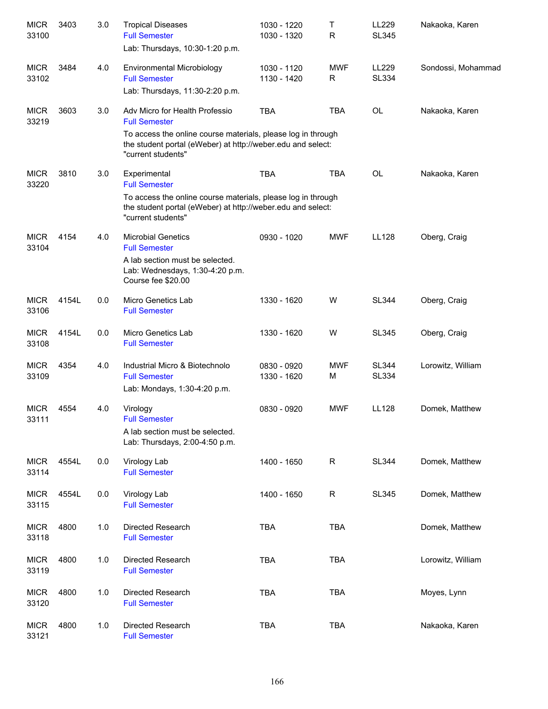| <b>MICR</b><br>33100 | 3403  | 3.0 | <b>Tropical Diseases</b><br><b>Full Semester</b><br>Lab: Thursdays, 10:30-1:20 p.m.                                                               | 1030 - 1220<br>1030 - 1320 | т<br>R          | LL229<br><b>SL345</b>        | Nakaoka, Karen     |
|----------------------|-------|-----|---------------------------------------------------------------------------------------------------------------------------------------------------|----------------------------|-----------------|------------------------------|--------------------|
| <b>MICR</b><br>33102 | 3484  | 4.0 | Environmental Microbiology<br><b>Full Semester</b><br>Lab: Thursdays, 11:30-2:20 p.m.                                                             | 1030 - 1120<br>1130 - 1420 | <b>MWF</b><br>R | LL229<br><b>SL334</b>        | Sondossi, Mohammad |
| <b>MICR</b><br>33219 | 3603  | 3.0 | Adv Micro for Health Professio<br><b>Full Semester</b>                                                                                            | <b>TBA</b>                 | <b>TBA</b>      | <b>OL</b>                    | Nakaoka, Karen     |
|                      |       |     | To access the online course materials, please log in through<br>the student portal (eWeber) at http://weber.edu and select:<br>"current students" |                            |                 |                              |                    |
| <b>MICR</b><br>33220 | 3810  | 3.0 | Experimental<br><b>Full Semester</b>                                                                                                              | <b>TBA</b>                 | <b>TBA</b>      | <b>OL</b>                    | Nakaoka, Karen     |
|                      |       |     | To access the online course materials, please log in through<br>the student portal (eWeber) at http://weber.edu and select:<br>"current students" |                            |                 |                              |                    |
| <b>MICR</b><br>33104 | 4154  | 4.0 | <b>Microbial Genetics</b><br><b>Full Semester</b>                                                                                                 | 0930 - 1020                | <b>MWF</b>      | <b>LL128</b>                 | Oberg, Craig       |
|                      |       |     | A lab section must be selected.<br>Lab: Wednesdays, 1:30-4:20 p.m.<br>Course fee \$20.00                                                          |                            |                 |                              |                    |
| <b>MICR</b><br>33106 | 4154L | 0.0 | Micro Genetics Lab<br><b>Full Semester</b>                                                                                                        | 1330 - 1620                | W               | <b>SL344</b>                 | Oberg, Craig       |
| <b>MICR</b><br>33108 | 4154L | 0.0 | Micro Genetics Lab<br><b>Full Semester</b>                                                                                                        | 1330 - 1620                | W               | <b>SL345</b>                 | Oberg, Craig       |
| <b>MICR</b><br>33109 | 4354  | 4.0 | Industrial Micro & Biotechnolo<br><b>Full Semester</b><br>Lab: Mondays, 1:30-4:20 p.m.                                                            | 0830 - 0920<br>1330 - 1620 | <b>MWF</b><br>М | <b>SL344</b><br><b>SL334</b> | Lorowitz, William  |
| <b>MICR</b><br>33111 | 4554  | 4.0 | Virology<br><b>Full Semester</b><br>A lab section must be selected.<br>Lab: Thursdays, 2:00-4:50 p.m.                                             | 0830 - 0920                | <b>MWF</b>      | <b>LL128</b>                 | Domek, Matthew     |
| <b>MICR</b><br>33114 | 4554L | 0.0 | Virology Lab<br><b>Full Semester</b>                                                                                                              | 1400 - 1650                | R               | <b>SL344</b>                 | Domek, Matthew     |
| <b>MICR</b><br>33115 | 4554L | 0.0 | Virology Lab<br><b>Full Semester</b>                                                                                                              | 1400 - 1650                | R               | <b>SL345</b>                 | Domek, Matthew     |
| <b>MICR</b><br>33118 | 4800  | 1.0 | Directed Research<br><b>Full Semester</b>                                                                                                         | <b>TBA</b>                 | <b>TBA</b>      |                              | Domek, Matthew     |
| <b>MICR</b><br>33119 | 4800  | 1.0 | Directed Research<br><b>Full Semester</b>                                                                                                         | <b>TBA</b>                 | <b>TBA</b>      |                              | Lorowitz, William  |
| <b>MICR</b><br>33120 | 4800  | 1.0 | Directed Research<br><b>Full Semester</b>                                                                                                         | <b>TBA</b>                 | <b>TBA</b>      |                              | Moyes, Lynn        |
| <b>MICR</b><br>33121 | 4800  | 1.0 | Directed Research<br><b>Full Semester</b>                                                                                                         | TBA                        | <b>TBA</b>      |                              | Nakaoka, Karen     |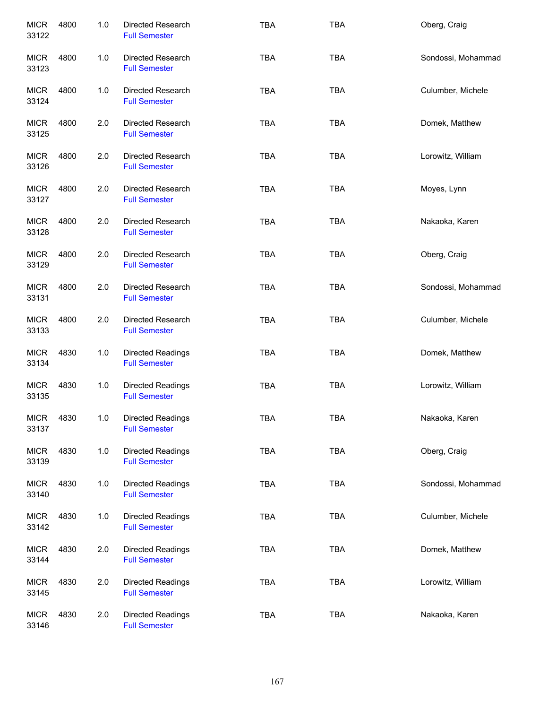| <b>MICR</b><br>33122 | 4800 | 1.0   | Directed Research<br><b>Full Semester</b>        | <b>TBA</b> | <b>TBA</b> | Oberg, Craig       |
|----------------------|------|-------|--------------------------------------------------|------------|------------|--------------------|
| <b>MICR</b><br>33123 | 4800 | 1.0   | Directed Research<br><b>Full Semester</b>        | <b>TBA</b> | <b>TBA</b> | Sondossi, Mohammad |
| <b>MICR</b><br>33124 | 4800 | 1.0   | Directed Research<br><b>Full Semester</b>        | <b>TBA</b> | <b>TBA</b> | Culumber, Michele  |
| <b>MICR</b><br>33125 | 4800 | 2.0   | Directed Research<br><b>Full Semester</b>        | <b>TBA</b> | <b>TBA</b> | Domek, Matthew     |
| <b>MICR</b><br>33126 | 4800 | 2.0   | Directed Research<br><b>Full Semester</b>        | <b>TBA</b> | <b>TBA</b> | Lorowitz, William  |
| <b>MICR</b><br>33127 | 4800 | 2.0   | Directed Research<br><b>Full Semester</b>        | <b>TBA</b> | <b>TBA</b> | Moyes, Lynn        |
| <b>MICR</b><br>33128 | 4800 | 2.0   | Directed Research<br><b>Full Semester</b>        | <b>TBA</b> | <b>TBA</b> | Nakaoka, Karen     |
| <b>MICR</b><br>33129 | 4800 | 2.0   | Directed Research<br><b>Full Semester</b>        | <b>TBA</b> | <b>TBA</b> | Oberg, Craig       |
| <b>MICR</b><br>33131 | 4800 | 2.0   | Directed Research<br><b>Full Semester</b>        | <b>TBA</b> | <b>TBA</b> | Sondossi, Mohammad |
| <b>MICR</b><br>33133 | 4800 | 2.0   | Directed Research<br><b>Full Semester</b>        | <b>TBA</b> | <b>TBA</b> | Culumber, Michele  |
| <b>MICR</b><br>33134 | 4830 | $1.0$ | <b>Directed Readings</b><br><b>Full Semester</b> | <b>TBA</b> | <b>TBA</b> | Domek, Matthew     |
| <b>MICR</b><br>33135 | 4830 | 1.0   | <b>Directed Readings</b><br><b>Full Semester</b> | <b>TBA</b> | <b>TBA</b> | Lorowitz, William  |
| <b>MICR</b><br>33137 | 4830 | 1.0   | <b>Directed Readings</b><br><b>Full Semester</b> | <b>TBA</b> | <b>TBA</b> | Nakaoka, Karen     |
| <b>MICR</b><br>33139 | 4830 | 1.0   | Directed Readings<br><b>Full Semester</b>        | <b>TBA</b> | <b>TBA</b> | Oberg, Craig       |
| <b>MICR</b><br>33140 | 4830 | $1.0$ | Directed Readings<br><b>Full Semester</b>        | TBA        | <b>TBA</b> | Sondossi, Mohammad |
| <b>MICR</b><br>33142 | 4830 | $1.0$ | Directed Readings<br><b>Full Semester</b>        | TBA        | <b>TBA</b> | Culumber, Michele  |
| <b>MICR</b><br>33144 | 4830 | 2.0   | Directed Readings<br><b>Full Semester</b>        | <b>TBA</b> | <b>TBA</b> | Domek, Matthew     |
| <b>MICR</b><br>33145 | 4830 | 2.0   | Directed Readings<br><b>Full Semester</b>        | <b>TBA</b> | <b>TBA</b> | Lorowitz, William  |
| <b>MICR</b><br>33146 | 4830 | 2.0   | Directed Readings<br><b>Full Semester</b>        | <b>TBA</b> | <b>TBA</b> | Nakaoka, Karen     |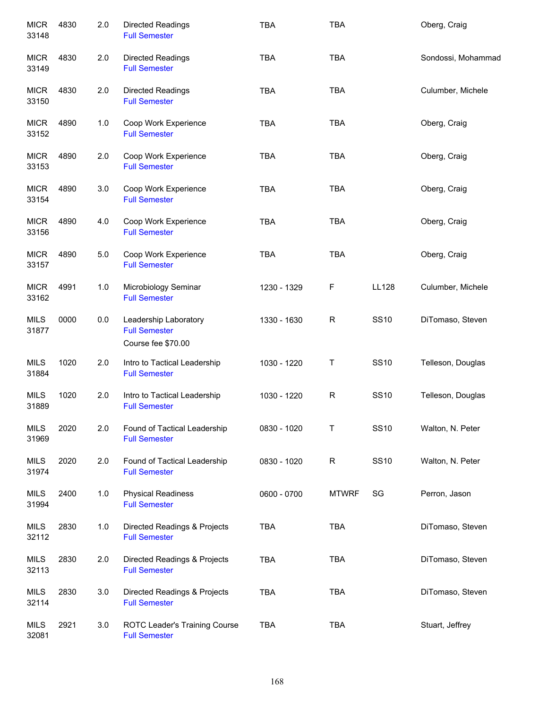| 4830 | 2.0     | Directed Readings<br><b>Full Semester</b>                           | <b>TBA</b>  | <b>TBA</b>   |              | Oberg, Craig       |
|------|---------|---------------------------------------------------------------------|-------------|--------------|--------------|--------------------|
| 4830 | 2.0     | <b>Directed Readings</b><br><b>Full Semester</b>                    | <b>TBA</b>  | <b>TBA</b>   |              | Sondossi, Mohammad |
| 4830 | 2.0     | <b>Directed Readings</b><br><b>Full Semester</b>                    | <b>TBA</b>  | <b>TBA</b>   |              | Culumber, Michele  |
| 4890 | 1.0     | Coop Work Experience<br><b>Full Semester</b>                        | TBA         | <b>TBA</b>   |              | Oberg, Craig       |
| 4890 | 2.0     | Coop Work Experience<br><b>Full Semester</b>                        | <b>TBA</b>  | <b>TBA</b>   |              | Oberg, Craig       |
| 4890 | 3.0     | Coop Work Experience<br><b>Full Semester</b>                        | <b>TBA</b>  | <b>TBA</b>   |              | Oberg, Craig       |
| 4890 | 4.0     | Coop Work Experience<br><b>Full Semester</b>                        | <b>TBA</b>  | <b>TBA</b>   |              | Oberg, Craig       |
| 4890 | 5.0     | Coop Work Experience<br><b>Full Semester</b>                        | <b>TBA</b>  | <b>TBA</b>   |              | Oberg, Craig       |
| 4991 | 1.0     | Microbiology Seminar<br><b>Full Semester</b>                        | 1230 - 1329 | $\mathsf F$  | <b>LL128</b> | Culumber, Michele  |
| 0000 | $0.0\,$ | Leadership Laboratory<br><b>Full Semester</b><br>Course fee \$70.00 | 1330 - 1630 | $\mathsf{R}$ | <b>SS10</b>  | DiTomaso, Steven   |
| 1020 | 2.0     | Intro to Tactical Leadership<br><b>Full Semester</b>                | 1030 - 1220 | T            | <b>SS10</b>  | Telleson, Douglas  |
| 1020 | 2.0     | Intro to Tactical Leadership<br><b>Full Semester</b>                | 1030 - 1220 | ${\sf R}$    | <b>SS10</b>  | Telleson, Douglas  |
| 2020 | 2.0     | Found of Tactical Leadership<br><b>Full Semester</b>                | 0830 - 1020 | Т            | <b>SS10</b>  | Walton, N. Peter   |
| 2020 | 2.0     | Found of Tactical Leadership<br><b>Full Semester</b>                | 0830 - 1020 | $\mathsf{R}$ | <b>SS10</b>  | Walton, N. Peter   |
| 2400 | 1.0     | <b>Physical Readiness</b><br><b>Full Semester</b>                   | 0600 - 0700 | <b>MTWRF</b> | SG           | Perron, Jason      |
| 2830 | 1.0     | Directed Readings & Projects<br><b>Full Semester</b>                | <b>TBA</b>  | <b>TBA</b>   |              | DiTomaso, Steven   |
| 2830 | 2.0     | Directed Readings & Projects<br><b>Full Semester</b>                | <b>TBA</b>  | <b>TBA</b>   |              | DiTomaso, Steven   |
| 2830 | 3.0     | Directed Readings & Projects<br><b>Full Semester</b>                | <b>TBA</b>  | <b>TBA</b>   |              | DiTomaso, Steven   |
| 2921 | 3.0     | ROTC Leader's Training Course<br><b>Full Semester</b>               | <b>TBA</b>  | TBA          |              | Stuart, Jeffrey    |
|      |         |                                                                     |             |              |              |                    |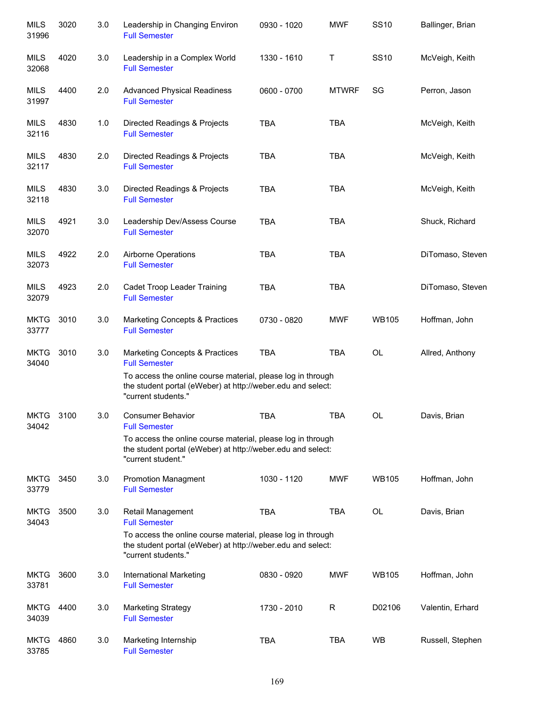| <b>MILS</b><br>31996 | 3020 | 3.0 | Leadership in Changing Environ<br><b>Full Semester</b>                                                                                            | 0930 - 1020 | <b>MWF</b>   | <b>SS10</b>  | Ballinger, Brian |
|----------------------|------|-----|---------------------------------------------------------------------------------------------------------------------------------------------------|-------------|--------------|--------------|------------------|
| MILS<br>32068        | 4020 | 3.0 | Leadership in a Complex World<br><b>Full Semester</b>                                                                                             | 1330 - 1610 | Τ            | <b>SS10</b>  | McVeigh, Keith   |
| <b>MILS</b><br>31997 | 4400 | 2.0 | <b>Advanced Physical Readiness</b><br><b>Full Semester</b>                                                                                        | 0600 - 0700 | <b>MTWRF</b> | SG           | Perron, Jason    |
| MILS<br>32116        | 4830 | 1.0 | Directed Readings & Projects<br><b>Full Semester</b>                                                                                              | <b>TBA</b>  | <b>TBA</b>   |              | McVeigh, Keith   |
| MILS<br>32117        | 4830 | 2.0 | Directed Readings & Projects<br><b>Full Semester</b>                                                                                              | <b>TBA</b>  | <b>TBA</b>   |              | McVeigh, Keith   |
| MILS<br>32118        | 4830 | 3.0 | Directed Readings & Projects<br><b>Full Semester</b>                                                                                              | <b>TBA</b>  | <b>TBA</b>   |              | McVeigh, Keith   |
| <b>MILS</b><br>32070 | 4921 | 3.0 | Leadership Dev/Assess Course<br><b>Full Semester</b>                                                                                              | <b>TBA</b>  | <b>TBA</b>   |              | Shuck, Richard   |
| <b>MILS</b><br>32073 | 4922 | 2.0 | Airborne Operations<br><b>Full Semester</b>                                                                                                       | <b>TBA</b>  | <b>TBA</b>   |              | DiTomaso, Steven |
| <b>MILS</b><br>32079 | 4923 | 2.0 | Cadet Troop Leader Training<br><b>Full Semester</b>                                                                                               | <b>TBA</b>  | <b>TBA</b>   |              | DiTomaso, Steven |
| <b>MKTG</b><br>33777 | 3010 | 3.0 | Marketing Concepts & Practices<br><b>Full Semester</b>                                                                                            | 0730 - 0820 | <b>MWF</b>   | <b>WB105</b> | Hoffman, John    |
| <b>MKTG</b><br>34040 | 3010 | 3.0 | Marketing Concepts & Practices<br><b>Full Semester</b>                                                                                            | <b>TBA</b>  | <b>TBA</b>   | OL           | Allred, Anthony  |
|                      |      |     | To access the online course material, please log in through<br>the student portal (eWeber) at http://weber.edu and select:<br>"current students." |             |              |              |                  |
| <b>MKTG</b><br>34042 | 3100 | 3.0 | <b>Consumer Behavior</b><br><b>Full Semester</b>                                                                                                  | <b>TBA</b>  | <b>TBA</b>   | <b>OL</b>    | Davis, Brian     |
|                      |      |     | To access the online course material, please log in through<br>the student portal (eWeber) at http://weber.edu and select:<br>"current student."  |             |              |              |                  |
| <b>MKTG</b><br>33779 | 3450 | 3.0 | <b>Promotion Managment</b><br><b>Full Semester</b>                                                                                                | 1030 - 1120 | <b>MWF</b>   | <b>WB105</b> | Hoffman, John    |
| <b>MKTG</b><br>34043 | 3500 | 3.0 | Retail Management<br><b>Full Semester</b>                                                                                                         | <b>TBA</b>  | <b>TBA</b>   | <b>OL</b>    | Davis, Brian     |
|                      |      |     | To access the online course material, please log in through<br>the student portal (eWeber) at http://weber.edu and select:<br>"current students." |             |              |              |                  |
| <b>MKTG</b><br>33781 | 3600 | 3.0 | International Marketing<br><b>Full Semester</b>                                                                                                   | 0830 - 0920 | <b>MWF</b>   | <b>WB105</b> | Hoffman, John    |
| <b>MKTG</b><br>34039 | 4400 | 3.0 | <b>Marketing Strategy</b><br><b>Full Semester</b>                                                                                                 | 1730 - 2010 | R            | D02106       | Valentin, Erhard |
| <b>MKTG</b><br>33785 | 4860 | 3.0 | Marketing Internship<br><b>Full Semester</b>                                                                                                      | <b>TBA</b>  | <b>TBA</b>   | <b>WB</b>    | Russell, Stephen |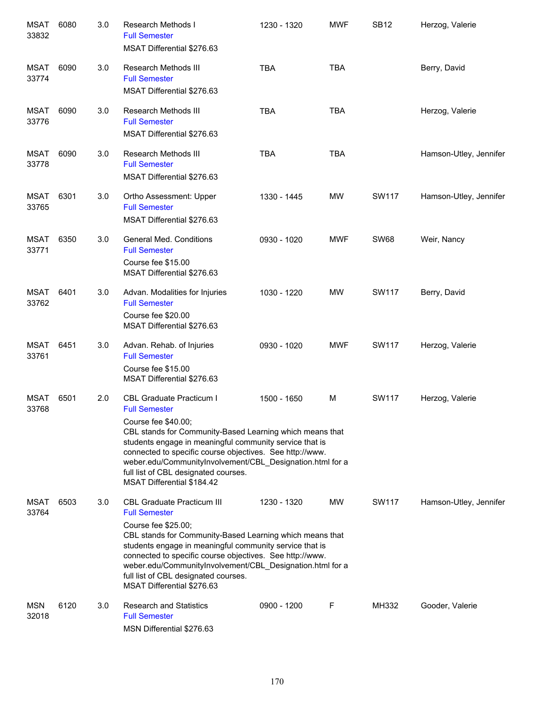| <b>MSAT</b><br>33832 | 6080 | 3.0 | Research Methods I<br><b>Full Semester</b><br>MSAT Differential \$276.63                                                                                                                                                                                                                                                                                                                               | 1230 - 1320 | <b>MWF</b> | <b>SB12</b>  | Herzog, Valerie        |
|----------------------|------|-----|--------------------------------------------------------------------------------------------------------------------------------------------------------------------------------------------------------------------------------------------------------------------------------------------------------------------------------------------------------------------------------------------------------|-------------|------------|--------------|------------------------|
| MSAT<br>33774        | 6090 | 3.0 | <b>Research Methods III</b><br><b>Full Semester</b><br>MSAT Differential \$276.63                                                                                                                                                                                                                                                                                                                      | <b>TBA</b>  | <b>TBA</b> |              | Berry, David           |
| MSAT<br>33776        | 6090 | 3.0 | Research Methods III<br><b>Full Semester</b><br>MSAT Differential \$276.63                                                                                                                                                                                                                                                                                                                             | <b>TBA</b>  | <b>TBA</b> |              | Herzog, Valerie        |
| MSAT<br>33778        | 6090 | 3.0 | <b>Research Methods III</b><br><b>Full Semester</b><br>MSAT Differential \$276.63                                                                                                                                                                                                                                                                                                                      | <b>TBA</b>  | <b>TBA</b> |              | Hamson-Utley, Jennifer |
| MSAT<br>33765        | 6301 | 3.0 | Ortho Assessment: Upper<br><b>Full Semester</b><br>MSAT Differential \$276.63                                                                                                                                                                                                                                                                                                                          | 1330 - 1445 | <b>MW</b>  | <b>SW117</b> | Hamson-Utley, Jennifer |
| MSAT<br>33771        | 6350 | 3.0 | <b>General Med. Conditions</b><br><b>Full Semester</b><br>Course fee \$15.00<br>MSAT Differential \$276.63                                                                                                                                                                                                                                                                                             | 0930 - 1020 | <b>MWF</b> | <b>SW68</b>  | Weir, Nancy            |
| MSAT<br>33762        | 6401 | 3.0 | Advan. Modalities for Injuries<br><b>Full Semester</b><br>Course fee \$20.00<br>MSAT Differential \$276.63                                                                                                                                                                                                                                                                                             | 1030 - 1220 | <b>MW</b>  | <b>SW117</b> | Berry, David           |
| <b>MSAT</b><br>33761 | 6451 | 3.0 | Advan. Rehab. of Injuries<br><b>Full Semester</b><br>Course fee \$15.00<br>MSAT Differential \$276.63                                                                                                                                                                                                                                                                                                  | 0930 - 1020 | <b>MWF</b> | <b>SW117</b> | Herzog, Valerie        |
| <b>MSAT</b><br>33768 | 6501 | 2.0 | CBL Graduate Practicum I<br><b>Full Semester</b><br>Course fee \$40.00;<br>CBL stands for Community-Based Learning which means that<br>students engage in meaningful community service that is<br>connected to specific course objectives. See http://www.<br>weber.edu/CommunityInvolvement/CBL Designation.html for a<br>full list of CBL designated courses.<br>MSAT Differential \$184.42          | 1500 - 1650 | M          | <b>SW117</b> | Herzog, Valerie        |
| MSAT<br>33764        | 6503 | 3.0 | <b>CBL Graduate Practicum III</b><br><b>Full Semester</b><br>Course fee \$25.00;<br>CBL stands for Community-Based Learning which means that<br>students engage in meaningful community service that is<br>connected to specific course objectives. See http://www.<br>weber.edu/CommunityInvolvement/CBL_Designation.html for a<br>full list of CBL designated courses.<br>MSAT Differential \$276.63 | 1230 - 1320 | MW         | SW117        | Hamson-Utley, Jennifer |
| <b>MSN</b><br>32018  | 6120 | 3.0 | <b>Research and Statistics</b><br><b>Full Semester</b><br>MSN Differential \$276.63                                                                                                                                                                                                                                                                                                                    | 0900 - 1200 | F          | MH332        | Gooder, Valerie        |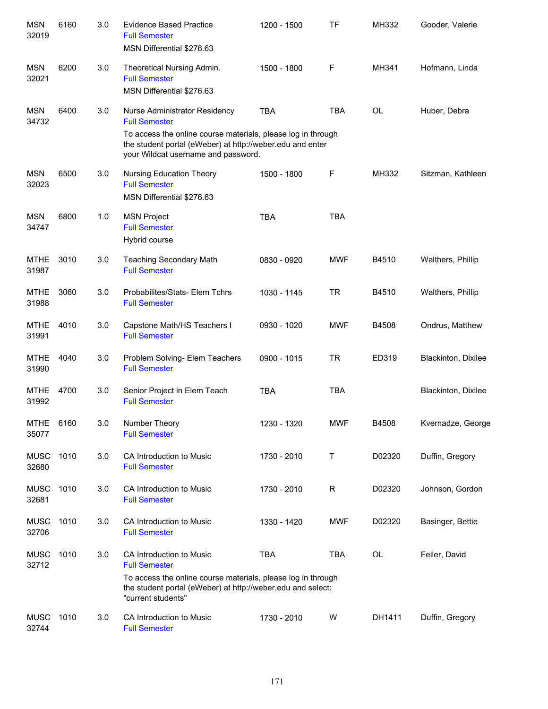| <b>MSN</b><br>32019  | 6160 | 3.0 | <b>Evidence Based Practice</b><br><b>Full Semester</b><br>MSN Differential \$276.63                                                                                                                   | 1200 - 1500 | TF         | MH332     | Gooder, Valerie     |
|----------------------|------|-----|-------------------------------------------------------------------------------------------------------------------------------------------------------------------------------------------------------|-------------|------------|-----------|---------------------|
| <b>MSN</b><br>32021  | 6200 | 3.0 | Theoretical Nursing Admin.<br><b>Full Semester</b><br>MSN Differential \$276.63                                                                                                                       | 1500 - 1800 | F          | MH341     | Hofmann, Linda      |
| <b>MSN</b><br>34732  | 6400 | 3.0 | Nurse Administrator Residency<br><b>Full Semester</b><br>To access the online course materials, please log in through                                                                                 | <b>TBA</b>  | <b>TBA</b> | <b>OL</b> | Huber, Debra        |
|                      |      |     | the student portal (eWeber) at http://weber.edu and enter<br>your Wildcat username and password.                                                                                                      |             |            |           |                     |
| <b>MSN</b><br>32023  | 6500 | 3.0 | Nursing Education Theory<br><b>Full Semester</b><br>MSN Differential \$276.63                                                                                                                         | 1500 - 1800 | F          | MH332     | Sitzman, Kathleen   |
| <b>MSN</b><br>34747  | 6800 | 1.0 | <b>MSN Project</b><br><b>Full Semester</b><br>Hybrid course                                                                                                                                           | <b>TBA</b>  | <b>TBA</b> |           |                     |
| <b>MTHE</b><br>31987 | 3010 | 3.0 | <b>Teaching Secondary Math</b><br><b>Full Semester</b>                                                                                                                                                | 0830 - 0920 | <b>MWF</b> | B4510     | Walthers, Phillip   |
| <b>MTHE</b><br>31988 | 3060 | 3.0 | Probabilites/Stats- Elem Tchrs<br><b>Full Semester</b>                                                                                                                                                | 1030 - 1145 | <b>TR</b>  | B4510     | Walthers, Phillip   |
| <b>MTHE</b><br>31991 | 4010 | 3.0 | Capstone Math/HS Teachers I<br><b>Full Semester</b>                                                                                                                                                   | 0930 - 1020 | <b>MWF</b> | B4508     | Ondrus, Matthew     |
| <b>MTHE</b><br>31990 | 4040 | 3.0 | Problem Solving- Elem Teachers<br><b>Full Semester</b>                                                                                                                                                | 0900 - 1015 | <b>TR</b>  | ED319     | Blackinton, Dixilee |
| <b>MTHE</b><br>31992 | 4700 | 3.0 | Senior Project in Elem Teach<br><b>Full Semester</b>                                                                                                                                                  | <b>TBA</b>  | <b>TBA</b> |           | Blackinton, Dixilee |
| <b>MTHE</b><br>35077 | 6160 | 3.0 | Number Theory<br><b>Full Semester</b>                                                                                                                                                                 | 1230 - 1320 | <b>MWF</b> | B4508     | Kvernadze, George   |
| <b>MUSC</b><br>32680 | 1010 | 3.0 | CA Introduction to Music<br><b>Full Semester</b>                                                                                                                                                      | 1730 - 2010 | Τ          | D02320    | Duffin, Gregory     |
| <b>MUSC</b><br>32681 | 1010 | 3.0 | CA Introduction to Music<br><b>Full Semester</b>                                                                                                                                                      | 1730 - 2010 | R          | D02320    | Johnson, Gordon     |
| <b>MUSC</b><br>32706 | 1010 | 3.0 | CA Introduction to Music<br><b>Full Semester</b>                                                                                                                                                      | 1330 - 1420 | <b>MWF</b> | D02320    | Basinger, Bettie    |
| <b>MUSC</b><br>32712 | 1010 | 3.0 | CA Introduction to Music<br><b>Full Semester</b><br>To access the online course materials, please log in through<br>the student portal (eWeber) at http://weber.edu and select:<br>"current students" | <b>TBA</b>  | <b>TBA</b> | <b>OL</b> | Feller, David       |
| <b>MUSC</b><br>32744 | 1010 | 3.0 | CA Introduction to Music<br><b>Full Semester</b>                                                                                                                                                      | 1730 - 2010 | W          | DH1411    | Duffin, Gregory     |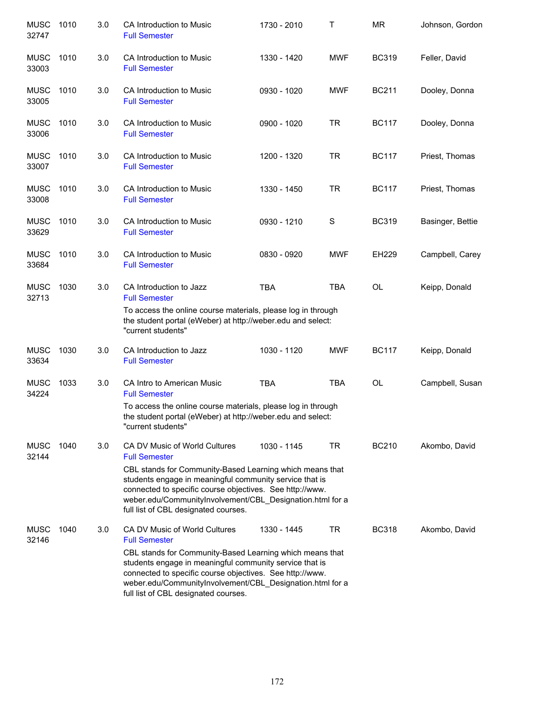| <b>MUSC</b><br>32747 | 1010 | 3.0 | CA Introduction to Music<br><b>Full Semester</b>                                                                                                                                                                                                                                                                                              | 1730 - 2010 | Т          | <b>MR</b>    | Johnson, Gordon  |
|----------------------|------|-----|-----------------------------------------------------------------------------------------------------------------------------------------------------------------------------------------------------------------------------------------------------------------------------------------------------------------------------------------------|-------------|------------|--------------|------------------|
| <b>MUSC</b><br>33003 | 1010 | 3.0 | CA Introduction to Music<br><b>Full Semester</b>                                                                                                                                                                                                                                                                                              | 1330 - 1420 | <b>MWF</b> | <b>BC319</b> | Feller, David    |
| <b>MUSC</b><br>33005 | 1010 | 3.0 | CA Introduction to Music<br><b>Full Semester</b>                                                                                                                                                                                                                                                                                              | 0930 - 1020 | <b>MWF</b> | <b>BC211</b> | Dooley, Donna    |
| <b>MUSC</b><br>33006 | 1010 | 3.0 | CA Introduction to Music<br><b>Full Semester</b>                                                                                                                                                                                                                                                                                              | 0900 - 1020 | <b>TR</b>  | <b>BC117</b> | Dooley, Donna    |
| <b>MUSC</b><br>33007 | 1010 | 3.0 | CA Introduction to Music<br><b>Full Semester</b>                                                                                                                                                                                                                                                                                              | 1200 - 1320 | <b>TR</b>  | <b>BC117</b> | Priest, Thomas   |
| <b>MUSC</b><br>33008 | 1010 | 3.0 | CA Introduction to Music<br><b>Full Semester</b>                                                                                                                                                                                                                                                                                              | 1330 - 1450 | <b>TR</b>  | <b>BC117</b> | Priest, Thomas   |
| <b>MUSC</b><br>33629 | 1010 | 3.0 | CA Introduction to Music<br><b>Full Semester</b>                                                                                                                                                                                                                                                                                              | 0930 - 1210 | S          | <b>BC319</b> | Basinger, Bettie |
| <b>MUSC</b><br>33684 | 1010 | 3.0 | CA Introduction to Music<br><b>Full Semester</b>                                                                                                                                                                                                                                                                                              | 0830 - 0920 | <b>MWF</b> | EH229        | Campbell, Carey  |
| <b>MUSC</b><br>32713 | 1030 | 3.0 | CA Introduction to Jazz<br><b>Full Semester</b><br>To access the online course materials, please log in through<br>the student portal (eWeber) at http://weber.edu and select:                                                                                                                                                                | <b>TBA</b>  | <b>TBA</b> | <b>OL</b>    | Keipp, Donald    |
| <b>MUSC</b>          | 1030 | 3.0 | "current students"<br>CA Introduction to Jazz                                                                                                                                                                                                                                                                                                 | 1030 - 1120 | <b>MWF</b> | <b>BC117</b> | Keipp, Donald    |
| 33634                |      |     | <b>Full Semester</b>                                                                                                                                                                                                                                                                                                                          |             |            |              |                  |
| <b>MUSC</b><br>34224 | 1033 | 3.0 | CA Intro to American Music<br><b>Full Semester</b>                                                                                                                                                                                                                                                                                            | <b>TBA</b>  | <b>TBA</b> | <b>OL</b>    | Campbell, Susan  |
|                      |      |     | To access the online course materials, please log in through<br>the student portal (eWeber) at http://weber.edu and select:<br>"current students"                                                                                                                                                                                             |             |            |              |                  |
| <b>MUSC</b><br>32144 | 1040 | 3.0 | CA DV Music of World Cultures<br><b>Full Semester</b>                                                                                                                                                                                                                                                                                         | 1030 - 1145 | <b>TR</b>  | <b>BC210</b> | Akombo, David    |
|                      |      |     | CBL stands for Community-Based Learning which means that<br>students engage in meaningful community service that is<br>connected to specific course objectives. See http://www.<br>weber.edu/CommunityInvolvement/CBL_Designation.html for a<br>full list of CBL designated courses.                                                          |             |            |              |                  |
| <b>MUSC</b><br>32146 | 1040 | 3.0 | CA DV Music of World Cultures<br><b>Full Semester</b><br>CBL stands for Community-Based Learning which means that<br>students engage in meaningful community service that is<br>connected to specific course objectives. See http://www.<br>weber.edu/CommunityInvolvement/CBL_Designation.html for a<br>full list of CBL designated courses. | 1330 - 1445 | TR         | <b>BC318</b> | Akombo, David    |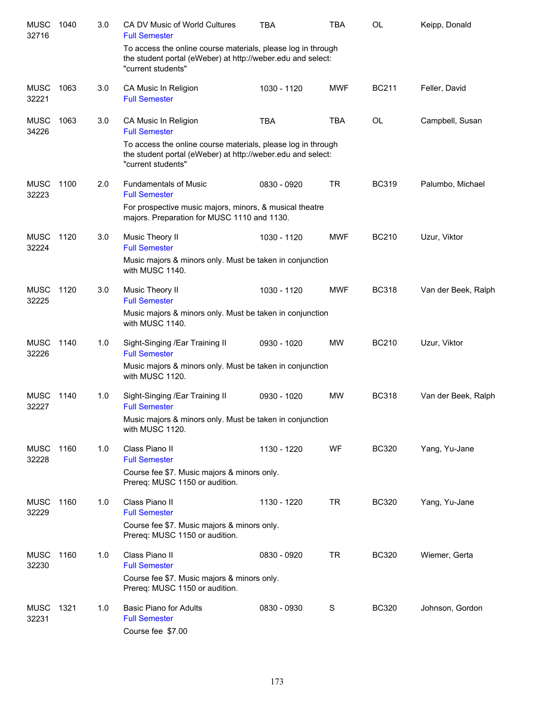| <b>MUSC</b><br>32716 | 1040 | 3.0 | <b>CA DV Music of World Cultures</b><br><b>Full Semester</b>                                                                                                                | <b>TBA</b>  | <b>TBA</b> | <b>OL</b>    | Keipp, Donald       |
|----------------------|------|-----|-----------------------------------------------------------------------------------------------------------------------------------------------------------------------------|-------------|------------|--------------|---------------------|
|                      |      |     | To access the online course materials, please log in through<br>the student portal (eWeber) at http://weber.edu and select:<br>"current students"                           |             |            |              |                     |
| <b>MUSC</b><br>32221 | 1063 | 3.0 | CA Music In Religion<br><b>Full Semester</b>                                                                                                                                | 1030 - 1120 | <b>MWF</b> | <b>BC211</b> | Feller, David       |
| <b>MUSC</b><br>34226 | 1063 | 3.0 | CA Music In Religion<br><b>Full Semester</b><br>To access the online course materials, please log in through<br>the student portal (eWeber) at http://weber.edu and select: | <b>TBA</b>  | <b>TBA</b> | <b>OL</b>    | Campbell, Susan     |
|                      |      |     | "current students"                                                                                                                                                          |             |            |              |                     |
| <b>MUSC</b><br>32223 | 1100 | 2.0 | <b>Fundamentals of Music</b><br><b>Full Semester</b><br>For prospective music majors, minors, & musical theatre<br>majors. Preparation for MUSC 1110 and 1130.              | 0830 - 0920 | <b>TR</b>  | <b>BC319</b> | Palumbo, Michael    |
| <b>MUSC</b><br>32224 | 1120 | 3.0 | Music Theory II<br><b>Full Semester</b>                                                                                                                                     | 1030 - 1120 | <b>MWF</b> | <b>BC210</b> | Uzur, Viktor        |
|                      |      |     | Music majors & minors only. Must be taken in conjunction<br>with MUSC 1140.                                                                                                 |             |            |              |                     |
| <b>MUSC</b><br>32225 | 1120 | 3.0 | Music Theory II<br><b>Full Semester</b>                                                                                                                                     | 1030 - 1120 | <b>MWF</b> | <b>BC318</b> | Van der Beek, Ralph |
|                      |      |     | Music majors & minors only. Must be taken in conjunction<br>with MUSC 1140.                                                                                                 |             |            |              |                     |
| MUSC<br>32226        | 1140 | 1.0 | Sight-Singing / Ear Training II<br><b>Full Semester</b>                                                                                                                     | 0930 - 1020 | <b>MW</b>  | <b>BC210</b> | Uzur, Viktor        |
|                      |      |     | Music majors & minors only. Must be taken in conjunction<br>with MUSC 1120.                                                                                                 |             |            |              |                     |
| MUSC<br>32227        | 1140 | 1.0 | Sight-Singing /Ear Training II<br><b>Full Semester</b>                                                                                                                      | 0930 - 1020 | MW         | <b>BC318</b> | Van der Beek, Ralph |
|                      |      |     | Music majors & minors only. Must be taken in conjunction<br>with MUSC 1120.                                                                                                 |             |            |              |                     |
| <b>MUSC</b><br>32228 | 1160 | 1.0 | Class Piano II<br><b>Full Semester</b>                                                                                                                                      | 1130 - 1220 | WF         | <b>BC320</b> | Yang, Yu-Jane       |
|                      |      |     | Course fee \$7. Music majors & minors only.<br>Prereq: MUSC 1150 or audition.                                                                                               |             |            |              |                     |
| <b>MUSC</b><br>32229 | 1160 | 1.0 | Class Piano II<br><b>Full Semester</b>                                                                                                                                      | 1130 - 1220 | <b>TR</b>  | <b>BC320</b> | Yang, Yu-Jane       |
|                      |      |     | Course fee \$7. Music majors & minors only.<br>Prereq: MUSC 1150 or audition.                                                                                               |             |            |              |                     |
| <b>MUSC</b><br>32230 | 1160 | 1.0 | Class Piano II<br><b>Full Semester</b><br>Course fee \$7. Music majors & minors only.<br>Prereq: MUSC 1150 or audition.                                                     | 0830 - 0920 | <b>TR</b>  | <b>BC320</b> | Wiemer, Gerta       |
| <b>MUSC</b><br>32231 | 1321 | 1.0 | <b>Basic Piano for Adults</b><br><b>Full Semester</b><br>Course fee \$7.00                                                                                                  | 0830 - 0930 | S          | <b>BC320</b> | Johnson, Gordon     |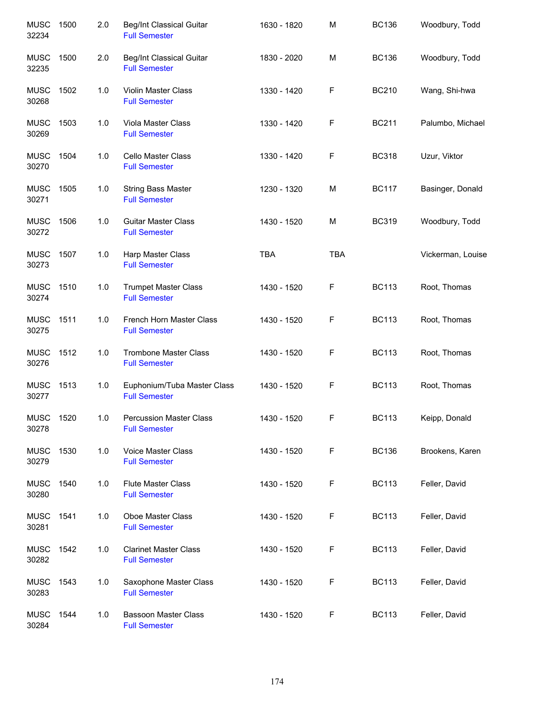| <b>MUSC</b><br>32234 | 1500 | 2.0 | <b>Beg/Int Classical Guitar</b><br><b>Full Semester</b> | 1630 - 1820 | M          | <b>BC136</b> | Woodbury, Todd    |
|----------------------|------|-----|---------------------------------------------------------|-------------|------------|--------------|-------------------|
| <b>MUSC</b><br>32235 | 1500 | 2.0 | Beg/Int Classical Guitar<br><b>Full Semester</b>        | 1830 - 2020 | M          | <b>BC136</b> | Woodbury, Todd    |
| <b>MUSC</b><br>30268 | 1502 | 1.0 | Violin Master Class<br><b>Full Semester</b>             | 1330 - 1420 | F          | <b>BC210</b> | Wang, Shi-hwa     |
| <b>MUSC</b><br>30269 | 1503 | 1.0 | Viola Master Class<br><b>Full Semester</b>              | 1330 - 1420 | F          | <b>BC211</b> | Palumbo, Michael  |
| <b>MUSC</b><br>30270 | 1504 | 1.0 | Cello Master Class<br><b>Full Semester</b>              | 1330 - 1420 | F          | <b>BC318</b> | Uzur, Viktor      |
| <b>MUSC</b><br>30271 | 1505 | 1.0 | <b>String Bass Master</b><br><b>Full Semester</b>       | 1230 - 1320 | М          | <b>BC117</b> | Basinger, Donald  |
| <b>MUSC</b><br>30272 | 1506 | 1.0 | <b>Guitar Master Class</b><br><b>Full Semester</b>      | 1430 - 1520 | М          | <b>BC319</b> | Woodbury, Todd    |
| <b>MUSC</b><br>30273 | 1507 | 1.0 | Harp Master Class<br><b>Full Semester</b>               | <b>TBA</b>  | <b>TBA</b> |              | Vickerman, Louise |
| <b>MUSC</b><br>30274 | 1510 | 1.0 | <b>Trumpet Master Class</b><br><b>Full Semester</b>     | 1430 - 1520 | F          | <b>BC113</b> | Root, Thomas      |
| <b>MUSC</b><br>30275 | 1511 | 1.0 | French Horn Master Class<br><b>Full Semester</b>        | 1430 - 1520 | F          | <b>BC113</b> | Root, Thomas      |
| <b>MUSC</b><br>30276 | 1512 | 1.0 | <b>Trombone Master Class</b><br><b>Full Semester</b>    | 1430 - 1520 | F          | <b>BC113</b> | Root, Thomas      |
| <b>MUSC</b><br>30277 | 1513 | 1.0 | Euphonium/Tuba Master Class<br><b>Full Semester</b>     | 1430 - 1520 | F          | <b>BC113</b> | Root, Thomas      |
| <b>MUSC</b><br>30278 | 1520 | 1.0 | <b>Percussion Master Class</b><br><b>Full Semester</b>  | 1430 - 1520 | F          | <b>BC113</b> | Keipp, Donald     |
| <b>MUSC</b><br>30279 | 1530 | 1.0 | <b>Voice Master Class</b><br><b>Full Semester</b>       | 1430 - 1520 | F          | <b>BC136</b> | Brookens, Karen   |
| <b>MUSC</b><br>30280 | 1540 | 1.0 | <b>Flute Master Class</b><br><b>Full Semester</b>       | 1430 - 1520 | F          | <b>BC113</b> | Feller, David     |
| <b>MUSC</b><br>30281 | 1541 | 1.0 | Oboe Master Class<br><b>Full Semester</b>               | 1430 - 1520 | F          | <b>BC113</b> | Feller, David     |
| <b>MUSC</b><br>30282 | 1542 | 1.0 | <b>Clarinet Master Class</b><br><b>Full Semester</b>    | 1430 - 1520 | F          | <b>BC113</b> | Feller, David     |
| <b>MUSC</b><br>30283 | 1543 | 1.0 | Saxophone Master Class<br><b>Full Semester</b>          | 1430 - 1520 | F          | <b>BC113</b> | Feller, David     |
| <b>MUSC</b><br>30284 | 1544 | 1.0 | <b>Bassoon Master Class</b><br><b>Full Semester</b>     | 1430 - 1520 | F          | <b>BC113</b> | Feller, David     |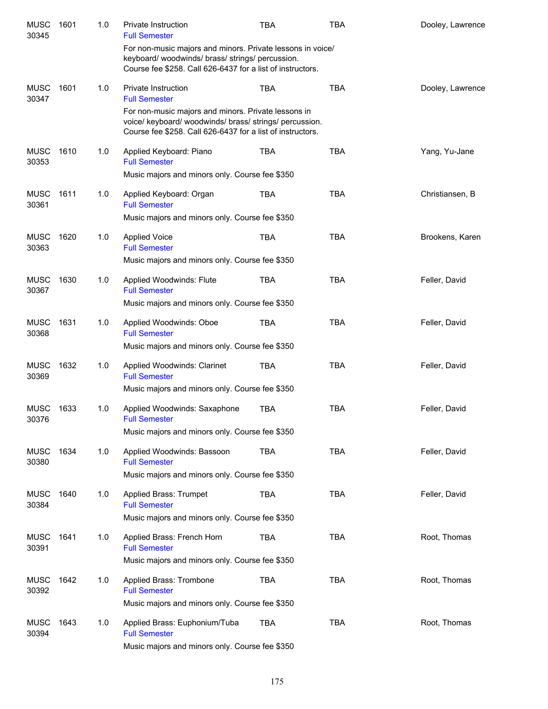| <b>MUSC</b><br>30345 | 1601 | 1.0 | Private Instruction<br><b>Full Semester</b>                                                                                                                                  | TBA        | <b>TBA</b> | Dooley, Lawrence |
|----------------------|------|-----|------------------------------------------------------------------------------------------------------------------------------------------------------------------------------|------------|------------|------------------|
|                      |      |     | For non-music majors and minors. Private lessons in voice/<br>keyboard/woodwinds/brass/strings/percussion.<br>Course fee \$258. Call 626-6437 for a list of instructors.     |            |            |                  |
| <b>MUSC</b><br>30347 | 1601 | 1.0 | Private Instruction<br><b>Full Semester</b>                                                                                                                                  | <b>TBA</b> | <b>TBA</b> | Dooley, Lawrence |
|                      |      |     | For non-music majors and minors. Private lessons in<br>voice/ keyboard/ woodwinds/ brass/ strings/ percussion.<br>Course fee \$258. Call 626-6437 for a list of instructors. |            |            |                  |
| <b>MUSC</b><br>30353 | 1610 | 1.0 | Applied Keyboard: Piano<br><b>Full Semester</b><br>Music majors and minors only. Course fee \$350                                                                            | <b>TBA</b> | <b>TBA</b> | Yang, Yu-Jane    |
| <b>MUSC</b><br>30361 | 1611 | 1.0 | Applied Keyboard: Organ<br><b>Full Semester</b>                                                                                                                              | <b>TBA</b> | <b>TBA</b> | Christiansen, B  |
|                      |      |     | Music majors and minors only. Course fee \$350                                                                                                                               |            |            |                  |
| <b>MUSC</b><br>30363 | 1620 | 1.0 | <b>Applied Voice</b><br><b>Full Semester</b>                                                                                                                                 | <b>TBA</b> | <b>TBA</b> | Brookens, Karen  |
|                      |      |     | Music majors and minors only. Course fee \$350                                                                                                                               |            |            |                  |
| <b>MUSC</b><br>30367 | 1630 | 1.0 | Applied Woodwinds: Flute<br><b>Full Semester</b>                                                                                                                             | <b>TBA</b> | <b>TBA</b> | Feller, David    |
|                      |      |     | Music majors and minors only. Course fee \$350                                                                                                                               |            |            |                  |
| <b>MUSC</b><br>30368 | 1631 | 1.0 | Applied Woodwinds: Oboe<br><b>Full Semester</b><br>Music majors and minors only. Course fee \$350                                                                            | <b>TBA</b> | <b>TBA</b> | Feller, David    |
| <b>MUSC</b><br>30369 | 1632 | 1.0 | Applied Woodwinds: Clarinet<br><b>Full Semester</b><br>Music majors and minors only. Course fee \$350                                                                        | <b>TBA</b> | <b>TBA</b> | Feller, David    |
| <b>MUSC</b>          | 1633 | 1.0 | Applied Woodwinds: Saxaphone                                                                                                                                                 | TBA        | <b>TBA</b> | Feller, David    |
| 30376                |      |     | <b>Full Semester</b><br>Music majors and minors only. Course fee \$350                                                                                                       |            |            |                  |
| <b>MUSC</b><br>30380 | 1634 | 1.0 | Applied Woodwinds: Bassoon<br><b>Full Semester</b>                                                                                                                           | TBA        | <b>TBA</b> | Feller, David    |
|                      |      |     | Music majors and minors only. Course fee \$350                                                                                                                               |            |            |                  |
| <b>MUSC</b><br>30384 | 1640 | 1.0 | Applied Brass: Trumpet<br><b>Full Semester</b>                                                                                                                               | <b>TBA</b> | <b>TBA</b> | Feller, David    |
|                      |      |     | Music majors and minors only. Course fee \$350                                                                                                                               |            |            |                  |
| <b>MUSC</b><br>30391 | 1641 | 1.0 | Applied Brass: French Horn<br><b>Full Semester</b>                                                                                                                           | <b>TBA</b> | <b>TBA</b> | Root, Thomas     |
|                      |      |     | Music majors and minors only. Course fee \$350                                                                                                                               |            |            |                  |
| <b>MUSC</b><br>30392 | 1642 | 1.0 | Applied Brass: Trombone<br><b>Full Semester</b>                                                                                                                              | <b>TBA</b> | <b>TBA</b> | Root, Thomas     |
|                      |      |     | Music majors and minors only. Course fee \$350                                                                                                                               |            |            |                  |
| <b>MUSC</b><br>30394 | 1643 | 1.0 | Applied Brass: Euphonium/Tuba<br><b>Full Semester</b>                                                                                                                        | <b>TBA</b> | <b>TBA</b> | Root, Thomas     |
|                      |      |     | Music majors and minors only. Course fee \$350                                                                                                                               |            |            |                  |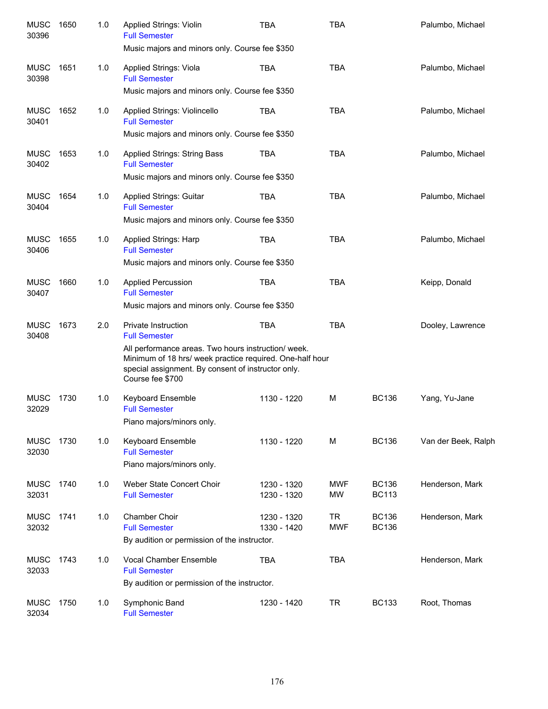| <b>MUSC</b><br>30396 | 1650 | 1.0 | <b>Applied Strings: Violin</b><br><b>Full Semester</b><br>Music majors and minors only. Course fee \$350                                                                                                                                 | <b>TBA</b>                 | <b>TBA</b>              |                              | Palumbo, Michael    |
|----------------------|------|-----|------------------------------------------------------------------------------------------------------------------------------------------------------------------------------------------------------------------------------------------|----------------------------|-------------------------|------------------------------|---------------------|
| <b>MUSC</b><br>30398 | 1651 | 1.0 | Applied Strings: Viola<br><b>Full Semester</b><br>Music majors and minors only. Course fee \$350                                                                                                                                         | <b>TBA</b>                 | <b>TBA</b>              |                              | Palumbo, Michael    |
| <b>MUSC</b><br>30401 | 1652 | 1.0 | Applied Strings: Violincello<br><b>Full Semester</b><br>Music majors and minors only. Course fee \$350                                                                                                                                   | <b>TBA</b>                 | <b>TBA</b>              |                              | Palumbo, Michael    |
| <b>MUSC</b><br>30402 | 1653 | 1.0 | <b>Applied Strings: String Bass</b><br><b>Full Semester</b><br>Music majors and minors only. Course fee \$350                                                                                                                            | <b>TBA</b>                 | <b>TBA</b>              |                              | Palumbo, Michael    |
| <b>MUSC</b><br>30404 | 1654 | 1.0 | <b>Applied Strings: Guitar</b><br><b>Full Semester</b><br>Music majors and minors only. Course fee \$350                                                                                                                                 | <b>TBA</b>                 | <b>TBA</b>              |                              | Palumbo, Michael    |
| <b>MUSC</b><br>30406 | 1655 | 1.0 | Applied Strings: Harp<br><b>Full Semester</b><br>Music majors and minors only. Course fee \$350                                                                                                                                          | <b>TBA</b>                 | <b>TBA</b>              |                              | Palumbo, Michael    |
| <b>MUSC</b><br>30407 | 1660 | 1.0 | <b>Applied Percussion</b><br><b>Full Semester</b><br>Music majors and minors only. Course fee \$350                                                                                                                                      | <b>TBA</b>                 | <b>TBA</b>              |                              | Keipp, Donald       |
| <b>MUSC</b><br>30408 | 1673 | 2.0 | Private Instruction<br><b>Full Semester</b><br>All performance areas. Two hours instruction/ week.<br>Minimum of 18 hrs/ week practice required. One-half hour<br>special assignment. By consent of instructor only.<br>Course fee \$700 | <b>TBA</b>                 | <b>TBA</b>              |                              | Dooley, Lawrence    |
| <b>MUSC</b><br>32029 | 1730 | 1.0 | <b>Keyboard Ensemble</b><br><b>Full Semester</b><br>Piano majors/minors only.                                                                                                                                                            | 1130 - 1220                | M                       | <b>BC136</b>                 | Yang, Yu-Jane       |
| <b>MUSC</b><br>32030 | 1730 | 1.0 | <b>Keyboard Ensemble</b><br><b>Full Semester</b><br>Piano majors/minors only.                                                                                                                                                            | 1130 - 1220                | М                       | <b>BC136</b>                 | Van der Beek, Ralph |
| <b>MUSC</b><br>32031 | 1740 | 1.0 | Weber State Concert Choir<br><b>Full Semester</b>                                                                                                                                                                                        | 1230 - 1320<br>1230 - 1320 | <b>MWF</b><br>MW        | <b>BC136</b><br><b>BC113</b> | Henderson, Mark     |
| <b>MUSC</b><br>32032 | 1741 | 1.0 | <b>Chamber Choir</b><br><b>Full Semester</b><br>By audition or permission of the instructor.                                                                                                                                             | 1230 - 1320<br>1330 - 1420 | <b>TR</b><br><b>MWF</b> | <b>BC136</b><br><b>BC136</b> | Henderson, Mark     |
| <b>MUSC</b><br>32033 | 1743 | 1.0 | Vocal Chamber Ensemble<br><b>Full Semester</b><br>By audition or permission of the instructor.                                                                                                                                           | <b>TBA</b>                 | <b>TBA</b>              |                              | Henderson, Mark     |
| <b>MUSC</b><br>32034 | 1750 | 1.0 | Symphonic Band<br><b>Full Semester</b>                                                                                                                                                                                                   | 1230 - 1420                | <b>TR</b>               | <b>BC133</b>                 | Root, Thomas        |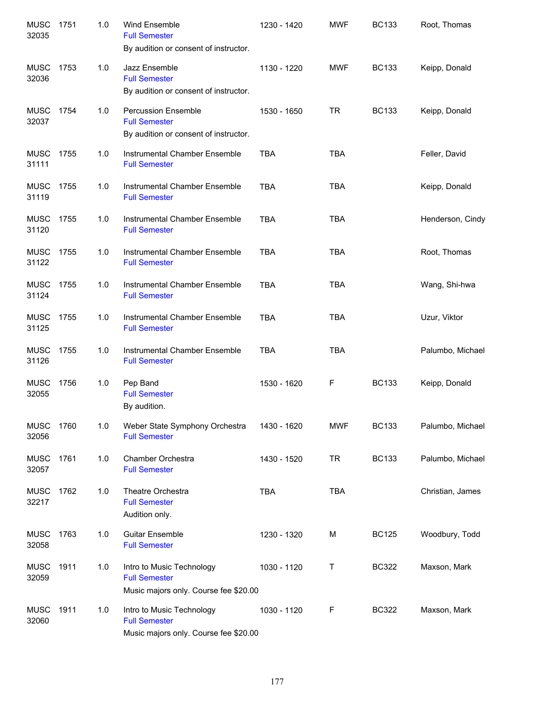| <b>MUSC</b><br>32035 | 1751 | 1.0 | Wind Ensemble<br><b>Full Semester</b><br>By audition or consent of instructor.              | 1230 - 1420 | <b>MWF</b> | <b>BC133</b> | Root, Thomas     |
|----------------------|------|-----|---------------------------------------------------------------------------------------------|-------------|------------|--------------|------------------|
| MUSC<br>32036        | 1753 | 1.0 | Jazz Ensemble<br><b>Full Semester</b><br>By audition or consent of instructor.              | 1130 - 1220 | <b>MWF</b> | <b>BC133</b> | Keipp, Donald    |
| MUSC<br>32037        | 1754 | 1.0 | <b>Percussion Ensemble</b><br><b>Full Semester</b><br>By audition or consent of instructor. | 1530 - 1650 | TR         | <b>BC133</b> | Keipp, Donald    |
| MUSC<br>31111        | 1755 | 1.0 | Instrumental Chamber Ensemble<br><b>Full Semester</b>                                       | <b>TBA</b>  | <b>TBA</b> |              | Feller, David    |
| <b>MUSC</b><br>31119 | 1755 | 1.0 | Instrumental Chamber Ensemble<br><b>Full Semester</b>                                       | <b>TBA</b>  | <b>TBA</b> |              | Keipp, Donald    |
| MUSC<br>31120        | 1755 | 1.0 | Instrumental Chamber Ensemble<br><b>Full Semester</b>                                       | <b>TBA</b>  | <b>TBA</b> |              | Henderson, Cindy |
| <b>MUSC</b><br>31122 | 1755 | 1.0 | Instrumental Chamber Ensemble<br><b>Full Semester</b>                                       | <b>TBA</b>  | <b>TBA</b> |              | Root, Thomas     |
| <b>MUSC</b><br>31124 | 1755 | 1.0 | Instrumental Chamber Ensemble<br><b>Full Semester</b>                                       | <b>TBA</b>  | <b>TBA</b> |              | Wang, Shi-hwa    |
| <b>MUSC</b><br>31125 | 1755 | 1.0 | Instrumental Chamber Ensemble<br><b>Full Semester</b>                                       | <b>TBA</b>  | <b>TBA</b> |              | Uzur, Viktor     |
| <b>MUSC</b><br>31126 | 1755 | 1.0 | Instrumental Chamber Ensemble<br><b>Full Semester</b>                                       | <b>TBA</b>  | <b>TBA</b> |              | Palumbo, Michael |
| <b>MUSC</b><br>32055 | 1756 | 1.0 | Pep Band<br><b>Full Semester</b><br>By audition.                                            | 1530 - 1620 | F          | <b>BC133</b> | Keipp, Donald    |
| <b>MUSC</b><br>32056 | 1760 | 1.0 | Weber State Symphony Orchestra<br><b>Full Semester</b>                                      | 1430 - 1620 | <b>MWF</b> | <b>BC133</b> | Palumbo, Michael |
| <b>MUSC</b><br>32057 | 1761 | 1.0 | Chamber Orchestra<br><b>Full Semester</b>                                                   | 1430 - 1520 | <b>TR</b>  | <b>BC133</b> | Palumbo, Michael |
| MUSC<br>32217        | 1762 | 1.0 | Theatre Orchestra<br><b>Full Semester</b><br>Audition only.                                 | <b>TBA</b>  | <b>TBA</b> |              | Christian, James |
| <b>MUSC</b><br>32058 | 1763 | 1.0 | <b>Guitar Ensemble</b><br><b>Full Semester</b>                                              | 1230 - 1320 | М          | <b>BC125</b> | Woodbury, Todd   |
| <b>MUSC</b><br>32059 | 1911 | 1.0 | Intro to Music Technology<br><b>Full Semester</b><br>Music majors only. Course fee \$20.00  | 1030 - 1120 | Τ          | <b>BC322</b> | Maxson, Mark     |
| MUSC<br>32060        | 1911 | 1.0 | Intro to Music Technology<br><b>Full Semester</b><br>Music majors only. Course fee \$20.00  | 1030 - 1120 | F          | <b>BC322</b> | Maxson, Mark     |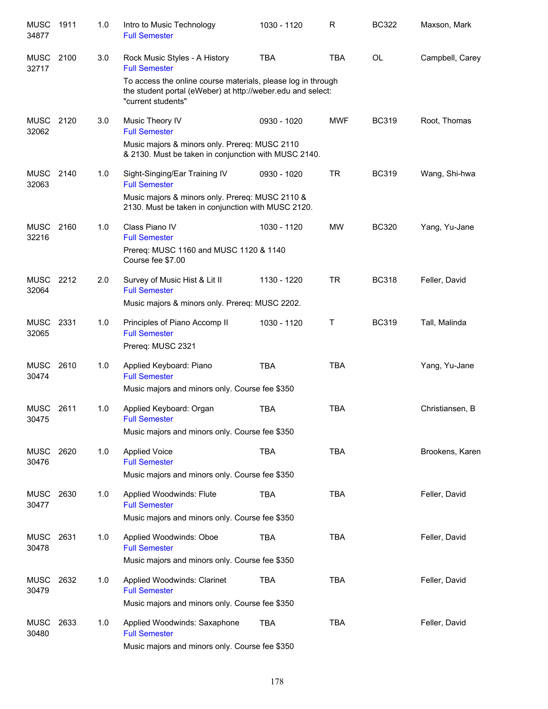| <b>MUSC</b><br>34877 | 1911 | 1.0 | Intro to Music Technology<br><b>Full Semester</b>                                                                                                              | 1030 - 1120 | R          | <b>BC322</b> | Maxson, Mark    |
|----------------------|------|-----|----------------------------------------------------------------------------------------------------------------------------------------------------------------|-------------|------------|--------------|-----------------|
| MUSC<br>32717        | 2100 | 3.0 | Rock Music Styles - A History<br><b>Full Semester</b>                                                                                                          | <b>TBA</b>  | <b>TBA</b> | <b>OL</b>    | Campbell, Carey |
|                      |      |     | To access the online course materials, please log in through<br>the student portal (eWeber) at http://weber.edu and select:<br>"current students"              |             |            |              |                 |
| <b>MUSC</b><br>32062 | 2120 | 3.0 | Music Theory IV<br><b>Full Semester</b><br>Music majors & minors only. Prereq: MUSC 2110<br>& 2130. Must be taken in conjunction with MUSC 2140.               | 0930 - 1020 | <b>MWF</b> | <b>BC319</b> | Root, Thomas    |
| MUSC<br>32063        | 2140 | 1.0 | Sight-Singing/Ear Training IV<br><b>Full Semester</b><br>Music majors & minors only. Prereq: MUSC 2110 &<br>2130. Must be taken in conjunction with MUSC 2120. | 0930 - 1020 | <b>TR</b>  | <b>BC319</b> | Wang, Shi-hwa   |
| <b>MUSC</b><br>32216 | 2160 | 1.0 | Class Piano IV<br><b>Full Semester</b><br>Prereq: MUSC 1160 and MUSC 1120 & 1140<br>Course fee \$7.00                                                          | 1030 - 1120 | <b>MW</b>  | <b>BC320</b> | Yang, Yu-Jane   |
| <b>MUSC</b><br>32064 | 2212 | 2.0 | Survey of Music Hist & Lit II<br><b>Full Semester</b><br>Music majors & minors only. Prereq: MUSC 2202.                                                        | 1130 - 1220 | <b>TR</b>  | <b>BC318</b> | Feller, David   |
| <b>MUSC</b><br>32065 | 2331 | 1.0 | Principles of Piano Accomp II<br><b>Full Semester</b><br>Prereg: MUSC 2321                                                                                     | 1030 - 1120 | Τ          | <b>BC319</b> | Tall, Malinda   |
| <b>MUSC</b><br>30474 | 2610 | 1.0 | Applied Keyboard: Piano<br><b>Full Semester</b><br>Music majors and minors only. Course fee \$350                                                              | <b>TBA</b>  | <b>TBA</b> |              | Yang, Yu-Jane   |
| <b>MUSC</b><br>30475 | 2611 | 1.0 | Applied Keyboard: Organ<br><b>Full Semester</b><br>Music majors and minors only. Course fee \$350                                                              | <b>TBA</b>  | <b>TBA</b> |              | Christiansen, B |
| <b>MUSC</b><br>30476 | 2620 | 1.0 | <b>Applied Voice</b><br><b>Full Semester</b><br>Music majors and minors only. Course fee \$350                                                                 | <b>TBA</b>  | <b>TBA</b> |              | Brookens, Karen |
| <b>MUSC</b><br>30477 | 2630 | 1.0 | Applied Woodwinds: Flute<br><b>Full Semester</b><br>Music majors and minors only. Course fee \$350                                                             | <b>TBA</b>  | <b>TBA</b> |              | Feller, David   |
| <b>MUSC</b><br>30478 | 2631 | 1.0 | Applied Woodwinds: Oboe<br><b>Full Semester</b><br>Music majors and minors only. Course fee \$350                                                              | <b>TBA</b>  | <b>TBA</b> |              | Feller, David   |
| <b>MUSC</b><br>30479 | 2632 | 1.0 | Applied Woodwinds: Clarinet<br><b>Full Semester</b><br>Music majors and minors only. Course fee \$350                                                          | <b>TBA</b>  | <b>TBA</b> |              | Feller, David   |
| <b>MUSC</b><br>30480 | 2633 | 1.0 | Applied Woodwinds: Saxaphone<br><b>Full Semester</b><br>Music majors and minors only. Course fee \$350                                                         | <b>TBA</b>  | <b>TBA</b> |              | Feller, David   |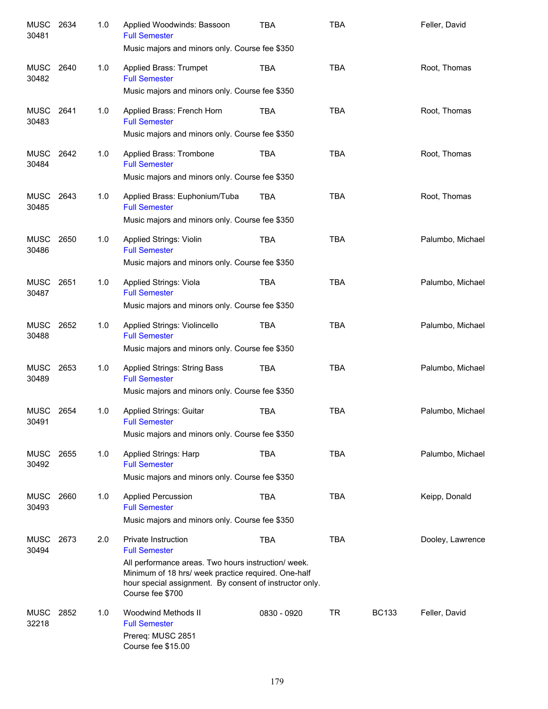| <b>MUSC</b><br>30481 | 2634 | 1.0 | Applied Woodwinds: Bassoon<br><b>Full Semester</b><br>Music majors and minors only. Course fee \$350                                                                                                                                            | <b>TBA</b>  | <b>TBA</b> |              | Feller, David    |
|----------------------|------|-----|-------------------------------------------------------------------------------------------------------------------------------------------------------------------------------------------------------------------------------------------------|-------------|------------|--------------|------------------|
| MUSC<br>30482        | 2640 | 1.0 | Applied Brass: Trumpet<br><b>Full Semester</b><br>Music majors and minors only. Course fee \$350                                                                                                                                                | <b>TBA</b>  | <b>TBA</b> |              | Root, Thomas     |
| MUSC<br>30483        | 2641 | 1.0 | Applied Brass: French Horn<br><b>Full Semester</b><br>Music majors and minors only. Course fee \$350                                                                                                                                            | TBA         | <b>TBA</b> |              | Root, Thomas     |
| MUSC<br>30484        | 2642 | 1.0 | Applied Brass: Trombone<br><b>Full Semester</b><br>Music majors and minors only. Course fee \$350                                                                                                                                               | <b>TBA</b>  | <b>TBA</b> |              | Root, Thomas     |
| MUSC<br>30485        | 2643 | 1.0 | Applied Brass: Euphonium/Tuba<br><b>Full Semester</b><br>Music majors and minors only. Course fee \$350                                                                                                                                         | <b>TBA</b>  | <b>TBA</b> |              | Root, Thomas     |
| <b>MUSC</b><br>30486 | 2650 | 1.0 | <b>Applied Strings: Violin</b><br><b>Full Semester</b><br>Music majors and minors only. Course fee \$350                                                                                                                                        | <b>TBA</b>  | <b>TBA</b> |              | Palumbo, Michael |
| MUSC<br>30487        | 2651 | 1.0 | Applied Strings: Viola<br><b>Full Semester</b><br>Music majors and minors only. Course fee \$350                                                                                                                                                | <b>TBA</b>  | <b>TBA</b> |              | Palumbo, Michael |
| <b>MUSC</b><br>30488 | 2652 | 1.0 | Applied Strings: Violincello<br><b>Full Semester</b><br>Music majors and minors only. Course fee \$350                                                                                                                                          | <b>TBA</b>  | <b>TBA</b> |              | Palumbo, Michael |
| <b>MUSC</b><br>30489 | 2653 | 1.0 | <b>Applied Strings: String Bass</b><br><b>Full Semester</b><br>Music majors and minors only. Course fee \$350                                                                                                                                   | <b>TBA</b>  | <b>TBA</b> |              | Palumbo, Michael |
| <b>MUSC</b><br>30491 | 2654 | 1.0 | Applied Strings: Guitar<br><b>Full Semester</b><br>Music majors and minors only. Course fee \$350                                                                                                                                               | <b>TBA</b>  | <b>TBA</b> |              | Palumbo, Michael |
| MUSC<br>30492        | 2655 | 1.0 | Applied Strings: Harp<br><b>Full Semester</b><br>Music majors and minors only. Course fee \$350                                                                                                                                                 | TBA         | <b>TBA</b> |              | Palumbo, Michael |
| <b>MUSC</b><br>30493 | 2660 | 1.0 | <b>Applied Percussion</b><br><b>Full Semester</b><br>Music majors and minors only. Course fee \$350                                                                                                                                             | <b>TBA</b>  | <b>TBA</b> |              | Keipp, Donald    |
| <b>MUSC</b><br>30494 | 2673 | 2.0 | <b>Private Instruction</b><br><b>Full Semester</b><br>All performance areas. Two hours instruction/ week.<br>Minimum of 18 hrs/ week practice required. One-half<br>hour special assignment. By consent of instructor only.<br>Course fee \$700 | <b>TBA</b>  | <b>TBA</b> |              | Dooley, Lawrence |
| <b>MUSC</b><br>32218 | 2852 | 1.0 | Woodwind Methods II<br><b>Full Semester</b><br>Prereq: MUSC 2851<br>Course fee \$15.00                                                                                                                                                          | 0830 - 0920 | TR         | <b>BC133</b> | Feller, David    |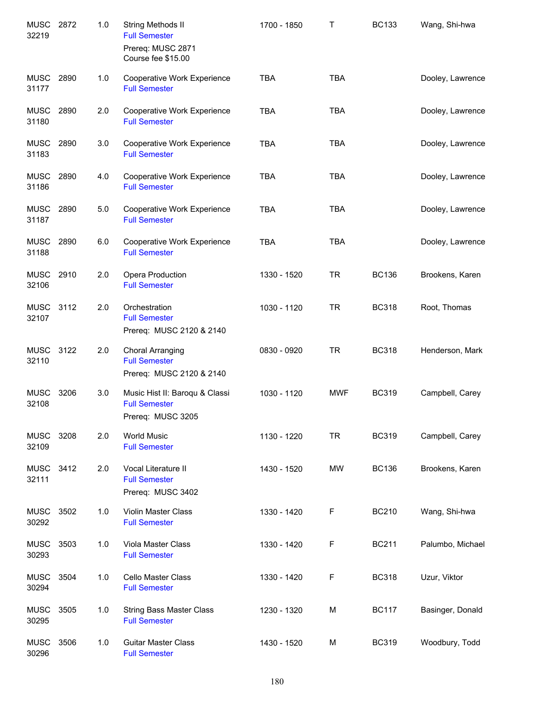| <b>MUSC</b><br>32219 | 2872 | 1.0 | String Methods II<br><b>Full Semester</b><br>Prereq: MUSC 2871              | 1700 - 1850 | T          | <b>BC133</b> | Wang, Shi-hwa    |
|----------------------|------|-----|-----------------------------------------------------------------------------|-------------|------------|--------------|------------------|
|                      |      |     | Course fee \$15.00                                                          |             |            |              |                  |
| MUSC<br>31177        | 2890 | 1.0 | Cooperative Work Experience<br><b>Full Semester</b>                         | <b>TBA</b>  | <b>TBA</b> |              | Dooley, Lawrence |
| <b>MUSC</b><br>31180 | 2890 | 2.0 | Cooperative Work Experience<br><b>Full Semester</b>                         | <b>TBA</b>  | <b>TBA</b> |              | Dooley, Lawrence |
| MUSC<br>31183        | 2890 | 3.0 | Cooperative Work Experience<br><b>Full Semester</b>                         | <b>TBA</b>  | <b>TBA</b> |              | Dooley, Lawrence |
| MUSC<br>31186        | 2890 | 4.0 | Cooperative Work Experience<br><b>Full Semester</b>                         | <b>TBA</b>  | <b>TBA</b> |              | Dooley, Lawrence |
| MUSC<br>31187        | 2890 | 5.0 | Cooperative Work Experience<br><b>Full Semester</b>                         | <b>TBA</b>  | <b>TBA</b> |              | Dooley, Lawrence |
| <b>MUSC</b><br>31188 | 2890 | 6.0 | Cooperative Work Experience<br><b>Full Semester</b>                         | <b>TBA</b>  | <b>TBA</b> |              | Dooley, Lawrence |
| MUSC 2910<br>32106   |      | 2.0 | Opera Production<br><b>Full Semester</b>                                    | 1330 - 1520 | <b>TR</b>  | <b>BC136</b> | Brookens, Karen  |
| MUSC 3112<br>32107   |      | 2.0 | Orchestration<br><b>Full Semester</b><br>Prereq: MUSC 2120 & 2140           | 1030 - 1120 | <b>TR</b>  | <b>BC318</b> | Root, Thomas     |
| <b>MUSC</b><br>32110 | 3122 | 2.0 | <b>Choral Arranging</b><br><b>Full Semester</b><br>Prereq: MUSC 2120 & 2140 | 0830 - 0920 | <b>TR</b>  | <b>BC318</b> | Henderson, Mark  |
| <b>MUSC</b><br>32108 | 3206 | 3.0 | Music Hist II: Baroqu & Classi<br><b>Full Semester</b><br>Prereq: MUSC 3205 | 1030 - 1120 | <b>MWF</b> | <b>BC319</b> | Campbell, Carey  |
| <b>MUSC</b><br>32109 | 3208 | 2.0 | <b>World Music</b><br><b>Full Semester</b>                                  | 1130 - 1220 | <b>TR</b>  | <b>BC319</b> | Campbell, Carey  |
| <b>MUSC</b><br>32111 | 3412 | 2.0 | Vocal Literature II<br><b>Full Semester</b><br>Prereq: MUSC 3402            | 1430 - 1520 | <b>MW</b>  | <b>BC136</b> | Brookens, Karen  |
| <b>MUSC</b><br>30292 | 3502 | 1.0 | Violin Master Class<br><b>Full Semester</b>                                 | 1330 - 1420 | F          | <b>BC210</b> | Wang, Shi-hwa    |
| <b>MUSC</b><br>30293 | 3503 | 1.0 | Viola Master Class<br><b>Full Semester</b>                                  | 1330 - 1420 | F          | <b>BC211</b> | Palumbo, Michael |
| <b>MUSC</b><br>30294 | 3504 | 1.0 | Cello Master Class<br><b>Full Semester</b>                                  | 1330 - 1420 | F          | <b>BC318</b> | Uzur, Viktor     |
| <b>MUSC</b><br>30295 | 3505 | 1.0 | <b>String Bass Master Class</b><br><b>Full Semester</b>                     | 1230 - 1320 | M          | <b>BC117</b> | Basinger, Donald |
| <b>MUSC</b><br>30296 | 3506 | 1.0 | <b>Guitar Master Class</b><br><b>Full Semester</b>                          | 1430 - 1520 | M          | <b>BC319</b> | Woodbury, Todd   |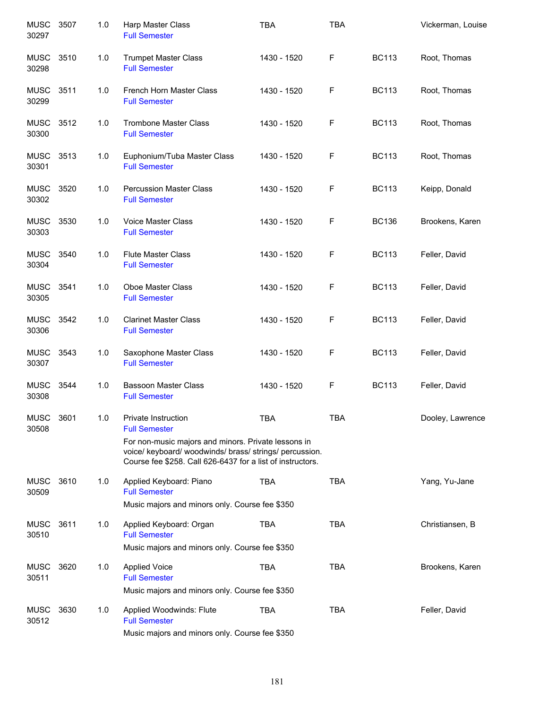| <b>MUSC</b><br>30297 | 3507 | 1.0 | Harp Master Class<br><b>Full Semester</b>                                                                                                                                    | <b>TBA</b>  | <b>TBA</b> |              | Vickerman, Louise |
|----------------------|------|-----|------------------------------------------------------------------------------------------------------------------------------------------------------------------------------|-------------|------------|--------------|-------------------|
| MUSC<br>30298        | 3510 | 1.0 | <b>Trumpet Master Class</b><br><b>Full Semester</b>                                                                                                                          | 1430 - 1520 | F          | <b>BC113</b> | Root, Thomas      |
| MUSC<br>30299        | 3511 | 1.0 | French Horn Master Class<br><b>Full Semester</b>                                                                                                                             | 1430 - 1520 | F          | <b>BC113</b> | Root, Thomas      |
| MUSC<br>30300        | 3512 | 1.0 | <b>Trombone Master Class</b><br><b>Full Semester</b>                                                                                                                         | 1430 - 1520 | F          | <b>BC113</b> | Root, Thomas      |
| <b>MUSC</b><br>30301 | 3513 | 1.0 | Euphonium/Tuba Master Class<br><b>Full Semester</b>                                                                                                                          | 1430 - 1520 | F          | <b>BC113</b> | Root, Thomas      |
| MUSC<br>30302        | 3520 | 1.0 | <b>Percussion Master Class</b><br><b>Full Semester</b>                                                                                                                       | 1430 - 1520 | F          | <b>BC113</b> | Keipp, Donald     |
| <b>MUSC</b><br>30303 | 3530 | 1.0 | <b>Voice Master Class</b><br><b>Full Semester</b>                                                                                                                            | 1430 - 1520 | F          | <b>BC136</b> | Brookens, Karen   |
| MUSC<br>30304        | 3540 | 1.0 | <b>Flute Master Class</b><br><b>Full Semester</b>                                                                                                                            | 1430 - 1520 | F          | <b>BC113</b> | Feller, David     |
| <b>MUSC</b><br>30305 | 3541 | 1.0 | Oboe Master Class<br><b>Full Semester</b>                                                                                                                                    | 1430 - 1520 | F          | <b>BC113</b> | Feller, David     |
| <b>MUSC</b><br>30306 | 3542 | 1.0 | <b>Clarinet Master Class</b><br><b>Full Semester</b>                                                                                                                         | 1430 - 1520 | F          | <b>BC113</b> | Feller, David     |
| <b>MUSC</b><br>30307 | 3543 | 1.0 | Saxophone Master Class<br><b>Full Semester</b>                                                                                                                               | 1430 - 1520 | F          | <b>BC113</b> | Feller, David     |
| <b>MUSC</b><br>30308 | 3544 | 1.0 | <b>Bassoon Master Class</b><br><b>Full Semester</b>                                                                                                                          | 1430 - 1520 | F          | <b>BC113</b> | Feller, David     |
| <b>MUSC</b><br>30508 | 3601 | 1.0 | <b>Private Instruction</b><br><b>Full Semester</b>                                                                                                                           | <b>TBA</b>  | <b>TBA</b> |              | Dooley, Lawrence  |
|                      |      |     | For non-music majors and minors. Private lessons in<br>voice/ keyboard/ woodwinds/ brass/ strings/ percussion.<br>Course fee \$258. Call 626-6437 for a list of instructors. |             |            |              |                   |
| <b>MUSC</b><br>30509 | 3610 | 1.0 | Applied Keyboard: Piano<br><b>Full Semester</b><br>Music majors and minors only. Course fee \$350                                                                            | <b>TBA</b>  | <b>TBA</b> |              | Yang, Yu-Jane     |
| <b>MUSC</b><br>30510 | 3611 | 1.0 | Applied Keyboard: Organ<br><b>Full Semester</b><br>Music majors and minors only. Course fee \$350                                                                            | <b>TBA</b>  | <b>TBA</b> |              | Christiansen, B   |
| <b>MUSC</b><br>30511 | 3620 | 1.0 | <b>Applied Voice</b><br><b>Full Semester</b><br>Music majors and minors only. Course fee \$350                                                                               | <b>TBA</b>  | <b>TBA</b> |              | Brookens, Karen   |
| <b>MUSC</b><br>30512 | 3630 | 1.0 | Applied Woodwinds: Flute<br><b>Full Semester</b><br>Music majors and minors only. Course fee \$350                                                                           | <b>TBA</b>  | <b>TBA</b> |              | Feller, David     |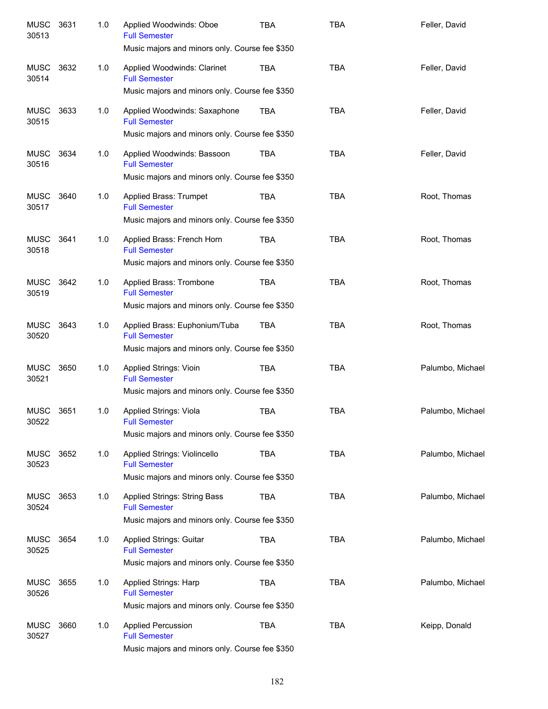| <b>MUSC</b><br>30513 | 3631 | 1.0 | Applied Woodwinds: Oboe<br><b>Full Semester</b><br>Music majors and minors only. Course fee \$350             | <b>TBA</b> | <b>TBA</b> | Feller, David    |
|----------------------|------|-----|---------------------------------------------------------------------------------------------------------------|------------|------------|------------------|
| <b>MUSC</b><br>30514 | 3632 | 1.0 | Applied Woodwinds: Clarinet<br><b>Full Semester</b><br>Music majors and minors only. Course fee \$350         | <b>TBA</b> | <b>TBA</b> | Feller, David    |
| <b>MUSC</b><br>30515 | 3633 | 1.0 | Applied Woodwinds: Saxaphone<br><b>Full Semester</b><br>Music majors and minors only. Course fee \$350        | <b>TBA</b> | <b>TBA</b> | Feller, David    |
| <b>MUSC</b><br>30516 | 3634 | 1.0 | Applied Woodwinds: Bassoon<br><b>Full Semester</b><br>Music majors and minors only. Course fee \$350          | <b>TBA</b> | <b>TBA</b> | Feller, David    |
| <b>MUSC</b><br>30517 | 3640 | 1.0 | Applied Brass: Trumpet<br><b>Full Semester</b><br>Music majors and minors only. Course fee \$350              | <b>TBA</b> | <b>TBA</b> | Root, Thomas     |
| <b>MUSC</b><br>30518 | 3641 | 1.0 | Applied Brass: French Horn<br><b>Full Semester</b><br>Music majors and minors only. Course fee \$350          | <b>TBA</b> | <b>TBA</b> | Root, Thomas     |
| <b>MUSC</b><br>30519 | 3642 | 1.0 | Applied Brass: Trombone<br><b>Full Semester</b><br>Music majors and minors only. Course fee \$350             | <b>TBA</b> | <b>TBA</b> | Root, Thomas     |
| <b>MUSC</b><br>30520 | 3643 | 1.0 | Applied Brass: Euphonium/Tuba<br><b>Full Semester</b><br>Music majors and minors only. Course fee \$350       | <b>TBA</b> | <b>TBA</b> | Root, Thomas     |
| <b>MUSC</b><br>30521 | 3650 | 1.0 | Applied Strings: Vioin<br><b>Full Semester</b><br>Music majors and minors only. Course fee \$350              | <b>TBA</b> | <b>TBA</b> | Palumbo, Michael |
| <b>MUSC</b><br>30522 | 3651 | 1.0 | <b>Applied Strings: Viola</b><br><b>Full Semester</b><br>Music majors and minors only. Course fee \$350       | <b>TBA</b> | <b>TBA</b> | Palumbo, Michael |
| MUSC<br>30523        | 3652 | 1.0 | Applied Strings: Violincello<br><b>Full Semester</b><br>Music majors and minors only. Course fee \$350        | TBA        | <b>TBA</b> | Palumbo, Michael |
| <b>MUSC</b><br>30524 | 3653 | 1.0 | <b>Applied Strings: String Bass</b><br><b>Full Semester</b><br>Music majors and minors only. Course fee \$350 | <b>TBA</b> | <b>TBA</b> | Palumbo, Michael |
| <b>MUSC</b><br>30525 | 3654 | 1.0 | Applied Strings: Guitar<br><b>Full Semester</b><br>Music majors and minors only. Course fee \$350             | <b>TBA</b> | <b>TBA</b> | Palumbo, Michael |
| <b>MUSC</b><br>30526 | 3655 | 1.0 | Applied Strings: Harp<br><b>Full Semester</b><br>Music majors and minors only. Course fee \$350               | <b>TBA</b> | <b>TBA</b> | Palumbo, Michael |
| <b>MUSC</b><br>30527 | 3660 | 1.0 | <b>Applied Percussion</b><br><b>Full Semester</b><br>Music majors and minors only. Course fee \$350           | <b>TBA</b> | <b>TBA</b> | Keipp, Donald    |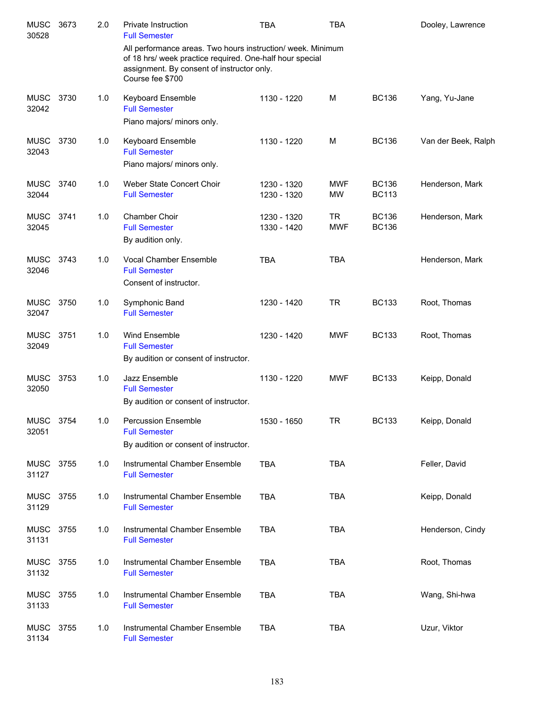| <b>MUSC</b><br>30528 | 3673 | 2.0 | Private Instruction<br><b>Full Semester</b>                                                                                                                                               | <b>TBA</b>                 | TBA                     |                              | Dooley, Lawrence    |
|----------------------|------|-----|-------------------------------------------------------------------------------------------------------------------------------------------------------------------------------------------|----------------------------|-------------------------|------------------------------|---------------------|
|                      |      |     | All performance areas. Two hours instruction/ week. Minimum<br>of 18 hrs/ week practice required. One-half hour special<br>assignment. By consent of instructor only.<br>Course fee \$700 |                            |                         |                              |                     |
| <b>MUSC</b><br>32042 | 3730 | 1.0 | Keyboard Ensemble<br><b>Full Semester</b><br>Piano majors/ minors only.                                                                                                                   | 1130 - 1220                | M                       | <b>BC136</b>                 | Yang, Yu-Jane       |
| <b>MUSC</b><br>32043 | 3730 | 1.0 | Keyboard Ensemble<br><b>Full Semester</b><br>Piano majors/ minors only.                                                                                                                   | 1130 - 1220                | M                       | <b>BC136</b>                 | Van der Beek, Ralph |
| <b>MUSC</b><br>32044 | 3740 | 1.0 | Weber State Concert Choir<br><b>Full Semester</b>                                                                                                                                         | 1230 - 1320<br>1230 - 1320 | <b>MWF</b><br><b>MW</b> | <b>BC136</b><br><b>BC113</b> | Henderson, Mark     |
| <b>MUSC</b><br>32045 | 3741 | 1.0 | Chamber Choir<br><b>Full Semester</b><br>By audition only.                                                                                                                                | 1230 - 1320<br>1330 - 1420 | <b>TR</b><br><b>MWF</b> | <b>BC136</b><br><b>BC136</b> | Henderson, Mark     |
| <b>MUSC</b><br>32046 | 3743 | 1.0 | <b>Vocal Chamber Ensemble</b><br><b>Full Semester</b><br>Consent of instructor.                                                                                                           | <b>TBA</b>                 | <b>TBA</b>              |                              | Henderson, Mark     |
| <b>MUSC</b><br>32047 | 3750 | 1.0 | Symphonic Band<br><b>Full Semester</b>                                                                                                                                                    | 1230 - 1420                | <b>TR</b>               | <b>BC133</b>                 | Root, Thomas        |
| <b>MUSC</b><br>32049 | 3751 | 1.0 | Wind Ensemble<br><b>Full Semester</b><br>By audition or consent of instructor.                                                                                                            | 1230 - 1420                | <b>MWF</b>              | <b>BC133</b>                 | Root, Thomas        |
| <b>MUSC</b><br>32050 | 3753 | 1.0 | Jazz Ensemble<br><b>Full Semester</b><br>By audition or consent of instructor.                                                                                                            | 1130 - 1220                | <b>MWF</b>              | <b>BC133</b>                 | Keipp, Donald       |
| <b>MUSC</b><br>32051 | 3754 | 1.0 | <b>Percussion Ensemble</b><br><b>Full Semester</b><br>By audition or consent of instructor.                                                                                               | 1530 - 1650                | <b>TR</b>               | <b>BC133</b>                 | Keipp, Donald       |
| MUSC<br>31127        | 3755 | 1.0 | Instrumental Chamber Ensemble<br><b>Full Semester</b>                                                                                                                                     | <b>TBA</b>                 | <b>TBA</b>              |                              | Feller, David       |
| <b>MUSC</b><br>31129 | 3755 | 1.0 | Instrumental Chamber Ensemble<br><b>Full Semester</b>                                                                                                                                     | <b>TBA</b>                 | <b>TBA</b>              |                              | Keipp, Donald       |
| <b>MUSC</b><br>31131 | 3755 | 1.0 | Instrumental Chamber Ensemble<br><b>Full Semester</b>                                                                                                                                     | <b>TBA</b>                 | <b>TBA</b>              |                              | Henderson, Cindy    |
| MUSC<br>31132        | 3755 | 1.0 | Instrumental Chamber Ensemble<br><b>Full Semester</b>                                                                                                                                     | <b>TBA</b>                 | <b>TBA</b>              |                              | Root, Thomas        |
| <b>MUSC</b><br>31133 | 3755 | 1.0 | Instrumental Chamber Ensemble<br><b>Full Semester</b>                                                                                                                                     | <b>TBA</b>                 | <b>TBA</b>              |                              | Wang, Shi-hwa       |
| <b>MUSC</b><br>31134 | 3755 | 1.0 | Instrumental Chamber Ensemble<br><b>Full Semester</b>                                                                                                                                     | <b>TBA</b>                 | <b>TBA</b>              |                              | Uzur, Viktor        |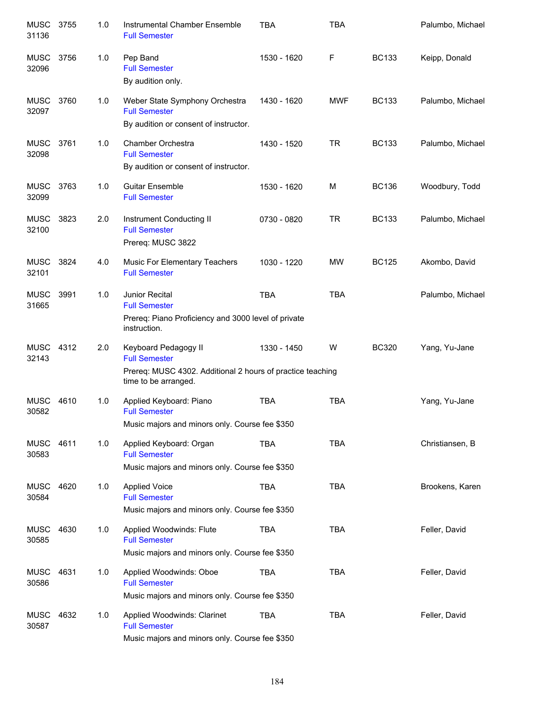| <b>MUSC</b><br>31136 | 3755 | 1.0 | Instrumental Chamber Ensemble<br><b>Full Semester</b>                                                                              | <b>TBA</b>  | <b>TBA</b> |              | Palumbo, Michael |
|----------------------|------|-----|------------------------------------------------------------------------------------------------------------------------------------|-------------|------------|--------------|------------------|
| <b>MUSC</b><br>32096 | 3756 | 1.0 | Pep Band<br><b>Full Semester</b><br>By audition only.                                                                              | 1530 - 1620 | F          | <b>BC133</b> | Keipp, Donald    |
| <b>MUSC</b><br>32097 | 3760 | 1.0 | Weber State Symphony Orchestra<br><b>Full Semester</b><br>By audition or consent of instructor.                                    | 1430 - 1620 | <b>MWF</b> | <b>BC133</b> | Palumbo, Michael |
| <b>MUSC</b><br>32098 | 3761 | 1.0 | Chamber Orchestra<br><b>Full Semester</b><br>By audition or consent of instructor.                                                 | 1430 - 1520 | TR         | <b>BC133</b> | Palumbo, Michael |
| MUSC<br>32099        | 3763 | 1.0 | <b>Guitar Ensemble</b><br><b>Full Semester</b>                                                                                     | 1530 - 1620 | M          | <b>BC136</b> | Woodbury, Todd   |
| <b>MUSC</b><br>32100 | 3823 | 2.0 | Instrument Conducting II<br><b>Full Semester</b><br>Prereq: MUSC 3822                                                              | 0730 - 0820 | <b>TR</b>  | <b>BC133</b> | Palumbo, Michael |
| <b>MUSC</b><br>32101 | 3824 | 4.0 | Music For Elementary Teachers<br><b>Full Semester</b>                                                                              | 1030 - 1220 | MW         | <b>BC125</b> | Akombo, David    |
| <b>MUSC</b><br>31665 | 3991 | 1.0 | Junior Recital<br><b>Full Semester</b><br>Prereq: Piano Proficiency and 3000 level of private<br>instruction.                      | <b>TBA</b>  | <b>TBA</b> |              | Palumbo, Michael |
| <b>MUSC</b><br>32143 | 4312 | 2.0 | Keyboard Pedagogy II<br><b>Full Semester</b><br>Prereq: MUSC 4302. Additional 2 hours of practice teaching<br>time to be arranged. | 1330 - 1450 | W          | <b>BC320</b> | Yang, Yu-Jane    |
| <b>MUSC</b><br>30582 | 4610 | 1.0 | Applied Keyboard: Piano<br><b>Full Semester</b><br>Music majors and minors only. Course fee \$350                                  | TBA         | <b>TBA</b> |              | Yang, Yu-Jane    |
| MUSC<br>30583        | 4611 | 1.0 | Applied Keyboard: Organ<br><b>Full Semester</b><br>Music majors and minors only. Course fee \$350                                  | TBA         | <b>TBA</b> |              | Christiansen, B  |
| <b>MUSC</b><br>30584 | 4620 | 1.0 | <b>Applied Voice</b><br><b>Full Semester</b><br>Music majors and minors only. Course fee \$350                                     | <b>TBA</b>  | <b>TBA</b> |              | Brookens, Karen  |
| <b>MUSC</b><br>30585 | 4630 | 1.0 | Applied Woodwinds: Flute<br><b>Full Semester</b><br>Music majors and minors only. Course fee \$350                                 | TBA         | <b>TBA</b> |              | Feller, David    |
| MUSC<br>30586        | 4631 | 1.0 | Applied Woodwinds: Oboe<br><b>Full Semester</b><br>Music majors and minors only. Course fee \$350                                  | <b>TBA</b>  | <b>TBA</b> |              | Feller, David    |
| MUSC<br>30587        | 4632 | 1.0 | Applied Woodwinds: Clarinet<br><b>Full Semester</b><br>Music majors and minors only. Course fee \$350                              | <b>TBA</b>  | <b>TBA</b> |              | Feller, David    |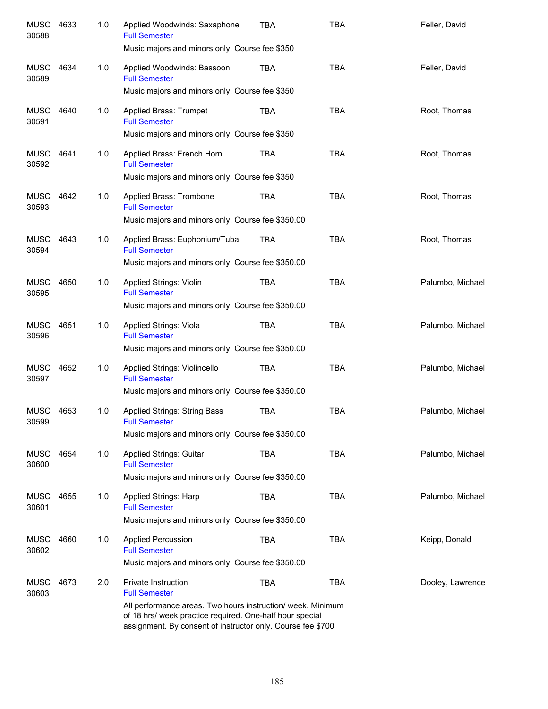| <b>MUSC</b><br>30588 | 4633 | 1.0 | Applied Woodwinds: Saxaphone<br><b>Full Semester</b><br>Music majors and minors only. Course fee \$350                                                                                                                                | TBA        | <b>TBA</b> | Feller, David    |
|----------------------|------|-----|---------------------------------------------------------------------------------------------------------------------------------------------------------------------------------------------------------------------------------------|------------|------------|------------------|
| <b>MUSC</b><br>30589 | 4634 | 1.0 | Applied Woodwinds: Bassoon<br><b>Full Semester</b><br>Music majors and minors only. Course fee \$350                                                                                                                                  | TBA        | <b>TBA</b> | Feller, David    |
| MUSC<br>30591        | 4640 | 1.0 | Applied Brass: Trumpet<br><b>Full Semester</b><br>Music majors and minors only. Course fee \$350                                                                                                                                      | <b>TBA</b> | <b>TBA</b> | Root, Thomas     |
| MUSC<br>30592        | 4641 | 1.0 | Applied Brass: French Horn<br><b>Full Semester</b><br>Music majors and minors only. Course fee \$350                                                                                                                                  | <b>TBA</b> | <b>TBA</b> | Root, Thomas     |
| MUSC<br>30593        | 4642 | 1.0 | Applied Brass: Trombone<br><b>Full Semester</b><br>Music majors and minors only. Course fee \$350.00                                                                                                                                  | <b>TBA</b> | <b>TBA</b> | Root, Thomas     |
| MUSC<br>30594        | 4643 | 1.0 | Applied Brass: Euphonium/Tuba<br><b>Full Semester</b><br>Music majors and minors only. Course fee \$350.00                                                                                                                            | <b>TBA</b> | <b>TBA</b> | Root, Thomas     |
| <b>MUSC</b><br>30595 | 4650 | 1.0 | Applied Strings: Violin<br><b>Full Semester</b><br>Music majors and minors only. Course fee \$350.00                                                                                                                                  | <b>TBA</b> | <b>TBA</b> | Palumbo, Michael |
| <b>MUSC</b><br>30596 | 4651 | 1.0 | Applied Strings: Viola<br><b>Full Semester</b><br>Music majors and minors only. Course fee \$350.00                                                                                                                                   | <b>TBA</b> | <b>TBA</b> | Palumbo, Michael |
| <b>MUSC</b><br>30597 | 4652 | 1.0 | Applied Strings: Violincello<br><b>Full Semester</b><br>Music majors and minors only. Course fee \$350.00                                                                                                                             | <b>TBA</b> | <b>TBA</b> | Palumbo, Michael |
| <b>MUSC</b><br>30599 | 4653 | 1.0 | <b>Applied Strings: String Bass</b><br><b>Full Semester</b><br>Music majors and minors only. Course fee \$350.00                                                                                                                      | TBA        | <b>TBA</b> | Palumbo, Michael |
| MUSC<br>30600        | 4654 | 1.0 | Applied Strings: Guitar<br><b>Full Semester</b><br>Music majors and minors only. Course fee \$350.00                                                                                                                                  | <b>TBA</b> | <b>TBA</b> | Palumbo, Michael |
| <b>MUSC</b><br>30601 | 4655 | 1.0 | Applied Strings: Harp<br><b>Full Semester</b><br>Music majors and minors only. Course fee \$350.00                                                                                                                                    | <b>TBA</b> | <b>TBA</b> | Palumbo, Michael |
| <b>MUSC</b><br>30602 | 4660 | 1.0 | <b>Applied Percussion</b><br><b>Full Semester</b><br>Music majors and minors only. Course fee \$350.00                                                                                                                                | <b>TBA</b> | <b>TBA</b> | Keipp, Donald    |
| <b>MUSC</b><br>30603 | 4673 | 2.0 | Private Instruction<br><b>Full Semester</b><br>All performance areas. Two hours instruction/ week. Minimum<br>of 18 hrs/ week practice required. One-half hour special<br>assignment. By consent of instructor only. Course fee \$700 | <b>TBA</b> | <b>TBA</b> | Dooley, Lawrence |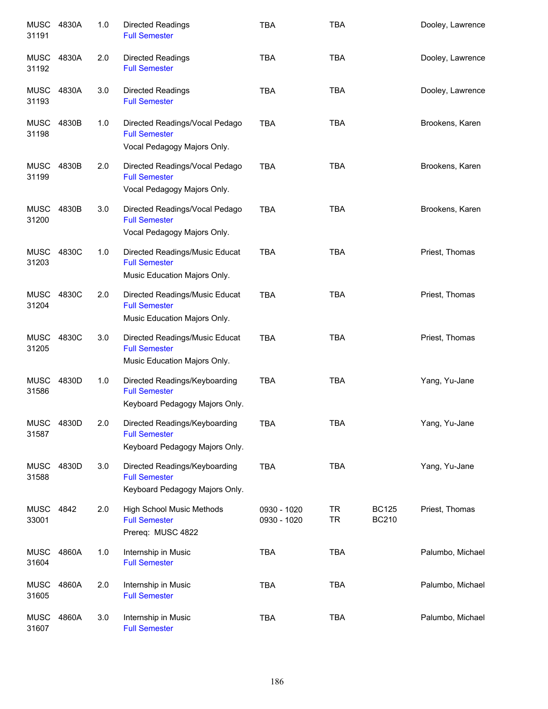| <b>MUSC</b><br>31191 | 4830A | 1.0 | <b>Directed Readings</b><br><b>Full Semester</b>                                        | <b>TBA</b>                 | <b>TBA</b>             |                              | Dooley, Lawrence |
|----------------------|-------|-----|-----------------------------------------------------------------------------------------|----------------------------|------------------------|------------------------------|------------------|
| <b>MUSC</b><br>31192 | 4830A | 2.0 | <b>Directed Readings</b><br><b>Full Semester</b>                                        | <b>TBA</b>                 | <b>TBA</b>             |                              | Dooley, Lawrence |
| <b>MUSC</b><br>31193 | 4830A | 3.0 | <b>Directed Readings</b><br><b>Full Semester</b>                                        | <b>TBA</b>                 | <b>TBA</b>             |                              | Dooley, Lawrence |
| <b>MUSC</b><br>31198 | 4830B | 1.0 | Directed Readings/Vocal Pedago<br><b>Full Semester</b><br>Vocal Pedagogy Majors Only.   | <b>TBA</b>                 | <b>TBA</b>             |                              | Brookens, Karen  |
| <b>MUSC</b><br>31199 | 4830B | 2.0 | Directed Readings/Vocal Pedago<br><b>Full Semester</b><br>Vocal Pedagogy Majors Only.   | <b>TBA</b>                 | <b>TBA</b>             |                              | Brookens, Karen  |
| <b>MUSC</b><br>31200 | 4830B | 3.0 | Directed Readings/Vocal Pedago<br><b>Full Semester</b><br>Vocal Pedagogy Majors Only.   | <b>TBA</b>                 | <b>TBA</b>             |                              | Brookens, Karen  |
| <b>MUSC</b><br>31203 | 4830C | 1.0 | Directed Readings/Music Educat<br><b>Full Semester</b><br>Music Education Majors Only.  | <b>TBA</b>                 | <b>TBA</b>             |                              | Priest, Thomas   |
| <b>MUSC</b><br>31204 | 4830C | 2.0 | Directed Readings/Music Educat<br><b>Full Semester</b><br>Music Education Majors Only.  | <b>TBA</b>                 | <b>TBA</b>             |                              | Priest, Thomas   |
| <b>MUSC</b><br>31205 | 4830C | 3.0 | Directed Readings/Music Educat<br><b>Full Semester</b><br>Music Education Majors Only.  | <b>TBA</b>                 | <b>TBA</b>             |                              | Priest, Thomas   |
| <b>MUSC</b><br>31586 | 4830D | 1.0 | Directed Readings/Keyboarding<br><b>Full Semester</b><br>Keyboard Pedagogy Majors Only. | <b>TBA</b>                 | <b>TBA</b>             |                              | Yang, Yu-Jane    |
| <b>MUSC</b><br>31587 | 4830D | 2.0 | Directed Readings/Keyboarding<br><b>Full Semester</b><br>Keyboard Pedagogy Majors Only. | <b>TBA</b>                 | <b>TBA</b>             |                              | Yang, Yu-Jane    |
| <b>MUSC</b><br>31588 | 4830D | 3.0 | Directed Readings/Keyboarding<br><b>Full Semester</b><br>Keyboard Pedagogy Majors Only. | TBA                        | <b>TBA</b>             |                              | Yang, Yu-Jane    |
| <b>MUSC</b><br>33001 | 4842  | 2.0 | <b>High School Music Methods</b><br><b>Full Semester</b><br>Prereq: MUSC 4822           | 0930 - 1020<br>0930 - 1020 | <b>TR</b><br><b>TR</b> | <b>BC125</b><br><b>BC210</b> | Priest, Thomas   |
| <b>MUSC</b><br>31604 | 4860A | 1.0 | Internship in Music<br><b>Full Semester</b>                                             | <b>TBA</b>                 | <b>TBA</b>             |                              | Palumbo, Michael |
| <b>MUSC</b><br>31605 | 4860A | 2.0 | Internship in Music<br><b>Full Semester</b>                                             | <b>TBA</b>                 | <b>TBA</b>             |                              | Palumbo, Michael |
| <b>MUSC</b><br>31607 | 4860A | 3.0 | Internship in Music<br><b>Full Semester</b>                                             | <b>TBA</b>                 | <b>TBA</b>             |                              | Palumbo, Michael |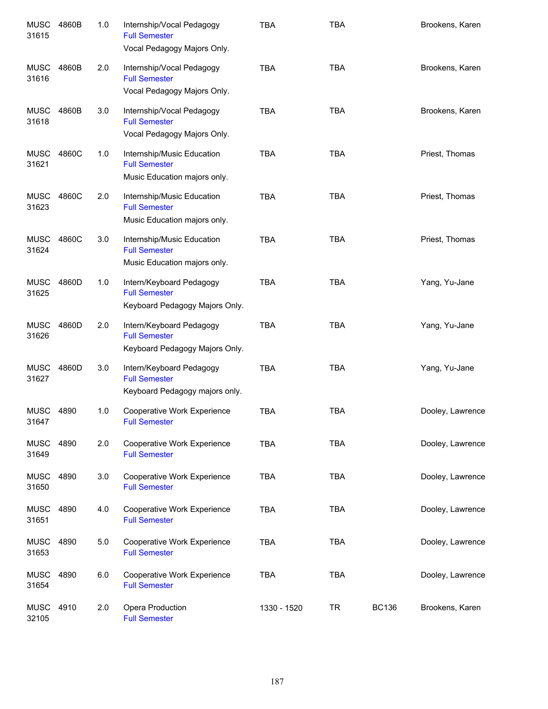| <b>MUSC</b><br>31615 | 4860B | 1.0 | Internship/Vocal Pedagogy<br><b>Full Semester</b><br>Vocal Pedagogy Majors Only.   | <b>TBA</b>  | <b>TBA</b> |              | Brookens, Karen  |
|----------------------|-------|-----|------------------------------------------------------------------------------------|-------------|------------|--------------|------------------|
| <b>MUSC</b><br>31616 | 4860B | 2.0 | Internship/Vocal Pedagogy<br><b>Full Semester</b><br>Vocal Pedagogy Majors Only.   | <b>TBA</b>  | <b>TBA</b> |              | Brookens, Karen  |
| <b>MUSC</b><br>31618 | 4860B | 3.0 | Internship/Vocal Pedagogy<br><b>Full Semester</b><br>Vocal Pedagogy Majors Only.   | <b>TBA</b>  | <b>TBA</b> |              | Brookens, Karen  |
| <b>MUSC</b><br>31621 | 4860C | 1.0 | Internship/Music Education<br><b>Full Semester</b><br>Music Education majors only. | <b>TBA</b>  | <b>TBA</b> |              | Priest, Thomas   |
| <b>MUSC</b><br>31623 | 4860C | 2.0 | Internship/Music Education<br><b>Full Semester</b><br>Music Education majors only. | <b>TBA</b>  | <b>TBA</b> |              | Priest, Thomas   |
| <b>MUSC</b><br>31624 | 4860C | 3.0 | Internship/Music Education<br><b>Full Semester</b><br>Music Education majors only. | <b>TBA</b>  | <b>TBA</b> |              | Priest, Thomas   |
| <b>MUSC</b><br>31625 | 4860D | 1.0 | Intern/Keyboard Pedagogy<br><b>Full Semester</b><br>Keyboard Pedagogy Majors Only. | <b>TBA</b>  | <b>TBA</b> |              | Yang, Yu-Jane    |
| <b>MUSC</b><br>31626 | 4860D | 2.0 | Intern/Keyboard Pedagogy<br><b>Full Semester</b><br>Keyboard Pedagogy Majors Only. | <b>TBA</b>  | <b>TBA</b> |              | Yang, Yu-Jane    |
| <b>MUSC</b><br>31627 | 4860D | 3.0 | Intern/Keyboard Pedagogy<br><b>Full Semester</b><br>Keyboard Pedagogy majors only. | <b>TBA</b>  | <b>TBA</b> |              | Yang, Yu-Jane    |
| MUSC<br>31647        | 4890  | 1.0 | Cooperative Work Experience<br><b>Full Semester</b>                                | <b>TBA</b>  | <b>TBA</b> |              | Dooley, Lawrence |
| <b>MUSC</b><br>31649 | 4890  | 2.0 | Cooperative Work Experience<br><b>Full Semester</b>                                | <b>TBA</b>  | <b>TBA</b> |              | Dooley, Lawrence |
| <b>MUSC</b><br>31650 | 4890  | 3.0 | Cooperative Work Experience<br><b>Full Semester</b>                                | <b>TBA</b>  | <b>TBA</b> |              | Dooley, Lawrence |
| <b>MUSC</b><br>31651 | 4890  | 4.0 | Cooperative Work Experience<br><b>Full Semester</b>                                | <b>TBA</b>  | <b>TBA</b> |              | Dooley, Lawrence |
| <b>MUSC</b><br>31653 | 4890  | 5.0 | Cooperative Work Experience<br><b>Full Semester</b>                                | <b>TBA</b>  | <b>TBA</b> |              | Dooley, Lawrence |
| <b>MUSC</b><br>31654 | 4890  | 6.0 | Cooperative Work Experience<br><b>Full Semester</b>                                | <b>TBA</b>  | <b>TBA</b> |              | Dooley, Lawrence |
| <b>MUSC</b><br>32105 | 4910  | 2.0 | Opera Production<br><b>Full Semester</b>                                           | 1330 - 1520 | <b>TR</b>  | <b>BC136</b> | Brookens, Karen  |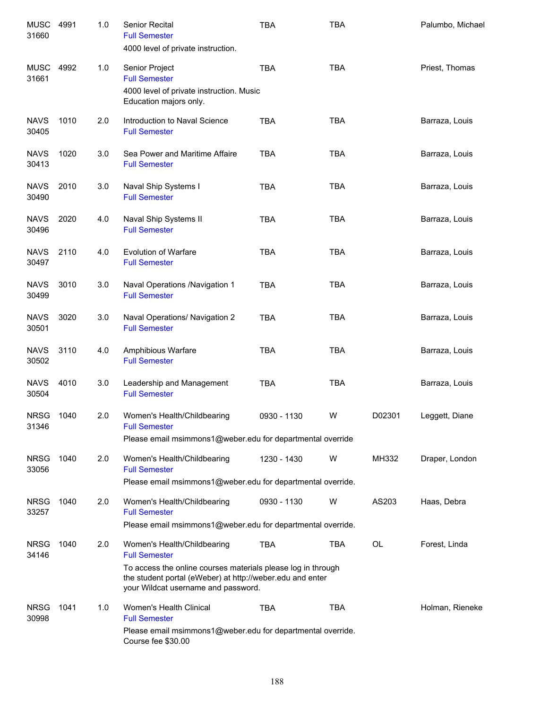| <b>MUSC</b><br>31660 | 4991 | 1.0 | <b>Senior Recital</b><br><b>Full Semester</b><br>4000 level of private instruction.                                                                              | <b>TBA</b>  | <b>TBA</b> |           | Palumbo, Michael |
|----------------------|------|-----|------------------------------------------------------------------------------------------------------------------------------------------------------------------|-------------|------------|-----------|------------------|
| <b>MUSC</b><br>31661 | 4992 | 1.0 | Senior Project<br><b>Full Semester</b><br>4000 level of private instruction. Music<br>Education majors only.                                                     | <b>TBA</b>  | <b>TBA</b> |           | Priest, Thomas   |
| <b>NAVS</b><br>30405 | 1010 | 2.0 | Introduction to Naval Science<br><b>Full Semester</b>                                                                                                            | <b>TBA</b>  | <b>TBA</b> |           | Barraza, Louis   |
| <b>NAVS</b><br>30413 | 1020 | 3.0 | Sea Power and Maritime Affaire<br><b>Full Semester</b>                                                                                                           | <b>TBA</b>  | <b>TBA</b> |           | Barraza, Louis   |
| <b>NAVS</b><br>30490 | 2010 | 3.0 | Naval Ship Systems I<br><b>Full Semester</b>                                                                                                                     | <b>TBA</b>  | <b>TBA</b> |           | Barraza, Louis   |
| <b>NAVS</b><br>30496 | 2020 | 4.0 | Naval Ship Systems II<br><b>Full Semester</b>                                                                                                                    | <b>TBA</b>  | <b>TBA</b> |           | Barraza, Louis   |
| <b>NAVS</b><br>30497 | 2110 | 4.0 | <b>Evolution of Warfare</b><br><b>Full Semester</b>                                                                                                              | <b>TBA</b>  | <b>TBA</b> |           | Barraza, Louis   |
| <b>NAVS</b><br>30499 | 3010 | 3.0 | Naval Operations /Navigation 1<br><b>Full Semester</b>                                                                                                           | <b>TBA</b>  | <b>TBA</b> |           | Barraza, Louis   |
| <b>NAVS</b><br>30501 | 3020 | 3.0 | Naval Operations/ Navigation 2<br><b>Full Semester</b>                                                                                                           | <b>TBA</b>  | <b>TBA</b> |           | Barraza, Louis   |
| <b>NAVS</b><br>30502 | 3110 | 4.0 | Amphibious Warfare<br><b>Full Semester</b>                                                                                                                       | <b>TBA</b>  | <b>TBA</b> |           | Barraza, Louis   |
| <b>NAVS</b><br>30504 | 4010 | 3.0 | Leadership and Management<br><b>Full Semester</b>                                                                                                                | <b>TBA</b>  | <b>TBA</b> |           | Barraza, Louis   |
| <b>NRSG</b><br>31346 | 1040 | 2.0 | Women's Health/Childbearing<br><b>Full Semester</b>                                                                                                              | 0930 - 1130 | W          | D02301    | Leggett, Diane   |
|                      |      |     | Please email msimmons1@weber.edu for departmental override                                                                                                       |             |            |           |                  |
| <b>NRSG</b><br>33056 | 1040 | 2.0 | Women's Health/Childbearing<br><b>Full Semester</b>                                                                                                              | 1230 - 1430 | W          | MH332     | Draper, London   |
|                      |      |     | Please email msimmons1@weber.edu for departmental override.                                                                                                      |             |            |           |                  |
| <b>NRSG</b><br>33257 | 1040 | 2.0 | Women's Health/Childbearing<br><b>Full Semester</b>                                                                                                              | 0930 - 1130 | W          | AS203     | Haas, Debra      |
|                      |      |     | Please email msimmons1@weber.edu for departmental override.                                                                                                      |             |            |           |                  |
| <b>NRSG</b><br>34146 | 1040 | 2.0 | Women's Health/Childbearing<br><b>Full Semester</b>                                                                                                              | <b>TBA</b>  | <b>TBA</b> | <b>OL</b> | Forest, Linda    |
|                      |      |     | To access the online courses materials please log in through<br>the student portal (eWeber) at http://weber.edu and enter<br>your Wildcat username and password. |             |            |           |                  |
| <b>NRSG</b><br>30998 | 1041 | 1.0 | Women's Health Clinical<br><b>Full Semester</b>                                                                                                                  | <b>TBA</b>  | <b>TBA</b> |           | Holman, Rieneke  |
|                      |      |     | Please email msimmons1@weber.edu for departmental override.<br>Course fee \$30.00                                                                                |             |            |           |                  |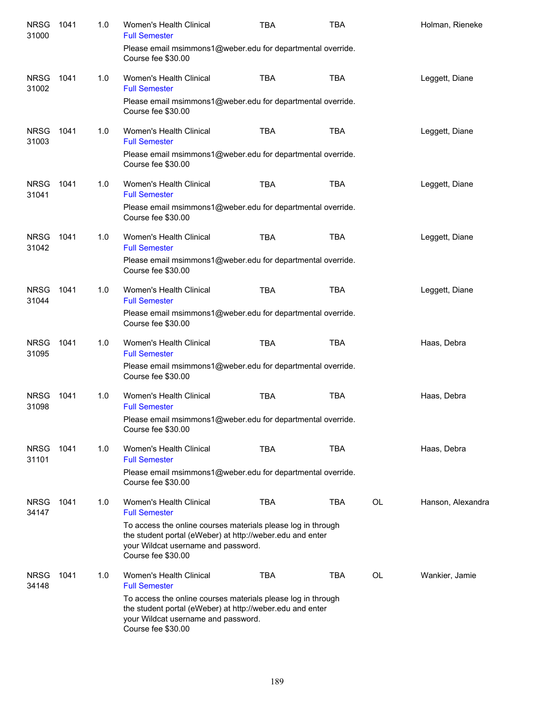| <b>NRSG</b><br>31000 | 1041 | 1.0 | Women's Health Clinical<br><b>Full Semester</b>                                                                                                                                        | <b>TBA</b> | <b>TBA</b> |    | Holman, Rieneke   |
|----------------------|------|-----|----------------------------------------------------------------------------------------------------------------------------------------------------------------------------------------|------------|------------|----|-------------------|
|                      |      |     | Please email msimmons1@weber.edu for departmental override.<br>Course fee \$30.00                                                                                                      |            |            |    |                   |
| <b>NRSG</b><br>31002 | 1041 | 1.0 | Women's Health Clinical<br><b>Full Semester</b>                                                                                                                                        | <b>TBA</b> | <b>TBA</b> |    | Leggett, Diane    |
|                      |      |     | Please email msimmons1@weber.edu for departmental override.<br>Course fee \$30.00                                                                                                      |            |            |    |                   |
| <b>NRSG</b><br>31003 | 1041 | 1.0 | Women's Health Clinical<br><b>Full Semester</b><br>Please email msimmons1@weber.edu for departmental override.                                                                         | <b>TBA</b> | <b>TBA</b> |    | Leggett, Diane    |
|                      |      |     | Course fee \$30.00                                                                                                                                                                     |            |            |    |                   |
| <b>NRSG</b><br>31041 | 1041 | 1.0 | Women's Health Clinical<br><b>Full Semester</b>                                                                                                                                        | <b>TBA</b> | <b>TBA</b> |    | Leggett, Diane    |
|                      |      |     | Please email msimmons1@weber.edu for departmental override.<br>Course fee \$30.00                                                                                                      |            |            |    |                   |
| <b>NRSG</b><br>31042 | 1041 | 1.0 | Women's Health Clinical<br><b>Full Semester</b>                                                                                                                                        | <b>TBA</b> | <b>TBA</b> |    | Leggett, Diane    |
|                      |      |     | Please email msimmons1@weber.edu for departmental override.<br>Course fee \$30.00                                                                                                      |            |            |    |                   |
| <b>NRSG</b><br>31044 | 1041 | 1.0 | Women's Health Clinical<br><b>Full Semester</b>                                                                                                                                        | <b>TBA</b> | <b>TBA</b> |    | Leggett, Diane    |
|                      |      |     | Please email msimmons1@weber.edu for departmental override.<br>Course fee \$30.00                                                                                                      |            |            |    |                   |
| <b>NRSG</b><br>31095 | 1041 | 1.0 | Women's Health Clinical<br><b>Full Semester</b>                                                                                                                                        | <b>TBA</b> | <b>TBA</b> |    | Haas, Debra       |
|                      |      |     | Please email msimmons1@weber.edu for departmental override.<br>Course fee \$30.00                                                                                                      |            |            |    |                   |
| <b>NRSG</b><br>31098 | 1041 | 1.0 | Women's Health Clinical<br><b>Full Semester</b>                                                                                                                                        | <b>TBA</b> | <b>TBA</b> |    | Haas, Debra       |
|                      |      |     | Please email msimmons1@weber.edu for departmental override.<br>Course fee \$30.00                                                                                                      |            |            |    |                   |
| <b>NRSG</b><br>31101 | 1041 | 1.0 | Women's Health Clinical<br><b>Full Semester</b>                                                                                                                                        | <b>TBA</b> | <b>TBA</b> |    | Haas, Debra       |
|                      |      |     | Please email msimmons1@weber.edu for departmental override.<br>Course fee \$30.00                                                                                                      |            |            |    |                   |
| <b>NRSG</b><br>34147 | 1041 | 1.0 | Women's Health Clinical<br><b>Full Semester</b>                                                                                                                                        | <b>TBA</b> | <b>TBA</b> | OL | Hanson, Alexandra |
|                      |      |     | To access the online courses materials please log in through<br>the student portal (eWeber) at http://weber.edu and enter<br>your Wildcat username and password.<br>Course fee \$30.00 |            |            |    |                   |
| <b>NRSG</b><br>34148 | 1041 | 1.0 | Women's Health Clinical<br><b>Full Semester</b>                                                                                                                                        | <b>TBA</b> | <b>TBA</b> | OL | Wankier, Jamie    |
|                      |      |     | To access the online courses materials please log in through<br>the student portal (eWeber) at http://weber.edu and enter<br>your Wildcat username and password.<br>Course fee \$30.00 |            |            |    |                   |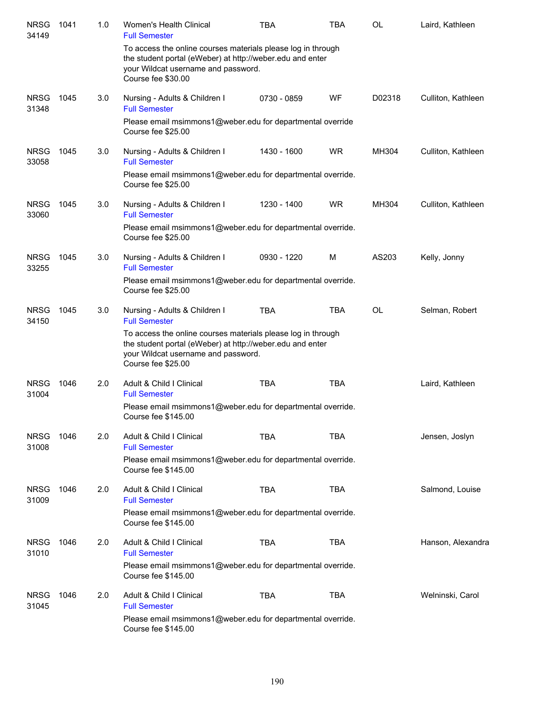| <b>NRSG</b><br>34149 | 1041 | 1.0 | <b>Women's Health Clinical</b><br><b>Full Semester</b>                                                                                                                                 | <b>TBA</b>  | <b>TBA</b> | OL        | Laird, Kathleen    |
|----------------------|------|-----|----------------------------------------------------------------------------------------------------------------------------------------------------------------------------------------|-------------|------------|-----------|--------------------|
|                      |      |     | To access the online courses materials please log in through<br>the student portal (eWeber) at http://weber.edu and enter<br>your Wildcat username and password.<br>Course fee \$30.00 |             |            |           |                    |
| <b>NRSG</b><br>31348 | 1045 | 3.0 | Nursing - Adults & Children I<br><b>Full Semester</b>                                                                                                                                  | 0730 - 0859 | WF         | D02318    | Culliton, Kathleen |
|                      |      |     | Please email msimmons1@weber.edu for departmental override<br>Course fee \$25.00                                                                                                       |             |            |           |                    |
| <b>NRSG</b><br>33058 | 1045 | 3.0 | Nursing - Adults & Children I<br><b>Full Semester</b>                                                                                                                                  | 1430 - 1600 | <b>WR</b>  | MH304     | Culliton, Kathleen |
|                      |      |     | Please email msimmons1@weber.edu for departmental override.<br>Course fee \$25.00                                                                                                      |             |            |           |                    |
| <b>NRSG</b><br>33060 | 1045 | 3.0 | Nursing - Adults & Children I<br><b>Full Semester</b>                                                                                                                                  | 1230 - 1400 | <b>WR</b>  | MH304     | Culliton, Kathleen |
|                      |      |     | Please email msimmons1@weber.edu for departmental override.<br>Course fee \$25.00                                                                                                      |             |            |           |                    |
| <b>NRSG</b><br>33255 | 1045 | 3.0 | Nursing - Adults & Children I<br><b>Full Semester</b>                                                                                                                                  | 0930 - 1220 | м          | AS203     | Kelly, Jonny       |
|                      |      |     | Please email msimmons1@weber.edu for departmental override.<br>Course fee \$25.00                                                                                                      |             |            |           |                    |
| <b>NRSG</b><br>34150 | 1045 | 3.0 | Nursing - Adults & Children I<br><b>Full Semester</b>                                                                                                                                  | <b>TBA</b>  | TBA        | <b>OL</b> | Selman, Robert     |
|                      |      |     | To access the online courses materials please log in through<br>the student portal (eWeber) at http://weber.edu and enter<br>your Wildcat username and password.<br>Course fee \$25.00 |             |            |           |                    |
| <b>NRSG</b><br>31004 | 1046 | 2.0 | Adult & Child I Clinical<br><b>Full Semester</b>                                                                                                                                       | <b>TBA</b>  | <b>TBA</b> |           | Laird, Kathleen    |
|                      |      |     | Please email msimmons1@weber.edu for departmental override.<br>Course fee \$145.00                                                                                                     |             |            |           |                    |
| <b>NRSG</b><br>31008 | 1046 | 2.0 | Adult & Child I Clinical<br><b>Full Semester</b>                                                                                                                                       | <b>TBA</b>  | <b>TBA</b> |           | Jensen, Joslyn     |
|                      |      |     | Please email msimmons1@weber.edu for departmental override.<br>Course fee \$145.00                                                                                                     |             |            |           |                    |
| <b>NRSG</b><br>31009 | 1046 | 2.0 | Adult & Child I Clinical<br><b>Full Semester</b>                                                                                                                                       | <b>TBA</b>  | <b>TBA</b> |           | Salmond, Louise    |
|                      |      |     | Please email msimmons1@weber.edu for departmental override.<br>Course fee \$145.00                                                                                                     |             |            |           |                    |
| <b>NRSG</b><br>31010 | 1046 | 2.0 | Adult & Child I Clinical<br><b>Full Semester</b>                                                                                                                                       | <b>TBA</b>  | <b>TBA</b> |           | Hanson, Alexandra  |
|                      |      |     | Please email msimmons1@weber.edu for departmental override.<br>Course fee \$145.00                                                                                                     |             |            |           |                    |
| <b>NRSG</b><br>31045 | 1046 | 2.0 | Adult & Child I Clinical<br><b>Full Semester</b>                                                                                                                                       | <b>TBA</b>  | <b>TBA</b> |           | Welninski, Carol   |
|                      |      |     | Please email msimmons1@weber.edu for departmental override.<br>Course fee \$145.00                                                                                                     |             |            |           |                    |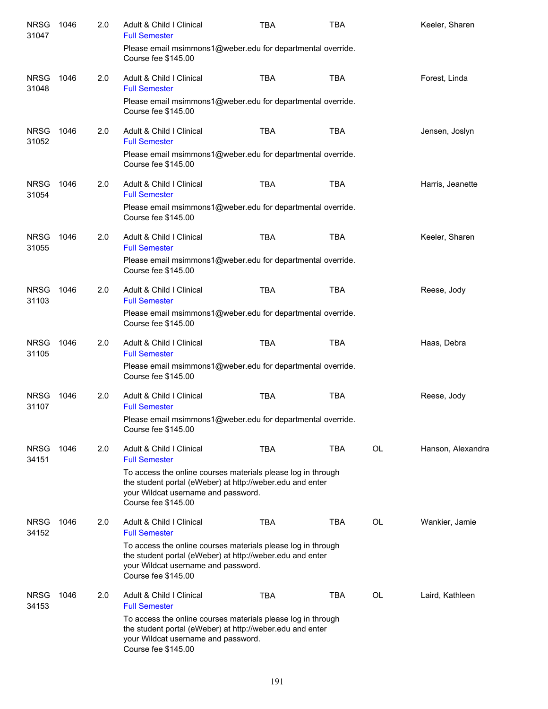| <b>NRSG</b><br>31047 | 1046 | 2.0 | Adult & Child I Clinical<br><b>Full Semester</b>                                                                                                                                        | <b>TBA</b> | <b>TBA</b> |           | Keeler, Sharen    |
|----------------------|------|-----|-----------------------------------------------------------------------------------------------------------------------------------------------------------------------------------------|------------|------------|-----------|-------------------|
|                      |      |     | Please email msimmons1@weber.edu for departmental override.<br>Course fee \$145.00                                                                                                      |            |            |           |                   |
| <b>NRSG</b><br>31048 | 1046 | 2.0 | Adult & Child I Clinical<br><b>Full Semester</b>                                                                                                                                        | <b>TBA</b> | <b>TBA</b> |           | Forest, Linda     |
|                      |      |     | Please email msimmons1@weber.edu for departmental override.<br>Course fee \$145.00                                                                                                      |            |            |           |                   |
| <b>NRSG</b><br>31052 | 1046 | 2.0 | Adult & Child I Clinical<br><b>Full Semester</b>                                                                                                                                        | <b>TBA</b> | <b>TBA</b> |           | Jensen, Joslyn    |
|                      |      |     | Please email msimmons1@weber.edu for departmental override.<br>Course fee \$145.00                                                                                                      |            |            |           |                   |
| <b>NRSG</b><br>31054 | 1046 | 2.0 | Adult & Child I Clinical<br><b>Full Semester</b>                                                                                                                                        | <b>TBA</b> | <b>TBA</b> |           | Harris, Jeanette  |
|                      |      |     | Please email msimmons1@weber.edu for departmental override.<br>Course fee \$145.00                                                                                                      |            |            |           |                   |
| <b>NRSG</b><br>31055 | 1046 | 2.0 | Adult & Child I Clinical<br><b>Full Semester</b>                                                                                                                                        | <b>TBA</b> | <b>TBA</b> |           | Keeler, Sharen    |
|                      |      |     | Please email msimmons1@weber.edu for departmental override.<br>Course fee \$145.00                                                                                                      |            |            |           |                   |
| <b>NRSG</b><br>31103 | 1046 | 2.0 | Adult & Child I Clinical<br><b>Full Semester</b>                                                                                                                                        | <b>TBA</b> | <b>TBA</b> |           | Reese, Jody       |
|                      |      |     | Please email msimmons1@weber.edu for departmental override.<br>Course fee \$145.00                                                                                                      |            |            |           |                   |
| <b>NRSG</b><br>31105 | 1046 | 2.0 | Adult & Child I Clinical<br><b>Full Semester</b>                                                                                                                                        | <b>TBA</b> | <b>TBA</b> |           | Haas, Debra       |
|                      |      |     | Please email msimmons1@weber.edu for departmental override.<br>Course fee \$145.00                                                                                                      |            |            |           |                   |
| <b>NRSG</b><br>31107 | 1046 | 2.0 | Adult & Child I Clinical<br><b>Full Semester</b>                                                                                                                                        | <b>TBA</b> | <b>TBA</b> |           | Reese, Jody       |
|                      |      |     | Please email msimmons1@weber.edu for departmental override.<br>Course fee \$145.00                                                                                                      |            |            |           |                   |
| <b>NRSG</b><br>34151 | 1046 | 2.0 | Adult & Child I Clinical<br><b>Full Semester</b>                                                                                                                                        | <b>TBA</b> | <b>TBA</b> | <b>OL</b> | Hanson, Alexandra |
|                      |      |     | To access the online courses materials please log in through<br>the student portal (eWeber) at http://weber.edu and enter<br>your Wildcat username and password.<br>Course fee \$145.00 |            |            |           |                   |
| <b>NRSG</b><br>34152 | 1046 | 2.0 | Adult & Child   Clinical<br><b>Full Semester</b>                                                                                                                                        | <b>TBA</b> | <b>TBA</b> | OL        | Wankier, Jamie    |
|                      |      |     | To access the online courses materials please log in through<br>the student portal (eWeber) at http://weber.edu and enter<br>your Wildcat username and password.<br>Course fee \$145.00 |            |            |           |                   |
| <b>NRSG</b><br>34153 | 1046 | 2.0 | Adult & Child I Clinical<br><b>Full Semester</b>                                                                                                                                        | <b>TBA</b> | TBA        | OL        | Laird, Kathleen   |
|                      |      |     | To access the online courses materials please log in through<br>the student portal (eWeber) at http://weber.edu and enter<br>your Wildcat username and password.<br>Course fee \$145.00 |            |            |           |                   |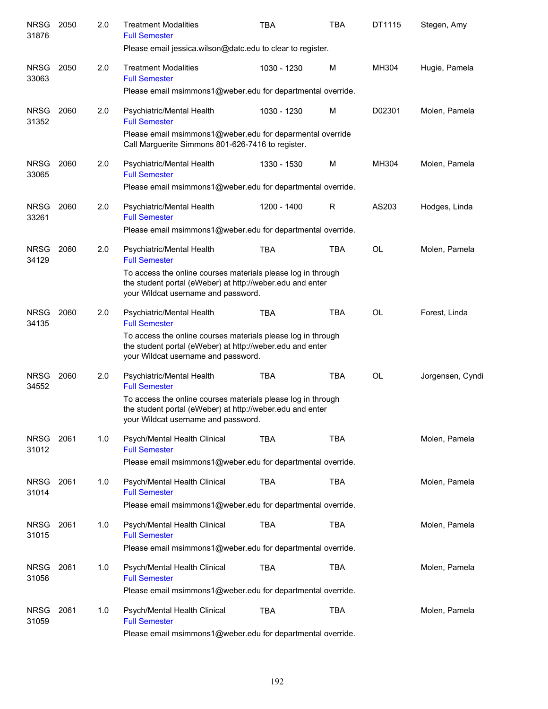| <b>NRSG</b><br>31876 | 2050 | 2.0 | <b>Treatment Modalities</b><br><b>Full Semester</b>                                                                                                              | <b>TBA</b>  | <b>TBA</b> | DT1115    | Stegen, Amy      |
|----------------------|------|-----|------------------------------------------------------------------------------------------------------------------------------------------------------------------|-------------|------------|-----------|------------------|
|                      |      |     | Please email jessica.wilson@datc.edu to clear to register.                                                                                                       |             |            |           |                  |
| <b>NRSG</b><br>33063 | 2050 | 2.0 | <b>Treatment Modalities</b><br><b>Full Semester</b>                                                                                                              | 1030 - 1230 | M          | MH304     | Hugie, Pamela    |
|                      |      |     | Please email msimmons1@weber.edu for departmental override.                                                                                                      |             |            |           |                  |
| <b>NRSG</b><br>31352 | 2060 | 2.0 | Psychiatric/Mental Health<br><b>Full Semester</b>                                                                                                                | 1030 - 1230 | M          | D02301    | Molen, Pamela    |
|                      |      |     | Please email msimmons1@weber.edu for deparmental override<br>Call Marguerite Simmons 801-626-7416 to register.                                                   |             |            |           |                  |
| <b>NRSG</b><br>33065 | 2060 | 2.0 | Psychiatric/Mental Health<br><b>Full Semester</b>                                                                                                                | 1330 - 1530 | M          | MH304     | Molen, Pamela    |
|                      |      |     | Please email msimmons1@weber.edu for departmental override.                                                                                                      |             |            |           |                  |
| <b>NRSG</b><br>33261 | 2060 | 2.0 | Psychiatric/Mental Health<br><b>Full Semester</b>                                                                                                                | 1200 - 1400 | R          | AS203     | Hodges, Linda    |
|                      |      |     | Please email msimmons1@weber.edu for departmental override.                                                                                                      |             |            |           |                  |
| <b>NRSG</b><br>34129 | 2060 | 2.0 | Psychiatric/Mental Health<br><b>Full Semester</b>                                                                                                                | <b>TBA</b>  | <b>TBA</b> | OL        | Molen, Pamela    |
|                      |      |     | To access the online courses materials please log in through<br>the student portal (eWeber) at http://weber.edu and enter<br>your Wildcat username and password. |             |            |           |                  |
| <b>NRSG</b><br>34135 | 2060 | 2.0 | Psychiatric/Mental Health<br><b>Full Semester</b>                                                                                                                | <b>TBA</b>  | <b>TBA</b> | <b>OL</b> | Forest, Linda    |
|                      |      |     | To access the online courses materials please log in through<br>the student portal (eWeber) at http://weber.edu and enter<br>your Wildcat username and password. |             |            |           |                  |
| <b>NRSG</b><br>34552 | 2060 | 2.0 | Psychiatric/Mental Health<br><b>Full Semester</b>                                                                                                                | <b>TBA</b>  | <b>TBA</b> | <b>OL</b> | Jorgensen, Cyndi |
|                      |      |     | To access the online courses materials please log in through<br>the student portal (eWeber) at http://weber.edu and enter<br>your Wildcat username and password. |             |            |           |                  |
| NRSG<br>31012        | 2061 | 1.0 | Psych/Mental Health Clinical<br><b>Full Semester</b>                                                                                                             | TBA         | TBA        |           | Molen, Pamela    |
|                      |      |     | Please email msimmons1@weber.edu for departmental override.                                                                                                      |             |            |           |                  |
| <b>NRSG</b><br>31014 | 2061 | 1.0 | Psych/Mental Health Clinical<br><b>Full Semester</b>                                                                                                             | <b>TBA</b>  | <b>TBA</b> |           | Molen, Pamela    |
|                      |      |     | Please email msimmons1@weber.edu for departmental override.                                                                                                      |             |            |           |                  |
| <b>NRSG</b><br>31015 | 2061 | 1.0 | Psych/Mental Health Clinical<br><b>Full Semester</b>                                                                                                             | <b>TBA</b>  | <b>TBA</b> |           | Molen, Pamela    |
|                      |      |     | Please email msimmons1@weber.edu for departmental override.                                                                                                      |             |            |           |                  |
| <b>NRSG</b><br>31056 | 2061 | 1.0 | Psych/Mental Health Clinical<br><b>Full Semester</b>                                                                                                             | <b>TBA</b>  | <b>TBA</b> |           | Molen, Pamela    |
|                      |      |     | Please email msimmons1@weber.edu for departmental override.                                                                                                      |             |            |           |                  |
| <b>NRSG</b><br>31059 | 2061 | 1.0 | Psych/Mental Health Clinical<br><b>Full Semester</b>                                                                                                             | TBA         | <b>TBA</b> |           | Molen, Pamela    |
|                      |      |     | Please email msimmons1@weber.edu for departmental override.                                                                                                      |             |            |           |                  |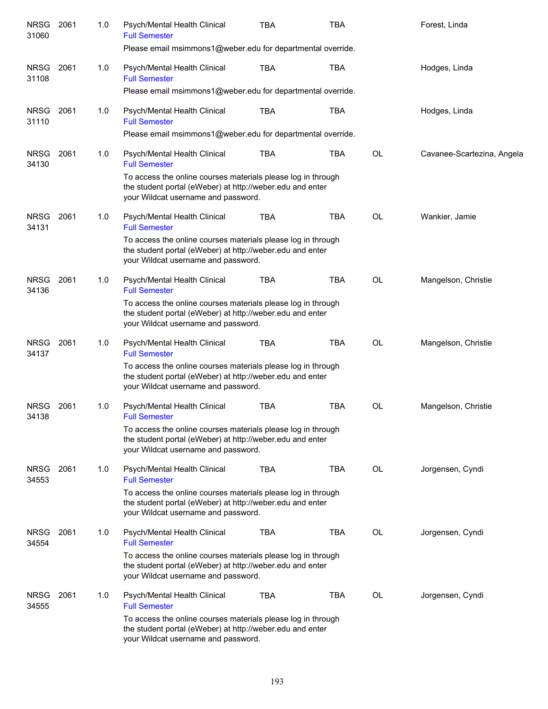| <b>NRSG</b><br>31060 | 2061 | 1.0 | Psych/Mental Health Clinical<br><b>Full Semester</b><br>Please email msimmons1@weber.edu for departmental override.                                              | TBA        | TBA        |           | Forest, Linda              |
|----------------------|------|-----|------------------------------------------------------------------------------------------------------------------------------------------------------------------|------------|------------|-----------|----------------------------|
|                      |      |     |                                                                                                                                                                  |            |            |           |                            |
| <b>NRSG</b><br>31108 | 2061 | 1.0 | Psych/Mental Health Clinical<br><b>Full Semester</b>                                                                                                             | <b>TBA</b> | TBA        |           | Hodges, Linda              |
|                      |      |     | Please email msimmons1@weber.edu for departmental override.                                                                                                      |            |            |           |                            |
| <b>NRSG</b><br>31110 | 2061 | 1.0 | Psych/Mental Health Clinical<br><b>Full Semester</b>                                                                                                             | TBA        | TBA        |           | Hodges, Linda              |
|                      |      |     | Please email msimmons1@weber.edu for departmental override.                                                                                                      |            |            |           |                            |
| <b>NRSG</b><br>34130 | 2061 | 1.0 | Psych/Mental Health Clinical<br><b>Full Semester</b>                                                                                                             | <b>TBA</b> | <b>TBA</b> | OL        | Cavanee-Scartezina, Angela |
|                      |      |     | To access the online courses materials please log in through<br>the student portal (eWeber) at http://weber.edu and enter<br>your Wildcat username and password. |            |            |           |                            |
| <b>NRSG</b><br>34131 | 2061 | 1.0 | Psych/Mental Health Clinical<br><b>Full Semester</b>                                                                                                             | <b>TBA</b> | <b>TBA</b> | <b>OL</b> | Wankier, Jamie             |
|                      |      |     | To access the online courses materials please log in through<br>the student portal (eWeber) at http://weber.edu and enter<br>your Wildcat username and password. |            |            |           |                            |
| <b>NRSG</b><br>34136 | 2061 | 1.0 | Psych/Mental Health Clinical<br><b>Full Semester</b>                                                                                                             | <b>TBA</b> | <b>TBA</b> | <b>OL</b> | Mangelson, Christie        |
|                      |      |     | To access the online courses materials please log in through<br>the student portal (eWeber) at http://weber.edu and enter<br>your Wildcat username and password. |            |            |           |                            |
| <b>NRSG</b><br>34137 | 2061 | 1.0 | Psych/Mental Health Clinical<br><b>Full Semester</b>                                                                                                             | <b>TBA</b> | <b>TBA</b> | OL        | Mangelson, Christie        |
|                      |      |     | To access the online courses materials please log in through<br>the student portal (eWeber) at http://weber.edu and enter<br>your Wildcat username and password. |            |            |           |                            |
| <b>NRSG</b><br>34138 | 2061 | 1.0 | Psych/Mental Health Clinical<br><b>Full Semester</b>                                                                                                             | <b>TBA</b> | <b>TBA</b> | OL        | Mangelson, Christie        |
|                      |      |     | To access the online courses materials please log in through<br>the student portal (eWeber) at http://weber.edu and enter<br>your Wildcat username and password. |            |            |           |                            |
| <b>NRSG</b><br>34553 | 2061 | 1.0 | Psych/Mental Health Clinical<br><b>Full Semester</b>                                                                                                             | <b>TBA</b> | TBA        | OL        | Jorgensen, Cyndi           |
|                      |      |     | To access the online courses materials please log in through<br>the student portal (eWeber) at http://weber.edu and enter<br>your Wildcat username and password. |            |            |           |                            |
| <b>NRSG</b><br>34554 | 2061 | 1.0 | Psych/Mental Health Clinical<br><b>Full Semester</b>                                                                                                             | <b>TBA</b> | TBA        | OL        | Jorgensen, Cyndi           |
|                      |      |     | To access the online courses materials please log in through<br>the student portal (eWeber) at http://weber.edu and enter<br>your Wildcat username and password. |            |            |           |                            |
| <b>NRSG</b><br>34555 | 2061 | 1.0 | Psych/Mental Health Clinical<br><b>Full Semester</b>                                                                                                             | TBA        | TBA        | OL        | Jorgensen, Cyndi           |
|                      |      |     | To access the online courses materials please log in through<br>the student portal (eWeber) at http://weber.edu and enter<br>your Wildcat username and password. |            |            |           |                            |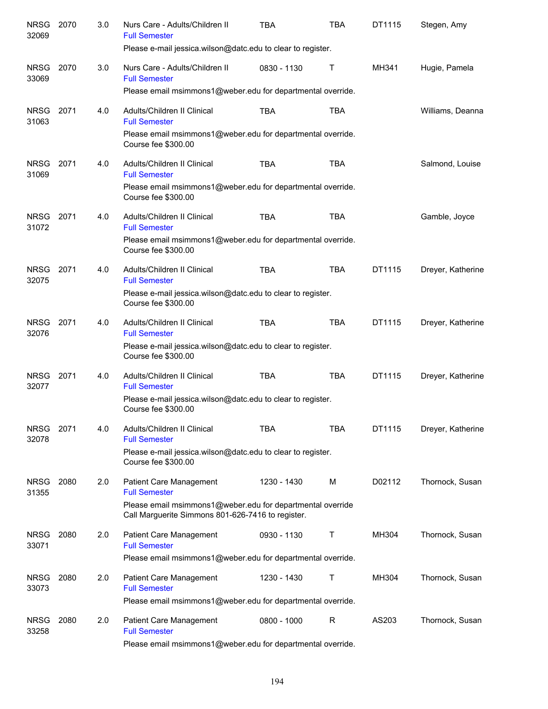| <b>NRSG</b><br>32069 | 2070 | 3.0 | Nurs Care - Adults/Children II<br><b>Full Semester</b><br>Please e-mail jessica.wilson@datc.edu to clear to register. | TBA         | <b>TBA</b>   | DT1115 | Stegen, Amy       |
|----------------------|------|-----|-----------------------------------------------------------------------------------------------------------------------|-------------|--------------|--------|-------------------|
| <b>NRSG</b>          | 2070 | 3.0 | Nurs Care - Adults/Children II                                                                                        | 0830 - 1130 | Т            | MH341  | Hugie, Pamela     |
| 33069                |      |     | <b>Full Semester</b><br>Please email msimmons1@weber.edu for departmental override.                                   |             |              |        |                   |
| <b>NRSG</b><br>31063 | 2071 | 4.0 | Adults/Children II Clinical<br><b>Full Semester</b>                                                                   | <b>TBA</b>  | <b>TBA</b>   |        | Williams, Deanna  |
|                      |      |     | Please email msimmons1@weber.edu for departmental override.<br>Course fee \$300.00                                    |             |              |        |                   |
| <b>NRSG</b><br>31069 | 2071 | 4.0 | Adults/Children II Clinical<br><b>Full Semester</b>                                                                   | <b>TBA</b>  | <b>TBA</b>   |        | Salmond, Louise   |
|                      |      |     | Please email msimmons1@weber.edu for departmental override.<br>Course fee \$300.00                                    |             |              |        |                   |
| <b>NRSG</b><br>31072 | 2071 | 4.0 | Adults/Children II Clinical<br><b>Full Semester</b>                                                                   | <b>TBA</b>  | <b>TBA</b>   |        | Gamble, Joyce     |
|                      |      |     | Please email msimmons1@weber.edu for departmental override.<br>Course fee \$300.00                                    |             |              |        |                   |
| <b>NRSG</b><br>32075 | 2071 | 4.0 | Adults/Children II Clinical<br><b>Full Semester</b>                                                                   | <b>TBA</b>  | <b>TBA</b>   | DT1115 | Dreyer, Katherine |
|                      |      |     | Please e-mail jessica wilson@datc.edu to clear to register.<br>Course fee \$300.00                                    |             |              |        |                   |
| <b>NRSG</b><br>32076 | 2071 | 4.0 | Adults/Children II Clinical<br><b>Full Semester</b>                                                                   | <b>TBA</b>  | <b>TBA</b>   | DT1115 | Dreyer, Katherine |
|                      |      |     | Please e-mail jessica wilson@datc.edu to clear to register.<br>Course fee \$300.00                                    |             |              |        |                   |
| <b>NRSG</b><br>32077 | 2071 | 4.0 | Adults/Children II Clinical<br><b>Full Semester</b>                                                                   | <b>TBA</b>  | <b>TBA</b>   | DT1115 | Dreyer, Katherine |
|                      |      |     | Please e-mail jessica.wilson@datc.edu to clear to register.<br>Course fee \$300.00                                    |             |              |        |                   |
| <b>NRSG</b><br>32078 | 2071 | 4.0 | Adults/Children II Clinical<br><b>Full Semester</b>                                                                   | TBA         | <b>TBA</b>   | DT1115 | Dreyer, Katherine |
|                      |      |     | Please e-mail jessica.wilson@datc.edu to clear to register.<br>Course fee \$300.00                                    |             |              |        |                   |
| <b>NRSG</b><br>31355 | 2080 | 2.0 | Patient Care Management<br><b>Full Semester</b>                                                                       | 1230 - 1430 | M            | D02112 | Thornock, Susan   |
|                      |      |     | Please email msimmons1@weber.edu for departmental override<br>Call Marguerite Simmons 801-626-7416 to register.       |             |              |        |                   |
| <b>NRSG</b><br>33071 | 2080 | 2.0 | Patient Care Management<br><b>Full Semester</b>                                                                       | 0930 - 1130 | Τ            | MH304  | Thornock, Susan   |
|                      |      |     | Please email msimmons1@weber.edu for departmental override.                                                           |             |              |        |                   |
| <b>NRSG</b><br>33073 | 2080 | 2.0 | Patient Care Management<br><b>Full Semester</b>                                                                       | 1230 - 1430 | Τ            | MH304  | Thornock, Susan   |
|                      |      |     | Please email msimmons1@weber.edu for departmental override.                                                           |             |              |        |                   |
| <b>NRSG</b><br>33258 | 2080 | 2.0 | Patient Care Management<br><b>Full Semester</b>                                                                       | 0800 - 1000 | $\mathsf{R}$ | AS203  | Thornock, Susan   |
|                      |      |     | Please email msimmons1@weber.edu for departmental override.                                                           |             |              |        |                   |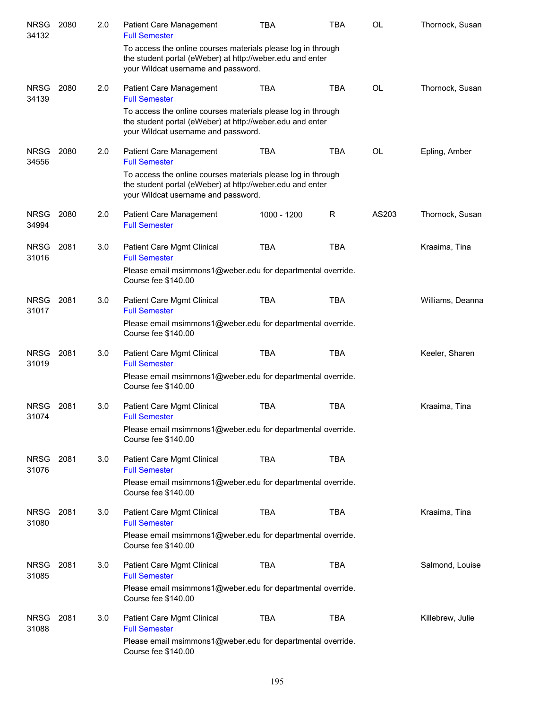| <b>NRSG</b><br>34132 | 2080 | 2.0 | <b>Patient Care Management</b><br><b>Full Semester</b>                                                                                                           | TBA         | TBA        | OL        | Thornock, Susan  |
|----------------------|------|-----|------------------------------------------------------------------------------------------------------------------------------------------------------------------|-------------|------------|-----------|------------------|
|                      |      |     | To access the online courses materials please log in through<br>the student portal (eWeber) at http://weber.edu and enter<br>your Wildcat username and password. |             |            |           |                  |
| <b>NRSG</b><br>34139 | 2080 | 2.0 | Patient Care Management<br><b>Full Semester</b>                                                                                                                  | <b>TBA</b>  | <b>TBA</b> | <b>OL</b> | Thornock, Susan  |
|                      |      |     | To access the online courses materials please log in through<br>the student portal (eWeber) at http://weber.edu and enter<br>your Wildcat username and password. |             |            |           |                  |
| <b>NRSG</b><br>34556 | 2080 | 2.0 | Patient Care Management<br><b>Full Semester</b>                                                                                                                  | <b>TBA</b>  | <b>TBA</b> | <b>OL</b> | Epling, Amber    |
|                      |      |     | To access the online courses materials please log in through<br>the student portal (eWeber) at http://weber.edu and enter<br>your Wildcat username and password. |             |            |           |                  |
| <b>NRSG</b><br>34994 | 2080 | 2.0 | Patient Care Management<br><b>Full Semester</b>                                                                                                                  | 1000 - 1200 | R          | AS203     | Thornock, Susan  |
| <b>NRSG</b><br>31016 | 2081 | 3.0 | Patient Care Mgmt Clinical<br><b>Full Semester</b>                                                                                                               | <b>TBA</b>  | <b>TBA</b> |           | Kraaima, Tina    |
|                      |      |     | Please email msimmons1@weber.edu for departmental override.<br>Course fee \$140.00                                                                               |             |            |           |                  |
| <b>NRSG</b><br>31017 | 2081 | 3.0 | Patient Care Mgmt Clinical<br><b>Full Semester</b>                                                                                                               | <b>TBA</b>  | <b>TBA</b> |           | Williams, Deanna |
|                      |      |     | Please email msimmons1@weber.edu for departmental override.<br>Course fee \$140.00                                                                               |             |            |           |                  |
| <b>NRSG</b><br>31019 | 2081 | 3.0 | Patient Care Mgmt Clinical<br><b>Full Semester</b>                                                                                                               | <b>TBA</b>  | <b>TBA</b> |           | Keeler, Sharen   |
|                      |      |     | Please email msimmons1@weber.edu for departmental override.<br>Course fee \$140.00                                                                               |             |            |           |                  |
| <b>NRSG</b><br>31074 | 2081 | 3.0 | Patient Care Mgmt Clinical<br><b>Full Semester</b>                                                                                                               | <b>TBA</b>  | <b>TBA</b> |           | Kraaima, Tina    |
|                      |      |     | Please email msimmons1@weber.edu for departmental override.<br>Course fee \$140.00                                                                               |             |            |           |                  |
| <b>NRSG</b><br>31076 | 2081 | 3.0 | Patient Care Mgmt Clinical<br><b>Full Semester</b>                                                                                                               | <b>TBA</b>  | <b>TBA</b> |           |                  |
|                      |      |     | Please email msimmons1@weber.edu for departmental override.<br>Course fee \$140.00                                                                               |             |            |           |                  |
| <b>NRSG</b><br>31080 | 2081 | 3.0 | Patient Care Mgmt Clinical<br><b>Full Semester</b>                                                                                                               | <b>TBA</b>  | <b>TBA</b> |           | Kraaima, Tina    |
|                      |      |     | Please email msimmons1@weber.edu for departmental override.<br>Course fee \$140.00                                                                               |             |            |           |                  |
| <b>NRSG</b><br>31085 | 2081 | 3.0 | Patient Care Mgmt Clinical<br><b>Full Semester</b>                                                                                                               | <b>TBA</b>  | <b>TBA</b> |           | Salmond, Louise  |
|                      |      |     | Please email msimmons1@weber.edu for departmental override.<br>Course fee \$140.00                                                                               |             |            |           |                  |
| <b>NRSG</b><br>31088 | 2081 | 3.0 | Patient Care Mgmt Clinical<br><b>Full Semester</b>                                                                                                               | <b>TBA</b>  | <b>TBA</b> |           | Killebrew, Julie |
|                      |      |     | Please email msimmons1@weber.edu for departmental override.<br>Course fee \$140.00                                                                               |             |            |           |                  |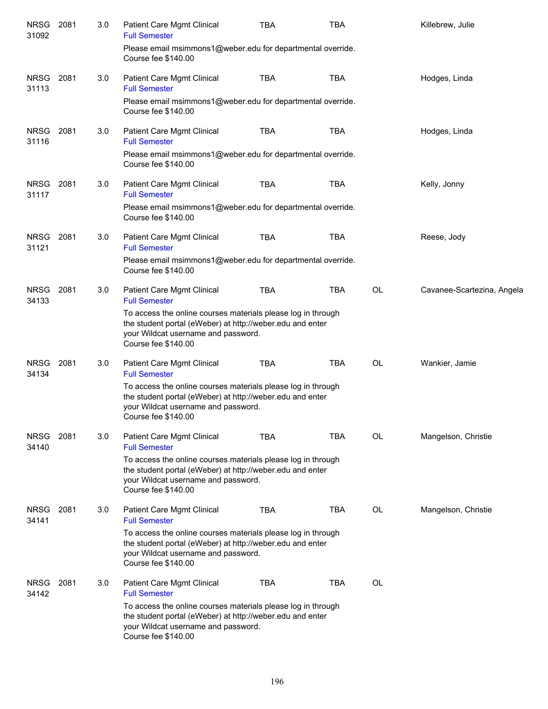| <b>NRSG</b><br>31092 | 2081 | 3.0 | Patient Care Mgmt Clinical<br><b>Full Semester</b>                                                                                                                                      | <b>TBA</b> | <b>TBA</b> |           | Killebrew, Julie           |
|----------------------|------|-----|-----------------------------------------------------------------------------------------------------------------------------------------------------------------------------------------|------------|------------|-----------|----------------------------|
|                      |      |     | Please email msimmons1@weber.edu for departmental override.<br>Course fee \$140.00                                                                                                      |            |            |           |                            |
| <b>NRSG</b><br>31113 | 2081 | 3.0 | <b>Patient Care Mgmt Clinical</b><br><b>Full Semester</b>                                                                                                                               | <b>TBA</b> | <b>TBA</b> |           | Hodges, Linda              |
|                      |      |     | Please email msimmons1@weber.edu for departmental override.<br>Course fee \$140.00                                                                                                      |            |            |           |                            |
| <b>NRSG</b><br>31116 | 2081 | 3.0 | Patient Care Mgmt Clinical<br><b>Full Semester</b>                                                                                                                                      | <b>TBA</b> | <b>TBA</b> |           | Hodges, Linda              |
|                      |      |     | Please email msimmons1@weber.edu for departmental override.<br>Course fee \$140.00                                                                                                      |            |            |           |                            |
| <b>NRSG</b><br>31117 | 2081 | 3.0 | Patient Care Mgmt Clinical<br><b>Full Semester</b>                                                                                                                                      | <b>TBA</b> | <b>TBA</b> |           | Kelly, Jonny               |
|                      |      |     | Please email msimmons1@weber.edu for departmental override.<br>Course fee \$140.00                                                                                                      |            |            |           |                            |
| <b>NRSG</b><br>31121 | 2081 | 3.0 | <b>Patient Care Mgmt Clinical</b><br><b>Full Semester</b>                                                                                                                               | <b>TBA</b> | <b>TBA</b> |           | Reese, Jody                |
|                      |      |     | Please email msimmons1@weber.edu for departmental override.<br>Course fee \$140.00                                                                                                      |            |            |           |                            |
| <b>NRSG</b><br>34133 | 2081 | 3.0 | Patient Care Mgmt Clinical<br><b>Full Semester</b>                                                                                                                                      | <b>TBA</b> | <b>TBA</b> | OL        | Cavanee-Scartezina, Angela |
|                      |      |     | To access the online courses materials please log in through<br>the student portal (eWeber) at http://weber.edu and enter<br>your Wildcat username and password.<br>Course fee \$140.00 |            |            |           |                            |
| <b>NRSG</b><br>34134 | 2081 | 3.0 | Patient Care Mgmt Clinical<br><b>Full Semester</b>                                                                                                                                      | <b>TBA</b> | <b>TBA</b> | OL        | Wankier, Jamie             |
|                      |      |     | To access the online courses materials please log in through<br>the student portal (eWeber) at http://weber.edu and enter<br>your Wildcat username and password.<br>Course fee \$140.00 |            |            |           |                            |
| <b>NRSG</b><br>34140 | 2081 | 3.0 | Patient Care Mgmt Clinical<br><b>Full Semester</b>                                                                                                                                      | <b>TBA</b> | TBA        | OL        | Mangelson, Christie        |
|                      |      |     | To access the online courses materials please log in through<br>the student portal (eWeber) at http://weber.edu and enter<br>your Wildcat username and password.<br>Course fee \$140.00 |            |            |           |                            |
| <b>NRSG</b><br>34141 | 2081 | 3.0 | Patient Care Mgmt Clinical<br><b>Full Semester</b>                                                                                                                                      | <b>TBA</b> | <b>TBA</b> | OL        | Mangelson, Christie        |
|                      |      |     | To access the online courses materials please log in through<br>the student portal (eWeber) at http://weber.edu and enter<br>your Wildcat username and password.<br>Course fee \$140.00 |            |            |           |                            |
| <b>NRSG</b><br>34142 | 2081 | 3.0 | Patient Care Mgmt Clinical<br><b>Full Semester</b>                                                                                                                                      | <b>TBA</b> | <b>TBA</b> | <b>OL</b> |                            |
|                      |      |     | To access the online courses materials please log in through<br>the student portal (eWeber) at http://weber.edu and enter<br>your Wildcat username and password.<br>Course fee \$140.00 |            |            |           |                            |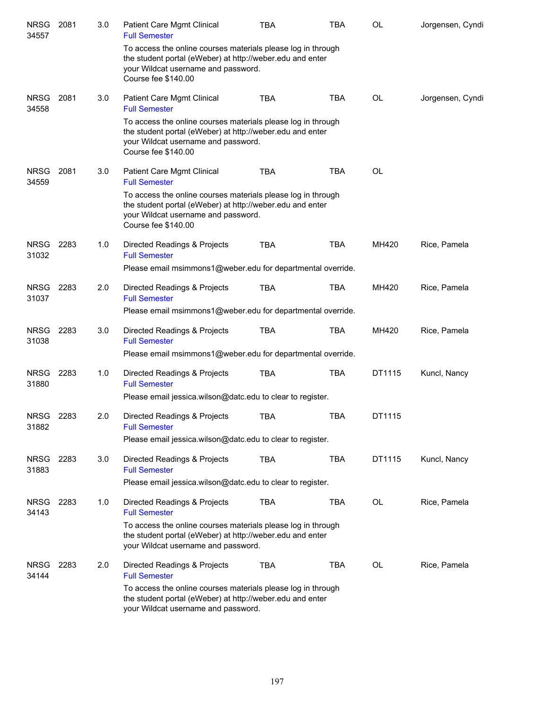| <b>NRSG</b><br>34557 | 2081 | 3.0 | Patient Care Mgmt Clinical<br><b>Full Semester</b>                                                                                                                                      | <b>TBA</b> | TBA        | OL        | Jorgensen, Cyndi |
|----------------------|------|-----|-----------------------------------------------------------------------------------------------------------------------------------------------------------------------------------------|------------|------------|-----------|------------------|
|                      |      |     | To access the online courses materials please log in through<br>the student portal (eWeber) at http://weber.edu and enter<br>your Wildcat username and password.<br>Course fee \$140.00 |            |            |           |                  |
| <b>NRSG</b><br>34558 | 2081 | 3.0 | Patient Care Mgmt Clinical<br><b>Full Semester</b>                                                                                                                                      | <b>TBA</b> | <b>TBA</b> | OL        | Jorgensen, Cyndi |
|                      |      |     | To access the online courses materials please log in through<br>the student portal (eWeber) at http://weber.edu and enter<br>your Wildcat username and password.<br>Course fee \$140.00 |            |            |           |                  |
| <b>NRSG</b><br>34559 | 2081 | 3.0 | Patient Care Mgmt Clinical<br><b>Full Semester</b>                                                                                                                                      | <b>TBA</b> | <b>TBA</b> | <b>OL</b> |                  |
|                      |      |     | To access the online courses materials please log in through<br>the student portal (eWeber) at http://weber.edu and enter<br>your Wildcat username and password.<br>Course fee \$140.00 |            |            |           |                  |
| <b>NRSG</b><br>31032 | 2283 | 1.0 | Directed Readings & Projects<br><b>Full Semester</b>                                                                                                                                    | <b>TBA</b> | <b>TBA</b> | MH420     | Rice, Pamela     |
|                      |      |     | Please email msimmons1@weber.edu for departmental override.                                                                                                                             |            |            |           |                  |
| <b>NRSG</b><br>31037 | 2283 | 2.0 | Directed Readings & Projects<br><b>Full Semester</b>                                                                                                                                    | <b>TBA</b> | <b>TBA</b> | MH420     | Rice, Pamela     |
|                      |      |     | Please email msimmons1@weber.edu for departmental override.                                                                                                                             |            |            |           |                  |
| <b>NRSG</b><br>31038 | 2283 | 3.0 | Directed Readings & Projects<br><b>Full Semester</b>                                                                                                                                    | <b>TBA</b> | <b>TBA</b> | MH420     | Rice, Pamela     |
|                      |      |     | Please email msimmons1@weber.edu for departmental override.                                                                                                                             |            |            |           |                  |
| <b>NRSG</b><br>31880 | 2283 | 1.0 | Directed Readings & Projects<br><b>Full Semester</b>                                                                                                                                    | <b>TBA</b> | <b>TBA</b> | DT1115    | Kuncl, Nancy     |
|                      |      |     | Please email jessica.wilson@datc.edu to clear to register.                                                                                                                              |            |            |           |                  |
| <b>NRSG</b><br>31882 | 2283 | 2.0 | Directed Readings & Projects<br><b>Full Semester</b>                                                                                                                                    | <b>TBA</b> | <b>TBA</b> | DT1115    |                  |
|                      |      |     | Please email jessica wilson@datc.edu to clear to register.                                                                                                                              |            |            |           |                  |
| <b>NRSG</b><br>31883 | 2283 | 3.0 | Directed Readings & Projects<br><b>Full Semester</b>                                                                                                                                    | <b>TBA</b> | <b>TBA</b> | DT1115    | Kuncl, Nancy     |
|                      |      |     | Please email jessica.wilson@datc.edu to clear to register.                                                                                                                              |            |            |           |                  |
| <b>NRSG</b><br>34143 | 2283 | 1.0 | Directed Readings & Projects<br><b>Full Semester</b>                                                                                                                                    | <b>TBA</b> | <b>TBA</b> | OL        | Rice, Pamela     |
|                      |      |     | To access the online courses materials please log in through<br>the student portal (eWeber) at http://weber.edu and enter<br>your Wildcat username and password.                        |            |            |           |                  |
| <b>NRSG</b><br>34144 | 2283 | 2.0 | Directed Readings & Projects<br><b>Full Semester</b>                                                                                                                                    | <b>TBA</b> | <b>TBA</b> | <b>OL</b> | Rice, Pamela     |
|                      |      |     | To access the online courses materials please log in through<br>the student portal (eWeber) at http://weber.edu and enter<br>your Wildcat username and password.                        |            |            |           |                  |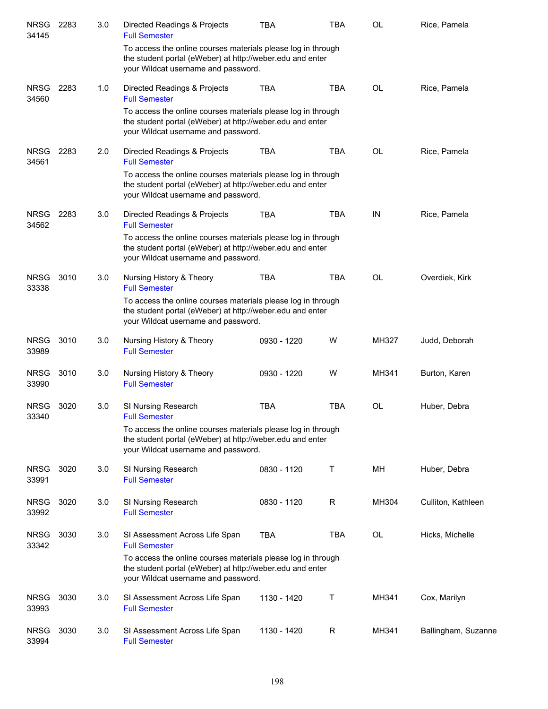| <b>NRSG</b><br>34145 | 2283 | 3.0 | Directed Readings & Projects<br><b>Full Semester</b>                                                                                                             | <b>TBA</b>  | <b>TBA</b> | <b>OL</b> | Rice, Pamela        |
|----------------------|------|-----|------------------------------------------------------------------------------------------------------------------------------------------------------------------|-------------|------------|-----------|---------------------|
|                      |      |     | To access the online courses materials please log in through<br>the student portal (eWeber) at http://weber.edu and enter<br>your Wildcat username and password. |             |            |           |                     |
| <b>NRSG</b><br>34560 | 2283 | 1.0 | Directed Readings & Projects<br><b>Full Semester</b>                                                                                                             | <b>TBA</b>  | <b>TBA</b> | <b>OL</b> | Rice, Pamela        |
|                      |      |     | To access the online courses materials please log in through<br>the student portal (eWeber) at http://weber.edu and enter<br>your Wildcat username and password. |             |            |           |                     |
| <b>NRSG</b><br>34561 | 2283 | 2.0 | Directed Readings & Projects<br><b>Full Semester</b>                                                                                                             | <b>TBA</b>  | <b>TBA</b> | <b>OL</b> | Rice, Pamela        |
|                      |      |     | To access the online courses materials please log in through<br>the student portal (eWeber) at http://weber.edu and enter<br>your Wildcat username and password. |             |            |           |                     |
| <b>NRSG</b><br>34562 | 2283 | 3.0 | Directed Readings & Projects<br><b>Full Semester</b>                                                                                                             | <b>TBA</b>  | <b>TBA</b> | IN        | Rice, Pamela        |
|                      |      |     | To access the online courses materials please log in through<br>the student portal (eWeber) at http://weber.edu and enter<br>your Wildcat username and password. |             |            |           |                     |
| <b>NRSG</b><br>33338 | 3010 | 3.0 | Nursing History & Theory<br><b>Full Semester</b>                                                                                                                 | <b>TBA</b>  | <b>TBA</b> | <b>OL</b> | Overdiek, Kirk      |
|                      |      |     | To access the online courses materials please log in through<br>the student portal (eWeber) at http://weber.edu and enter<br>your Wildcat username and password. |             |            |           |                     |
| <b>NRSG</b><br>33989 | 3010 | 3.0 | Nursing History & Theory<br><b>Full Semester</b>                                                                                                                 | 0930 - 1220 | W          | MH327     | Judd, Deborah       |
| <b>NRSG</b><br>33990 | 3010 | 3.0 | Nursing History & Theory<br><b>Full Semester</b>                                                                                                                 | 0930 - 1220 | W          | MH341     | Burton, Karen       |
| <b>NRSG</b><br>33340 | 3020 | 3.0 | SI Nursing Research<br><b>Full Semester</b>                                                                                                                      | TBA         | <b>TBA</b> | OL        | Huber, Debra        |
|                      |      |     | To access the online courses materials please log in through<br>the student portal (eWeber) at http://weber.edu and enter<br>your Wildcat username and password. |             |            |           |                     |
| <b>NRSG</b><br>33991 | 3020 | 3.0 | SI Nursing Research<br><b>Full Semester</b>                                                                                                                      | 0830 - 1120 | т          | MН        | Huber, Debra        |
| <b>NRSG</b><br>33992 | 3020 | 3.0 | SI Nursing Research<br><b>Full Semester</b>                                                                                                                      | 0830 - 1120 | R          | MH304     | Culliton, Kathleen  |
| <b>NRSG</b><br>33342 | 3030 | 3.0 | SI Assessment Across Life Span<br><b>Full Semester</b>                                                                                                           | <b>TBA</b>  | <b>TBA</b> | <b>OL</b> | Hicks, Michelle     |
|                      |      |     | To access the online courses materials please log in through<br>the student portal (eWeber) at http://weber.edu and enter<br>your Wildcat username and password. |             |            |           |                     |
| <b>NRSG</b><br>33993 | 3030 | 3.0 | SI Assessment Across Life Span<br><b>Full Semester</b>                                                                                                           | 1130 - 1420 | т          | MH341     | Cox, Marilyn        |
| <b>NRSG</b><br>33994 | 3030 | 3.0 | SI Assessment Across Life Span<br><b>Full Semester</b>                                                                                                           | 1130 - 1420 | R          | MH341     | Ballingham, Suzanne |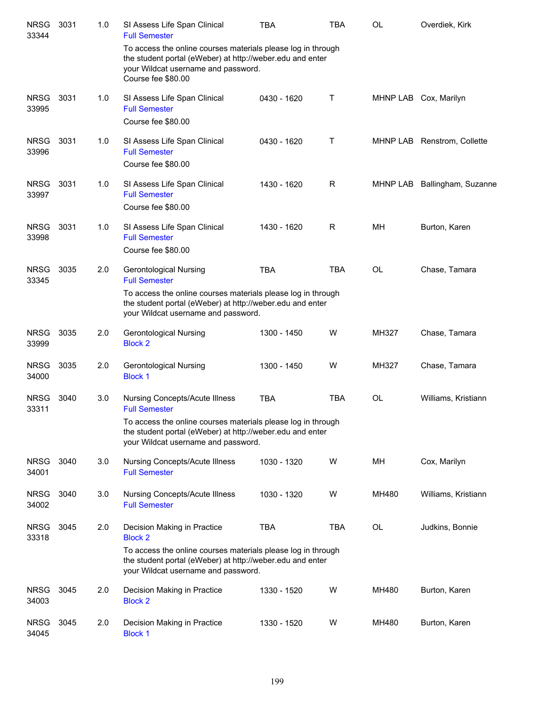| <b>NRSG</b><br>33344 | 3031 | 1.0 | SI Assess Life Span Clinical<br><b>Full Semester</b>                                                                                                                                   | <b>TBA</b>  | <b>TBA</b> | <b>OL</b>    | Overdiek, Kirk              |
|----------------------|------|-----|----------------------------------------------------------------------------------------------------------------------------------------------------------------------------------------|-------------|------------|--------------|-----------------------------|
|                      |      |     | To access the online courses materials please log in through<br>the student portal (eWeber) at http://weber.edu and enter<br>your Wildcat username and password.<br>Course fee \$80.00 |             |            |              |                             |
| <b>NRSG</b><br>33995 | 3031 | 1.0 | SI Assess Life Span Clinical<br><b>Full Semester</b>                                                                                                                                   | 0430 - 1620 | Τ          |              | MHNP LAB Cox, Marilyn       |
|                      |      |     | Course fee \$80.00                                                                                                                                                                     |             |            |              |                             |
| <b>NRSG</b><br>33996 | 3031 | 1.0 | SI Assess Life Span Clinical<br><b>Full Semester</b><br>Course fee \$80.00                                                                                                             | 0430 - 1620 | Τ          |              | MHNP LAB Renstrom, Collette |
| <b>NRSG</b>          | 3031 | 1.0 | SI Assess Life Span Clinical                                                                                                                                                           | 1430 - 1620 | R          | MHNP LAB     | Ballingham, Suzanne         |
| 33997                |      |     | <b>Full Semester</b><br>Course fee \$80.00                                                                                                                                             |             |            |              |                             |
| <b>NRSG</b><br>33998 | 3031 | 1.0 | SI Assess Life Span Clinical<br><b>Full Semester</b>                                                                                                                                   | 1430 - 1620 | R          | МH           | Burton, Karen               |
|                      |      |     | Course fee \$80.00                                                                                                                                                                     |             |            |              |                             |
| <b>NRSG</b><br>33345 | 3035 | 2.0 | Gerontological Nursing<br><b>Full Semester</b>                                                                                                                                         | <b>TBA</b>  | <b>TBA</b> | <b>OL</b>    | Chase, Tamara               |
|                      |      |     | To access the online courses materials please log in through<br>the student portal (eWeber) at http://weber.edu and enter<br>your Wildcat username and password.                       |             |            |              |                             |
| <b>NRSG</b><br>33999 | 3035 | 2.0 | <b>Gerontological Nursing</b><br><b>Block 2</b>                                                                                                                                        | 1300 - 1450 | W          | MH327        | Chase, Tamara               |
| <b>NRSG</b><br>34000 | 3035 | 2.0 | <b>Gerontological Nursing</b><br><b>Block 1</b>                                                                                                                                        | 1300 - 1450 | W          | <b>MH327</b> | Chase, Tamara               |
| <b>NRSG</b><br>33311 | 3040 | 3.0 | <b>Nursing Concepts/Acute Illness</b><br><b>Full Semester</b>                                                                                                                          | <b>TBA</b>  | <b>TBA</b> | <b>OL</b>    | Williams, Kristiann         |
|                      |      |     | To access the online courses materials please log in through<br>the student portal (eWeber) at http://weber.edu and enter<br>your Wildcat username and password.                       |             |            |              |                             |
| <b>NRSG</b><br>34001 | 3040 | 3.0 | Nursing Concepts/Acute Illness<br><b>Full Semester</b>                                                                                                                                 | 1030 - 1320 | W          | MН           | Cox, Marilyn                |
| <b>NRSG</b><br>34002 | 3040 | 3.0 | <b>Nursing Concepts/Acute Illness</b><br><b>Full Semester</b>                                                                                                                          | 1030 - 1320 | W          | MH480        | Williams, Kristiann         |
| <b>NRSG</b><br>33318 | 3045 | 2.0 | Decision Making in Practice<br><b>Block 2</b>                                                                                                                                          | <b>TBA</b>  | <b>TBA</b> | OL           | Judkins, Bonnie             |
|                      |      |     | To access the online courses materials please log in through<br>the student portal (eWeber) at http://weber.edu and enter<br>your Wildcat username and password.                       |             |            |              |                             |
| <b>NRSG</b><br>34003 | 3045 | 2.0 | Decision Making in Practice<br><b>Block 2</b>                                                                                                                                          | 1330 - 1520 | W          | MH480        | Burton, Karen               |
| <b>NRSG</b><br>34045 | 3045 | 2.0 | Decision Making in Practice<br><b>Block 1</b>                                                                                                                                          | 1330 - 1520 | W          | MH480        | Burton, Karen               |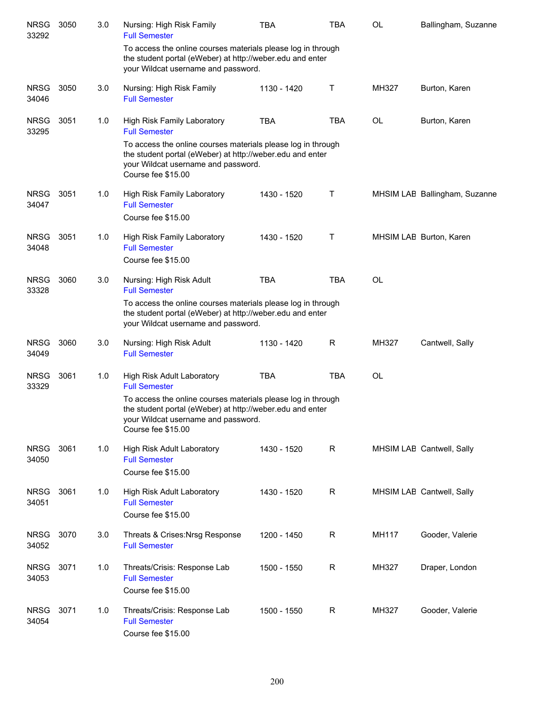| <b>NRSG</b><br>33292 | 3050 | 3.0 | Nursing: High Risk Family<br><b>Full Semester</b>                                                                                                                                      | TBA         | TBA         | OL    | Ballingham, Suzanne           |
|----------------------|------|-----|----------------------------------------------------------------------------------------------------------------------------------------------------------------------------------------|-------------|-------------|-------|-------------------------------|
|                      |      |     | To access the online courses materials please log in through<br>the student portal (eWeber) at http://weber.edu and enter<br>your Wildcat username and password.                       |             |             |       |                               |
| <b>NRSG</b><br>34046 | 3050 | 3.0 | Nursing: High Risk Family<br><b>Full Semester</b>                                                                                                                                      | 1130 - 1420 | Т           | MH327 | Burton, Karen                 |
| <b>NRSG</b><br>33295 | 3051 | 1.0 | High Risk Family Laboratory<br><b>Full Semester</b>                                                                                                                                    | <b>TBA</b>  | <b>TBA</b>  | OL    | Burton, Karen                 |
|                      |      |     | To access the online courses materials please log in through<br>the student portal (eWeber) at http://weber.edu and enter<br>your Wildcat username and password.<br>Course fee \$15.00 |             |             |       |                               |
| <b>NRSG</b><br>34047 | 3051 | 1.0 | High Risk Family Laboratory<br><b>Full Semester</b><br>Course fee \$15.00                                                                                                              | 1430 - 1520 | Τ           |       | MHSIM LAE Ballingham, Suzanne |
| <b>NRSG</b><br>34048 | 3051 | 1.0 | High Risk Family Laboratory<br><b>Full Semester</b><br>Course fee \$15.00                                                                                                              | 1430 - 1520 | Τ           |       | MHSIM LAE Burton, Karen       |
| <b>NRSG</b><br>33328 | 3060 | 3.0 | Nursing: High Risk Adult<br><b>Full Semester</b>                                                                                                                                       | <b>TBA</b>  | <b>TBA</b>  | OL    |                               |
|                      |      |     | To access the online courses materials please log in through<br>the student portal (eWeber) at http://weber.edu and enter<br>your Wildcat username and password.                       |             |             |       |                               |
| <b>NRSG</b><br>34049 | 3060 | 3.0 | Nursing: High Risk Adult<br><b>Full Semester</b>                                                                                                                                       | 1130 - 1420 | R           | MH327 | Cantwell, Sally               |
| <b>NRSG</b><br>33329 | 3061 | 1.0 | High Risk Adult Laboratory<br><b>Full Semester</b>                                                                                                                                     | <b>TBA</b>  | <b>TBA</b>  | OL    |                               |
|                      |      |     | To access the online courses materials please log in through<br>the student portal (eWeber) at http://weber.edu and enter<br>your Wildcat username and password.<br>Course fee \$15.00 |             |             |       |                               |
| <b>NRSG</b><br>34050 | 3061 | 1.0 | High Risk Adult Laboratory<br><b>Full Semester</b><br>Course fee \$15.00                                                                                                               | 1430 - 1520 | R           |       | MHSIM LAE Cantwell, Sally     |
| <b>NRSG</b><br>34051 | 3061 | 1.0 | <b>High Risk Adult Laboratory</b><br><b>Full Semester</b><br>Course fee \$15.00                                                                                                        | 1430 - 1520 | $\mathsf R$ |       | MHSIM LAE Cantwell, Sally     |
| <b>NRSG</b><br>34052 | 3070 | 3.0 | Threats & Crises: Nrsg Response<br><b>Full Semester</b>                                                                                                                                | 1200 - 1450 | $\mathsf R$ | MH117 | Gooder, Valerie               |
| <b>NRSG</b><br>34053 | 3071 | 1.0 | Threats/Crisis: Response Lab<br><b>Full Semester</b><br>Course fee \$15.00                                                                                                             | 1500 - 1550 | R           | MH327 | Draper, London                |
| <b>NRSG</b><br>34054 | 3071 | 1.0 | Threats/Crisis: Response Lab<br><b>Full Semester</b><br>Course fee \$15.00                                                                                                             | 1500 - 1550 | R           | MH327 | Gooder, Valerie               |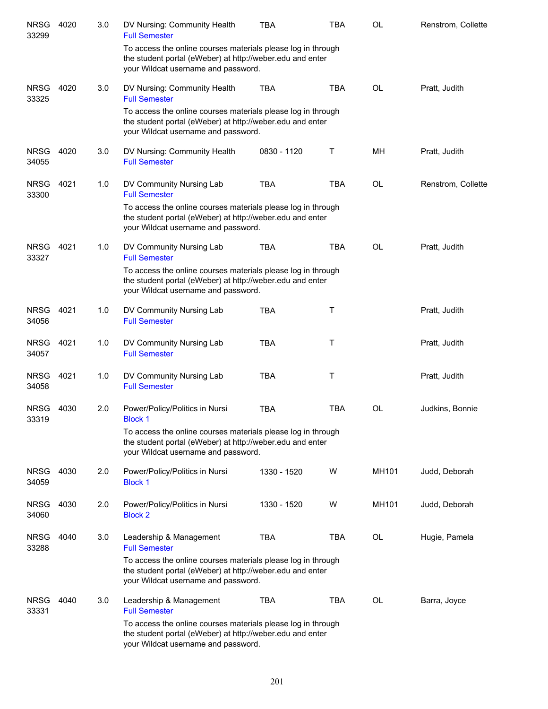| <b>NRSG</b><br>33299 | 4020 | 3.0 | DV Nursing: Community Health<br><b>Full Semester</b>                                                                                                             | TBA         | <b>TBA</b> | OL        | Renstrom, Collette |
|----------------------|------|-----|------------------------------------------------------------------------------------------------------------------------------------------------------------------|-------------|------------|-----------|--------------------|
|                      |      |     | To access the online courses materials please log in through<br>the student portal (eWeber) at http://weber.edu and enter<br>your Wildcat username and password. |             |            |           |                    |
| <b>NRSG</b><br>33325 | 4020 | 3.0 | DV Nursing: Community Health<br><b>Full Semester</b>                                                                                                             | <b>TBA</b>  | <b>TBA</b> | <b>OL</b> | Pratt, Judith      |
|                      |      |     | To access the online courses materials please log in through<br>the student portal (eWeber) at http://weber.edu and enter<br>your Wildcat username and password. |             |            |           |                    |
| <b>NRSG</b><br>34055 | 4020 | 3.0 | DV Nursing: Community Health<br><b>Full Semester</b>                                                                                                             | 0830 - 1120 | Τ          | MН        | Pratt, Judith      |
| <b>NRSG</b><br>33300 | 4021 | 1.0 | DV Community Nursing Lab<br><b>Full Semester</b>                                                                                                                 | <b>TBA</b>  | <b>TBA</b> | <b>OL</b> | Renstrom, Collette |
|                      |      |     | To access the online courses materials please log in through<br>the student portal (eWeber) at http://weber.edu and enter<br>your Wildcat username and password. |             |            |           |                    |
| <b>NRSG</b><br>33327 | 4021 | 1.0 | DV Community Nursing Lab<br><b>Full Semester</b>                                                                                                                 | <b>TBA</b>  | <b>TBA</b> | <b>OL</b> | Pratt, Judith      |
|                      |      |     | To access the online courses materials please log in through<br>the student portal (eWeber) at http://weber.edu and enter<br>your Wildcat username and password. |             |            |           |                    |
| <b>NRSG</b><br>34056 | 4021 | 1.0 | DV Community Nursing Lab<br><b>Full Semester</b>                                                                                                                 | <b>TBA</b>  | Τ          |           | Pratt, Judith      |
| <b>NRSG</b><br>34057 | 4021 | 1.0 | DV Community Nursing Lab<br><b>Full Semester</b>                                                                                                                 | <b>TBA</b>  | Τ          |           | Pratt, Judith      |
| <b>NRSG</b><br>34058 | 4021 | 1.0 | DV Community Nursing Lab<br><b>Full Semester</b>                                                                                                                 | <b>TBA</b>  | Τ          |           | Pratt, Judith      |
| <b>NRSG</b><br>33319 | 4030 | 2.0 | Power/Policy/Politics in Nursi<br><b>Block 1</b>                                                                                                                 | <b>TBA</b>  | <b>TBA</b> | <b>OL</b> | Judkins, Bonnie    |
|                      |      |     | To access the online courses materials please log in through<br>the student portal (eWeber) at http://weber.edu and enter<br>your Wildcat username and password. |             |            |           |                    |
| <b>NRSG</b><br>34059 | 4030 | 2.0 | Power/Policy/Politics in Nursi<br><b>Block 1</b>                                                                                                                 | 1330 - 1520 | W          | MH101     | Judd, Deborah      |
| <b>NRSG</b><br>34060 | 4030 | 2.0 | Power/Policy/Politics in Nursi<br><b>Block 2</b>                                                                                                                 | 1330 - 1520 | W          | MH101     | Judd, Deborah      |
| <b>NRSG</b><br>33288 | 4040 | 3.0 | Leadership & Management<br><b>Full Semester</b>                                                                                                                  | <b>TBA</b>  | <b>TBA</b> | OL        | Hugie, Pamela      |
|                      |      |     | To access the online courses materials please log in through<br>the student portal (eWeber) at http://weber.edu and enter<br>your Wildcat username and password. |             |            |           |                    |
| <b>NRSG</b><br>33331 | 4040 | 3.0 | Leadership & Management<br><b>Full Semester</b>                                                                                                                  | <b>TBA</b>  | <b>TBA</b> | <b>OL</b> | Barra, Joyce       |
|                      |      |     | To access the online courses materials please log in through<br>the student portal (eWeber) at http://weber.edu and enter<br>your Wildcat username and password. |             |            |           |                    |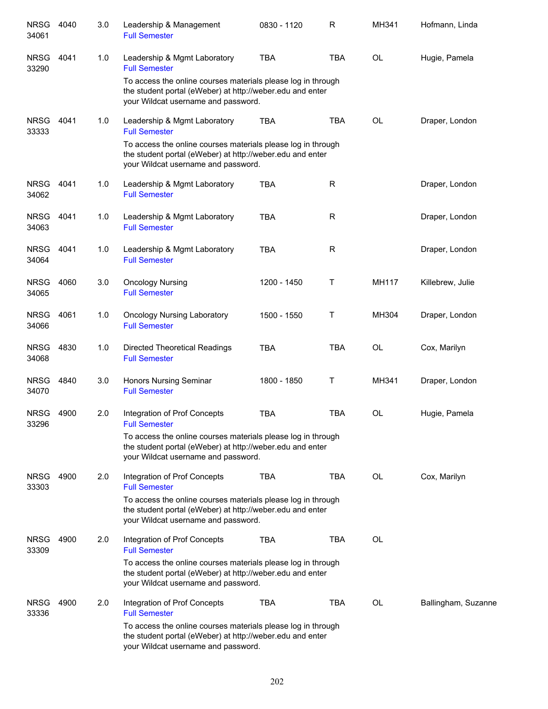| <b>NRSG</b><br>34061 | 4040 | 3.0 | Leadership & Management<br><b>Full Semester</b>                                                                                                                  | 0830 - 1120 | R          | MH341        | Hofmann, Linda      |
|----------------------|------|-----|------------------------------------------------------------------------------------------------------------------------------------------------------------------|-------------|------------|--------------|---------------------|
| <b>NRSG</b><br>33290 | 4041 | 1.0 | Leadership & Mgmt Laboratory<br><b>Full Semester</b>                                                                                                             | <b>TBA</b>  | <b>TBA</b> | <b>OL</b>    | Hugie, Pamela       |
|                      |      |     | To access the online courses materials please log in through<br>the student portal (eWeber) at http://weber.edu and enter<br>your Wildcat username and password. |             |            |              |                     |
| <b>NRSG</b><br>33333 | 4041 | 1.0 | Leadership & Mgmt Laboratory<br><b>Full Semester</b>                                                                                                             | <b>TBA</b>  | <b>TBA</b> | <b>OL</b>    | Draper, London      |
|                      |      |     | To access the online courses materials please log in through<br>the student portal (eWeber) at http://weber.edu and enter<br>your Wildcat username and password. |             |            |              |                     |
| <b>NRSG</b><br>34062 | 4041 | 1.0 | Leadership & Mgmt Laboratory<br><b>Full Semester</b>                                                                                                             | <b>TBA</b>  | R          |              | Draper, London      |
| <b>NRSG</b><br>34063 | 4041 | 1.0 | Leadership & Mgmt Laboratory<br><b>Full Semester</b>                                                                                                             | <b>TBA</b>  | R          |              | Draper, London      |
| <b>NRSG</b><br>34064 | 4041 | 1.0 | Leadership & Mgmt Laboratory<br><b>Full Semester</b>                                                                                                             | <b>TBA</b>  | R          |              | Draper, London      |
| <b>NRSG</b><br>34065 | 4060 | 3.0 | <b>Oncology Nursing</b><br><b>Full Semester</b>                                                                                                                  | 1200 - 1450 | Τ          | <b>MH117</b> | Killebrew, Julie    |
| <b>NRSG</b><br>34066 | 4061 | 1.0 | <b>Oncology Nursing Laboratory</b><br><b>Full Semester</b>                                                                                                       | 1500 - 1550 | Τ          | MH304        | Draper, London      |
| <b>NRSG</b><br>34068 | 4830 | 1.0 | <b>Directed Theoretical Readings</b><br><b>Full Semester</b>                                                                                                     | <b>TBA</b>  | <b>TBA</b> | OL           | Cox, Marilyn        |
| <b>NRSG</b><br>34070 | 4840 | 3.0 | Honors Nursing Seminar<br><b>Full Semester</b>                                                                                                                   | 1800 - 1850 | Τ          | MH341        | Draper, London      |
| <b>NRSG</b><br>33296 | 4900 | 2.0 | Integration of Prof Concepts<br><b>Full Semester</b>                                                                                                             | <b>TBA</b>  | <b>TBA</b> | <b>OL</b>    | Hugie, Pamela       |
|                      |      |     | To access the online courses materials please log in through<br>the student portal (eWeber) at http://weber.edu and enter<br>your Wildcat username and password. |             |            |              |                     |
| <b>NRSG</b><br>33303 | 4900 | 2.0 | Integration of Prof Concepts<br><b>Full Semester</b>                                                                                                             | <b>TBA</b>  | <b>TBA</b> | <b>OL</b>    | Cox, Marilyn        |
|                      |      |     | To access the online courses materials please log in through<br>the student portal (eWeber) at http://weber.edu and enter<br>your Wildcat username and password. |             |            |              |                     |
| <b>NRSG</b><br>33309 | 4900 | 2.0 | Integration of Prof Concepts<br><b>Full Semester</b>                                                                                                             | TBA         | <b>TBA</b> | <b>OL</b>    |                     |
|                      |      |     | To access the online courses materials please log in through<br>the student portal (eWeber) at http://weber.edu and enter<br>your Wildcat username and password. |             |            |              |                     |
| <b>NRSG</b><br>33336 | 4900 | 2.0 | Integration of Prof Concepts<br><b>Full Semester</b>                                                                                                             | <b>TBA</b>  | TBA        | OL           | Ballingham, Suzanne |
|                      |      |     | To access the online courses materials please log in through<br>the student portal (eWeber) at http://weber.edu and enter<br>your Wildcat username and password. |             |            |              |                     |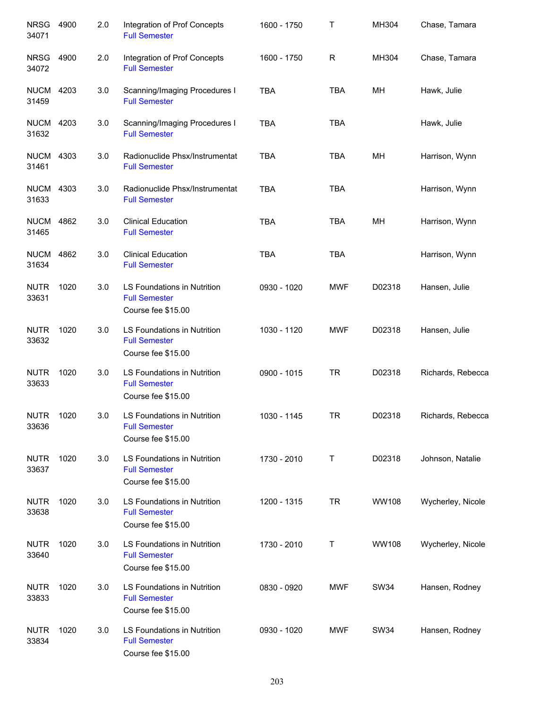| <b>NRSG</b><br>34071      | 4900 | 2.0 | Integration of Prof Concepts<br><b>Full Semester</b>                      | 1600 - 1750 | Т           | MH304        | Chase, Tamara     |
|---------------------------|------|-----|---------------------------------------------------------------------------|-------------|-------------|--------------|-------------------|
| <b>NRSG</b><br>34072      | 4900 | 2.0 | Integration of Prof Concepts<br><b>Full Semester</b>                      | 1600 - 1750 | $\mathsf R$ | MH304        | Chase, Tamara     |
| <b>NUCM</b><br>31459      | 4203 | 3.0 | Scanning/Imaging Procedures I<br><b>Full Semester</b>                     | <b>TBA</b>  | <b>TBA</b>  | MH           | Hawk, Julie       |
| <b>NUCM 4203</b><br>31632 |      | 3.0 | Scanning/Imaging Procedures I<br><b>Full Semester</b>                     | <b>TBA</b>  | <b>TBA</b>  |              | Hawk, Julie       |
| <b>NUCM 4303</b><br>31461 |      | 3.0 | Radionuclide Phsx/Instrumentat<br><b>Full Semester</b>                    | <b>TBA</b>  | TBA         | MH           | Harrison, Wynn    |
| <b>NUCM 4303</b><br>31633 |      | 3.0 | Radionuclide Phsx/Instrumentat<br><b>Full Semester</b>                    | <b>TBA</b>  | <b>TBA</b>  |              | Harrison, Wynn    |
| <b>NUCM</b><br>31465      | 4862 | 3.0 | <b>Clinical Education</b><br><b>Full Semester</b>                         | <b>TBA</b>  | <b>TBA</b>  | MH           | Harrison, Wynn    |
| <b>NUCM</b><br>31634      | 4862 | 3.0 | <b>Clinical Education</b><br><b>Full Semester</b>                         | <b>TBA</b>  | <b>TBA</b>  |              | Harrison, Wynn    |
| <b>NUTR</b><br>33631      | 1020 | 3.0 | LS Foundations in Nutrition<br><b>Full Semester</b><br>Course fee \$15.00 | 0930 - 1020 | <b>MWF</b>  | D02318       | Hansen, Julie     |
| <b>NUTR</b><br>33632      | 1020 | 3.0 | LS Foundations in Nutrition<br><b>Full Semester</b><br>Course fee \$15.00 | 1030 - 1120 | <b>MWF</b>  | D02318       | Hansen, Julie     |
| <b>NUTR</b><br>33633      | 1020 | 3.0 | LS Foundations in Nutrition<br><b>Full Semester</b><br>Course fee \$15.00 | 0900 - 1015 | <b>TR</b>   | D02318       | Richards, Rebecca |
| <b>NUTR</b><br>33636      | 1020 | 3.0 | LS Foundations in Nutrition<br><b>Full Semester</b><br>Course fee \$15.00 | 1030 - 1145 | <b>TR</b>   | D02318       | Richards, Rebecca |
| <b>NUTR</b><br>33637      | 1020 | 3.0 | LS Foundations in Nutrition<br><b>Full Semester</b><br>Course fee \$15.00 | 1730 - 2010 | Τ           | D02318       | Johnson, Natalie  |
| <b>NUTR</b><br>33638      | 1020 | 3.0 | LS Foundations in Nutrition<br><b>Full Semester</b><br>Course fee \$15.00 | 1200 - 1315 | <b>TR</b>   | <b>WW108</b> | Wycherley, Nicole |
| <b>NUTR</b><br>33640      | 1020 | 3.0 | LS Foundations in Nutrition<br><b>Full Semester</b><br>Course fee \$15.00 | 1730 - 2010 | Τ           | <b>WW108</b> | Wycherley, Nicole |
| <b>NUTR</b><br>33833      | 1020 | 3.0 | LS Foundations in Nutrition<br><b>Full Semester</b><br>Course fee \$15.00 | 0830 - 0920 | <b>MWF</b>  | <b>SW34</b>  | Hansen, Rodney    |
| <b>NUTR</b><br>33834      | 1020 | 3.0 | LS Foundations in Nutrition<br><b>Full Semester</b><br>Course fee \$15.00 | 0930 - 1020 | <b>MWF</b>  | <b>SW34</b>  | Hansen, Rodney    |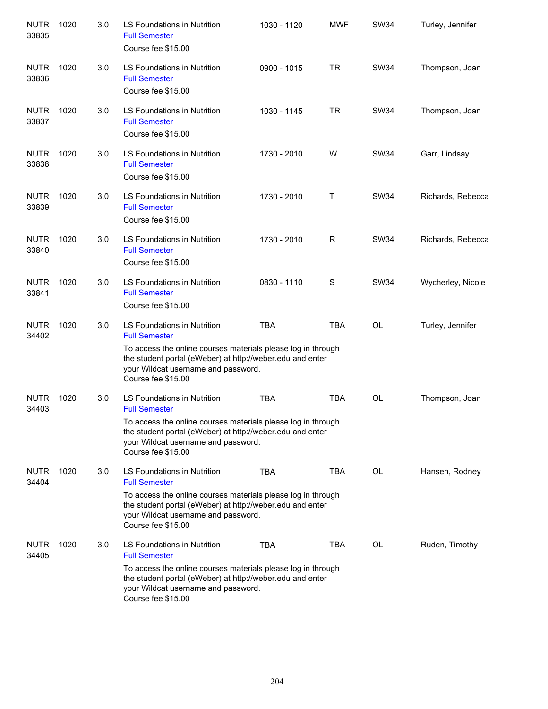| <b>NUTR</b><br>33835 | 1020 | 3.0 | <b>LS Foundations in Nutrition</b><br><b>Full Semester</b><br>Course fee \$15.00                                                                                                                                                              | 1030 - 1120 | <b>MWF</b> | <b>SW34</b> | Turley, Jennifer  |
|----------------------|------|-----|-----------------------------------------------------------------------------------------------------------------------------------------------------------------------------------------------------------------------------------------------|-------------|------------|-------------|-------------------|
| <b>NUTR</b><br>33836 | 1020 | 3.0 | LS Foundations in Nutrition<br><b>Full Semester</b><br>Course fee \$15.00                                                                                                                                                                     | 0900 - 1015 | <b>TR</b>  | <b>SW34</b> | Thompson, Joan    |
| <b>NUTR</b><br>33837 | 1020 | 3.0 | LS Foundations in Nutrition<br><b>Full Semester</b><br>Course fee \$15.00                                                                                                                                                                     | 1030 - 1145 | <b>TR</b>  | <b>SW34</b> | Thompson, Joan    |
| <b>NUTR</b><br>33838 | 1020 | 3.0 | LS Foundations in Nutrition<br><b>Full Semester</b><br>Course fee \$15.00                                                                                                                                                                     | 1730 - 2010 | W          | <b>SW34</b> | Garr, Lindsay     |
| <b>NUTR</b><br>33839 | 1020 | 3.0 | <b>LS Foundations in Nutrition</b><br><b>Full Semester</b><br>Course fee \$15.00                                                                                                                                                              | 1730 - 2010 | T          | <b>SW34</b> | Richards, Rebecca |
| <b>NUTR</b><br>33840 | 1020 | 3.0 | <b>LS Foundations in Nutrition</b><br><b>Full Semester</b><br>Course fee \$15.00                                                                                                                                                              | 1730 - 2010 | R          | <b>SW34</b> | Richards, Rebecca |
| <b>NUTR</b><br>33841 | 1020 | 3.0 | LS Foundations in Nutrition<br><b>Full Semester</b><br>Course fee \$15.00                                                                                                                                                                     | 0830 - 1110 | S          | <b>SW34</b> | Wycherley, Nicole |
| <b>NUTR</b><br>34402 | 1020 | 3.0 | LS Foundations in Nutrition<br><b>Full Semester</b><br>To access the online courses materials please log in through<br>the student portal (eWeber) at http://weber.edu and enter<br>your Wildcat username and password.<br>Course fee \$15.00 | <b>TBA</b>  | <b>TBA</b> | <b>OL</b>   | Turley, Jennifer  |
| <b>NUTR</b><br>34403 | 1020 | 3.0 | LS Foundations in Nutrition<br><b>Full Semester</b><br>To access the online courses materials please log in through<br>the student portal (eWeber) at http://weber.edu and enter<br>your Wildcat username and password.<br>Course fee \$15.00 | <b>TBA</b>  | <b>TBA</b> | <b>OL</b>   | Thompson, Joan    |
| <b>NUTR</b><br>34404 | 1020 | 3.0 | LS Foundations in Nutrition<br><b>Full Semester</b><br>To access the online courses materials please log in through<br>the student portal (eWeber) at http://weber.edu and enter<br>your Wildcat username and password.<br>Course fee \$15.00 | TBA         | <b>TBA</b> | OL          | Hansen, Rodney    |
| <b>NUTR</b><br>34405 | 1020 | 3.0 | LS Foundations in Nutrition<br><b>Full Semester</b><br>To access the online courses materials please log in through<br>the student portal (eWeber) at http://weber.edu and enter<br>your Wildcat username and password.<br>Course fee \$15.00 | <b>TBA</b>  | <b>TBA</b> | OL          | Ruden, Timothy    |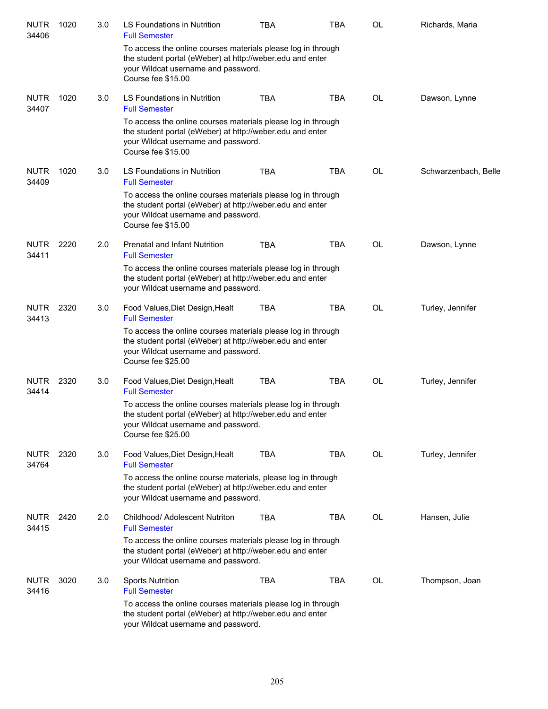| <b>NUTR</b><br>34406 | 1020 | 3.0 | LS Foundations in Nutrition<br><b>Full Semester</b>                                                                                                                                    | <b>TBA</b> | <b>TBA</b> | OL        | Richards, Maria      |
|----------------------|------|-----|----------------------------------------------------------------------------------------------------------------------------------------------------------------------------------------|------------|------------|-----------|----------------------|
|                      |      |     | To access the online courses materials please log in through<br>the student portal (eWeber) at http://weber.edu and enter<br>your Wildcat username and password.<br>Course fee \$15.00 |            |            |           |                      |
| <b>NUTR</b><br>34407 | 1020 | 3.0 | LS Foundations in Nutrition<br><b>Full Semester</b>                                                                                                                                    | <b>TBA</b> | <b>TBA</b> | OL        | Dawson, Lynne        |
|                      |      |     | To access the online courses materials please log in through<br>the student portal (eWeber) at http://weber.edu and enter<br>your Wildcat username and password.<br>Course fee \$15.00 |            |            |           |                      |
| <b>NUTR</b><br>34409 | 1020 | 3.0 | LS Foundations in Nutrition<br><b>Full Semester</b>                                                                                                                                    | <b>TBA</b> | <b>TBA</b> | OL        | Schwarzenbach, Belle |
|                      |      |     | To access the online courses materials please log in through<br>the student portal (eWeber) at http://weber.edu and enter<br>your Wildcat username and password.<br>Course fee \$15.00 |            |            |           |                      |
| <b>NUTR</b><br>34411 | 2220 | 2.0 | Prenatal and Infant Nutrition<br><b>Full Semester</b>                                                                                                                                  | <b>TBA</b> | <b>TBA</b> | <b>OL</b> | Dawson, Lynne        |
|                      |      |     | To access the online courses materials please log in through<br>the student portal (eWeber) at http://weber.edu and enter<br>your Wildcat username and password.                       |            |            |           |                      |
| <b>NUTR</b><br>34413 | 2320 | 3.0 | Food Values, Diet Design, Healt<br><b>Full Semester</b>                                                                                                                                | <b>TBA</b> | <b>TBA</b> | <b>OL</b> | Turley, Jennifer     |
|                      |      |     | To access the online courses materials please log in through<br>the student portal (eWeber) at http://weber.edu and enter<br>your Wildcat username and password.<br>Course fee \$25.00 |            |            |           |                      |
| <b>NUTR</b><br>34414 | 2320 | 3.0 | Food Values, Diet Design, Healt<br><b>Full Semester</b>                                                                                                                                | <b>TBA</b> | <b>TBA</b> | OL        | Turley, Jennifer     |
|                      |      |     | To access the online courses materials please log in through<br>the student portal (eWeber) at http://weber.edu and enter<br>your Wildcat username and password.<br>Course fee \$25.00 |            |            |           |                      |
| <b>NUTR</b><br>34764 | 2320 | 3.0 | Food Values, Diet Design, Healt<br><b>Full Semester</b>                                                                                                                                | <b>TBA</b> | TBA        | <b>OL</b> | Turley, Jennifer     |
|                      |      |     | To access the online course materials, please log in through<br>the student portal (eWeber) at http://weber.edu and enter<br>your Wildcat username and password.                       |            |            |           |                      |
| <b>NUTR</b><br>34415 | 2420 | 2.0 | Childhood/ Adolescent Nutriton<br><b>Full Semester</b>                                                                                                                                 | <b>TBA</b> | <b>TBA</b> | OL        | Hansen, Julie        |
|                      |      |     | To access the online courses materials please log in through<br>the student portal (eWeber) at http://weber.edu and enter<br>your Wildcat username and password.                       |            |            |           |                      |
| <b>NUTR</b><br>34416 | 3020 | 3.0 | <b>Sports Nutrition</b><br><b>Full Semester</b>                                                                                                                                        | TBA        | TBA        | OL        | Thompson, Joan       |
|                      |      |     | To access the online courses materials please log in through<br>the student portal (eWeber) at http://weber.edu and enter<br>your Wildcat username and password.                       |            |            |           |                      |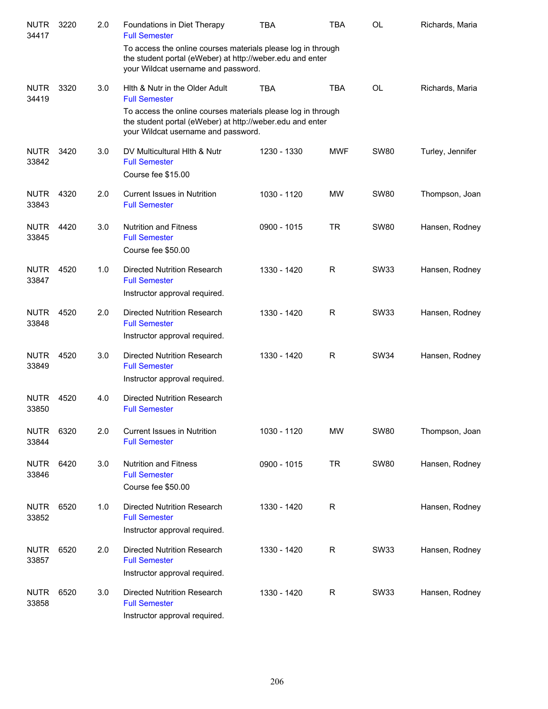| <b>NUTR</b><br>34417 | 3220 | 2.0 | Foundations in Diet Therapy<br><b>Full Semester</b>                                                                                                              | <b>TBA</b>  | TBA        | <b>OL</b>   | Richards, Maria  |
|----------------------|------|-----|------------------------------------------------------------------------------------------------------------------------------------------------------------------|-------------|------------|-------------|------------------|
|                      |      |     | To access the online courses materials please log in through<br>the student portal (eWeber) at http://weber.edu and enter<br>your Wildcat username and password. |             |            |             |                  |
| <b>NUTR</b><br>34419 | 3320 | 3.0 | Hith & Nutr in the Older Adult<br><b>Full Semester</b>                                                                                                           | <b>TBA</b>  | <b>TBA</b> | <b>OL</b>   | Richards, Maria  |
|                      |      |     | To access the online courses materials please log in through<br>the student portal (eWeber) at http://weber.edu and enter<br>your Wildcat username and password. |             |            |             |                  |
| <b>NUTR</b><br>33842 | 3420 | 3.0 | DV Multicultural Hith & Nutr<br><b>Full Semester</b><br>Course fee \$15.00                                                                                       | 1230 - 1330 | <b>MWF</b> | <b>SW80</b> | Turley, Jennifer |
| <b>NUTR</b><br>33843 | 4320 | 2.0 | <b>Current Issues in Nutrition</b><br><b>Full Semester</b>                                                                                                       | 1030 - 1120 | <b>MW</b>  | <b>SW80</b> | Thompson, Joan   |
| <b>NUTR</b><br>33845 | 4420 | 3.0 | <b>Nutrition and Fitness</b><br><b>Full Semester</b><br>Course fee \$50.00                                                                                       | 0900 - 1015 | <b>TR</b>  | <b>SW80</b> | Hansen, Rodney   |
| <b>NUTR</b><br>33847 | 4520 | 1.0 | Directed Nutrition Research<br><b>Full Semester</b><br>Instructor approval required.                                                                             | 1330 - 1420 | R          | SW33        | Hansen, Rodney   |
| <b>NUTR</b><br>33848 | 4520 | 2.0 | Directed Nutrition Research<br><b>Full Semester</b><br>Instructor approval required.                                                                             | 1330 - 1420 | R          | SW33        | Hansen, Rodney   |
| <b>NUTR</b><br>33849 | 4520 | 3.0 | Directed Nutrition Research<br><b>Full Semester</b><br>Instructor approval required.                                                                             | 1330 - 1420 | R          | SW34        | Hansen, Rodney   |
| <b>NUTR</b><br>33850 | 4520 | 4.0 | <b>Directed Nutrition Research</b><br><b>Full Semester</b>                                                                                                       |             |            |             |                  |
| <b>NUTR</b><br>33844 | 6320 | 2.0 | <b>Current Issues in Nutrition</b><br><b>Full Semester</b>                                                                                                       | 1030 - 1120 | MW         | <b>SW80</b> | Thompson, Joan   |
| <b>NUTR</b><br>33846 | 6420 | 3.0 | <b>Nutrition and Fitness</b><br><b>Full Semester</b><br>Course fee \$50.00                                                                                       | 0900 - 1015 | <b>TR</b>  | <b>SW80</b> | Hansen, Rodney   |
| <b>NUTR</b><br>33852 | 6520 | 1.0 | Directed Nutrition Research<br><b>Full Semester</b><br>Instructor approval required.                                                                             | 1330 - 1420 | R          |             | Hansen, Rodney   |
| <b>NUTR</b><br>33857 | 6520 | 2.0 | <b>Directed Nutrition Research</b><br><b>Full Semester</b><br>Instructor approval required.                                                                      | 1330 - 1420 | R          | <b>SW33</b> | Hansen, Rodney   |
| <b>NUTR</b><br>33858 | 6520 | 3.0 | <b>Directed Nutrition Research</b><br><b>Full Semester</b><br>Instructor approval required.                                                                      | 1330 - 1420 | R          | <b>SW33</b> | Hansen, Rodney   |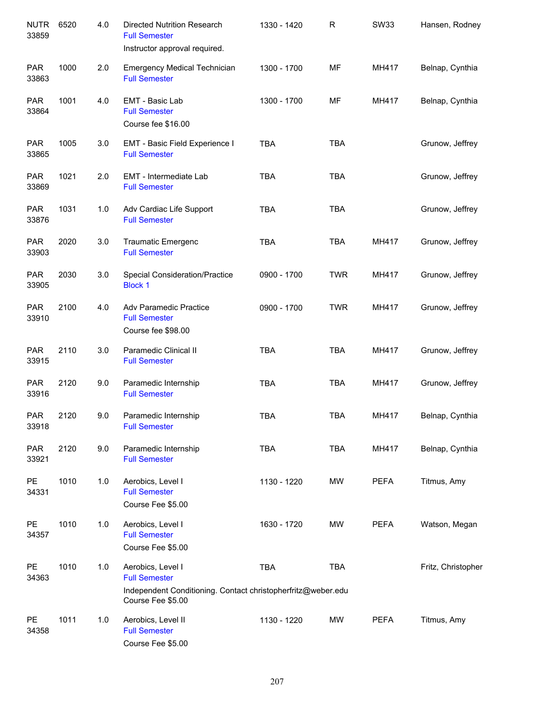| <b>NUTR</b><br>33859 | 6520 | 4.0 | <b>Directed Nutrition Research</b><br><b>Full Semester</b><br>Instructor approval required.                                    | 1330 - 1420 | $\mathsf R$ | <b>SW33</b> | Hansen, Rodney     |
|----------------------|------|-----|--------------------------------------------------------------------------------------------------------------------------------|-------------|-------------|-------------|--------------------|
| <b>PAR</b><br>33863  | 1000 | 2.0 | <b>Emergency Medical Technician</b><br><b>Full Semester</b>                                                                    | 1300 - 1700 | MF          | MH417       | Belnap, Cynthia    |
| <b>PAR</b><br>33864  | 1001 | 4.0 | EMT - Basic Lab<br><b>Full Semester</b><br>Course fee \$16.00                                                                  | 1300 - 1700 | MF          | MH417       | Belnap, Cynthia    |
| <b>PAR</b><br>33865  | 1005 | 3.0 | EMT - Basic Field Experience I<br><b>Full Semester</b>                                                                         | <b>TBA</b>  | <b>TBA</b>  |             | Grunow, Jeffrey    |
| <b>PAR</b><br>33869  | 1021 | 2.0 | EMT - Intermediate Lab<br><b>Full Semester</b>                                                                                 | <b>TBA</b>  | <b>TBA</b>  |             | Grunow, Jeffrey    |
| <b>PAR</b><br>33876  | 1031 | 1.0 | Adv Cardiac Life Support<br><b>Full Semester</b>                                                                               | <b>TBA</b>  | <b>TBA</b>  |             | Grunow, Jeffrey    |
| <b>PAR</b><br>33903  | 2020 | 3.0 | <b>Traumatic Emergenc</b><br><b>Full Semester</b>                                                                              | <b>TBA</b>  | <b>TBA</b>  | MH417       | Grunow, Jeffrey    |
| <b>PAR</b><br>33905  | 2030 | 3.0 | <b>Special Consideration/Practice</b><br><b>Block 1</b>                                                                        | 0900 - 1700 | <b>TWR</b>  | MH417       | Grunow, Jeffrey    |
| <b>PAR</b><br>33910  | 2100 | 4.0 | Adv Paramedic Practice<br><b>Full Semester</b><br>Course fee \$98.00                                                           | 0900 - 1700 | <b>TWR</b>  | MH417       | Grunow, Jeffrey    |
| <b>PAR</b><br>33915  | 2110 | 3.0 | Paramedic Clinical II<br><b>Full Semester</b>                                                                                  | <b>TBA</b>  | <b>TBA</b>  | MH417       | Grunow, Jeffrey    |
| <b>PAR</b><br>33916  | 2120 | 9.0 | Paramedic Internship<br><b>Full Semester</b>                                                                                   | <b>TBA</b>  | <b>TBA</b>  | MH417       | Grunow, Jeffrey    |
| <b>PAR</b><br>33918  | 2120 | 9.0 | Paramedic Internship<br><b>Full Semester</b>                                                                                   | <b>TBA</b>  | <b>TBA</b>  | MH417       | Belnap, Cynthia    |
| <b>PAR</b><br>33921  | 2120 | 9.0 | Paramedic Internship<br><b>Full Semester</b>                                                                                   | <b>TBA</b>  | <b>TBA</b>  | MH417       | Belnap, Cynthia    |
| <b>PE</b><br>34331   | 1010 | 1.0 | Aerobics, Level I<br><b>Full Semester</b><br>Course Fee \$5.00                                                                 | 1130 - 1220 | <b>MW</b>   | <b>PEFA</b> | Titmus, Amy        |
| <b>PE</b><br>34357   | 1010 | 1.0 | Aerobics, Level I<br><b>Full Semester</b><br>Course Fee \$5.00                                                                 | 1630 - 1720 | MW          | <b>PEFA</b> | Watson, Megan      |
| PE<br>34363          | 1010 | 1.0 | Aerobics, Level I<br><b>Full Semester</b><br>Independent Conditioning. Contact christopherfritz@weber.edu<br>Course Fee \$5.00 | <b>TBA</b>  | <b>TBA</b>  |             | Fritz, Christopher |
| <b>PE</b><br>34358   | 1011 | 1.0 | Aerobics, Level II<br><b>Full Semester</b><br>Course Fee \$5.00                                                                | 1130 - 1220 | MW          | <b>PEFA</b> | Titmus, Amy        |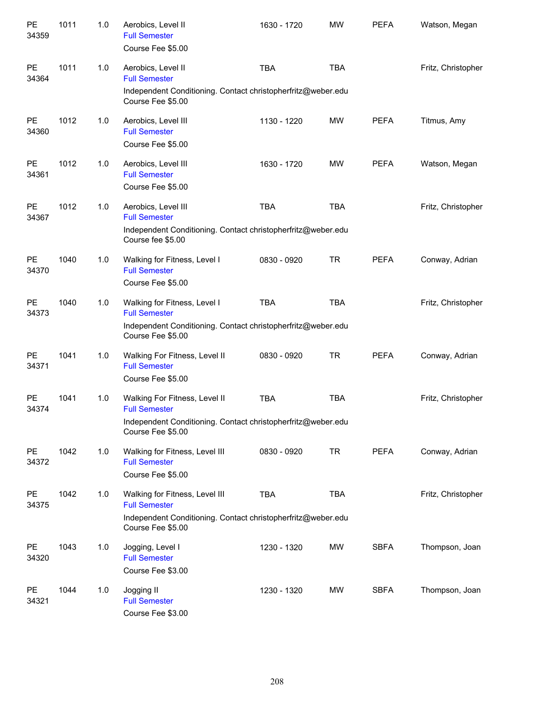| PE<br>34359        | 1011 | 1.0 | Aerobics, Level II<br><b>Full Semester</b><br>Course Fee \$5.00                                                                             | 1630 - 1720 | <b>MW</b>  | <b>PEFA</b> | Watson, Megan      |
|--------------------|------|-----|---------------------------------------------------------------------------------------------------------------------------------------------|-------------|------------|-------------|--------------------|
| PE<br>34364        | 1011 | 1.0 | Aerobics, Level II<br><b>Full Semester</b><br>Independent Conditioning. Contact christopherfritz@weber.edu<br>Course Fee \$5.00             | <b>TBA</b>  | <b>TBA</b> |             | Fritz, Christopher |
| <b>PE</b><br>34360 | 1012 | 1.0 | Aerobics, Level III<br><b>Full Semester</b><br>Course Fee \$5.00                                                                            | 1130 - 1220 | MW         | <b>PEFA</b> | Titmus, Amy        |
| <b>PE</b><br>34361 | 1012 | 1.0 | Aerobics, Level III<br><b>Full Semester</b><br>Course Fee \$5.00                                                                            | 1630 - 1720 | MW         | <b>PEFA</b> | Watson, Megan      |
| <b>PE</b><br>34367 | 1012 | 1.0 | Aerobics, Level III<br><b>Full Semester</b><br>Independent Conditioning. Contact christopherfritz@weber.edu<br>Course fee \$5.00            | <b>TBA</b>  | <b>TBA</b> |             | Fritz, Christopher |
| <b>PE</b><br>34370 | 1040 | 1.0 | Walking for Fitness, Level I<br><b>Full Semester</b><br>Course Fee \$5.00                                                                   | 0830 - 0920 | <b>TR</b>  | <b>PEFA</b> | Conway, Adrian     |
| <b>PE</b><br>34373 | 1040 | 1.0 | Walking for Fitness, Level I<br><b>Full Semester</b><br>Independent Conditioning. Contact christopherfritz@weber.edu<br>Course Fee \$5.00   | <b>TBA</b>  | <b>TBA</b> |             | Fritz, Christopher |
| <b>PE</b><br>34371 | 1041 | 1.0 | Walking For Fitness, Level II<br><b>Full Semester</b><br>Course Fee \$5.00                                                                  | 0830 - 0920 | <b>TR</b>  | <b>PEFA</b> | Conway, Adrian     |
| <b>PE</b><br>34374 | 1041 | 1.0 | Walking For Fitness, Level II<br><b>Full Semester</b><br>Independent Conditioning. Contact christopherfritz@weber.edu<br>Course Fee \$5.00  | <b>TBA</b>  | <b>TBA</b> |             | Fritz, Christopher |
| <b>PE</b><br>34372 | 1042 | 1.0 | Walking for Fitness, Level III<br><b>Full Semester</b><br>Course Fee \$5.00                                                                 | 0830 - 0920 | <b>TR</b>  | <b>PEFA</b> | Conway, Adrian     |
| <b>PE</b><br>34375 | 1042 | 1.0 | Walking for Fitness, Level III<br><b>Full Semester</b><br>Independent Conditioning. Contact christopherfritz@weber.edu<br>Course Fee \$5.00 | <b>TBA</b>  | <b>TBA</b> |             | Fritz, Christopher |
| <b>PE</b><br>34320 | 1043 | 1.0 | Jogging, Level I<br><b>Full Semester</b><br>Course Fee \$3.00                                                                               | 1230 - 1320 | <b>MW</b>  | <b>SBFA</b> | Thompson, Joan     |
| <b>PE</b><br>34321 | 1044 | 1.0 | Jogging II<br><b>Full Semester</b><br>Course Fee \$3.00                                                                                     | 1230 - 1320 | MW         | <b>SBFA</b> | Thompson, Joan     |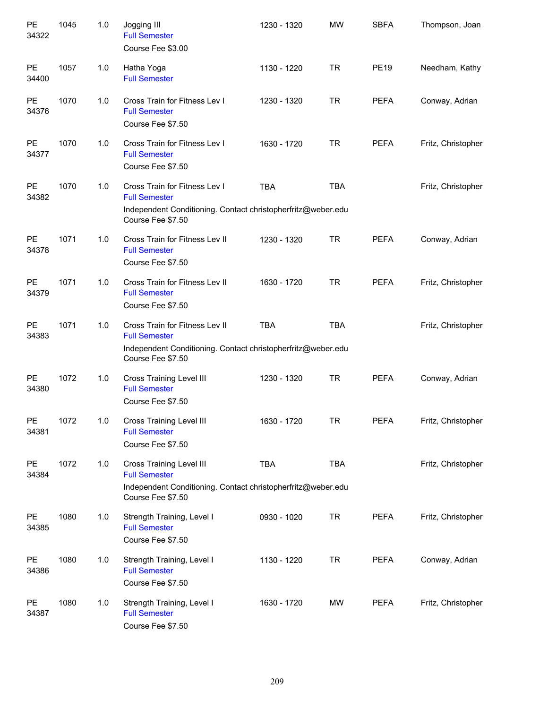| PE<br>34322        | 1045 | 1.0 | Jogging III<br><b>Full Semester</b><br>Course Fee \$3.00                                                                                     | 1230 - 1320 | <b>MW</b>  | <b>SBFA</b> | Thompson, Joan     |
|--------------------|------|-----|----------------------------------------------------------------------------------------------------------------------------------------------|-------------|------------|-------------|--------------------|
| PE<br>34400        | 1057 | 1.0 | Hatha Yoga<br><b>Full Semester</b>                                                                                                           | 1130 - 1220 | <b>TR</b>  | <b>PE19</b> | Needham, Kathy     |
| PE<br>34376        | 1070 | 1.0 | Cross Train for Fitness Lev I<br><b>Full Semester</b><br>Course Fee \$7.50                                                                   | 1230 - 1320 | <b>TR</b>  | <b>PEFA</b> | Conway, Adrian     |
| PE<br>34377        | 1070 | 1.0 | Cross Train for Fitness Lev I<br><b>Full Semester</b><br>Course Fee \$7.50                                                                   | 1630 - 1720 | TR         | <b>PEFA</b> | Fritz, Christopher |
| PE<br>34382        | 1070 | 1.0 | Cross Train for Fitness Lev I<br><b>Full Semester</b><br>Independent Conditioning. Contact christopherfritz@weber.edu<br>Course Fee \$7.50   | <b>TBA</b>  | <b>TBA</b> |             | Fritz, Christopher |
| PE<br>34378        | 1071 | 1.0 | Cross Train for Fitness Lev II<br><b>Full Semester</b><br>Course Fee \$7.50                                                                  | 1230 - 1320 | <b>TR</b>  | <b>PEFA</b> | Conway, Adrian     |
| PE<br>34379        | 1071 | 1.0 | Cross Train for Fitness Lev II<br><b>Full Semester</b><br>Course Fee \$7.50                                                                  | 1630 - 1720 | <b>TR</b>  | <b>PEFA</b> | Fritz, Christopher |
| PE<br>34383        | 1071 | 1.0 | Cross Train for Fitness Lev II<br><b>Full Semester</b><br>Independent Conditioning. Contact christopherfritz@weber.edu<br>Course Fee \$7.50  | <b>TBA</b>  | <b>TBA</b> |             | Fritz, Christopher |
| PE<br>34380        | 1072 | 1.0 | <b>Cross Training Level III</b><br><b>Full Semester</b><br>Course Fee \$7.50                                                                 | 1230 - 1320 | <b>TR</b>  | <b>PEFA</b> | Conway, Adrian     |
| PE<br>34381        | 1072 | 1.0 | <b>Cross Training Level III</b><br><b>Full Semester</b><br>Course Fee \$7.50                                                                 | 1630 - 1720 | <b>TR</b>  | PEFA        | Fritz, Christopher |
| <b>PE</b><br>34384 | 1072 | 1.0 | <b>Cross Training Level III</b><br><b>Full Semester</b><br>Independent Conditioning. Contact christopherfritz@weber.edu<br>Course Fee \$7.50 | <b>TBA</b>  | <b>TBA</b> |             | Fritz, Christopher |
| <b>PE</b><br>34385 | 1080 | 1.0 | Strength Training, Level I<br><b>Full Semester</b><br>Course Fee \$7.50                                                                      | 0930 - 1020 | <b>TR</b>  | <b>PEFA</b> | Fritz, Christopher |
| <b>PE</b><br>34386 | 1080 | 1.0 | Strength Training, Level I<br><b>Full Semester</b><br>Course Fee \$7.50                                                                      | 1130 - 1220 | <b>TR</b>  | <b>PEFA</b> | Conway, Adrian     |
| <b>PE</b><br>34387 | 1080 | 1.0 | Strength Training, Level I<br><b>Full Semester</b><br>Course Fee \$7.50                                                                      | 1630 - 1720 | MW         | <b>PEFA</b> | Fritz, Christopher |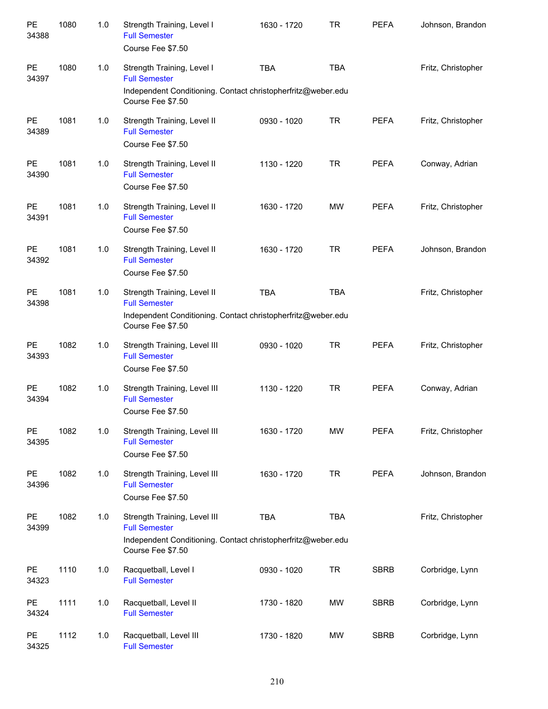| PE<br>34388        | 1080 | 1.0 | Strength Training, Level I<br><b>Full Semester</b><br>Course Fee \$7.50                                                                   | 1630 - 1720 | <b>TR</b>  | <b>PEFA</b> | Johnson, Brandon   |
|--------------------|------|-----|-------------------------------------------------------------------------------------------------------------------------------------------|-------------|------------|-------------|--------------------|
| PE<br>34397        | 1080 | 1.0 | Strength Training, Level I<br><b>Full Semester</b><br>Independent Conditioning. Contact christopherfritz@weber.edu<br>Course Fee \$7.50   | <b>TBA</b>  | <b>TBA</b> |             | Fritz, Christopher |
| <b>PE</b><br>34389 | 1081 | 1.0 | Strength Training, Level II<br><b>Full Semester</b><br>Course Fee \$7.50                                                                  | 0930 - 1020 | <b>TR</b>  | <b>PEFA</b> | Fritz, Christopher |
| <b>PE</b><br>34390 | 1081 | 1.0 | Strength Training, Level II<br><b>Full Semester</b><br>Course Fee \$7.50                                                                  | 1130 - 1220 | <b>TR</b>  | <b>PEFA</b> | Conway, Adrian     |
| <b>PE</b><br>34391 | 1081 | 1.0 | Strength Training, Level II<br><b>Full Semester</b><br>Course Fee \$7.50                                                                  | 1630 - 1720 | <b>MW</b>  | <b>PEFA</b> | Fritz, Christopher |
| <b>PE</b><br>34392 | 1081 | 1.0 | Strength Training, Level II<br><b>Full Semester</b><br>Course Fee \$7.50                                                                  | 1630 - 1720 | <b>TR</b>  | <b>PEFA</b> | Johnson, Brandon   |
| <b>PE</b><br>34398 | 1081 | 1.0 | Strength Training, Level II<br><b>Full Semester</b><br>Independent Conditioning. Contact christopherfritz@weber.edu<br>Course Fee \$7.50  | <b>TBA</b>  | <b>TBA</b> |             | Fritz, Christopher |
| PE<br>34393        | 1082 | 1.0 | Strength Training, Level III<br><b>Full Semester</b><br>Course Fee \$7.50                                                                 | 0930 - 1020 | <b>TR</b>  | <b>PEFA</b> | Fritz, Christopher |
| PE<br>34394        | 1082 | 1.0 | Strength Training, Level III<br><b>Full Semester</b><br>Course Fee \$7.50                                                                 | 1130 - 1220 | <b>TR</b>  | <b>PEFA</b> | Conway, Adrian     |
| PE<br>34395        | 1082 | 1.0 | Strength Training, Level III<br><b>Full Semester</b><br>Course Fee \$7.50                                                                 | 1630 - 1720 | <b>MW</b>  | <b>PEFA</b> | Fritz, Christopher |
| PE<br>34396        | 1082 | 1.0 | Strength Training, Level III<br><b>Full Semester</b><br>Course Fee \$7.50                                                                 | 1630 - 1720 | <b>TR</b>  | <b>PEFA</b> | Johnson, Brandon   |
| PE<br>34399        | 1082 | 1.0 | Strength Training, Level III<br><b>Full Semester</b><br>Independent Conditioning. Contact christopherfritz@weber.edu<br>Course Fee \$7.50 | <b>TBA</b>  | <b>TBA</b> |             | Fritz, Christopher |
| <b>PE</b><br>34323 | 1110 | 1.0 | Racquetball, Level I<br><b>Full Semester</b>                                                                                              | 0930 - 1020 | <b>TR</b>  | <b>SBRB</b> | Corbridge, Lynn    |
| PE<br>34324        | 1111 | 1.0 | Racquetball, Level II<br><b>Full Semester</b>                                                                                             | 1730 - 1820 | MW         | <b>SBRB</b> | Corbridge, Lynn    |
| PE<br>34325        | 1112 | 1.0 | Racquetball, Level III<br><b>Full Semester</b>                                                                                            | 1730 - 1820 | MW         | <b>SBRB</b> | Corbridge, Lynn    |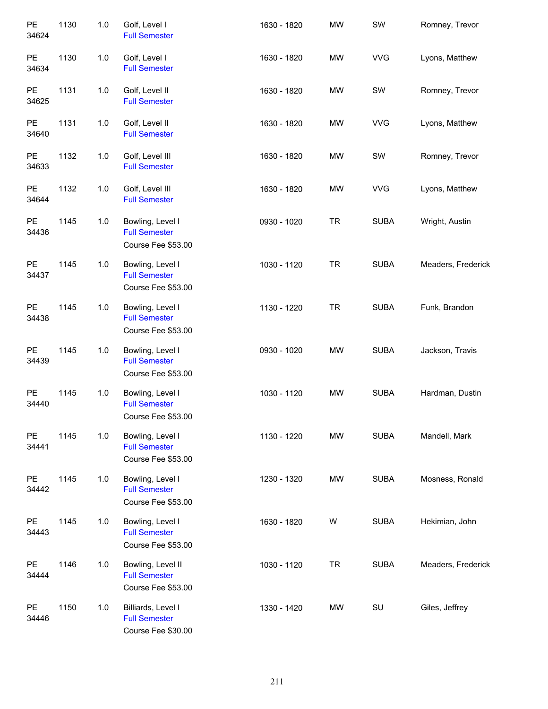| PE<br>34624        | 1130 | $1.0$ | Golf, Level I<br><b>Full Semester</b>                            | 1630 - 1820 | <b>MW</b> | SW          | Romney, Trevor     |
|--------------------|------|-------|------------------------------------------------------------------|-------------|-----------|-------------|--------------------|
| PE<br>34634        | 1130 | 1.0   | Golf, Level I<br><b>Full Semester</b>                            | 1630 - 1820 | MW        | <b>VVG</b>  | Lyons, Matthew     |
| PE<br>34625        | 1131 | 1.0   | Golf, Level II<br><b>Full Semester</b>                           | 1630 - 1820 | MW        | SW          | Romney, Trevor     |
| PE<br>34640        | 1131 | $1.0$ | Golf, Level II<br><b>Full Semester</b>                           | 1630 - 1820 | MW        | <b>VVG</b>  | Lyons, Matthew     |
| PE<br>34633        | 1132 | 1.0   | Golf, Level III<br><b>Full Semester</b>                          | 1630 - 1820 | MW        | SW          | Romney, Trevor     |
| <b>PE</b><br>34644 | 1132 | $1.0$ | Golf, Level III<br><b>Full Semester</b>                          | 1630 - 1820 | MW        | <b>VVG</b>  | Lyons, Matthew     |
| PE<br>34436        | 1145 | 1.0   | Bowling, Level I<br><b>Full Semester</b><br>Course Fee \$53.00   | 0930 - 1020 | <b>TR</b> | <b>SUBA</b> | Wright, Austin     |
| PE<br>34437        | 1145 | $1.0$ | Bowling, Level I<br><b>Full Semester</b><br>Course Fee \$53.00   | 1030 - 1120 | <b>TR</b> | <b>SUBA</b> | Meaders, Frederick |
| <b>PE</b><br>34438 | 1145 | $1.0$ | Bowling, Level I<br><b>Full Semester</b><br>Course Fee \$53.00   | 1130 - 1220 | <b>TR</b> | <b>SUBA</b> | Funk, Brandon      |
| <b>PE</b><br>34439 | 1145 | $1.0$ | Bowling, Level I<br><b>Full Semester</b><br>Course Fee \$53.00   | 0930 - 1020 | MW        | <b>SUBA</b> | Jackson, Travis    |
| PE<br>34440        | 1145 | $1.0$ | Bowling, Level I<br><b>Full Semester</b><br>Course Fee \$53.00   | 1030 - 1120 | MW        | <b>SUBA</b> | Hardman, Dustin    |
| <b>PE</b><br>34441 | 1145 | 1.0   | Bowling, Level I<br><b>Full Semester</b><br>Course Fee \$53.00   | 1130 - 1220 | MW        | <b>SUBA</b> | Mandell, Mark      |
| <b>PE</b><br>34442 | 1145 | 1.0   | Bowling, Level I<br><b>Full Semester</b><br>Course Fee \$53.00   | 1230 - 1320 | MW        | <b>SUBA</b> | Mosness, Ronald    |
| <b>PE</b><br>34443 | 1145 | 1.0   | Bowling, Level I<br><b>Full Semester</b><br>Course Fee \$53.00   | 1630 - 1820 | W         | <b>SUBA</b> | Hekimian, John     |
| <b>PE</b><br>34444 | 1146 | 1.0   | Bowling, Level II<br><b>Full Semester</b><br>Course Fee \$53.00  | 1030 - 1120 | <b>TR</b> | <b>SUBA</b> | Meaders, Frederick |
| <b>PE</b><br>34446 | 1150 | 1.0   | Billiards, Level I<br><b>Full Semester</b><br>Course Fee \$30.00 | 1330 - 1420 | MW        | SU          | Giles, Jeffrey     |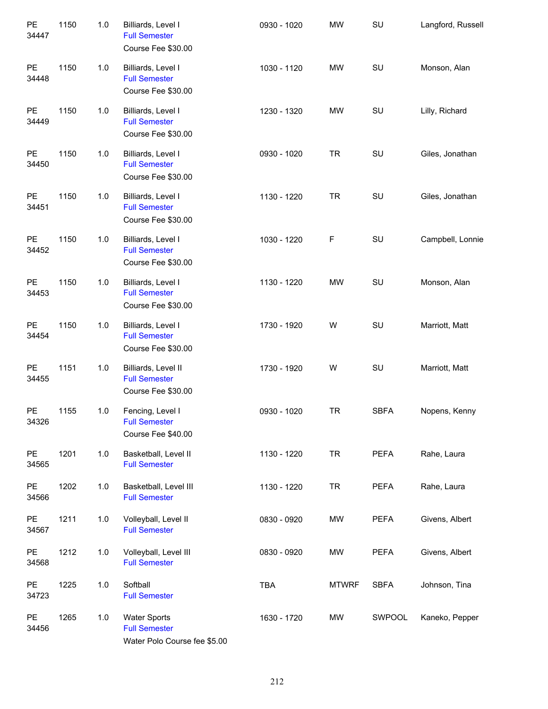| PE<br>34447        | 1150 | 1.0   | Billiards, Level I<br><b>Full Semester</b><br>Course Fee \$30.00            | 0930 - 1020 | <b>MW</b>    | SU          | Langford, Russell |
|--------------------|------|-------|-----------------------------------------------------------------------------|-------------|--------------|-------------|-------------------|
| <b>PE</b><br>34448 | 1150 | 1.0   | Billiards, Level I<br><b>Full Semester</b><br>Course Fee \$30.00            | 1030 - 1120 | <b>MW</b>    | SU          | Monson, Alan      |
| PE<br>34449        | 1150 | 1.0   | Billiards, Level I<br><b>Full Semester</b><br>Course Fee \$30.00            | 1230 - 1320 | <b>MW</b>    | SU          | Lilly, Richard    |
| <b>PE</b><br>34450 | 1150 | 1.0   | Billiards, Level I<br><b>Full Semester</b><br>Course Fee \$30.00            | 0930 - 1020 | <b>TR</b>    | SU          | Giles, Jonathan   |
| PE<br>34451        | 1150 | 1.0   | Billiards, Level I<br><b>Full Semester</b><br>Course Fee \$30.00            | 1130 - 1220 | <b>TR</b>    | SU          | Giles, Jonathan   |
| PE<br>34452        | 1150 | 1.0   | Billiards, Level I<br><b>Full Semester</b><br>Course Fee \$30.00            | 1030 - 1220 | F            | SU          | Campbell, Lonnie  |
| PE<br>34453        | 1150 | 1.0   | Billiards, Level I<br><b>Full Semester</b><br>Course Fee \$30.00            | 1130 - 1220 | <b>MW</b>    | SU          | Monson, Alan      |
| PE<br>34454        | 1150 | 1.0   | Billiards, Level I<br><b>Full Semester</b><br>Course Fee \$30.00            | 1730 - 1920 | W            | SU          | Marriott, Matt    |
| PE<br>34455        | 1151 | 1.0   | Billiards, Level II<br><b>Full Semester</b><br>Course Fee \$30.00           | 1730 - 1920 | W            | SU          | Marriott, Matt    |
| <b>PE</b><br>34326 | 1155 | 1.0   | Fencing, Level I<br><b>Full Semester</b><br>Course Fee \$40.00              | 0930 - 1020 | <b>TR</b>    | <b>SBFA</b> | Nopens, Kenny     |
| PE<br>34565        | 1201 | $1.0$ | Basketball, Level II<br><b>Full Semester</b>                                | 1130 - 1220 | <b>TR</b>    | PEFA        | Rahe, Laura       |
| PE<br>34566        | 1202 | 1.0   | Basketball, Level III<br><b>Full Semester</b>                               | 1130 - 1220 | <b>TR</b>    | <b>PEFA</b> | Rahe, Laura       |
| PE<br>34567        | 1211 | 1.0   | Volleyball, Level II<br><b>Full Semester</b>                                | 0830 - 0920 | MW           | <b>PEFA</b> | Givens, Albert    |
| PE<br>34568        | 1212 | 1.0   | Volleyball, Level III<br><b>Full Semester</b>                               | 0830 - 0920 | MW           | <b>PEFA</b> | Givens, Albert    |
| PE<br>34723        | 1225 | 1.0   | Softball<br><b>Full Semester</b>                                            | TBA         | <b>MTWRF</b> | <b>SBFA</b> | Johnson, Tina     |
| PE<br>34456        | 1265 | 1.0   | <b>Water Sports</b><br><b>Full Semester</b><br>Water Polo Course fee \$5.00 | 1630 - 1720 | MW           | SWPOOL      | Kaneko, Pepper    |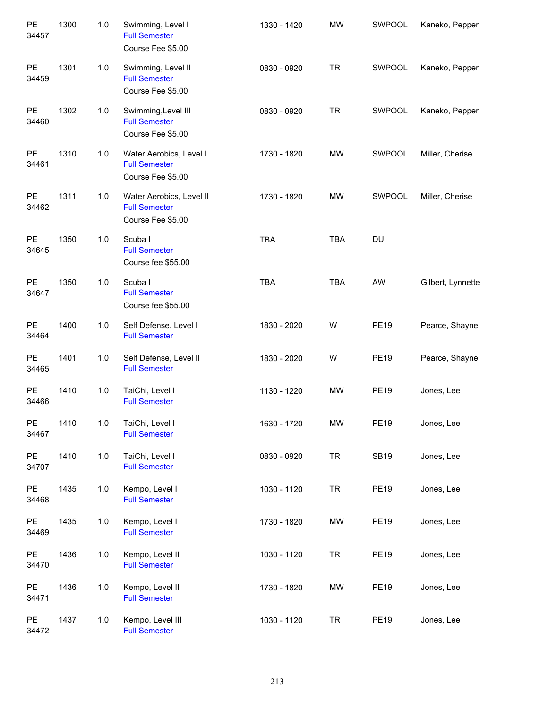| PE<br>34457        | 1300 | 1.0   | Swimming, Level I<br><b>Full Semester</b><br>Course Fee \$5.00        | 1330 - 1420 | <b>MW</b>  | SWPOOL      | Kaneko, Pepper    |
|--------------------|------|-------|-----------------------------------------------------------------------|-------------|------------|-------------|-------------------|
| <b>PE</b><br>34459 | 1301 | 1.0   | Swimming, Level II<br><b>Full Semester</b><br>Course Fee \$5.00       | 0830 - 0920 | <b>TR</b>  | SWPOOL      | Kaneko, Pepper    |
| <b>PE</b><br>34460 | 1302 | 1.0   | Swimming, Level III<br><b>Full Semester</b><br>Course Fee \$5.00      | 0830 - 0920 | <b>TR</b>  | SWPOOL      | Kaneko, Pepper    |
| <b>PE</b><br>34461 | 1310 | 1.0   | Water Aerobics, Level I<br><b>Full Semester</b><br>Course Fee \$5.00  | 1730 - 1820 | <b>MW</b>  | SWPOOL      | Miller, Cherise   |
| <b>PE</b><br>34462 | 1311 | 1.0   | Water Aerobics, Level II<br><b>Full Semester</b><br>Course Fee \$5.00 | 1730 - 1820 | <b>MW</b>  | SWPOOL      | Miller, Cherise   |
| <b>PE</b><br>34645 | 1350 | 1.0   | Scuba I<br><b>Full Semester</b><br>Course fee \$55.00                 | <b>TBA</b>  | <b>TBA</b> | DU          |                   |
| PE<br>34647        | 1350 | 1.0   | Scuba I<br><b>Full Semester</b><br>Course fee \$55.00                 | <b>TBA</b>  | <b>TBA</b> | AW          | Gilbert, Lynnette |
| PE<br>34464        | 1400 | 1.0   | Self Defense, Level I<br><b>Full Semester</b>                         | 1830 - 2020 | W          | <b>PE19</b> | Pearce, Shayne    |
| <b>PE</b><br>34465 | 1401 | 1.0   | Self Defense, Level II<br><b>Full Semester</b>                        | 1830 - 2020 | W          | <b>PE19</b> | Pearce, Shayne    |
| PE<br>34466        | 1410 | 1.0   | TaiChi, Level I<br><b>Full Semester</b>                               | 1130 - 1220 | <b>MW</b>  | <b>PE19</b> | Jones, Lee        |
| PE<br>34467        | 1410 | 1.0   | TaiChi, Level I<br><b>Full Semester</b>                               | 1630 - 1720 | MW         | <b>PE19</b> | Jones, Lee        |
| PE<br>34707        | 1410 | $1.0$ | TaiChi, Level I<br><b>Full Semester</b>                               | 0830 - 0920 | <b>TR</b>  | <b>SB19</b> | Jones, Lee        |
| PE<br>34468        | 1435 | 1.0   | Kempo, Level I<br><b>Full Semester</b>                                | 1030 - 1120 | <b>TR</b>  | <b>PE19</b> | Jones, Lee        |
| PE<br>34469        | 1435 | 1.0   | Kempo, Level I<br><b>Full Semester</b>                                | 1730 - 1820 | MW         | <b>PE19</b> | Jones, Lee        |
| PE<br>34470        | 1436 | $1.0$ | Kempo, Level II<br><b>Full Semester</b>                               | 1030 - 1120 | <b>TR</b>  | <b>PE19</b> | Jones, Lee        |
| PE<br>34471        | 1436 | $1.0$ | Kempo, Level II<br><b>Full Semester</b>                               | 1730 - 1820 | MW         | <b>PE19</b> | Jones, Lee        |
| PE<br>34472        | 1437 | $1.0$ | Kempo, Level III<br><b>Full Semester</b>                              | 1030 - 1120 | <b>TR</b>  | <b>PE19</b> | Jones, Lee        |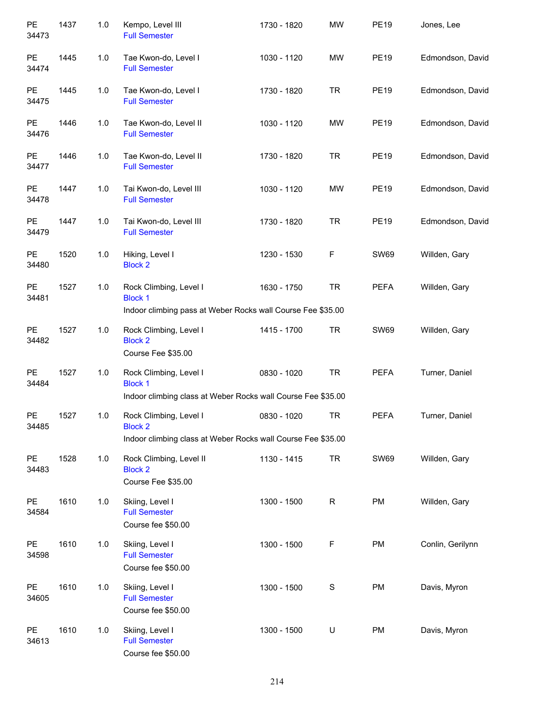| PE<br>34473        | 1437 | 1.0   | Kempo, Level III<br><b>Full Semester</b>                                                                 | 1730 - 1820 | <b>MW</b>   | <b>PE19</b> | Jones, Lee       |
|--------------------|------|-------|----------------------------------------------------------------------------------------------------------|-------------|-------------|-------------|------------------|
| PE<br>34474        | 1445 | 1.0   | Tae Kwon-do, Level I<br><b>Full Semester</b>                                                             | 1030 - 1120 | <b>MW</b>   | <b>PE19</b> | Edmondson, David |
| PE<br>34475        | 1445 | 1.0   | Tae Kwon-do, Level I<br><b>Full Semester</b>                                                             | 1730 - 1820 | <b>TR</b>   | <b>PE19</b> | Edmondson, David |
| PE<br>34476        | 1446 | 1.0   | Tae Kwon-do, Level II<br><b>Full Semester</b>                                                            | 1030 - 1120 | <b>MW</b>   | <b>PE19</b> | Edmondson, David |
| PE<br>34477        | 1446 | 1.0   | Tae Kwon-do, Level II<br><b>Full Semester</b>                                                            | 1730 - 1820 | <b>TR</b>   | <b>PE19</b> | Edmondson, David |
| PE<br>34478        | 1447 | 1.0   | Tai Kwon-do, Level III<br><b>Full Semester</b>                                                           | 1030 - 1120 | <b>MW</b>   | <b>PE19</b> | Edmondson, David |
| <b>PE</b><br>34479 | 1447 | 1.0   | Tai Kwon-do, Level III<br><b>Full Semester</b>                                                           | 1730 - 1820 | <b>TR</b>   | <b>PE19</b> | Edmondson, David |
| PE<br>34480        | 1520 | 1.0   | Hiking, Level I<br><b>Block 2</b>                                                                        | 1230 - 1530 | F           | <b>SW69</b> | Willden, Gary    |
| PE<br>34481        | 1527 | 1.0   | Rock Climbing, Level I<br><b>Block 1</b><br>Indoor climbing pass at Weber Rocks wall Course Fee \$35.00  | 1630 - 1750 | <b>TR</b>   | <b>PEFA</b> | Willden, Gary    |
| <b>PE</b><br>34482 | 1527 | 1.0   | Rock Climbing, Level I<br><b>Block 2</b><br>Course Fee \$35.00                                           | 1415 - 1700 | <b>TR</b>   | <b>SW69</b> | Willden, Gary    |
| PE<br>34484        | 1527 | 1.0   | Rock Climbing, Level I<br><b>Block 1</b><br>Indoor climbing class at Weber Rocks wall Course Fee \$35.00 | 0830 - 1020 | <b>TR</b>   | <b>PEFA</b> | Turner, Daniel   |
| PE<br>34485        | 1527 | 1.0   | Rock Climbing, Level I<br><b>Block 2</b><br>Indoor climbing class at Weber Rocks wall Course Fee \$35.00 | 0830 - 1020 | <b>TR</b>   | <b>PEFA</b> | Turner, Daniel   |
| PE<br>34483        | 1528 | $1.0$ | Rock Climbing, Level II<br><b>Block 2</b><br>Course Fee \$35.00                                          | 1130 - 1415 | <b>TR</b>   | <b>SW69</b> | Willden, Gary    |
| <b>PE</b><br>34584 | 1610 | $1.0$ | Skiing, Level I<br><b>Full Semester</b><br>Course fee \$50.00                                            | 1300 - 1500 | ${\sf R}$   | PM          | Willden, Gary    |
| PE<br>34598        | 1610 | 1.0   | Skiing, Level I<br><b>Full Semester</b><br>Course fee \$50.00                                            | 1300 - 1500 | $\mathsf F$ | PM          | Conlin, Gerilynn |
| PE<br>34605        | 1610 | 1.0   | Skiing, Level I<br><b>Full Semester</b><br>Course fee \$50.00                                            | 1300 - 1500 | $\mathbf S$ | PM          | Davis, Myron     |
| PE<br>34613        | 1610 | 1.0   | Skiing, Level I<br><b>Full Semester</b><br>Course fee \$50.00                                            | 1300 - 1500 | U           | PM          | Davis, Myron     |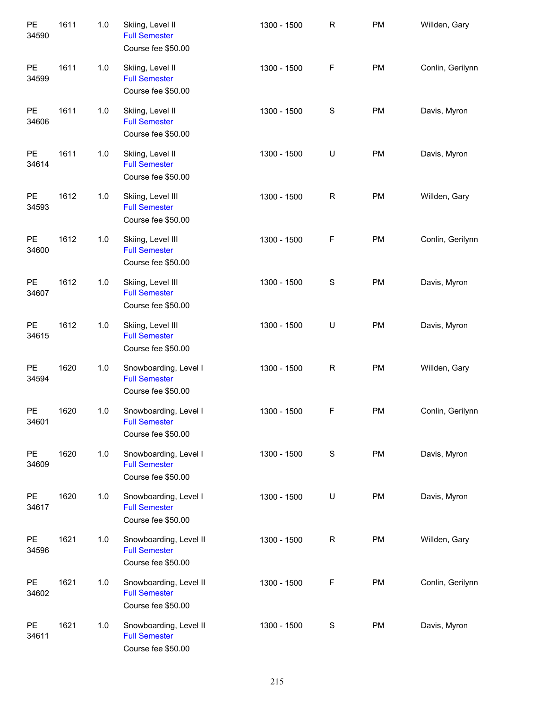| PE<br>34590 | 1611 | 1.0 | Skiing, Level II<br><b>Full Semester</b><br>Course fee \$50.00       | 1300 - 1500 | $\mathsf R$   | <b>PM</b> | Willden, Gary    |
|-------------|------|-----|----------------------------------------------------------------------|-------------|---------------|-----------|------------------|
| PE<br>34599 | 1611 | 1.0 | Skiing, Level II<br><b>Full Semester</b><br>Course fee \$50.00       | 1300 - 1500 | $\mathsf F$   | PM        | Conlin, Gerilynn |
| PE<br>34606 | 1611 | 1.0 | Skiing, Level II<br><b>Full Semester</b><br>Course fee \$50.00       | 1300 - 1500 | $\mathbb S$   | PM        | Davis, Myron     |
| PE<br>34614 | 1611 | 1.0 | Skiing, Level II<br><b>Full Semester</b><br>Course fee \$50.00       | 1300 - 1500 | U             | PM        | Davis, Myron     |
| PE<br>34593 | 1612 | 1.0 | Skiing, Level III<br><b>Full Semester</b><br>Course fee \$50.00      | 1300 - 1500 | ${\sf R}$     | PM        | Willden, Gary    |
| PE<br>34600 | 1612 | 1.0 | Skiing, Level III<br><b>Full Semester</b><br>Course fee \$50.00      | 1300 - 1500 | $\mathsf F$   | PM        | Conlin, Gerilynn |
| PE<br>34607 | 1612 | 1.0 | Skiing, Level III<br><b>Full Semester</b><br>Course fee \$50.00      | 1300 - 1500 | ${\mathbb S}$ | PM        | Davis, Myron     |
| PE<br>34615 | 1612 | 1.0 | Skiing, Level III<br><b>Full Semester</b><br>Course fee \$50.00      | 1300 - 1500 | U             | PM        | Davis, Myron     |
| PE<br>34594 | 1620 | 1.0 | Snowboarding, Level I<br><b>Full Semester</b><br>Course fee \$50.00  | 1300 - 1500 | ${\sf R}$     | PM        | Willden, Gary    |
| PE<br>34601 | 1620 | 1.0 | Snowboarding, Level I<br><b>Full Semester</b><br>Course fee \$50.00  | 1300 - 1500 | $\mathsf F$   | PM        | Conlin, Gerilynn |
| PE<br>34609 | 1620 | 1.0 | Snowboarding, Level I<br><b>Full Semester</b><br>Course fee \$50.00  | 1300 - 1500 | $\mathbb S$   | PM        | Davis, Myron     |
| PE<br>34617 | 1620 | 1.0 | Snowboarding, Level I<br><b>Full Semester</b><br>Course fee \$50.00  | 1300 - 1500 | U             | PM        | Davis, Myron     |
| PE<br>34596 | 1621 | 1.0 | Snowboarding, Level II<br><b>Full Semester</b><br>Course fee \$50.00 | 1300 - 1500 | $\mathsf R$   | PM        | Willden, Gary    |
| PE<br>34602 | 1621 | 1.0 | Snowboarding, Level II<br><b>Full Semester</b><br>Course fee \$50.00 | 1300 - 1500 | F             | PM        | Conlin, Gerilynn |
| PE<br>34611 | 1621 | 1.0 | Snowboarding, Level II<br><b>Full Semester</b><br>Course fee \$50.00 | 1300 - 1500 | $\mathbb S$   | <b>PM</b> | Davis, Myron     |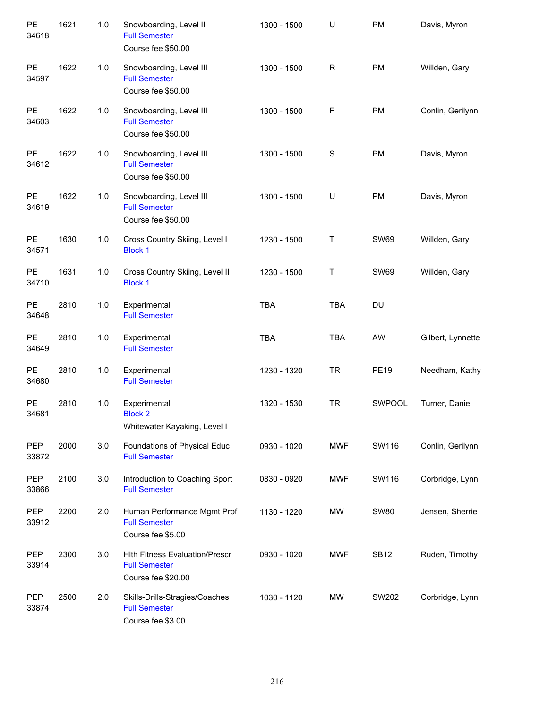| PE<br>34618         | 1621 | 1.0 | Snowboarding, Level II<br><b>Full Semester</b><br>Course fee \$50.00                | 1300 - 1500 | $\cup$      | PM          | Davis, Myron      |
|---------------------|------|-----|-------------------------------------------------------------------------------------|-------------|-------------|-------------|-------------------|
| <b>PE</b><br>34597  | 1622 | 1.0 | Snowboarding, Level III<br><b>Full Semester</b><br>Course fee \$50.00               | 1300 - 1500 | R           | <b>PM</b>   | Willden, Gary     |
| <b>PE</b><br>34603  | 1622 | 1.0 | Snowboarding, Level III<br><b>Full Semester</b><br>Course fee \$50.00               | 1300 - 1500 | $\mathsf F$ | <b>PM</b>   | Conlin, Gerilynn  |
| <b>PE</b><br>34612  | 1622 | 1.0 | Snowboarding, Level III<br><b>Full Semester</b><br>Course fee \$50.00               | 1300 - 1500 | $\mathbb S$ | <b>PM</b>   | Davis, Myron      |
| <b>PE</b><br>34619  | 1622 | 1.0 | Snowboarding, Level III<br><b>Full Semester</b><br>Course fee \$50.00               | 1300 - 1500 | U           | <b>PM</b>   | Davis, Myron      |
| <b>PE</b><br>34571  | 1630 | 1.0 | Cross Country Skiing, Level I<br><b>Block 1</b>                                     | 1230 - 1500 | T           | <b>SW69</b> | Willden, Gary     |
| PE<br>34710         | 1631 | 1.0 | Cross Country Skiing, Level II<br><b>Block 1</b>                                    | 1230 - 1500 | $\sf T$     | <b>SW69</b> | Willden, Gary     |
| PE<br>34648         | 2810 | 1.0 | Experimental<br><b>Full Semester</b>                                                | <b>TBA</b>  | <b>TBA</b>  | DU          |                   |
| PE<br>34649         | 2810 | 1.0 | Experimental<br><b>Full Semester</b>                                                | <b>TBA</b>  | <b>TBA</b>  | AW          | Gilbert, Lynnette |
| <b>PE</b><br>34680  | 2810 | 1.0 | Experimental<br><b>Full Semester</b>                                                | 1230 - 1320 | <b>TR</b>   | <b>PE19</b> | Needham, Kathy    |
| PE<br>34681         | 2810 | 1.0 | Experimental<br><b>Block 2</b><br>Whitewater Kayaking, Level I                      | 1320 - 1530 | <b>TR</b>   | SWPOOL      | Turner, Daniel    |
| <b>PEP</b><br>33872 | 2000 | 3.0 | Foundations of Physical Educ<br><b>Full Semester</b>                                | 0930 - 1020 | <b>MWF</b>  | SW116       | Conlin, Gerilynn  |
| <b>PEP</b><br>33866 | 2100 | 3.0 | Introduction to Coaching Sport<br><b>Full Semester</b>                              | 0830 - 0920 | <b>MWF</b>  | SW116       | Corbridge, Lynn   |
| PEP<br>33912        | 2200 | 2.0 | Human Performance Mgmt Prof<br><b>Full Semester</b><br>Course fee \$5.00            | 1130 - 1220 | MW          | <b>SW80</b> | Jensen, Sherrie   |
| <b>PEP</b><br>33914 | 2300 | 3.0 | <b>Hith Fitness Evaluation/Prescr</b><br><b>Full Semester</b><br>Course fee \$20.00 | 0930 - 1020 | <b>MWF</b>  | <b>SB12</b> | Ruden, Timothy    |
| <b>PEP</b><br>33874 | 2500 | 2.0 | Skills-Drills-Stragies/Coaches<br><b>Full Semester</b><br>Course fee \$3.00         | 1030 - 1120 | MW          | SW202       | Corbridge, Lynn   |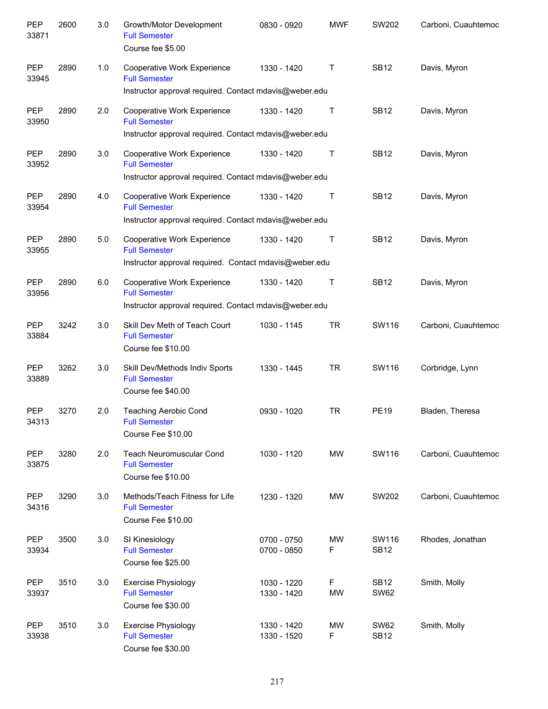| <b>PEP</b><br>33871 | 2600 | 3.0 | Growth/Motor Development<br><b>Full Semester</b><br>Course fee \$5.00                                         | 0830 - 0920                | <b>MWF</b>     | SW202                      | Carboni, Cuauhtemoc |
|---------------------|------|-----|---------------------------------------------------------------------------------------------------------------|----------------------------|----------------|----------------------------|---------------------|
| <b>PEP</b><br>33945 | 2890 | 1.0 | Cooperative Work Experience<br><b>Full Semester</b><br>Instructor approval required. Contact mdavis@weber.edu | 1330 - 1420                | Т              | <b>SB12</b>                | Davis, Myron        |
|                     |      |     |                                                                                                               |                            |                |                            |                     |
| <b>PEP</b><br>33950 | 2890 | 2.0 | <b>Cooperative Work Experience</b><br><b>Full Semester</b>                                                    | 1330 - 1420                | $\mathsf T$    | <b>SB12</b>                | Davis, Myron        |
|                     |      |     | Instructor approval required. Contact mdavis@weber.edu                                                        |                            |                |                            |                     |
| <b>PEP</b><br>33952 | 2890 | 3.0 | Cooperative Work Experience<br><b>Full Semester</b>                                                           | 1330 - 1420                | Т              | <b>SB12</b>                | Davis, Myron        |
|                     |      |     | Instructor approval required. Contact mdavis@weber.edu                                                        |                            |                |                            |                     |
| <b>PEP</b><br>33954 | 2890 | 4.0 | <b>Cooperative Work Experience</b><br><b>Full Semester</b>                                                    | 1330 - 1420                | Т              | <b>SB12</b>                | Davis, Myron        |
|                     |      |     | Instructor approval required. Contact mdavis@weber.edu                                                        |                            |                |                            |                     |
| <b>PEP</b><br>33955 | 2890 | 5.0 | Cooperative Work Experience<br><b>Full Semester</b>                                                           | 1330 - 1420                | Т              | <b>SB12</b>                | Davis, Myron        |
|                     |      |     | Instructor approval required. Contact mdavis@weber.edu                                                        |                            |                |                            |                     |
| <b>PEP</b><br>33956 | 2890 | 6.0 | Cooperative Work Experience<br><b>Full Semester</b>                                                           | 1330 - 1420                | Т              | <b>SB12</b>                | Davis, Myron        |
|                     |      |     | Instructor approval required. Contact mdavis@weber.edu                                                        |                            |                |                            |                     |
| <b>PEP</b><br>33884 | 3242 | 3.0 | Skill Dev Meth of Teach Court<br><b>Full Semester</b><br>Course fee \$10.00                                   | 1030 - 1145                | <b>TR</b>      | SW116                      | Carboni, Cuauhtemoc |
| <b>PEP</b><br>33889 | 3262 | 3.0 | Skill Dev/Methods Indiv Sports<br><b>Full Semester</b><br>Course fee \$40.00                                  | 1330 - 1445                | <b>TR</b>      | SW116                      | Corbridge, Lynn     |
| <b>PEP</b><br>34313 | 3270 | 2.0 | <b>Teaching Aerobic Cond</b><br><b>Full Semester</b><br>Course Fee \$10.00                                    | 0930 - 1020                | <b>TR</b>      | <b>PE19</b>                | Bladen, Theresa     |
| PEP<br>33875        | 3280 | 2.0 | <b>Teach Neuromuscular Cond</b><br><b>Full Semester</b><br>Course fee \$10.00                                 | 1030 - 1120                | <b>MW</b>      | SW116                      | Carboni, Cuauhtemoc |
| PEP<br>34316        | 3290 | 3.0 | Methods/Teach Fitness for Life<br><b>Full Semester</b><br>Course Fee \$10.00                                  | 1230 - 1320                | <b>MW</b>      | SW202                      | Carboni, Cuauhtemoc |
| PEP<br>33934        | 3500 | 3.0 | SI Kinesiology<br><b>Full Semester</b><br>Course fee \$25.00                                                  | 0700 - 0750<br>0700 - 0850 | <b>MW</b><br>F | SW116<br><b>SB12</b>       | Rhodes, Jonathan    |
| PEP<br>33937        | 3510 | 3.0 | <b>Exercise Physiology</b><br><b>Full Semester</b><br>Course fee \$30.00                                      | 1030 - 1220<br>1330 - 1420 | F<br><b>MW</b> | <b>SB12</b><br><b>SW62</b> | Smith, Molly        |
| PEP<br>33938        | 3510 | 3.0 | <b>Exercise Physiology</b><br><b>Full Semester</b><br>Course fee \$30.00                                      | 1330 - 1420<br>1330 - 1520 | <b>MW</b><br>F | <b>SW62</b><br><b>SB12</b> | Smith, Molly        |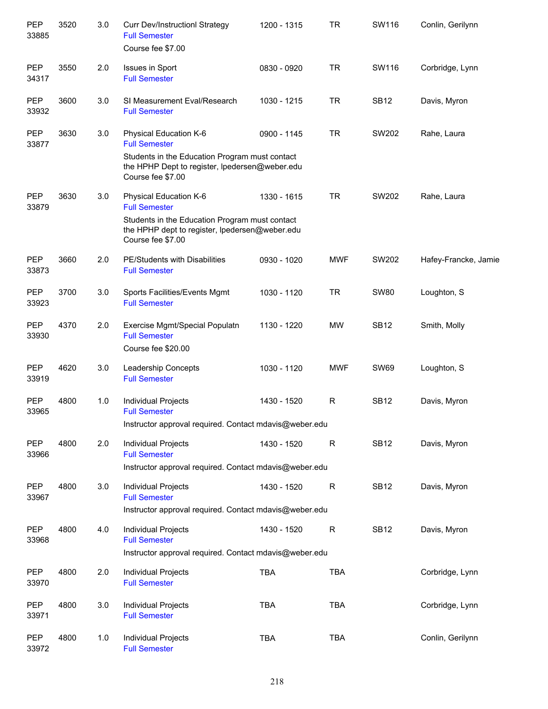| PEP<br>33885        | 3520 | 3.0 | <b>Curr Dev/InstructionI Strategy</b><br><b>Full Semester</b><br>Course fee \$7.00                                                                                      | 1200 - 1315 | <b>TR</b>    | SW116       | Conlin, Gerilynn     |
|---------------------|------|-----|-------------------------------------------------------------------------------------------------------------------------------------------------------------------------|-------------|--------------|-------------|----------------------|
| PEP<br>34317        | 3550 | 2.0 | Issues in Sport<br><b>Full Semester</b>                                                                                                                                 | 0830 - 0920 | <b>TR</b>    | SW116       | Corbridge, Lynn      |
| <b>PEP</b><br>33932 | 3600 | 3.0 | SI Measurement Eval/Research<br><b>Full Semester</b>                                                                                                                    | 1030 - 1215 | <b>TR</b>    | <b>SB12</b> | Davis, Myron         |
| <b>PEP</b><br>33877 | 3630 | 3.0 | Physical Education K-6<br><b>Full Semester</b><br>Students in the Education Program must contact<br>the HPHP Dept to register, Ipedersen@weber.edu<br>Course fee \$7.00 | 0900 - 1145 | <b>TR</b>    | SW202       | Rahe, Laura          |
| <b>PEP</b><br>33879 | 3630 | 3.0 | Physical Education K-6<br><b>Full Semester</b><br>Students in the Education Program must contact<br>the HPHP dept to register, Ipedersen@weber.edu<br>Course fee \$7.00 | 1330 - 1615 | <b>TR</b>    | SW202       | Rahe, Laura          |
| <b>PEP</b><br>33873 | 3660 | 2.0 | PE/Students with Disabilities<br><b>Full Semester</b>                                                                                                                   | 0930 - 1020 | <b>MWF</b>   | SW202       | Hafey-Francke, Jamie |
| <b>PEP</b><br>33923 | 3700 | 3.0 | Sports Facilities/Events Mgmt<br><b>Full Semester</b>                                                                                                                   | 1030 - 1120 | <b>TR</b>    | <b>SW80</b> | Loughton, S          |
| PEP<br>33930        | 4370 | 2.0 | Exercise Mgmt/Special Populatn<br><b>Full Semester</b><br>Course fee \$20.00                                                                                            | 1130 - 1220 | <b>MW</b>    | <b>SB12</b> | Smith, Molly         |
| PEP<br>33919        | 4620 | 3.0 | Leadership Concepts<br><b>Full Semester</b>                                                                                                                             | 1030 - 1120 | <b>MWF</b>   | <b>SW69</b> | Loughton, S          |
| PEP<br>33965        | 4800 | 1.0 | Individual Projects<br><b>Full Semester</b><br>Instructor approval required. Contact mdavis@weber.edu                                                                   | 1430 - 1520 | $\mathsf{R}$ | <b>SB12</b> | Davis, Myron         |
| <b>PEP</b><br>33966 | 4800 | 2.0 | <b>Individual Projects</b><br><b>Full Semester</b><br>Instructor approval required. Contact mdavis@weber.edu                                                            | 1430 - 1520 | $\mathsf{R}$ | <b>SB12</b> | Davis, Myron         |
| <b>PEP</b><br>33967 | 4800 | 3.0 | Individual Projects<br><b>Full Semester</b><br>Instructor approval required. Contact mdavis@weber.edu                                                                   | 1430 - 1520 | $\mathsf{R}$ | <b>SB12</b> | Davis, Myron         |
| <b>PEP</b><br>33968 | 4800 | 4.0 | Individual Projects<br><b>Full Semester</b><br>Instructor approval required. Contact mdavis@weber.edu                                                                   | 1430 - 1520 | $\mathsf{R}$ | <b>SB12</b> | Davis, Myron         |
| <b>PEP</b><br>33970 | 4800 | 2.0 | Individual Projects<br><b>Full Semester</b>                                                                                                                             | <b>TBA</b>  | <b>TBA</b>   |             | Corbridge, Lynn      |
| PEP<br>33971        | 4800 | 3.0 | Individual Projects<br><b>Full Semester</b>                                                                                                                             | <b>TBA</b>  | <b>TBA</b>   |             | Corbridge, Lynn      |
| <b>PEP</b><br>33972 | 4800 | 1.0 | Individual Projects<br><b>Full Semester</b>                                                                                                                             | <b>TBA</b>  | <b>TBA</b>   |             | Conlin, Gerilynn     |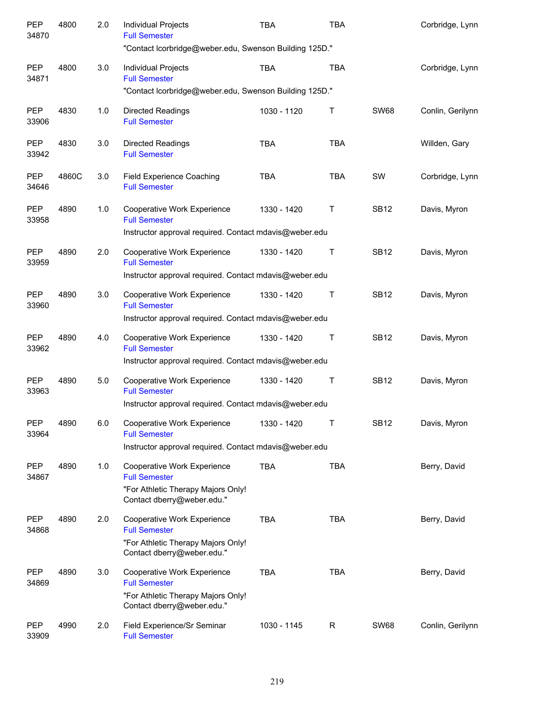| <b>PEP</b><br>34870 | 4800  | 2.0 | Individual Projects<br><b>Full Semester</b>                                                                                    | <b>TBA</b>  | <b>TBA</b>  |             | Corbridge, Lynn  |
|---------------------|-------|-----|--------------------------------------------------------------------------------------------------------------------------------|-------------|-------------|-------------|------------------|
|                     |       |     | "Contact Icorbridge@weber.edu, Swenson Building 125D."                                                                         |             |             |             |                  |
| <b>PEP</b><br>34871 | 4800  | 3.0 | <b>Individual Projects</b><br><b>Full Semester</b>                                                                             | <b>TBA</b>  | <b>TBA</b>  |             | Corbridge, Lynn  |
|                     |       |     | "Contact Icorbridge@weber.edu, Swenson Building 125D."                                                                         |             |             |             |                  |
| <b>PEP</b><br>33906 | 4830  | 1.0 | <b>Directed Readings</b><br><b>Full Semester</b>                                                                               | 1030 - 1120 | Τ           | <b>SW68</b> | Conlin, Gerilynn |
| <b>PEP</b><br>33942 | 4830  | 3.0 | <b>Directed Readings</b><br><b>Full Semester</b>                                                                               | <b>TBA</b>  | <b>TBA</b>  |             | Willden, Gary    |
| <b>PEP</b><br>34646 | 4860C | 3.0 | Field Experience Coaching<br><b>Full Semester</b>                                                                              | <b>TBA</b>  | <b>TBA</b>  | SW          | Corbridge, Lynn  |
| <b>PEP</b><br>33958 | 4890  | 1.0 | Cooperative Work Experience<br><b>Full Semester</b>                                                                            | 1330 - 1420 | Τ           | <b>SB12</b> | Davis, Myron     |
|                     |       |     | Instructor approval required. Contact mdavis@weber.edu                                                                         |             |             |             |                  |
| <b>PEP</b><br>33959 | 4890  | 2.0 | Cooperative Work Experience<br><b>Full Semester</b>                                                                            | 1330 - 1420 | Τ           | <b>SB12</b> | Davis, Myron     |
|                     |       |     | Instructor approval required. Contact mdavis@weber.edu                                                                         |             |             |             |                  |
| <b>PEP</b><br>33960 | 4890  | 3.0 | Cooperative Work Experience<br><b>Full Semester</b>                                                                            | 1330 - 1420 | Τ           | <b>SB12</b> | Davis, Myron     |
|                     |       |     | Instructor approval required. Contact mdavis@weber.edu                                                                         |             |             |             |                  |
| <b>PEP</b><br>33962 | 4890  | 4.0 | Cooperative Work Experience<br><b>Full Semester</b>                                                                            | 1330 - 1420 | Τ           | <b>SB12</b> | Davis, Myron     |
|                     |       |     | Instructor approval required. Contact mdavis@weber.edu                                                                         |             |             |             |                  |
| <b>PEP</b><br>33963 | 4890  | 5.0 | Cooperative Work Experience<br><b>Full Semester</b>                                                                            | 1330 - 1420 | Τ           | <b>SB12</b> | Davis, Myron     |
|                     |       |     | Instructor approval required. Contact mdavis@weber.edu                                                                         |             |             |             |                  |
| PEP<br>33964        | 4890  | 6.0 | Cooperative Work Experience<br><b>Full Semester</b>                                                                            | 1330 - 1420 | T           | <b>SB12</b> | Davis, Myron     |
|                     |       |     | Instructor approval required. Contact mdavis@weber.edu                                                                         |             |             |             |                  |
| PEP<br>34867        | 4890  | 1.0 | <b>Cooperative Work Experience</b><br><b>Full Semester</b><br>"For Athletic Therapy Majors Only!<br>Contact dberry@weber.edu." | <b>TBA</b>  | TBA         |             | Berry, David     |
| PEP                 | 4890  | 2.0 | <b>Cooperative Work Experience</b>                                                                                             | <b>TBA</b>  | <b>TBA</b>  |             | Berry, David     |
| 34868               |       |     | <b>Full Semester</b><br>"For Athletic Therapy Majors Only!<br>Contact dberry@weber.edu."                                       |             |             |             |                  |
| <b>PEP</b><br>34869 | 4890  | 3.0 | Cooperative Work Experience<br><b>Full Semester</b><br>"For Athletic Therapy Majors Only!<br>Contact dberry@weber.edu."        | <b>TBA</b>  | <b>TBA</b>  |             | Berry, David     |
| <b>PEP</b><br>33909 | 4990  | 2.0 | Field Experience/Sr Seminar<br><b>Full Semester</b>                                                                            | 1030 - 1145 | $\mathsf R$ | <b>SW68</b> | Conlin, Gerilynn |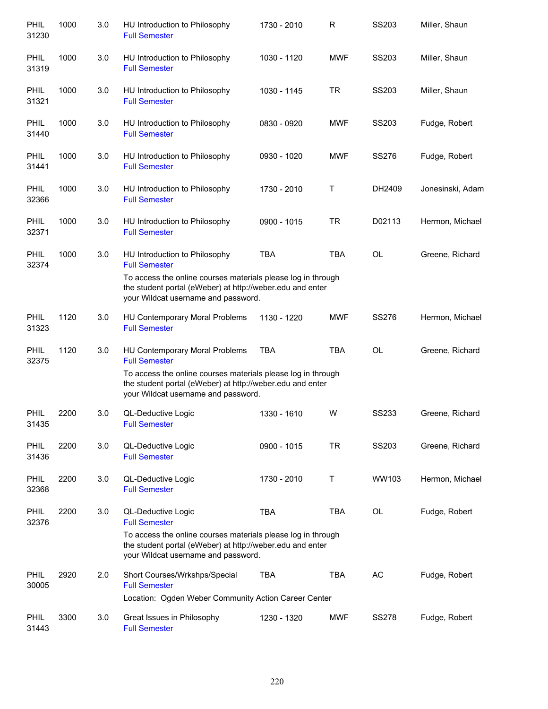| PHIL<br>31230        | 1000 | 3.0 | HU Introduction to Philosophy<br><b>Full Semester</b>                                                                                                            | 1730 - 2010 | R          | SS203        | Miller, Shaun    |
|----------------------|------|-----|------------------------------------------------------------------------------------------------------------------------------------------------------------------|-------------|------------|--------------|------------------|
| PHIL<br>31319        | 1000 | 3.0 | HU Introduction to Philosophy<br><b>Full Semester</b>                                                                                                            | 1030 - 1120 | <b>MWF</b> | SS203        | Miller, Shaun    |
| <b>PHIL</b><br>31321 | 1000 | 3.0 | HU Introduction to Philosophy<br><b>Full Semester</b>                                                                                                            | 1030 - 1145 | <b>TR</b>  | SS203        | Miller, Shaun    |
| <b>PHIL</b><br>31440 | 1000 | 3.0 | HU Introduction to Philosophy<br><b>Full Semester</b>                                                                                                            | 0830 - 0920 | <b>MWF</b> | SS203        | Fudge, Robert    |
| <b>PHIL</b><br>31441 | 1000 | 3.0 | HU Introduction to Philosophy<br><b>Full Semester</b>                                                                                                            | 0930 - 1020 | <b>MWF</b> | SS276        | Fudge, Robert    |
| <b>PHIL</b><br>32366 | 1000 | 3.0 | HU Introduction to Philosophy<br><b>Full Semester</b>                                                                                                            | 1730 - 2010 | Τ          | DH2409       | Jonesinski, Adam |
| <b>PHIL</b><br>32371 | 1000 | 3.0 | HU Introduction to Philosophy<br><b>Full Semester</b>                                                                                                            | 0900 - 1015 | <b>TR</b>  | D02113       | Hermon, Michael  |
| <b>PHIL</b><br>32374 | 1000 | 3.0 | HU Introduction to Philosophy<br><b>Full Semester</b>                                                                                                            | <b>TBA</b>  | <b>TBA</b> | <b>OL</b>    | Greene, Richard  |
|                      |      |     | To access the online courses materials please log in through<br>the student portal (eWeber) at http://weber.edu and enter<br>your Wildcat username and password. |             |            |              |                  |
| <b>PHIL</b><br>31323 | 1120 | 3.0 | HU Contemporary Moral Problems<br><b>Full Semester</b>                                                                                                           | 1130 - 1220 | <b>MWF</b> | <b>SS276</b> | Hermon, Michael  |
| <b>PHIL</b><br>32375 | 1120 | 3.0 | HU Contemporary Moral Problems<br><b>Full Semester</b>                                                                                                           | <b>TBA</b>  | <b>TBA</b> | <b>OL</b>    | Greene, Richard  |
|                      |      |     | To access the online courses materials please log in through<br>the student portal (eWeber) at http://weber.edu and enter<br>your Wildcat username and password. |             |            |              |                  |
| <b>PHIL</b><br>31435 | 2200 | 3.0 | QL-Deductive Logic<br><b>Full Semester</b>                                                                                                                       | 1330 - 1610 | W          | <b>SS233</b> | Greene, Richard  |
| PHIL<br>31436        | 2200 | 3.0 | QL-Deductive Logic<br><b>Full Semester</b>                                                                                                                       | 0900 - 1015 | <b>TR</b>  | <b>SS203</b> | Greene, Richard  |
| <b>PHIL</b><br>32368 | 2200 | 3.0 | QL-Deductive Logic<br><b>Full Semester</b>                                                                                                                       | 1730 - 2010 | Τ          | WW103        | Hermon, Michael  |
| PHIL<br>32376        | 2200 | 3.0 | QL-Deductive Logic<br><b>Full Semester</b>                                                                                                                       | <b>TBA</b>  | <b>TBA</b> | OL           | Fudge, Robert    |
|                      |      |     | To access the online courses materials please log in through<br>the student portal (eWeber) at http://weber.edu and enter<br>your Wildcat username and password. |             |            |              |                  |
| PHIL<br>30005        | 2920 | 2.0 | Short Courses/Wrkshps/Special<br><b>Full Semester</b><br>Location: Ogden Weber Community Action Career Center                                                    | <b>TBA</b>  | <b>TBA</b> | AC           | Fudge, Robert    |
|                      |      |     |                                                                                                                                                                  |             |            |              |                  |
| <b>PHIL</b><br>31443 | 3300 | 3.0 | Great Issues in Philosophy<br><b>Full Semester</b>                                                                                                               | 1230 - 1320 | <b>MWF</b> | <b>SS278</b> | Fudge, Robert    |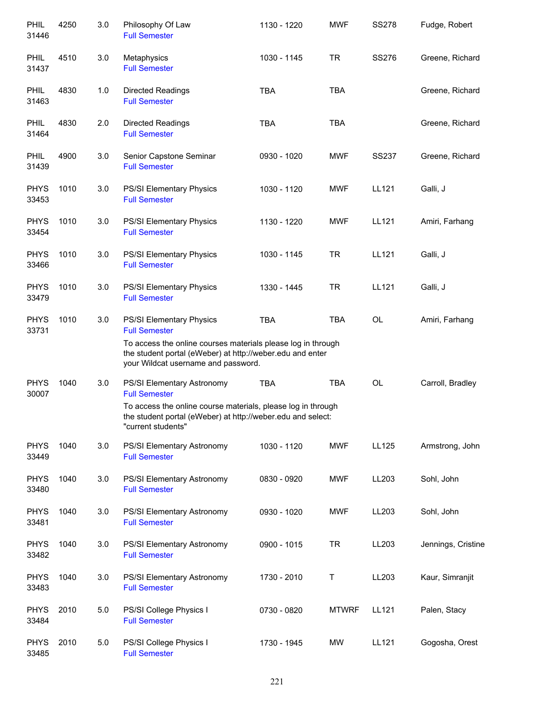| <b>PHIL</b><br>31446 | 4250 | 3.0 | Philosophy Of Law<br><b>Full Semester</b>                                                                                                                                                                            | 1130 - 1220 | <b>MWF</b>   | <b>SS278</b> | Fudge, Robert      |
|----------------------|------|-----|----------------------------------------------------------------------------------------------------------------------------------------------------------------------------------------------------------------------|-------------|--------------|--------------|--------------------|
| PHIL<br>31437        | 4510 | 3.0 | Metaphysics<br><b>Full Semester</b>                                                                                                                                                                                  | 1030 - 1145 | <b>TR</b>    | SS276        | Greene, Richard    |
| <b>PHIL</b><br>31463 | 4830 | 1.0 | <b>Directed Readings</b><br><b>Full Semester</b>                                                                                                                                                                     | <b>TBA</b>  | <b>TBA</b>   |              | Greene, Richard    |
| <b>PHIL</b><br>31464 | 4830 | 2.0 | Directed Readings<br><b>Full Semester</b>                                                                                                                                                                            | <b>TBA</b>  | <b>TBA</b>   |              | Greene, Richard    |
| <b>PHIL</b><br>31439 | 4900 | 3.0 | Senior Capstone Seminar<br><b>Full Semester</b>                                                                                                                                                                      | 0930 - 1020 | <b>MWF</b>   | <b>SS237</b> | Greene, Richard    |
| <b>PHYS</b><br>33453 | 1010 | 3.0 | PS/SI Elementary Physics<br><b>Full Semester</b>                                                                                                                                                                     | 1030 - 1120 | MWF          | LL121        | Galli, J           |
| <b>PHYS</b><br>33454 | 1010 | 3.0 | PS/SI Elementary Physics<br><b>Full Semester</b>                                                                                                                                                                     | 1130 - 1220 | <b>MWF</b>   | LL121        | Amiri, Farhang     |
| <b>PHYS</b><br>33466 | 1010 | 3.0 | PS/SI Elementary Physics<br><b>Full Semester</b>                                                                                                                                                                     | 1030 - 1145 | <b>TR</b>    | LL121        | Galli, J           |
| <b>PHYS</b><br>33479 | 1010 | 3.0 | PS/SI Elementary Physics<br><b>Full Semester</b>                                                                                                                                                                     | 1330 - 1445 | <b>TR</b>    | LL121        | Galli, J           |
| <b>PHYS</b><br>33731 | 1010 | 3.0 | PS/SI Elementary Physics<br><b>Full Semester</b><br>To access the online courses materials please log in through<br>the student portal (eWeber) at http://weber.edu and enter<br>your Wildcat username and password. | <b>TBA</b>  | <b>TBA</b>   | OL           | Amiri, Farhang     |
| <b>PHYS</b><br>30007 | 1040 | 3.0 | PS/SI Elementary Astronomy<br><b>Full Semester</b><br>To access the online course materials, please log in through<br>the student portal (eWeber) at http://weber.edu and select:<br>"current students"              | <b>TBA</b>  | TBA          | <b>OL</b>    | Carroll, Bradley   |
| <b>PHYS</b><br>33449 | 1040 | 3.0 | PS/SI Elementary Astronomy<br><b>Full Semester</b>                                                                                                                                                                   | 1030 - 1120 | <b>MWF</b>   | <b>LL125</b> | Armstrong, John    |
| <b>PHYS</b><br>33480 | 1040 | 3.0 | PS/SI Elementary Astronomy<br><b>Full Semester</b>                                                                                                                                                                   | 0830 - 0920 | <b>MWF</b>   | LL203        | Sohl, John         |
| <b>PHYS</b><br>33481 | 1040 | 3.0 | PS/SI Elementary Astronomy<br><b>Full Semester</b>                                                                                                                                                                   | 0930 - 1020 | <b>MWF</b>   | LL203        | Sohl, John         |
| <b>PHYS</b><br>33482 | 1040 | 3.0 | PS/SI Elementary Astronomy<br><b>Full Semester</b>                                                                                                                                                                   | 0900 - 1015 | <b>TR</b>    | LL203        | Jennings, Cristine |
| <b>PHYS</b><br>33483 | 1040 | 3.0 | PS/SI Elementary Astronomy<br><b>Full Semester</b>                                                                                                                                                                   | 1730 - 2010 | Τ            | LL203        | Kaur, Simranjit    |
| <b>PHYS</b><br>33484 | 2010 | 5.0 | PS/SI College Physics I<br><b>Full Semester</b>                                                                                                                                                                      | 0730 - 0820 | <b>MTWRF</b> | LL121        | Palen, Stacy       |
| <b>PHYS</b><br>33485 | 2010 | 5.0 | PS/SI College Physics I<br><b>Full Semester</b>                                                                                                                                                                      | 1730 - 1945 | MW           | LL121        | Gogosha, Orest     |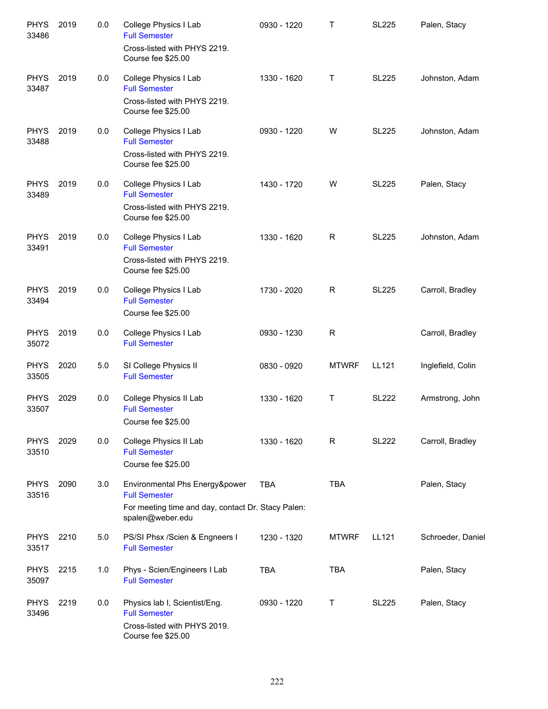| <b>PHYS</b><br>33486 | 2019 | 0.0 | College Physics I Lab<br><b>Full Semester</b><br>Cross-listed with PHYS 2219.                                                    | 0930 - 1220 | Τ            | <b>SL225</b> | Palen, Stacy      |
|----------------------|------|-----|----------------------------------------------------------------------------------------------------------------------------------|-------------|--------------|--------------|-------------------|
|                      |      |     | Course fee \$25.00                                                                                                               |             |              |              |                   |
| <b>PHYS</b><br>33487 | 2019 | 0.0 | College Physics I Lab<br><b>Full Semester</b>                                                                                    | 1330 - 1620 | Τ            | <b>SL225</b> | Johnston, Adam    |
|                      |      |     | Cross-listed with PHYS 2219.<br>Course fee \$25.00                                                                               |             |              |              |                   |
| <b>PHYS</b><br>33488 | 2019 | 0.0 | College Physics I Lab<br><b>Full Semester</b><br>Cross-listed with PHYS 2219.<br>Course fee \$25.00                              | 0930 - 1220 | W            | <b>SL225</b> | Johnston, Adam    |
| <b>PHYS</b><br>33489 | 2019 | 0.0 | College Physics I Lab<br><b>Full Semester</b><br>Cross-listed with PHYS 2219.<br>Course fee \$25.00                              | 1430 - 1720 | W            | <b>SL225</b> | Palen, Stacy      |
| <b>PHYS</b><br>33491 | 2019 | 0.0 | College Physics I Lab<br><b>Full Semester</b><br>Cross-listed with PHYS 2219.                                                    | 1330 - 1620 | R            | <b>SL225</b> | Johnston, Adam    |
| <b>PHYS</b><br>33494 | 2019 | 0.0 | Course fee \$25.00<br>College Physics I Lab<br><b>Full Semester</b><br>Course fee \$25.00                                        | 1730 - 2020 | R            | <b>SL225</b> | Carroll, Bradley  |
| <b>PHYS</b><br>35072 | 2019 | 0.0 | College Physics I Lab<br><b>Full Semester</b>                                                                                    | 0930 - 1230 | R            |              | Carroll, Bradley  |
| <b>PHYS</b><br>33505 | 2020 | 5.0 | SI College Physics II<br><b>Full Semester</b>                                                                                    | 0830 - 0920 | <b>MTWRF</b> | LL121        | Inglefield, Colin |
| <b>PHYS</b><br>33507 | 2029 | 0.0 | College Physics II Lab<br><b>Full Semester</b><br>Course fee \$25.00                                                             | 1330 - 1620 | Τ            | <b>SL222</b> | Armstrong, John   |
| <b>PHYS</b><br>33510 | 2029 | 0.0 | College Physics II Lab<br><b>Full Semester</b><br>Course fee \$25.00                                                             | 1330 - 1620 | R            | <b>SL222</b> | Carroll, Bradley  |
| <b>PHYS</b><br>33516 | 2090 | 3.0 | Environmental Phs Energy&power<br><b>Full Semester</b><br>For meeting time and day, contact Dr. Stacy Palen:<br>spalen@weber.edu | <b>TBA</b>  | <b>TBA</b>   |              | Palen, Stacy      |
| <b>PHYS</b><br>33517 | 2210 | 5.0 | PS/SI Phsx /Scien & Engneers I<br><b>Full Semester</b>                                                                           | 1230 - 1320 | <b>MTWRF</b> | LL121        | Schroeder, Daniel |
| <b>PHYS</b><br>35097 | 2215 | 1.0 | Phys - Scien/Engineers I Lab<br><b>Full Semester</b>                                                                             | <b>TBA</b>  | <b>TBA</b>   |              | Palen, Stacy      |
| <b>PHYS</b><br>33496 | 2219 | 0.0 | Physics lab I, Scientist/Eng.<br><b>Full Semester</b><br>Cross-listed with PHYS 2019.                                            | 0930 - 1220 | Τ            | <b>SL225</b> | Palen, Stacy      |
|                      |      |     | Course fee \$25.00                                                                                                               |             |              |              |                   |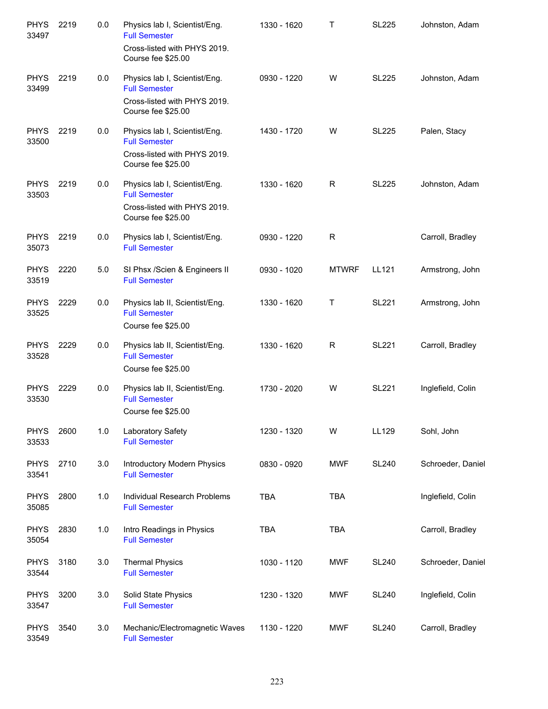| <b>PHYS</b><br>33497 | 2219 | 0.0 | Physics lab I, Scientist/Eng.<br><b>Full Semester</b><br>Cross-listed with PHYS 2019.<br>Course fee \$25.00 | 1330 - 1620 | Т            | <b>SL225</b> | Johnston, Adam    |
|----------------------|------|-----|-------------------------------------------------------------------------------------------------------------|-------------|--------------|--------------|-------------------|
| <b>PHYS</b><br>33499 | 2219 | 0.0 | Physics lab I, Scientist/Eng.<br><b>Full Semester</b><br>Cross-listed with PHYS 2019.<br>Course fee \$25.00 | 0930 - 1220 | W            | <b>SL225</b> | Johnston, Adam    |
| <b>PHYS</b><br>33500 | 2219 | 0.0 | Physics lab I, Scientist/Eng.<br><b>Full Semester</b><br>Cross-listed with PHYS 2019.<br>Course fee \$25.00 | 1430 - 1720 | W            | <b>SL225</b> | Palen, Stacy      |
| <b>PHYS</b><br>33503 | 2219 | 0.0 | Physics lab I, Scientist/Eng.<br><b>Full Semester</b><br>Cross-listed with PHYS 2019.<br>Course fee \$25.00 | 1330 - 1620 | R            | <b>SL225</b> | Johnston, Adam    |
| <b>PHYS</b><br>35073 | 2219 | 0.0 | Physics lab I, Scientist/Eng.<br><b>Full Semester</b>                                                       | 0930 - 1220 | R            |              | Carroll, Bradley  |
| <b>PHYS</b><br>33519 | 2220 | 5.0 | SI Phsx /Scien & Engineers II<br><b>Full Semester</b>                                                       | 0930 - 1020 | <b>MTWRF</b> | LL121        | Armstrong, John   |
| <b>PHYS</b><br>33525 | 2229 | 0.0 | Physics lab II, Scientist/Eng.<br><b>Full Semester</b><br>Course fee \$25.00                                | 1330 - 1620 | Т            | <b>SL221</b> | Armstrong, John   |
| <b>PHYS</b><br>33528 | 2229 | 0.0 | Physics lab II, Scientist/Eng.<br><b>Full Semester</b><br>Course fee \$25.00                                | 1330 - 1620 | R            | <b>SL221</b> | Carroll, Bradley  |
| <b>PHYS</b><br>33530 | 2229 | 0.0 | Physics lab II, Scientist/Eng.<br><b>Full Semester</b><br>Course fee \$25.00                                | 1730 - 2020 | W            | <b>SL221</b> | Inglefield, Colin |
| <b>PHYS</b><br>33533 | 2600 | 1.0 | Laboratory Safety<br><b>Full Semester</b>                                                                   | 1230 - 1320 | W            | LL129        | Sohl, John        |
| <b>PHYS</b><br>33541 | 2710 | 3.0 | Introductory Modern Physics<br><b>Full Semester</b>                                                         | 0830 - 0920 | <b>MWF</b>   | <b>SL240</b> | Schroeder, Daniel |
| <b>PHYS</b><br>35085 | 2800 | 1.0 | Individual Research Problems<br><b>Full Semester</b>                                                        | <b>TBA</b>  | <b>TBA</b>   |              | Inglefield, Colin |
| <b>PHYS</b><br>35054 | 2830 | 1.0 | Intro Readings in Physics<br><b>Full Semester</b>                                                           | <b>TBA</b>  | <b>TBA</b>   |              | Carroll, Bradley  |
| <b>PHYS</b><br>33544 | 3180 | 3.0 | <b>Thermal Physics</b><br><b>Full Semester</b>                                                              | 1030 - 1120 | <b>MWF</b>   | <b>SL240</b> | Schroeder, Daniel |
| <b>PHYS</b><br>33547 | 3200 | 3.0 | Solid State Physics<br><b>Full Semester</b>                                                                 | 1230 - 1320 | <b>MWF</b>   | <b>SL240</b> | Inglefield, Colin |
| <b>PHYS</b><br>33549 | 3540 | 3.0 | Mechanic/Electromagnetic Waves<br><b>Full Semester</b>                                                      | 1130 - 1220 | <b>MWF</b>   | <b>SL240</b> | Carroll, Bradley  |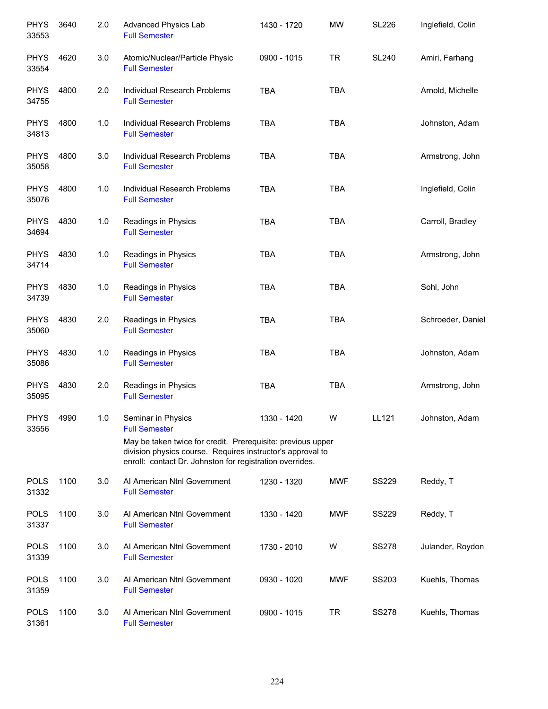| <b>PHYS</b><br>33553 | 3640 | 2.0 | Advanced Physics Lab<br><b>Full Semester</b>                                                                                                                                          | 1430 - 1720 | <b>MW</b>  | <b>SL226</b> | Inglefield, Colin |
|----------------------|------|-----|---------------------------------------------------------------------------------------------------------------------------------------------------------------------------------------|-------------|------------|--------------|-------------------|
| <b>PHYS</b><br>33554 | 4620 | 3.0 | Atomic/Nuclear/Particle Physic<br><b>Full Semester</b>                                                                                                                                | 0900 - 1015 | <b>TR</b>  | <b>SL240</b> | Amiri, Farhang    |
| <b>PHYS</b><br>34755 | 4800 | 2.0 | Individual Research Problems<br><b>Full Semester</b>                                                                                                                                  | <b>TBA</b>  | <b>TBA</b> |              | Arnold, Michelle  |
| <b>PHYS</b><br>34813 | 4800 | 1.0 | Individual Research Problems<br><b>Full Semester</b>                                                                                                                                  | <b>TBA</b>  | <b>TBA</b> |              | Johnston, Adam    |
| <b>PHYS</b><br>35058 | 4800 | 3.0 | Individual Research Problems<br><b>Full Semester</b>                                                                                                                                  | <b>TBA</b>  | <b>TBA</b> |              | Armstrong, John   |
| <b>PHYS</b><br>35076 | 4800 | 1.0 | Individual Research Problems<br><b>Full Semester</b>                                                                                                                                  | <b>TBA</b>  | <b>TBA</b> |              | Inglefield, Colin |
| <b>PHYS</b><br>34694 | 4830 | 1.0 | Readings in Physics<br><b>Full Semester</b>                                                                                                                                           | <b>TBA</b>  | <b>TBA</b> |              | Carroll, Bradley  |
| <b>PHYS</b><br>34714 | 4830 | 1.0 | Readings in Physics<br><b>Full Semester</b>                                                                                                                                           | <b>TBA</b>  | <b>TBA</b> |              | Armstrong, John   |
| <b>PHYS</b><br>34739 | 4830 | 1.0 | Readings in Physics<br><b>Full Semester</b>                                                                                                                                           | <b>TBA</b>  | <b>TBA</b> |              | Sohl, John        |
| <b>PHYS</b><br>35060 | 4830 | 2.0 | Readings in Physics<br><b>Full Semester</b>                                                                                                                                           | <b>TBA</b>  | <b>TBA</b> |              | Schroeder, Daniel |
| <b>PHYS</b><br>35086 | 4830 | 1.0 | Readings in Physics<br><b>Full Semester</b>                                                                                                                                           | <b>TBA</b>  | <b>TBA</b> |              | Johnston, Adam    |
| <b>PHYS</b><br>35095 | 4830 | 2.0 | Readings in Physics<br><b>Full Semester</b>                                                                                                                                           | <b>TBA</b>  | <b>TBA</b> |              | Armstrong, John   |
| <b>PHYS</b><br>33556 | 4990 | 1.0 | Seminar in Physics<br><b>Full Semester</b>                                                                                                                                            | 1330 - 1420 | W          | LL121        | Johnston, Adam    |
|                      |      |     | May be taken twice for credit. Prerequisite: previous upper<br>division physics course. Requires instructor's approval to<br>enroll: contact Dr. Johnston for registration overrides. |             |            |              |                   |
| <b>POLS</b><br>31332 | 1100 | 3.0 | Al American Ntnl Government<br><b>Full Semester</b>                                                                                                                                   | 1230 - 1320 | <b>MWF</b> | <b>SS229</b> | Reddy, T          |
| <b>POLS</b><br>31337 | 1100 | 3.0 | Al American Ntnl Government<br><b>Full Semester</b>                                                                                                                                   | 1330 - 1420 | <b>MWF</b> | <b>SS229</b> | Reddy, T          |
| <b>POLS</b><br>31339 | 1100 | 3.0 | Al American Ntnl Government<br><b>Full Semester</b>                                                                                                                                   | 1730 - 2010 | W          | <b>SS278</b> | Julander, Roydon  |
| <b>POLS</b><br>31359 | 1100 | 3.0 | Al American Ntnl Government<br><b>Full Semester</b>                                                                                                                                   | 0930 - 1020 | <b>MWF</b> | SS203        | Kuehls, Thomas    |
| <b>POLS</b><br>31361 | 1100 | 3.0 | Al American Ntnl Government<br><b>Full Semester</b>                                                                                                                                   | 0900 - 1015 | <b>TR</b>  | <b>SS278</b> | Kuehls, Thomas    |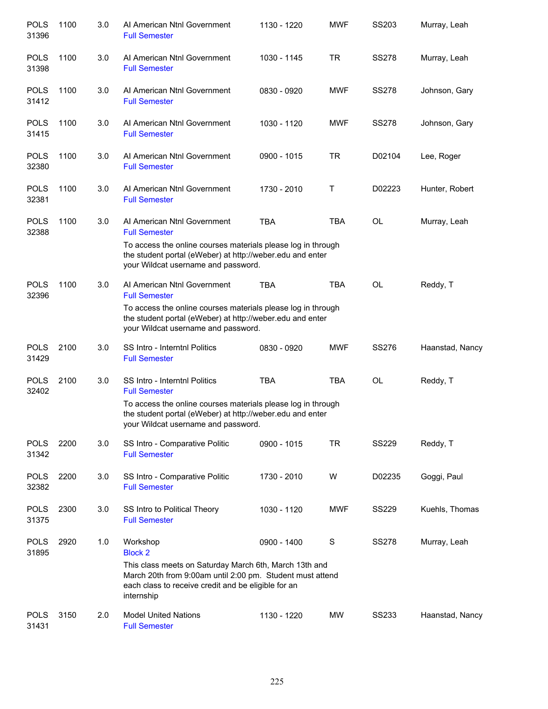| 1100<br>1100<br>1100 | 3.0<br>3.0<br>3.0 | Al American Ntnl Government<br><b>Full Semester</b><br>Al American Ntnl Government | 1030 - 1145          | <b>TR</b>                                                                                                                                                                | <b>SS278</b>                                                                                                                                                                                                                                                                                                                                                                                                                                                                                               | Murray, Leah    |
|----------------------|-------------------|------------------------------------------------------------------------------------|----------------------|--------------------------------------------------------------------------------------------------------------------------------------------------------------------------|------------------------------------------------------------------------------------------------------------------------------------------------------------------------------------------------------------------------------------------------------------------------------------------------------------------------------------------------------------------------------------------------------------------------------------------------------------------------------------------------------------|-----------------|
|                      |                   |                                                                                    |                      |                                                                                                                                                                          |                                                                                                                                                                                                                                                                                                                                                                                                                                                                                                            |                 |
|                      |                   | <b>Full Semester</b>                                                               | 0830 - 0920          | <b>MWF</b>                                                                                                                                                               | <b>SS278</b>                                                                                                                                                                                                                                                                                                                                                                                                                                                                                               | Johnson, Gary   |
|                      |                   | Al American Ntnl Government<br><b>Full Semester</b>                                | 1030 - 1120          | <b>MWF</b>                                                                                                                                                               | <b>SS278</b>                                                                                                                                                                                                                                                                                                                                                                                                                                                                                               | Johnson, Gary   |
| 1100                 | 3.0               | Al American Ntnl Government<br><b>Full Semester</b>                                | 0900 - 1015          | <b>TR</b>                                                                                                                                                                | D02104                                                                                                                                                                                                                                                                                                                                                                                                                                                                                                     | Lee, Roger      |
| 1100                 | 3.0               | Al American Ntnl Government<br><b>Full Semester</b>                                | 1730 - 2010          | Т                                                                                                                                                                        | D02223                                                                                                                                                                                                                                                                                                                                                                                                                                                                                                     | Hunter, Robert  |
| 1100                 | 3.0               | Al American Ntnl Government<br><b>Full Semester</b>                                | <b>TBA</b>           | <b>TBA</b>                                                                                                                                                               | <b>OL</b>                                                                                                                                                                                                                                                                                                                                                                                                                                                                                                  | Murray, Leah    |
|                      |                   |                                                                                    |                      |                                                                                                                                                                          |                                                                                                                                                                                                                                                                                                                                                                                                                                                                                                            |                 |
| 1100                 | 3.0               | Al American Ntnl Government<br><b>Full Semester</b>                                | <b>TBA</b>           | <b>TBA</b>                                                                                                                                                               | OL                                                                                                                                                                                                                                                                                                                                                                                                                                                                                                         | Reddy, T        |
|                      |                   |                                                                                    |                      |                                                                                                                                                                          |                                                                                                                                                                                                                                                                                                                                                                                                                                                                                                            |                 |
| 2100                 | 3.0               | SS Intro - Interntnl Politics<br><b>Full Semester</b>                              | 0830 - 0920          | <b>MWF</b>                                                                                                                                                               | SS276                                                                                                                                                                                                                                                                                                                                                                                                                                                                                                      | Haanstad, Nancy |
| 2100                 | 3.0               | SS Intro - Interntnl Politics<br><b>Full Semester</b>                              | <b>TBA</b>           | <b>TBA</b>                                                                                                                                                               | <b>OL</b>                                                                                                                                                                                                                                                                                                                                                                                                                                                                                                  | Reddy, T        |
|                      |                   |                                                                                    |                      |                                                                                                                                                                          |                                                                                                                                                                                                                                                                                                                                                                                                                                                                                                            |                 |
| 2200                 | 3.0               | SS Intro - Comparative Politic<br><b>Full Semester</b>                             | 0900 - 1015          | <b>TR</b>                                                                                                                                                                | <b>SS229</b>                                                                                                                                                                                                                                                                                                                                                                                                                                                                                               | Reddy, T        |
| 2200                 | 3.0               | SS Intro - Comparative Politic<br><b>Full Semester</b>                             | 1730 - 2010          | W                                                                                                                                                                        | D02235                                                                                                                                                                                                                                                                                                                                                                                                                                                                                                     | Goggi, Paul     |
| 2300                 | 3.0               | SS Intro to Political Theory<br><b>Full Semester</b>                               | 1030 - 1120          | <b>MWF</b>                                                                                                                                                               | <b>SS229</b>                                                                                                                                                                                                                                                                                                                                                                                                                                                                                               | Kuehls, Thomas  |
| 2920                 | 1.0               | Workshop<br><b>Block 2</b>                                                         | 0900 - 1400          | S                                                                                                                                                                        | <b>SS278</b>                                                                                                                                                                                                                                                                                                                                                                                                                                                                                               | Murray, Leah    |
|                      |                   | internship                                                                         |                      |                                                                                                                                                                          |                                                                                                                                                                                                                                                                                                                                                                                                                                                                                                            |                 |
| 3150                 | 2.0               | <b>Model United Nations</b>                                                        | 1130 - 1220          | МW                                                                                                                                                                       | <b>SS233</b>                                                                                                                                                                                                                                                                                                                                                                                                                                                                                               | Haanstad, Nancy |
|                      |                   |                                                                                    | <b>Full Semester</b> | your Wildcat username and password.<br>your Wildcat username and password.<br>your Wildcat username and password.<br>each class to receive credit and be eligible for an | To access the online courses materials please log in through<br>the student portal (eWeber) at http://weber.edu and enter<br>To access the online courses materials please log in through<br>the student portal (eWeber) at http://weber.edu and enter<br>To access the online courses materials please log in through<br>the student portal (eWeber) at http://weber.edu and enter<br>This class meets on Saturday March 6th, March 13th and<br>March 20th from 9:00am until 2:00 pm. Student must attend |                 |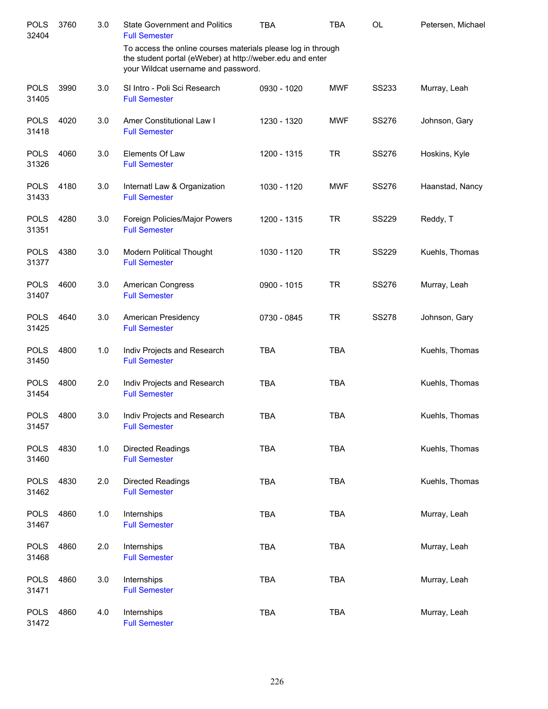| <b>POLS</b><br>32404 | 3760 | 3.0   | <b>State Government and Politics</b><br><b>Full Semester</b>                                                                                                     | <b>TBA</b>  | <b>TBA</b> | OL           | Petersen, Michael |
|----------------------|------|-------|------------------------------------------------------------------------------------------------------------------------------------------------------------------|-------------|------------|--------------|-------------------|
|                      |      |       | To access the online courses materials please log in through<br>the student portal (eWeber) at http://weber.edu and enter<br>your Wildcat username and password. |             |            |              |                   |
| <b>POLS</b><br>31405 | 3990 | 3.0   | SI Intro - Poli Sci Research<br><b>Full Semester</b>                                                                                                             | 0930 - 1020 | <b>MWF</b> | <b>SS233</b> | Murray, Leah      |
| <b>POLS</b><br>31418 | 4020 | 3.0   | Amer Constitutional Law I<br><b>Full Semester</b>                                                                                                                | 1230 - 1320 | <b>MWF</b> | SS276        | Johnson, Gary     |
| <b>POLS</b><br>31326 | 4060 | 3.0   | Elements Of Law<br><b>Full Semester</b>                                                                                                                          | 1200 - 1315 | <b>TR</b>  | <b>SS276</b> | Hoskins, Kyle     |
| <b>POLS</b><br>31433 | 4180 | 3.0   | Internatl Law & Organization<br><b>Full Semester</b>                                                                                                             | 1030 - 1120 | <b>MWF</b> | SS276        | Haanstad, Nancy   |
| <b>POLS</b><br>31351 | 4280 | 3.0   | Foreign Policies/Major Powers<br><b>Full Semester</b>                                                                                                            | 1200 - 1315 | <b>TR</b>  | <b>SS229</b> | Reddy, T          |
| <b>POLS</b><br>31377 | 4380 | 3.0   | <b>Modern Political Thought</b><br><b>Full Semester</b>                                                                                                          | 1030 - 1120 | <b>TR</b>  | <b>SS229</b> | Kuehls, Thomas    |
| <b>POLS</b><br>31407 | 4600 | 3.0   | American Congress<br><b>Full Semester</b>                                                                                                                        | 0900 - 1015 | <b>TR</b>  | <b>SS276</b> | Murray, Leah      |
| <b>POLS</b><br>31425 | 4640 | 3.0   | American Presidency<br><b>Full Semester</b>                                                                                                                      | 0730 - 0845 | <b>TR</b>  | <b>SS278</b> | Johnson, Gary     |
| <b>POLS</b><br>31450 | 4800 | 1.0   | Indiv Projects and Research<br><b>Full Semester</b>                                                                                                              | <b>TBA</b>  | <b>TBA</b> |              | Kuehls, Thomas    |
| <b>POLS</b><br>31454 | 4800 | 2.0   | Indiv Projects and Research<br><b>Full Semester</b>                                                                                                              | <b>TBA</b>  | <b>TBA</b> |              | Kuehls, Thomas    |
| <b>POLS</b><br>31457 | 4800 | 3.0   | Indiv Projects and Research<br><b>Full Semester</b>                                                                                                              | <b>TBA</b>  | <b>TBA</b> |              | Kuehls, Thomas    |
| <b>POLS</b><br>31460 | 4830 | $1.0$ | <b>Directed Readings</b><br><b>Full Semester</b>                                                                                                                 | <b>TBA</b>  | <b>TBA</b> |              | Kuehls, Thomas    |
| <b>POLS</b><br>31462 | 4830 | 2.0   | <b>Directed Readings</b><br><b>Full Semester</b>                                                                                                                 | <b>TBA</b>  | <b>TBA</b> |              | Kuehls, Thomas    |
| <b>POLS</b><br>31467 | 4860 | 1.0   | Internships<br><b>Full Semester</b>                                                                                                                              | <b>TBA</b>  | <b>TBA</b> |              | Murray, Leah      |
| <b>POLS</b><br>31468 | 4860 | 2.0   | Internships<br><b>Full Semester</b>                                                                                                                              | <b>TBA</b>  | <b>TBA</b> |              | Murray, Leah      |
| <b>POLS</b><br>31471 | 4860 | 3.0   | Internships<br><b>Full Semester</b>                                                                                                                              | <b>TBA</b>  | <b>TBA</b> |              | Murray, Leah      |
| <b>POLS</b><br>31472 | 4860 | 4.0   | Internships<br><b>Full Semester</b>                                                                                                                              | TBA         | <b>TBA</b> |              | Murray, Leah      |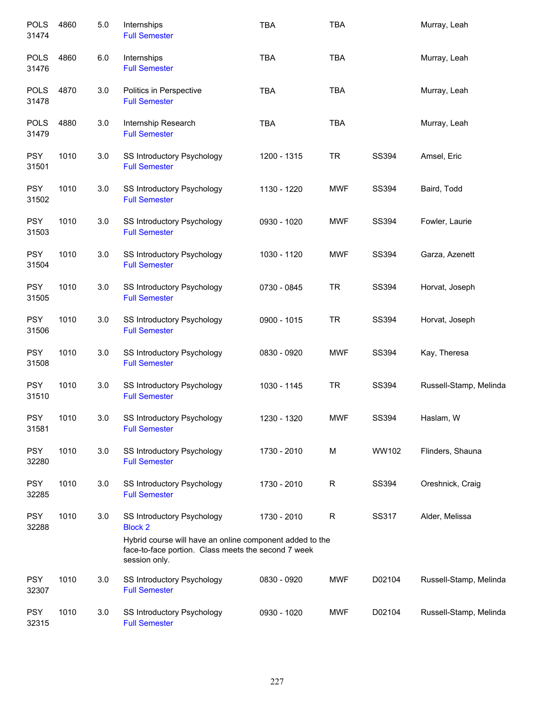| <b>POLS</b><br>31474 | 4860 | 5.0 | Internships<br><b>Full Semester</b>                                                                                                                                              | <b>TBA</b>  | <b>TBA</b>  |              | Murray, Leah           |
|----------------------|------|-----|----------------------------------------------------------------------------------------------------------------------------------------------------------------------------------|-------------|-------------|--------------|------------------------|
| <b>POLS</b><br>31476 | 4860 | 6.0 | Internships<br><b>Full Semester</b>                                                                                                                                              | <b>TBA</b>  | <b>TBA</b>  |              | Murray, Leah           |
| <b>POLS</b><br>31478 | 4870 | 3.0 | Politics in Perspective<br><b>Full Semester</b>                                                                                                                                  | <b>TBA</b>  | <b>TBA</b>  |              | Murray, Leah           |
| <b>POLS</b><br>31479 | 4880 | 3.0 | Internship Research<br><b>Full Semester</b>                                                                                                                                      | <b>TBA</b>  | <b>TBA</b>  |              | Murray, Leah           |
| <b>PSY</b><br>31501  | 1010 | 3.0 | SS Introductory Psychology<br><b>Full Semester</b>                                                                                                                               | 1200 - 1315 | <b>TR</b>   | SS394        | Amsel, Eric            |
| <b>PSY</b><br>31502  | 1010 | 3.0 | SS Introductory Psychology<br><b>Full Semester</b>                                                                                                                               | 1130 - 1220 | <b>MWF</b>  | SS394        | Baird, Todd            |
| <b>PSY</b><br>31503  | 1010 | 3.0 | SS Introductory Psychology<br><b>Full Semester</b>                                                                                                                               | 0930 - 1020 | <b>MWF</b>  | SS394        | Fowler, Laurie         |
| <b>PSY</b><br>31504  | 1010 | 3.0 | SS Introductory Psychology<br><b>Full Semester</b>                                                                                                                               | 1030 - 1120 | <b>MWF</b>  | SS394        | Garza, Azenett         |
| <b>PSY</b><br>31505  | 1010 | 3.0 | SS Introductory Psychology<br><b>Full Semester</b>                                                                                                                               | 0730 - 0845 | <b>TR</b>   | SS394        | Horvat, Joseph         |
| <b>PSY</b><br>31506  | 1010 | 3.0 | SS Introductory Psychology<br><b>Full Semester</b>                                                                                                                               | 0900 - 1015 | <b>TR</b>   | SS394        | Horvat, Joseph         |
| <b>PSY</b><br>31508  | 1010 | 3.0 | SS Introductory Psychology<br><b>Full Semester</b>                                                                                                                               | 0830 - 0920 | <b>MWF</b>  | SS394        | Kay, Theresa           |
| <b>PSY</b><br>31510  | 1010 | 3.0 | SS Introductory Psychology<br><b>Full Semester</b>                                                                                                                               | 1030 - 1145 | <b>TR</b>   | SS394        | Russell-Stamp, Melinda |
| <b>PSY</b><br>31581  | 1010 | 3.0 | SS Introductory Psychology<br><b>Full Semester</b>                                                                                                                               | 1230 - 1320 | <b>MWF</b>  | SS394        | Haslam, W              |
| <b>PSY</b><br>32280  | 1010 | 3.0 | SS Introductory Psychology<br><b>Full Semester</b>                                                                                                                               | 1730 - 2010 | M           | WW102        | Flinders, Shauna       |
| <b>PSY</b><br>32285  | 1010 | 3.0 | SS Introductory Psychology<br><b>Full Semester</b>                                                                                                                               | 1730 - 2010 | R           | <b>SS394</b> | Oreshnick, Craig       |
| <b>PSY</b><br>32288  | 1010 | 3.0 | SS Introductory Psychology<br><b>Block 2</b><br>Hybrid course will have an online component added to the<br>face-to-face portion. Class meets the second 7 week<br>session only. | 1730 - 2010 | $\mathsf R$ | SS317        | Alder, Melissa         |
| <b>PSY</b><br>32307  | 1010 | 3.0 | SS Introductory Psychology<br><b>Full Semester</b>                                                                                                                               | 0830 - 0920 | <b>MWF</b>  | D02104       | Russell-Stamp, Melinda |
| <b>PSY</b><br>32315  | 1010 | 3.0 | SS Introductory Psychology<br><b>Full Semester</b>                                                                                                                               | 0930 - 1020 | <b>MWF</b>  | D02104       | Russell-Stamp, Melinda |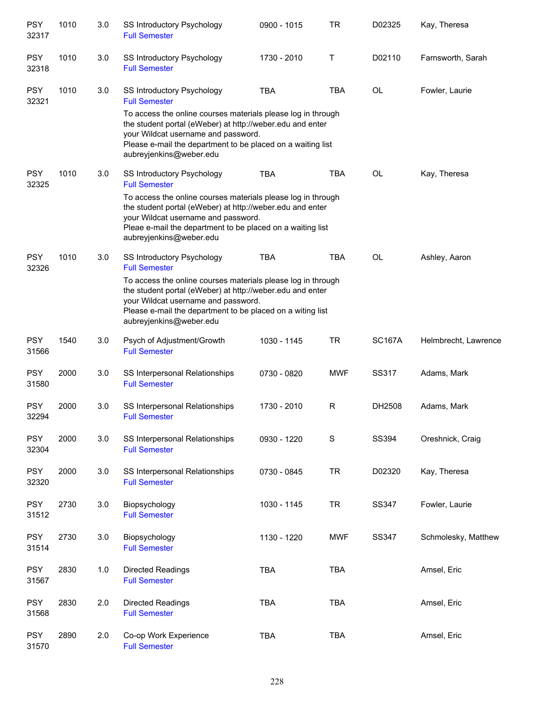| <b>PSY</b><br>32317 | 1010 | 3.0 | SS Introductory Psychology<br><b>Full Semester</b>                                                                                                                                                                                                         | 0900 - 1015 | <b>TR</b>  | D02325        | Kay, Theresa         |
|---------------------|------|-----|------------------------------------------------------------------------------------------------------------------------------------------------------------------------------------------------------------------------------------------------------------|-------------|------------|---------------|----------------------|
| <b>PSY</b><br>32318 | 1010 | 3.0 | <b>SS Introductory Psychology</b><br><b>Full Semester</b>                                                                                                                                                                                                  | 1730 - 2010 | Τ          | D02110        | Farnsworth, Sarah    |
| <b>PSY</b><br>32321 | 1010 | 3.0 | <b>SS Introductory Psychology</b><br><b>Full Semester</b>                                                                                                                                                                                                  | <b>TBA</b>  | <b>TBA</b> | <b>OL</b>     | Fowler, Laurie       |
|                     |      |     | To access the online courses materials please log in through<br>the student portal (eWeber) at http://weber.edu and enter<br>your Wildcat username and password.<br>Please e-mail the department to be placed on a waiting list<br>aubreyjenkins@weber.edu |             |            |               |                      |
| <b>PSY</b><br>32325 | 1010 | 3.0 | SS Introductory Psychology<br><b>Full Semester</b>                                                                                                                                                                                                         | <b>TBA</b>  | <b>TBA</b> | <b>OL</b>     | Kay, Theresa         |
|                     |      |     | To access the online courses materials please log in through<br>the student portal (eWeber) at http://weber.edu and enter<br>your Wildcat username and password.<br>Pleae e-mail the department to be placed on a waiting list<br>aubreyjenkins@weber.edu  |             |            |               |                      |
| <b>PSY</b><br>32326 | 1010 | 3.0 | SS Introductory Psychology<br><b>Full Semester</b>                                                                                                                                                                                                         | <b>TBA</b>  | <b>TBA</b> | <b>OL</b>     | Ashley, Aaron        |
|                     |      |     | To access the online courses materials please log in through<br>the student portal (eWeber) at http://weber.edu and enter<br>your Wildcat username and password.<br>Please e-mail the department to be placed on a witing list<br>aubreyjenkins@weber.edu  |             |            |               |                      |
| <b>PSY</b><br>31566 | 1540 | 3.0 | Psych of Adjustment/Growth<br><b>Full Semester</b>                                                                                                                                                                                                         | 1030 - 1145 | <b>TR</b>  | <b>SC167A</b> | Helmbrecht, Lawrence |
| <b>PSY</b><br>31580 | 2000 | 3.0 | SS Interpersonal Relationships<br><b>Full Semester</b>                                                                                                                                                                                                     | 0730 - 0820 | <b>MWF</b> | SS317         | Adams, Mark          |
| <b>PSY</b><br>32294 | 2000 | 3.0 | SS Interpersonal Relationships<br><b>Full Semester</b>                                                                                                                                                                                                     | 1730 - 2010 | R          | DH2508        | Adams, Mark          |
| <b>PSY</b><br>32304 | 2000 | 3.0 | SS Interpersonal Relationships<br><b>Full Semester</b>                                                                                                                                                                                                     | 0930 - 1220 | S          | SS394         | Oreshnick, Craig     |
| <b>PSY</b><br>32320 | 2000 | 3.0 | SS Interpersonal Relationships<br><b>Full Semester</b>                                                                                                                                                                                                     | 0730 - 0845 | <b>TR</b>  | D02320        | Kay, Theresa         |
| <b>PSY</b><br>31512 | 2730 | 3.0 | Biopsychology<br><b>Full Semester</b>                                                                                                                                                                                                                      | 1030 - 1145 | <b>TR</b>  | SS347         | Fowler, Laurie       |
| <b>PSY</b><br>31514 | 2730 | 3.0 | Biopsychology<br><b>Full Semester</b>                                                                                                                                                                                                                      | 1130 - 1220 | <b>MWF</b> | SS347         | Schmolesky, Matthew  |
| <b>PSY</b><br>31567 | 2830 | 1.0 | Directed Readings<br><b>Full Semester</b>                                                                                                                                                                                                                  | <b>TBA</b>  | <b>TBA</b> |               | Amsel, Eric          |
| <b>PSY</b><br>31568 | 2830 | 2.0 | <b>Directed Readings</b><br><b>Full Semester</b>                                                                                                                                                                                                           | <b>TBA</b>  | <b>TBA</b> |               | Amsel, Eric          |
| <b>PSY</b><br>31570 | 2890 | 2.0 | Co-op Work Experience<br><b>Full Semester</b>                                                                                                                                                                                                              | <b>TBA</b>  | <b>TBA</b> |               | Amsel, Eric          |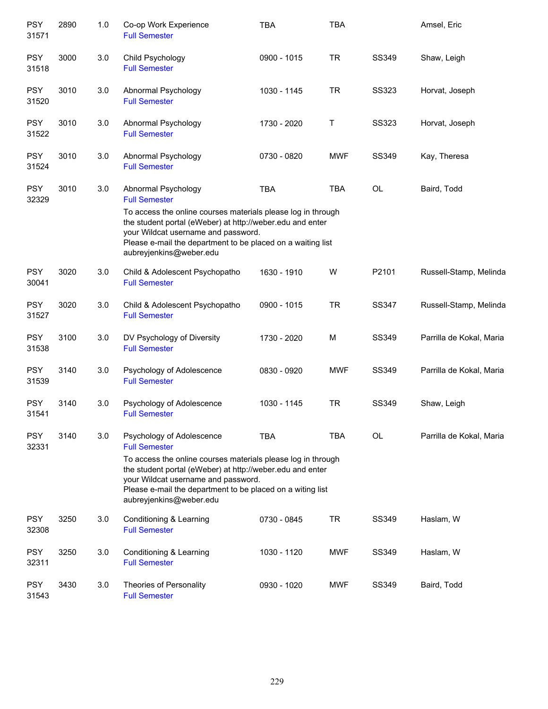| <b>PSY</b><br>31571 | 2890 | 1.0 | Co-op Work Experience<br><b>Full Semester</b>                                                                                                                                                                                                              | <b>TBA</b>  | <b>TBA</b> |              | Amsel, Eric              |
|---------------------|------|-----|------------------------------------------------------------------------------------------------------------------------------------------------------------------------------------------------------------------------------------------------------------|-------------|------------|--------------|--------------------------|
| <b>PSY</b><br>31518 | 3000 | 3.0 | Child Psychology<br><b>Full Semester</b>                                                                                                                                                                                                                   | 0900 - 1015 | <b>TR</b>  | SS349        | Shaw, Leigh              |
| <b>PSY</b><br>31520 | 3010 | 3.0 | Abnormal Psychology<br><b>Full Semester</b>                                                                                                                                                                                                                | 1030 - 1145 | <b>TR</b>  | SS323        | Horvat, Joseph           |
| <b>PSY</b><br>31522 | 3010 | 3.0 | Abnormal Psychology<br><b>Full Semester</b>                                                                                                                                                                                                                | 1730 - 2020 | Τ          | <b>SS323</b> | Horvat, Joseph           |
| <b>PSY</b><br>31524 | 3010 | 3.0 | Abnormal Psychology<br><b>Full Semester</b>                                                                                                                                                                                                                | 0730 - 0820 | <b>MWF</b> | SS349        | Kay, Theresa             |
| <b>PSY</b><br>32329 | 3010 | 3.0 | Abnormal Psychology<br><b>Full Semester</b>                                                                                                                                                                                                                | <b>TBA</b>  | <b>TBA</b> | OL           | Baird, Todd              |
|                     |      |     | To access the online courses materials please log in through<br>the student portal (eWeber) at http://weber.edu and enter<br>your Wildcat username and password.<br>Please e-mail the department to be placed on a waiting list<br>aubreyjenkins@weber.edu |             |            |              |                          |
| <b>PSY</b><br>30041 | 3020 | 3.0 | Child & Adolescent Psychopatho<br><b>Full Semester</b>                                                                                                                                                                                                     | 1630 - 1910 | W          | P2101        | Russell-Stamp, Melinda   |
| <b>PSY</b><br>31527 | 3020 | 3.0 | Child & Adolescent Psychopatho<br><b>Full Semester</b>                                                                                                                                                                                                     | 0900 - 1015 | <b>TR</b>  | SS347        | Russell-Stamp, Melinda   |
| <b>PSY</b><br>31538 | 3100 | 3.0 | DV Psychology of Diversity<br><b>Full Semester</b>                                                                                                                                                                                                         | 1730 - 2020 | M          | SS349        | Parrilla de Kokal, Maria |
| <b>PSY</b><br>31539 | 3140 | 3.0 | Psychology of Adolescence<br><b>Full Semester</b>                                                                                                                                                                                                          | 0830 - 0920 | <b>MWF</b> | SS349        | Parrilla de Kokal, Maria |
| <b>PSY</b><br>31541 | 3140 | 3.0 | Psychology of Adolescence<br><b>Full Semester</b>                                                                                                                                                                                                          | 1030 - 1145 | <b>TR</b>  | SS349        | Shaw, Leigh              |
| <b>PSY</b><br>32331 | 3140 | 3.0 | Psychology of Adolescence<br><b>Full Semester</b>                                                                                                                                                                                                          | <b>TBA</b>  | <b>TBA</b> | OL           | Parrilla de Kokal, Maria |
|                     |      |     | To access the online courses materials please log in through<br>the student portal (eWeber) at http://weber.edu and enter<br>your Wildcat username and password.<br>Please e-mail the department to be placed on a witing list<br>aubreyjenkins@weber.edu  |             |            |              |                          |
| <b>PSY</b><br>32308 | 3250 | 3.0 | Conditioning & Learning<br><b>Full Semester</b>                                                                                                                                                                                                            | 0730 - 0845 | <b>TR</b>  | SS349        | Haslam, W                |
| <b>PSY</b><br>32311 | 3250 | 3.0 | Conditioning & Learning<br><b>Full Semester</b>                                                                                                                                                                                                            | 1030 - 1120 | <b>MWF</b> | SS349        | Haslam, W                |
| <b>PSY</b><br>31543 | 3430 | 3.0 | Theories of Personality<br><b>Full Semester</b>                                                                                                                                                                                                            | 0930 - 1020 | <b>MWF</b> | SS349        | Baird, Todd              |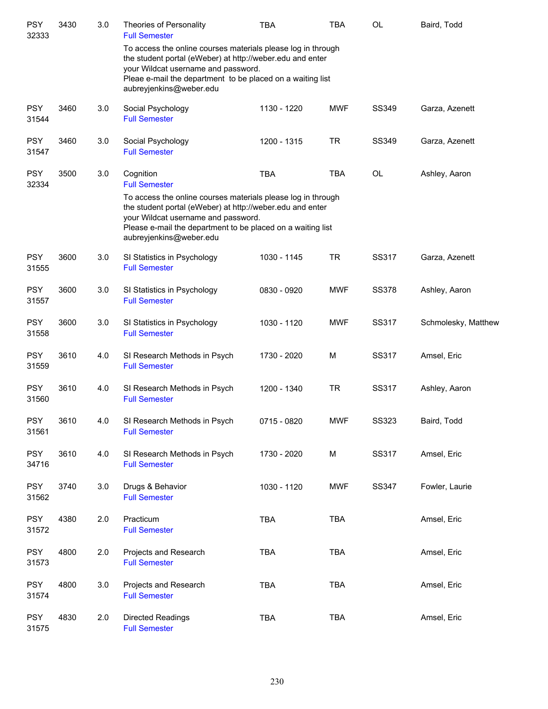| <b>PSY</b><br>32333 | 3430 | 3.0 | Theories of Personality<br><b>Full Semester</b>                                                                                                                                                                                                            | TBA         | TBA        | OL           | Baird, Todd         |
|---------------------|------|-----|------------------------------------------------------------------------------------------------------------------------------------------------------------------------------------------------------------------------------------------------------------|-------------|------------|--------------|---------------------|
|                     |      |     | To access the online courses materials please log in through<br>the student portal (eWeber) at http://weber.edu and enter<br>your Wildcat username and password.<br>Pleae e-mail the department to be placed on a waiting list<br>aubreyjenkins@weber.edu  |             |            |              |                     |
| <b>PSY</b><br>31544 | 3460 | 3.0 | Social Psychology<br><b>Full Semester</b>                                                                                                                                                                                                                  | 1130 - 1220 | <b>MWF</b> | SS349        | Garza, Azenett      |
| <b>PSY</b><br>31547 | 3460 | 3.0 | Social Psychology<br><b>Full Semester</b>                                                                                                                                                                                                                  | 1200 - 1315 | <b>TR</b>  | SS349        | Garza, Azenett      |
| <b>PSY</b><br>32334 | 3500 | 3.0 | Cognition<br><b>Full Semester</b>                                                                                                                                                                                                                          | <b>TBA</b>  | <b>TBA</b> | OL           | Ashley, Aaron       |
|                     |      |     | To access the online courses materials please log in through<br>the student portal (eWeber) at http://weber.edu and enter<br>your Wildcat username and password.<br>Please e-mail the department to be placed on a waiting list<br>aubreyjenkins@weber.edu |             |            |              |                     |
| <b>PSY</b><br>31555 | 3600 | 3.0 | SI Statistics in Psychology<br><b>Full Semester</b>                                                                                                                                                                                                        | 1030 - 1145 | <b>TR</b>  | SS317        | Garza, Azenett      |
| PSY<br>31557        | 3600 | 3.0 | SI Statistics in Psychology<br><b>Full Semester</b>                                                                                                                                                                                                        | 0830 - 0920 | MWF        | SS378        | Ashley, Aaron       |
| <b>PSY</b><br>31558 | 3600 | 3.0 | SI Statistics in Psychology<br><b>Full Semester</b>                                                                                                                                                                                                        | 1030 - 1120 | MWF        | SS317        | Schmolesky, Matthew |
| <b>PSY</b><br>31559 | 3610 | 4.0 | SI Research Methods in Psych<br><b>Full Semester</b>                                                                                                                                                                                                       | 1730 - 2020 | M          | SS317        | Amsel, Eric         |
| <b>PSY</b><br>31560 | 3610 | 4.0 | SI Research Methods in Psych<br><b>Full Semester</b>                                                                                                                                                                                                       | 1200 - 1340 | <b>TR</b>  | SS317        | Ashley, Aaron       |
| <b>PSY</b><br>31561 | 3610 | 4.0 | SI Research Methods in Psych<br><b>Full Semester</b>                                                                                                                                                                                                       | 0715 - 0820 | <b>MWF</b> | <b>SS323</b> | Baird, Todd         |
| <b>PSY</b><br>34716 | 3610 | 4.0 | SI Research Methods in Psych<br><b>Full Semester</b>                                                                                                                                                                                                       | 1730 - 2020 | M          | SS317        | Amsel, Eric         |
| <b>PSY</b><br>31562 | 3740 | 3.0 | Drugs & Behavior<br><b>Full Semester</b>                                                                                                                                                                                                                   | 1030 - 1120 | <b>MWF</b> | <b>SS347</b> | Fowler, Laurie      |
| <b>PSY</b><br>31572 | 4380 | 2.0 | Practicum<br><b>Full Semester</b>                                                                                                                                                                                                                          | <b>TBA</b>  | TBA        |              | Amsel, Eric         |
| <b>PSY</b><br>31573 | 4800 | 2.0 | Projects and Research<br><b>Full Semester</b>                                                                                                                                                                                                              | <b>TBA</b>  | <b>TBA</b> |              | Amsel, Eric         |
| <b>PSY</b><br>31574 | 4800 | 3.0 | Projects and Research<br><b>Full Semester</b>                                                                                                                                                                                                              | <b>TBA</b>  | <b>TBA</b> |              | Amsel, Eric         |
| <b>PSY</b><br>31575 | 4830 | 2.0 | Directed Readings<br><b>Full Semester</b>                                                                                                                                                                                                                  | <b>TBA</b>  | TBA        |              | Amsel, Eric         |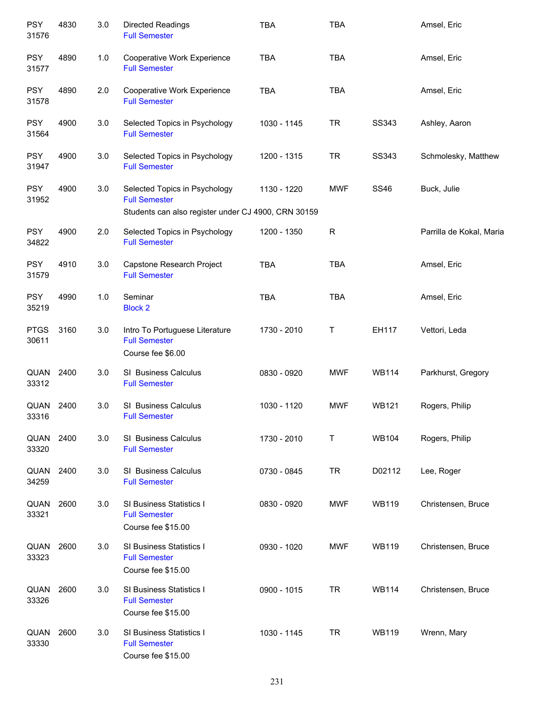| <b>PSY</b><br>31576  | 4830 | 3.0 | Directed Readings<br><b>Full Semester</b>                                     | <b>TBA</b>  | <b>TBA</b>   |              | Amsel, Eric              |
|----------------------|------|-----|-------------------------------------------------------------------------------|-------------|--------------|--------------|--------------------------|
| <b>PSY</b><br>31577  | 4890 | 1.0 | Cooperative Work Experience<br><b>Full Semester</b>                           | <b>TBA</b>  | <b>TBA</b>   |              | Amsel, Eric              |
| <b>PSY</b><br>31578  | 4890 | 2.0 | Cooperative Work Experience<br><b>Full Semester</b>                           | <b>TBA</b>  | <b>TBA</b>   |              | Amsel, Eric              |
| <b>PSY</b><br>31564  | 4900 | 3.0 | Selected Topics in Psychology<br><b>Full Semester</b>                         | 1030 - 1145 | <b>TR</b>    | SS343        | Ashley, Aaron            |
| <b>PSY</b><br>31947  | 4900 | 3.0 | Selected Topics in Psychology<br><b>Full Semester</b>                         | 1200 - 1315 | <b>TR</b>    | SS343        | Schmolesky, Matthew      |
| <b>PSY</b><br>31952  | 4900 | 3.0 | Selected Topics in Psychology<br><b>Full Semester</b>                         | 1130 - 1220 | <b>MWF</b>   | <b>SS46</b>  | Buck, Julie              |
|                      |      |     | Students can also register under CJ 4900, CRN 30159                           |             |              |              |                          |
| <b>PSY</b><br>34822  | 4900 | 2.0 | Selected Topics in Psychology<br><b>Full Semester</b>                         | 1200 - 1350 | R            |              | Parrilla de Kokal, Maria |
| <b>PSY</b><br>31579  | 4910 | 3.0 | Capstone Research Project<br><b>Full Semester</b>                             | <b>TBA</b>  | <b>TBA</b>   |              | Amsel, Eric              |
| <b>PSY</b><br>35219  | 4990 | 1.0 | Seminar<br><b>Block 2</b>                                                     | <b>TBA</b>  | <b>TBA</b>   |              | Amsel, Eric              |
| <b>PTGS</b><br>30611 | 3160 | 3.0 | Intro To Portuguese Literature<br><b>Full Semester</b><br>Course fee \$6.00   | 1730 - 2010 | T            | EH117        | Vettori, Leda            |
| QUAN<br>33312        | 2400 | 3.0 | SI Business Calculus<br><b>Full Semester</b>                                  | 0830 - 0920 | <b>MWF</b>   | <b>WB114</b> | Parkhurst, Gregory       |
| QUAN<br>33316        | 2400 | 3.0 | SI Business Calculus<br><b>Full Semester</b>                                  | 1030 - 1120 | <b>MWF</b>   | <b>WB121</b> | Rogers, Philip           |
| <b>QUAN</b><br>33320 | 2400 | 3.0 | SI Business Calculus<br><b>Full Semester</b>                                  | 1730 - 2010 | $\mathsf{T}$ | <b>WB104</b> | Rogers, Philip           |
| QUAN<br>34259        | 2400 | 3.0 | SI Business Calculus<br><b>Full Semester</b>                                  | 0730 - 0845 | <b>TR</b>    | D02112       | Lee, Roger               |
| QUAN<br>33321        | 2600 | 3.0 | <b>SI Business Statistics I</b><br><b>Full Semester</b><br>Course fee \$15.00 | 0830 - 0920 | <b>MWF</b>   | <b>WB119</b> | Christensen, Bruce       |
| QUAN<br>33323        | 2600 | 3.0 | SI Business Statistics I<br><b>Full Semester</b><br>Course fee \$15.00        | 0930 - 1020 | <b>MWF</b>   | <b>WB119</b> | Christensen, Bruce       |
| QUAN<br>33326        | 2600 | 3.0 | SI Business Statistics I<br><b>Full Semester</b><br>Course fee \$15.00        | 0900 - 1015 | <b>TR</b>    | <b>WB114</b> | Christensen, Bruce       |
| QUAN<br>33330        | 2600 | 3.0 | SI Business Statistics I<br><b>Full Semester</b><br>Course fee \$15.00        | 1030 - 1145 | <b>TR</b>    | <b>WB119</b> | Wrenn, Mary              |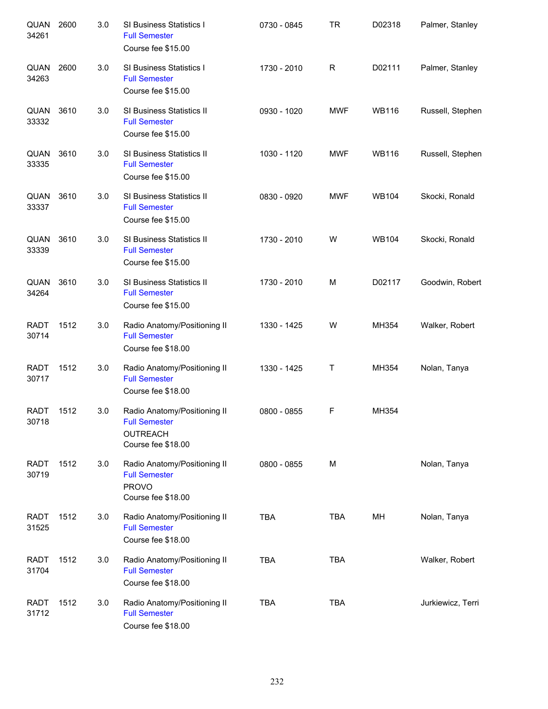| QUAN<br>34261        | 2600 | 3.0 | SI Business Statistics I<br><b>Full Semester</b><br>Course fee \$15.00                        | 0730 - 0845 | <b>TR</b>    | D02318       | Palmer, Stanley   |
|----------------------|------|-----|-----------------------------------------------------------------------------------------------|-------------|--------------|--------------|-------------------|
| QUAN<br>34263        | 2600 | 3.0 | SI Business Statistics I<br><b>Full Semester</b><br>Course fee \$15.00                        | 1730 - 2010 | $\mathsf{R}$ | D02111       | Palmer, Stanley   |
| QUAN<br>33332        | 3610 | 3.0 | SI Business Statistics II<br><b>Full Semester</b><br>Course fee \$15.00                       | 0930 - 1020 | <b>MWF</b>   | <b>WB116</b> | Russell, Stephen  |
| QUAN<br>33335        | 3610 | 3.0 | SI Business Statistics II<br><b>Full Semester</b><br>Course fee \$15.00                       | 1030 - 1120 | <b>MWF</b>   | <b>WB116</b> | Russell, Stephen  |
| QUAN<br>33337        | 3610 | 3.0 | SI Business Statistics II<br><b>Full Semester</b><br>Course fee \$15.00                       | 0830 - 0920 | <b>MWF</b>   | <b>WB104</b> | Skocki, Ronald    |
| QUAN<br>33339        | 3610 | 3.0 | SI Business Statistics II<br><b>Full Semester</b><br>Course fee \$15.00                       | 1730 - 2010 | W            | <b>WB104</b> | Skocki, Ronald    |
| QUAN<br>34264        | 3610 | 3.0 | SI Business Statistics II<br><b>Full Semester</b><br>Course fee \$15.00                       | 1730 - 2010 | M            | D02117       | Goodwin, Robert   |
| <b>RADT</b><br>30714 | 1512 | 3.0 | Radio Anatomy/Positioning II<br><b>Full Semester</b><br>Course fee \$18.00                    | 1330 - 1425 | W            | MH354        | Walker, Robert    |
| <b>RADT</b><br>30717 | 1512 | 3.0 | Radio Anatomy/Positioning II<br><b>Full Semester</b><br>Course fee \$18.00                    | 1330 - 1425 | T            | MH354        | Nolan, Tanya      |
| <b>RADT</b><br>30718 | 1512 | 3.0 | Radio Anatomy/Positioning II<br><b>Full Semester</b><br><b>OUTREACH</b><br>Course fee \$18.00 | 0800 - 0855 | F            | MH354        |                   |
| <b>RADT</b><br>30719 | 1512 | 3.0 | Radio Anatomy/Positioning II<br><b>Full Semester</b><br><b>PROVO</b><br>Course fee \$18.00    | 0800 - 0855 | M            |              | Nolan, Tanya      |
| <b>RADT</b><br>31525 | 1512 | 3.0 | Radio Anatomy/Positioning II<br><b>Full Semester</b><br>Course fee \$18.00                    | <b>TBA</b>  | <b>TBA</b>   | MН           | Nolan, Tanya      |
| <b>RADT</b><br>31704 | 1512 | 3.0 | Radio Anatomy/Positioning II<br><b>Full Semester</b><br>Course fee \$18.00                    | <b>TBA</b>  | <b>TBA</b>   |              | Walker, Robert    |
| <b>RADT</b><br>31712 | 1512 | 3.0 | Radio Anatomy/Positioning II<br><b>Full Semester</b><br>Course fee \$18.00                    | <b>TBA</b>  | <b>TBA</b>   |              | Jurkiewicz, Terri |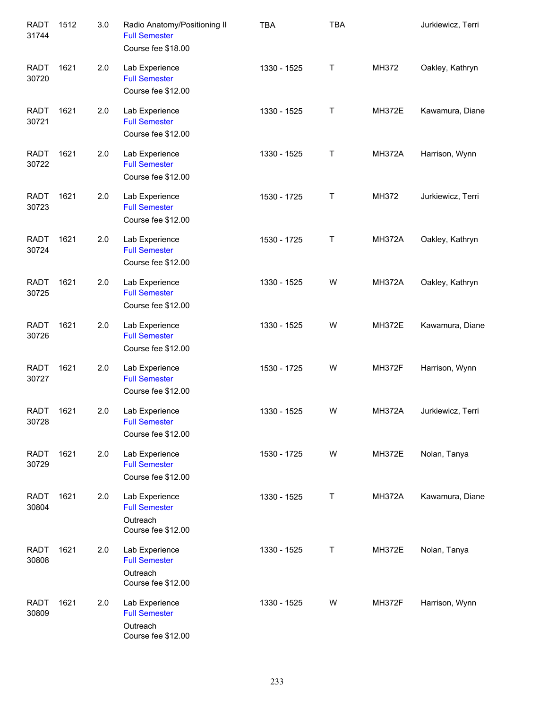| <b>RADT</b><br>31744 | 1512 | 3.0 | Radio Anatomy/Positioning II<br><b>Full Semester</b><br>Course fee \$18.00 | <b>TBA</b>  | <b>TBA</b> |               | Jurkiewicz, Terri |
|----------------------|------|-----|----------------------------------------------------------------------------|-------------|------------|---------------|-------------------|
| <b>RADT</b><br>30720 | 1621 | 2.0 | Lab Experience<br><b>Full Semester</b><br>Course fee \$12.00               | 1330 - 1525 | Τ          | MH372         | Oakley, Kathryn   |
| <b>RADT</b><br>30721 | 1621 | 2.0 | Lab Experience<br><b>Full Semester</b><br>Course fee \$12.00               | 1330 - 1525 | Τ          | <b>MH372E</b> | Kawamura, Diane   |
| <b>RADT</b><br>30722 | 1621 | 2.0 | Lab Experience<br><b>Full Semester</b><br>Course fee \$12.00               | 1330 - 1525 | Τ          | <b>MH372A</b> | Harrison, Wynn    |
| <b>RADT</b><br>30723 | 1621 | 2.0 | Lab Experience<br><b>Full Semester</b><br>Course fee \$12.00               | 1530 - 1725 | Τ          | MH372         | Jurkiewicz, Terri |
| <b>RADT</b><br>30724 | 1621 | 2.0 | Lab Experience<br><b>Full Semester</b><br>Course fee \$12.00               | 1530 - 1725 | Т          | <b>MH372A</b> | Oakley, Kathryn   |
| <b>RADT</b><br>30725 | 1621 | 2.0 | Lab Experience<br><b>Full Semester</b><br>Course fee \$12.00               | 1330 - 1525 | W          | <b>MH372A</b> | Oakley, Kathryn   |
| <b>RADT</b><br>30726 | 1621 | 2.0 | Lab Experience<br><b>Full Semester</b><br>Course fee \$12.00               | 1330 - 1525 | W          | <b>MH372E</b> | Kawamura, Diane   |
| <b>RADT</b><br>30727 | 1621 | 2.0 | Lab Experience<br><b>Full Semester</b><br>Course fee \$12.00               | 1530 - 1725 | W          | <b>MH372F</b> | Harrison, Wynn    |
| <b>RADT</b><br>30728 | 1621 | 2.0 | Lab Experience<br><b>Full Semester</b><br>Course fee \$12.00               | 1330 - 1525 | W          | <b>MH372A</b> | Jurkiewicz, Terri |
| <b>RADT</b><br>30729 | 1621 | 2.0 | Lab Experience<br><b>Full Semester</b><br>Course fee \$12.00               | 1530 - 1725 | W          | <b>MH372E</b> | Nolan, Tanya      |
| <b>RADT</b><br>30804 | 1621 | 2.0 | Lab Experience<br><b>Full Semester</b><br>Outreach<br>Course fee \$12.00   | 1330 - 1525 | Т          | <b>MH372A</b> | Kawamura, Diane   |
| <b>RADT</b><br>30808 | 1621 | 2.0 | Lab Experience<br><b>Full Semester</b><br>Outreach<br>Course fee \$12.00   | 1330 - 1525 | Т          | <b>MH372E</b> | Nolan, Tanya      |
| <b>RADT</b><br>30809 | 1621 | 2.0 | Lab Experience<br><b>Full Semester</b><br>Outreach<br>Course fee \$12.00   | 1330 - 1525 | W          | <b>MH372F</b> | Harrison, Wynn    |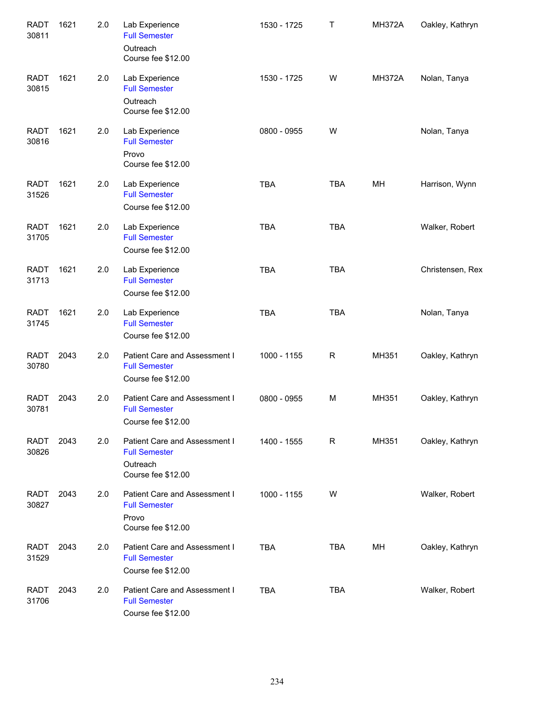| <b>RADT</b><br>30811 | 1621 | 2.0 | Lab Experience<br><b>Full Semester</b><br>Outreach<br>Course fee \$12.00                | 1530 - 1725 | Τ           | <b>MH372A</b> | Oakley, Kathryn  |
|----------------------|------|-----|-----------------------------------------------------------------------------------------|-------------|-------------|---------------|------------------|
| <b>RADT</b><br>30815 | 1621 | 2.0 | Lab Experience<br><b>Full Semester</b><br>Outreach<br>Course fee \$12.00                | 1530 - 1725 | W           | <b>MH372A</b> | Nolan, Tanya     |
| <b>RADT</b><br>30816 | 1621 | 2.0 | Lab Experience<br><b>Full Semester</b><br>Provo<br>Course fee \$12.00                   | 0800 - 0955 | W           |               | Nolan, Tanya     |
| <b>RADT</b><br>31526 | 1621 | 2.0 | Lab Experience<br><b>Full Semester</b><br>Course fee \$12.00                            | <b>TBA</b>  | <b>TBA</b>  | MH            | Harrison, Wynn   |
| <b>RADT</b><br>31705 | 1621 | 2.0 | Lab Experience<br><b>Full Semester</b><br>Course fee \$12.00                            | <b>TBA</b>  | <b>TBA</b>  |               | Walker, Robert   |
| <b>RADT</b><br>31713 | 1621 | 2.0 | Lab Experience<br><b>Full Semester</b><br>Course fee \$12.00                            | <b>TBA</b>  | <b>TBA</b>  |               | Christensen, Rex |
| <b>RADT</b><br>31745 | 1621 | 2.0 | Lab Experience<br><b>Full Semester</b><br>Course fee \$12.00                            | <b>TBA</b>  | <b>TBA</b>  |               | Nolan, Tanya     |
| <b>RADT</b><br>30780 | 2043 | 2.0 | Patient Care and Assessment I<br><b>Full Semester</b><br>Course fee \$12.00             | 1000 - 1155 | $\mathsf R$ | MH351         | Oakley, Kathryn  |
| <b>RADT</b><br>30781 | 2043 | 2.0 | Patient Care and Assessment I<br><b>Full Semester</b><br>Course fee \$12.00             | 0800 - 0955 | M           | MH351         | Oakley, Kathryn  |
| RADT<br>30826        | 2043 | 2.0 | Patient Care and Assessment I<br><b>Full Semester</b><br>Outreach<br>Course fee \$12.00 | 1400 - 1555 | R           | MH351         | Oakley, Kathryn  |
| RADT<br>30827        | 2043 | 2.0 | Patient Care and Assessment I<br><b>Full Semester</b><br>Provo<br>Course fee \$12.00    | 1000 - 1155 | W           |               | Walker, Robert   |
| <b>RADT</b><br>31529 | 2043 | 2.0 | Patient Care and Assessment I<br><b>Full Semester</b><br>Course fee \$12.00             | <b>TBA</b>  | TBA         | MН            | Oakley, Kathryn  |
| <b>RADT</b><br>31706 | 2043 | 2.0 | Patient Care and Assessment I<br><b>Full Semester</b><br>Course fee \$12.00             | <b>TBA</b>  | <b>TBA</b>  |               | Walker, Robert   |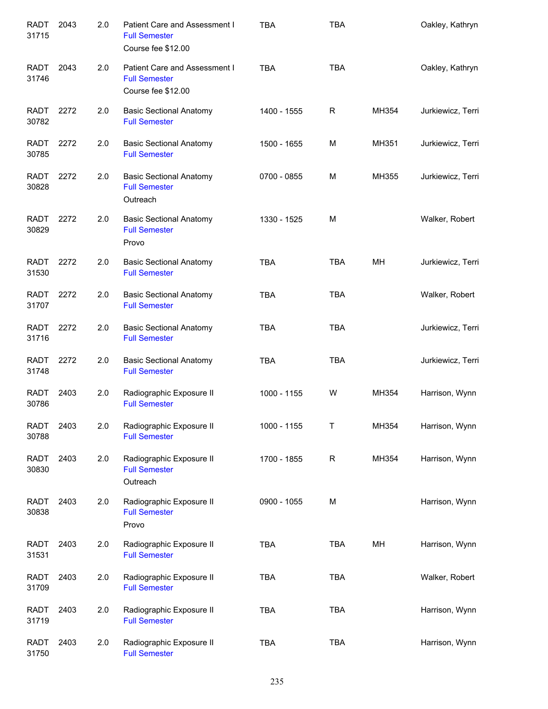| <b>RADT</b><br>31715 | 2043 | 2.0 | Patient Care and Assessment I<br><b>Full Semester</b><br>Course fee \$12.00 | <b>TBA</b>  | TBA         |       | Oakley, Kathryn   |
|----------------------|------|-----|-----------------------------------------------------------------------------|-------------|-------------|-------|-------------------|
| <b>RADT</b><br>31746 | 2043 | 2.0 | Patient Care and Assessment I<br><b>Full Semester</b><br>Course fee \$12.00 | <b>TBA</b>  | <b>TBA</b>  |       | Oakley, Kathryn   |
| <b>RADT</b><br>30782 | 2272 | 2.0 | <b>Basic Sectional Anatomy</b><br><b>Full Semester</b>                      | 1400 - 1555 | R           | MH354 | Jurkiewicz, Terri |
| <b>RADT</b><br>30785 | 2272 | 2.0 | <b>Basic Sectional Anatomy</b><br><b>Full Semester</b>                      | 1500 - 1655 | M           | MH351 | Jurkiewicz, Terri |
| <b>RADT</b><br>30828 | 2272 | 2.0 | <b>Basic Sectional Anatomy</b><br><b>Full Semester</b><br>Outreach          | 0700 - 0855 | M           | MH355 | Jurkiewicz, Terri |
| <b>RADT</b><br>30829 | 2272 | 2.0 | <b>Basic Sectional Anatomy</b><br><b>Full Semester</b><br>Provo             | 1330 - 1525 | M           |       | Walker, Robert    |
| <b>RADT</b><br>31530 | 2272 | 2.0 | <b>Basic Sectional Anatomy</b><br><b>Full Semester</b>                      | <b>TBA</b>  | <b>TBA</b>  | MH    | Jurkiewicz, Terri |
| <b>RADT</b><br>31707 | 2272 | 2.0 | <b>Basic Sectional Anatomy</b><br><b>Full Semester</b>                      | <b>TBA</b>  | <b>TBA</b>  |       | Walker, Robert    |
| RADT<br>31716        | 2272 | 2.0 | <b>Basic Sectional Anatomy</b><br><b>Full Semester</b>                      | <b>TBA</b>  | <b>TBA</b>  |       | Jurkiewicz, Terri |
| <b>RADT</b><br>31748 | 2272 | 2.0 | <b>Basic Sectional Anatomy</b><br><b>Full Semester</b>                      | <b>TBA</b>  | <b>TBA</b>  |       | Jurkiewicz, Terri |
| RADT<br>30786        | 2403 | 2.0 | Radiographic Exposure II<br><b>Full Semester</b>                            | 1000 - 1155 | W           | MH354 | Harrison, Wynn    |
| <b>RADT</b><br>30788 | 2403 | 2.0 | Radiographic Exposure II<br><b>Full Semester</b>                            | 1000 - 1155 | Т           | MH354 | Harrison, Wynn    |
| <b>RADT</b><br>30830 | 2403 | 2.0 | Radiographic Exposure II<br><b>Full Semester</b><br>Outreach                | 1700 - 1855 | $\mathsf R$ | MH354 | Harrison, Wynn    |
| <b>RADT</b><br>30838 | 2403 | 2.0 | Radiographic Exposure II<br><b>Full Semester</b><br>Provo                   | 0900 - 1055 | M           |       | Harrison, Wynn    |
| <b>RADT</b><br>31531 | 2403 | 2.0 | Radiographic Exposure II<br><b>Full Semester</b>                            | <b>TBA</b>  | <b>TBA</b>  | MH    | Harrison, Wynn    |
| <b>RADT</b><br>31709 | 2403 | 2.0 | Radiographic Exposure II<br><b>Full Semester</b>                            | <b>TBA</b>  | <b>TBA</b>  |       | Walker, Robert    |
| <b>RADT</b><br>31719 | 2403 | 2.0 | Radiographic Exposure II<br><b>Full Semester</b>                            | <b>TBA</b>  | <b>TBA</b>  |       | Harrison, Wynn    |
| <b>RADT</b><br>31750 | 2403 | 2.0 | Radiographic Exposure II<br><b>Full Semester</b>                            | <b>TBA</b>  | <b>TBA</b>  |       | Harrison, Wynn    |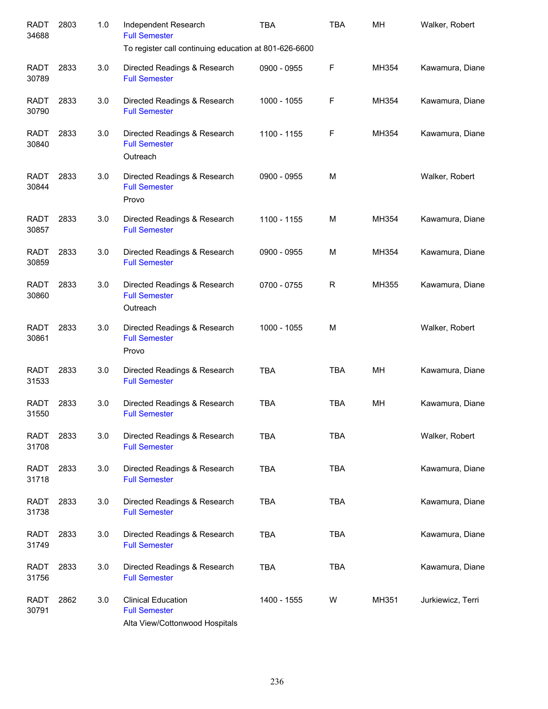| <b>RADT</b><br>34688 | 2803 | 1.0 | Independent Research<br><b>Full Semester</b><br>To register call continuing education at 801-626-6600 | <b>TBA</b>  | <b>TBA</b> | MH    | Walker, Robert    |
|----------------------|------|-----|-------------------------------------------------------------------------------------------------------|-------------|------------|-------|-------------------|
| <b>RADT</b><br>30789 | 2833 | 3.0 | Directed Readings & Research<br><b>Full Semester</b>                                                  | 0900 - 0955 | F          | MH354 | Kawamura, Diane   |
| <b>RADT</b><br>30790 | 2833 | 3.0 | Directed Readings & Research<br><b>Full Semester</b>                                                  | 1000 - 1055 | F          | MH354 | Kawamura, Diane   |
| <b>RADT</b><br>30840 | 2833 | 3.0 | Directed Readings & Research<br><b>Full Semester</b><br>Outreach                                      | 1100 - 1155 | F          | MH354 | Kawamura, Diane   |
| <b>RADT</b><br>30844 | 2833 | 3.0 | Directed Readings & Research<br><b>Full Semester</b><br>Provo                                         | 0900 - 0955 | М          |       | Walker, Robert    |
| <b>RADT</b><br>30857 | 2833 | 3.0 | Directed Readings & Research<br><b>Full Semester</b>                                                  | 1100 - 1155 | М          | MH354 | Kawamura, Diane   |
| <b>RADT</b><br>30859 | 2833 | 3.0 | Directed Readings & Research<br><b>Full Semester</b>                                                  | 0900 - 0955 | М          | MH354 | Kawamura, Diane   |
| <b>RADT</b><br>30860 | 2833 | 3.0 | Directed Readings & Research<br><b>Full Semester</b><br>Outreach                                      | 0700 - 0755 | R          | MH355 | Kawamura, Diane   |
| <b>RADT</b><br>30861 | 2833 | 3.0 | Directed Readings & Research<br><b>Full Semester</b><br>Provo                                         | 1000 - 1055 | M          |       | Walker, Robert    |
| <b>RADT</b><br>31533 | 2833 | 3.0 | Directed Readings & Research<br><b>Full Semester</b>                                                  | <b>TBA</b>  | <b>TBA</b> | MH    | Kawamura, Diane   |
| <b>RADT</b><br>31550 | 2833 | 3.0 | Directed Readings & Research<br><b>Full Semester</b>                                                  | <b>TBA</b>  | <b>TBA</b> | MH    | Kawamura, Diane   |
| <b>RADT</b><br>31708 | 2833 | 3.0 | Directed Readings & Research<br><b>Full Semester</b>                                                  | <b>TBA</b>  | <b>TBA</b> |       | Walker, Robert    |
| <b>RADT</b><br>31718 | 2833 | 3.0 | Directed Readings & Research<br><b>Full Semester</b>                                                  | <b>TBA</b>  | <b>TBA</b> |       | Kawamura, Diane   |
| <b>RADT</b><br>31738 | 2833 | 3.0 | Directed Readings & Research<br><b>Full Semester</b>                                                  | <b>TBA</b>  | <b>TBA</b> |       | Kawamura, Diane   |
| <b>RADT</b><br>31749 | 2833 | 3.0 | Directed Readings & Research<br><b>Full Semester</b>                                                  | <b>TBA</b>  | <b>TBA</b> |       | Kawamura, Diane   |
| <b>RADT</b><br>31756 | 2833 | 3.0 | Directed Readings & Research<br><b>Full Semester</b>                                                  | <b>TBA</b>  | <b>TBA</b> |       | Kawamura, Diane   |
| <b>RADT</b><br>30791 | 2862 | 3.0 | <b>Clinical Education</b><br><b>Full Semester</b><br>Alta View/Cottonwood Hospitals                   | 1400 - 1555 | W          | MH351 | Jurkiewicz, Terri |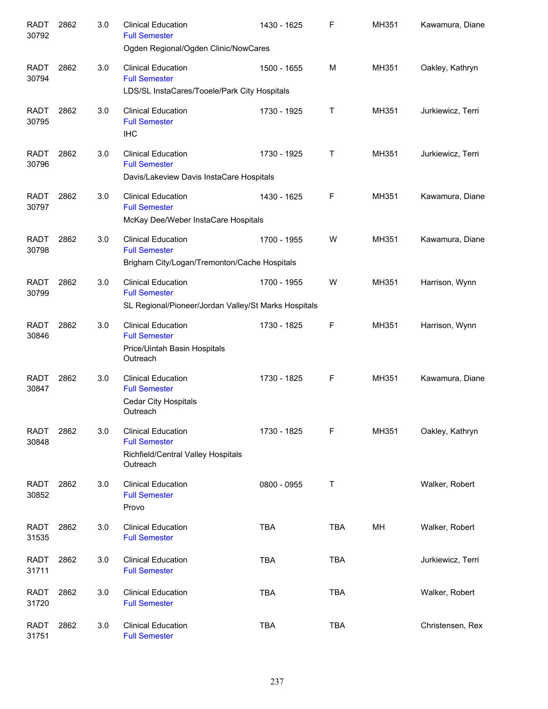| <b>RADT</b><br>30792 | 2862 | 3.0 | <b>Clinical Education</b><br><b>Full Semester</b>                                                         | 1430 - 1625 | F          | MH351 | Kawamura, Diane   |
|----------------------|------|-----|-----------------------------------------------------------------------------------------------------------|-------------|------------|-------|-------------------|
|                      |      |     | Ogden Regional/Ogden Clinic/NowCares                                                                      |             |            |       |                   |
| <b>RADT</b><br>30794 | 2862 | 3.0 | <b>Clinical Education</b><br><b>Full Semester</b>                                                         | 1500 - 1655 | M          | MH351 | Oakley, Kathryn   |
|                      |      |     | LDS/SL InstaCares/Tooele/Park City Hospitals                                                              |             |            |       |                   |
| <b>RADT</b><br>30795 | 2862 | 3.0 | <b>Clinical Education</b><br><b>Full Semester</b><br><b>IHC</b>                                           | 1730 - 1925 | Τ          | MH351 | Jurkiewicz, Terri |
| <b>RADT</b><br>30796 | 2862 | 3.0 | <b>Clinical Education</b><br><b>Full Semester</b><br>Davis/Lakeview Davis InstaCare Hospitals             | 1730 - 1925 | Т          | MH351 | Jurkiewicz, Terri |
| <b>RADT</b><br>30797 | 2862 | 3.0 | <b>Clinical Education</b><br><b>Full Semester</b><br>McKay Dee/Weber InstaCare Hospitals                  | 1430 - 1625 | F          | MH351 | Kawamura, Diane   |
| <b>RADT</b><br>30798 | 2862 | 3.0 | <b>Clinical Education</b><br><b>Full Semester</b><br>Brigham City/Logan/Tremonton/Cache Hospitals         | 1700 - 1955 | W          | MH351 | Kawamura, Diane   |
| <b>RADT</b><br>30799 | 2862 | 3.0 | <b>Clinical Education</b><br><b>Full Semester</b><br>SL Regional/Pioneer/Jordan Valley/St Marks Hospitals | 1700 - 1955 | W          | MH351 | Harrison, Wynn    |
| <b>RADT</b><br>30846 | 2862 | 3.0 | <b>Clinical Education</b><br><b>Full Semester</b><br>Price/Uintah Basin Hospitals<br>Outreach             | 1730 - 1825 | F          | MH351 | Harrison, Wynn    |
| <b>RADT</b><br>30847 | 2862 | 3.0 | <b>Clinical Education</b><br><b>Full Semester</b><br><b>Cedar City Hospitals</b><br>Outreach              | 1730 - 1825 | F          | MH351 | Kawamura, Diane   |
| <b>RADT</b><br>30848 | 2862 | 3.0 | <b>Clinical Education</b><br><b>Full Semester</b><br>Richfield/Central Valley Hospitals<br>Outreach       | 1730 - 1825 | F          | MH351 | Oakley, Kathryn   |
| <b>RADT</b><br>30852 | 2862 | 3.0 | <b>Clinical Education</b><br><b>Full Semester</b><br>Provo                                                | 0800 - 0955 | Τ          |       | Walker, Robert    |
| <b>RADT</b><br>31535 | 2862 | 3.0 | <b>Clinical Education</b><br><b>Full Semester</b>                                                         | <b>TBA</b>  | <b>TBA</b> | MH    | Walker, Robert    |
| <b>RADT</b><br>31711 | 2862 | 3.0 | <b>Clinical Education</b><br><b>Full Semester</b>                                                         | <b>TBA</b>  | <b>TBA</b> |       | Jurkiewicz, Terri |
| <b>RADT</b><br>31720 | 2862 | 3.0 | <b>Clinical Education</b><br><b>Full Semester</b>                                                         | <b>TBA</b>  | <b>TBA</b> |       | Walker, Robert    |
| <b>RADT</b><br>31751 | 2862 | 3.0 | <b>Clinical Education</b><br><b>Full Semester</b>                                                         | <b>TBA</b>  | <b>TBA</b> |       | Christensen, Rex  |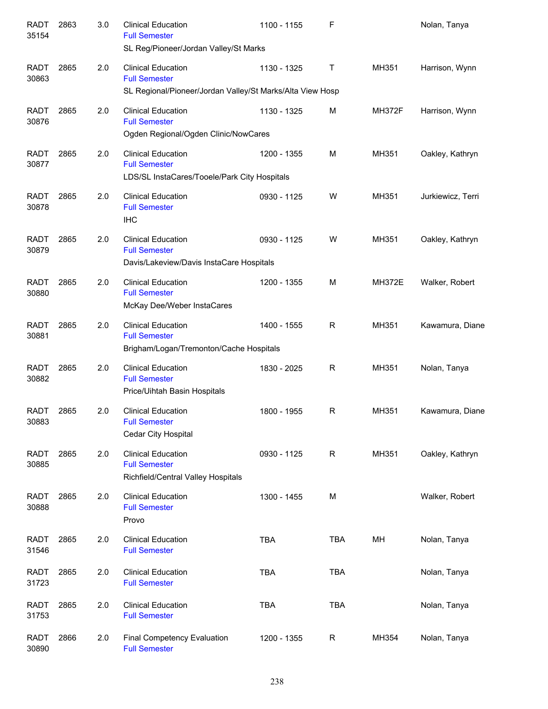| <b>RADT</b><br>35154 | 2863 | 3.0 | <b>Clinical Education</b><br><b>Full Semester</b><br>SL Reg/Pioneer/Jordan Valley/St Marks                     | 1100 - 1155 | F           |               | Nolan, Tanya      |
|----------------------|------|-----|----------------------------------------------------------------------------------------------------------------|-------------|-------------|---------------|-------------------|
| <b>RADT</b><br>30863 | 2865 | 2.0 | <b>Clinical Education</b><br><b>Full Semester</b><br>SL Regional/Pioneer/Jordan Valley/St Marks/Alta View Hosp | 1130 - 1325 | Τ           | MH351         | Harrison, Wynn    |
| <b>RADT</b><br>30876 | 2865 | 2.0 | <b>Clinical Education</b><br><b>Full Semester</b><br>Ogden Regional/Ogden Clinic/NowCares                      | 1130 - 1325 | м           | <b>MH372F</b> | Harrison, Wynn    |
| <b>RADT</b><br>30877 | 2865 | 2.0 | <b>Clinical Education</b><br><b>Full Semester</b><br>LDS/SL InstaCares/Tooele/Park City Hospitals              | 1200 - 1355 | м           | MH351         | Oakley, Kathryn   |
| <b>RADT</b><br>30878 | 2865 | 2.0 | <b>Clinical Education</b><br><b>Full Semester</b><br><b>IHC</b>                                                | 0930 - 1125 | W           | MH351         | Jurkiewicz, Terri |
| <b>RADT</b><br>30879 | 2865 | 2.0 | <b>Clinical Education</b><br><b>Full Semester</b><br>Davis/Lakeview/Davis InstaCare Hospitals                  | 0930 - 1125 | W           | MH351         | Oakley, Kathryn   |
| <b>RADT</b><br>30880 | 2865 | 2.0 | <b>Clinical Education</b><br><b>Full Semester</b><br>McKay Dee/Weber InstaCares                                | 1200 - 1355 | M           | <b>MH372E</b> | Walker, Robert    |
| <b>RADT</b><br>30881 | 2865 | 2.0 | <b>Clinical Education</b><br><b>Full Semester</b><br>Brigham/Logan/Tremonton/Cache Hospitals                   | 1400 - 1555 | R           | MH351         | Kawamura, Diane   |
| <b>RADT</b><br>30882 | 2865 | 2.0 | <b>Clinical Education</b><br><b>Full Semester</b><br>Price/Uihtah Basin Hospitals                              | 1830 - 2025 | R           | MH351         | Nolan, Tanya      |
| <b>RADT</b><br>30883 | 2865 | 2.0 | <b>Clinical Education</b><br><b>Full Semester</b><br>Cedar City Hospital                                       | 1800 - 1955 | R           | MH351         | Kawamura, Diane   |
| <b>RADT</b><br>30885 | 2865 | 2.0 | <b>Clinical Education</b><br><b>Full Semester</b><br>Richfield/Central Valley Hospitals                        | 0930 - 1125 | $\mathsf R$ | MH351         | Oakley, Kathryn   |
| <b>RADT</b><br>30888 | 2865 | 2.0 | <b>Clinical Education</b><br><b>Full Semester</b><br>Provo                                                     | 1300 - 1455 | M           |               | Walker, Robert    |
| <b>RADT</b><br>31546 | 2865 | 2.0 | <b>Clinical Education</b><br><b>Full Semester</b>                                                              | <b>TBA</b>  | <b>TBA</b>  | MH            | Nolan, Tanya      |
| <b>RADT</b><br>31723 | 2865 | 2.0 | <b>Clinical Education</b><br><b>Full Semester</b>                                                              | <b>TBA</b>  | <b>TBA</b>  |               | Nolan, Tanya      |
| <b>RADT</b><br>31753 | 2865 | 2.0 | <b>Clinical Education</b><br><b>Full Semester</b>                                                              | <b>TBA</b>  | <b>TBA</b>  |               | Nolan, Tanya      |
| <b>RADT</b><br>30890 | 2866 | 2.0 | Final Competency Evaluation<br><b>Full Semester</b>                                                            | 1200 - 1355 | R           | MH354         | Nolan, Tanya      |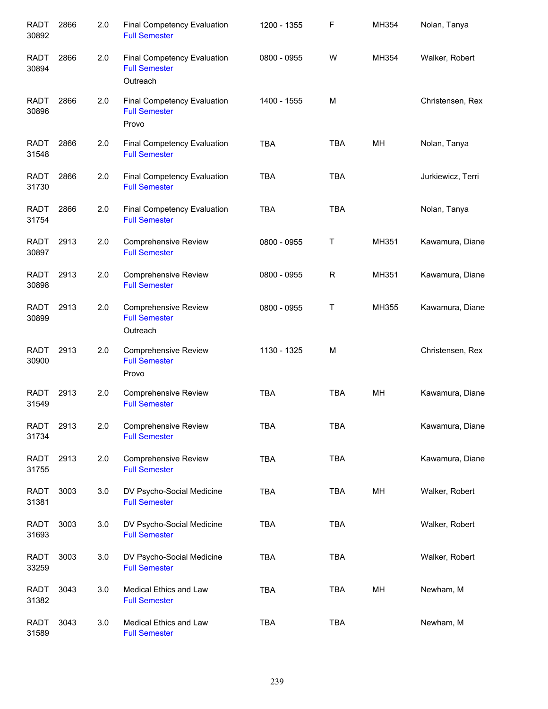| <b>RADT</b><br>30892 | 2866 | 2.0 | <b>Final Competency Evaluation</b><br><b>Full Semester</b>      | 1200 - 1355 | F           | MH354 | Nolan, Tanya      |
|----------------------|------|-----|-----------------------------------------------------------------|-------------|-------------|-------|-------------------|
| <b>RADT</b><br>30894 | 2866 | 2.0 | Final Competency Evaluation<br><b>Full Semester</b><br>Outreach | 0800 - 0955 | W           | MH354 | Walker, Robert    |
| <b>RADT</b><br>30896 | 2866 | 2.0 | Final Competency Evaluation<br><b>Full Semester</b><br>Provo    | 1400 - 1555 | M           |       | Christensen, Rex  |
| <b>RADT</b><br>31548 | 2866 | 2.0 | <b>Final Competency Evaluation</b><br><b>Full Semester</b>      | <b>TBA</b>  | <b>TBA</b>  | MH    | Nolan, Tanya      |
| <b>RADT</b><br>31730 | 2866 | 2.0 | Final Competency Evaluation<br><b>Full Semester</b>             | <b>TBA</b>  | <b>TBA</b>  |       | Jurkiewicz, Terri |
| <b>RADT</b><br>31754 | 2866 | 2.0 | Final Competency Evaluation<br><b>Full Semester</b>             | <b>TBA</b>  | <b>TBA</b>  |       | Nolan, Tanya      |
| <b>RADT</b><br>30897 | 2913 | 2.0 | <b>Comprehensive Review</b><br><b>Full Semester</b>             | 0800 - 0955 | Τ           | MH351 | Kawamura, Diane   |
| <b>RADT</b><br>30898 | 2913 | 2.0 | <b>Comprehensive Review</b><br><b>Full Semester</b>             | 0800 - 0955 | R           | MH351 | Kawamura, Diane   |
| <b>RADT</b><br>30899 | 2913 | 2.0 | <b>Comprehensive Review</b><br><b>Full Semester</b><br>Outreach | 0800 - 0955 | $\mathsf T$ | MH355 | Kawamura, Diane   |
| <b>RADT</b><br>30900 | 2913 | 2.0 | <b>Comprehensive Review</b><br><b>Full Semester</b><br>Provo    | 1130 - 1325 | M           |       | Christensen, Rex  |
| <b>RADT</b><br>31549 | 2913 | 2.0 | <b>Comprehensive Review</b><br><b>Full Semester</b>             | <b>TBA</b>  | <b>TBA</b>  | MH    | Kawamura, Diane   |
| <b>RADT</b><br>31734 | 2913 | 2.0 | <b>Comprehensive Review</b><br><b>Full Semester</b>             | <b>TBA</b>  | <b>TBA</b>  |       | Kawamura, Diane   |
| <b>RADT</b><br>31755 | 2913 | 2.0 | Comprehensive Review<br><b>Full Semester</b>                    | TBA         | <b>TBA</b>  |       | Kawamura, Diane   |
| <b>RADT</b><br>31381 | 3003 | 3.0 | DV Psycho-Social Medicine<br><b>Full Semester</b>               | <b>TBA</b>  | <b>TBA</b>  | MH    | Walker, Robert    |
| <b>RADT</b><br>31693 | 3003 | 3.0 | DV Psycho-Social Medicine<br><b>Full Semester</b>               | <b>TBA</b>  | <b>TBA</b>  |       | Walker, Robert    |
| <b>RADT</b><br>33259 | 3003 | 3.0 | DV Psycho-Social Medicine<br><b>Full Semester</b>               | <b>TBA</b>  | <b>TBA</b>  |       | Walker, Robert    |
| <b>RADT</b><br>31382 | 3043 | 3.0 | Medical Ethics and Law<br><b>Full Semester</b>                  | <b>TBA</b>  | <b>TBA</b>  | MH    | Newham, M         |
| <b>RADT</b><br>31589 | 3043 | 3.0 | Medical Ethics and Law<br><b>Full Semester</b>                  | <b>TBA</b>  | <b>TBA</b>  |       | Newham, M         |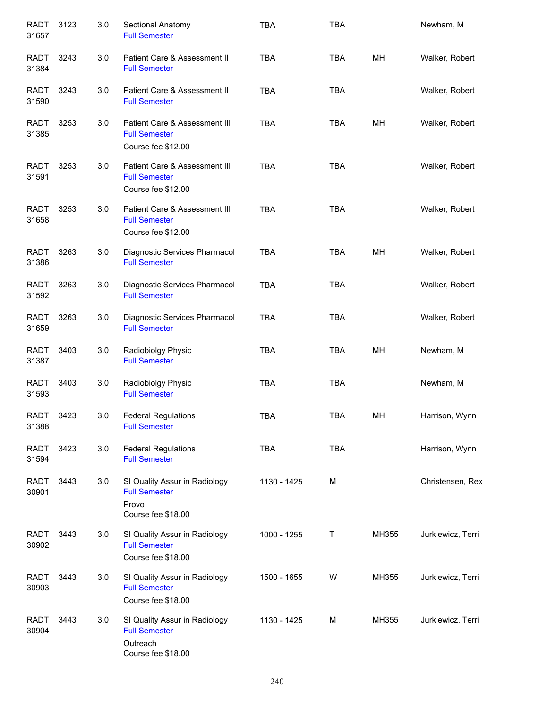| <b>RADT</b><br>31657 | 3123 | 3.0 | Sectional Anatomy<br><b>Full Semester</b>                                               | <b>TBA</b>  | <b>TBA</b> |       | Newham, M         |
|----------------------|------|-----|-----------------------------------------------------------------------------------------|-------------|------------|-------|-------------------|
| RADT<br>31384        | 3243 | 3.0 | Patient Care & Assessment II<br><b>Full Semester</b>                                    | <b>TBA</b>  | <b>TBA</b> | MH    | Walker, Robert    |
| <b>RADT</b><br>31590 | 3243 | 3.0 | Patient Care & Assessment II<br><b>Full Semester</b>                                    | <b>TBA</b>  | <b>TBA</b> |       | Walker, Robert    |
| <b>RADT</b><br>31385 | 3253 | 3.0 | Patient Care & Assessment III<br><b>Full Semester</b><br>Course fee \$12.00             | <b>TBA</b>  | <b>TBA</b> | MН    | Walker, Robert    |
| RADT<br>31591        | 3253 | 3.0 | Patient Care & Assessment III<br><b>Full Semester</b><br>Course fee \$12.00             | <b>TBA</b>  | <b>TBA</b> |       | Walker, Robert    |
| <b>RADT</b><br>31658 | 3253 | 3.0 | Patient Care & Assessment III<br><b>Full Semester</b><br>Course fee \$12.00             | <b>TBA</b>  | <b>TBA</b> |       | Walker, Robert    |
| RADT<br>31386        | 3263 | 3.0 | Diagnostic Services Pharmacol<br><b>Full Semester</b>                                   | <b>TBA</b>  | <b>TBA</b> | MH    | Walker, Robert    |
| RADT<br>31592        | 3263 | 3.0 | Diagnostic Services Pharmacol<br><b>Full Semester</b>                                   | <b>TBA</b>  | <b>TBA</b> |       | Walker, Robert    |
| RADT<br>31659        | 3263 | 3.0 | Diagnostic Services Pharmacol<br><b>Full Semester</b>                                   | <b>TBA</b>  | <b>TBA</b> |       | Walker, Robert    |
| <b>RADT</b><br>31387 | 3403 | 3.0 | Radiobiolgy Physic<br><b>Full Semester</b>                                              | <b>TBA</b>  | <b>TBA</b> | MН    | Newham, M         |
| <b>RADT</b><br>31593 | 3403 | 3.0 | Radiobiolgy Physic<br><b>Full Semester</b>                                              | <b>TBA</b>  | <b>TBA</b> |       | Newham, M         |
| <b>RADT</b><br>31388 | 3423 | 3.0 | <b>Federal Regulations</b><br><b>Full Semester</b>                                      | <b>TBA</b>  | <b>TBA</b> | MН    | Harrison, Wynn    |
| <b>RADT</b><br>31594 | 3423 | 3.0 | <b>Federal Regulations</b><br><b>Full Semester</b>                                      | <b>TBA</b>  | <b>TBA</b> |       | Harrison, Wynn    |
| RADT<br>30901        | 3443 | 3.0 | SI Quality Assur in Radiology<br><b>Full Semester</b><br>Provo<br>Course fee \$18.00    | 1130 - 1425 | M          |       | Christensen, Rex  |
| RADT<br>30902        | 3443 | 3.0 | SI Quality Assur in Radiology<br><b>Full Semester</b><br>Course fee \$18.00             | 1000 - 1255 | Т          | MH355 | Jurkiewicz, Terri |
| RADT<br>30903        | 3443 | 3.0 | SI Quality Assur in Radiology<br><b>Full Semester</b><br>Course fee \$18.00             | 1500 - 1655 | W          | MH355 | Jurkiewicz, Terri |
| <b>RADT</b><br>30904 | 3443 | 3.0 | SI Quality Assur in Radiology<br><b>Full Semester</b><br>Outreach<br>Course fee \$18.00 | 1130 - 1425 | M          | MH355 | Jurkiewicz, Terri |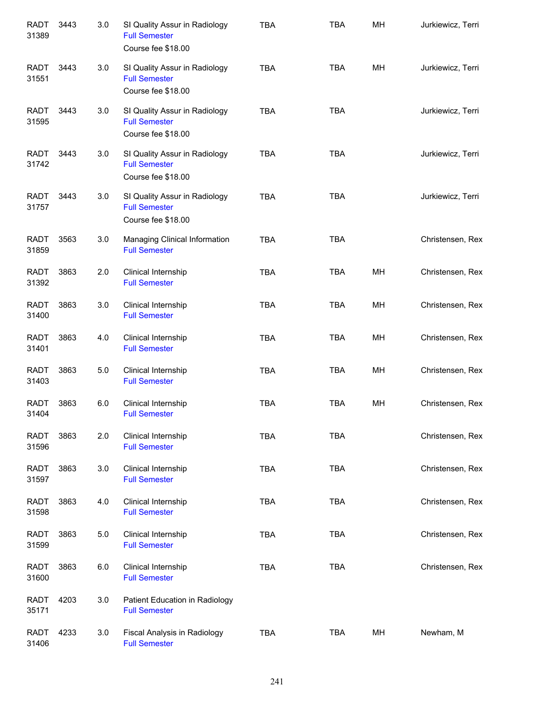| <b>RADT</b><br>31389 | 3443 | 3.0 | SI Quality Assur in Radiology<br><b>Full Semester</b><br>Course fee \$18.00 | <b>TBA</b> | <b>TBA</b> | MH | Jurkiewicz, Terri |
|----------------------|------|-----|-----------------------------------------------------------------------------|------------|------------|----|-------------------|
| <b>RADT</b><br>31551 | 3443 | 3.0 | SI Quality Assur in Radiology<br><b>Full Semester</b><br>Course fee \$18.00 | <b>TBA</b> | <b>TBA</b> | MH | Jurkiewicz, Terri |
| <b>RADT</b><br>31595 | 3443 | 3.0 | SI Quality Assur in Radiology<br><b>Full Semester</b><br>Course fee \$18.00 | <b>TBA</b> | <b>TBA</b> |    | Jurkiewicz, Terri |
| <b>RADT</b><br>31742 | 3443 | 3.0 | SI Quality Assur in Radiology<br><b>Full Semester</b><br>Course fee \$18.00 | <b>TBA</b> | <b>TBA</b> |    | Jurkiewicz, Terri |
| <b>RADT</b><br>31757 | 3443 | 3.0 | SI Quality Assur in Radiology<br><b>Full Semester</b><br>Course fee \$18.00 | <b>TBA</b> | <b>TBA</b> |    | Jurkiewicz, Terri |
| <b>RADT</b><br>31859 | 3563 | 3.0 | Managing Clinical Information<br><b>Full Semester</b>                       | <b>TBA</b> | <b>TBA</b> |    | Christensen, Rex  |
| RADT<br>31392        | 3863 | 2.0 | Clinical Internship<br><b>Full Semester</b>                                 | <b>TBA</b> | <b>TBA</b> | MH | Christensen, Rex  |
| <b>RADT</b><br>31400 | 3863 | 3.0 | Clinical Internship<br><b>Full Semester</b>                                 | <b>TBA</b> | <b>TBA</b> | MH | Christensen, Rex  |
| <b>RADT</b><br>31401 | 3863 | 4.0 | Clinical Internship<br><b>Full Semester</b>                                 | <b>TBA</b> | <b>TBA</b> | MH | Christensen, Rex  |
| <b>RADT</b><br>31403 | 3863 | 5.0 | Clinical Internship<br><b>Full Semester</b>                                 | <b>TBA</b> | <b>TBA</b> | MH | Christensen, Rex  |
| <b>RADT</b><br>31404 | 3863 | 6.0 | Clinical Internship<br><b>Full Semester</b>                                 | <b>TBA</b> | <b>TBA</b> | MH | Christensen, Rex  |
| <b>RADT</b><br>31596 | 3863 | 2.0 | Clinical Internship<br><b>Full Semester</b>                                 | <b>TBA</b> | <b>TBA</b> |    | Christensen, Rex  |
| <b>RADT</b><br>31597 | 3863 | 3.0 | Clinical Internship<br><b>Full Semester</b>                                 | <b>TBA</b> | <b>TBA</b> |    | Christensen, Rex  |
| <b>RADT</b><br>31598 | 3863 | 4.0 | Clinical Internship<br><b>Full Semester</b>                                 | <b>TBA</b> | <b>TBA</b> |    | Christensen, Rex  |
| <b>RADT</b><br>31599 | 3863 | 5.0 | Clinical Internship<br><b>Full Semester</b>                                 | <b>TBA</b> | <b>TBA</b> |    | Christensen, Rex  |
| <b>RADT</b><br>31600 | 3863 | 6.0 | Clinical Internship<br><b>Full Semester</b>                                 | <b>TBA</b> | <b>TBA</b> |    | Christensen, Rex  |
| <b>RADT</b><br>35171 | 4203 | 3.0 | Patient Education in Radiology<br><b>Full Semester</b>                      |            |            |    |                   |
| <b>RADT</b><br>31406 | 4233 | 3.0 | Fiscal Analysis in Radiology<br><b>Full Semester</b>                        | <b>TBA</b> | TBA        | MH | Newham, M         |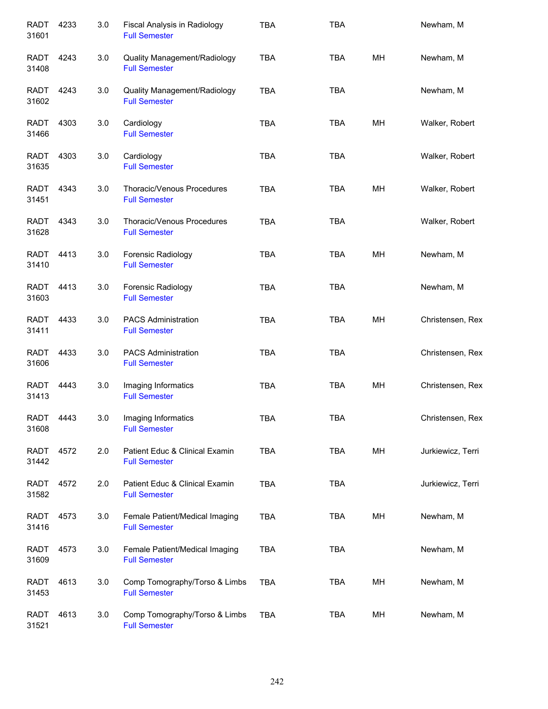| <b>RADT</b><br>31601 | 4233 | 3.0 | Fiscal Analysis in Radiology<br><b>Full Semester</b>   | <b>TBA</b> | <b>TBA</b> |    | Newham, M         |
|----------------------|------|-----|--------------------------------------------------------|------------|------------|----|-------------------|
| <b>RADT</b><br>31408 | 4243 | 3.0 | Quality Management/Radiology<br><b>Full Semester</b>   | <b>TBA</b> | <b>TBA</b> | MН | Newham, M         |
| <b>RADT</b><br>31602 | 4243 | 3.0 | Quality Management/Radiology<br><b>Full Semester</b>   | <b>TBA</b> | <b>TBA</b> |    | Newham, M         |
| <b>RADT</b><br>31466 | 4303 | 3.0 | Cardiology<br><b>Full Semester</b>                     | <b>TBA</b> | <b>TBA</b> | MН | Walker, Robert    |
| RADT<br>31635        | 4303 | 3.0 | Cardiology<br><b>Full Semester</b>                     | <b>TBA</b> | <b>TBA</b> |    | Walker, Robert    |
| <b>RADT</b><br>31451 | 4343 | 3.0 | Thoracic/Venous Procedures<br><b>Full Semester</b>     | <b>TBA</b> | <b>TBA</b> | MН | Walker, Robert    |
| <b>RADT</b><br>31628 | 4343 | 3.0 | Thoracic/Venous Procedures<br><b>Full Semester</b>     | <b>TBA</b> | <b>TBA</b> |    | Walker, Robert    |
| <b>RADT</b><br>31410 | 4413 | 3.0 | Forensic Radiology<br><b>Full Semester</b>             | <b>TBA</b> | <b>TBA</b> | MH | Newham, M         |
| <b>RADT</b><br>31603 | 4413 | 3.0 | Forensic Radiology<br><b>Full Semester</b>             | <b>TBA</b> | <b>TBA</b> |    | Newham, M         |
| <b>RADT</b><br>31411 | 4433 | 3.0 | <b>PACS Administration</b><br><b>Full Semester</b>     | <b>TBA</b> | <b>TBA</b> | MH | Christensen, Rex  |
| <b>RADT</b><br>31606 | 4433 | 3.0 | <b>PACS Administration</b><br><b>Full Semester</b>     | <b>TBA</b> | <b>TBA</b> |    | Christensen, Rex  |
| <b>RADT</b><br>31413 | 4443 | 3.0 | Imaging Informatics<br><b>Full Semester</b>            | <b>TBA</b> | <b>TBA</b> | MH | Christensen, Rex  |
| RADT<br>31608        | 4443 | 3.0 | Imaging Informatics<br><b>Full Semester</b>            | TBA        | <b>TBA</b> |    | Christensen, Rex  |
| RADT<br>31442        | 4572 | 2.0 | Patient Educ & Clinical Examin<br><b>Full Semester</b> | <b>TBA</b> | <b>TBA</b> | MH | Jurkiewicz, Terri |
| <b>RADT</b><br>31582 | 4572 | 2.0 | Patient Educ & Clinical Examin<br><b>Full Semester</b> | <b>TBA</b> | <b>TBA</b> |    | Jurkiewicz, Terri |
| RADT<br>31416        | 4573 | 3.0 | Female Patient/Medical Imaging<br><b>Full Semester</b> | <b>TBA</b> | TBA        | MH | Newham, M         |
| <b>RADT</b><br>31609 | 4573 | 3.0 | Female Patient/Medical Imaging<br><b>Full Semester</b> | <b>TBA</b> | <b>TBA</b> |    | Newham, M         |
| RADT<br>31453        | 4613 | 3.0 | Comp Tomography/Torso & Limbs<br><b>Full Semester</b>  | <b>TBA</b> | <b>TBA</b> | MH | Newham, M         |
| <b>RADT</b><br>31521 | 4613 | 3.0 | Comp Tomography/Torso & Limbs<br><b>Full Semester</b>  | <b>TBA</b> | TBA        | MH | Newham, M         |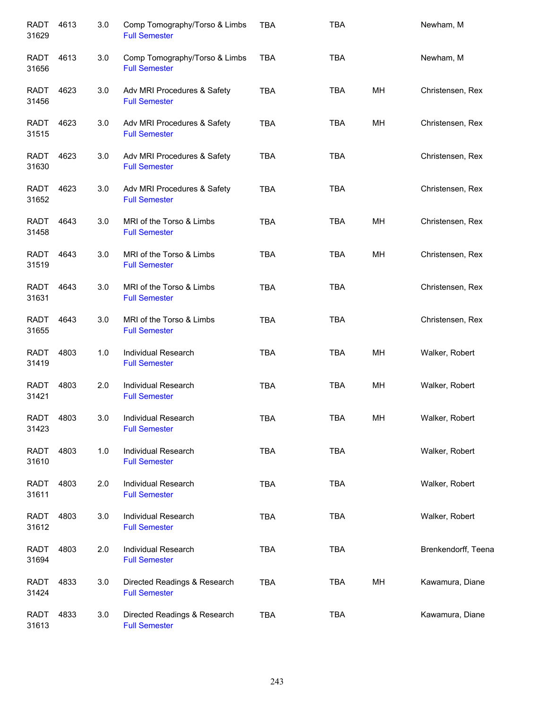| <b>RADT</b><br>31629 | 4613 | 3.0 | Comp Tomography/Torso & Limbs<br><b>Full Semester</b> | <b>TBA</b> | <b>TBA</b> |    | Newham, M           |
|----------------------|------|-----|-------------------------------------------------------|------------|------------|----|---------------------|
| RADT<br>31656        | 4613 | 3.0 | Comp Tomography/Torso & Limbs<br><b>Full Semester</b> | <b>TBA</b> | <b>TBA</b> |    | Newham, M           |
| RADT<br>31456        | 4623 | 3.0 | Adv MRI Procedures & Safety<br><b>Full Semester</b>   | <b>TBA</b> | <b>TBA</b> | MН | Christensen, Rex    |
| RADT<br>31515        | 4623 | 3.0 | Adv MRI Procedures & Safety<br><b>Full Semester</b>   | <b>TBA</b> | <b>TBA</b> | MН | Christensen, Rex    |
| <b>RADT</b><br>31630 | 4623 | 3.0 | Adv MRI Procedures & Safety<br><b>Full Semester</b>   | <b>TBA</b> | <b>TBA</b> |    | Christensen, Rex    |
| <b>RADT</b><br>31652 | 4623 | 3.0 | Adv MRI Procedures & Safety<br><b>Full Semester</b>   | <b>TBA</b> | <b>TBA</b> |    | Christensen, Rex    |
| <b>RADT</b><br>31458 | 4643 | 3.0 | MRI of the Torso & Limbs<br><b>Full Semester</b>      | <b>TBA</b> | <b>TBA</b> | MН | Christensen, Rex    |
| <b>RADT</b><br>31519 | 4643 | 3.0 | MRI of the Torso & Limbs<br><b>Full Semester</b>      | <b>TBA</b> | <b>TBA</b> | MН | Christensen, Rex    |
| <b>RADT</b><br>31631 | 4643 | 3.0 | MRI of the Torso & Limbs<br><b>Full Semester</b>      | <b>TBA</b> | <b>TBA</b> |    | Christensen, Rex    |
| <b>RADT</b><br>31655 | 4643 | 3.0 | MRI of the Torso & Limbs<br><b>Full Semester</b>      | <b>TBA</b> | <b>TBA</b> |    | Christensen, Rex    |
| <b>RADT</b><br>31419 | 4803 | 1.0 | Individual Research<br><b>Full Semester</b>           | <b>TBA</b> | <b>TBA</b> | MН | Walker, Robert      |
| <b>RADT</b><br>31421 | 4803 | 2.0 | Individual Research<br><b>Full Semester</b>           | <b>TBA</b> | <b>TBA</b> | MН | Walker, Robert      |
| <b>RADT</b><br>31423 | 4803 | 3.0 | Individual Research<br><b>Full Semester</b>           | <b>TBA</b> | TBA        | MН | Walker, Robert      |
| <b>RADT</b><br>31610 | 4803 | 1.0 | Individual Research<br><b>Full Semester</b>           | <b>TBA</b> | <b>TBA</b> |    | Walker, Robert      |
| <b>RADT</b><br>31611 | 4803 | 2.0 | Individual Research<br><b>Full Semester</b>           | <b>TBA</b> | <b>TBA</b> |    | Walker, Robert      |
| <b>RADT</b><br>31612 | 4803 | 3.0 | Individual Research<br><b>Full Semester</b>           | <b>TBA</b> | <b>TBA</b> |    | Walker, Robert      |
| <b>RADT</b><br>31694 | 4803 | 2.0 | Individual Research<br><b>Full Semester</b>           | <b>TBA</b> | <b>TBA</b> |    | Brenkendorff, Teena |
| <b>RADT</b><br>31424 | 4833 | 3.0 | Directed Readings & Research<br><b>Full Semester</b>  | <b>TBA</b> | <b>TBA</b> | MH | Kawamura, Diane     |
| <b>RADT</b><br>31613 | 4833 | 3.0 | Directed Readings & Research<br><b>Full Semester</b>  | <b>TBA</b> | <b>TBA</b> |    | Kawamura, Diane     |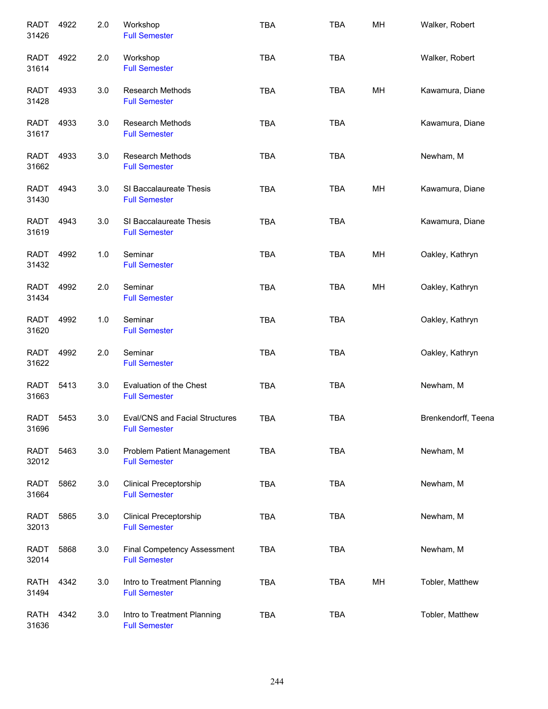| <b>RADT</b><br>31426 | 4922 | 2.0 | Workshop<br><b>Full Semester</b>                       | <b>TBA</b> | <b>TBA</b> | MH | Walker, Robert      |
|----------------------|------|-----|--------------------------------------------------------|------------|------------|----|---------------------|
| RADT<br>31614        | 4922 | 2.0 | Workshop<br><b>Full Semester</b>                       | <b>TBA</b> | <b>TBA</b> |    | Walker, Robert      |
| RADT<br>31428        | 4933 | 3.0 | <b>Research Methods</b><br><b>Full Semester</b>        | <b>TBA</b> | <b>TBA</b> | MH | Kawamura, Diane     |
| RADT<br>31617        | 4933 | 3.0 | <b>Research Methods</b><br><b>Full Semester</b>        | <b>TBA</b> | <b>TBA</b> |    | Kawamura, Diane     |
| RADT<br>31662        | 4933 | 3.0 | <b>Research Methods</b><br><b>Full Semester</b>        | <b>TBA</b> | <b>TBA</b> |    | Newham, M           |
| RADT<br>31430        | 4943 | 3.0 | SI Baccalaureate Thesis<br><b>Full Semester</b>        | <b>TBA</b> | <b>TBA</b> | MH | Kawamura, Diane     |
| <b>RADT</b><br>31619 | 4943 | 3.0 | SI Baccalaureate Thesis<br><b>Full Semester</b>        | <b>TBA</b> | <b>TBA</b> |    | Kawamura, Diane     |
| <b>RADT</b><br>31432 | 4992 | 1.0 | Seminar<br><b>Full Semester</b>                        | <b>TBA</b> | <b>TBA</b> | MH | Oakley, Kathryn     |
| <b>RADT</b><br>31434 | 4992 | 2.0 | Seminar<br><b>Full Semester</b>                        | <b>TBA</b> | <b>TBA</b> | MH | Oakley, Kathryn     |
| <b>RADT</b><br>31620 | 4992 | 1.0 | Seminar<br><b>Full Semester</b>                        | <b>TBA</b> | <b>TBA</b> |    | Oakley, Kathryn     |
| <b>RADT</b><br>31622 | 4992 | 2.0 | Seminar<br><b>Full Semester</b>                        | <b>TBA</b> | <b>TBA</b> |    | Oakley, Kathryn     |
| <b>RADT</b><br>31663 | 5413 | 3.0 | Evaluation of the Chest<br><b>Full Semester</b>        | <b>TBA</b> | <b>TBA</b> |    | Newham, M           |
| RADT<br>31696        | 5453 | 3.0 | Eval/CNS and Facial Structures<br><b>Full Semester</b> | TBA        | <b>TBA</b> |    | Brenkendorff, Teena |
| RADT<br>32012        | 5463 | 3.0 | Problem Patient Management<br><b>Full Semester</b>     | <b>TBA</b> | <b>TBA</b> |    | Newham, M           |
| <b>RADT</b><br>31664 | 5862 | 3.0 | <b>Clinical Preceptorship</b><br><b>Full Semester</b>  | <b>TBA</b> | <b>TBA</b> |    | Newham, M           |
| <b>RADT</b><br>32013 | 5865 | 3.0 | <b>Clinical Preceptorship</b><br><b>Full Semester</b>  | <b>TBA</b> | <b>TBA</b> |    | Newham, M           |
| <b>RADT</b><br>32014 | 5868 | 3.0 | Final Competency Assessment<br><b>Full Semester</b>    | <b>TBA</b> | <b>TBA</b> |    | Newham, M           |
| <b>RATH</b><br>31494 | 4342 | 3.0 | Intro to Treatment Planning<br><b>Full Semester</b>    | <b>TBA</b> | <b>TBA</b> | МH | Tobler, Matthew     |
| <b>RATH</b><br>31636 | 4342 | 3.0 | Intro to Treatment Planning<br><b>Full Semester</b>    | <b>TBA</b> | <b>TBA</b> |    | Tobler, Matthew     |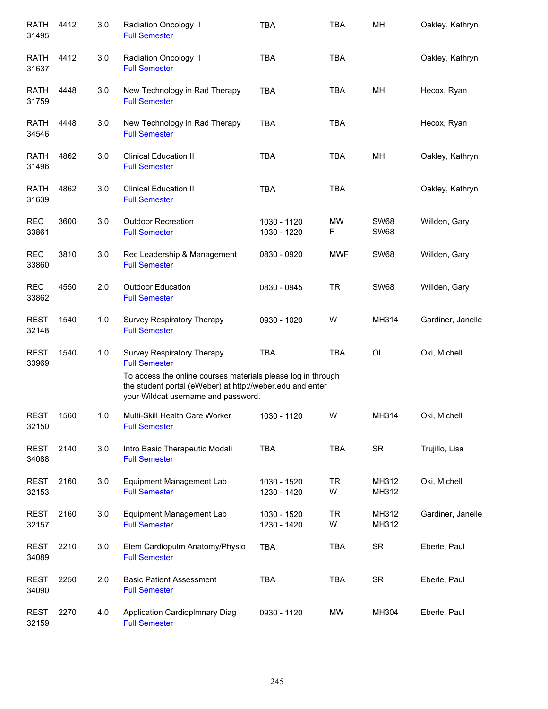| <b>RATH</b><br>31495 | 4412 | 3.0 | Radiation Oncology II<br><b>Full Semester</b>                                                                                                                                                                          | <b>TBA</b>                 | <b>TBA</b>     | MH                         | Oakley, Kathryn   |
|----------------------|------|-----|------------------------------------------------------------------------------------------------------------------------------------------------------------------------------------------------------------------------|----------------------------|----------------|----------------------------|-------------------|
| <b>RATH</b><br>31637 | 4412 | 3.0 | Radiation Oncology II<br><b>Full Semester</b>                                                                                                                                                                          | <b>TBA</b>                 | <b>TBA</b>     |                            | Oakley, Kathryn   |
| <b>RATH</b><br>31759 | 4448 | 3.0 | New Technology in Rad Therapy<br><b>Full Semester</b>                                                                                                                                                                  | <b>TBA</b>                 | <b>TBA</b>     | MH                         | Hecox, Ryan       |
| <b>RATH</b><br>34546 | 4448 | 3.0 | New Technology in Rad Therapy<br><b>Full Semester</b>                                                                                                                                                                  | <b>TBA</b>                 | <b>TBA</b>     |                            | Hecox, Ryan       |
| <b>RATH</b><br>31496 | 4862 | 3.0 | <b>Clinical Education II</b><br><b>Full Semester</b>                                                                                                                                                                   | <b>TBA</b>                 | TBA            | MН                         | Oakley, Kathryn   |
| <b>RATH</b><br>31639 | 4862 | 3.0 | <b>Clinical Education II</b><br><b>Full Semester</b>                                                                                                                                                                   | <b>TBA</b>                 | <b>TBA</b>     |                            | Oakley, Kathryn   |
| <b>REC</b><br>33861  | 3600 | 3.0 | <b>Outdoor Recreation</b><br><b>Full Semester</b>                                                                                                                                                                      | 1030 - 1120<br>1030 - 1220 | <b>MW</b><br>F | <b>SW68</b><br><b>SW68</b> | Willden, Gary     |
| <b>REC</b><br>33860  | 3810 | 3.0 | Rec Leadership & Management<br><b>Full Semester</b>                                                                                                                                                                    | 0830 - 0920                | <b>MWF</b>     | <b>SW68</b>                | Willden, Gary     |
| <b>REC</b><br>33862  | 4550 | 2.0 | <b>Outdoor Education</b><br><b>Full Semester</b>                                                                                                                                                                       | 0830 - 0945                | <b>TR</b>      | <b>SW68</b>                | Willden, Gary     |
| <b>REST</b><br>32148 | 1540 | 1.0 | Survey Respiratory Therapy<br><b>Full Semester</b>                                                                                                                                                                     | 0930 - 1020                | W              | MH314                      | Gardiner, Janelle |
| <b>REST</b><br>33969 | 1540 | 1.0 | Survey Respiratory Therapy<br><b>Full Semester</b><br>To access the online courses materials please log in through<br>the student portal (eWeber) at http://weber.edu and enter<br>your Wildcat username and password. | <b>TBA</b>                 | <b>TBA</b>     | OL                         | Oki, Michell      |
| <b>REST</b><br>32150 | 1560 | 1.0 | Multi-Skill Health Care Worker<br><b>Full Semester</b>                                                                                                                                                                 | 1030 - 1120                | W              | MH314                      | Oki, Michell      |
| <b>REST</b><br>34088 | 2140 | 3.0 | Intro Basic Therapeutic Modali<br><b>Full Semester</b>                                                                                                                                                                 | <b>TBA</b>                 | <b>TBA</b>     | <b>SR</b>                  | Trujillo, Lisa    |
| <b>REST</b><br>32153 | 2160 | 3.0 | Equipment Management Lab<br><b>Full Semester</b>                                                                                                                                                                       | 1030 - 1520<br>1230 - 1420 | <b>TR</b><br>W | MH312<br>MH312             | Oki, Michell      |
| <b>REST</b><br>32157 | 2160 | 3.0 | Equipment Management Lab<br><b>Full Semester</b>                                                                                                                                                                       | 1030 - 1520<br>1230 - 1420 | <b>TR</b><br>W | MH312<br>MH312             | Gardiner, Janelle |
| <b>REST</b><br>34089 | 2210 | 3.0 | Elem Cardiopulm Anatomy/Physio<br><b>Full Semester</b>                                                                                                                                                                 | <b>TBA</b>                 | TBA            | <b>SR</b>                  | Eberle, Paul      |
| <b>REST</b><br>34090 | 2250 | 2.0 | <b>Basic Patient Assessment</b><br><b>Full Semester</b>                                                                                                                                                                | <b>TBA</b>                 | <b>TBA</b>     | <b>SR</b>                  | Eberle, Paul      |
| <b>REST</b><br>32159 | 2270 | 4.0 | Application CardiopImnary Diag<br><b>Full Semester</b>                                                                                                                                                                 | 0930 - 1120                | МW             | MH304                      | Eberle, Paul      |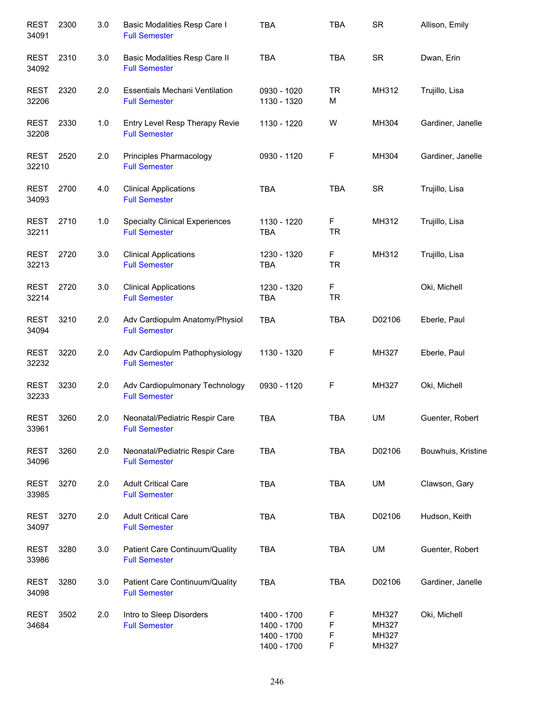| <b>REST</b><br>34091 | 2300 | 3.0 | Basic Modalities Resp Care I<br><b>Full Semester</b>          | <b>TBA</b>                                               | <b>TBA</b>       | <b>SR</b>                        | Allison, Emily     |
|----------------------|------|-----|---------------------------------------------------------------|----------------------------------------------------------|------------------|----------------------------------|--------------------|
| <b>REST</b><br>34092 | 2310 | 3.0 | Basic Modalities Resp Care II<br><b>Full Semester</b>         | <b>TBA</b>                                               | <b>TBA</b>       | <b>SR</b>                        | Dwan, Erin         |
| <b>REST</b><br>32206 | 2320 | 2.0 | <b>Essentials Mechani Ventilation</b><br><b>Full Semester</b> | 0930 - 1020<br>1130 - 1320                               | <b>TR</b><br>М   | MH312                            | Trujillo, Lisa     |
| <b>REST</b><br>32208 | 2330 | 1.0 | Entry Level Resp Therapy Revie<br><b>Full Semester</b>        | 1130 - 1220                                              | W                | MH304                            | Gardiner, Janelle  |
| <b>REST</b><br>32210 | 2520 | 2.0 | Principles Pharmacology<br><b>Full Semester</b>               | 0930 - 1120                                              | F                | MH304                            | Gardiner, Janelle  |
| <b>REST</b><br>34093 | 2700 | 4.0 | <b>Clinical Applications</b><br><b>Full Semester</b>          | <b>TBA</b>                                               | <b>TBA</b>       | <b>SR</b>                        | Trujillo, Lisa     |
| <b>REST</b><br>32211 | 2710 | 1.0 | <b>Specialty Clinical Experiences</b><br><b>Full Semester</b> | 1130 - 1220<br><b>TBA</b>                                | F<br><b>TR</b>   | MH312                            | Trujillo, Lisa     |
| <b>REST</b><br>32213 | 2720 | 3.0 | <b>Clinical Applications</b><br><b>Full Semester</b>          | 1230 - 1320<br><b>TBA</b>                                | F<br><b>TR</b>   | MH312                            | Trujillo, Lisa     |
| <b>REST</b><br>32214 | 2720 | 3.0 | <b>Clinical Applications</b><br><b>Full Semester</b>          | 1230 - 1320<br><b>TBA</b>                                | F<br><b>TR</b>   |                                  | Oki, Michell       |
| <b>REST</b><br>34094 | 3210 | 2.0 | Adv Cardiopulm Anatomy/Physiol<br><b>Full Semester</b>        | <b>TBA</b>                                               | <b>TBA</b>       | D02106                           | Eberle, Paul       |
| <b>REST</b><br>32232 | 3220 | 2.0 | Adv Cardiopulm Pathophysiology<br><b>Full Semester</b>        | 1130 - 1320                                              | F                | MH327                            | Eberle, Paul       |
| <b>REST</b><br>32233 | 3230 | 2.0 | Adv Cardiopulmonary Technology<br><b>Full Semester</b>        | 0930 - 1120                                              | F                | MH327                            | Oki, Michell       |
| <b>REST</b><br>33961 | 3260 | 2.0 | Neonatal/Pediatric Respir Care<br><b>Full Semester</b>        | <b>TBA</b>                                               | <b>TBA</b>       | <b>UM</b>                        | Guenter, Robert    |
| <b>REST</b><br>34096 | 3260 | 2.0 | Neonatal/Pediatric Respir Care<br><b>Full Semester</b>        | <b>TBA</b>                                               | <b>TBA</b>       | D02106                           | Bouwhuis, Kristine |
| <b>REST</b><br>33985 | 3270 | 2.0 | <b>Adult Critical Care</b><br><b>Full Semester</b>            | <b>TBA</b>                                               | <b>TBA</b>       | UM                               | Clawson, Gary      |
| <b>REST</b><br>34097 | 3270 | 2.0 | <b>Adult Critical Care</b><br><b>Full Semester</b>            | <b>TBA</b>                                               | <b>TBA</b>       | D02106                           | Hudson, Keith      |
| <b>REST</b><br>33986 | 3280 | 3.0 | Patient Care Continuum/Quality<br><b>Full Semester</b>        | <b>TBA</b>                                               | TBA              | UM                               | Guenter, Robert    |
| <b>REST</b><br>34098 | 3280 | 3.0 | Patient Care Continuum/Quality<br><b>Full Semester</b>        | <b>TBA</b>                                               | <b>TBA</b>       | D02106                           | Gardiner, Janelle  |
| <b>REST</b><br>34684 | 3502 | 2.0 | Intro to Sleep Disorders<br><b>Full Semester</b>              | 1400 - 1700<br>1400 - 1700<br>1400 - 1700<br>1400 - 1700 | F<br>F<br>F<br>F | MH327<br>MH327<br>MH327<br>MH327 | Oki, Michell       |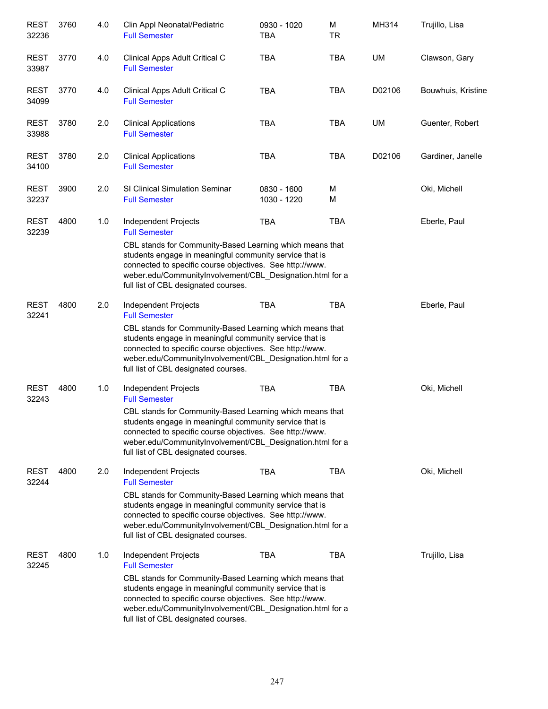| <b>REST</b><br>32236 | 3760 | 4.0 | Clin Appl Neonatal/Pediatric<br><b>Full Semester</b>                                                                                                                                                                                                                                                                                 | 0930 - 1020<br><b>TBA</b>  | М<br><b>TR</b> | MH314  | Trujillo, Lisa     |
|----------------------|------|-----|--------------------------------------------------------------------------------------------------------------------------------------------------------------------------------------------------------------------------------------------------------------------------------------------------------------------------------------|----------------------------|----------------|--------|--------------------|
| <b>REST</b><br>33987 | 3770 | 4.0 | Clinical Apps Adult Critical C<br><b>Full Semester</b>                                                                                                                                                                                                                                                                               | <b>TBA</b>                 | <b>TBA</b>     | UM     | Clawson, Gary      |
| <b>REST</b><br>34099 | 3770 | 4.0 | Clinical Apps Adult Critical C<br><b>Full Semester</b>                                                                                                                                                                                                                                                                               | <b>TBA</b>                 | <b>TBA</b>     | D02106 | Bouwhuis, Kristine |
| <b>REST</b><br>33988 | 3780 | 2.0 | <b>Clinical Applications</b><br><b>Full Semester</b>                                                                                                                                                                                                                                                                                 | <b>TBA</b>                 | <b>TBA</b>     | UM     | Guenter, Robert    |
| <b>REST</b><br>34100 | 3780 | 2.0 | <b>Clinical Applications</b><br><b>Full Semester</b>                                                                                                                                                                                                                                                                                 | <b>TBA</b>                 | <b>TBA</b>     | D02106 | Gardiner, Janelle  |
| <b>REST</b><br>32237 | 3900 | 2.0 | <b>SI Clinical Simulation Seminar</b><br><b>Full Semester</b>                                                                                                                                                                                                                                                                        | 0830 - 1600<br>1030 - 1220 | М<br>M         |        | Oki, Michell       |
| <b>REST</b><br>32239 | 4800 | 1.0 | Independent Projects<br><b>Full Semester</b><br>CBL stands for Community-Based Learning which means that<br>students engage in meaningful community service that is<br>connected to specific course objectives. See http://www.<br>weber.edu/CommunityInvolvement/CBL_Designation.html for a<br>full list of CBL designated courses. | TBA                        | <b>TBA</b>     |        | Eberle, Paul       |
| <b>REST</b><br>32241 | 4800 | 2.0 | Independent Projects<br><b>Full Semester</b><br>CBL stands for Community-Based Learning which means that<br>students engage in meaningful community service that is<br>connected to specific course objectives. See http://www.<br>weber.edu/CommunityInvolvement/CBL_Designation.html for a<br>full list of CBL designated courses. | <b>TBA</b>                 | <b>TBA</b>     |        | Eberle, Paul       |
| <b>REST</b><br>32243 | 4800 | 1.0 | Independent Projects<br><b>Full Semester</b><br>CBL stands for Community-Based Learning which means that<br>students engage in meaningful community service that is<br>connected to specific course objectives. See http://www.<br>weber.edu/CommunityInvolvement/CBL_Designation.html for a<br>full list of CBL designated courses. | <b>TBA</b>                 | <b>TBA</b>     |        | Oki, Michell       |
| <b>REST</b><br>32244 | 4800 | 2.0 | Independent Projects<br><b>Full Semester</b><br>CBL stands for Community-Based Learning which means that<br>students engage in meaningful community service that is<br>connected to specific course objectives. See http://www.<br>weber.edu/CommunityInvolvement/CBL_Designation.html for a<br>full list of CBL designated courses. | <b>TBA</b>                 | <b>TBA</b>     |        | Oki, Michell       |
| <b>REST</b><br>32245 | 4800 | 1.0 | Independent Projects<br><b>Full Semester</b><br>CBL stands for Community-Based Learning which means that<br>students engage in meaningful community service that is<br>connected to specific course objectives. See http://www.<br>weber.edu/CommunityInvolvement/CBL_Designation.html for a<br>full list of CBL designated courses. | <b>TBA</b>                 | <b>TBA</b>     |        | Trujillo, Lisa     |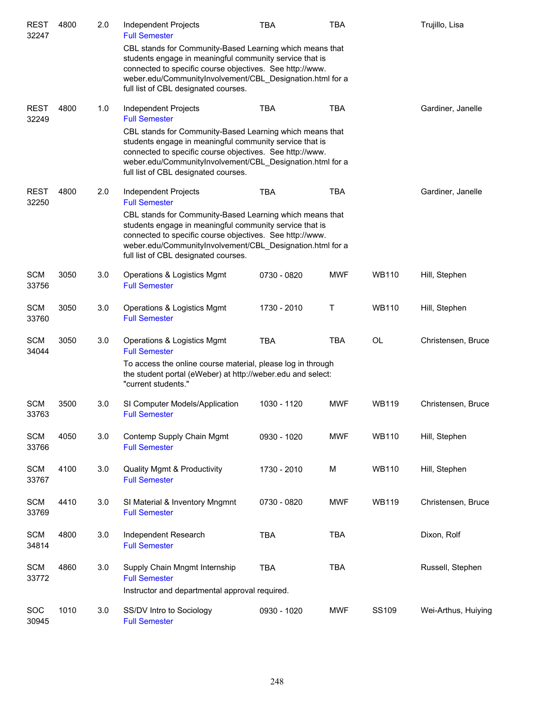| <b>REST</b><br>32247 | 4800 | 2.0 | Independent Projects<br><b>Full Semester</b>                                                                                                                                                                                                                                         | <b>TBA</b>  | <b>TBA</b> |              | Trujillo, Lisa      |
|----------------------|------|-----|--------------------------------------------------------------------------------------------------------------------------------------------------------------------------------------------------------------------------------------------------------------------------------------|-------------|------------|--------------|---------------------|
|                      |      |     | CBL stands for Community-Based Learning which means that<br>students engage in meaningful community service that is<br>connected to specific course objectives. See http://www.<br>weber.edu/CommunityInvolvement/CBL_Designation.html for a<br>full list of CBL designated courses. |             |            |              |                     |
| <b>REST</b><br>32249 | 4800 | 1.0 | Independent Projects<br><b>Full Semester</b>                                                                                                                                                                                                                                         | <b>TBA</b>  | <b>TBA</b> |              | Gardiner, Janelle   |
|                      |      |     | CBL stands for Community-Based Learning which means that<br>students engage in meaningful community service that is<br>connected to specific course objectives. See http://www.<br>weber.edu/CommunityInvolvement/CBL_Designation.html for a<br>full list of CBL designated courses. |             |            |              |                     |
| <b>REST</b><br>32250 | 4800 | 2.0 | Independent Projects<br><b>Full Semester</b>                                                                                                                                                                                                                                         | <b>TBA</b>  | <b>TBA</b> |              | Gardiner, Janelle   |
|                      |      |     | CBL stands for Community-Based Learning which means that<br>students engage in meaningful community service that is<br>connected to specific course objectives. See http://www.<br>weber.edu/CommunityInvolvement/CBL_Designation.html for a<br>full list of CBL designated courses. |             |            |              |                     |
| <b>SCM</b><br>33756  | 3050 | 3.0 | Operations & Logistics Mgmt<br><b>Full Semester</b>                                                                                                                                                                                                                                  | 0730 - 0820 | <b>MWF</b> | <b>WB110</b> | Hill, Stephen       |
| <b>SCM</b><br>33760  | 3050 | 3.0 | Operations & Logistics Mgmt<br><b>Full Semester</b>                                                                                                                                                                                                                                  | 1730 - 2010 | Т          | <b>WB110</b> | Hill, Stephen       |
| <b>SCM</b><br>34044  | 3050 | 3.0 | Operations & Logistics Mgmt<br><b>Full Semester</b>                                                                                                                                                                                                                                  | <b>TBA</b>  | <b>TBA</b> | OL           | Christensen, Bruce  |
|                      |      |     | To access the online course material, please log in through<br>the student portal (eWeber) at http://weber.edu and select:<br>"current students."                                                                                                                                    |             |            |              |                     |
| <b>SCM</b><br>33763  | 3500 | 3.0 | SI Computer Models/Application<br><b>Full Semester</b>                                                                                                                                                                                                                               | 1030 - 1120 | <b>MWF</b> | <b>WB119</b> | Christensen, Bruce  |
| <b>SCM</b><br>33766  | 4050 | 3.0 | Contemp Supply Chain Mgmt<br><b>Full Semester</b>                                                                                                                                                                                                                                    | 0930 - 1020 | <b>MWF</b> | <b>WB110</b> | Hill, Stephen       |
| <b>SCM</b><br>33767  | 4100 | 3.0 | <b>Quality Mgmt &amp; Productivity</b><br><b>Full Semester</b>                                                                                                                                                                                                                       | 1730 - 2010 | М          | <b>WB110</b> | Hill, Stephen       |
| <b>SCM</b><br>33769  | 4410 | 3.0 | SI Material & Inventory Mngmnt<br><b>Full Semester</b>                                                                                                                                                                                                                               | 0730 - 0820 | <b>MWF</b> | <b>WB119</b> | Christensen, Bruce  |
| <b>SCM</b><br>34814  | 4800 | 3.0 | Independent Research<br><b>Full Semester</b>                                                                                                                                                                                                                                         | <b>TBA</b>  | <b>TBA</b> |              | Dixon, Rolf         |
| <b>SCM</b><br>33772  | 4860 | 3.0 | Supply Chain Mngmt Internship<br><b>Full Semester</b>                                                                                                                                                                                                                                | <b>TBA</b>  | <b>TBA</b> |              | Russell, Stephen    |
|                      |      |     | Instructor and departmental approval required.                                                                                                                                                                                                                                       |             |            |              |                     |
| SOC<br>30945         | 1010 | 3.0 | SS/DV Intro to Sociology<br><b>Full Semester</b>                                                                                                                                                                                                                                     | 0930 - 1020 | <b>MWF</b> | SS109        | Wei-Arthus, Huiying |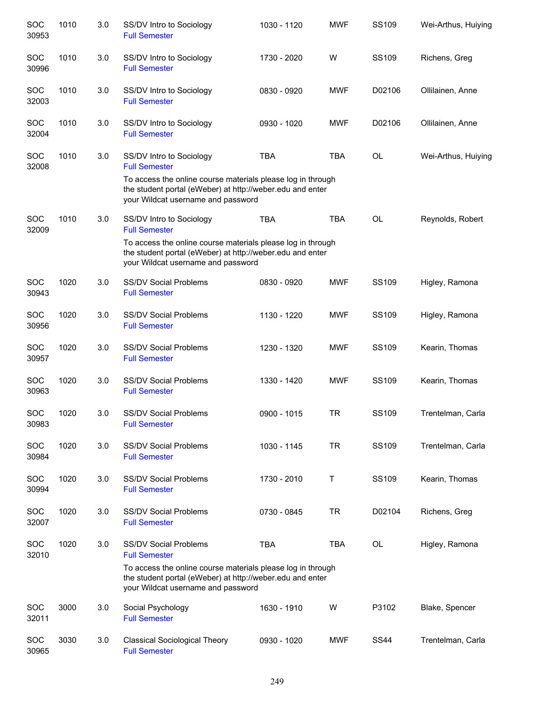| <b>SOC</b><br>30953 | 1010 | 3.0 | SS/DV Intro to Sociology<br><b>Full Semester</b>                                                                                                               | 1030 - 1120 | <b>MWF</b> | SS109       | Wei-Arthus, Huiying |
|---------------------|------|-----|----------------------------------------------------------------------------------------------------------------------------------------------------------------|-------------|------------|-------------|---------------------|
| SOC<br>30996        | 1010 | 3.0 | SS/DV Intro to Sociology<br><b>Full Semester</b>                                                                                                               | 1730 - 2020 | W          | SS109       | Richens, Greg       |
| SOC<br>32003        | 1010 | 3.0 | SS/DV Intro to Sociology<br><b>Full Semester</b>                                                                                                               | 0830 - 0920 | <b>MWF</b> | D02106      | Ollilainen, Anne    |
| <b>SOC</b><br>32004 | 1010 | 3.0 | SS/DV Intro to Sociology<br><b>Full Semester</b>                                                                                                               | 0930 - 1020 | <b>MWF</b> | D02106      | Ollilainen, Anne    |
| <b>SOC</b><br>32008 | 1010 | 3.0 | SS/DV Intro to Sociology<br><b>Full Semester</b>                                                                                                               | <b>TBA</b>  | <b>TBA</b> | <b>OL</b>   | Wei-Arthus, Huiying |
|                     |      |     | To access the online course materials please log in through<br>the student portal (eWeber) at http://weber.edu and enter<br>your Wildcat username and password |             |            |             |                     |
| SOC<br>32009        | 1010 | 3.0 | SS/DV Intro to Sociology<br><b>Full Semester</b>                                                                                                               | <b>TBA</b>  | <b>TBA</b> | <b>OL</b>   | Reynolds, Robert    |
|                     |      |     | To access the online course materials please log in through<br>the student portal (eWeber) at http://weber.edu and enter<br>your Wildcat username and password |             |            |             |                     |
| <b>SOC</b><br>30943 | 1020 | 3.0 | <b>SS/DV Social Problems</b><br><b>Full Semester</b>                                                                                                           | 0830 - 0920 | <b>MWF</b> | SS109       | Higley, Ramona      |
| <b>SOC</b><br>30956 | 1020 | 3.0 | <b>SS/DV Social Problems</b><br><b>Full Semester</b>                                                                                                           | 1130 - 1220 | <b>MWF</b> | SS109       | Higley, Ramona      |
| <b>SOC</b><br>30957 | 1020 | 3.0 | <b>SS/DV Social Problems</b><br><b>Full Semester</b>                                                                                                           | 1230 - 1320 | <b>MWF</b> | SS109       | Kearin, Thomas      |
| SOC<br>30963        | 1020 | 3.0 | <b>SS/DV Social Problems</b><br><b>Full Semester</b>                                                                                                           | 1330 - 1420 | <b>MWF</b> | SS109       | Kearin, Thomas      |
| <b>SOC</b><br>30983 | 1020 | 3.0 | <b>SS/DV Social Problems</b><br><b>Full Semester</b>                                                                                                           | 0900 - 1015 | <b>TR</b>  | SS109       | Trentelman, Carla   |
| SOC<br>30984        | 1020 | 3.0 | <b>SS/DV Social Problems</b><br><b>Full Semester</b>                                                                                                           | 1030 - 1145 | <b>TR</b>  | SS109       | Trentelman, Carla   |
| SOC<br>30994        | 1020 | 3.0 | <b>SS/DV Social Problems</b><br><b>Full Semester</b>                                                                                                           | 1730 - 2010 | Т          | SS109       | Kearin, Thomas      |
| SOC<br>32007        | 1020 | 3.0 | <b>SS/DV Social Problems</b><br><b>Full Semester</b>                                                                                                           | 0730 - 0845 | <b>TR</b>  | D02104      | Richens, Greg       |
| <b>SOC</b><br>32010 | 1020 | 3.0 | <b>SS/DV Social Problems</b><br><b>Full Semester</b>                                                                                                           | <b>TBA</b>  | <b>TBA</b> | OL          | Higley, Ramona      |
|                     |      |     | To access the online course materials please log in through<br>the student portal (eWeber) at http://weber.edu and enter<br>your Wildcat username and password |             |            |             |                     |
| <b>SOC</b><br>32011 | 3000 | 3.0 | Social Psychology<br><b>Full Semester</b>                                                                                                                      | 1630 - 1910 | W          | P3102       | Blake, Spencer      |
| SOC<br>30965        | 3030 | 3.0 | <b>Classical Sociological Theory</b><br><b>Full Semester</b>                                                                                                   | 0930 - 1020 | <b>MWF</b> | <b>SS44</b> | Trentelman, Carla   |
|                     |      |     |                                                                                                                                                                |             |            |             |                     |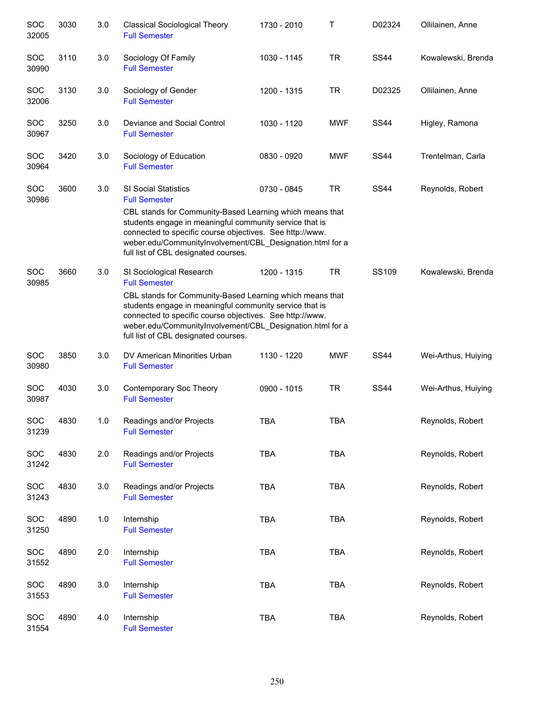| SOC<br>32005        | 3030 | 3.0 | <b>Classical Sociological Theory</b><br><b>Full Semester</b>                                                                                                                                                                                                                                                                                | 1730 - 2010 | Τ          | D02324      | Ollilainen, Anne    |
|---------------------|------|-----|---------------------------------------------------------------------------------------------------------------------------------------------------------------------------------------------------------------------------------------------------------------------------------------------------------------------------------------------|-------------|------------|-------------|---------------------|
| SOC<br>30990        | 3110 | 3.0 | Sociology Of Family<br><b>Full Semester</b>                                                                                                                                                                                                                                                                                                 | 1030 - 1145 | TR         | <b>SS44</b> | Kowalewski, Brenda  |
| <b>SOC</b><br>32006 | 3130 | 3.0 | Sociology of Gender<br><b>Full Semester</b>                                                                                                                                                                                                                                                                                                 | 1200 - 1315 | <b>TR</b>  | D02325      | Ollilainen, Anne    |
| <b>SOC</b><br>30967 | 3250 | 3.0 | Deviance and Social Control<br><b>Full Semester</b>                                                                                                                                                                                                                                                                                         | 1030 - 1120 | <b>MWF</b> | <b>SS44</b> | Higley, Ramona      |
| <b>SOC</b><br>30964 | 3420 | 3.0 | Sociology of Education<br><b>Full Semester</b>                                                                                                                                                                                                                                                                                              | 0830 - 0920 | <b>MWF</b> | <b>SS44</b> | Trentelman, Carla   |
| <b>SOC</b><br>30986 | 3600 | 3.0 | <b>SI Social Statistics</b><br><b>Full Semester</b><br>CBL stands for Community-Based Learning which means that<br>students engage in meaningful community service that is<br>connected to specific course objectives. See http://www.<br>weber.edu/CommunityInvolvement/CBL_Designation.html for a<br>full list of CBL designated courses. | 0730 - 0845 | <b>TR</b>  | <b>SS44</b> | Reynolds, Robert    |
| SOC<br>30985        | 3660 | 3.0 | SI Sociological Research<br><b>Full Semester</b><br>CBL stands for Community-Based Learning which means that<br>students engage in meaningful community service that is<br>connected to specific course objectives. See http://www.<br>weber.edu/CommunityInvolvement/CBL_Designation.html for a<br>full list of CBL designated courses.    | 1200 - 1315 | TR         | SS109       | Kowalewski, Brenda  |
| SOC<br>30980        | 3850 | 3.0 | DV American Minorities Urban<br><b>Full Semester</b>                                                                                                                                                                                                                                                                                        | 1130 - 1220 | <b>MWF</b> | <b>SS44</b> | Wei-Arthus, Huiying |
| SOC<br>30987        | 4030 | 3.0 | Contemporary Soc Theory<br><b>Full Semester</b>                                                                                                                                                                                                                                                                                             | 0900 - 1015 | <b>TR</b>  | <b>SS44</b> | Wei-Arthus, Huiying |
| SOC<br>31239        | 4830 | 1.0 | Readings and/or Projects<br><b>Full Semester</b>                                                                                                                                                                                                                                                                                            | <b>TBA</b>  | <b>TBA</b> |             | Reynolds, Robert    |
| <b>SOC</b><br>31242 | 4830 | 2.0 | Readings and/or Projects<br><b>Full Semester</b>                                                                                                                                                                                                                                                                                            | <b>TBA</b>  | <b>TBA</b> |             | Reynolds, Robert    |
| <b>SOC</b><br>31243 | 4830 | 3.0 | Readings and/or Projects<br><b>Full Semester</b>                                                                                                                                                                                                                                                                                            | <b>TBA</b>  | <b>TBA</b> |             | Reynolds, Robert    |
| <b>SOC</b><br>31250 | 4890 | 1.0 | Internship<br><b>Full Semester</b>                                                                                                                                                                                                                                                                                                          | <b>TBA</b>  | <b>TBA</b> |             | Reynolds, Robert    |
| <b>SOC</b><br>31552 | 4890 | 2.0 | Internship<br><b>Full Semester</b>                                                                                                                                                                                                                                                                                                          | <b>TBA</b>  | <b>TBA</b> |             | Reynolds, Robert    |
| <b>SOC</b><br>31553 | 4890 | 3.0 | Internship<br><b>Full Semester</b>                                                                                                                                                                                                                                                                                                          | <b>TBA</b>  | <b>TBA</b> |             | Reynolds, Robert    |
| <b>SOC</b><br>31554 | 4890 | 4.0 | Internship<br><b>Full Semester</b>                                                                                                                                                                                                                                                                                                          | <b>TBA</b>  | <b>TBA</b> |             | Reynolds, Robert    |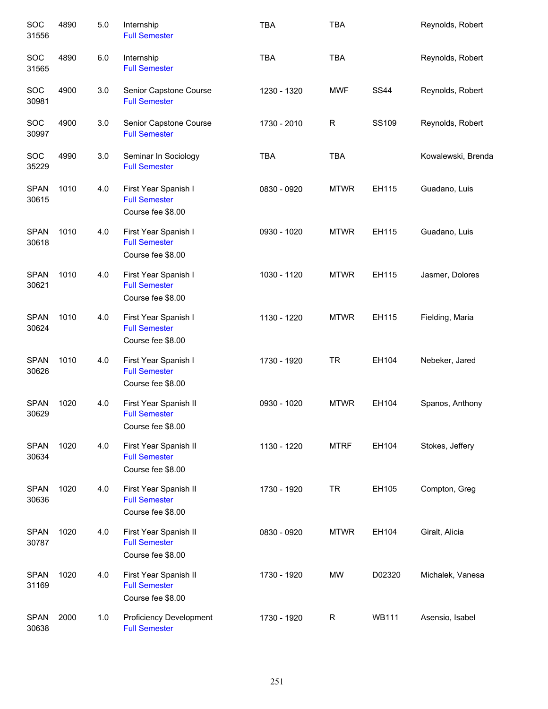| SOC<br>31556         | 4890 | 5.0 | Internship<br><b>Full Semester</b>                                 | <b>TBA</b>  | <b>TBA</b>  |              | Reynolds, Robert   |
|----------------------|------|-----|--------------------------------------------------------------------|-------------|-------------|--------------|--------------------|
| SOC<br>31565         | 4890 | 6.0 | Internship<br><b>Full Semester</b>                                 | <b>TBA</b>  | <b>TBA</b>  |              | Reynolds, Robert   |
| SOC<br>30981         | 4900 | 3.0 | Senior Capstone Course<br><b>Full Semester</b>                     | 1230 - 1320 | <b>MWF</b>  | <b>SS44</b>  | Reynolds, Robert   |
| SOC<br>30997         | 4900 | 3.0 | Senior Capstone Course<br><b>Full Semester</b>                     | 1730 - 2010 | R           | SS109        | Reynolds, Robert   |
| SOC<br>35229         | 4990 | 3.0 | Seminar In Sociology<br><b>Full Semester</b>                       | <b>TBA</b>  | <b>TBA</b>  |              | Kowalewski, Brenda |
| <b>SPAN</b><br>30615 | 1010 | 4.0 | First Year Spanish I<br><b>Full Semester</b><br>Course fee \$8.00  | 0830 - 0920 | <b>MTWR</b> | EH115        | Guadano, Luis      |
| <b>SPAN</b><br>30618 | 1010 | 4.0 | First Year Spanish I<br><b>Full Semester</b><br>Course fee \$8.00  | 0930 - 1020 | <b>MTWR</b> | EH115        | Guadano, Luis      |
| <b>SPAN</b><br>30621 | 1010 | 4.0 | First Year Spanish I<br><b>Full Semester</b><br>Course fee \$8.00  | 1030 - 1120 | <b>MTWR</b> | EH115        | Jasmer, Dolores    |
| <b>SPAN</b><br>30624 | 1010 | 4.0 | First Year Spanish I<br><b>Full Semester</b><br>Course fee \$8.00  | 1130 - 1220 | <b>MTWR</b> | EH115        | Fielding, Maria    |
| <b>SPAN</b><br>30626 | 1010 | 4.0 | First Year Spanish I<br><b>Full Semester</b><br>Course fee \$8.00  | 1730 - 1920 | <b>TR</b>   | EH104        | Nebeker, Jared     |
| <b>SPAN</b><br>30629 | 1020 | 4.0 | First Year Spanish II<br><b>Full Semester</b><br>Course fee \$8.00 | 0930 - 1020 | <b>MTWR</b> | EH104        | Spanos, Anthony    |
| <b>SPAN</b><br>30634 | 1020 | 4.0 | First Year Spanish II<br><b>Full Semester</b><br>Course fee \$8.00 | 1130 - 1220 | <b>MTRF</b> | EH104        | Stokes, Jeffery    |
| <b>SPAN</b><br>30636 | 1020 | 4.0 | First Year Spanish II<br><b>Full Semester</b><br>Course fee \$8.00 | 1730 - 1920 | <b>TR</b>   | EH105        | Compton, Greg      |
| <b>SPAN</b><br>30787 | 1020 | 4.0 | First Year Spanish II<br><b>Full Semester</b><br>Course fee \$8.00 | 0830 - 0920 | <b>MTWR</b> | EH104        | Giralt, Alicia     |
| <b>SPAN</b><br>31169 | 1020 | 4.0 | First Year Spanish II<br><b>Full Semester</b><br>Course fee \$8.00 | 1730 - 1920 | <b>MW</b>   | D02320       | Michalek, Vanesa   |
| <b>SPAN</b><br>30638 | 2000 | 1.0 | <b>Proficiency Development</b><br><b>Full Semester</b>             | 1730 - 1920 | R           | <b>WB111</b> | Asensio, Isabel    |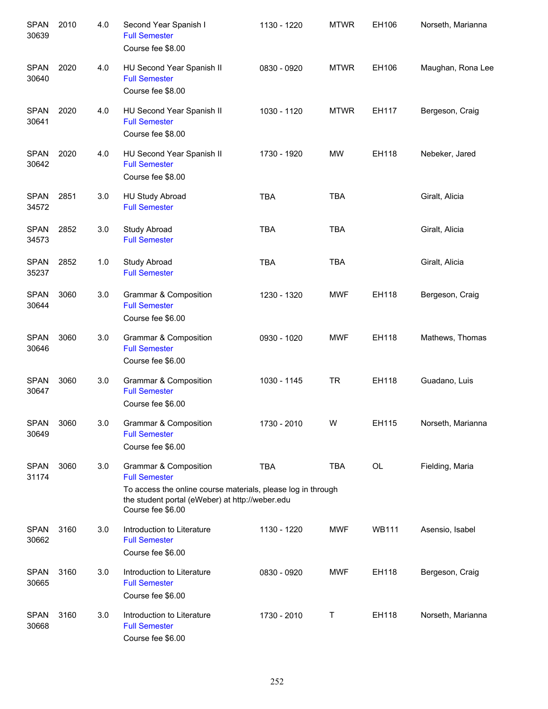| <b>SPAN</b><br>30639 | 2010 | 4.0 | Second Year Spanish I<br><b>Full Semester</b><br>Course fee \$8.00                                                                                                                    | 1130 - 1220 | <b>MTWR</b> | EH106        | Norseth, Marianna |
|----------------------|------|-----|---------------------------------------------------------------------------------------------------------------------------------------------------------------------------------------|-------------|-------------|--------------|-------------------|
| <b>SPAN</b><br>30640 | 2020 | 4.0 | HU Second Year Spanish II<br><b>Full Semester</b><br>Course fee \$8.00                                                                                                                | 0830 - 0920 | <b>MTWR</b> | EH106        | Maughan, Rona Lee |
| <b>SPAN</b><br>30641 | 2020 | 4.0 | HU Second Year Spanish II<br><b>Full Semester</b><br>Course fee \$8.00                                                                                                                | 1030 - 1120 | <b>MTWR</b> | EH117        | Bergeson, Craig   |
| <b>SPAN</b><br>30642 | 2020 | 4.0 | HU Second Year Spanish II<br><b>Full Semester</b><br>Course fee \$8.00                                                                                                                | 1730 - 1920 | <b>MW</b>   | EH118        | Nebeker, Jared    |
| <b>SPAN</b><br>34572 | 2851 | 3.0 | HU Study Abroad<br><b>Full Semester</b>                                                                                                                                               | <b>TBA</b>  | <b>TBA</b>  |              | Giralt, Alicia    |
| <b>SPAN</b><br>34573 | 2852 | 3.0 | Study Abroad<br><b>Full Semester</b>                                                                                                                                                  | <b>TBA</b>  | <b>TBA</b>  |              | Giralt, Alicia    |
| <b>SPAN</b><br>35237 | 2852 | 1.0 | Study Abroad<br><b>Full Semester</b>                                                                                                                                                  | <b>TBA</b>  | <b>TBA</b>  |              | Giralt, Alicia    |
| <b>SPAN</b><br>30644 | 3060 | 3.0 | Grammar & Composition<br><b>Full Semester</b><br>Course fee \$6.00                                                                                                                    | 1230 - 1320 | <b>MWF</b>  | EH118        | Bergeson, Craig   |
| <b>SPAN</b><br>30646 | 3060 | 3.0 | Grammar & Composition<br><b>Full Semester</b><br>Course fee \$6.00                                                                                                                    | 0930 - 1020 | <b>MWF</b>  | EH118        | Mathews, Thomas   |
| <b>SPAN</b><br>30647 | 3060 | 3.0 | Grammar & Composition<br><b>Full Semester</b><br>Course fee \$6.00                                                                                                                    | 1030 - 1145 | <b>TR</b>   | EH118        | Guadano, Luis     |
| <b>SPAN</b><br>30649 | 3060 | 3.0 | <b>Grammar &amp; Composition</b><br><b>Full Semester</b><br>Course fee \$6.00                                                                                                         | 1730 - 2010 | W           | EH115        | Norseth, Marianna |
| <b>SPAN</b><br>31174 | 3060 | 3.0 | Grammar & Composition<br><b>Full Semester</b><br>To access the online course materials, please log in through<br>the student portal (eWeber) at http://weber.edu<br>Course fee \$6.00 | <b>TBA</b>  | <b>TBA</b>  | OL           | Fielding, Maria   |
| <b>SPAN</b><br>30662 | 3160 | 3.0 | Introduction to Literature<br><b>Full Semester</b><br>Course fee \$6.00                                                                                                               | 1130 - 1220 | <b>MWF</b>  | <b>WB111</b> | Asensio, Isabel   |
| <b>SPAN</b><br>30665 | 3160 | 3.0 | Introduction to Literature<br><b>Full Semester</b><br>Course fee \$6.00                                                                                                               | 0830 - 0920 | <b>MWF</b>  | EH118        | Bergeson, Craig   |
| <b>SPAN</b><br>30668 | 3160 | 3.0 | Introduction to Literature<br><b>Full Semester</b><br>Course fee \$6.00                                                                                                               | 1730 - 2010 | Τ           | EH118        | Norseth, Marianna |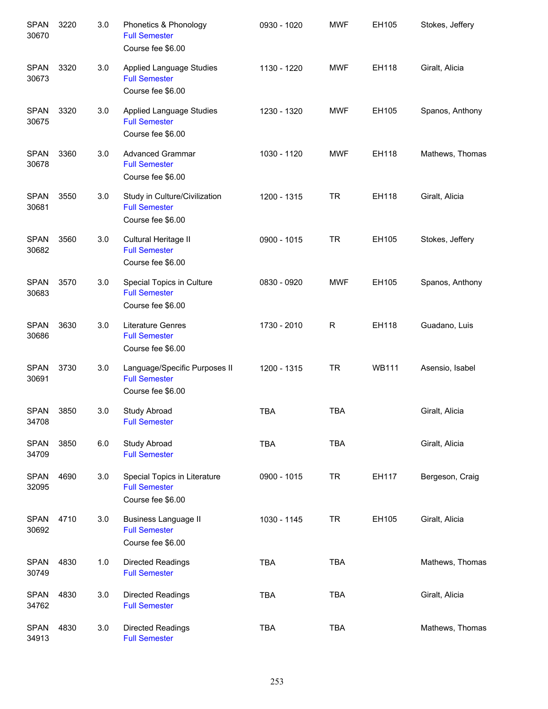| <b>SPAN</b><br>30670 | 3220 | 3.0 | Phonetics & Phonology<br><b>Full Semester</b><br>Course fee \$6.00           | 0930 - 1020 | <b>MWF</b> | EH105        | Stokes, Jeffery |
|----------------------|------|-----|------------------------------------------------------------------------------|-------------|------------|--------------|-----------------|
| <b>SPAN</b><br>30673 | 3320 | 3.0 | <b>Applied Language Studies</b><br><b>Full Semester</b><br>Course fee \$6.00 | 1130 - 1220 | <b>MWF</b> | EH118        | Giralt, Alicia  |
| <b>SPAN</b><br>30675 | 3320 | 3.0 | <b>Applied Language Studies</b><br><b>Full Semester</b><br>Course fee \$6.00 | 1230 - 1320 | <b>MWF</b> | EH105        | Spanos, Anthony |
| <b>SPAN</b><br>30678 | 3360 | 3.0 | <b>Advanced Grammar</b><br><b>Full Semester</b><br>Course fee \$6.00         | 1030 - 1120 | <b>MWF</b> | EH118        | Mathews, Thomas |
| <b>SPAN</b><br>30681 | 3550 | 3.0 | Study in Culture/Civilization<br><b>Full Semester</b><br>Course fee \$6.00   | 1200 - 1315 | <b>TR</b>  | EH118        | Giralt, Alicia  |
| <b>SPAN</b><br>30682 | 3560 | 3.0 | Cultural Heritage II<br><b>Full Semester</b><br>Course fee \$6.00            | 0900 - 1015 | <b>TR</b>  | EH105        | Stokes, Jeffery |
| <b>SPAN</b><br>30683 | 3570 | 3.0 | Special Topics in Culture<br><b>Full Semester</b><br>Course fee \$6.00       | 0830 - 0920 | <b>MWF</b> | EH105        | Spanos, Anthony |
| <b>SPAN</b><br>30686 | 3630 | 3.0 | Literature Genres<br><b>Full Semester</b><br>Course fee \$6.00               | 1730 - 2010 | R          | EH118        | Guadano, Luis   |
| <b>SPAN</b><br>30691 | 3730 | 3.0 | Language/Specific Purposes II<br><b>Full Semester</b><br>Course fee \$6.00   | 1200 - 1315 | <b>TR</b>  | <b>WB111</b> | Asensio, Isabel |
| <b>SPAN</b><br>34708 | 3850 | 3.0 | Study Abroad<br><b>Full Semester</b>                                         | <b>TBA</b>  | <b>TBA</b> |              | Giralt, Alicia  |
| <b>SPAN</b><br>34709 | 3850 | 6.0 | Study Abroad<br><b>Full Semester</b>                                         | <b>TBA</b>  | <b>TBA</b> |              | Giralt, Alicia  |
| <b>SPAN</b><br>32095 | 4690 | 3.0 | Special Topics in Literature<br><b>Full Semester</b><br>Course fee \$6.00    | 0900 - 1015 | <b>TR</b>  | EH117        | Bergeson, Craig |
| <b>SPAN</b><br>30692 | 4710 | 3.0 | <b>Business Language II</b><br><b>Full Semester</b><br>Course fee \$6.00     | 1030 - 1145 | <b>TR</b>  | EH105        | Giralt, Alicia  |
| <b>SPAN</b><br>30749 | 4830 | 1.0 | Directed Readings<br><b>Full Semester</b>                                    | <b>TBA</b>  | <b>TBA</b> |              | Mathews, Thomas |
| <b>SPAN</b><br>34762 | 4830 | 3.0 | Directed Readings<br><b>Full Semester</b>                                    | <b>TBA</b>  | <b>TBA</b> |              | Giralt, Alicia  |
| <b>SPAN</b><br>34913 | 4830 | 3.0 | Directed Readings<br><b>Full Semester</b>                                    | <b>TBA</b>  | <b>TBA</b> |              | Mathews, Thomas |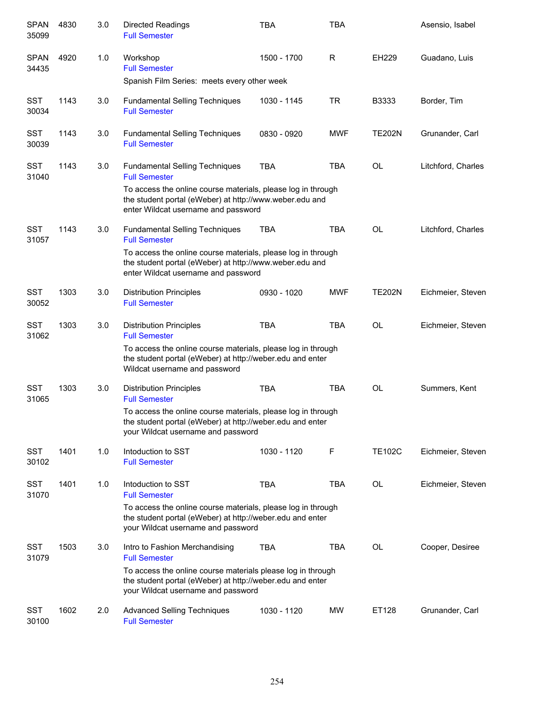| <b>SPAN</b><br>35099 | 4830 | 3.0 | <b>Directed Readings</b><br><b>Full Semester</b>                                                                                                                | <b>TBA</b>  | <b>TBA</b> |               | Asensio, Isabel    |
|----------------------|------|-----|-----------------------------------------------------------------------------------------------------------------------------------------------------------------|-------------|------------|---------------|--------------------|
| <b>SPAN</b><br>34435 | 4920 | 1.0 | Workshop<br><b>Full Semester</b>                                                                                                                                | 1500 - 1700 | R          | <b>EH229</b>  | Guadano, Luis      |
|                      |      |     | Spanish Film Series: meets every other week                                                                                                                     |             |            |               |                    |
| <b>SST</b><br>30034  | 1143 | 3.0 | <b>Fundamental Selling Techniques</b><br><b>Full Semester</b>                                                                                                   | 1030 - 1145 | <b>TR</b>  | B3333         | Border, Tim        |
| <b>SST</b><br>30039  | 1143 | 3.0 | <b>Fundamental Selling Techniques</b><br><b>Full Semester</b>                                                                                                   | 0830 - 0920 | <b>MWF</b> | <b>TE202N</b> | Grunander, Carl    |
| <b>SST</b><br>31040  | 1143 | 3.0 | <b>Fundamental Selling Techniques</b><br><b>Full Semester</b>                                                                                                   | <b>TBA</b>  | <b>TBA</b> | <b>OL</b>     | Litchford, Charles |
|                      |      |     | To access the online course materials, please log in through<br>the student portal (eWeber) at http://www.weber.edu and<br>enter Wildcat username and password  |             |            |               |                    |
| <b>SST</b><br>31057  | 1143 | 3.0 | <b>Fundamental Selling Techniques</b><br><b>Full Semester</b>                                                                                                   | TBA         | <b>TBA</b> | <b>OL</b>     | Litchford, Charles |
|                      |      |     | To access the online course materials, please log in through<br>the student portal (eWeber) at http://www.weber.edu and<br>enter Wildcat username and password  |             |            |               |                    |
| <b>SST</b><br>30052  | 1303 | 3.0 | <b>Distribution Principles</b><br><b>Full Semester</b>                                                                                                          | 0930 - 1020 | <b>MWF</b> | <b>TE202N</b> | Eichmeier, Steven  |
| <b>SST</b><br>31062  | 1303 | 3.0 | <b>Distribution Principles</b><br><b>Full Semester</b>                                                                                                          | <b>TBA</b>  | <b>TBA</b> | <b>OL</b>     | Eichmeier, Steven  |
|                      |      |     | To access the online course materials, please log in through<br>the student portal (eWeber) at http://weber.edu and enter<br>Wildcat username and password      |             |            |               |                    |
| <b>SST</b><br>31065  | 1303 | 3.0 | <b>Distribution Principles</b><br><b>Full Semester</b>                                                                                                          | <b>TBA</b>  | <b>TBA</b> | <b>OL</b>     | Summers, Kent      |
|                      |      |     | To access the online course materials, please log in through<br>the student portal (eWeber) at http://weber.edu and enter<br>your Wildcat username and password |             |            |               |                    |
| <b>SST</b><br>30102  | 1401 | 1.0 | Intoduction to SST<br><b>Full Semester</b>                                                                                                                      | 1030 - 1120 | F          | <b>TE102C</b> | Eichmeier, Steven  |
| <b>SST</b><br>31070  | 1401 | 1.0 | Intoduction to SST<br><b>Full Semester</b>                                                                                                                      | <b>TBA</b>  | <b>TBA</b> | OL            | Eichmeier, Steven  |
|                      |      |     | To access the online course materials, please log in through<br>the student portal (eWeber) at http://weber.edu and enter<br>your Wildcat username and password |             |            |               |                    |
| <b>SST</b><br>31079  | 1503 | 3.0 | Intro to Fashion Merchandising<br><b>Full Semester</b>                                                                                                          | <b>TBA</b>  | <b>TBA</b> | OL            | Cooper, Desiree    |
|                      |      |     | To access the online course materials please log in through<br>the student portal (eWeber) at http://weber.edu and enter<br>your Wildcat username and password  |             |            |               |                    |
| <b>SST</b><br>30100  | 1602 | 2.0 | <b>Advanced Selling Techniques</b><br><b>Full Semester</b>                                                                                                      | 1030 - 1120 | MW         | ET128         | Grunander, Carl    |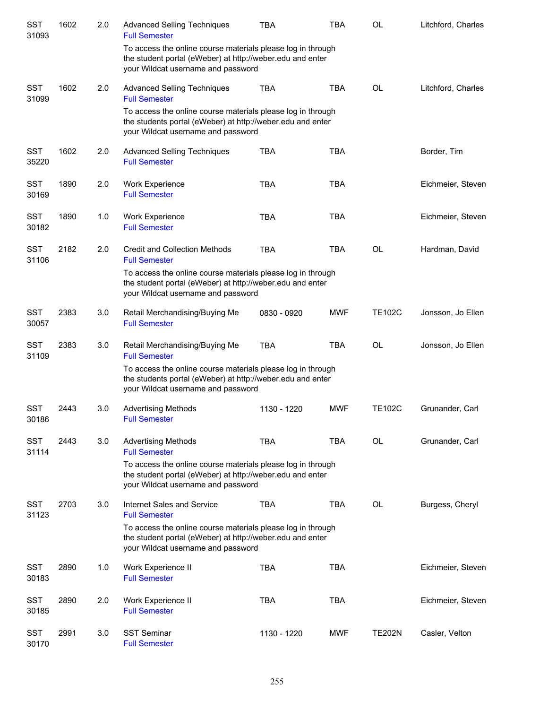| <b>SST</b><br>31093 | 1602 | 2.0 | <b>Advanced Selling Techniques</b><br><b>Full Semester</b>                                                                                                      | <b>TBA</b>  | TBA        | <b>OL</b>     | Litchford, Charles |
|---------------------|------|-----|-----------------------------------------------------------------------------------------------------------------------------------------------------------------|-------------|------------|---------------|--------------------|
|                     |      |     | To access the online course materials please log in through<br>the student portal (eWeber) at http://weber.edu and enter<br>your Wildcat username and password  |             |            |               |                    |
| <b>SST</b><br>31099 | 1602 | 2.0 | <b>Advanced Selling Techniques</b><br><b>Full Semester</b>                                                                                                      | <b>TBA</b>  | <b>TBA</b> | <b>OL</b>     | Litchford, Charles |
|                     |      |     | To access the online course materials please log in through<br>the students portal (eWeber) at http://weber.edu and enter<br>your Wildcat username and password |             |            |               |                    |
| <b>SST</b><br>35220 | 1602 | 2.0 | <b>Advanced Selling Techniques</b><br><b>Full Semester</b>                                                                                                      | <b>TBA</b>  | <b>TBA</b> |               | Border, Tim        |
| <b>SST</b><br>30169 | 1890 | 2.0 | <b>Work Experience</b><br><b>Full Semester</b>                                                                                                                  | <b>TBA</b>  | TBA        |               | Eichmeier, Steven  |
| <b>SST</b><br>30182 | 1890 | 1.0 | <b>Work Experience</b><br><b>Full Semester</b>                                                                                                                  | <b>TBA</b>  | <b>TBA</b> |               | Eichmeier, Steven  |
| <b>SST</b><br>31106 | 2182 | 2.0 | <b>Credit and Collection Methods</b><br><b>Full Semester</b>                                                                                                    | <b>TBA</b>  | <b>TBA</b> | <b>OL</b>     | Hardman, David     |
|                     |      |     | To access the online course materials please log in through<br>the student portal (eWeber) at http://weber.edu and enter<br>your Wildcat username and password  |             |            |               |                    |
| <b>SST</b><br>30057 | 2383 | 3.0 | Retail Merchandising/Buying Me<br><b>Full Semester</b>                                                                                                          | 0830 - 0920 | <b>MWF</b> | <b>TE102C</b> | Jonsson, Jo Ellen  |
| <b>SST</b><br>31109 | 2383 | 3.0 | Retail Merchandising/Buying Me<br><b>Full Semester</b>                                                                                                          | <b>TBA</b>  | <b>TBA</b> | <b>OL</b>     | Jonsson, Jo Ellen  |
|                     |      |     | To access the online course materials please log in through<br>the students portal (eWeber) at http://weber.edu and enter<br>your Wildcat username and password |             |            |               |                    |
| <b>SST</b><br>30186 | 2443 | 3.0 | <b>Advertising Methods</b><br><b>Full Semester</b>                                                                                                              | 1130 - 1220 | <b>MWF</b> | <b>TE102C</b> | Grunander, Carl    |
| <b>SST</b><br>31114 | 2443 | 3.0 | <b>Advertising Methods</b><br><b>Full Semester</b>                                                                                                              | <b>TBA</b>  | <b>TBA</b> | OL            | Grunander, Carl    |
|                     |      |     | To access the online course materials please log in through<br>the student portal (eWeber) at http://weber.edu and enter<br>your Wildcat username and password  |             |            |               |                    |
| <b>SST</b><br>31123 | 2703 | 3.0 | Internet Sales and Service<br><b>Full Semester</b>                                                                                                              | <b>TBA</b>  | <b>TBA</b> | OL            | Burgess, Cheryl    |
|                     |      |     | To access the online course materials please log in through<br>the student portal (eWeber) at http://weber.edu and enter<br>your Wildcat username and password  |             |            |               |                    |
| <b>SST</b><br>30183 | 2890 | 1.0 | Work Experience II<br><b>Full Semester</b>                                                                                                                      | TBA         | <b>TBA</b> |               | Eichmeier, Steven  |
| <b>SST</b><br>30185 | 2890 | 2.0 | Work Experience II<br><b>Full Semester</b>                                                                                                                      | <b>TBA</b>  | <b>TBA</b> |               | Eichmeier, Steven  |
| SST<br>30170        | 2991 | 3.0 | <b>SST Seminar</b><br><b>Full Semester</b>                                                                                                                      | 1130 - 1220 | <b>MWF</b> | <b>TE202N</b> | Casler, Velton     |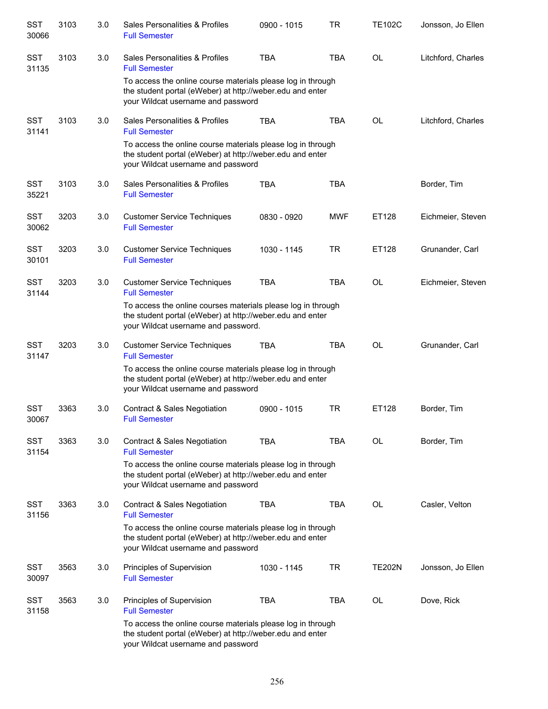| <b>SST</b><br>30066 | 3103 | 3.0 | Sales Personalities & Profiles<br><b>Full Semester</b>                                                                                                           | 0900 - 1015 | TR         | <b>TE102C</b> | Jonsson, Jo Ellen  |
|---------------------|------|-----|------------------------------------------------------------------------------------------------------------------------------------------------------------------|-------------|------------|---------------|--------------------|
| <b>SST</b><br>31135 | 3103 | 3.0 | Sales Personalities & Profiles<br><b>Full Semester</b>                                                                                                           | <b>TBA</b>  | <b>TBA</b> | <b>OL</b>     | Litchford, Charles |
|                     |      |     | To access the online course materials please log in through<br>the student portal (eWeber) at http://weber.edu and enter<br>your Wildcat username and password   |             |            |               |                    |
| <b>SST</b><br>31141 | 3103 | 3.0 | Sales Personalities & Profiles<br><b>Full Semester</b>                                                                                                           | <b>TBA</b>  | <b>TBA</b> | <b>OL</b>     | Litchford, Charles |
|                     |      |     | To access the online course materials please log in through<br>the student portal (eWeber) at http://weber.edu and enter<br>your Wildcat username and password   |             |            |               |                    |
| <b>SST</b><br>35221 | 3103 | 3.0 | Sales Personalities & Profiles<br><b>Full Semester</b>                                                                                                           | <b>TBA</b>  | <b>TBA</b> |               | Border, Tim        |
| <b>SST</b><br>30062 | 3203 | 3.0 | <b>Customer Service Techniques</b><br><b>Full Semester</b>                                                                                                       | 0830 - 0920 | <b>MWF</b> | ET128         | Eichmeier, Steven  |
| <b>SST</b><br>30101 | 3203 | 3.0 | <b>Customer Service Techniques</b><br><b>Full Semester</b>                                                                                                       | 1030 - 1145 | <b>TR</b>  | ET128         | Grunander, Carl    |
| <b>SST</b><br>31144 | 3203 | 3.0 | <b>Customer Service Techniques</b><br><b>Full Semester</b>                                                                                                       | <b>TBA</b>  | <b>TBA</b> | <b>OL</b>     | Eichmeier, Steven  |
|                     |      |     | To access the online courses materials please log in through<br>the student portal (eWeber) at http://weber.edu and enter<br>your Wildcat username and password. |             |            |               |                    |
| <b>SST</b><br>31147 | 3203 | 3.0 | <b>Customer Service Techniques</b><br><b>Full Semester</b>                                                                                                       | <b>TBA</b>  | TBA        | <b>OL</b>     | Grunander, Carl    |
|                     |      |     | To access the online course materials please log in through<br>the student portal (eWeber) at http://weber.edu and enter<br>your Wildcat username and password   |             |            |               |                    |
| <b>SST</b><br>30067 | 3363 | 3.0 | Contract & Sales Negotiation<br><b>Full Semester</b>                                                                                                             | 0900 - 1015 | TR         | ET128         | Border, Tim        |
| <b>SST</b><br>31154 | 3363 | 3.0 | Contract & Sales Negotiation<br><b>Full Semester</b>                                                                                                             | TBA         | TBA        | OL            | Border, Tim        |
|                     |      |     | To access the online course materials please log in through<br>the student portal (eWeber) at http://weber.edu and enter<br>your Wildcat username and password   |             |            |               |                    |
| <b>SST</b><br>31156 | 3363 | 3.0 | <b>Contract &amp; Sales Negotiation</b><br><b>Full Semester</b>                                                                                                  | <b>TBA</b>  | TBA        | <b>OL</b>     | Casler, Velton     |
|                     |      |     | To access the online course materials please log in through<br>the student portal (eWeber) at http://weber.edu and enter<br>your Wildcat username and password   |             |            |               |                    |
| <b>SST</b><br>30097 | 3563 | 3.0 | Principles of Supervision<br><b>Full Semester</b>                                                                                                                | 1030 - 1145 | TR         | TE202N        | Jonsson, Jo Ellen  |
| SST<br>31158        | 3563 | 3.0 | Principles of Supervision<br><b>Full Semester</b>                                                                                                                | <b>TBA</b>  | <b>TBA</b> | OL            | Dove, Rick         |
|                     |      |     | To access the online course materials please log in through<br>the student portal (eWeber) at http://weber.edu and enter<br>your Wildcat username and password   |             |            |               |                    |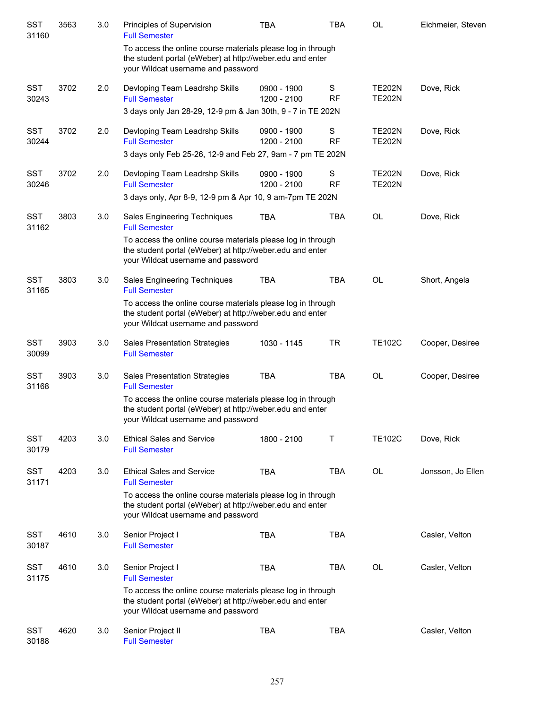| <b>SST</b><br>31160 | 3563 | 3.0 | Principles of Supervision<br><b>Full Semester</b>                                                                                                              | <b>TBA</b>                 | <b>TBA</b>     | <b>OL</b>                      | Eichmeier, Steven |
|---------------------|------|-----|----------------------------------------------------------------------------------------------------------------------------------------------------------------|----------------------------|----------------|--------------------------------|-------------------|
|                     |      |     | To access the online course materials please log in through<br>the student portal (eWeber) at http://weber.edu and enter<br>your Wildcat username and password |                            |                |                                |                   |
| <b>SST</b><br>30243 | 3702 | 2.0 | Devloping Team Leadrshp Skills<br><b>Full Semester</b>                                                                                                         | 0900 - 1900<br>1200 - 2100 | S<br><b>RF</b> | <b>TE202N</b><br><b>TE202N</b> | Dove, Rick        |
|                     |      |     | 3 days only Jan 28-29, 12-9 pm & Jan 30th, 9 - 7 in TE 202N                                                                                                    |                            |                |                                |                   |
| <b>SST</b><br>30244 | 3702 | 2.0 | Devloping Team Leadrshp Skills<br><b>Full Semester</b>                                                                                                         | 0900 - 1900<br>1200 - 2100 | S<br><b>RF</b> | <b>TE202N</b><br><b>TE202N</b> | Dove, Rick        |
|                     |      |     | 3 days only Feb 25-26, 12-9 and Feb 27, 9am - 7 pm TE 202N                                                                                                     |                            |                |                                |                   |
| <b>SST</b><br>30246 | 3702 | 2.0 | Devloping Team Leadrshp Skills<br><b>Full Semester</b>                                                                                                         | 0900 - 1900<br>1200 - 2100 | S<br>RF        | <b>TE202N</b><br><b>TE202N</b> | Dove, Rick        |
|                     |      |     | 3 days only, Apr 8-9, 12-9 pm & Apr 10, 9 am-7pm TE 202N                                                                                                       |                            |                |                                |                   |
| <b>SST</b><br>31162 | 3803 | 3.0 | Sales Engineering Techniques<br><b>Full Semester</b>                                                                                                           | <b>TBA</b>                 | <b>TBA</b>     | <b>OL</b>                      | Dove, Rick        |
|                     |      |     | To access the online course materials please log in through<br>the student portal (eWeber) at http://weber.edu and enter<br>your Wildcat username and password |                            |                |                                |                   |
| <b>SST</b><br>31165 | 3803 | 3.0 | Sales Engineering Techniques<br><b>Full Semester</b>                                                                                                           | <b>TBA</b>                 | <b>TBA</b>     | <b>OL</b>                      | Short, Angela     |
|                     |      |     | To access the online course materials please log in through<br>the student portal (eWeber) at http://weber.edu and enter<br>your Wildcat username and password |                            |                |                                |                   |
| <b>SST</b><br>30099 | 3903 | 3.0 | <b>Sales Presentation Strategies</b><br><b>Full Semester</b>                                                                                                   | 1030 - 1145                | <b>TR</b>      | <b>TE102C</b>                  | Cooper, Desiree   |
| <b>SST</b><br>31168 | 3903 | 3.0 | Sales Presentation Strategies<br><b>Full Semester</b>                                                                                                          | <b>TBA</b>                 | <b>TBA</b>     | <b>OL</b>                      | Cooper, Desiree   |
|                     |      |     | To access the online course materials please log in through<br>the student portal (eWeber) at http://weber.edu and enter<br>your Wildcat username and password |                            |                |                                |                   |
| <b>SST</b><br>30179 | 4203 | 3.0 | <b>Ethical Sales and Service</b><br><b>Full Semester</b>                                                                                                       | 1800 - 2100                | т              | <b>TE102C</b>                  | Dove, Rick        |
| <b>SST</b><br>31171 | 4203 | 3.0 | <b>Ethical Sales and Service</b><br><b>Full Semester</b>                                                                                                       | <b>TBA</b>                 | <b>TBA</b>     | <b>OL</b>                      | Jonsson, Jo Ellen |
|                     |      |     | To access the online course materials please log in through<br>the student portal (eWeber) at http://weber.edu and enter<br>your Wildcat username and password |                            |                |                                |                   |
| <b>SST</b><br>30187 | 4610 | 3.0 | Senior Project I<br><b>Full Semester</b>                                                                                                                       | <b>TBA</b>                 | <b>TBA</b>     |                                | Casler, Velton    |
| <b>SST</b><br>31175 | 4610 | 3.0 | Senior Project I<br><b>Full Semester</b>                                                                                                                       | <b>TBA</b>                 | TBA            | OL                             | Casler, Velton    |
|                     |      |     | To access the online course materials please log in through<br>the student portal (eWeber) at http://weber.edu and enter<br>your Wildcat username and password |                            |                |                                |                   |
| <b>SST</b><br>30188 | 4620 | 3.0 | Senior Project II<br><b>Full Semester</b>                                                                                                                      | <b>TBA</b>                 | <b>TBA</b>     |                                | Casler, Velton    |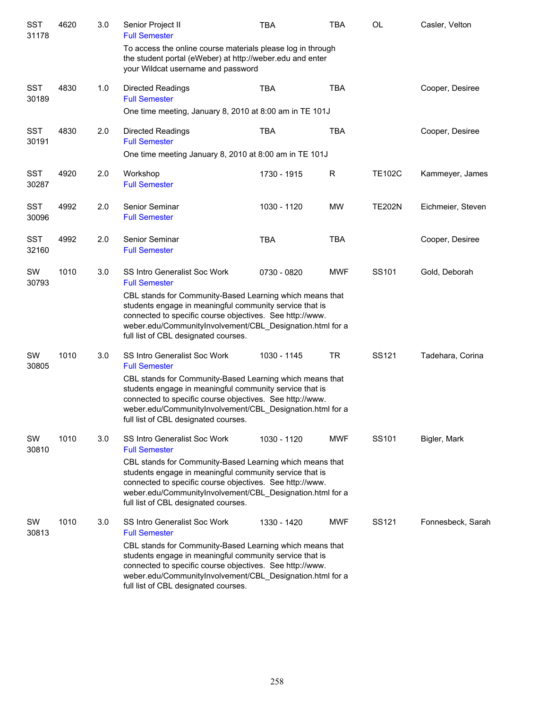| <b>SST</b><br>31178 | 4620 | 3.0 | Senior Project II<br><b>Full Semester</b>                                                                                                                                                                                                                                            | <b>TBA</b>  | <b>TBA</b> | <b>OL</b>     | Casler, Velton    |
|---------------------|------|-----|--------------------------------------------------------------------------------------------------------------------------------------------------------------------------------------------------------------------------------------------------------------------------------------|-------------|------------|---------------|-------------------|
|                     |      |     | To access the online course materials please log in through<br>the student portal (eWeber) at http://weber.edu and enter<br>your Wildcat username and password                                                                                                                       |             |            |               |                   |
| <b>SST</b><br>30189 | 4830 | 1.0 | <b>Directed Readings</b><br><b>Full Semester</b>                                                                                                                                                                                                                                     | <b>TBA</b>  | <b>TBA</b> |               | Cooper, Desiree   |
|                     |      |     | One time meeting, January 8, 2010 at 8:00 am in TE 101J                                                                                                                                                                                                                              |             |            |               |                   |
| <b>SST</b><br>30191 | 4830 | 2.0 | <b>Directed Readings</b><br><b>Full Semester</b>                                                                                                                                                                                                                                     | <b>TBA</b>  | <b>TBA</b> |               | Cooper, Desiree   |
|                     |      |     | One time meeting January 8, 2010 at 8:00 am in TE 101J                                                                                                                                                                                                                               |             |            |               |                   |
| <b>SST</b><br>30287 | 4920 | 2.0 | Workshop<br><b>Full Semester</b>                                                                                                                                                                                                                                                     | 1730 - 1915 | R          | <b>TE102C</b> | Kammeyer, James   |
| <b>SST</b><br>30096 | 4992 | 2.0 | Senior Seminar<br><b>Full Semester</b>                                                                                                                                                                                                                                               | 1030 - 1120 | <b>MW</b>  | <b>TE202N</b> | Eichmeier, Steven |
| <b>SST</b><br>32160 | 4992 | 2.0 | Senior Seminar<br><b>Full Semester</b>                                                                                                                                                                                                                                               | <b>TBA</b>  | <b>TBA</b> |               | Cooper, Desiree   |
| SW<br>30793         | 1010 | 3.0 | <b>SS Intro Generalist Soc Work</b><br><b>Full Semester</b>                                                                                                                                                                                                                          | 0730 - 0820 | <b>MWF</b> | SS101         | Gold, Deborah     |
|                     |      |     | CBL stands for Community-Based Learning which means that<br>students engage in meaningful community service that is<br>connected to specific course objectives. See http://www.<br>weber.edu/CommunityInvolvement/CBL_Designation.html for a<br>full list of CBL designated courses. |             |            |               |                   |
| SW<br>30805         | 1010 | 3.0 | <b>SS Intro Generalist Soc Work</b><br><b>Full Semester</b>                                                                                                                                                                                                                          | 1030 - 1145 | <b>TR</b>  | SS121         | Tadehara, Corina  |
|                     |      |     | CBL stands for Community-Based Learning which means that<br>students engage in meaningful community service that is<br>connected to specific course objectives. See http://www.<br>weber.edu/CommunityInvolvement/CBL Designation.html for a<br>full list of CBL designated courses. |             |            |               |                   |
| SW<br>30810         | 1010 | 3.0 | <b>SS Intro Generalist Soc Work</b><br><b>Full Semester</b>                                                                                                                                                                                                                          | 1030 - 1120 | MWF        | SS101         | Bigler, Mark      |
|                     |      |     | CBL stands for Community-Based Learning which means that<br>students engage in meaningful community service that is<br>connected to specific course objectives. See http://www.<br>weber.edu/CommunityInvolvement/CBL_Designation.html for a<br>full list of CBL designated courses. |             |            |               |                   |
| SW<br>30813         | 1010 | 3.0 | SS Intro Generalist Soc Work<br><b>Full Semester</b>                                                                                                                                                                                                                                 | 1330 - 1420 | <b>MWF</b> | SS121         | Fonnesbeck, Sarah |
|                     |      |     | CBL stands for Community-Based Learning which means that<br>students engage in meaningful community service that is<br>connected to specific course objectives. See http://www.<br>weber.edu/CommunityInvolvement/CBL_Designation.html for a<br>full list of CBL designated courses. |             |            |               |                   |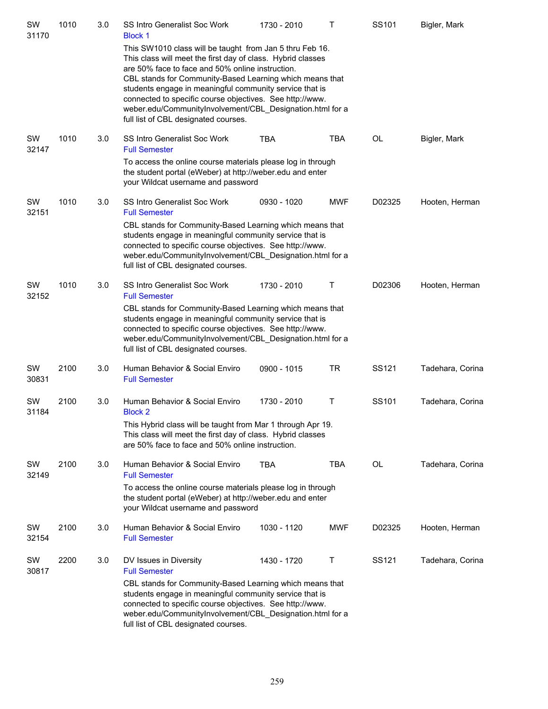| SW<br>31170 | 1010 | 3.0 | SS Intro Generalist Soc Work<br><b>Block 1</b>                                                                                                                                                                                                                                                                                                                                                                                                                      | 1730 - 2010 | т          | SS101     | Bigler, Mark     |
|-------------|------|-----|---------------------------------------------------------------------------------------------------------------------------------------------------------------------------------------------------------------------------------------------------------------------------------------------------------------------------------------------------------------------------------------------------------------------------------------------------------------------|-------------|------------|-----------|------------------|
|             |      |     | This SW1010 class will be taught from Jan 5 thru Feb 16.<br>This class will meet the first day of class. Hybrid classes<br>are 50% face to face and 50% online instruction.<br>CBL stands for Community-Based Learning which means that<br>students engage in meaningful community service that is<br>connected to specific course objectives. See http://www.<br>weber.edu/CommunityInvolvement/CBL_Designation.html for a<br>full list of CBL designated courses. |             |            |           |                  |
| SW<br>32147 | 1010 | 3.0 | SS Intro Generalist Soc Work<br><b>Full Semester</b>                                                                                                                                                                                                                                                                                                                                                                                                                | <b>TBA</b>  | <b>TBA</b> | <b>OL</b> | Bigler, Mark     |
|             |      |     | To access the online course materials please log in through<br>the student portal (eWeber) at http://weber.edu and enter<br>your Wildcat username and password                                                                                                                                                                                                                                                                                                      |             |            |           |                  |
| SW<br>32151 | 1010 | 3.0 | <b>SS Intro Generalist Soc Work</b><br><b>Full Semester</b>                                                                                                                                                                                                                                                                                                                                                                                                         | 0930 - 1020 | <b>MWF</b> | D02325    | Hooten, Herman   |
|             |      |     | CBL stands for Community-Based Learning which means that<br>students engage in meaningful community service that is<br>connected to specific course objectives. See http://www.<br>weber.edu/CommunityInvolvement/CBL_Designation.html for a<br>full list of CBL designated courses.                                                                                                                                                                                |             |            |           |                  |
| SW<br>32152 | 1010 | 3.0 | <b>SS Intro Generalist Soc Work</b><br><b>Full Semester</b>                                                                                                                                                                                                                                                                                                                                                                                                         | 1730 - 2010 | Τ          | D02306    | Hooten, Herman   |
|             |      |     | CBL stands for Community-Based Learning which means that<br>students engage in meaningful community service that is<br>connected to specific course objectives. See http://www.<br>weber.edu/CommunityInvolvement/CBL_Designation.html for a<br>full list of CBL designated courses.                                                                                                                                                                                |             |            |           |                  |
| SW<br>30831 | 2100 | 3.0 | Human Behavior & Social Enviro<br><b>Full Semester</b>                                                                                                                                                                                                                                                                                                                                                                                                              | 0900 - 1015 | <b>TR</b>  | SS121     | Tadehara, Corina |
| SW<br>31184 | 2100 | 3.0 | Human Behavior & Social Enviro<br><b>Block 2</b>                                                                                                                                                                                                                                                                                                                                                                                                                    | 1730 - 2010 | Τ          | SS101     | Tadehara, Corina |
|             |      |     | This Hybrid class will be taught from Mar 1 through Apr 19.<br>This class will meet the first day of class. Hybrid classes<br>are 50% face to face and 50% online instruction.                                                                                                                                                                                                                                                                                      |             |            |           |                  |
| SW<br>32149 | 2100 | 3.0 | Human Behavior & Social Enviro<br><b>Full Semester</b>                                                                                                                                                                                                                                                                                                                                                                                                              | TBA         | <b>TBA</b> | OL        | Tadehara, Corina |
|             |      |     | To access the online course materials please log in through<br>the student portal (eWeber) at http://weber.edu and enter<br>your Wildcat username and password                                                                                                                                                                                                                                                                                                      |             |            |           |                  |
| SW<br>32154 | 2100 | 3.0 | Human Behavior & Social Enviro<br><b>Full Semester</b>                                                                                                                                                                                                                                                                                                                                                                                                              | 1030 - 1120 | <b>MWF</b> | D02325    | Hooten, Herman   |
| SW<br>30817 | 2200 | 3.0 | DV Issues in Diversity<br><b>Full Semester</b>                                                                                                                                                                                                                                                                                                                                                                                                                      | 1430 - 1720 | Τ          | SS121     | Tadehara, Corina |
|             |      |     | CBL stands for Community-Based Learning which means that<br>students engage in meaningful community service that is<br>connected to specific course objectives. See http://www.<br>weber.edu/CommunityInvolvement/CBL_Designation.html for a<br>full list of CBL designated courses.                                                                                                                                                                                |             |            |           |                  |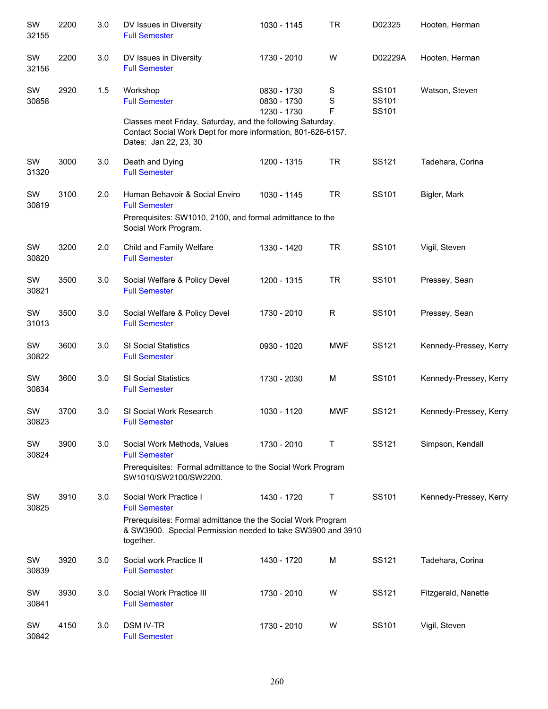| SW<br>32155 | 2200 | 3.0 | DV Issues in Diversity<br><b>Full Semester</b>                                                                                           | 1030 - 1145                               | <b>TR</b>             | D02325                  | Hooten, Herman         |
|-------------|------|-----|------------------------------------------------------------------------------------------------------------------------------------------|-------------------------------------------|-----------------------|-------------------------|------------------------|
| SW<br>32156 | 2200 | 3.0 | DV Issues in Diversity<br><b>Full Semester</b>                                                                                           | 1730 - 2010                               | W                     | D02229A                 | Hooten, Herman         |
| SW<br>30858 | 2920 | 1.5 | Workshop<br><b>Full Semester</b><br>Classes meet Friday, Saturday, and the following Saturday.                                           | 0830 - 1730<br>0830 - 1730<br>1230 - 1730 | S<br>$\mathbf S$<br>F | SS101<br>SS101<br>SS101 | Watson, Steven         |
|             |      |     | Contact Social Work Dept for more information, 801-626-6157.<br>Dates: Jan 22, 23, 30                                                    |                                           |                       |                         |                        |
| SW<br>31320 | 3000 | 3.0 | Death and Dying<br><b>Full Semester</b>                                                                                                  | 1200 - 1315                               | <b>TR</b>             | SS121                   | Tadehara, Corina       |
| SW<br>30819 | 3100 | 2.0 | Human Behavoir & Social Enviro<br><b>Full Semester</b>                                                                                   | 1030 - 1145                               | <b>TR</b>             | SS101                   | Bigler, Mark           |
|             |      |     | Prerequisites: SW1010, 2100, and formal admittance to the<br>Social Work Program.                                                        |                                           |                       |                         |                        |
| SW<br>30820 | 3200 | 2.0 | Child and Family Welfare<br><b>Full Semester</b>                                                                                         | 1330 - 1420                               | <b>TR</b>             | SS101                   | Vigil, Steven          |
| SW<br>30821 | 3500 | 3.0 | Social Welfare & Policy Devel<br><b>Full Semester</b>                                                                                    | 1200 - 1315                               | <b>TR</b>             | SS101                   | Pressey, Sean          |
| SW<br>31013 | 3500 | 3.0 | Social Welfare & Policy Devel<br><b>Full Semester</b>                                                                                    | 1730 - 2010                               | $\mathsf{R}$          | SS101                   | Pressey, Sean          |
| SW<br>30822 | 3600 | 3.0 | <b>SI Social Statistics</b><br><b>Full Semester</b>                                                                                      | 0930 - 1020                               | <b>MWF</b>            | SS121                   | Kennedy-Pressey, Kerry |
| SW<br>30834 | 3600 | 3.0 | <b>SI Social Statistics</b><br><b>Full Semester</b>                                                                                      | 1730 - 2030                               | M                     | SS101                   | Kennedy-Pressey, Kerry |
| SW<br>30823 | 3700 | 3.0 | SI Social Work Research<br><b>Full Semester</b>                                                                                          | 1030 - 1120                               | <b>MWF</b>            | SS121                   | Kennedy-Pressey, Kerry |
| SW<br>30824 | 3900 | 3.0 | Social Work Methods, Values<br><b>Full Semester</b>                                                                                      | 1730 - 2010                               | Τ                     | SS121                   | Simpson, Kendall       |
|             |      |     | Prerequisites: Formal admittance to the Social Work Program<br>SW1010/SW2100/SW2200.                                                     |                                           |                       |                         |                        |
| SW<br>30825 | 3910 | 3.0 | Social Work Practice I<br><b>Full Semester</b>                                                                                           | 1430 - 1720                               | T                     | SS101                   | Kennedy-Pressey, Kerry |
|             |      |     | Prerequisites: Formal admittance the the Social Work Program<br>& SW3900. Special Permission needed to take SW3900 and 3910<br>together. |                                           |                       |                         |                        |
| SW<br>30839 | 3920 | 3.0 | Social work Practice II<br><b>Full Semester</b>                                                                                          | 1430 - 1720                               | M                     | SS121                   | Tadehara, Corina       |
| SW<br>30841 | 3930 | 3.0 | Social Work Practice III<br><b>Full Semester</b>                                                                                         | 1730 - 2010                               | W                     | SS121                   | Fitzgerald, Nanette    |
| SW<br>30842 | 4150 | 3.0 | <b>DSM IV-TR</b><br><b>Full Semester</b>                                                                                                 | 1730 - 2010                               | W                     | SS101                   | Vigil, Steven          |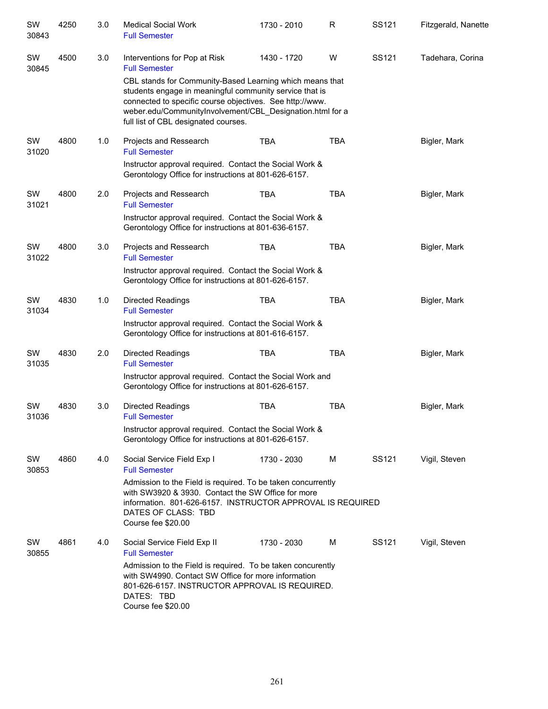| SW<br>30843 | 4250 | 3.0   | <b>Medical Social Work</b><br><b>Full Semester</b>                                                                                                                                                                                                                                   | 1730 - 2010 | $\mathsf R$ | SS121 | Fitzgerald, Nanette |
|-------------|------|-------|--------------------------------------------------------------------------------------------------------------------------------------------------------------------------------------------------------------------------------------------------------------------------------------|-------------|-------------|-------|---------------------|
| SW<br>30845 | 4500 | 3.0   | Interventions for Pop at Risk<br><b>Full Semester</b>                                                                                                                                                                                                                                | 1430 - 1720 | W           | SS121 | Tadehara, Corina    |
|             |      |       | CBL stands for Community-Based Learning which means that<br>students engage in meaningful community service that is<br>connected to specific course objectives. See http://www.<br>weber.edu/CommunityInvolvement/CBL_Designation.html for a<br>full list of CBL designated courses. |             |             |       |                     |
| SW<br>31020 | 4800 | 1.0   | Projects and Ressearch<br><b>Full Semester</b><br>Instructor approval required. Contact the Social Work &<br>Gerontology Office for instructions at 801-626-6157.                                                                                                                    | <b>TBA</b>  | <b>TBA</b>  |       | Bigler, Mark        |
| SW<br>31021 | 4800 | 2.0   | Projects and Ressearch<br><b>Full Semester</b>                                                                                                                                                                                                                                       | <b>TBA</b>  | <b>TBA</b>  |       | Bigler, Mark        |
|             |      |       | Instructor approval required. Contact the Social Work &<br>Gerontology Office for instructions at 801-636-6157.                                                                                                                                                                      |             |             |       |                     |
| SW<br>31022 | 4800 | 3.0   | Projects and Ressearch<br><b>Full Semester</b>                                                                                                                                                                                                                                       | <b>TBA</b>  | <b>TBA</b>  |       | Bigler, Mark        |
|             |      |       | Instructor approval required. Contact the Social Work &<br>Gerontology Office for instructions at 801-626-6157.                                                                                                                                                                      |             |             |       |                     |
| SW<br>31034 | 4830 | $1.0$ | <b>Directed Readings</b><br><b>Full Semester</b><br>Instructor approval required. Contact the Social Work &<br>Gerontology Office for instructions at 801-616-6157.                                                                                                                  | <b>TBA</b>  | <b>TBA</b>  |       | Bigler, Mark        |
| SW<br>31035 | 4830 | 2.0   | <b>Directed Readings</b><br><b>Full Semester</b><br>Instructor approval required. Contact the Social Work and                                                                                                                                                                        | <b>TBA</b>  | <b>TBA</b>  |       | Bigler, Mark        |
|             |      |       | Gerontology Office for instructions at 801-626-6157.                                                                                                                                                                                                                                 |             |             |       |                     |
| SW<br>31036 | 4830 | 3.0   | <b>Directed Readings</b><br><b>Full Semester</b>                                                                                                                                                                                                                                     | <b>TBA</b>  | <b>TBA</b>  |       | Bigler, Mark        |
|             |      |       | Instructor approval required. Contact the Social Work &<br>Gerontology Office for instructions at 801-626-6157.                                                                                                                                                                      |             |             |       |                     |
| SW<br>30853 | 4860 | 4.0   | Social Service Field Exp I<br><b>Full Semester</b>                                                                                                                                                                                                                                   | 1730 - 2030 | м           | SS121 | Vigil, Steven       |
|             |      |       | Admission to the Field is required. To be taken concurrently<br>with SW3920 & 3930. Contact the SW Office for more<br>information. 801-626-6157. INSTRUCTOR APPROVAL IS REQUIRED<br>DATES OF CLASS: TBD<br>Course fee \$20.00                                                        |             |             |       |                     |
| SW<br>30855 | 4861 | 4.0   | Social Service Field Exp II<br><b>Full Semester</b><br>Admission to the Field is required. To be taken concurently<br>with SW4990. Contact SW Office for more information<br>801-626-6157. INSTRUCTOR APPROVAL IS REQUIRED.                                                          | 1730 - 2030 | м           | SS121 | Vigil, Steven       |
|             |      |       | DATES: TBD<br>Course fee \$20.00                                                                                                                                                                                                                                                     |             |             |       |                     |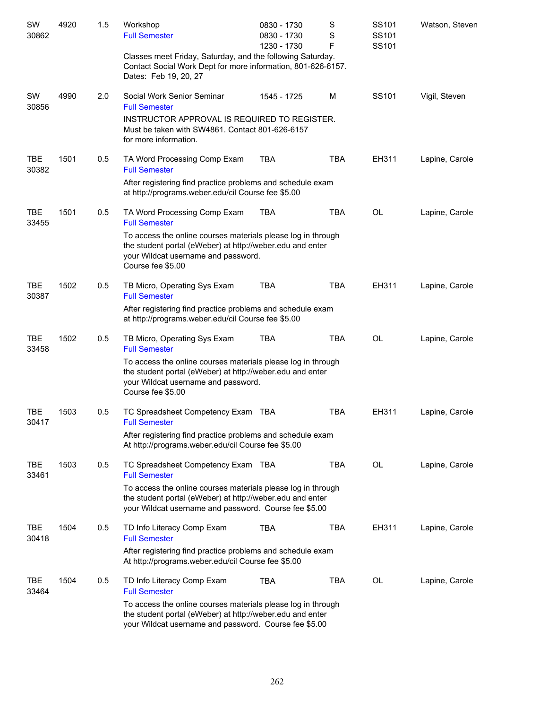| SW                  | 4920 | 1.5 | Workshop                                                                                                                                                                              | 0830 - 1730 | S          | SS101 | Watson, Steven |
|---------------------|------|-----|---------------------------------------------------------------------------------------------------------------------------------------------------------------------------------------|-------------|------------|-------|----------------|
| 30862               |      |     | <b>Full Semester</b>                                                                                                                                                                  | 0830 - 1730 | S          | SS101 |                |
|                     |      |     |                                                                                                                                                                                       | 1230 - 1730 | F          | SS101 |                |
|                     |      |     | Classes meet Friday, Saturday, and the following Saturday.<br>Contact Social Work Dept for more information, 801-626-6157.<br>Dates: Feb 19, 20, 27                                   |             |            |       |                |
| SW<br>30856         | 4990 | 2.0 | Social Work Senior Seminar<br><b>Full Semester</b>                                                                                                                                    | 1545 - 1725 | M          | SS101 | Vigil, Steven  |
|                     |      |     | INSTRUCTOR APPROVAL IS REQUIRED TO REGISTER.<br>Must be taken with SW4861. Contact 801-626-6157<br>for more information.                                                              |             |            |       |                |
| <b>TBE</b><br>30382 | 1501 | 0.5 | TA Word Processing Comp Exam<br><b>Full Semester</b>                                                                                                                                  | <b>TBA</b>  | <b>TBA</b> | EH311 | Lapine, Carole |
|                     |      |     | After registering find practice problems and schedule exam<br>at http://programs.weber.edu/cil Course fee \$5.00                                                                      |             |            |       |                |
| <b>TBE</b><br>33455 | 1501 | 0.5 | TA Word Processing Comp Exam<br><b>Full Semester</b>                                                                                                                                  | <b>TBA</b>  | <b>TBA</b> | OL    | Lapine, Carole |
|                     |      |     | To access the online courses materials please log in through<br>the student portal (eWeber) at http://weber.edu and enter<br>your Wildcat username and password.<br>Course fee \$5.00 |             |            |       |                |
| <b>TBE</b><br>30387 | 1502 | 0.5 | TB Micro, Operating Sys Exam<br><b>Full Semester</b>                                                                                                                                  | <b>TBA</b>  | <b>TBA</b> | EH311 | Lapine, Carole |
|                     |      |     | After registering find practice problems and schedule exam<br>at http://programs.weber.edu/cil Course fee \$5.00                                                                      |             |            |       |                |
| <b>TBE</b><br>33458 | 1502 | 0.5 | TB Micro, Operating Sys Exam<br><b>Full Semester</b>                                                                                                                                  | <b>TBA</b>  | <b>TBA</b> | OL    | Lapine, Carole |
|                     |      |     | To access the online courses materials please log in through<br>the student portal (eWeber) at http://weber.edu and enter<br>your Wildcat username and password.<br>Course fee \$5.00 |             |            |       |                |
| TBE<br>30417        | 1503 | 0.5 | TC Spreadsheet Competency Exam TBA<br><b>Full Semester</b>                                                                                                                            |             | <b>TBA</b> | EH311 | Lapine, Carole |
|                     |      |     | After registering find practice problems and schedule exam<br>At http://programs.weber.edu/cil Course fee \$5.00                                                                      |             |            |       |                |
| <b>TBE</b><br>33461 | 1503 | 0.5 | TC Spreadsheet Competency Exam TBA<br><b>Full Semester</b>                                                                                                                            |             | <b>TBA</b> | OL    | Lapine, Carole |
|                     |      |     | To access the online courses materials please log in through<br>the student portal (eWeber) at http://weber.edu and enter<br>your Wildcat username and password. Course fee \$5.00    |             |            |       |                |
| <b>TBE</b><br>30418 | 1504 | 0.5 | TD Info Literacy Comp Exam<br><b>Full Semester</b>                                                                                                                                    | <b>TBA</b>  | TBA        | EH311 | Lapine, Carole |
|                     |      |     | After registering find practice problems and schedule exam<br>At http://programs.weber.edu/cil Course fee \$5.00                                                                      |             |            |       |                |
| TBE<br>33464        | 1504 | 0.5 | TD Info Literacy Comp Exam<br><b>Full Semester</b>                                                                                                                                    | <b>TBA</b>  | TBA        | OL    | Lapine, Carole |
|                     |      |     | To access the online courses materials please log in through<br>the student portal (eWeber) at http://weber.edu and enter<br>your Wildcat username and password. Course fee \$5.00    |             |            |       |                |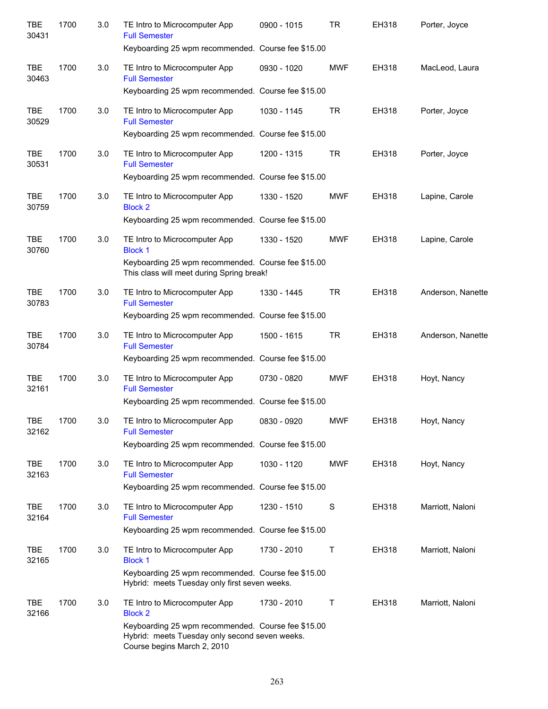| <b>TBE</b><br>30431 | 1700 | 3.0 | TE Intro to Microcomputer App<br><b>Full Semester</b><br>Keyboarding 25 wpm recommended. Course fee \$15.00                         | 0900 - 1015 | <b>TR</b>  | EH318 | Porter, Joyce     |
|---------------------|------|-----|-------------------------------------------------------------------------------------------------------------------------------------|-------------|------------|-------|-------------------|
| <b>TBE</b>          | 1700 | 3.0 | TE Intro to Microcomputer App                                                                                                       | 0930 - 1020 | <b>MWF</b> | EH318 | MacLeod, Laura    |
| 30463               |      |     | <b>Full Semester</b><br>Keyboarding 25 wpm recommended. Course fee \$15.00                                                          |             |            |       |                   |
|                     |      |     |                                                                                                                                     |             |            |       |                   |
| <b>TBE</b><br>30529 | 1700 | 3.0 | TE Intro to Microcomputer App<br><b>Full Semester</b>                                                                               | 1030 - 1145 | <b>TR</b>  | EH318 | Porter, Joyce     |
|                     |      |     | Keyboarding 25 wpm recommended. Course fee \$15.00                                                                                  |             |            |       |                   |
| <b>TBE</b><br>30531 | 1700 | 3.0 | TE Intro to Microcomputer App<br><b>Full Semester</b>                                                                               | 1200 - 1315 | <b>TR</b>  | EH318 | Porter, Joyce     |
|                     |      |     | Keyboarding 25 wpm recommended. Course fee \$15.00                                                                                  |             |            |       |                   |
| <b>TBE</b><br>30759 | 1700 | 3.0 | TE Intro to Microcomputer App<br><b>Block 2</b>                                                                                     | 1330 - 1520 | <b>MWF</b> | EH318 | Lapine, Carole    |
|                     |      |     | Keyboarding 25 wpm recommended. Course fee \$15.00                                                                                  |             |            |       |                   |
| <b>TBE</b><br>30760 | 1700 | 3.0 | TE Intro to Microcomputer App<br><b>Block 1</b>                                                                                     | 1330 - 1520 | <b>MWF</b> | EH318 | Lapine, Carole    |
|                     |      |     | Keyboarding 25 wpm recommended. Course fee \$15.00<br>This class will meet during Spring break!                                     |             |            |       |                   |
| <b>TBE</b><br>30783 | 1700 | 3.0 | TE Intro to Microcomputer App<br><b>Full Semester</b>                                                                               | 1330 - 1445 | <b>TR</b>  | EH318 | Anderson, Nanette |
|                     |      |     | Keyboarding 25 wpm recommended. Course fee \$15.00                                                                                  |             |            |       |                   |
| <b>TBE</b><br>30784 | 1700 | 3.0 | TE Intro to Microcomputer App<br><b>Full Semester</b>                                                                               | 1500 - 1615 | <b>TR</b>  | EH318 | Anderson, Nanette |
|                     |      |     | Keyboarding 25 wpm recommended. Course fee \$15.00                                                                                  |             |            |       |                   |
| <b>TBE</b><br>32161 | 1700 | 3.0 | TE Intro to Microcomputer App<br><b>Full Semester</b>                                                                               | 0730 - 0820 | <b>MWF</b> | EH318 | Hoyt, Nancy       |
|                     |      |     | Keyboarding 25 wpm recommended. Course fee \$15.00                                                                                  |             |            |       |                   |
| <b>TBE</b><br>32162 | 1700 | 3.0 | TE Intro to Microcomputer App<br><b>Full Semester</b>                                                                               | 0830 - 0920 | <b>MWF</b> | EH318 | Hoyt, Nancy       |
|                     |      |     | Keyboarding 25 wpm recommended. Course fee \$15.00                                                                                  |             |            |       |                   |
| <b>TBE</b><br>32163 | 1700 | 3.0 | TE Intro to Microcomputer App<br><b>Full Semester</b>                                                                               | 1030 - 1120 | <b>MWF</b> | EH318 | Hoyt, Nancy       |
|                     |      |     | Keyboarding 25 wpm recommended. Course fee \$15.00                                                                                  |             |            |       |                   |
| <b>TBE</b><br>32164 | 1700 | 3.0 | TE Intro to Microcomputer App<br><b>Full Semester</b>                                                                               | 1230 - 1510 | S          | EH318 | Marriott, Naloni  |
|                     |      |     | Keyboarding 25 wpm recommended. Course fee \$15.00                                                                                  |             |            |       |                   |
| <b>TBE</b><br>32165 | 1700 | 3.0 | TE Intro to Microcomputer App<br><b>Block 1</b>                                                                                     | 1730 - 2010 | Τ          | EH318 | Marriott, Naloni  |
|                     |      |     | Keyboarding 25 wpm recommended. Course fee \$15.00<br>Hybrid: meets Tuesday only first seven weeks.                                 |             |            |       |                   |
| <b>TBE</b><br>32166 | 1700 | 3.0 | TE Intro to Microcomputer App<br><b>Block 2</b>                                                                                     | 1730 - 2010 | Τ          | EH318 | Marriott, Naloni  |
|                     |      |     | Keyboarding 25 wpm recommended. Course fee \$15.00<br>Hybrid: meets Tuesday only second seven weeks.<br>Course begins March 2, 2010 |             |            |       |                   |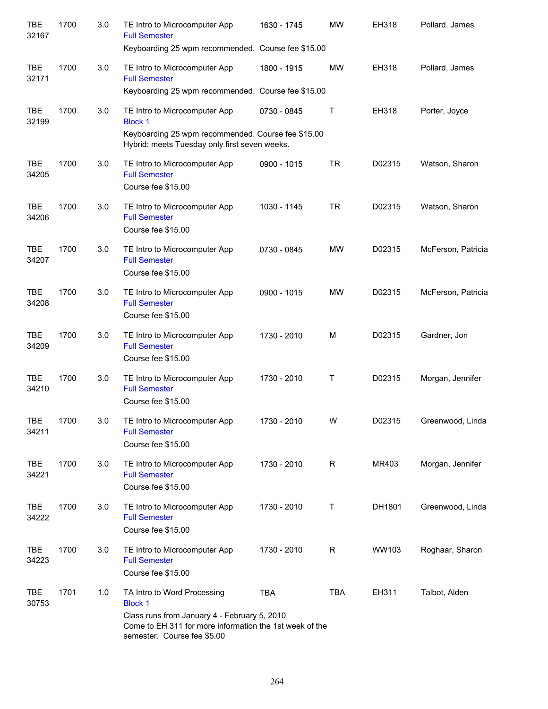| <b>TBE</b><br>32167 | 1700 | 3.0 | TE Intro to Microcomputer App<br><b>Full Semester</b>                                                                                                    | 1630 - 1745 | <b>MW</b>    | EH318  | Pollard, James     |
|---------------------|------|-----|----------------------------------------------------------------------------------------------------------------------------------------------------------|-------------|--------------|--------|--------------------|
|                     |      |     | Keyboarding 25 wpm recommended. Course fee \$15.00                                                                                                       |             |              |        |                    |
| <b>TBE</b><br>32171 | 1700 | 3.0 | TE Intro to Microcomputer App<br><b>Full Semester</b>                                                                                                    | 1800 - 1915 | <b>MW</b>    | EH318  | Pollard, James     |
|                     |      |     | Keyboarding 25 wpm recommended. Course fee \$15.00                                                                                                       |             |              |        |                    |
| <b>TBE</b><br>32199 | 1700 | 3.0 | TE Intro to Microcomputer App<br><b>Block 1</b>                                                                                                          | 0730 - 0845 | $\mathsf{T}$ | EH318  | Porter, Joyce      |
|                     |      |     | Keyboarding 25 wpm recommended. Course fee \$15.00<br>Hybrid: meets Tuesday only first seven weeks.                                                      |             |              |        |                    |
| <b>TBE</b><br>34205 | 1700 | 3.0 | TE Intro to Microcomputer App<br><b>Full Semester</b>                                                                                                    | 0900 - 1015 | <b>TR</b>    | D02315 | Watson, Sharon     |
|                     |      |     | Course fee \$15.00                                                                                                                                       |             |              |        |                    |
| <b>TBE</b><br>34206 | 1700 | 3.0 | TE Intro to Microcomputer App<br><b>Full Semester</b><br>Course fee \$15.00                                                                              | 1030 - 1145 | <b>TR</b>    | D02315 | Watson, Sharon     |
| <b>TBE</b><br>34207 | 1700 | 3.0 | TE Intro to Microcomputer App<br><b>Full Semester</b><br>Course fee \$15.00                                                                              | 0730 - 0845 | <b>MW</b>    | D02315 | McFerson, Patricia |
| <b>TBE</b><br>34208 | 1700 | 3.0 | TE Intro to Microcomputer App<br><b>Full Semester</b><br>Course fee \$15.00                                                                              | 0900 - 1015 | <b>MW</b>    | D02315 | McFerson, Patricia |
| <b>TBE</b><br>34209 | 1700 | 3.0 | TE Intro to Microcomputer App<br><b>Full Semester</b><br>Course fee \$15.00                                                                              | 1730 - 2010 | M            | D02315 | Gardner, Jon       |
| <b>TBE</b><br>34210 | 1700 | 3.0 | TE Intro to Microcomputer App<br><b>Full Semester</b><br>Course fee \$15.00                                                                              | 1730 - 2010 | $\mathsf{T}$ | D02315 | Morgan, Jennifer   |
| TBE<br>34211        | 1700 | 3.0 | TE Intro to Microcomputer App<br><b>Full Semester</b><br>Course fee \$15.00                                                                              | 1730 - 2010 | W            | D02315 | Greenwood, Linda   |
| <b>TBE</b><br>34221 | 1700 | 3.0 | TE Intro to Microcomputer App<br><b>Full Semester</b><br>Course fee \$15.00                                                                              | 1730 - 2010 | R            | MR403  | Morgan, Jennifer   |
| <b>TBE</b><br>34222 | 1700 | 3.0 | TE Intro to Microcomputer App<br><b>Full Semester</b><br>Course fee \$15.00                                                                              | 1730 - 2010 | Τ            | DH1801 | Greenwood, Linda   |
| <b>TBE</b><br>34223 | 1700 | 3.0 | TE Intro to Microcomputer App<br><b>Full Semester</b><br>Course fee \$15.00                                                                              | 1730 - 2010 | R            | WW103  | Roghaar, Sharon    |
| <b>TBE</b><br>30753 | 1701 | 1.0 | TA Intro to Word Processing<br><b>Block 1</b><br>Class runs from January 4 - February 5, 2010<br>Come to EH 311 for more information the 1st week of the | <b>TBA</b>  | <b>TBA</b>   | EH311  | Talbot, Alden      |
|                     |      |     | semester. Course fee \$5.00                                                                                                                              |             |              |        |                    |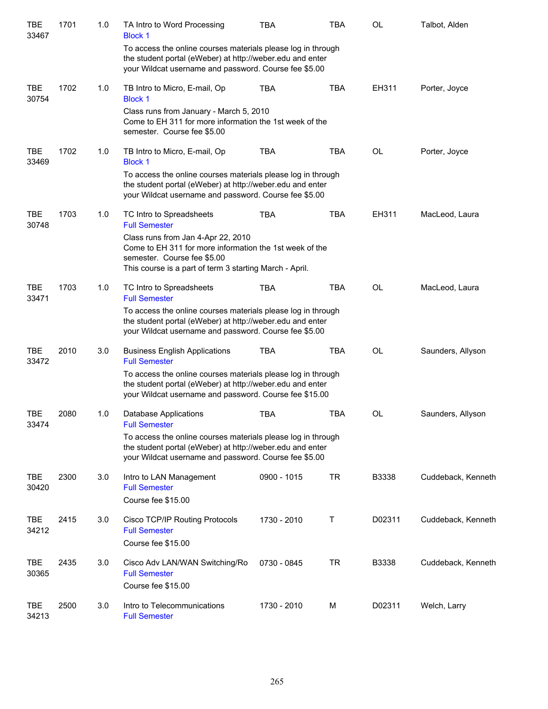| <b>TBE</b><br>33467 | 1701 | 1.0 | TA Intro to Word Processing<br><b>Block 1</b>                                                                                                                                                              | <b>TBA</b>  | <b>TBA</b> | <b>OL</b> | Talbot, Alden      |
|---------------------|------|-----|------------------------------------------------------------------------------------------------------------------------------------------------------------------------------------------------------------|-------------|------------|-----------|--------------------|
|                     |      |     | To access the online courses materials please log in through<br>the student portal (eWeber) at http://weber.edu and enter<br>your Wildcat username and password. Course fee \$5.00                         |             |            |           |                    |
| <b>TBE</b><br>30754 | 1702 | 1.0 | TB Intro to Micro, E-mail, Op<br><b>Block 1</b>                                                                                                                                                            | <b>TBA</b>  | <b>TBA</b> | EH311     | Porter, Joyce      |
|                     |      |     | Class runs from January - March 5, 2010<br>Come to EH 311 for more information the 1st week of the<br>semester. Course fee \$5.00                                                                          |             |            |           |                    |
| <b>TBE</b><br>33469 | 1702 | 1.0 | TB Intro to Micro, E-mail, Op<br><b>Block 1</b>                                                                                                                                                            | <b>TBA</b>  | <b>TBA</b> | <b>OL</b> | Porter, Joyce      |
|                     |      |     | To access the online courses materials please log in through<br>the student portal (eWeber) at http://weber.edu and enter<br>your Wildcat username and password. Course fee \$5.00                         |             |            |           |                    |
| <b>TBE</b><br>30748 | 1703 | 1.0 | TC Intro to Spreadsheets<br><b>Full Semester</b>                                                                                                                                                           | <b>TBA</b>  | <b>TBA</b> | EH311     | MacLeod, Laura     |
|                     |      |     | Class runs from Jan 4-Apr 22, 2010<br>Come to EH 311 for more information the 1st week of the<br>semester. Course fee \$5.00<br>This course is a part of term 3 starting March - April.                    |             |            |           |                    |
| <b>TBE</b>          | 1703 | 1.0 | TC Intro to Spreadsheets                                                                                                                                                                                   | <b>TBA</b>  | <b>TBA</b> | <b>OL</b> | MacLeod, Laura     |
| 33471               |      |     | <b>Full Semester</b><br>To access the online courses materials please log in through<br>the student portal (eWeber) at http://weber.edu and enter<br>your Wildcat username and password. Course fee \$5.00 |             |            |           |                    |
| <b>TBE</b><br>33472 | 2010 | 3.0 | <b>Business English Applications</b><br><b>Full Semester</b>                                                                                                                                               | <b>TBA</b>  | <b>TBA</b> | <b>OL</b> | Saunders, Allyson  |
|                     |      |     | To access the online courses materials please log in through<br>the student portal (eWeber) at http://weber.edu and enter<br>your Wildcat username and password. Course fee \$15.00                        |             |            |           |                    |
| <b>TBE</b><br>33474 | 2080 | 1.0 | Database Applications<br><b>Full Semester</b>                                                                                                                                                              | <b>TBA</b>  | <b>TBA</b> | <b>OL</b> | Saunders, Allyson  |
|                     |      |     | To access the online courses materials please log in through<br>the student portal (eWeber) at http://weber.edu and enter<br>your Wildcat username and password. Course fee \$5.00                         |             |            |           |                    |
| TBE<br>30420        | 2300 | 3.0 | Intro to LAN Management<br><b>Full Semester</b>                                                                                                                                                            | 0900 - 1015 | <b>TR</b>  | B3338     | Cuddeback, Kenneth |
|                     |      |     | Course fee \$15.00                                                                                                                                                                                         |             |            |           |                    |
| TBE<br>34212        | 2415 | 3.0 | Cisco TCP/IP Routing Protocols<br><b>Full Semester</b><br>Course fee \$15.00                                                                                                                               | 1730 - 2010 | Τ          | D02311    | Cuddeback, Kenneth |
| TBE<br>30365        | 2435 | 3.0 | Cisco Adv LAN/WAN Switching/Ro<br><b>Full Semester</b><br>Course fee \$15.00                                                                                                                               | 0730 - 0845 | <b>TR</b>  | B3338     | Cuddeback, Kenneth |
| TBE<br>34213        | 2500 | 3.0 | Intro to Telecommunications<br><b>Full Semester</b>                                                                                                                                                        | 1730 - 2010 | M          | D02311    | Welch, Larry       |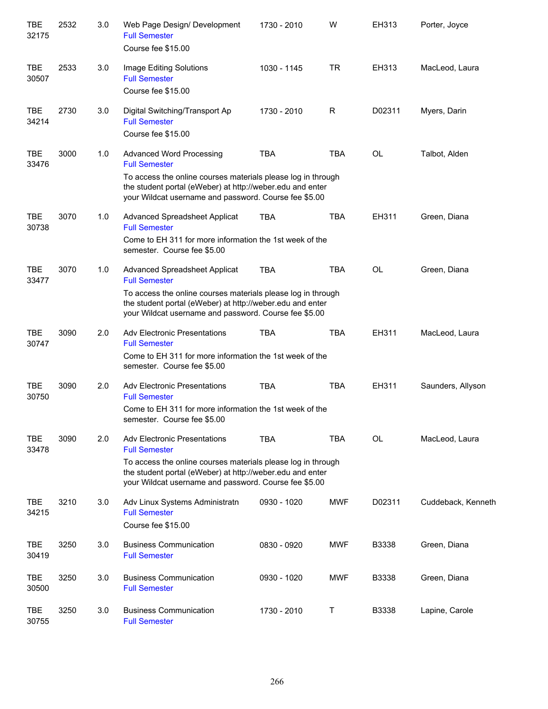| TBE<br>32175        | 2532 | 3.0 | Web Page Design/ Development<br><b>Full Semester</b><br>Course fee \$15.00                                                                                                                                                                        | 1730 - 2010 | W           | EH313        | Porter, Joyce      |
|---------------------|------|-----|---------------------------------------------------------------------------------------------------------------------------------------------------------------------------------------------------------------------------------------------------|-------------|-------------|--------------|--------------------|
| <b>TBE</b><br>30507 | 2533 | 3.0 | Image Editing Solutions<br><b>Full Semester</b><br>Course fee \$15.00                                                                                                                                                                             | 1030 - 1145 | <b>TR</b>   | EH313        | MacLeod, Laura     |
| <b>TBE</b><br>34214 | 2730 | 3.0 | Digital Switching/Transport Ap<br><b>Full Semester</b><br>Course fee \$15.00                                                                                                                                                                      | 1730 - 2010 | $\mathsf R$ | D02311       | Myers, Darin       |
| <b>TBE</b><br>33476 | 3000 | 1.0 | <b>Advanced Word Processing</b><br><b>Full Semester</b><br>To access the online courses materials please log in through<br>the student portal (eWeber) at http://weber.edu and enter<br>your Wildcat username and password. Course fee \$5.00     | <b>TBA</b>  | <b>TBA</b>  | <b>OL</b>    | Talbot, Alden      |
| <b>TBE</b><br>30738 | 3070 | 1.0 | <b>Advanced Spreadsheet Applicat</b><br><b>Full Semester</b><br>Come to EH 311 for more information the 1st week of the<br>semester. Course fee \$5.00                                                                                            | <b>TBA</b>  | <b>TBA</b>  | EH311        | Green, Diana       |
| <b>TBE</b><br>33477 | 3070 | 1.0 | Advanced Spreadsheet Applicat<br><b>Full Semester</b><br>To access the online courses materials please log in through<br>the student portal (eWeber) at http://weber.edu and enter<br>your Wildcat username and password. Course fee \$5.00       | <b>TBA</b>  | <b>TBA</b>  | <b>OL</b>    | Green, Diana       |
| <b>TBE</b><br>30747 | 3090 | 2.0 | <b>Adv Electronic Presentations</b><br><b>Full Semester</b><br>Come to EH 311 for more information the 1st week of the<br>semester. Course fee \$5.00                                                                                             | <b>TBA</b>  | <b>TBA</b>  | EH311        | MacLeod, Laura     |
| TBE<br>30750        | 3090 | 2.0 | <b>Adv Electronic Presentations</b><br><b>Full Semester</b><br>Come to EH 311 for more information the 1st week of the<br>semester. Course fee \$5.00                                                                                             | <b>TBA</b>  | <b>TBA</b>  | EH311        | Saunders, Allyson  |
| <b>TBE</b><br>33478 | 3090 | 2.0 | <b>Adv Electronic Presentations</b><br><b>Full Semester</b><br>To access the online courses materials please log in through<br>the student portal (eWeber) at http://weber.edu and enter<br>your Wildcat username and password. Course fee \$5.00 | <b>TBA</b>  | <b>TBA</b>  | <b>OL</b>    | MacLeod, Laura     |
| <b>TBE</b><br>34215 | 3210 | 3.0 | Adv Linux Systems Administratn<br><b>Full Semester</b><br>Course fee \$15.00                                                                                                                                                                      | 0930 - 1020 | <b>MWF</b>  | D02311       | Cuddeback, Kenneth |
| <b>TBE</b><br>30419 | 3250 | 3.0 | <b>Business Communication</b><br><b>Full Semester</b>                                                                                                                                                                                             | 0830 - 0920 | <b>MWF</b>  | <b>B3338</b> | Green, Diana       |
| <b>TBE</b><br>30500 | 3250 | 3.0 | <b>Business Communication</b><br><b>Full Semester</b>                                                                                                                                                                                             | 0930 - 1020 | <b>MWF</b>  | <b>B3338</b> | Green, Diana       |
| TBE<br>30755        | 3250 | 3.0 | <b>Business Communication</b><br><b>Full Semester</b>                                                                                                                                                                                             | 1730 - 2010 | Τ           | B3338        | Lapine, Carole     |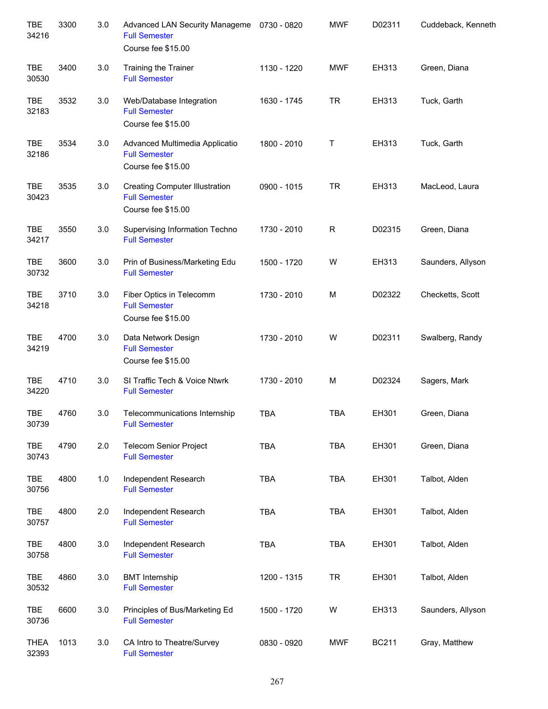| <b>TBE</b><br>34216  | 3300 | 3.0     | Advanced LAN Security Manageme<br><b>Full Semester</b><br>Course fee \$15.00        | 0730 - 0820 | <b>MWF</b> | D02311       | Cuddeback, Kenneth |
|----------------------|------|---------|-------------------------------------------------------------------------------------|-------------|------------|--------------|--------------------|
| <b>TBE</b><br>30530  | 3400 | 3.0     | <b>Training the Trainer</b><br><b>Full Semester</b>                                 | 1130 - 1220 | <b>MWF</b> | EH313        | Green, Diana       |
| TBE<br>32183         | 3532 | 3.0     | Web/Database Integration<br><b>Full Semester</b><br>Course fee \$15.00              | 1630 - 1745 | <b>TR</b>  | EH313        | Tuck, Garth        |
| TBE<br>32186         | 3534 | 3.0     | Advanced Multimedia Applicatio<br><b>Full Semester</b><br>Course fee \$15.00        | 1800 - 2010 | Τ          | EH313        | Tuck, Garth        |
| <b>TBE</b><br>30423  | 3535 | 3.0     | <b>Creating Computer Illustration</b><br><b>Full Semester</b><br>Course fee \$15.00 | 0900 - 1015 | <b>TR</b>  | EH313        | MacLeod, Laura     |
| <b>TBE</b><br>34217  | 3550 | 3.0     | Supervising Information Techno<br><b>Full Semester</b>                              | 1730 - 2010 | R          | D02315       | Green, Diana       |
| TBE<br>30732         | 3600 | 3.0     | Prin of Business/Marketing Edu<br><b>Full Semester</b>                              | 1500 - 1720 | W          | EH313        | Saunders, Allyson  |
| <b>TBE</b><br>34218  | 3710 | 3.0     | Fiber Optics in Telecomm<br><b>Full Semester</b><br>Course fee \$15.00              | 1730 - 2010 | M          | D02322       | Checketts, Scott   |
| <b>TBE</b><br>34219  | 4700 | 3.0     | Data Network Design<br><b>Full Semester</b><br>Course fee \$15.00                   | 1730 - 2010 | W          | D02311       | Swalberg, Randy    |
| <b>TBE</b><br>34220  | 4710 | 3.0     | SI Traffic Tech & Voice Ntwrk<br><b>Full Semester</b>                               | 1730 - 2010 | M          | D02324       | Sagers, Mark       |
| <b>TBE</b><br>30739  | 4760 | 3.0     | Telecommunications Internship<br><b>Full Semester</b>                               | <b>TBA</b>  | <b>TBA</b> | EH301        | Green, Diana       |
| TBE<br>30743         | 4790 | 2.0     | <b>Telecom Senior Project</b><br><b>Full Semester</b>                               | <b>TBA</b>  | <b>TBA</b> | EH301        | Green, Diana       |
| TBE<br>30756         | 4800 | 1.0     | Independent Research<br><b>Full Semester</b>                                        | <b>TBA</b>  | TBA        | EH301        | Talbot, Alden      |
| TBE<br>30757         | 4800 | 2.0     | Independent Research<br><b>Full Semester</b>                                        | <b>TBA</b>  | <b>TBA</b> | EH301        | Talbot, Alden      |
| <b>TBE</b><br>30758  | 4800 | 3.0     | Independent Research<br><b>Full Semester</b>                                        | <b>TBA</b>  | <b>TBA</b> | EH301        | Talbot, Alden      |
| TBE<br>30532         | 4860 | $3.0\,$ | <b>BMT</b> Internship<br><b>Full Semester</b>                                       | 1200 - 1315 | <b>TR</b>  | EH301        | Talbot, Alden      |
| TBE<br>30736         | 6600 | $3.0\,$ | Principles of Bus/Marketing Ed<br><b>Full Semester</b>                              | 1500 - 1720 | W          | EH313        | Saunders, Allyson  |
| <b>THEA</b><br>32393 | 1013 | 3.0     | CA Intro to Theatre/Survey<br><b>Full Semester</b>                                  | 0830 - 0920 | <b>MWF</b> | <b>BC211</b> | Gray, Matthew      |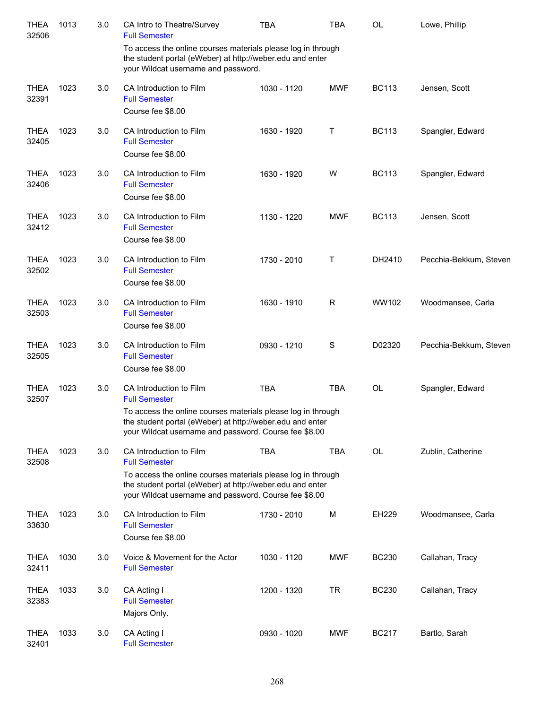| <b>THEA</b><br>32506 | 1013 | 3.0 | CA Intro to Theatre/Survey<br><b>Full Semester</b>                                                                                                                                 | <b>TBA</b>  | <b>TBA</b> | OL           | Lowe, Phillip          |
|----------------------|------|-----|------------------------------------------------------------------------------------------------------------------------------------------------------------------------------------|-------------|------------|--------------|------------------------|
|                      |      |     | To access the online courses materials please log in through<br>the student portal (eWeber) at http://weber.edu and enter<br>your Wildcat username and password.                   |             |            |              |                        |
| <b>THEA</b><br>32391 | 1023 | 3.0 | CA Introduction to Film<br><b>Full Semester</b><br>Course fee \$8.00                                                                                                               | 1030 - 1120 | <b>MWF</b> | <b>BC113</b> | Jensen, Scott          |
| <b>THEA</b><br>32405 | 1023 | 3.0 | CA Introduction to Film<br><b>Full Semester</b><br>Course fee \$8.00                                                                                                               | 1630 - 1920 | т          | <b>BC113</b> | Spangler, Edward       |
| <b>THEA</b><br>32406 | 1023 | 3.0 | CA Introduction to Film<br><b>Full Semester</b><br>Course fee \$8.00                                                                                                               | 1630 - 1920 | W          | <b>BC113</b> | Spangler, Edward       |
| <b>THEA</b><br>32412 | 1023 | 3.0 | CA Introduction to Film<br><b>Full Semester</b><br>Course fee \$8.00                                                                                                               | 1130 - 1220 | <b>MWF</b> | <b>BC113</b> | Jensen, Scott          |
| <b>THEA</b><br>32502 | 1023 | 3.0 | CA Introduction to Film<br><b>Full Semester</b><br>Course fee \$8.00                                                                                                               | 1730 - 2010 | т          | DH2410       | Pecchia-Bekkum, Steven |
| <b>THEA</b><br>32503 | 1023 | 3.0 | CA Introduction to Film<br><b>Full Semester</b><br>Course fee \$8.00                                                                                                               | 1630 - 1910 | R          | WW102        | Woodmansee, Carla      |
| <b>THEA</b><br>32505 | 1023 | 3.0 | CA Introduction to Film<br><b>Full Semester</b><br>Course fee \$8.00                                                                                                               | 0930 - 1210 | S          | D02320       | Pecchia-Bekkum, Steven |
| <b>THEA</b><br>32507 | 1023 | 3.0 | CA Introduction to Film<br><b>Full Semester</b>                                                                                                                                    | <b>TBA</b>  | <b>TBA</b> | <b>OL</b>    | Spangler, Edward       |
|                      |      |     | To access the online courses materials please log in through<br>the student portal (eWeber) at http://weber.edu and enter<br>your Wildcat username and password. Course fee \$8.00 |             |            |              |                        |
| <b>THEA</b><br>32508 | 1023 | 3.0 | CA Introduction to Film<br><b>Full Semester</b>                                                                                                                                    | <b>TBA</b>  | TBA        | OL           | Zublin, Catherine      |
|                      |      |     | To access the online courses materials please log in through<br>the student portal (eWeber) at http://weber.edu and enter<br>your Wildcat username and password. Course fee \$8.00 |             |            |              |                        |
| <b>THEA</b><br>33630 | 1023 | 3.0 | CA Introduction to Film<br><b>Full Semester</b><br>Course fee \$8.00                                                                                                               | 1730 - 2010 | M          | EH229        | Woodmansee, Carla      |
| <b>THEA</b><br>32411 | 1030 | 3.0 | Voice & Movement for the Actor<br><b>Full Semester</b>                                                                                                                             | 1030 - 1120 | <b>MWF</b> | <b>BC230</b> | Callahan, Tracy        |
| <b>THEA</b><br>32383 | 1033 | 3.0 | CA Acting I<br><b>Full Semester</b><br>Majors Only.                                                                                                                                | 1200 - 1320 | <b>TR</b>  | <b>BC230</b> | Callahan, Tracy        |
| <b>THEA</b><br>32401 | 1033 | 3.0 | CA Acting I<br><b>Full Semester</b>                                                                                                                                                | 0930 - 1020 | <b>MWF</b> | <b>BC217</b> | Bartlo, Sarah          |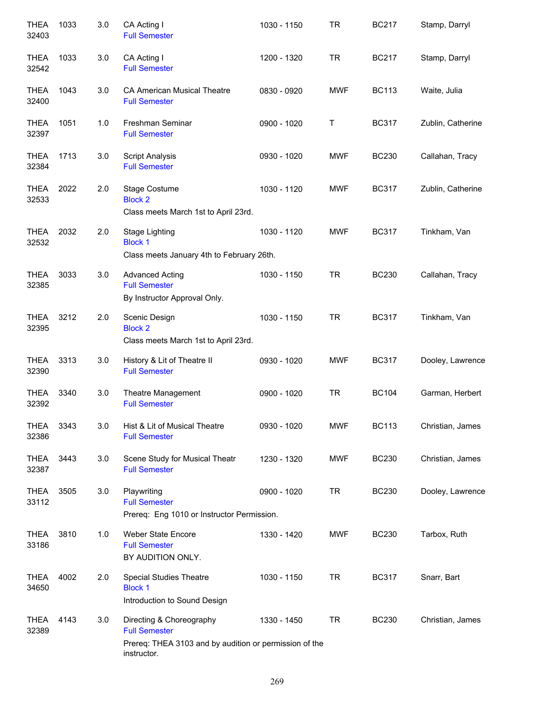| <b>THEA</b><br>32403 | 1033 | 3.0 | CA Acting I<br><b>Full Semester</b>                                                                                       | 1030 - 1150 | <b>TR</b>  | <b>BC217</b> | Stamp, Darryl     |
|----------------------|------|-----|---------------------------------------------------------------------------------------------------------------------------|-------------|------------|--------------|-------------------|
| <b>THEA</b><br>32542 | 1033 | 3.0 | CA Acting I<br><b>Full Semester</b>                                                                                       | 1200 - 1320 | <b>TR</b>  | <b>BC217</b> | Stamp, Darryl     |
| <b>THEA</b><br>32400 | 1043 | 3.0 | <b>CA American Musical Theatre</b><br><b>Full Semester</b>                                                                | 0830 - 0920 | <b>MWF</b> | <b>BC113</b> | Waite, Julia      |
| <b>THEA</b><br>32397 | 1051 | 1.0 | Freshman Seminar<br><b>Full Semester</b>                                                                                  | 0900 - 1020 | Τ          | <b>BC317</b> | Zublin, Catherine |
| <b>THEA</b><br>32384 | 1713 | 3.0 | <b>Script Analysis</b><br><b>Full Semester</b>                                                                            | 0930 - 1020 | <b>MWF</b> | <b>BC230</b> | Callahan, Tracy   |
| <b>THEA</b><br>32533 | 2022 | 2.0 | Stage Costume<br><b>Block 2</b><br>Class meets March 1st to April 23rd.                                                   | 1030 - 1120 | <b>MWF</b> | <b>BC317</b> | Zublin, Catherine |
| <b>THEA</b><br>32532 | 2032 | 2.0 | Stage Lighting<br><b>Block 1</b><br>Class meets January 4th to February 26th.                                             | 1030 - 1120 | <b>MWF</b> | <b>BC317</b> | Tinkham, Van      |
| <b>THEA</b><br>32385 | 3033 | 3.0 | <b>Advanced Acting</b><br><b>Full Semester</b><br>By Instructor Approval Only.                                            | 1030 - 1150 | <b>TR</b>  | <b>BC230</b> | Callahan, Tracy   |
| <b>THEA</b><br>32395 | 3212 | 2.0 | Scenic Design<br><b>Block 2</b><br>Class meets March 1st to April 23rd.                                                   | 1030 - 1150 | <b>TR</b>  | <b>BC317</b> | Tinkham, Van      |
| <b>THEA</b><br>32390 | 3313 | 3.0 | History & Lit of Theatre II<br><b>Full Semester</b>                                                                       | 0930 - 1020 | <b>MWF</b> | <b>BC317</b> | Dooley, Lawrence  |
| <b>THEA</b><br>32392 | 3340 | 3.0 | Theatre Management<br><b>Full Semester</b>                                                                                | 0900 - 1020 | <b>TR</b>  | <b>BC104</b> | Garman, Herbert   |
| <b>THEA</b><br>32386 | 3343 | 3.0 | Hist & Lit of Musical Theatre<br><b>Full Semester</b>                                                                     | 0930 - 1020 | <b>MWF</b> | <b>BC113</b> | Christian, James  |
| <b>THEA</b><br>32387 | 3443 | 3.0 | Scene Study for Musical Theatr<br><b>Full Semester</b>                                                                    | 1230 - 1320 | <b>MWF</b> | <b>BC230</b> | Christian, James  |
| <b>THEA</b><br>33112 | 3505 | 3.0 | Playwriting<br><b>Full Semester</b><br>Prereq: Eng 1010 or Instructor Permission.                                         | 0900 - 1020 | <b>TR</b>  | <b>BC230</b> | Dooley, Lawrence  |
| <b>THEA</b><br>33186 | 3810 | 1.0 | Weber State Encore<br><b>Full Semester</b><br>BY AUDITION ONLY.                                                           | 1330 - 1420 | <b>MWF</b> | <b>BC230</b> | Tarbox, Ruth      |
| <b>THEA</b><br>34650 | 4002 | 2.0 | <b>Special Studies Theatre</b><br><b>Block 1</b><br>Introduction to Sound Design                                          | 1030 - 1150 | <b>TR</b>  | <b>BC317</b> | Snarr, Bart       |
| <b>THEA</b><br>32389 | 4143 | 3.0 | Directing & Choreography<br><b>Full Semester</b><br>Prereq: THEA 3103 and by audition or permission of the<br>instructor. | 1330 - 1450 | <b>TR</b>  | <b>BC230</b> | Christian, James  |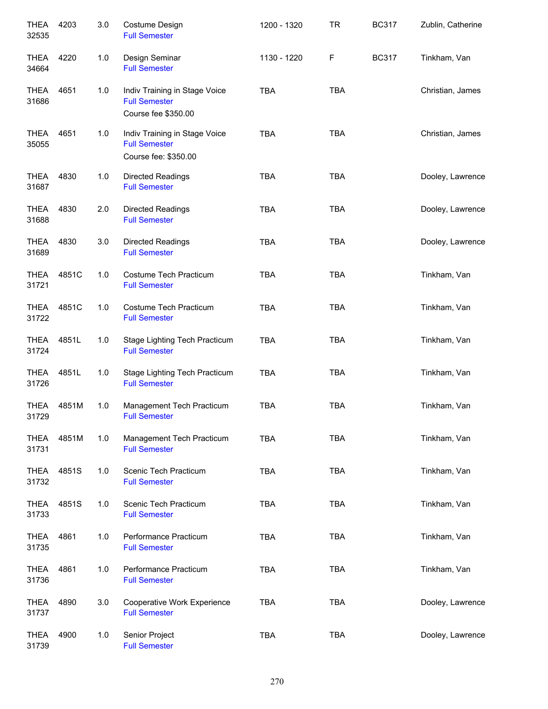| <b>THEA</b><br>32535 | 4203  | 3.0 | Costume Design<br><b>Full Semester</b>                                        | 1200 - 1320 | <b>TR</b>  | <b>BC317</b> | Zublin, Catherine |
|----------------------|-------|-----|-------------------------------------------------------------------------------|-------------|------------|--------------|-------------------|
| <b>THEA</b><br>34664 | 4220  | 1.0 | Design Seminar<br><b>Full Semester</b>                                        | 1130 - 1220 | F          | <b>BC317</b> | Tinkham, Van      |
| <b>THEA</b><br>31686 | 4651  | 1.0 | Indiv Training in Stage Voice<br><b>Full Semester</b><br>Course fee \$350.00  | <b>TBA</b>  | <b>TBA</b> |              | Christian, James  |
| <b>THEA</b><br>35055 | 4651  | 1.0 | Indiv Training in Stage Voice<br><b>Full Semester</b><br>Course fee: \$350.00 | <b>TBA</b>  | <b>TBA</b> |              | Christian, James  |
| THEA<br>31687        | 4830  | 1.0 | <b>Directed Readings</b><br><b>Full Semester</b>                              | <b>TBA</b>  | <b>TBA</b> |              | Dooley, Lawrence  |
| <b>THEA</b><br>31688 | 4830  | 2.0 | Directed Readings<br><b>Full Semester</b>                                     | <b>TBA</b>  | <b>TBA</b> |              | Dooley, Lawrence  |
| <b>THEA</b><br>31689 | 4830  | 3.0 | Directed Readings<br><b>Full Semester</b>                                     | <b>TBA</b>  | <b>TBA</b> |              | Dooley, Lawrence  |
| <b>THEA</b><br>31721 | 4851C | 1.0 | Costume Tech Practicum<br><b>Full Semester</b>                                | <b>TBA</b>  | <b>TBA</b> |              | Tinkham, Van      |
| <b>THEA</b><br>31722 | 4851C | 1.0 | Costume Tech Practicum<br><b>Full Semester</b>                                | <b>TBA</b>  | <b>TBA</b> |              | Tinkham, Van      |
| <b>THEA</b><br>31724 | 4851L | 1.0 | Stage Lighting Tech Practicum<br><b>Full Semester</b>                         | <b>TBA</b>  | <b>TBA</b> |              | Tinkham, Van      |
| <b>THEA</b><br>31726 | 4851L | 1.0 | Stage Lighting Tech Practicum<br><b>Full Semester</b>                         | <b>TBA</b>  | <b>TBA</b> |              | Tinkham, Van      |
| <b>THEA</b><br>31729 | 4851M | 1.0 | Management Tech Practicum<br><b>Full Semester</b>                             | <b>TBA</b>  | <b>TBA</b> |              | Tinkham, Van      |
| <b>THEA</b><br>31731 | 4851M | 1.0 | Management Tech Practicum<br><b>Full Semester</b>                             | <b>TBA</b>  | <b>TBA</b> |              | Tinkham, Van      |
| <b>THEA</b><br>31732 | 4851S | 1.0 | Scenic Tech Practicum<br><b>Full Semester</b>                                 | <b>TBA</b>  | <b>TBA</b> |              | Tinkham, Van      |
| <b>THEA</b><br>31733 | 4851S | 1.0 | Scenic Tech Practicum<br><b>Full Semester</b>                                 | <b>TBA</b>  | <b>TBA</b> |              | Tinkham, Van      |
| <b>THEA</b><br>31735 | 4861  | 1.0 | Performance Practicum<br><b>Full Semester</b>                                 | <b>TBA</b>  | <b>TBA</b> |              | Tinkham, Van      |
| <b>THEA</b><br>31736 | 4861  | 1.0 | Performance Practicum<br><b>Full Semester</b>                                 | <b>TBA</b>  | <b>TBA</b> |              | Tinkham, Van      |
| <b>THEA</b><br>31737 | 4890  | 3.0 | Cooperative Work Experience<br><b>Full Semester</b>                           | <b>TBA</b>  | <b>TBA</b> |              | Dooley, Lawrence  |
| <b>THEA</b><br>31739 | 4900  | 1.0 | Senior Project<br><b>Full Semester</b>                                        | <b>TBA</b>  | <b>TBA</b> |              | Dooley, Lawrence  |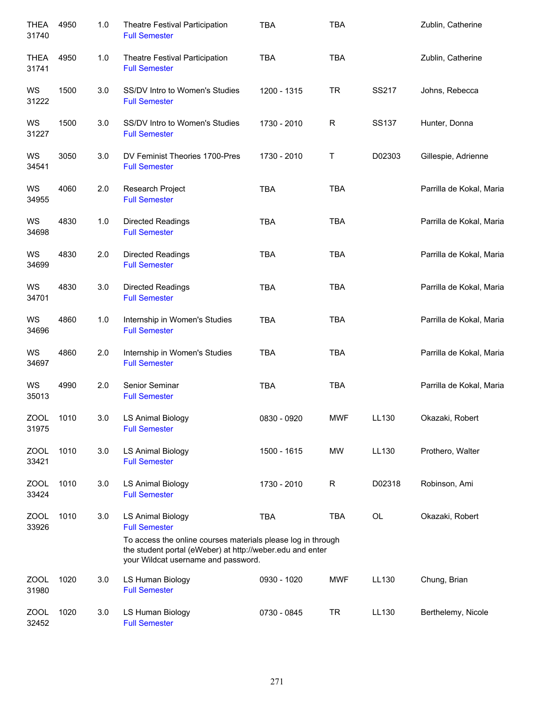| <b>THEA</b><br>31740 | 4950 | 1.0     | Theatre Festival Participation<br><b>Full Semester</b>                                                                                                                                                               | <b>TBA</b>  | <b>TBA</b> |              | Zublin, Catherine        |
|----------------------|------|---------|----------------------------------------------------------------------------------------------------------------------------------------------------------------------------------------------------------------------|-------------|------------|--------------|--------------------------|
| <b>THEA</b><br>31741 | 4950 | 1.0     | Theatre Festival Participation<br><b>Full Semester</b>                                                                                                                                                               | <b>TBA</b>  | <b>TBA</b> |              | Zublin, Catherine        |
| WS<br>31222          | 1500 | $3.0\,$ | SS/DV Intro to Women's Studies<br><b>Full Semester</b>                                                                                                                                                               | 1200 - 1315 | <b>TR</b>  | SS217        | Johns, Rebecca           |
| WS<br>31227          | 1500 | 3.0     | SS/DV Intro to Women's Studies<br><b>Full Semester</b>                                                                                                                                                               | 1730 - 2010 | R          | <b>SS137</b> | Hunter, Donna            |
| WS<br>34541          | 3050 | 3.0     | DV Feminist Theories 1700-Pres<br><b>Full Semester</b>                                                                                                                                                               | 1730 - 2010 | Т          | D02303       | Gillespie, Adrienne      |
| WS<br>34955          | 4060 | 2.0     | Research Project<br><b>Full Semester</b>                                                                                                                                                                             | <b>TBA</b>  | <b>TBA</b> |              | Parrilla de Kokal, Maria |
| WS<br>34698          | 4830 | 1.0     | Directed Readings<br><b>Full Semester</b>                                                                                                                                                                            | <b>TBA</b>  | <b>TBA</b> |              | Parrilla de Kokal, Maria |
| WS<br>34699          | 4830 | 2.0     | <b>Directed Readings</b><br><b>Full Semester</b>                                                                                                                                                                     | <b>TBA</b>  | <b>TBA</b> |              | Parrilla de Kokal, Maria |
| WS<br>34701          | 4830 | 3.0     | <b>Directed Readings</b><br><b>Full Semester</b>                                                                                                                                                                     | <b>TBA</b>  | <b>TBA</b> |              | Parrilla de Kokal, Maria |
| WS<br>34696          | 4860 | 1.0     | Internship in Women's Studies<br><b>Full Semester</b>                                                                                                                                                                | <b>TBA</b>  | <b>TBA</b> |              | Parrilla de Kokal, Maria |
| WS<br>34697          | 4860 | 2.0     | Internship in Women's Studies<br><b>Full Semester</b>                                                                                                                                                                | <b>TBA</b>  | <b>TBA</b> |              | Parrilla de Kokal, Maria |
| WS<br>35013          | 4990 | 2.0     | Senior Seminar<br><b>Full Semester</b>                                                                                                                                                                               | <b>TBA</b>  | <b>TBA</b> |              | Parrilla de Kokal, Maria |
| ZOOL<br>31975        | 1010 | 3.0     | LS Animal Biology<br><b>Full Semester</b>                                                                                                                                                                            | 0830 - 0920 | <b>MWF</b> | LL130        | Okazaki, Robert          |
| ZOOL<br>33421        | 1010 | 3.0     | <b>LS Animal Biology</b><br><b>Full Semester</b>                                                                                                                                                                     | 1500 - 1615 | MW         | LL130        | Prothero, Walter         |
| ZOOL<br>33424        | 1010 | 3.0     | <b>LS Animal Biology</b><br><b>Full Semester</b>                                                                                                                                                                     | 1730 - 2010 | R          | D02318       | Robinson, Ami            |
| ZOOL<br>33926        | 1010 | 3.0     | <b>LS Animal Biology</b><br><b>Full Semester</b><br>To access the online courses materials please log in through<br>the student portal (eWeber) at http://weber.edu and enter<br>your Wildcat username and password. | <b>TBA</b>  | <b>TBA</b> | OL           | Okazaki, Robert          |
| ZOOL<br>31980        | 1020 | 3.0     | LS Human Biology<br><b>Full Semester</b>                                                                                                                                                                             | 0930 - 1020 | <b>MWF</b> | LL130        | Chung, Brian             |
| ZOOL<br>32452        | 1020 | 3.0     | LS Human Biology<br><b>Full Semester</b>                                                                                                                                                                             | 0730 - 0845 | <b>TR</b>  | LL130        | Berthelemy, Nicole       |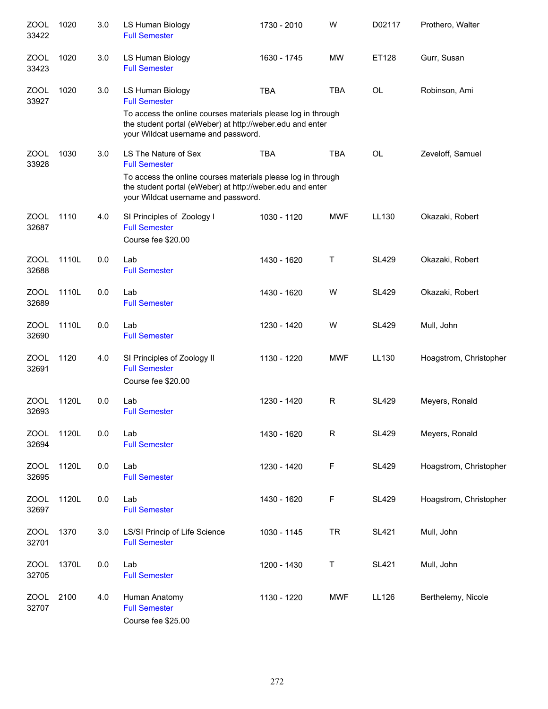| <b>ZOOL</b><br>33422 | 1020  | 3.0 | LS Human Biology<br><b>Full Semester</b>                                                                                                                                                                         | 1730 - 2010 | W            | D02117       | Prothero, Walter       |
|----------------------|-------|-----|------------------------------------------------------------------------------------------------------------------------------------------------------------------------------------------------------------------|-------------|--------------|--------------|------------------------|
| <b>ZOOL</b><br>33423 | 1020  | 3.0 | LS Human Biology<br><b>Full Semester</b>                                                                                                                                                                         | 1630 - 1745 | <b>MW</b>    | ET128        | Gurr, Susan            |
| <b>ZOOL</b><br>33927 | 1020  | 3.0 | LS Human Biology<br><b>Full Semester</b><br>To access the online courses materials please log in through<br>the student portal (eWeber) at http://weber.edu and enter<br>your Wildcat username and password.     | <b>TBA</b>  | <b>TBA</b>   | OL           | Robinson, Ami          |
| <b>ZOOL</b><br>33928 | 1030  | 3.0 | LS The Nature of Sex<br><b>Full Semester</b><br>To access the online courses materials please log in through<br>the student portal (eWeber) at http://weber.edu and enter<br>your Wildcat username and password. | <b>TBA</b>  | <b>TBA</b>   | <b>OL</b>    | Zeveloff, Samuel       |
| <b>ZOOL</b><br>32687 | 1110  | 4.0 | SI Principles of Zoology I<br><b>Full Semester</b><br>Course fee \$20.00                                                                                                                                         | 1030 - 1120 | <b>MWF</b>   | LL130        | Okazaki, Robert        |
| <b>ZOOL</b><br>32688 | 1110L | 0.0 | Lab<br><b>Full Semester</b>                                                                                                                                                                                      | 1430 - 1620 | Т            | <b>SL429</b> | Okazaki, Robert        |
| ZOOL<br>32689        | 1110L | 0.0 | Lab<br><b>Full Semester</b>                                                                                                                                                                                      | 1430 - 1620 | W            | <b>SL429</b> | Okazaki, Robert        |
| <b>ZOOL</b><br>32690 | 1110L | 0.0 | Lab<br><b>Full Semester</b>                                                                                                                                                                                      | 1230 - 1420 | W            | <b>SL429</b> | Mull, John             |
| <b>ZOOL</b><br>32691 | 1120  | 4.0 | SI Principles of Zoology II<br><b>Full Semester</b><br>Course fee \$20.00                                                                                                                                        | 1130 - 1220 | <b>MWF</b>   | LL130        | Hoagstrom, Christopher |
| <b>ZOOL</b><br>32693 | 1120L | 0.0 | Lab<br><b>Full Semester</b>                                                                                                                                                                                      | 1230 - 1420 | R            | <b>SL429</b> | Meyers, Ronald         |
| ZOOL<br>32694        | 1120L | 0.0 | Lab<br><b>Full Semester</b>                                                                                                                                                                                      | 1430 - 1620 | $\mathsf{R}$ | <b>SL429</b> | Meyers, Ronald         |
| <b>ZOOL</b><br>32695 | 1120L | 0.0 | Lab<br><b>Full Semester</b>                                                                                                                                                                                      | 1230 - 1420 | F            | <b>SL429</b> | Hoagstrom, Christopher |
| <b>ZOOL</b><br>32697 | 1120L | 0.0 | Lab<br><b>Full Semester</b>                                                                                                                                                                                      | 1430 - 1620 | F            | <b>SL429</b> | Hoagstrom, Christopher |
| <b>ZOOL</b><br>32701 | 1370  | 3.0 | LS/SI Princip of Life Science<br><b>Full Semester</b>                                                                                                                                                            | 1030 - 1145 | <b>TR</b>    | <b>SL421</b> | Mull, John             |
| <b>ZOOL</b><br>32705 | 1370L | 0.0 | Lab<br><b>Full Semester</b>                                                                                                                                                                                      | 1200 - 1430 | Τ            | <b>SL421</b> | Mull, John             |
| <b>ZOOL</b><br>32707 | 2100  | 4.0 | Human Anatomy<br><b>Full Semester</b><br>Course fee \$25.00                                                                                                                                                      | 1130 - 1220 | <b>MWF</b>   | LL126        | Berthelemy, Nicole     |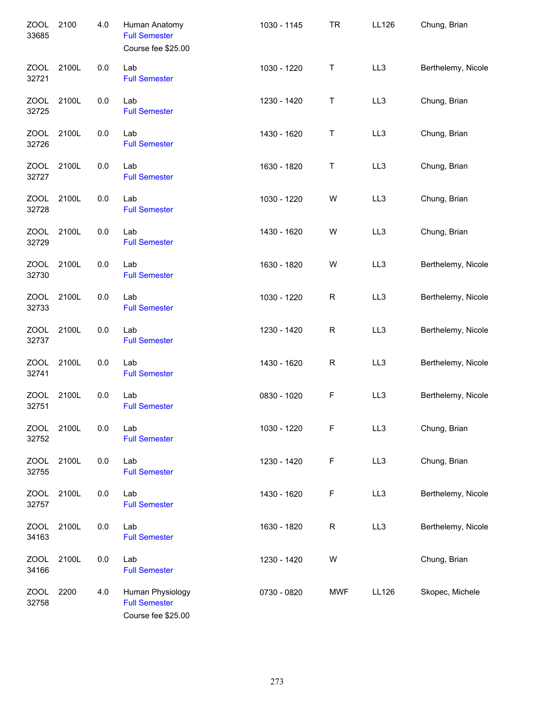| <b>ZOOL</b><br>33685 | 2100  | 4.0 | Human Anatomy<br><b>Full Semester</b><br>Course fee \$25.00    | 1030 - 1145 | <b>TR</b>   | LL126           | Chung, Brian       |
|----------------------|-------|-----|----------------------------------------------------------------|-------------|-------------|-----------------|--------------------|
| <b>ZOOL</b><br>32721 | 2100L | 0.0 | Lab<br><b>Full Semester</b>                                    | 1030 - 1220 | Τ           | LL <sub>3</sub> | Berthelemy, Nicole |
| <b>ZOOL</b><br>32725 | 2100L | 0.0 | Lab<br><b>Full Semester</b>                                    | 1230 - 1420 | Τ           | LL3             | Chung, Brian       |
| <b>ZOOL</b><br>32726 | 2100L | 0.0 | Lab<br><b>Full Semester</b>                                    | 1430 - 1620 | Τ           | LL3             | Chung, Brian       |
| <b>ZOOL</b><br>32727 | 2100L | 0.0 | Lab<br><b>Full Semester</b>                                    | 1630 - 1820 | Τ           | LL3             | Chung, Brian       |
| <b>ZOOL</b><br>32728 | 2100L | 0.0 | Lab<br><b>Full Semester</b>                                    | 1030 - 1220 | W           | LL3             | Chung, Brian       |
| <b>ZOOL</b><br>32729 | 2100L | 0.0 | Lab<br><b>Full Semester</b>                                    | 1430 - 1620 | W           | LL3             | Chung, Brian       |
| <b>ZOOL</b><br>32730 | 2100L | 0.0 | Lab<br><b>Full Semester</b>                                    | 1630 - 1820 | W           | LL3             | Berthelemy, Nicole |
| <b>ZOOL</b><br>32733 | 2100L | 0.0 | Lab<br><b>Full Semester</b>                                    | 1030 - 1220 | $\mathsf R$ | LL3             | Berthelemy, Nicole |
| <b>ZOOL</b><br>32737 | 2100L | 0.0 | Lab<br><b>Full Semester</b>                                    | 1230 - 1420 | $\mathsf R$ | LL3             | Berthelemy, Nicole |
| <b>ZOOL</b><br>32741 | 2100L | 0.0 | Lab<br><b>Full Semester</b>                                    | 1430 - 1620 | $\mathsf R$ | LL3             | Berthelemy, Nicole |
| <b>ZOOL</b><br>32751 | 2100L | 0.0 | Lab<br><b>Full Semester</b>                                    | 0830 - 1020 | F           | LL3             | Berthelemy, Nicole |
| <b>ZOOL</b><br>32752 | 2100L | 0.0 | Lab<br><b>Full Semester</b>                                    | 1030 - 1220 | F           | LL3             | Chung, Brian       |
| <b>ZOOL</b><br>32755 | 2100L | 0.0 | Lab<br><b>Full Semester</b>                                    | 1230 - 1420 | F           | LL3             | Chung, Brian       |
| <b>ZOOL</b><br>32757 | 2100L | 0.0 | Lab<br><b>Full Semester</b>                                    | 1430 - 1620 | F           | LL3             | Berthelemy, Nicole |
| <b>ZOOL</b><br>34163 | 2100L | 0.0 | Lab<br><b>Full Semester</b>                                    | 1630 - 1820 | R           | LL3             | Berthelemy, Nicole |
| <b>ZOOL</b><br>34166 | 2100L | 0.0 | Lab<br><b>Full Semester</b>                                    | 1230 - 1420 | W           |                 | Chung, Brian       |
| <b>ZOOL</b><br>32758 | 2200  | 4.0 | Human Physiology<br><b>Full Semester</b><br>Course fee \$25.00 | 0730 - 0820 | <b>MWF</b>  | LL126           | Skopec, Michele    |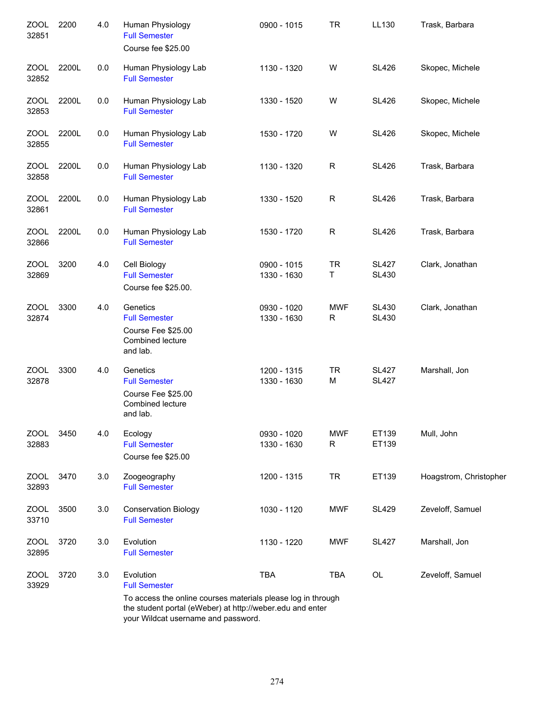| ZOOL<br>32851        | 2200  | 4.0 | Human Physiology<br><b>Full Semester</b><br>Course fee \$25.00                                                                                                   | 0900 - 1015                | <b>TR</b>                  | LL130                        | Trask, Barbara         |
|----------------------|-------|-----|------------------------------------------------------------------------------------------------------------------------------------------------------------------|----------------------------|----------------------------|------------------------------|------------------------|
| <b>ZOOL</b><br>32852 | 2200L | 0.0 | Human Physiology Lab<br><b>Full Semester</b>                                                                                                                     | 1130 - 1320                | W                          | <b>SL426</b>                 | Skopec, Michele        |
| <b>ZOOL</b><br>32853 | 2200L | 0.0 | Human Physiology Lab<br><b>Full Semester</b>                                                                                                                     | 1330 - 1520                | W                          | <b>SL426</b>                 | Skopec, Michele        |
| <b>ZOOL</b><br>32855 | 2200L | 0.0 | Human Physiology Lab<br><b>Full Semester</b>                                                                                                                     | 1530 - 1720                | W                          | <b>SL426</b>                 | Skopec, Michele        |
| ZOOL<br>32858        | 2200L | 0.0 | Human Physiology Lab<br><b>Full Semester</b>                                                                                                                     | 1130 - 1320                | R                          | <b>SL426</b>                 | Trask, Barbara         |
| ZOOL<br>32861        | 2200L | 0.0 | Human Physiology Lab<br><b>Full Semester</b>                                                                                                                     | 1330 - 1520                | R                          | <b>SL426</b>                 | Trask, Barbara         |
| <b>ZOOL</b><br>32866 | 2200L | 0.0 | Human Physiology Lab<br><b>Full Semester</b>                                                                                                                     | 1530 - 1720                | $\mathsf{R}$               | <b>SL426</b>                 | Trask, Barbara         |
| ZOOL<br>32869        | 3200  | 4.0 | Cell Biology<br><b>Full Semester</b><br>Course fee \$25.00.                                                                                                      | 0900 - 1015<br>1330 - 1630 | <b>TR</b><br>Τ             | <b>SL427</b><br><b>SL430</b> | Clark, Jonathan        |
| <b>ZOOL</b><br>32874 | 3300  | 4.0 | Genetics<br><b>Full Semester</b><br>Course Fee \$25.00<br>Combined lecture<br>and lab.                                                                           | 0930 - 1020<br>1330 - 1630 | <b>MWF</b><br>$\mathsf{R}$ | <b>SL430</b><br><b>SL430</b> | Clark, Jonathan        |
| ZOOL<br>32878        | 3300  | 4.0 | Genetics<br><b>Full Semester</b><br>Course Fee \$25.00<br>Combined lecture<br>and lab.                                                                           | 1200 - 1315<br>1330 - 1630 | <b>TR</b><br>M             | <b>SL427</b><br><b>SL427</b> | Marshall, Jon          |
| <b>ZOOL</b><br>32883 | 3450  | 4.0 | Ecology<br><b>Full Semester</b><br>Course fee \$25.00                                                                                                            | 0930 - 1020<br>1330 - 1630 | <b>MWF</b><br>R            | ET139<br>ET139               | Mull, John             |
| <b>ZOOL</b><br>32893 | 3470  | 3.0 | Zoogeography<br><b>Full Semester</b>                                                                                                                             | 1200 - 1315                | <b>TR</b>                  | ET139                        | Hoagstrom, Christopher |
| <b>ZOOL</b><br>33710 | 3500  | 3.0 | <b>Conservation Biology</b><br><b>Full Semester</b>                                                                                                              | 1030 - 1120                | <b>MWF</b>                 | <b>SL429</b>                 | Zeveloff, Samuel       |
| <b>ZOOL</b><br>32895 | 3720  | 3.0 | Evolution<br><b>Full Semester</b>                                                                                                                                | 1130 - 1220                | <b>MWF</b>                 | <b>SL427</b>                 | Marshall, Jon          |
| <b>ZOOL</b><br>33929 | 3720  | 3.0 | Evolution<br><b>Full Semester</b>                                                                                                                                | <b>TBA</b>                 | <b>TBA</b>                 | OL                           | Zeveloff, Samuel       |
|                      |       |     | To access the online courses materials please log in through<br>the student portal (eWeber) at http://weber.edu and enter<br>your Wildcat username and password. |                            |                            |                              |                        |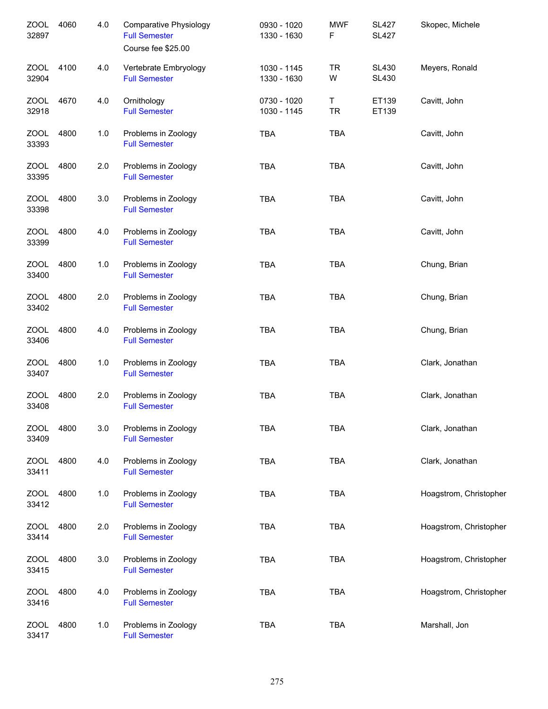| <b>ZOOL</b><br>32897 | 4060 | 4.0 | <b>Comparative Physiology</b><br><b>Full Semester</b><br>Course fee \$25.00 | 0930 - 1020<br>1330 - 1630 | <b>MWF</b><br>F | <b>SL427</b><br><b>SL427</b> | Skopec, Michele        |
|----------------------|------|-----|-----------------------------------------------------------------------------|----------------------------|-----------------|------------------------------|------------------------|
| <b>ZOOL</b><br>32904 | 4100 | 4.0 | Vertebrate Embryology<br><b>Full Semester</b>                               | 1030 - 1145<br>1330 - 1630 | <b>TR</b><br>W  | <b>SL430</b><br><b>SL430</b> | Meyers, Ronald         |
| <b>ZOOL</b><br>32918 | 4670 | 4.0 | Ornithology<br><b>Full Semester</b>                                         | 0730 - 1020<br>1030 - 1145 | Τ<br><b>TR</b>  | ET139<br>ET139               | Cavitt, John           |
| ZOOL<br>33393        | 4800 | 1.0 | Problems in Zoology<br><b>Full Semester</b>                                 | <b>TBA</b>                 | <b>TBA</b>      |                              | Cavitt, John           |
| <b>ZOOL</b><br>33395 | 4800 | 2.0 | Problems in Zoology<br><b>Full Semester</b>                                 | <b>TBA</b>                 | <b>TBA</b>      |                              | Cavitt, John           |
| <b>ZOOL</b><br>33398 | 4800 | 3.0 | Problems in Zoology<br><b>Full Semester</b>                                 | <b>TBA</b>                 | <b>TBA</b>      |                              | Cavitt, John           |
| <b>ZOOL</b><br>33399 | 4800 | 4.0 | Problems in Zoology<br><b>Full Semester</b>                                 | <b>TBA</b>                 | <b>TBA</b>      |                              | Cavitt, John           |
| <b>ZOOL</b><br>33400 | 4800 | 1.0 | Problems in Zoology<br><b>Full Semester</b>                                 | <b>TBA</b>                 | <b>TBA</b>      |                              | Chung, Brian           |
| ZOOL<br>33402        | 4800 | 2.0 | Problems in Zoology<br><b>Full Semester</b>                                 | <b>TBA</b>                 | <b>TBA</b>      |                              | Chung, Brian           |
| <b>ZOOL</b><br>33406 | 4800 | 4.0 | Problems in Zoology<br><b>Full Semester</b>                                 | <b>TBA</b>                 | <b>TBA</b>      |                              | Chung, Brian           |
| <b>ZOOL</b><br>33407 | 4800 | 1.0 | Problems in Zoology<br><b>Full Semester</b>                                 | <b>TBA</b>                 | <b>TBA</b>      |                              | Clark, Jonathan        |
| <b>ZOOL</b><br>33408 | 4800 | 2.0 | Problems in Zoology<br><b>Full Semester</b>                                 | <b>TBA</b>                 | <b>TBA</b>      |                              | Clark, Jonathan        |
| <b>ZOOL</b><br>33409 | 4800 | 3.0 | Problems in Zoology<br><b>Full Semester</b>                                 | <b>TBA</b>                 | <b>TBA</b>      |                              | Clark, Jonathan        |
| ZOOL<br>33411        | 4800 | 4.0 | Problems in Zoology<br><b>Full Semester</b>                                 | <b>TBA</b>                 | <b>TBA</b>      |                              | Clark, Jonathan        |
| ZOOL<br>33412        | 4800 | 1.0 | Problems in Zoology<br><b>Full Semester</b>                                 | <b>TBA</b>                 | <b>TBA</b>      |                              | Hoagstrom, Christopher |
| ZOOL<br>33414        | 4800 | 2.0 | Problems in Zoology<br><b>Full Semester</b>                                 | <b>TBA</b>                 | <b>TBA</b>      |                              | Hoagstrom, Christopher |
| ZOOL<br>33415        | 4800 | 3.0 | Problems in Zoology<br><b>Full Semester</b>                                 | <b>TBA</b>                 | <b>TBA</b>      |                              | Hoagstrom, Christopher |
| <b>ZOOL</b><br>33416 | 4800 | 4.0 | Problems in Zoology<br><b>Full Semester</b>                                 | <b>TBA</b>                 | <b>TBA</b>      |                              | Hoagstrom, Christopher |
| <b>ZOOL</b><br>33417 | 4800 | 1.0 | Problems in Zoology<br><b>Full Semester</b>                                 | <b>TBA</b>                 | <b>TBA</b>      |                              | Marshall, Jon          |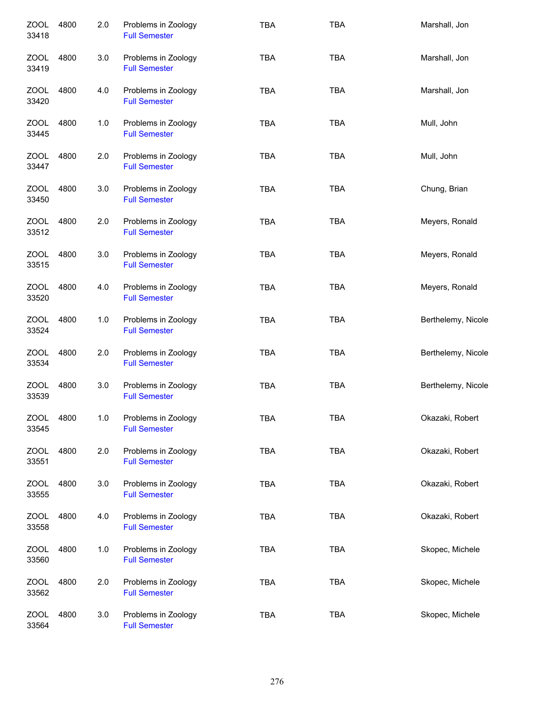| <b>ZOOL</b><br>33418 | 4800 | 2.0 | Problems in Zoology<br><b>Full Semester</b> | <b>TBA</b> | <b>TBA</b> | Marshall, Jon      |
|----------------------|------|-----|---------------------------------------------|------------|------------|--------------------|
| ZOOL<br>33419        | 4800 | 3.0 | Problems in Zoology<br><b>Full Semester</b> | TBA        | <b>TBA</b> | Marshall, Jon      |
| ZOOL<br>33420        | 4800 | 4.0 | Problems in Zoology<br><b>Full Semester</b> | <b>TBA</b> | <b>TBA</b> | Marshall, Jon      |
| ZOOL<br>33445        | 4800 | 1.0 | Problems in Zoology<br><b>Full Semester</b> | <b>TBA</b> | <b>TBA</b> | Mull, John         |
| ZOOL<br>33447        | 4800 | 2.0 | Problems in Zoology<br><b>Full Semester</b> | <b>TBA</b> | <b>TBA</b> | Mull, John         |
| ZOOL<br>33450        | 4800 | 3.0 | Problems in Zoology<br><b>Full Semester</b> | <b>TBA</b> | <b>TBA</b> | Chung, Brian       |
| <b>ZOOL</b><br>33512 | 4800 | 2.0 | Problems in Zoology<br><b>Full Semester</b> | <b>TBA</b> | <b>TBA</b> | Meyers, Ronald     |
| ZOOL<br>33515        | 4800 | 3.0 | Problems in Zoology<br><b>Full Semester</b> | <b>TBA</b> | <b>TBA</b> | Meyers, Ronald     |
| <b>ZOOL</b><br>33520 | 4800 | 4.0 | Problems in Zoology<br><b>Full Semester</b> | <b>TBA</b> | <b>TBA</b> | Meyers, Ronald     |
| <b>ZOOL</b><br>33524 | 4800 | 1.0 | Problems in Zoology<br><b>Full Semester</b> | <b>TBA</b> | <b>TBA</b> | Berthelemy, Nicole |
| <b>ZOOL</b><br>33534 | 4800 | 2.0 | Problems in Zoology<br><b>Full Semester</b> | <b>TBA</b> | <b>TBA</b> | Berthelemy, Nicole |
| <b>ZOOL</b><br>33539 | 4800 | 3.0 | Problems in Zoology<br><b>Full Semester</b> | <b>TBA</b> | <b>TBA</b> | Berthelemy, Nicole |
| <b>ZOOL</b><br>33545 | 4800 | 1.0 | Problems in Zoology<br><b>Full Semester</b> | TBA        | <b>TBA</b> | Okazaki, Robert    |
| <b>ZOOL</b><br>33551 | 4800 | 2.0 | Problems in Zoology<br><b>Full Semester</b> | <b>TBA</b> | <b>TBA</b> | Okazaki, Robert    |
| ZOOL<br>33555        | 4800 | 3.0 | Problems in Zoology<br><b>Full Semester</b> | <b>TBA</b> | <b>TBA</b> | Okazaki, Robert    |
| ZOOL<br>33558        | 4800 | 4.0 | Problems in Zoology<br><b>Full Semester</b> | <b>TBA</b> | <b>TBA</b> | Okazaki, Robert    |
| <b>ZOOL</b><br>33560 | 4800 | 1.0 | Problems in Zoology<br><b>Full Semester</b> | <b>TBA</b> | <b>TBA</b> | Skopec, Michele    |
| <b>ZOOL</b><br>33562 | 4800 | 2.0 | Problems in Zoology<br><b>Full Semester</b> | <b>TBA</b> | <b>TBA</b> | Skopec, Michele    |
| <b>ZOOL</b><br>33564 | 4800 | 3.0 | Problems in Zoology<br><b>Full Semester</b> | <b>TBA</b> | <b>TBA</b> | Skopec, Michele    |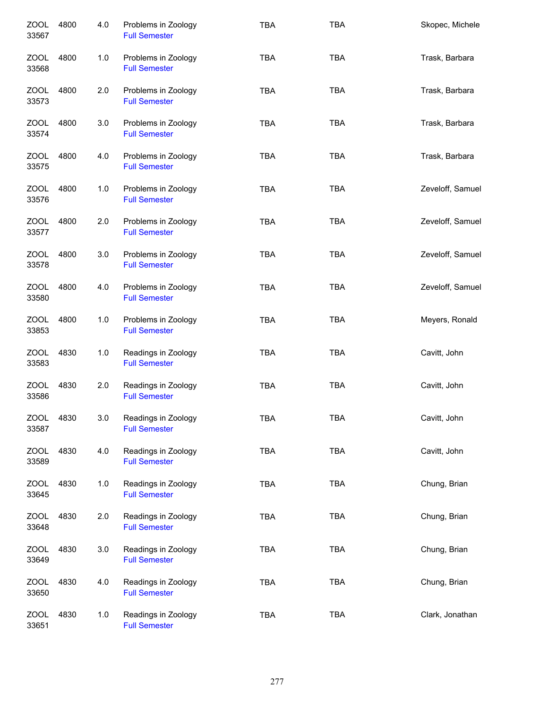| <b>ZOOL</b><br>33567 | 4800 | 4.0 | Problems in Zoology<br><b>Full Semester</b> | <b>TBA</b> | <b>TBA</b> | Skopec, Michele  |
|----------------------|------|-----|---------------------------------------------|------------|------------|------------------|
| ZOOL<br>33568        | 4800 | 1.0 | Problems in Zoology<br><b>Full Semester</b> | <b>TBA</b> | <b>TBA</b> | Trask, Barbara   |
| ZOOL<br>33573        | 4800 | 2.0 | Problems in Zoology<br><b>Full Semester</b> | <b>TBA</b> | <b>TBA</b> | Trask, Barbara   |
| ZOOL<br>33574        | 4800 | 3.0 | Problems in Zoology<br><b>Full Semester</b> | <b>TBA</b> | <b>TBA</b> | Trask, Barbara   |
| ZOOL<br>33575        | 4800 | 4.0 | Problems in Zoology<br><b>Full Semester</b> | <b>TBA</b> | <b>TBA</b> | Trask, Barbara   |
| ZOOL<br>33576        | 4800 | 1.0 | Problems in Zoology<br><b>Full Semester</b> | <b>TBA</b> | <b>TBA</b> | Zeveloff, Samuel |
| ZOOL<br>33577        | 4800 | 2.0 | Problems in Zoology<br><b>Full Semester</b> | <b>TBA</b> | <b>TBA</b> | Zeveloff, Samuel |
| ZOOL<br>33578        | 4800 | 3.0 | Problems in Zoology<br><b>Full Semester</b> | <b>TBA</b> | <b>TBA</b> | Zeveloff, Samuel |
| <b>ZOOL</b><br>33580 | 4800 | 4.0 | Problems in Zoology<br><b>Full Semester</b> | <b>TBA</b> | <b>TBA</b> | Zeveloff, Samuel |
| <b>ZOOL</b><br>33853 | 4800 | 1.0 | Problems in Zoology<br><b>Full Semester</b> | <b>TBA</b> | <b>TBA</b> | Meyers, Ronald   |
| <b>ZOOL</b><br>33583 | 4830 | 1.0 | Readings in Zoology<br><b>Full Semester</b> | <b>TBA</b> | <b>TBA</b> | Cavitt, John     |
| <b>ZOOL</b><br>33586 | 4830 | 2.0 | Readings in Zoology<br><b>Full Semester</b> | <b>TBA</b> | <b>TBA</b> | Cavitt, John     |
| <b>ZOOL</b><br>33587 | 4830 | 3.0 | Readings in Zoology<br><b>Full Semester</b> | <b>TBA</b> | <b>TBA</b> | Cavitt, John     |
| <b>ZOOL</b><br>33589 | 4830 | 4.0 | Readings in Zoology<br><b>Full Semester</b> | <b>TBA</b> | <b>TBA</b> | Cavitt, John     |
| ZOOL<br>33645        | 4830 | 1.0 | Readings in Zoology<br><b>Full Semester</b> | <b>TBA</b> | <b>TBA</b> | Chung, Brian     |
| ZOOL<br>33648        | 4830 | 2.0 | Readings in Zoology<br><b>Full Semester</b> | <b>TBA</b> | <b>TBA</b> | Chung, Brian     |
| ZOOL<br>33649        | 4830 | 3.0 | Readings in Zoology<br><b>Full Semester</b> | <b>TBA</b> | <b>TBA</b> | Chung, Brian     |
| <b>ZOOL</b><br>33650 | 4830 | 4.0 | Readings in Zoology<br><b>Full Semester</b> | <b>TBA</b> | <b>TBA</b> | Chung, Brian     |
| ZOOL<br>33651        | 4830 | 1.0 | Readings in Zoology<br><b>Full Semester</b> | <b>TBA</b> | <b>TBA</b> | Clark, Jonathan  |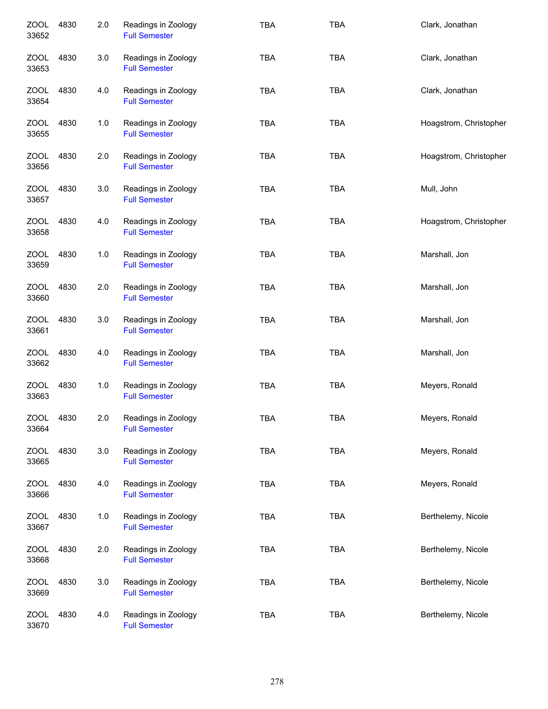| <b>ZOOL</b><br>33652 | 4830 | 2.0 | Readings in Zoology<br><b>Full Semester</b> | <b>TBA</b> | <b>TBA</b> | Clark, Jonathan        |
|----------------------|------|-----|---------------------------------------------|------------|------------|------------------------|
| ZOOL<br>33653        | 4830 | 3.0 | Readings in Zoology<br><b>Full Semester</b> | <b>TBA</b> | <b>TBA</b> | Clark, Jonathan        |
| ZOOL<br>33654        | 4830 | 4.0 | Readings in Zoology<br><b>Full Semester</b> | <b>TBA</b> | <b>TBA</b> | Clark, Jonathan        |
| ZOOL<br>33655        | 4830 | 1.0 | Readings in Zoology<br><b>Full Semester</b> | <b>TBA</b> | <b>TBA</b> | Hoagstrom, Christopher |
| ZOOL<br>33656        | 4830 | 2.0 | Readings in Zoology<br><b>Full Semester</b> | <b>TBA</b> | <b>TBA</b> | Hoagstrom, Christopher |
| ZOOL<br>33657        | 4830 | 3.0 | Readings in Zoology<br><b>Full Semester</b> | <b>TBA</b> | <b>TBA</b> | Mull, John             |
| ZOOL<br>33658        | 4830 | 4.0 | Readings in Zoology<br><b>Full Semester</b> | <b>TBA</b> | <b>TBA</b> | Hoagstrom, Christopher |
| <b>ZOOL</b><br>33659 | 4830 | 1.0 | Readings in Zoology<br><b>Full Semester</b> | <b>TBA</b> | <b>TBA</b> | Marshall, Jon          |
| <b>ZOOL</b><br>33660 | 4830 | 2.0 | Readings in Zoology<br><b>Full Semester</b> | <b>TBA</b> | <b>TBA</b> | Marshall, Jon          |
| <b>ZOOL</b><br>33661 | 4830 | 3.0 | Readings in Zoology<br><b>Full Semester</b> | <b>TBA</b> | <b>TBA</b> | Marshall, Jon          |
| <b>ZOOL</b><br>33662 | 4830 | 4.0 | Readings in Zoology<br><b>Full Semester</b> | <b>TBA</b> | <b>TBA</b> | Marshall, Jon          |
| <b>ZOOL</b><br>33663 | 4830 | 1.0 | Readings in Zoology<br><b>Full Semester</b> | TBA        | <b>TBA</b> | Meyers, Ronald         |
| <b>ZOOL</b><br>33664 | 4830 | 2.0 | Readings in Zoology<br><b>Full Semester</b> | <b>TBA</b> | <b>TBA</b> | Meyers, Ronald         |
| <b>ZOOL</b><br>33665 | 4830 | 3.0 | Readings in Zoology<br><b>Full Semester</b> | <b>TBA</b> | <b>TBA</b> | Meyers, Ronald         |
| ZOOL<br>33666        | 4830 | 4.0 | Readings in Zoology<br><b>Full Semester</b> | TBA        | <b>TBA</b> | Meyers, Ronald         |
| ZOOL<br>33667        | 4830 | 1.0 | Readings in Zoology<br><b>Full Semester</b> | TBA        | <b>TBA</b> | Berthelemy, Nicole     |
| ZOOL<br>33668        | 4830 | 2.0 | Readings in Zoology<br><b>Full Semester</b> | <b>TBA</b> | <b>TBA</b> | Berthelemy, Nicole     |
| ZOOL<br>33669        | 4830 | 3.0 | Readings in Zoology<br><b>Full Semester</b> | <b>TBA</b> | <b>TBA</b> | Berthelemy, Nicole     |
| <b>ZOOL</b><br>33670 | 4830 | 4.0 | Readings in Zoology<br><b>Full Semester</b> | TBA        | <b>TBA</b> | Berthelemy, Nicole     |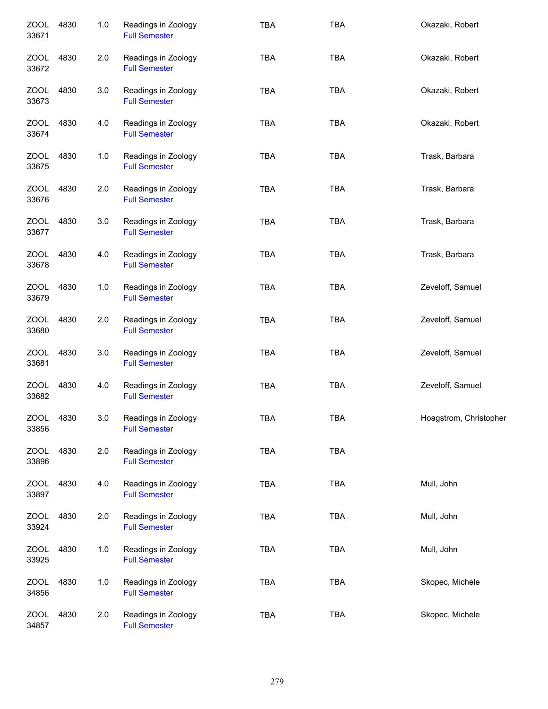| <b>ZOOL</b><br>33671 | 4830 | 1.0     | Readings in Zoology<br><b>Full Semester</b> | <b>TBA</b> | <b>TBA</b> | Okazaki, Robert        |
|----------------------|------|---------|---------------------------------------------|------------|------------|------------------------|
| ZOOL<br>33672        | 4830 | 2.0     | Readings in Zoology<br><b>Full Semester</b> | <b>TBA</b> | <b>TBA</b> | Okazaki, Robert        |
| ZOOL<br>33673        | 4830 | $3.0\,$ | Readings in Zoology<br><b>Full Semester</b> | <b>TBA</b> | <b>TBA</b> | Okazaki, Robert        |
| ZOOL<br>33674        | 4830 | 4.0     | Readings in Zoology<br><b>Full Semester</b> | <b>TBA</b> | <b>TBA</b> | Okazaki, Robert        |
| ZOOL<br>33675        | 4830 | 1.0     | Readings in Zoology<br><b>Full Semester</b> | <b>TBA</b> | <b>TBA</b> | Trask, Barbara         |
| ZOOL<br>33676        | 4830 | 2.0     | Readings in Zoology<br><b>Full Semester</b> | <b>TBA</b> | <b>TBA</b> | Trask, Barbara         |
| ZOOL<br>33677        | 4830 | 3.0     | Readings in Zoology<br><b>Full Semester</b> | <b>TBA</b> | <b>TBA</b> | Trask, Barbara         |
| <b>ZOOL</b><br>33678 | 4830 | 4.0     | Readings in Zoology<br><b>Full Semester</b> | <b>TBA</b> | <b>TBA</b> | Trask, Barbara         |
| <b>ZOOL</b><br>33679 | 4830 | 1.0     | Readings in Zoology<br><b>Full Semester</b> | <b>TBA</b> | <b>TBA</b> | Zeveloff, Samuel       |
| <b>ZOOL</b><br>33680 | 4830 | 2.0     | Readings in Zoology<br><b>Full Semester</b> | <b>TBA</b> | <b>TBA</b> | Zeveloff, Samuel       |
| <b>ZOOL</b><br>33681 | 4830 | 3.0     | Readings in Zoology<br><b>Full Semester</b> | <b>TBA</b> | <b>TBA</b> | Zeveloff, Samuel       |
| <b>ZOOL</b><br>33682 | 4830 | 4.0     | Readings in Zoology<br><b>Full Semester</b> | <b>TBA</b> | <b>TBA</b> | Zeveloff, Samuel       |
| <b>ZOOL</b><br>33856 | 4830 | 3.0     | Readings in Zoology<br><b>Full Semester</b> | <b>TBA</b> | <b>TBA</b> | Hoagstrom, Christopher |
| <b>ZOOL</b><br>33896 | 4830 | 2.0     | Readings in Zoology<br><b>Full Semester</b> | <b>TBA</b> | TBA        |                        |
| <b>ZOOL</b><br>33897 | 4830 | 4.0     | Readings in Zoology<br><b>Full Semester</b> | <b>TBA</b> | <b>TBA</b> | Mull, John             |
| <b>ZOOL</b><br>33924 | 4830 | 2.0     | Readings in Zoology<br><b>Full Semester</b> | TBA        | <b>TBA</b> | Mull, John             |
| <b>ZOOL</b><br>33925 | 4830 | 1.0     | Readings in Zoology<br><b>Full Semester</b> | <b>TBA</b> | <b>TBA</b> | Mull, John             |
| <b>ZOOL</b><br>34856 | 4830 | 1.0     | Readings in Zoology<br><b>Full Semester</b> | <b>TBA</b> | <b>TBA</b> | Skopec, Michele        |
| <b>ZOOL</b><br>34857 | 4830 | 2.0     | Readings in Zoology<br><b>Full Semester</b> | <b>TBA</b> | TBA        | Skopec, Michele        |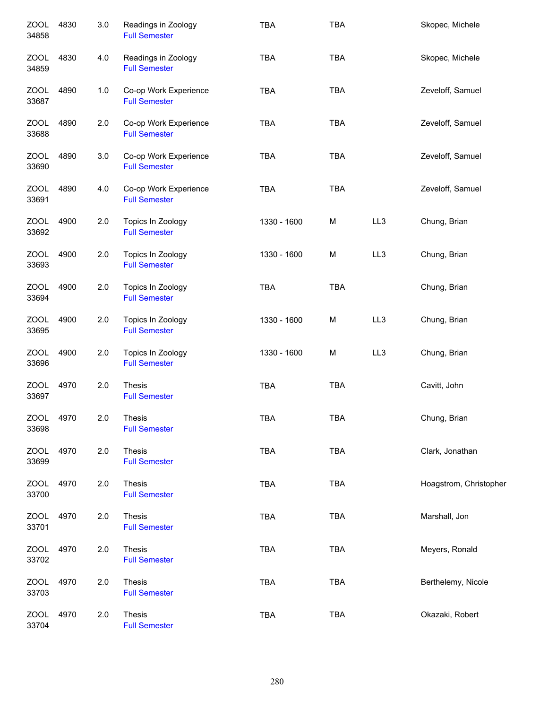| <b>ZOOL</b><br>34858 | 4830 | 3.0 | Readings in Zoology<br><b>Full Semester</b>   | <b>TBA</b>  | <b>TBA</b> |     | Skopec, Michele        |
|----------------------|------|-----|-----------------------------------------------|-------------|------------|-----|------------------------|
| <b>ZOOL</b><br>34859 | 4830 | 4.0 | Readings in Zoology<br><b>Full Semester</b>   | <b>TBA</b>  | <b>TBA</b> |     | Skopec, Michele        |
| <b>ZOOL</b><br>33687 | 4890 | 1.0 | Co-op Work Experience<br><b>Full Semester</b> | <b>TBA</b>  | <b>TBA</b> |     | Zeveloff, Samuel       |
| ZOOL<br>33688        | 4890 | 2.0 | Co-op Work Experience<br><b>Full Semester</b> | <b>TBA</b>  | <b>TBA</b> |     | Zeveloff, Samuel       |
| ZOOL<br>33690        | 4890 | 3.0 | Co-op Work Experience<br><b>Full Semester</b> | <b>TBA</b>  | <b>TBA</b> |     | Zeveloff, Samuel       |
| <b>ZOOL</b><br>33691 | 4890 | 4.0 | Co-op Work Experience<br><b>Full Semester</b> | <b>TBA</b>  | <b>TBA</b> |     | Zeveloff, Samuel       |
| <b>ZOOL</b><br>33692 | 4900 | 2.0 | Topics In Zoology<br><b>Full Semester</b>     | 1330 - 1600 | M          | LL3 | Chung, Brian           |
| <b>ZOOL</b><br>33693 | 4900 | 2.0 | Topics In Zoology<br><b>Full Semester</b>     | 1330 - 1600 | M          | LL3 | Chung, Brian           |
| <b>ZOOL</b><br>33694 | 4900 | 2.0 | Topics In Zoology<br><b>Full Semester</b>     | <b>TBA</b>  | <b>TBA</b> |     | Chung, Brian           |
| <b>ZOOL</b><br>33695 | 4900 | 2.0 | Topics In Zoology<br><b>Full Semester</b>     | 1330 - 1600 | M          | LL3 | Chung, Brian           |
| <b>ZOOL</b><br>33696 | 4900 | 2.0 | Topics In Zoology<br><b>Full Semester</b>     | 1330 - 1600 | M          | LL3 | Chung, Brian           |
| <b>ZOOL</b><br>33697 | 4970 | 2.0 | Thesis<br><b>Full Semester</b>                | <b>TBA</b>  | <b>TBA</b> |     | Cavitt, John           |
| ZOOL<br>33698        | 4970 | 2.0 | <b>Thesis</b><br><b>Full Semester</b>         | <b>TBA</b>  | <b>TBA</b> |     | Chung, Brian           |
| <b>ZOOL</b><br>33699 | 4970 | 2.0 | Thesis<br><b>Full Semester</b>                | <b>TBA</b>  | <b>TBA</b> |     | Clark, Jonathan        |
| <b>ZOOL</b><br>33700 | 4970 | 2.0 | Thesis<br><b>Full Semester</b>                | <b>TBA</b>  | <b>TBA</b> |     | Hoagstrom, Christopher |
| <b>ZOOL</b><br>33701 | 4970 | 2.0 | Thesis<br><b>Full Semester</b>                | <b>TBA</b>  | <b>TBA</b> |     | Marshall, Jon          |
| <b>ZOOL</b><br>33702 | 4970 | 2.0 | Thesis<br><b>Full Semester</b>                | <b>TBA</b>  | <b>TBA</b> |     | Meyers, Ronald         |
| <b>ZOOL</b><br>33703 | 4970 | 2.0 | <b>Thesis</b><br><b>Full Semester</b>         | <b>TBA</b>  | <b>TBA</b> |     | Berthelemy, Nicole     |
| <b>ZOOL</b><br>33704 | 4970 | 2.0 | Thesis<br><b>Full Semester</b>                | TBA         | <b>TBA</b> |     | Okazaki, Robert        |